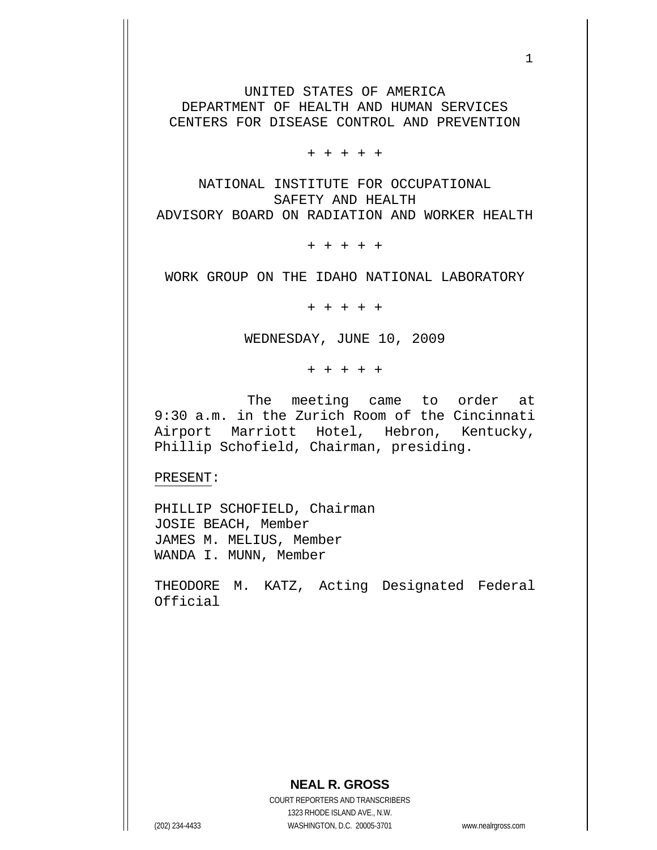UNITED STATES OF AMERICA DEPARTMENT OF HEALTH AND HUMAN SERVICES CENTERS FOR DISEASE CONTROL AND PREVENTION

 $1$ 

+ + + + +

NATIONAL INSTITUTE FOR OCCUPATIONAL SAFETY AND HEALTH ADVISORY BOARD ON RADIATION AND WORKER HEALTH

+ + + + +

WORK GROUP ON THE IDAHO NATIONAL LABORATORY

+ + + + +

WEDNESDAY, JUNE 10, 2009

+ + + + +

 The meeting came to order at 9:30 a.m. in the Zurich Room of the Cincinnati Airport Marriott Hotel, Hebron, Kentucky, Phillip Schofield, Chairman, presiding.

PRESENT:

PHILLIP SCHOFIELD, Chairman JOSIE BEACH, Member JAMES M. MELIUS, Member WANDA I. MUNN, Member

THEODORE M. KATZ, Acting Designated Federal Official

## **NEAL R. GROSS**

COURT REPORTERS AND TRANSCRIBERS 1323 RHODE ISLAND AVE., N.W. (202) 234-4433 WASHINGTON, D.C. 20005-3701 www.nealrgross.com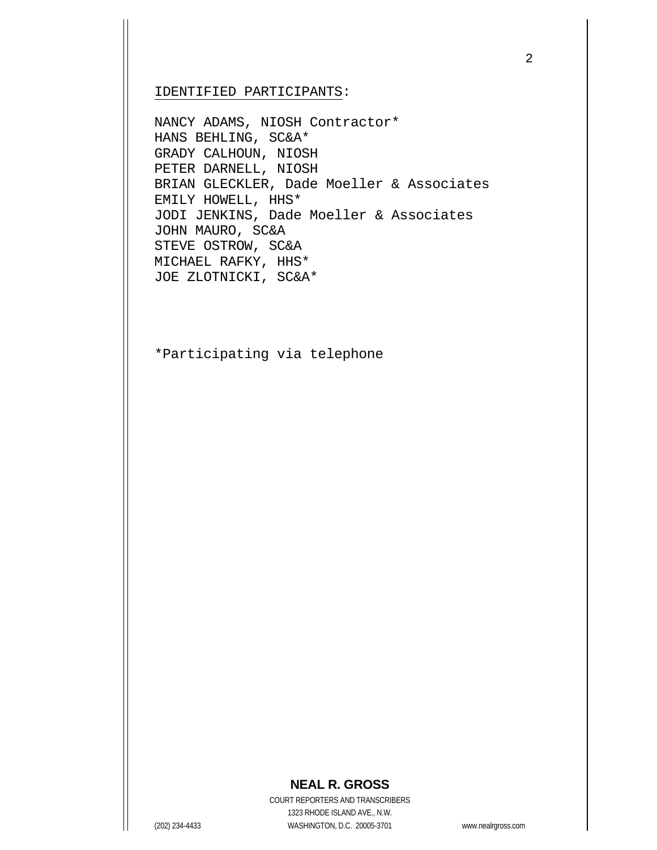IDENTIFIED PARTICIPANTS:

NANCY ADAMS, NIOSH Contractor\* HANS BEHLING, SC&A\* GRADY CALHOUN, NIOSH PETER DARNELL, NIOSH BRIAN GLECKLER, Dade Moeller & Associates EMILY HOWELL, HHS\* JODI JENKINS, Dade Moeller & Associates JOHN MAURO, SC&A STEVE OSTROW, SC&A MICHAEL RAFKY, HHS\* JOE ZLOTNICKI, SC&A\*

\*Participating via telephone

## **NEAL R. GROSS**

COURT REPORTERS AND TRANSCRIBERS 1323 RHODE ISLAND AVE., N.W. (202) 234-4433 WASHINGTON, D.C. 20005-3701 www.nealrgross.com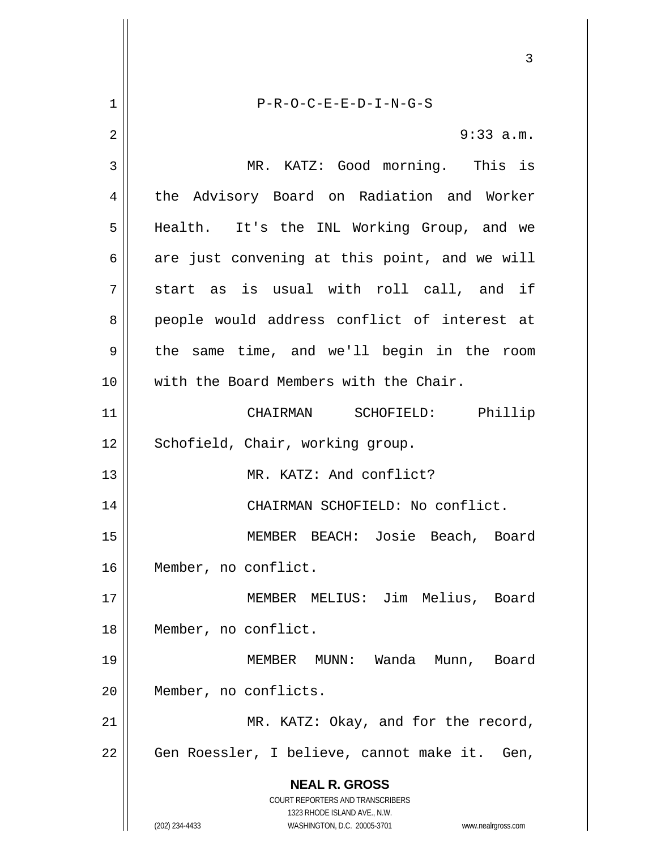**NEAL R. GROSS** COURT REPORTERS AND TRANSCRIBERS 1323 RHODE ISLAND AVE., N.W. (202) 234-4433 WASHINGTON, D.C. 20005-3701 www.nealrgross.com 3 1 2 3 4 5 6 7 8 9 10 11 12 13 14 15 16 17 18 19 20 21 22 P-R-O-C-E-E-D-I-N-G-S 9:33 a.m. MR. KATZ: Good morning. This is the Advisory Board on Radiation and Worker Health. It's the INL Working Group, and we are just convening at this point, and we will start as is usual with roll call, and if people would address conflict of interest at the same time, and we'll begin in the room with the Board Members with the Chair. CHAIRMAN SCHOFIELD: Phillip Schofield, Chair, working group. MR. KATZ: And conflict? CHAIRMAN SCHOFIELD: No conflict. MEMBER BEACH: Josie Beach, Board Member, no conflict. MEMBER MELIUS: Jim Melius, Board Member, no conflict. MEMBER MUNN: Wanda Munn, Board Member, no conflicts. MR. KATZ: Okay, and for the record, Gen Roessler, I believe, cannot make it. Gen,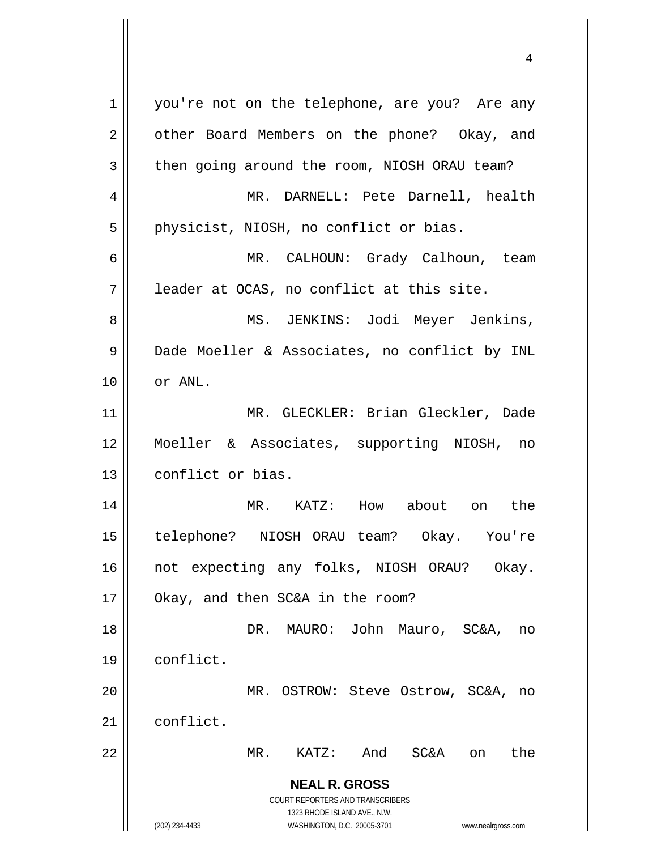**NEAL R. GROSS** COURT REPORTERS AND TRANSCRIBERS 1323 RHODE ISLAND AVE., N.W. (202) 234-4433 WASHINGTON, D.C. 20005-3701 www.nealrgross.com 1 2 3 4 5 6 7 8 9 10 11 12 13 14 15 16 17 18 19 20 21 22 you're not on the telephone, are you? Are any other Board Members on the phone? Okay, and then going around the room, NIOSH ORAU team? MR. DARNELL: Pete Darnell, health physicist, NIOSH, no conflict or bias. MR. CALHOUN: Grady Calhoun, team leader at OCAS, no conflict at this site. MS. JENKINS: Jodi Meyer Jenkins, Dade Moeller & Associates, no conflict by INL or ANL. MR. GLECKLER: Brian Gleckler, Dade Moeller & Associates, supporting NIOSH, no conflict or bias. MR. KATZ: How about on the telephone? NIOSH ORAU team? Okay. You're not expecting any folks, NIOSH ORAU? Okay. Okay, and then SC&A in the room? DR. MAURO: John Mauro, SC&A, no conflict. MR. OSTROW: Steve Ostrow, SC&A, no conflict. MR. KATZ: And SC&A on the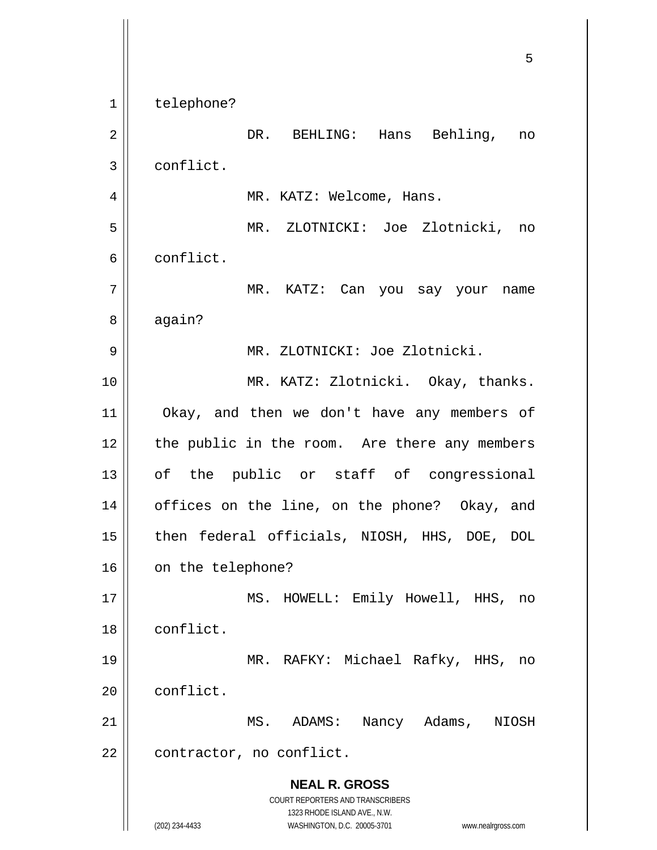**NEAL R. GROSS** COURT REPORTERS AND TRANSCRIBERS 1323 RHODE ISLAND AVE., N.W. (202) 234-4433 WASHINGTON, D.C. 20005-3701 www.nealrgross.com <u>53 and 2001 and 2001 and 2001 and 2001 and 2001 and 2001 and 2001 and 2001 and 2001 and 2001 and 2001 and 200</u> 1 2 3 4 5 6 7 8 9 10 11 12 13 14 15 16 17 18 19 20 21 22 telephone? DR. BEHLING: Hans Behling, no conflict. MR. KATZ: Welcome, Hans. MR. ZLOTNICKI: Joe Zlotnicki, no conflict. MR. KATZ: Can you say your name again? MR. ZLOTNICKI: Joe Zlotnicki. MR. KATZ: Zlotnicki. Okay, thanks. Okay, and then we don't have any members of the public in the room. Are there any members of the public or staff of congressional offices on the line, on the phone? Okay, and then federal officials, NIOSH, HHS, DOE, DOL on the telephone? MS. HOWELL: Emily Howell, HHS, no conflict. MR. RAFKY: Michael Rafky, HHS, no conflict. MS. ADAMS: Nancy Adams, NIOSH contractor, no conflict.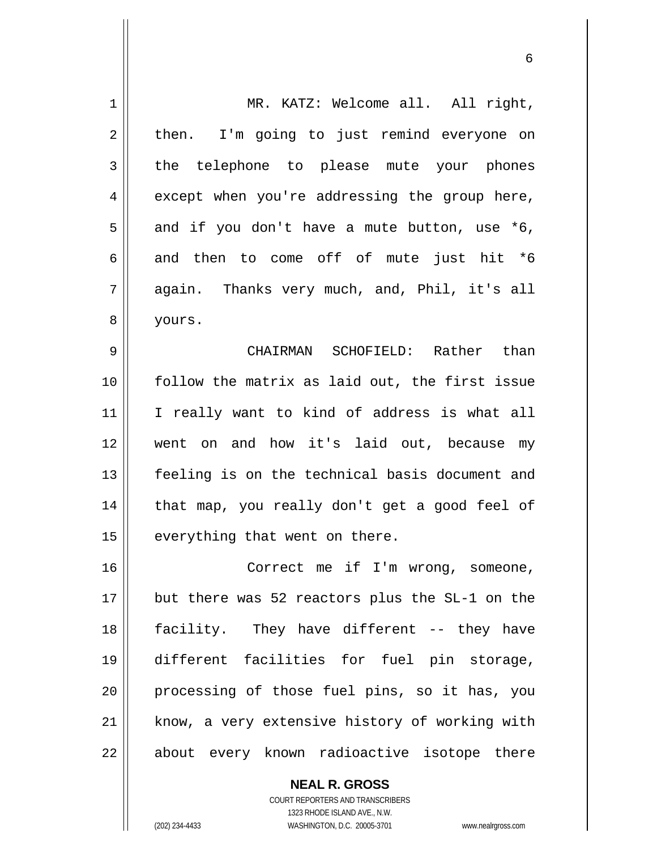| $\mathbf 1$    | MR. KATZ: Welcome all. All right,              |
|----------------|------------------------------------------------|
| $\overline{2}$ | then. I'm going to just remind everyone on     |
| $\mathbf{3}$   | the telephone to please mute your phones       |
| 4              | except when you're addressing the group here,  |
| 5              | and if you don't have a mute button, use *6,   |
| 6              | and then to come off of mute just hit *6       |
| 7              | again. Thanks very much, and, Phil, it's all   |
| 8              | yours.                                         |
| 9              | CHAIRMAN SCHOFIELD: Rather than                |
| 10             | follow the matrix as laid out, the first issue |
| 11             | I really want to kind of address is what all   |
| 12             | went on and how it's laid out, because my      |
| 13             | feeling is on the technical basis document and |
| 14             | that map, you really don't get a good feel of  |
| 15             | everything that went on there.                 |
| 16             | Correct me if I'm wrong, someone,              |
| 17             | but there was 52 reactors plus the SL-1 on the |
| 18             | facility. They have different -- they have     |
| 19             | different facilities for fuel pin storage,     |
| 20             | processing of those fuel pins, so it has, you  |
| 21             | know, a very extensive history of working with |
| 22             | about every known radioactive isotope there    |

 $\sim$  6.6  $\sim$  6.6  $\sim$  6.6  $\sim$  6.6  $\sim$  6.6  $\sim$  6.6  $\sim$  6.6  $\sim$  6.6  $\sim$  6.6  $\sim$  6.6  $\sim$  6.6  $\sim$  6.6  $\sim$  6.6  $\sim$  6.6  $\sim$  6.6  $\sim$  6.6  $\sim$  6.6  $\sim$  6.6  $\sim$  6.6  $\sim$  6.6  $\sim$  6.6  $\sim$  6.6  $\sim$  6.6  $\sim$  6.6  $\sim$ 

**NEAL R. GROSS** COURT REPORTERS AND TRANSCRIBERS 1323 RHODE ISLAND AVE., N.W.

 $\mathsf{I}$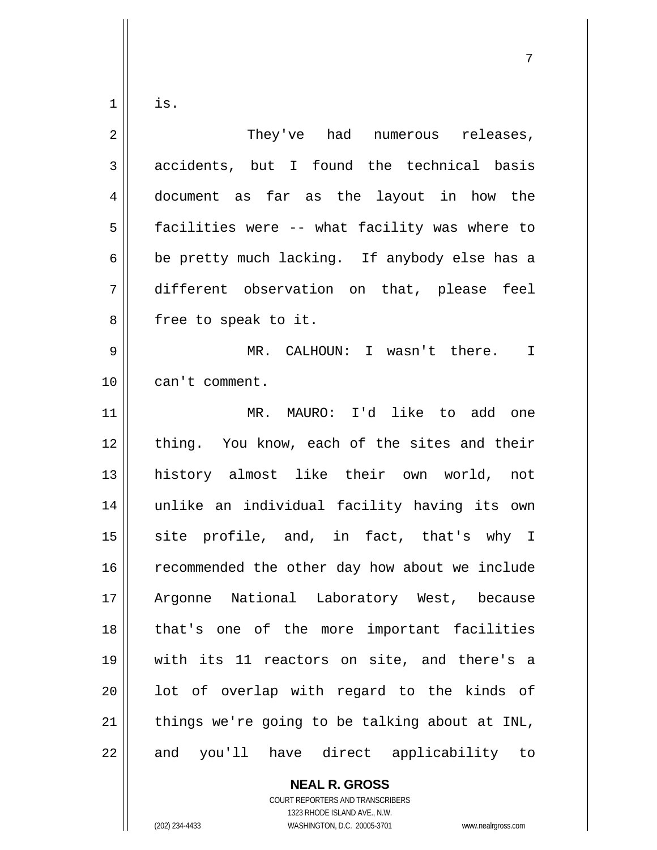is.

1

| $\overline{2}$ | They've had numerous releases,                 |
|----------------|------------------------------------------------|
| 3              | accidents, but I found the technical basis     |
| $\overline{4}$ | document as far as the layout in how the       |
| 5              | facilities were -- what facility was where to  |
| 6              | be pretty much lacking. If anybody else has a  |
| 7              | different observation on that, please feel     |
| 8              | free to speak to it.                           |
| 9              | MR. CALHOUN: I wasn't there. I                 |
| 10             | can't comment.                                 |
| 11             | MR. MAURO: I'd like to add one                 |
| 12             | thing. You know, each of the sites and their   |
| 13             | history almost like their own world, not       |
| 14             | unlike an individual facility having its own   |
| 15             | site profile, and, in fact, that's why I       |
| 16             | recommended the other day how about we include |
| 17             | Argonne National Laboratory West, because      |
| 18             | that's one of the more important facilities    |
| 19             | with its 11 reactors on site, and there's a    |
| 20             | lot of overlap with regard to the kinds of     |
| 21             | things we're going to be talking about at INL, |
| 22             | and you'll have direct applicability to        |

ли в село в село во село во село во село во село во село во село во село во село во село во село во село во се<br>Постојата на селото на селото на селото на селото на селото на селото на селото на селото на селото на селото

**NEAL R. GROSS** COURT REPORTERS AND TRANSCRIBERS

1323 RHODE ISLAND AVE., N.W. (202) 234-4433 WASHINGTON, D.C. 20005-3701 www.nealrgross.com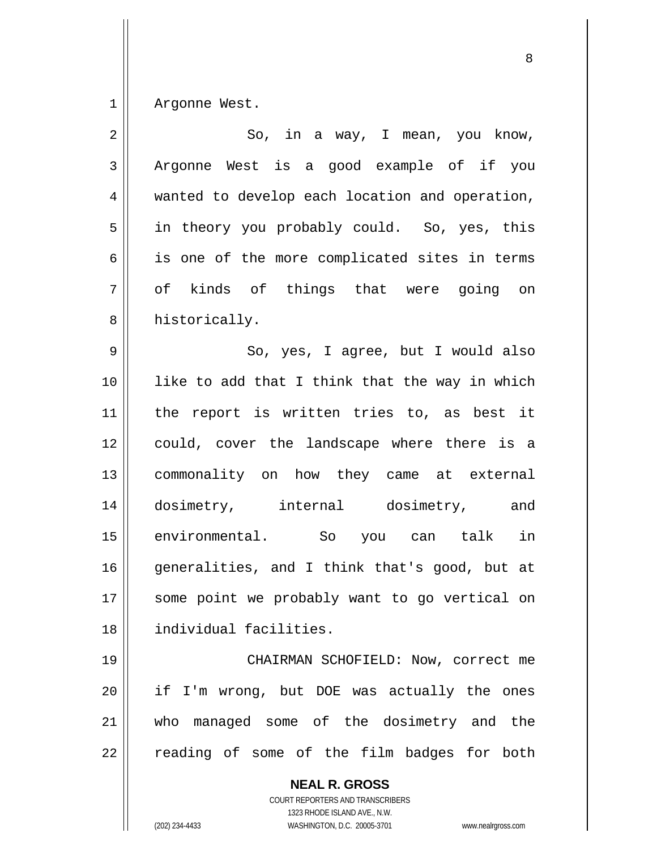1 Argonne West.

| $\sqrt{2}$     | So, in a way, I mean, you know,                                                                                                                                 |
|----------------|-----------------------------------------------------------------------------------------------------------------------------------------------------------------|
| 3              | Argonne West is a good example of if you                                                                                                                        |
| $\overline{4}$ | wanted to develop each location and operation,                                                                                                                  |
| 5              | in theory you probably could. So, yes, this                                                                                                                     |
| 6              | is one of the more complicated sites in terms                                                                                                                   |
| 7              | of kinds of things that were going on                                                                                                                           |
| 8              | historically.                                                                                                                                                   |
| $\mathsf 9$    | So, yes, I agree, but I would also                                                                                                                              |
| 10             | like to add that I think that the way in which                                                                                                                  |
| 11             | the report is written tries to, as best it                                                                                                                      |
| 12             | could, cover the landscape where there is a                                                                                                                     |
| 13             | commonality on how they came at external                                                                                                                        |
| 14             | dosimetry, internal dosimetry, and                                                                                                                              |
| 15             | environmental.<br>So you can talk<br>in                                                                                                                         |
| 16             | generalities, and I think that's good, but at                                                                                                                   |
| 17             | some point we probably want to go vertical on                                                                                                                   |
| 18             | individual facilities.                                                                                                                                          |
| 19             | CHAIRMAN SCHOFIELD: Now, correct me                                                                                                                             |
| 20             | if I'm wrong, but DOE was actually the ones                                                                                                                     |
| 21             | managed some of the dosimetry and the<br>who                                                                                                                    |
| 22             | reading of some of the film badges for both                                                                                                                     |
|                | <b>NEAL R. GROSS</b><br>COURT REPORTERS AND TRANSCRIBERS<br>1323 RHODE ISLAND AVE., N.W.<br>WASHINGTON, D.C. 20005-3701<br>(202) 234-4433<br>www.nealrgross.com |

en andere de la provincia de la provincia de la provincia de la provincia de la provincia de la provincia del<br>Referències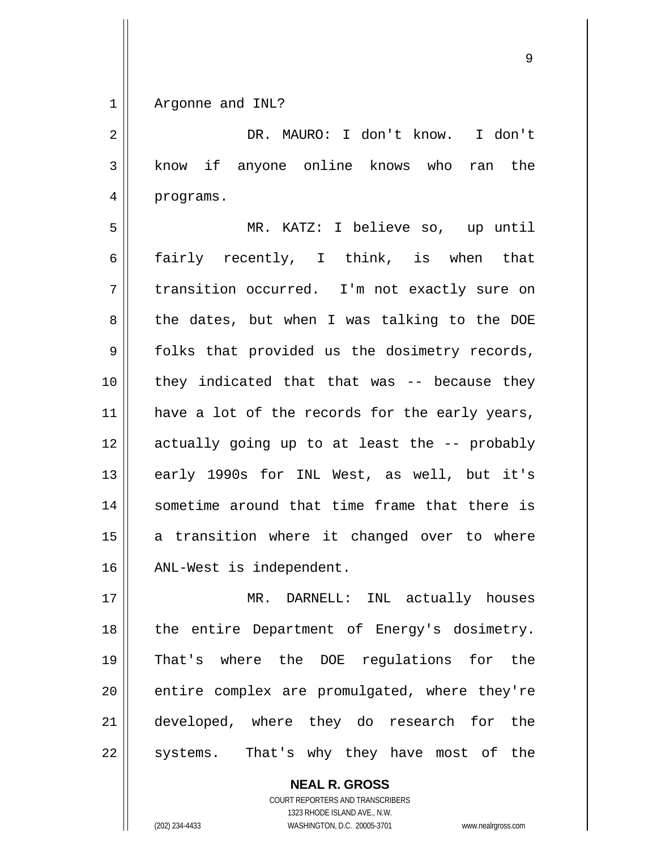1 Argonne and INL?

2 3 4 DR. MAURO: I don't know. I don't know if anyone online knows who ran the programs.

5 6 7 8 9 10 11 12 13 14 15 16 MR. KATZ: I believe so, up until fairly recently, I think, is when that transition occurred. I'm not exactly sure on the dates, but when I was talking to the DOE folks that provided us the dosimetry records, they indicated that that was -- because they have a lot of the records for the early years, actually going up to at least the -- probably early 1990s for INL West, as well, but it's sometime around that time frame that there is a transition where it changed over to where ANL-West is independent.

17 18 19 20 21 22 MR. DARNELL: INL actually houses the entire Department of Energy's dosimetry. That's where the DOE regulations for the entire complex are promulgated, where they're developed, where they do research for the systems. That's why they have most of the

> **NEAL R. GROSS** COURT REPORTERS AND TRANSCRIBERS 1323 RHODE ISLAND AVE., N.W. (202) 234-4433 WASHINGTON, D.C. 20005-3701 www.nealrgross.com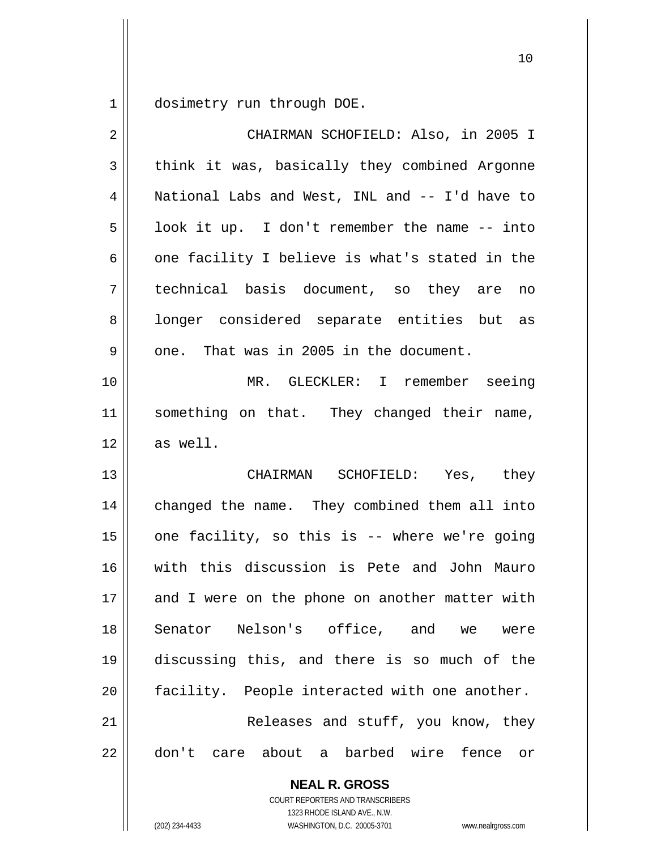1 dosimetry run through DOE.

| $\overline{2}$ | CHAIRMAN SCHOFIELD: Also, in 2005 I                                                                                                                             |
|----------------|-----------------------------------------------------------------------------------------------------------------------------------------------------------------|
| 3              | think it was, basically they combined Argonne                                                                                                                   |
| $\overline{4}$ | National Labs and West, INL and -- I'd have to                                                                                                                  |
| 5              | look it up. I don't remember the name -- into                                                                                                                   |
| 6              | one facility I believe is what's stated in the                                                                                                                  |
| 7              | technical basis document, so they are no                                                                                                                        |
| 8              | longer considered separate entities but as                                                                                                                      |
| 9              | one. That was in 2005 in the document.                                                                                                                          |
| 10             | MR. GLECKLER: I remember seeing                                                                                                                                 |
| 11             | something on that. They changed their name,                                                                                                                     |
| 12             | as well.                                                                                                                                                        |
| 13             | CHAIRMAN SCHOFIELD: Yes, they                                                                                                                                   |
| 14             | changed the name. They combined them all into                                                                                                                   |
| 15             | one facility, so this is -- where we're going                                                                                                                   |
| 16             | with this discussion is Pete and John Mauro                                                                                                                     |
| 17             | and I were on the phone on another matter with                                                                                                                  |
| 18             | Senator Nelson's office, and we<br>were                                                                                                                         |
| 19             | discussing this, and there is so much of the                                                                                                                    |
| 20             | facility. People interacted with one another.                                                                                                                   |
| 21             | Releases and stuff, you know, they                                                                                                                              |
| 22             | don't care about a barbed wire fence<br>or                                                                                                                      |
|                | <b>NEAL R. GROSS</b><br>COURT REPORTERS AND TRANSCRIBERS<br>1323 RHODE ISLAND AVE., N.W.<br>(202) 234-4433<br>WASHINGTON, D.C. 20005-3701<br>www.nealrgross.com |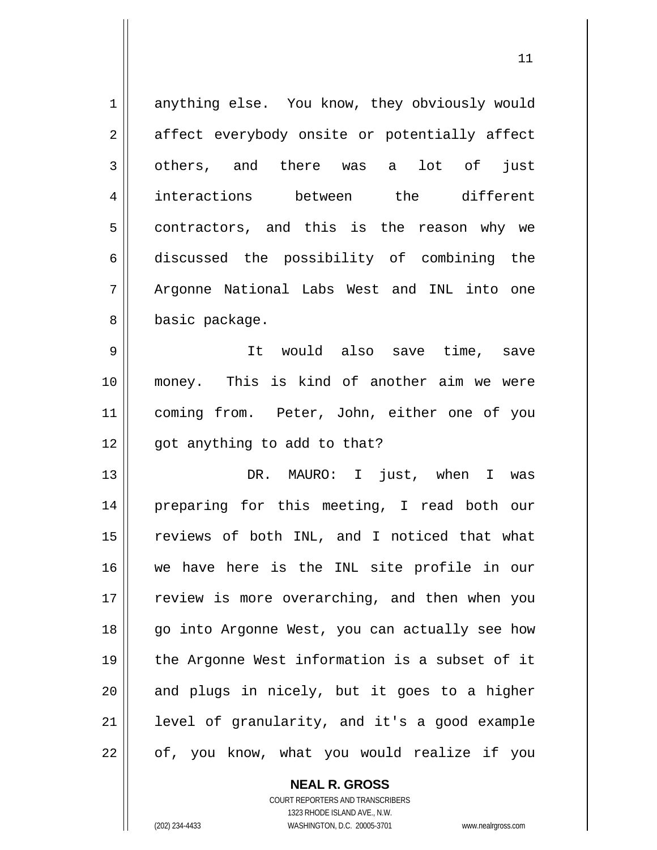| $\mathbf 1$    | anything else. You know, they obviously would  |
|----------------|------------------------------------------------|
| $\overline{2}$ | affect everybody onsite or potentially affect  |
| 3              | others, and there was a lot of just            |
| $\overline{4}$ | interactions between the different             |
| 5              | contractors, and this is the reason why we     |
| 6              | discussed the possibility of combining the     |
| 7              | Argonne National Labs West and INL into one    |
| 8              | basic package.                                 |
| $\mathsf 9$    | It would also save time, save                  |
| 10             | money. This is kind of another aim we were     |
| 11             | coming from. Peter, John, either one of you    |
| 12             | got anything to add to that?                   |
| 13             | DR. MAURO: I just, when I was                  |
| 14             | preparing for this meeting, I read both our    |
| 15             | reviews of both INL, and I noticed that what   |
| 16             | we have here is the INL site profile in our    |
| 17             | review is more overarching, and then when you  |
| 18             | go into Argonne West, you can actually see how |
| 19             | the Argonne West information is a subset of it |
| 20             | and plugs in nicely, but it goes to a higher   |
| 21             | level of granularity, and it's a good example  |
| 22             | of, you know, what you would realize if you    |

11

**NEAL R. GROSS** COURT REPORTERS AND TRANSCRIBERS 1323 RHODE ISLAND AVE., N.W. (202) 234-4433 WASHINGTON, D.C. 20005-3701 www.nealrgross.com

 $\mathsf{II}$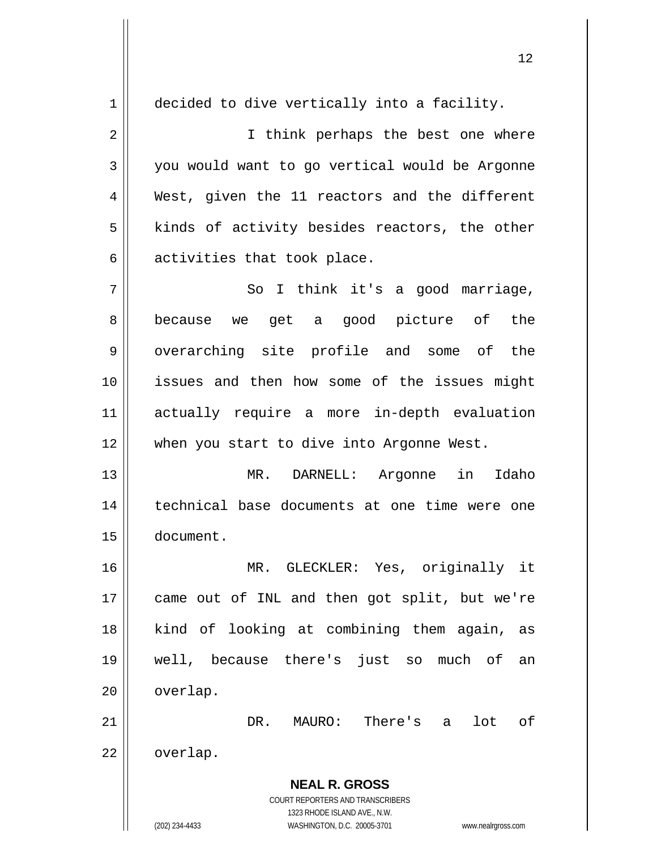**NEAL R. GROSS** COURT REPORTERS AND TRANSCRIBERS 1323 RHODE ISLAND AVE., N.W. 1 2 3 4 5 6 7 8 9 10 11 12 13 14 15 16 17 18 19 20 21 22 decided to dive vertically into a facility. I think perhaps the best one where you would want to go vertical would be Argonne West, given the 11 reactors and the different kinds of activity besides reactors, the other activities that took place. So I think it's a good marriage, because we get a good picture of the overarching site profile and some of the issues and then how some of the issues might actually require a more in-depth evaluation when you start to dive into Argonne West. MR. DARNELL: Argonne in Idaho technical base documents at one time were one document. MR. GLECKLER: Yes, originally it came out of INL and then got split, but we're kind of looking at combining them again, as well, because there's just so much of an overlap. DR. MAURO: There's a lot of overlap.

12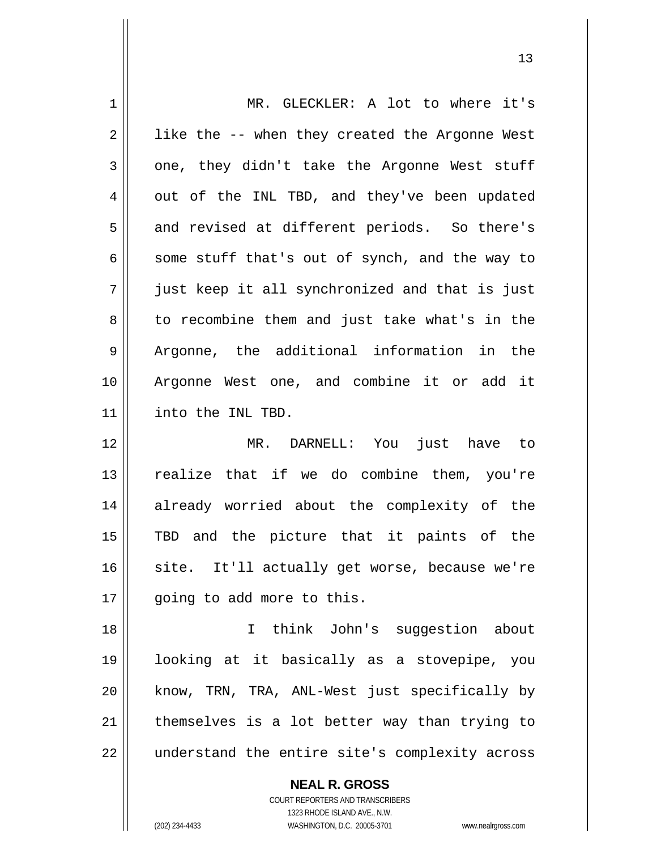| $1\,$          | MR. GLECKLER: A lot to where it's              |
|----------------|------------------------------------------------|
| $\overline{2}$ | like the -- when they created the Argonne West |
| 3              | one, they didn't take the Argonne West stuff   |
| 4              | out of the INL TBD, and they've been updated   |
| 5              | and revised at different periods. So there's   |
| $\epsilon$     | some stuff that's out of synch, and the way to |
| 7              | just keep it all synchronized and that is just |
| 8              | to recombine them and just take what's in the  |
| 9              | Argonne, the additional information in the     |
| 10             | Argonne West one, and combine it or add it     |
| 11             | into the INL TBD.                              |
|                |                                                |
| 12             | DARNELL: You just have to<br>MR.               |
| 13             | realize that if we do combine them, you're     |
| 14             | already worried about the complexity of the    |
| 15             | TBD and the picture that it paints of the      |
| 16             | site. It'll actually get worse, because we're  |
| 17             | going to add more to this.                     |
| 18             | think John's suggestion about<br>$\mathbf{I}$  |
| 19             | looking at it basically as a stovepipe, you    |
| 20             | know, TRN, TRA, ANL-West just specifically by  |
| 21             | themselves is a lot better way than trying to  |

13

**NEAL R. GROSS**

 $\mathsf{II}$ 

COURT REPORTERS AND TRANSCRIBERS 1323 RHODE ISLAND AVE., N.W. (202) 234-4433 WASHINGTON, D.C. 20005-3701 www.nealrgross.com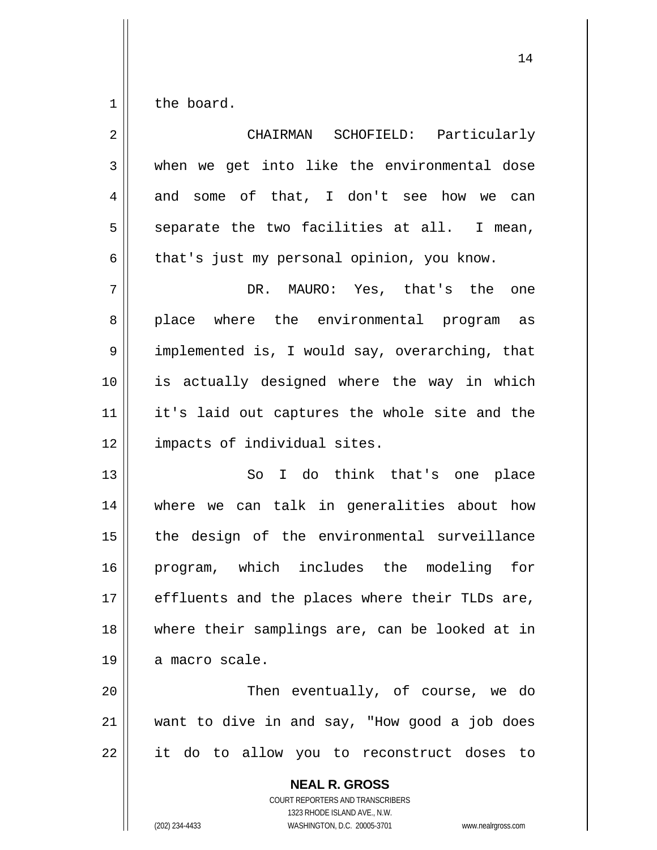1 the board.

| $\overline{2}$ | CHAIRMAN SCHOFIELD: Particularly               |
|----------------|------------------------------------------------|
| 3              | when we get into like the environmental dose   |
| 4              | and some of that, I don't see how we can       |
| 5              | separate the two facilities at all. I mean,    |
| 6              | that's just my personal opinion, you know.     |
| 7              | DR. MAURO: Yes, that's the<br>one              |
| 8              | place where the environmental program as       |
| 9              | implemented is, I would say, overarching, that |
| 10             | is actually designed where the way in which    |
| 11             | it's laid out captures the whole site and the  |
| 12             | impacts of individual sites.                   |
| 13             | So I do think that's one place                 |
| 14             | where we can talk in generalities about how    |
| 15             | the design of the environmental surveillance   |
| 16             | program, which includes the modeling for       |
| 17             | effluents and the places where their TLDs are, |
| 18             | where their samplings are, can be looked at in |
| 19             | a macro scale.                                 |
| 20             | Then eventually, of course, we do              |
| 21             | want to dive in and say, "How good a job does  |
| 22             | it do to allow you to reconstruct doses to     |
|                | <b>NEAL R. GROSS</b>                           |

COURT REPORTERS AND TRANSCRIBERS 1323 RHODE ISLAND AVE., N.W. (202) 234-4433 WASHINGTON, D.C. 20005-3701 www.nealrgross.com

 $\mathop{\text{||}}$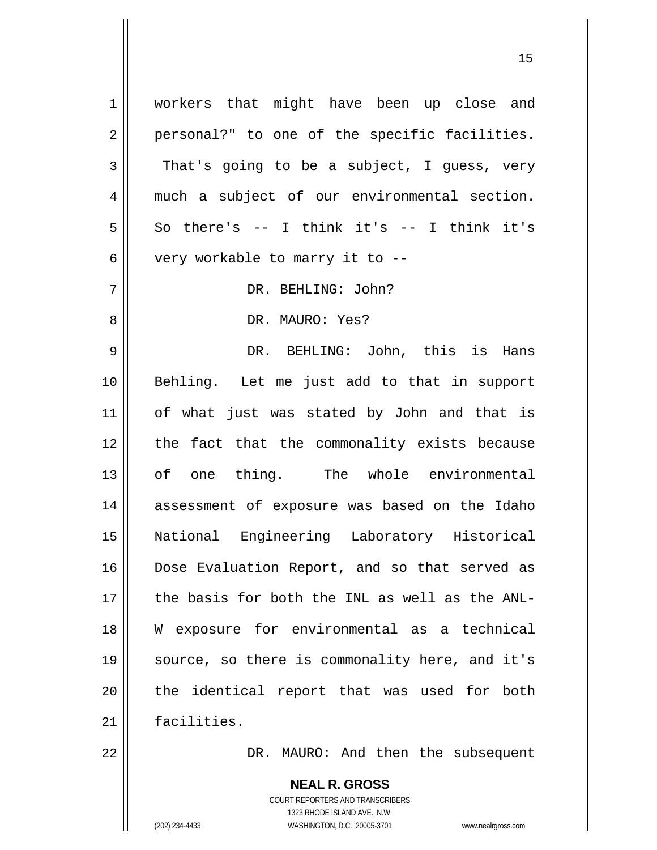1 2 3 4 5 6 7 8 9 10 11 12 13 14 15 16 17 18 19 20 21 workers that might have been up close and personal?" to one of the specific facilities. That's going to be a subject, I guess, very much a subject of our environmental section. So there's  $--$  I think it's  $--$  I think it's very workable to marry it to -- DR. BEHLING: John? DR. MAURO: Yes? DR. BEHLING: John, this is Hans Behling. Let me just add to that in support of what just was stated by John and that is the fact that the commonality exists because of one thing. The whole environmental assessment of exposure was based on the Idaho National Engineering Laboratory Historical Dose Evaluation Report, and so that served as the basis for both the INL as well as the ANL-W exposure for environmental as a technical source, so there is commonality here, and it's the identical report that was used for both facilities.

15

DR. MAURO: And then the subsequent

**NEAL R. GROSS** COURT REPORTERS AND TRANSCRIBERS 1323 RHODE ISLAND AVE., N.W. (202) 234-4433 WASHINGTON, D.C. 20005-3701 www.nealrgross.com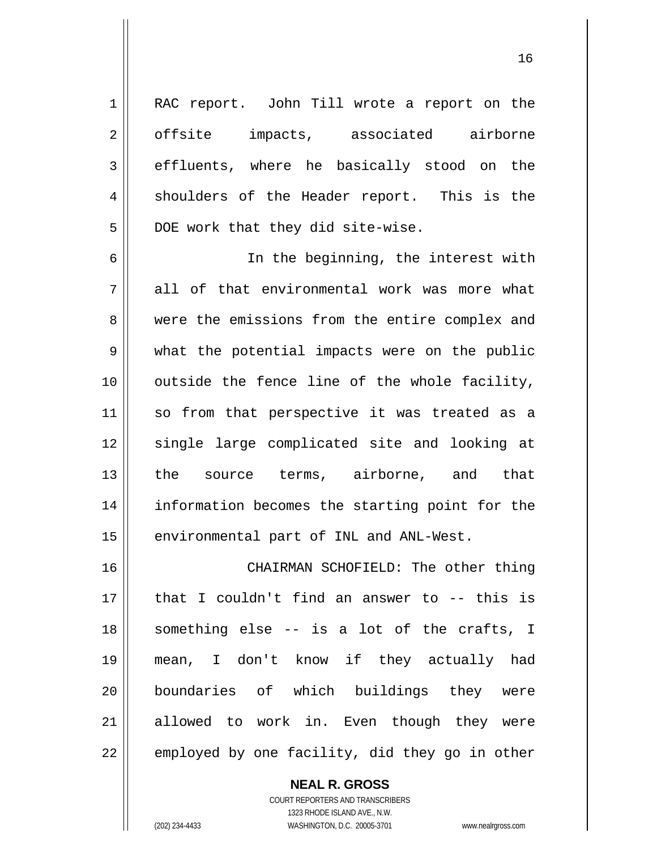RAC report. John Till wrote a report on the offsite impacts, associated airborne effluents, where he basically stood on the shoulders of the Header report. This is the DOE work that they did site-wise.

6 7 8 9 10 11 12 13 14 15 In the beginning, the interest with all of that environmental work was more what were the emissions from the entire complex and what the potential impacts were on the public outside the fence line of the whole facility, so from that perspective it was treated as a single large complicated site and looking at the source terms, airborne, and that information becomes the starting point for the environmental part of INL and ANL-West.

16 17 18 19 20 21 22 CHAIRMAN SCHOFIELD: The other thing that I couldn't find an answer to -- this is something else -- is a lot of the crafts, I mean, I don't know if they actually had boundaries of which buildings they were allowed to work in. Even though they were employed by one facility, did they go in other

> **NEAL R. GROSS** COURT REPORTERS AND TRANSCRIBERS 1323 RHODE ISLAND AVE., N.W. (202) 234-4433 WASHINGTON, D.C. 20005-3701 www.nealrgross.com

1

2

3

4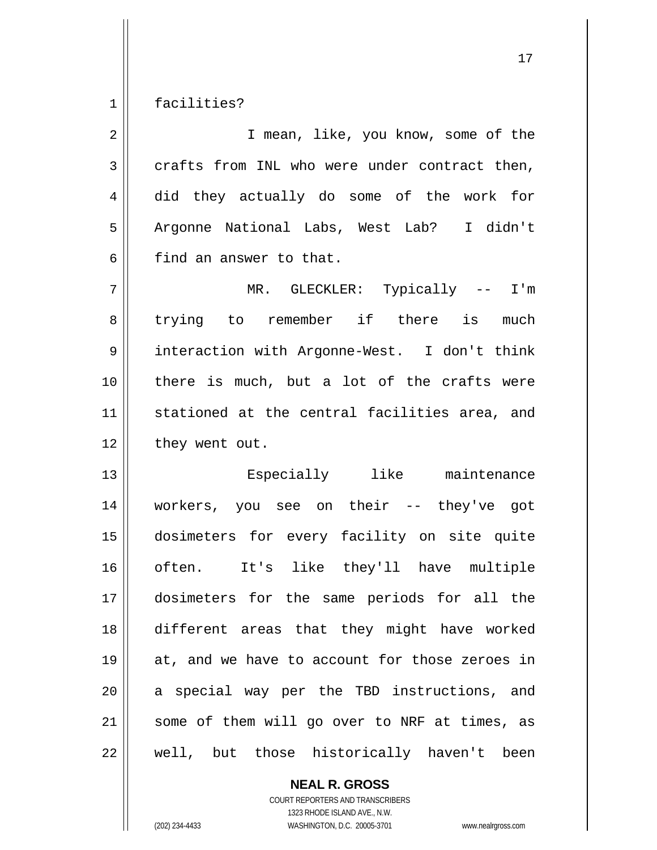1 facilities?

| $\overline{2}$ | I mean, like, you know, some of the            |
|----------------|------------------------------------------------|
| 3              | crafts from INL who were under contract then,  |
| 4              | did they actually do some of the work for      |
| 5              | Argonne National Labs, West Lab? I didn't      |
| 6              | find an answer to that.                        |
| 7              | MR. GLECKLER: Typically -- I'm                 |
| 8              | trying to remember if there is<br>much         |
| 9              | interaction with Argonne-West. I don't think   |
| 10             | there is much, but a lot of the crafts were    |
| 11             | stationed at the central facilities area, and  |
| 12             | they went out.                                 |
| 13             | Especially like maintenance                    |
| 14             | workers, you see on their -- they've got       |
| 15             | dosimeters for every facility on site quite    |
| 16             | often. It's like they'll have multiple         |
| 17             | dosimeters for the same periods for all the    |
| 18             | different areas that they might have worked    |
| 19             | at, and we have to account for those zeroes in |
| 20             | a special way per the TBD instructions, and    |
| 21             | some of them will go over to NRF at times, as  |
|                |                                                |

**NEAL R. GROSS** COURT REPORTERS AND TRANSCRIBERS

1323 RHODE ISLAND AVE., N.W.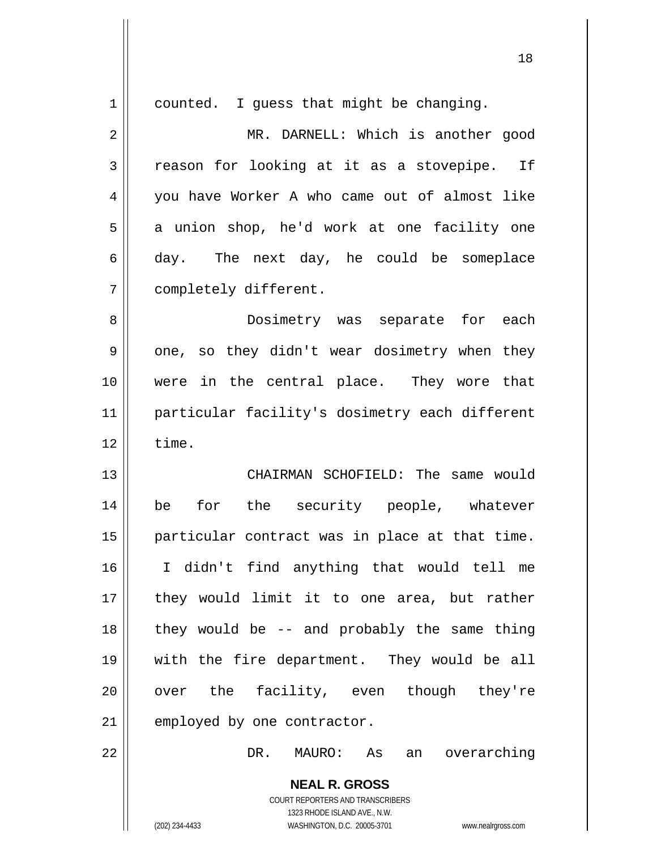| $\mathbf 1$  | counted. I guess that might be changing.                                                 |
|--------------|------------------------------------------------------------------------------------------|
| $\mathbf{2}$ | MR. DARNELL: Which is another good                                                       |
| 3            | reason for looking at it as a stovepipe. If                                              |
| 4            | you have Worker A who came out of almost like                                            |
| 5            | a union shop, he'd work at one facility one                                              |
| 6            | day. The next day, he could be someplace                                                 |
| 7            | completely different.                                                                    |
| 8            | Dosimetry was separate for each                                                          |
| 9            | one, so they didn't wear dosimetry when they                                             |
| 10           | were in the central place. They wore that                                                |
| 11           | particular facility's dosimetry each different                                           |
| 12           | time.                                                                                    |
| 13           | CHAIRMAN SCHOFIELD: The same would                                                       |
| 14           | for the security people, whatever<br>be                                                  |
| 15           | particular contract was in place at that time.                                           |
|              |                                                                                          |
| 16           | I didn't find anything that would tell me                                                |
| 17           | they would limit it to one area, but rather                                              |
| 18           | they would be -- and probably the same thing                                             |
| 19           | with the fire department. They would be all                                              |
| 20           | over the facility, even though they're                                                   |
| 21           | employed by one contractor.                                                              |
| 22           | DR. MAURO: As<br>an overarching                                                          |
|              | <b>NEAL R. GROSS</b><br>COURT REPORTERS AND TRANSCRIBERS<br>1323 RHODE ISLAND AVE., N.W. |
|              | (202) 234-4433<br>WASHINGTON, D.C. 20005-3701<br>www.nealrgross.com                      |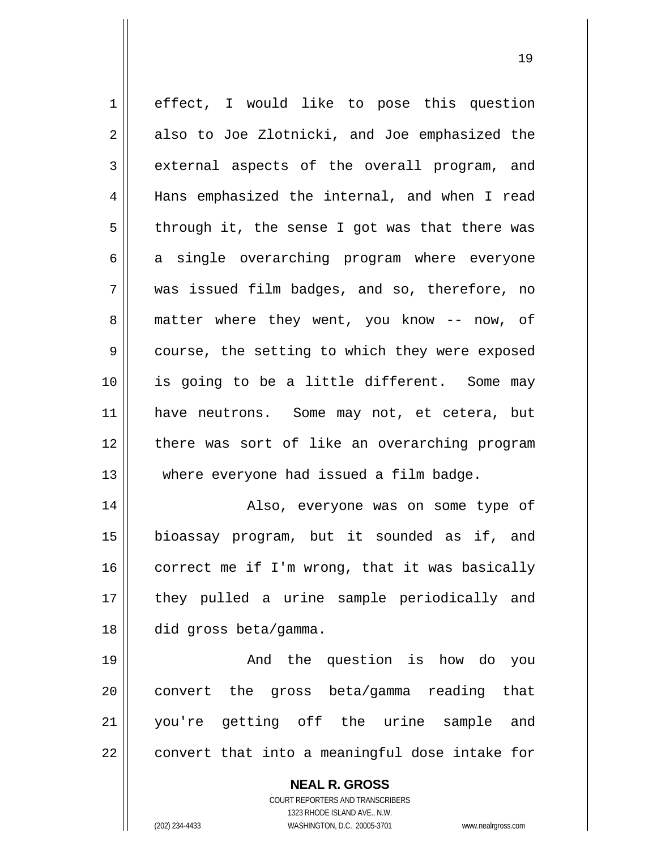1 2 3 4 5 6 7 8 9 10 11 12 13 14 15 16 17 18 19 20 21 effect, I would like to pose this question also to Joe Zlotnicki, and Joe emphasized the external aspects of the overall program, and Hans emphasized the internal, and when I read through it, the sense I got was that there was a single overarching program where everyone was issued film badges, and so, therefore, no matter where they went, you know -- now, of course, the setting to which they were exposed is going to be a little different. Some may have neutrons. Some may not, et cetera, but there was sort of like an overarching program where everyone had issued a film badge. Also, everyone was on some type of bioassay program, but it sounded as if, and correct me if I'm wrong, that it was basically they pulled a urine sample periodically and did gross beta/gamma. And the question is how do you convert the gross beta/gamma reading that you're getting off the urine sample and

19

**NEAL R. GROSS**

convert that into a meaningful dose intake for

22

COURT REPORTERS AND TRANSCRIBERS 1323 RHODE ISLAND AVE., N.W. (202) 234-4433 WASHINGTON, D.C. 20005-3701 www.nealrgross.com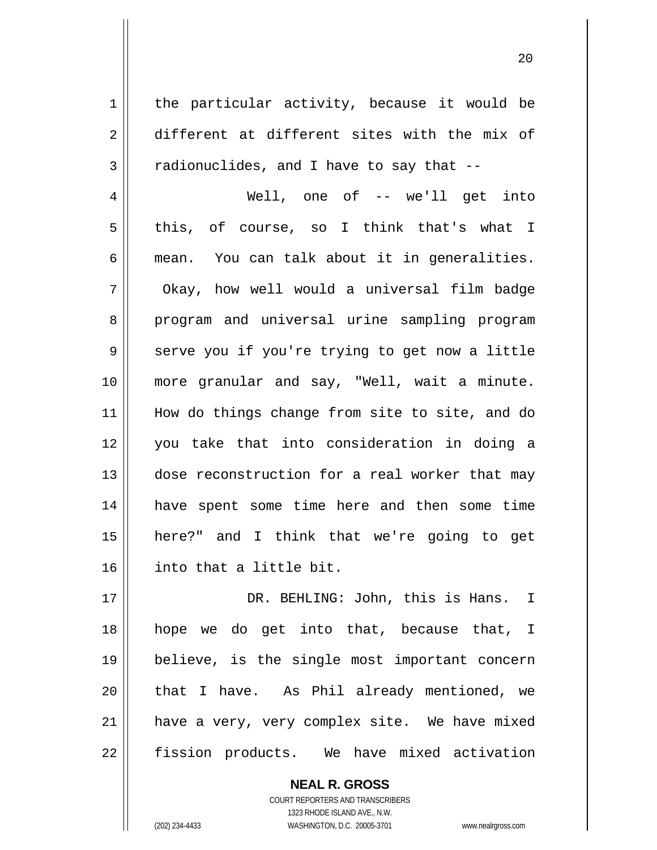1 2 3 4 5 6 7 8 9 10 11 12 13 14 15 16 17 18 19 20 21 the particular activity, because it would be different at different sites with the mix of radionuclides, and I have to say that -- Well, one of -- we'll get into this, of course, so I think that's what I mean. You can talk about it in generalities. Okay, how well would a universal film badge program and universal urine sampling program serve you if you're trying to get now a little more granular and say, "Well, wait a minute. How do things change from site to site, and do you take that into consideration in doing a dose reconstruction for a real worker that may have spent some time here and then some time here?" and I think that we're going to get into that a little bit. DR. BEHLING: John, this is Hans. I hope we do get into that, because that, I believe, is the single most important concern that I have. As Phil already mentioned, we have a very, very complex site. We have mixed

20

fission products. We have mixed activation

**NEAL R. GROSS** COURT REPORTERS AND TRANSCRIBERS 1323 RHODE ISLAND AVE., N.W. (202) 234-4433 WASHINGTON, D.C. 20005-3701 www.nealrgross.com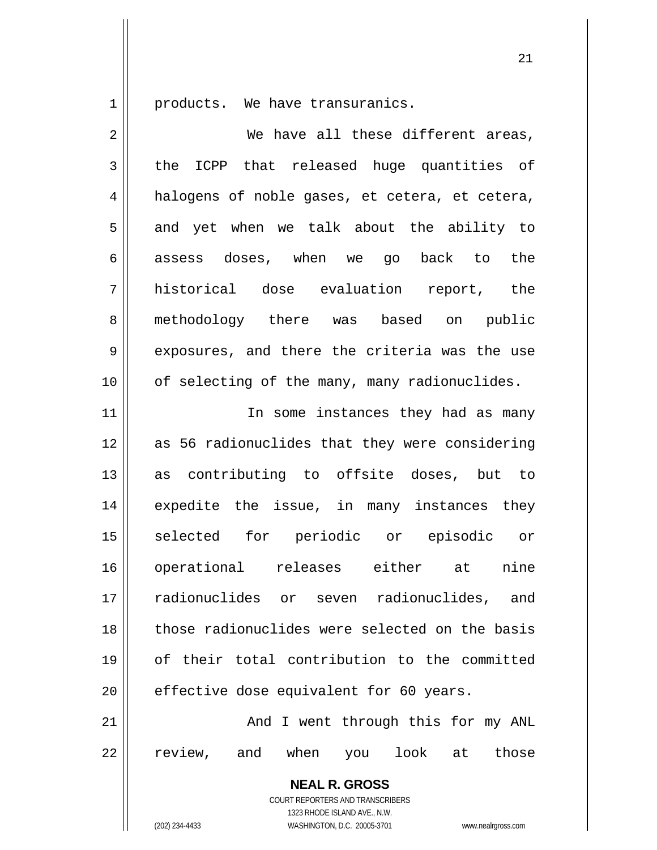1 products. We have transuranics.

| $\overline{2}$ | We have all these different areas,                       |
|----------------|----------------------------------------------------------|
| $\mathfrak{Z}$ | ICPP that released huge quantities of<br>the             |
| $\overline{4}$ | halogens of noble gases, et cetera, et cetera,           |
| 5              | and yet when we talk about the ability to                |
| 6              | assess doses, when we go back to the                     |
| 7              | historical dose evaluation report, the                   |
| 8              | methodology there was based on public                    |
| 9              | exposures, and there the criteria was the use            |
| 10             | of selecting of the many, many radionuclides.            |
| 11             | In some instances they had as many                       |
| 12             | as 56 radionuclides that they were considering           |
| 13             | as contributing to offsite doses, but to                 |
| 14             | expedite the issue, in many instances they               |
| 15             | selected for periodic or episodic or                     |
| 16             | operational releases either at<br>nine                   |
| 17             | radionuclides or seven radionuclides, and                |
| 18             | those radionuclides were selected on the basis           |
| 19             | of their total contribution to the committed             |
| 20             | effective dose equivalent for 60 years.                  |
| 21             | And I went through this for my ANL                       |
| 22             | review, and when you look at those                       |
|                | <b>NEAL R. GROSS</b><br>COURT REPORTERS AND TRANSCRIBERS |

1323 RHODE ISLAND AVE., N.W.

 $\mathsf{II}$ 

(202) 234-4433 WASHINGTON, D.C. 20005-3701 www.nealrgross.com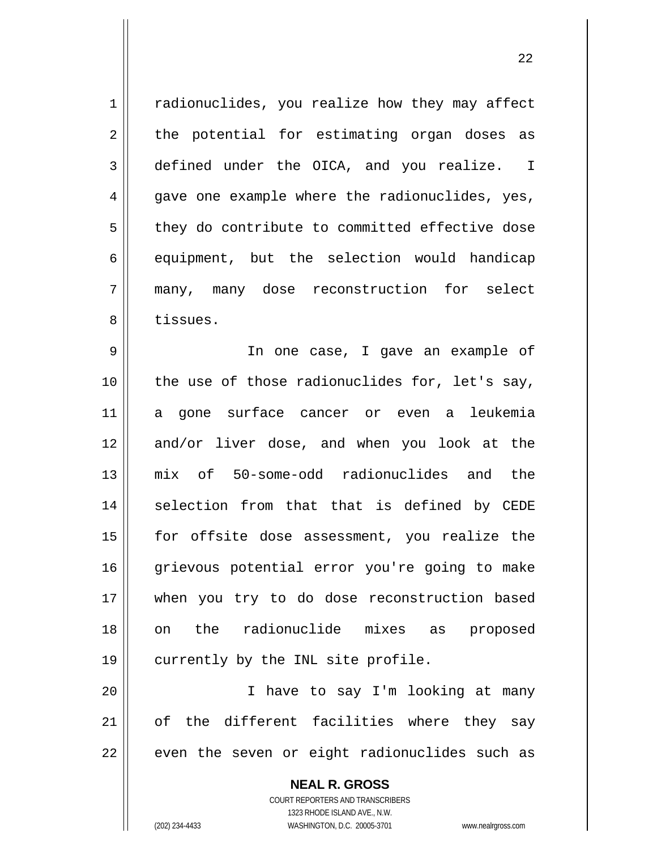| $1\,$          | radionuclides, you realize how they may affect |
|----------------|------------------------------------------------|
| $\overline{2}$ | the potential for estimating organ doses as    |
| 3              | defined under the OICA, and you realize. I     |
| 4              | gave one example where the radionuclides, yes, |
| 5              | they do contribute to committed effective dose |
| 6              | equipment, but the selection would handicap    |
| 7              | many, many dose reconstruction for select      |
| 8              | tissues.                                       |
| 9              | In one case, I gave an example of              |
| 10             | the use of those radionuclides for, let's say, |
| 11             | a gone surface cancer or even a leukemia       |
| 12             | and/or liver dose, and when you look at the    |
| 13             | mix of 50-some-odd radionuclides and the       |
| 14             | selection from that that is defined by CEDE    |
| 15             | for offsite dose assessment, you realize the   |
| 16             | grievous potential error you're going to make  |
| 17             | when you try to do dose reconstruction based   |
| 18             | radionuclide mixes as proposed<br>the<br>on    |
| 19             | currently by the INL site profile.             |
| 20             | I have to say I'm looking at many              |
| 21             | of the different facilities where they say     |
| 22             | even the seven or eight radionuclides such as  |
|                | <b>NEAL R. GROSS</b>                           |

22

COURT REPORTERS AND TRANSCRIBERS 1323 RHODE ISLAND AVE., N.W. (202) 234-4433 WASHINGTON, D.C. 20005-3701 www.nealrgross.com

 $\mathsf{II}$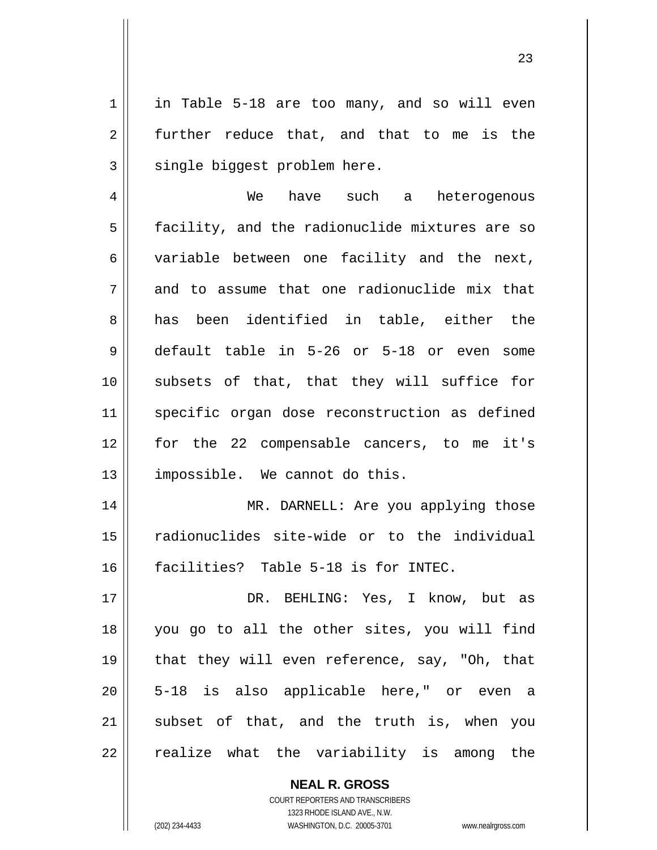in Table 5-18 are too many, and so will even further reduce that, and that to me is the single biggest problem here.

4 5 6 7 8 9 10 11 12 13 We have such a heterogenous facility, and the radionuclide mixtures are so variable between one facility and the next, and to assume that one radionuclide mix that has been identified in table, either the default table in 5-26 or 5-18 or even some subsets of that, that they will suffice for specific organ dose reconstruction as defined for the 22 compensable cancers, to me it's impossible. We cannot do this.

14 15 16 MR. DARNELL: Are you applying those radionuclides site-wide or to the individual facilities? Table 5-18 is for INTEC.

17 18 19 20 21 22 DR. BEHLING: Yes, I know, but as you go to all the other sites, you will find that they will even reference, say, "Oh, that 5-18 is also applicable here," or even a subset of that, and the truth is, when you realize what the variability is among the

> **NEAL R. GROSS** COURT REPORTERS AND TRANSCRIBERS 1323 RHODE ISLAND AVE., N.W. (202) 234-4433 WASHINGTON, D.C. 20005-3701 www.nealrgross.com

1

2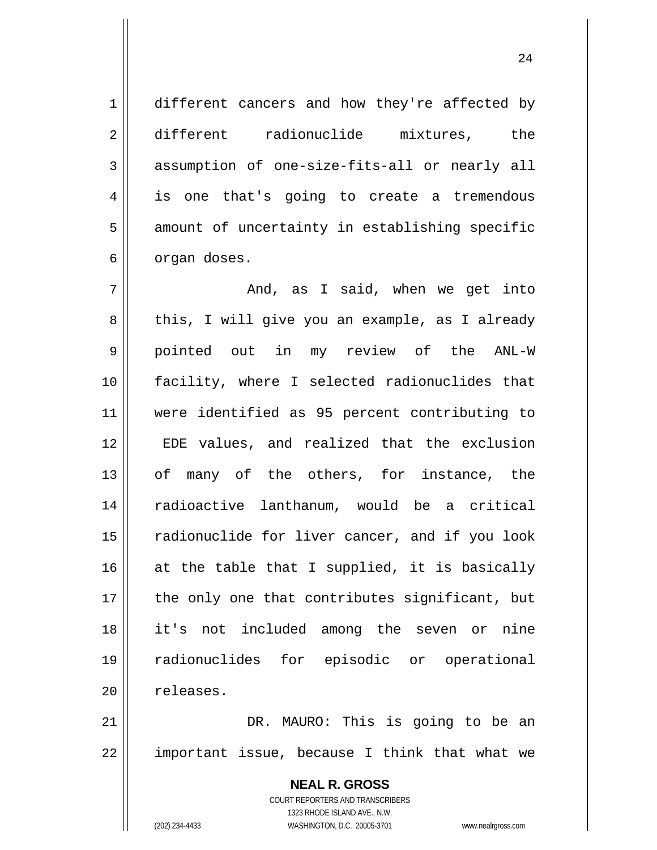different cancers and how they're affected by different radionuclide mixtures, the assumption of one-size-fits-all or nearly all is one that's going to create a tremendous amount of uncertainty in establishing specific organ doses.

7 8 9 10 11 12 13 14 15 16 17 18 19 20 And, as I said, when we get into this, I will give you an example, as I already pointed out in my review of the ANL-W facility, where I selected radionuclides that were identified as 95 percent contributing to EDE values, and realized that the exclusion of many of the others, for instance, the radioactive lanthanum, would be a critical radionuclide for liver cancer, and if you look at the table that I supplied, it is basically the only one that contributes significant, but it's not included among the seven or nine radionuclides for episodic or operational releases.

21 22 DR. MAURO: This is going to be an important issue, because I think that what we

> **NEAL R. GROSS** COURT REPORTERS AND TRANSCRIBERS 1323 RHODE ISLAND AVE., N.W. (202) 234-4433 WASHINGTON, D.C. 20005-3701 www.nealrgross.com

1

2

3

4

5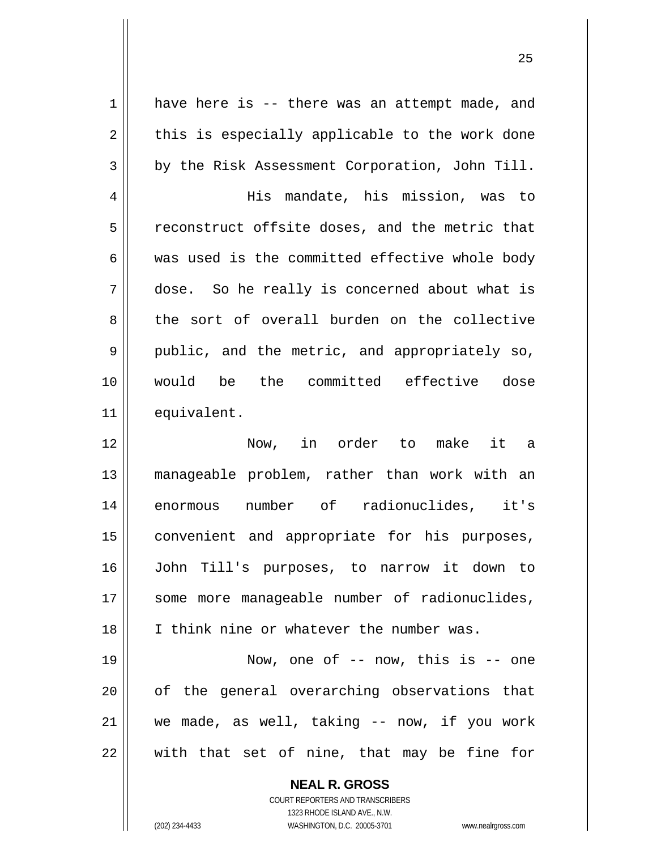1 2 3 4 5 6 7 8 9 10 11 12 13 14 15 16 17 18 19 20 21 22 have here is -- there was an attempt made, and this is especially applicable to the work done by the Risk Assessment Corporation, John Till. His mandate, his mission, was to reconstruct offsite doses, and the metric that was used is the committed effective whole body dose. So he really is concerned about what is the sort of overall burden on the collective public, and the metric, and appropriately so, would be the committed effective dose equivalent. Now, in order to make it a manageable problem, rather than work with an enormous number of radionuclides, it's convenient and appropriate for his purposes, John Till's purposes, to narrow it down to some more manageable number of radionuclides, I think nine or whatever the number was. Now, one of -- now, this is -- one of the general overarching observations that we made, as well, taking -- now, if you work with that set of nine, that may be fine for

<u>25</u>

**NEAL R. GROSS** COURT REPORTERS AND TRANSCRIBERS 1323 RHODE ISLAND AVE., N.W.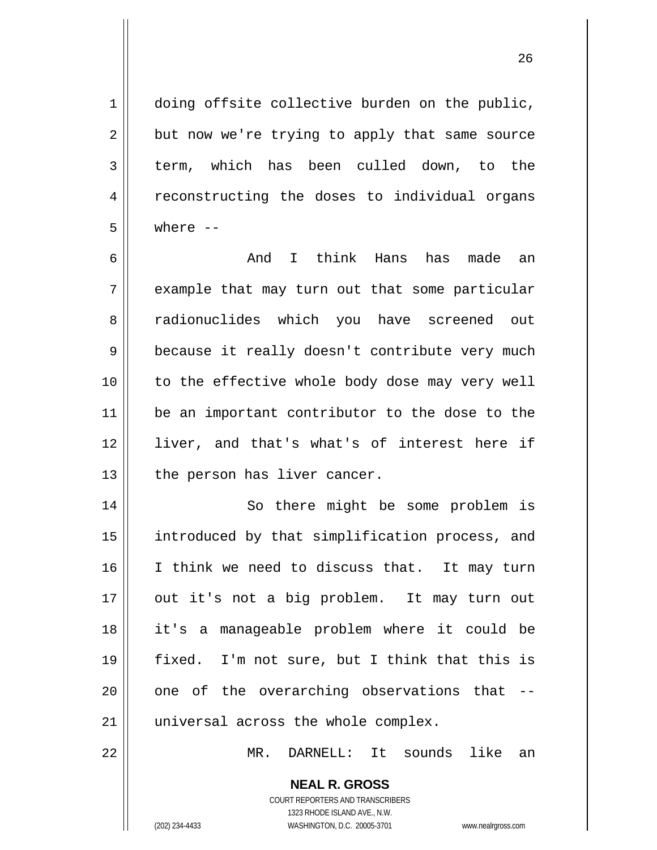doing offsite collective burden on the public, but now we're trying to apply that same source term, which has been culled down, to the reconstructing the doses to individual organs where --

1

2

3

4

5

22

6 7 8 9 10 11 12 13 And I think Hans has made an example that may turn out that some particular radionuclides which you have screened out because it really doesn't contribute very much to the effective whole body dose may very well be an important contributor to the dose to the liver, and that's what's of interest here if the person has liver cancer.

14 15 16 17 18 19 20 21 So there might be some problem is introduced by that simplification process, and I think we need to discuss that. It may turn out it's not a big problem. It may turn out it's a manageable problem where it could be fixed. I'm not sure, but I think that this is one of the overarching observations that - universal across the whole complex.

MR. DARNELL: It sounds like an

**NEAL R. GROSS**

COURT REPORTERS AND TRANSCRIBERS 1323 RHODE ISLAND AVE., N.W. (202) 234-4433 WASHINGTON, D.C. 20005-3701 www.nealrgross.com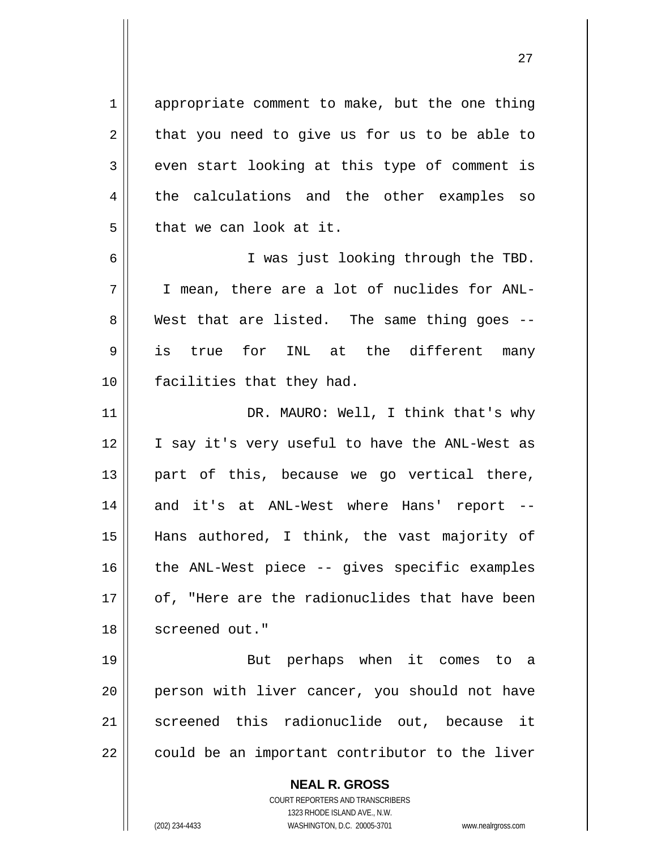1 2 3 4 5 6 7 8 9 10 11 12 13 14 15 16 17 18 19 20 21 22 appropriate comment to make, but the one thing that you need to give us for us to be able to even start looking at this type of comment is the calculations and the other examples so that we can look at it. I was just looking through the TBD. I mean, there are a lot of nuclides for ANL-West that are listed. The same thing goes -is true for INL at the different many facilities that they had. DR. MAURO: Well, I think that's why I say it's very useful to have the ANL-West as part of this, because we go vertical there, and it's at ANL-West where Hans' report -- Hans authored, I think, the vast majority of the ANL-West piece -- gives specific examples of, "Here are the radionuclides that have been screened out." But perhaps when it comes to a person with liver cancer, you should not have screened this radionuclide out, because it could be an important contributor to the liver

> **NEAL R. GROSS** COURT REPORTERS AND TRANSCRIBERS

> > 1323 RHODE ISLAND AVE., N.W.

(202) 234-4433 WASHINGTON, D.C. 20005-3701 www.nealrgross.com

<u>27 and 27</u>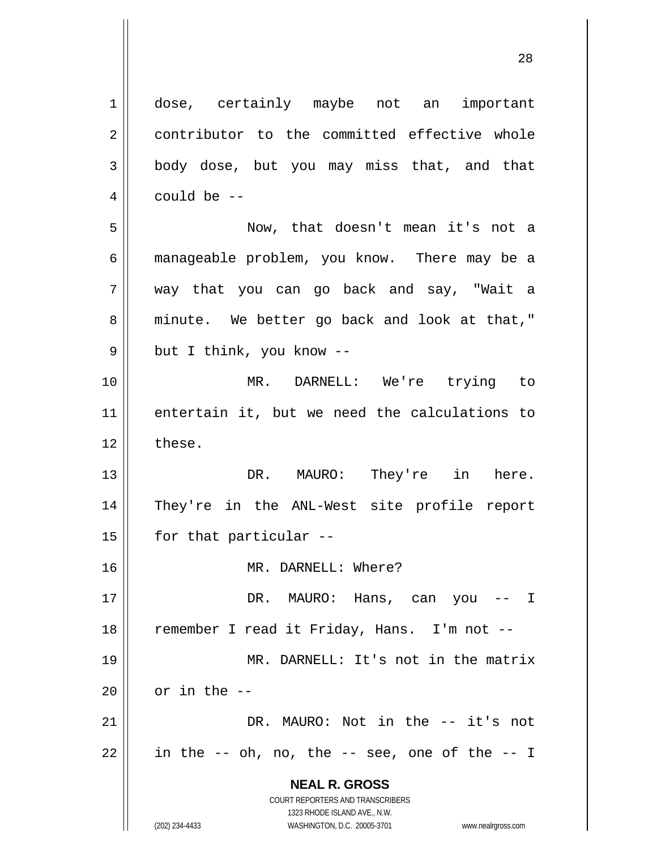**NEAL R. GROSS** COURT REPORTERS AND TRANSCRIBERS 1323 RHODE ISLAND AVE., N.W. 1 2 3 4 5 6 7 8 9 10 11 12 13 14 15 16 17 18 19 20 21 22 dose, certainly maybe not an important contributor to the committed effective whole body dose, but you may miss that, and that could be -- Now, that doesn't mean it's not a manageable problem, you know. There may be a way that you can go back and say, "Wait a minute. We better go back and look at that," but I think, you know -- MR. DARNELL: We're trying to entertain it, but we need the calculations to these. DR. MAURO: They're in here. They're in the ANL-West site profile report for that particular -- MR. DARNELL: Where? DR. MAURO: Hans, can you -- I remember I read it Friday, Hans. I'm not -- MR. DARNELL: It's not in the matrix or in the -- DR. MAURO: Not in the -- it's not in the -- oh, no, the -- see, one of the -- I

28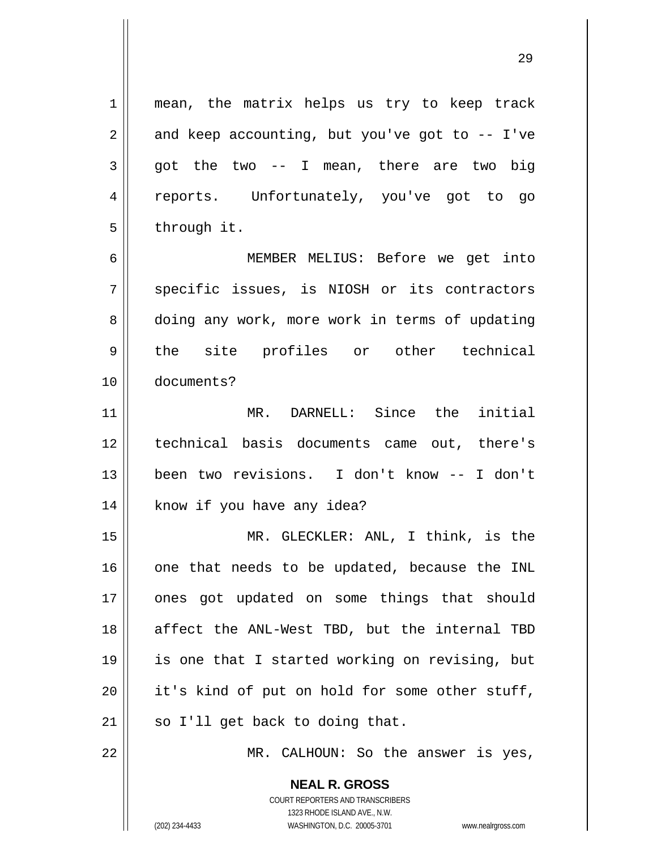mean, the matrix helps us try to keep track and keep accounting, but you've got to  $-$  I've got the two -- I mean, there are two big reports. Unfortunately, you've got to go through it.

6 7 8 9 10 MEMBER MELIUS: Before we get into specific issues, is NIOSH or its contractors doing any work, more work in terms of updating the site profiles or other technical documents?

11 12 13 14 MR. DARNELL: Since the initial technical basis documents came out, there's been two revisions. I don't know -- I don't know if you have any idea?

15 16 17 18 19 20 21 MR. GLECKLER: ANL, I think, is the one that needs to be updated, because the INL ones got updated on some things that should affect the ANL-West TBD, but the internal TBD is one that I started working on revising, but it's kind of put on hold for some other stuff, so I'll get back to doing that.

22

1

2

3

4

5

MR. CALHOUN: So the answer is yes,

**NEAL R. GROSS** COURT REPORTERS AND TRANSCRIBERS 1323 RHODE ISLAND AVE., N.W.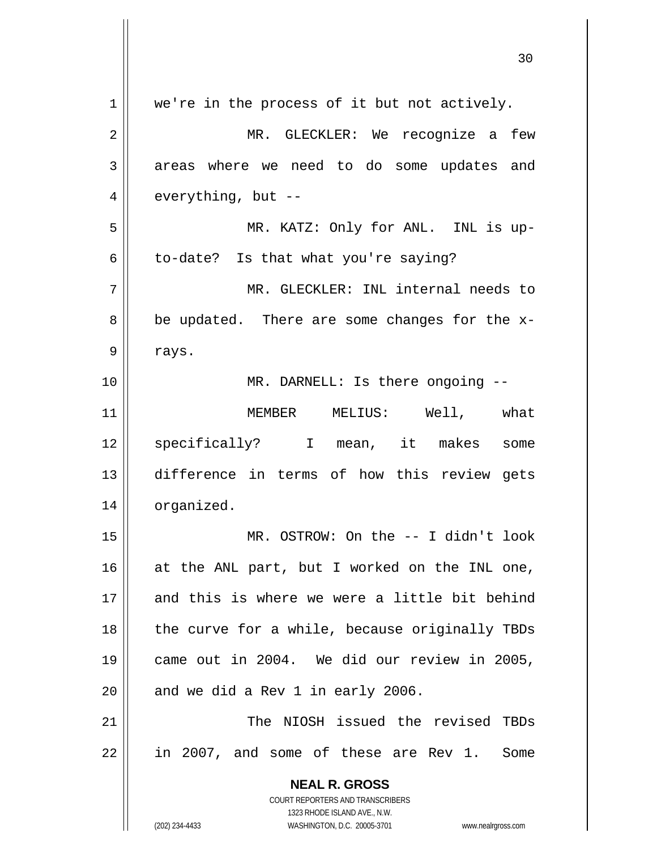| 1  | we're in the process of it but not actively.                                                        |
|----|-----------------------------------------------------------------------------------------------------|
| 2  | MR. GLECKLER: We recognize a few                                                                    |
| 3  | areas where we need to do some updates and                                                          |
| 4  | everything, but --                                                                                  |
| 5  | MR. KATZ: Only for ANL. INL is up-                                                                  |
| 6  | to-date? Is that what you're saying?                                                                |
| 7  | MR. GLECKLER: INL internal needs to                                                                 |
| 8  | be updated. There are some changes for the x-                                                       |
| 9  | rays.                                                                                               |
| 10 | MR. DARNELL: Is there ongoing --                                                                    |
| 11 | MEMBER MELIUS: Well, what                                                                           |
| 12 | specifically? I mean, it makes<br>some                                                              |
| 13 | difference in terms of how this review gets                                                         |
| 14 | organized.                                                                                          |
| 15 | MR. OSTROW: On the $-$ - I didn't look                                                              |
| 16 | at the ANL part, but I worked on the INL one,                                                       |
| 17 | and this is where we were a little bit behind                                                       |
| 18 | the curve for a while, because originally TBDs                                                      |
| 19 | came out in 2004. We did our review in 2005,                                                        |
| 20 | and we did a Rev 1 in early 2006.                                                                   |
| 21 | The NIOSH issued the revised TBDs                                                                   |
| 22 | in 2007, and some of these are Rev 1.<br>Some                                                       |
|    | <b>NEAL R. GROSS</b>                                                                                |
|    | <b>COURT REPORTERS AND TRANSCRIBERS</b>                                                             |
|    | 1323 RHODE ISLAND AVE., N.W.<br>(202) 234-4433<br>WASHINGTON, D.C. 20005-3701<br>www.nealrgross.com |
|    |                                                                                                     |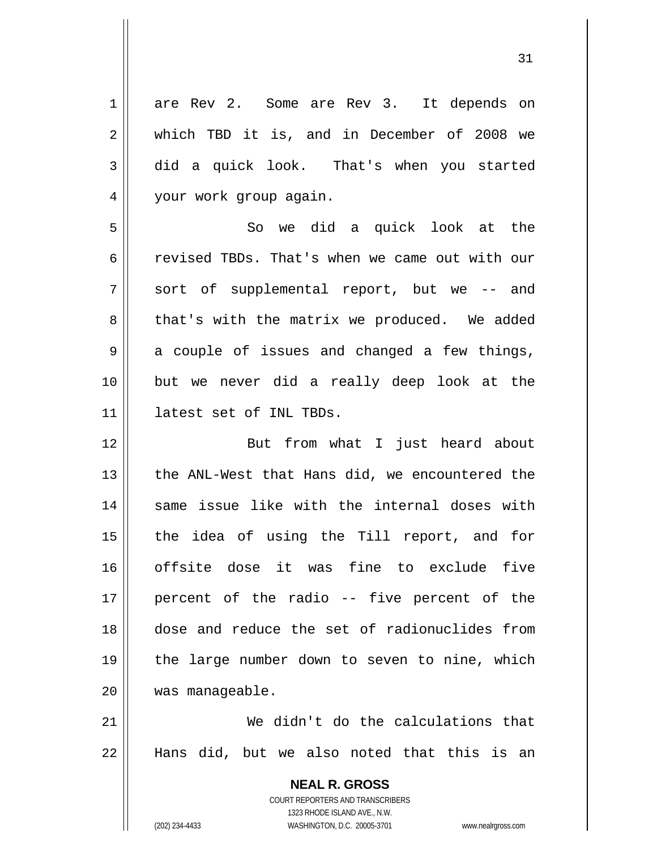**NEAL R. GROSS** 1 2 3 4 5 6 7 8 9 10 11 12 13 14 15 16 17 18 19 20 21 22 are Rev 2. Some are Rev 3. It depends on which TBD it is, and in December of 2008 we did a quick look. That's when you started your work group again. So we did a quick look at the revised TBDs. That's when we came out with our sort of supplemental report, but we -- and that's with the matrix we produced. We added a couple of issues and changed a few things, but we never did a really deep look at the latest set of INL TBDs. But from what I just heard about the ANL-West that Hans did, we encountered the same issue like with the internal doses with the idea of using the Till report, and for offsite dose it was fine to exclude five percent of the radio -- five percent of the dose and reduce the set of radionuclides from the large number down to seven to nine, which was manageable. We didn't do the calculations that Hans did, but we also noted that this is an

31

COURT REPORTERS AND TRANSCRIBERS 1323 RHODE ISLAND AVE., N.W.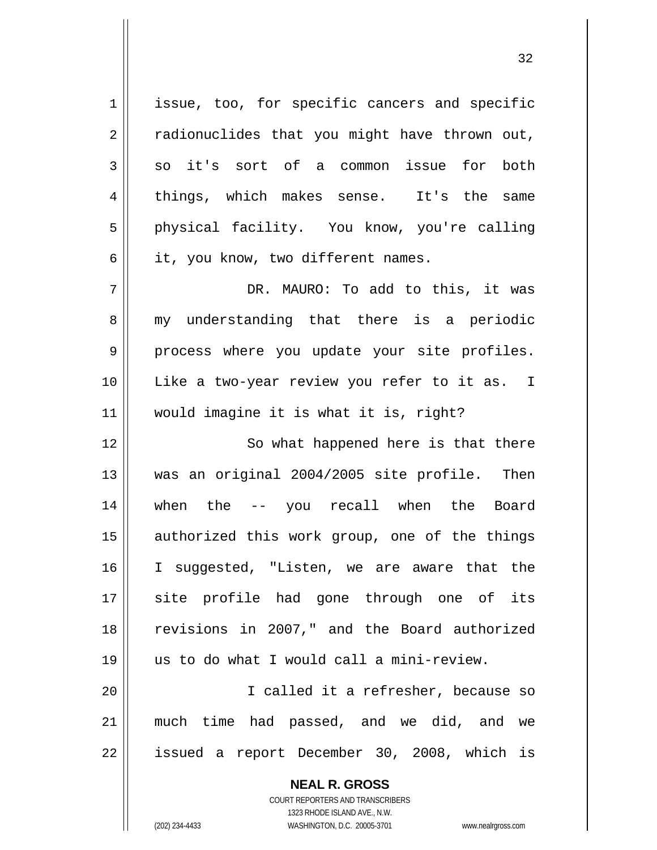1 2 3 4 5 6 7 8 9 10 11 12 13 14 15 issue, too, for specific cancers and specific radionuclides that you might have thrown out, so it's sort of a common issue for both things, which makes sense. It's the same physical facility. You know, you're calling it, you know, two different names. DR. MAURO: To add to this, it was my understanding that there is a periodic process where you update your site profiles. Like a two-year review you refer to it as. I would imagine it is what it is, right? So what happened here is that there was an original 2004/2005 site profile. Then when the -- you recall when the Board authorized this work group, one of the things

20 21 22 I called it a refresher, because so much time had passed, and we did, and we issued a report December 30, 2008, which is

us to do what I would call a mini-review.

I suggested, "Listen, we are aware that the

site profile had gone through one of its

revisions in 2007," and the Board authorized

**NEAL R. GROSS** COURT REPORTERS AND TRANSCRIBERS 1323 RHODE ISLAND AVE., N.W. (202) 234-4433 WASHINGTON, D.C. 20005-3701 www.nealrgross.com

16

17

18

19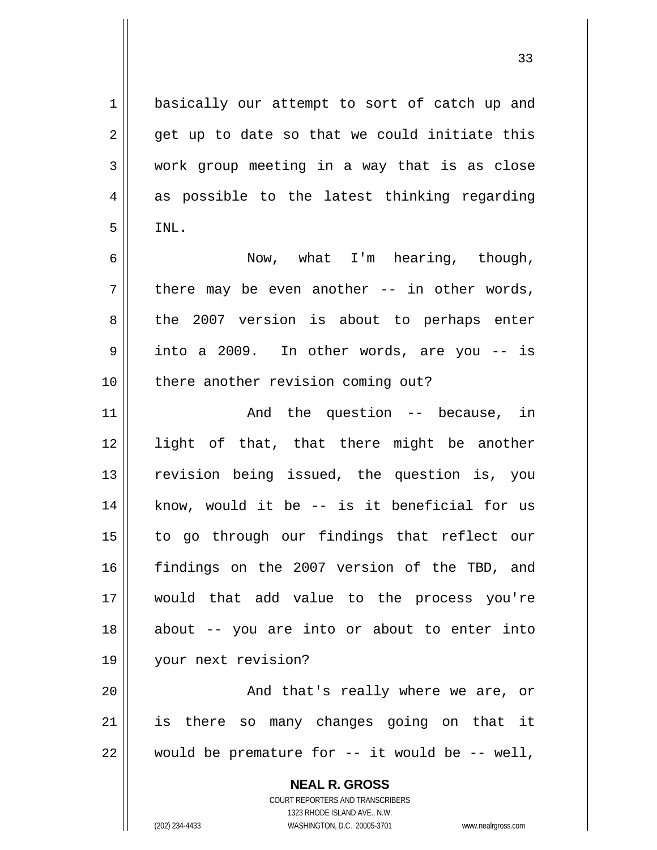basically our attempt to sort of catch up and get up to date so that we could initiate this work group meeting in a way that is as close as possible to the latest thinking regarding INL.

6 7 8 9 10 Now, what I'm hearing, though, there may be even another -- in other words, the 2007 version is about to perhaps enter into a 2009. In other words, are you -- is there another revision coming out?

11 12 13 14 15 16 17 18 19 And the question -- because, in light of that, that there might be another revision being issued, the question is, you know, would it be -- is it beneficial for us to go through our findings that reflect our findings on the 2007 version of the TBD, and would that add value to the process you're about -- you are into or about to enter into your next revision?

20 21 22 And that's really where we are, or is there so many changes going on that it would be premature for  $--$  it would be  $--$  well,

**NEAL R. GROSS**

COURT REPORTERS AND TRANSCRIBERS 1323 RHODE ISLAND AVE., N.W. (202) 234-4433 WASHINGTON, D.C. 20005-3701 www.nealrgross.com

1

2

3

4

5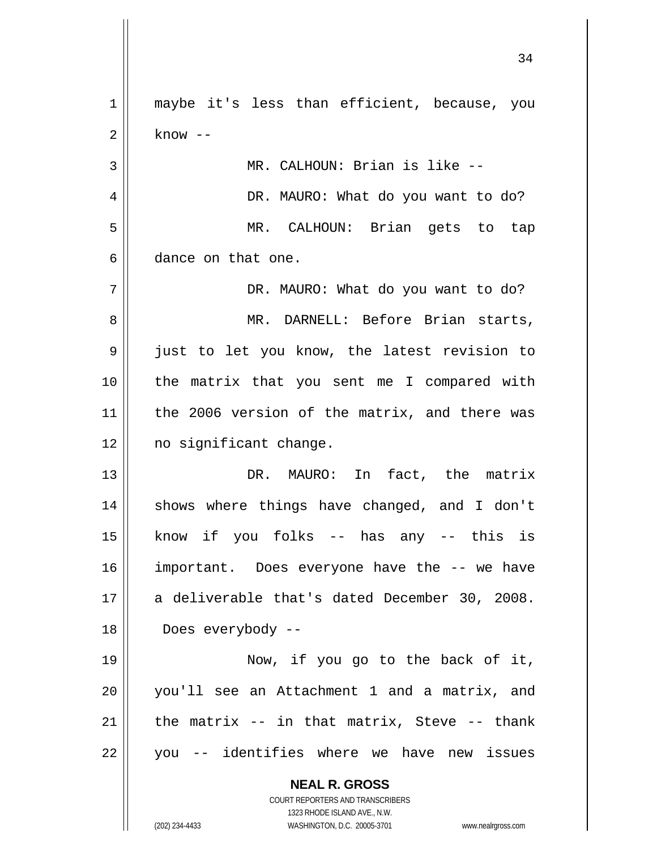**NEAL R. GROSS** COURT REPORTERS AND TRANSCRIBERS 1323 RHODE ISLAND AVE., N.W. (202) 234-4433 WASHINGTON, D.C. 20005-3701 www.nealrgross.com 1 2 3 4 5 6 7 8 9 10 11 12 13 14 15 16 17 18 19 20 21 22 maybe it's less than efficient, because, you know -- MR. CALHOUN: Brian is like -- DR. MAURO: What do you want to do? MR. CALHOUN: Brian gets to tap dance on that one. DR. MAURO: What do you want to do? MR. DARNELL: Before Brian starts, just to let you know, the latest revision to the matrix that you sent me I compared with the 2006 version of the matrix, and there was no significant change. DR. MAURO: In fact, the matrix shows where things have changed, and I don't know if you folks -- has any -- this is important. Does everyone have the -- we have a deliverable that's dated December 30, 2008. Does everybody -- Now, if you go to the back of it, you'll see an Attachment 1 and a matrix, and the matrix -- in that matrix, Steve -- thank you -- identifies where we have new issues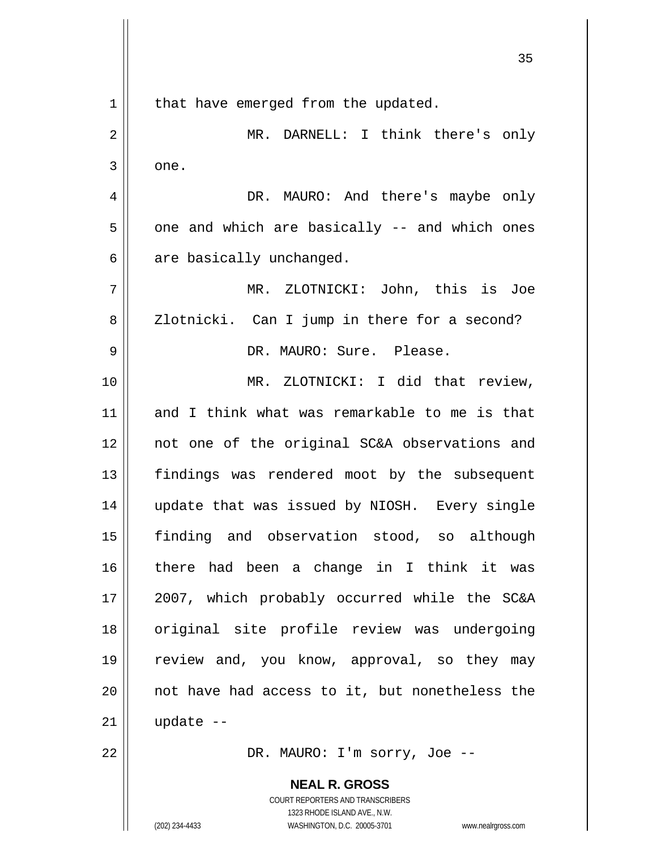**NEAL R. GROSS** COURT REPORTERS AND TRANSCRIBERS <u>35 and 2012</u> 1 2 3 4 5 6 7 8 9 10 11 12 13 14 15 16 17 18 19 20 21 22 that have emerged from the updated. MR. DARNELL: I think there's only one. DR. MAURO: And there's maybe only one and which are basically -- and which ones are basically unchanged. MR. ZLOTNICKI: John, this is Joe Zlotnicki. Can I jump in there for a second? DR. MAURO: Sure. Please. MR. ZLOTNICKI: I did that review, and I think what was remarkable to me is that not one of the original SC&A observations and findings was rendered moot by the subsequent update that was issued by NIOSH. Every single finding and observation stood, so although there had been a change in I think it was 2007, which probably occurred while the SC&A original site profile review was undergoing review and, you know, approval, so they may not have had access to it, but nonetheless the update -- DR. MAURO: I'm sorry, Joe --

1323 RHODE ISLAND AVE., N.W.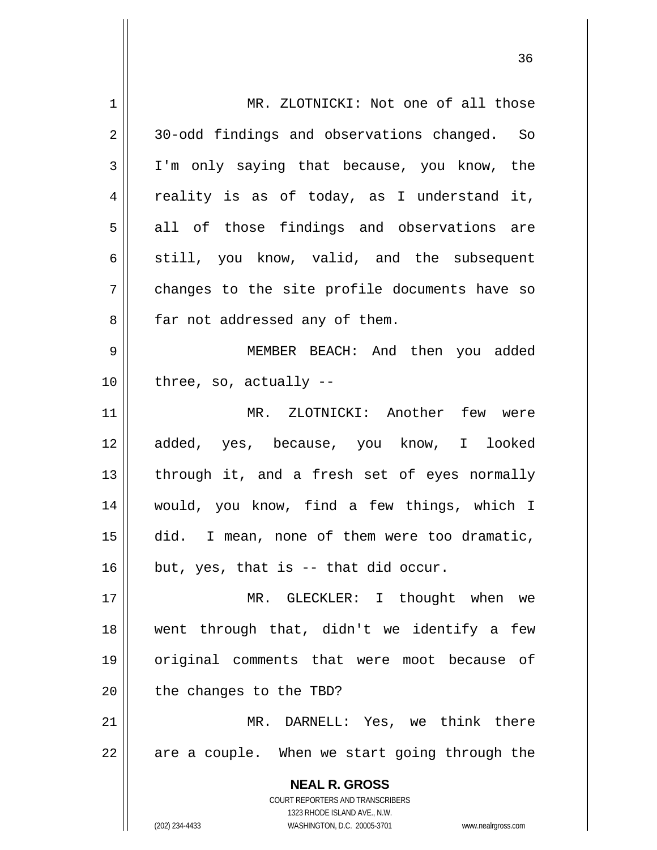| 1  | MR. ZLOTNICKI: Not one of all those                                 |
|----|---------------------------------------------------------------------|
| 2  | 30-odd findings and observations changed. So                        |
| 3  | I'm only saying that because, you know, the                         |
| 4  | reality is as of today, as I understand it,                         |
| 5  | all of those findings and observations are                          |
| 6  | still, you know, valid, and the subsequent                          |
| 7  | changes to the site profile documents have so                       |
| 8  | far not addressed any of them.                                      |
| 9  | MEMBER BEACH: And then you added                                    |
| 10 | three, so, actually $-$ -                                           |
| 11 | MR. ZLOTNICKI: Another few were                                     |
| 12 | added, yes, because, you know, I looked                             |
| 13 | through it, and a fresh set of eyes normally                        |
| 14 | would, you know, find a few things, which I                         |
| 15 | did. I mean, none of them were too dramatic,                        |
| 16 | but, yes, that is -- that did occur.                                |
| 17 | MR. GLECKLER: I thought when we                                     |
| 18 | went through that, didn't we identify a few                         |
| 19 | original comments that were moot because of                         |
| 20 | the changes to the TBD?                                             |
| 21 | DARNELL: Yes, we think there<br>$MR$ .                              |
| 22 | are a couple. When we start going through the                       |
|    |                                                                     |
|    | <b>NEAL R. GROSS</b><br>COURT REPORTERS AND TRANSCRIBERS            |
|    | 1323 RHODE ISLAND AVE., N.W.                                        |
|    | (202) 234-4433<br>WASHINGTON, D.C. 20005-3701<br>www.nealrgross.com |

<u>36 and 36</u>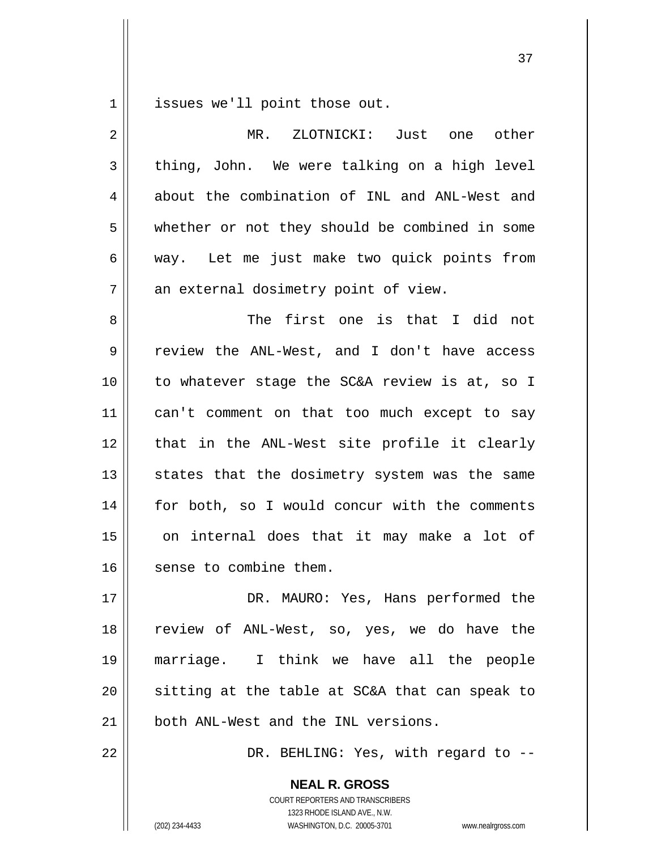1 issues we'll point those out.

| $\overline{2}$ | MR. ZLOTNICKI: Just one<br>other               |
|----------------|------------------------------------------------|
| 3              | thing, John. We were talking on a high level   |
| 4              | about the combination of INL and ANL-West and  |
| 5              | whether or not they should be combined in some |
| 6              | way. Let me just make two quick points from    |
| 7              | an external dosimetry point of view.           |
| 8              | The first one is that I did not                |
| 9              | review the ANL-West, and I don't have access   |
| 10             | to whatever stage the SC&A review is at, so I  |
| 11             | can't comment on that too much except to say   |
| 12             | that in the ANL-West site profile it clearly   |
| 13             | states that the dosimetry system was the same  |
| 14             | for both, so I would concur with the comments  |
| 15             | on internal does that it may make a lot of     |
| 16             | sense to combine them.                         |
| 17             | DR. MAURO: Yes, Hans performed the             |
| 18             | review of ANL-West, so, yes, we do have the    |
| 19             | marriage. I think we have all the people       |
| 20             | sitting at the table at SC&A that can speak to |
| 21             | both ANL-West and the INL versions.            |

37

DR. BEHLING: Yes, with regard to --

**NEAL R. GROSS** COURT REPORTERS AND TRANSCRIBERS 1323 RHODE ISLAND AVE., N.W. (202) 234-4433 WASHINGTON, D.C. 20005-3701 www.nealrgross.com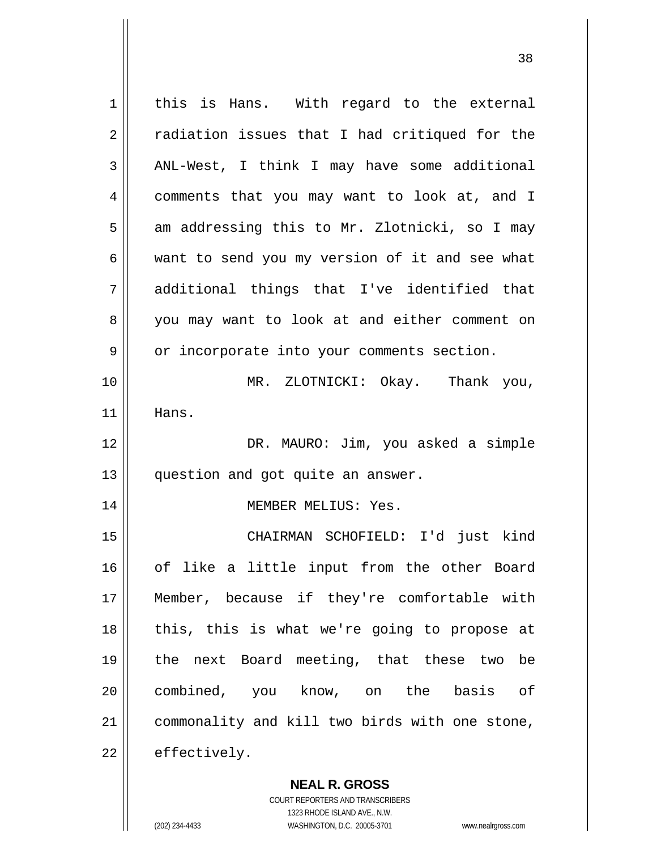1 2 3 4 5 6 7 8 9 10 11 12 13 14 15 16 17 18 19 20 21 22 this is Hans. With regard to the external radiation issues that I had critiqued for the ANL-West, I think I may have some additional comments that you may want to look at, and I am addressing this to Mr. Zlotnicki, so I may want to send you my version of it and see what additional things that I've identified that you may want to look at and either comment on or incorporate into your comments section. MR. ZLOTNICKI: Okay. Thank you, Hans. DR. MAURO: Jim, you asked a simple question and got quite an answer. MEMBER MELIUS: Yes. CHAIRMAN SCHOFIELD: I'd just kind of like a little input from the other Board Member, because if they're comfortable with this, this is what we're going to propose at the next Board meeting, that these two be combined, you know, on the basis of commonality and kill two birds with one stone, effectively.

<u>38</u>

**NEAL R. GROSS** COURT REPORTERS AND TRANSCRIBERS

1323 RHODE ISLAND AVE., N.W.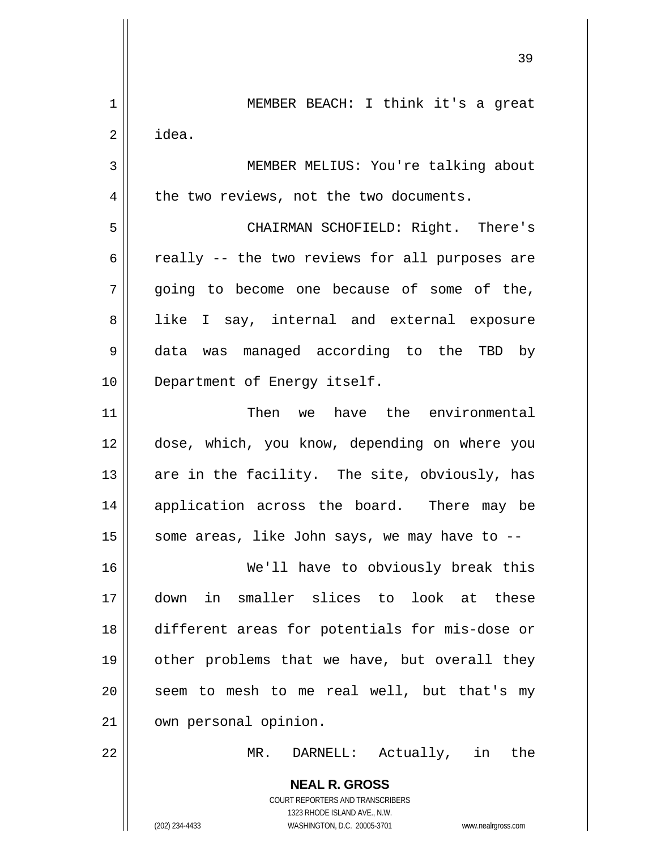|             | 39                                                       |
|-------------|----------------------------------------------------------|
| $\mathbf 1$ | MEMBER BEACH: I think it's a great                       |
| $\mathbf 2$ | idea.                                                    |
| 3           | MEMBER MELIUS: You're talking about                      |
| 4           | the two reviews, not the two documents.                  |
| 5           | CHAIRMAN SCHOFIELD: Right. There's                       |
| 6           | really -- the two reviews for all purposes are           |
| 7           | going to become one because of some of the,              |
| 8           | like I say, internal and external exposure               |
| 9           | data was managed according to the TBD by                 |
| 10          | Department of Energy itself.                             |
| 11          | Then we have the environmental                           |
| 12          | dose, which, you know, depending on where you            |
| 13          | are in the facility. The site, obviously, has            |
| 14          | application across the board. There may be               |
| 15          | some areas, like John says, we may have to --            |
| 16          | We'll have to obviously break this                       |
| 17          | down in smaller slices to look at these                  |
| 18          | different areas for potentials for mis-dose or           |
| 19          | other problems that we have, but overall they            |
| 20          | seem to mesh to me real well, but that's my              |
| 21          | own personal opinion.                                    |
| 22          | MR.<br>DARNELL: Actually, in<br>the                      |
|             | <b>NEAL R. GROSS</b><br>COURT REPORTERS AND TRANSCRIBERS |

1323 RHODE ISLAND AVE., N.W.

 $\begin{array}{c} \hline \end{array}$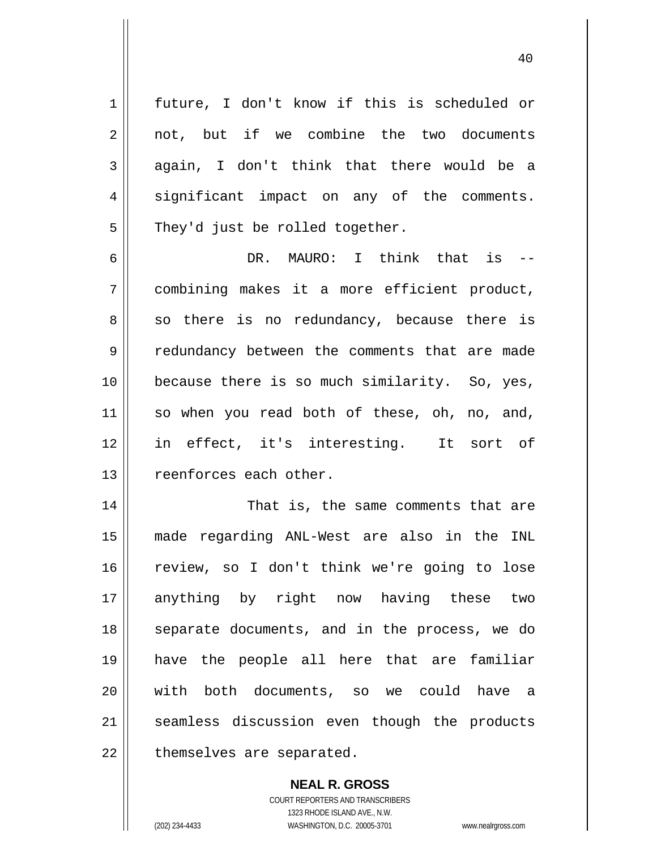future, I don't know if this is scheduled or not, but if we combine the two documents again, I don't think that there would be a significant impact on any of the comments. They'd just be rolled together.

1

2

3

4

5

40

6 7 8 9 10 11 12 13 DR. MAURO: I think that is - combining makes it a more efficient product, so there is no redundancy, because there is redundancy between the comments that are made because there is so much similarity. So, yes, so when you read both of these, oh, no, and, in effect, it's interesting. It sort of reenforces each other.

14 15 16 17 18 19 20 21 22 That is, the same comments that are made regarding ANL-West are also in the INL review, so I don't think we're going to lose anything by right now having these two separate documents, and in the process, we do have the people all here that are familiar with both documents, so we could have a seamless discussion even though the products themselves are separated.

> **NEAL R. GROSS** COURT REPORTERS AND TRANSCRIBERS 1323 RHODE ISLAND AVE., N.W. (202) 234-4433 WASHINGTON, D.C. 20005-3701 www.nealrgross.com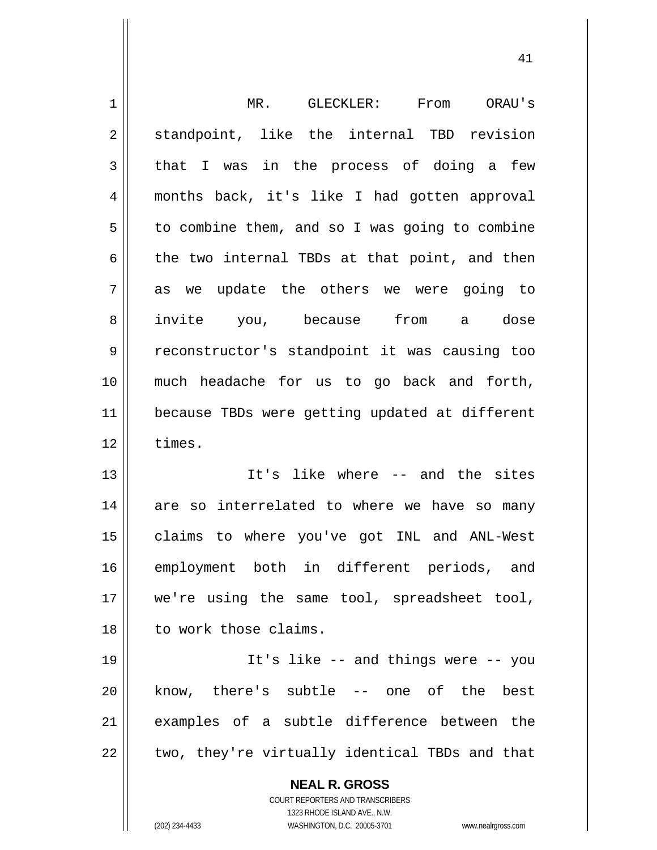| 1  | GLECKLER:<br>From<br>$MR$ .<br>ORAU's                                                            |
|----|--------------------------------------------------------------------------------------------------|
| 2  | standpoint, like the internal TBD revision                                                       |
| 3  | that I was in the process of doing a few                                                         |
| 4  | months back, it's like I had gotten approval                                                     |
| 5  | to combine them, and so I was going to combine                                                   |
| 6  | the two internal TBDs at that point, and then                                                    |
| 7  | as we update the others we were going to                                                         |
| 8  | from<br>invite you,<br>because<br>a dose                                                         |
| 9  | reconstructor's standpoint it was causing too                                                    |
| 10 | much headache for us to go back and forth,                                                       |
| 11 | because TBDs were getting updated at different                                                   |
| 12 | times.                                                                                           |
| 13 | It's like where -- and the sites                                                                 |
| 14 | are so interrelated to where we have so many                                                     |
| 15 | claims to where you've got INL and ANL-West                                                      |
| 16 | employment both in different periods, and                                                        |
| 17 | we're using the same tool, spreadsheet tool,                                                     |
| 18 | to work those claims.                                                                            |
| 19 | It's like -- and things were -- you                                                              |
|    |                                                                                                  |
| 20 | know, there's subtle -- one of the best                                                          |
| 21 | examples of a subtle difference between the                                                      |
| 22 | two, they're virtually identical TBDs and that                                                   |
|    | <b>NEAL R. GROSS</b>                                                                             |
|    | <b>COURT REPORTERS AND TRANSCRIBERS</b>                                                          |
|    | 1323 RHODE ISLAND AVE., N.W.<br>(202) 234-4433<br>WASHINGTON, D.C. 20005-3701 www.nealrgross.com |
|    |                                                                                                  |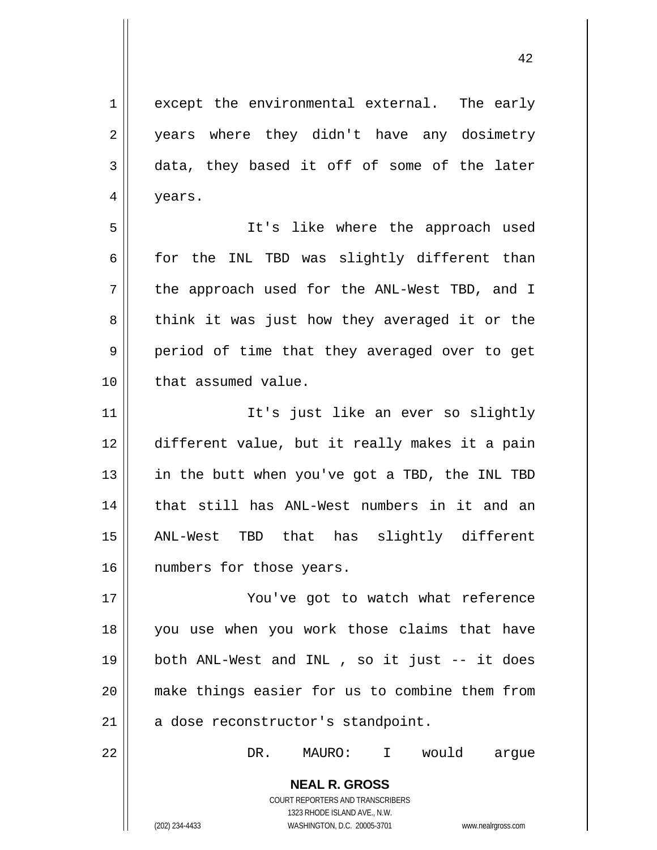except the environmental external. The early years where they didn't have any dosimetry data, they based it off of some of the later years.

7 It's like where the approach used for the INL TBD was slightly different than the approach used for the ANL-West TBD, and I think it was just how they averaged it or the period of time that they averaged over to get that assumed value.

11 12 13 14 15 16 It's just like an ever so slightly different value, but it really makes it a pain in the butt when you've got a TBD, the INL TBD that still has ANL-West numbers in it and an ANL-West TBD that has slightly different numbers for those years.

17 18 19 20 21 You've got to watch what reference you use when you work those claims that have both ANL-West and INL , so it just -- it does make things easier for us to combine them from a dose reconstructor's standpoint.

DR. MAURO: I would argue

**NEAL R. GROSS** COURT REPORTERS AND TRANSCRIBERS 1323 RHODE ISLAND AVE., N.W. (202) 234-4433 WASHINGTON, D.C. 20005-3701 www.nealrgross.com

1

2

3

4

5

6

8

9

10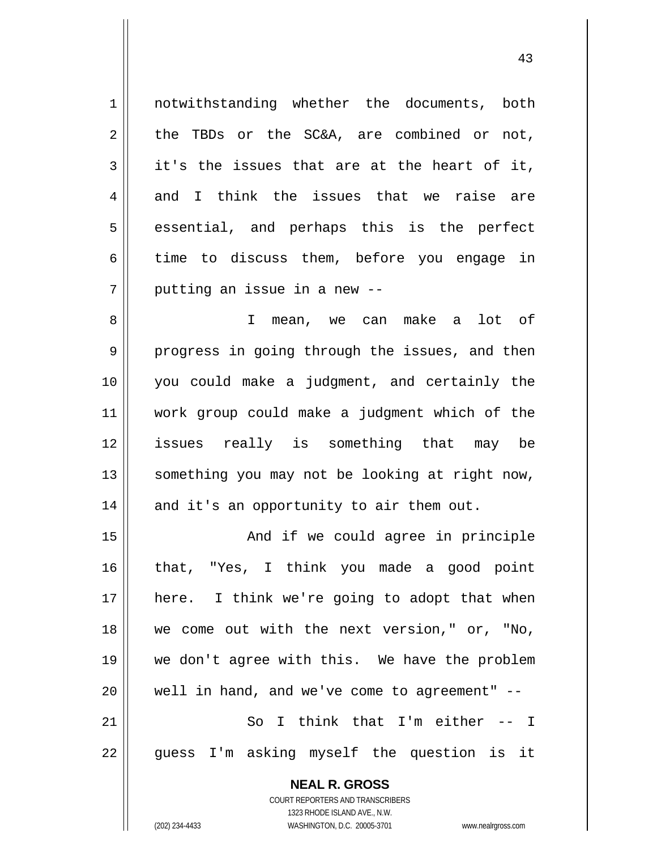**NEAL R. GROSS** COURT REPORTERS AND TRANSCRIBERS 1 2 3 4 5 6 7 8 9 10 11 12 13 14 15 16 17 18 19 20 21 22 notwithstanding whether the documents, both the TBDs or the SC&A, are combined or not, it's the issues that are at the heart of it, and I think the issues that we raise are essential, and perhaps this is the perfect time to discuss them, before you engage in putting an issue in a new -- I mean, we can make a lot of progress in going through the issues, and then you could make a judgment, and certainly the work group could make a judgment which of the issues really is something that may be something you may not be looking at right now, and it's an opportunity to air them out. And if we could agree in principle that, "Yes, I think you made a good point here. I think we're going to adopt that when we come out with the next version," or, "No, we don't agree with this. We have the problem well in hand, and we've come to agreement" -- So I think that I'm either -- I guess I'm asking myself the question is it

43

1323 RHODE ISLAND AVE., N.W.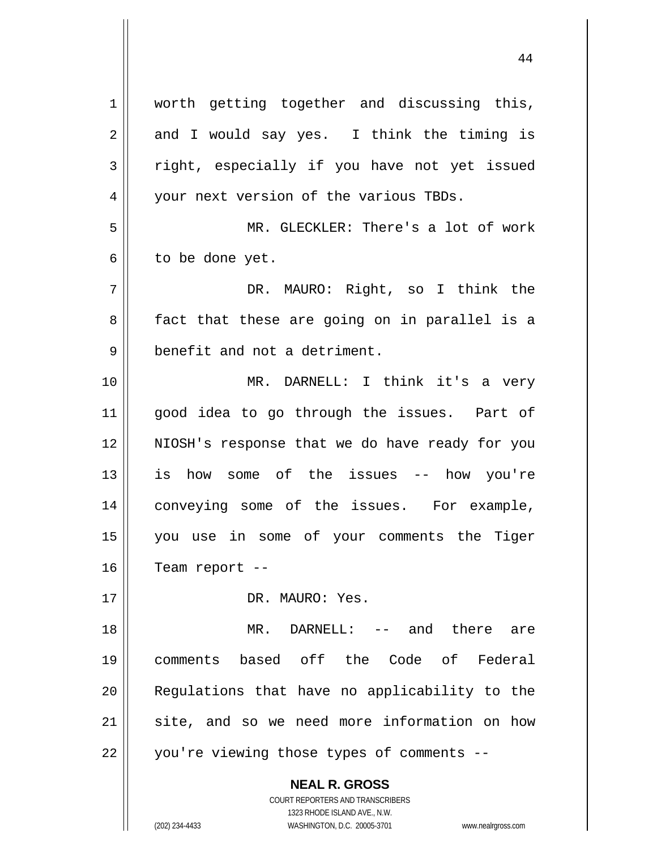| 1  | worth getting together and discussing this,              |
|----|----------------------------------------------------------|
| 2  | and I would say yes. I think the timing is               |
| 3  | right, especially if you have not yet issued             |
| 4  | your next version of the various TBDs.                   |
| 5  | MR. GLECKLER: There's a lot of work                      |
| 6  | to be done yet.                                          |
| 7  | DR. MAURO: Right, so I think the                         |
| 8  | fact that these are going on in parallel is a            |
| 9  | benefit and not a detriment.                             |
| 10 | MR. DARNELL: I think it's a very                         |
| 11 | good idea to go through the issues. Part of              |
| 12 | NIOSH's response that we do have ready for you           |
| 13 | is how some of the issues -- how you're                  |
| 14 | conveying some of the issues. For example,               |
| 15 | you use in some of your comments the Tiger               |
| 16 | Team report --                                           |
| 17 | DR. MAURO: Yes.                                          |
| 18 | DARNELL: -- and there are<br>$MR$ .                      |
| 19 | comments based off the Code of Federal                   |
| 20 | Regulations that have no applicability to the            |
| 21 | site, and so we need more information on how             |
| 22 | you're viewing those types of comments --                |
|    | <b>NEAL R. GROSS</b><br>COURT REPORTERS AND TRANSCRIBERS |

1323 RHODE ISLAND AVE., N.W.

 $\prod$ 

(202) 234-4433 WASHINGTON, D.C. 20005-3701 www.nealrgross.com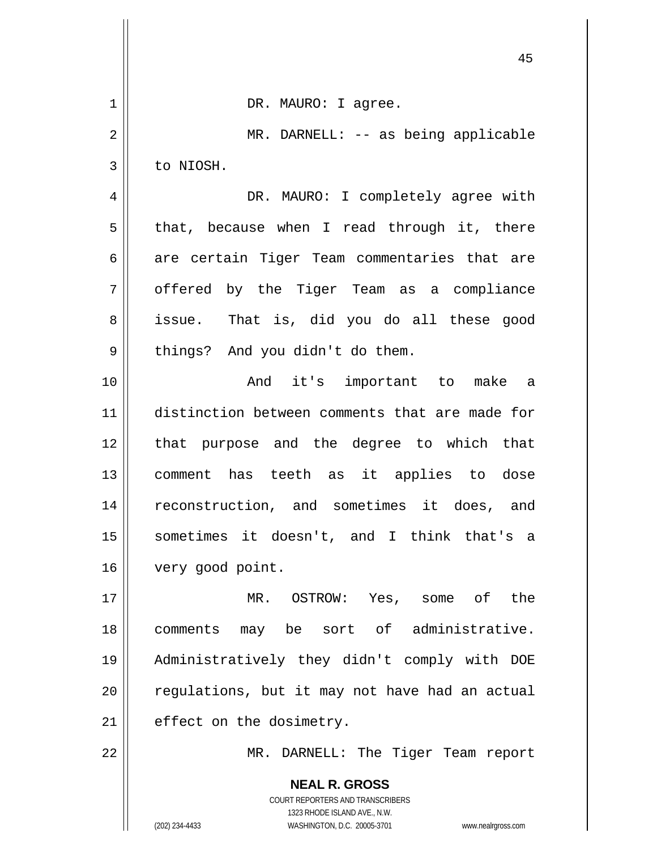|                | 45                                                                  |
|----------------|---------------------------------------------------------------------|
| $\mathbf 1$    | DR. MAURO: I agree.                                                 |
| $\overline{2}$ | MR. DARNELL: -- as being applicable                                 |
| 3              | to NIOSH.                                                           |
| 4              | DR. MAURO: I completely agree with                                  |
| 5              | that, because when I read through it, there                         |
| 6              | are certain Tiger Team commentaries that are                        |
| 7              | offered by the Tiger Team as a compliance                           |
| 8              | issue. That is, did you do all these good                           |
| 9              | things? And you didn't do them.                                     |
| 10             | And it's important to make a                                        |
| 11             | distinction between comments that are made for                      |
| 12             | that purpose and the degree to which that                           |
| 13             | comment has teeth as it applies to dose                             |
| 14             | reconstruction, and sometimes it does, and                          |
| 15             | sometimes it doesn't, and I think that's a                          |
| 16             | very good point.                                                    |
| 17             | OSTROW: Yes, some of the<br>MR.                                     |
| 18             | may be sort of administrative.<br>comments                          |
| 19             | Administratively they didn't comply with DOE                        |
| 20             | regulations, but it may not have had an actual                      |
| 21             | effect on the dosimetry.                                            |
| 22             | MR. DARNELL: The Tiger Team report                                  |
|                | <b>NEAL R. GROSS</b>                                                |
|                | COURT REPORTERS AND TRANSCRIBERS<br>1323 RHODE ISLAND AVE., N.W.    |
|                | (202) 234-4433<br>WASHINGTON, D.C. 20005-3701<br>www.nealrgross.com |

 $\overline{\phantom{a}}$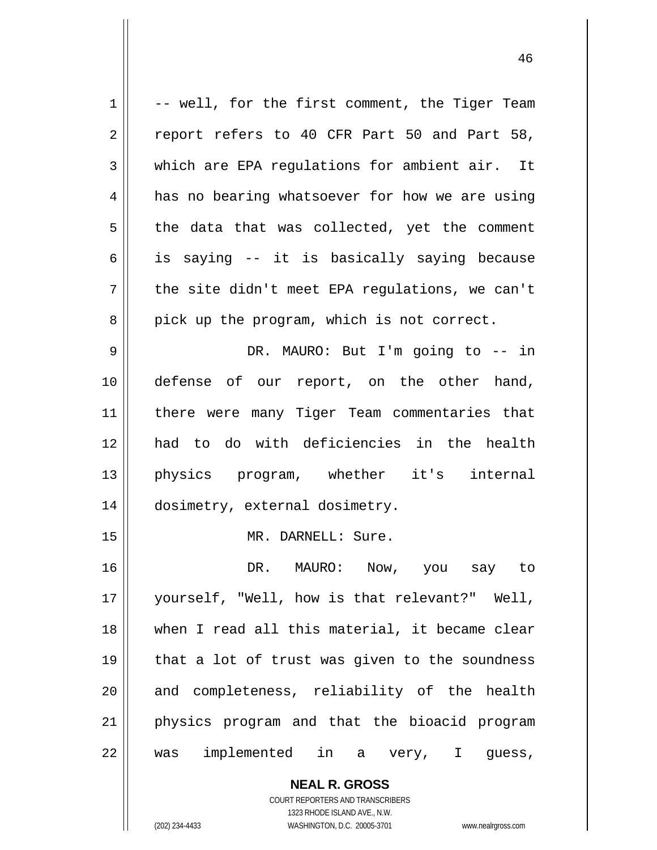| 1  | -- well, for the first comment, the Tiger Team           |
|----|----------------------------------------------------------|
| 2  | report refers to 40 CFR Part 50 and Part 58,             |
| 3  | which are EPA regulations for ambient air. It            |
| 4  | has no bearing whatsoever for how we are using           |
| 5  | the data that was collected, yet the comment             |
| 6  | is saying -- it is basically saying because              |
| 7  | the site didn't meet EPA regulations, we can't           |
| 8  | pick up the program, which is not correct.               |
| 9  | DR. MAURO: But I'm going to -- in                        |
| 10 | defense of our report, on the other hand,                |
| 11 | there were many Tiger Team commentaries that             |
| 12 | had to do with deficiencies in the health                |
| 13 | physics program, whether it's internal                   |
| 14 | dosimetry, external dosimetry.                           |
| 15 | MR. DARNELL: Sure.                                       |
| 16 | DR. MAURO: Now, you say to                               |
| 17 | yourself, "Well, how is that relevant?" Well,            |
| 18 | when I read all this material, it became clear           |
| 19 | that a lot of trust was given to the soundness           |
| 20 | and completeness, reliability of the health              |
| 21 | physics program and that the bioacid program             |
| 22 | was implemented in a very, I guess,                      |
|    | <b>NEAL R. GROSS</b><br>COURT REPORTERS AND TRANSCRIBERS |

1323 RHODE ISLAND AVE., N.W.

 $\prod$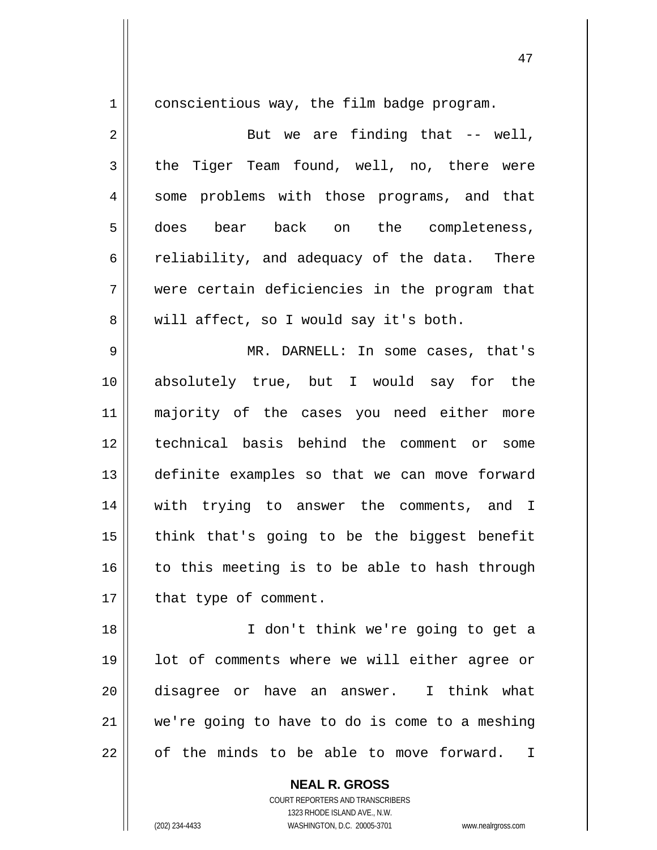conscientious way, the film badge program.

2 3 4 5 6 7 8 But we are finding that  $-$  well, the Tiger Team found, well, no, there were some problems with those programs, and that does bear back on the completeness, reliability, and adequacy of the data. There were certain deficiencies in the program that will affect, so I would say it's both.

9 10 11 12 13 14 15 16 17 MR. DARNELL: In some cases, that's absolutely true, but I would say for the majority of the cases you need either more technical basis behind the comment or some definite examples so that we can move forward with trying to answer the comments, and I think that's going to be the biggest benefit to this meeting is to be able to hash through that type of comment.

18 19 20 21 22 I don't think we're going to get a lot of comments where we will either agree or disagree or have an answer. I think what we're going to have to do is come to a meshing of the minds to be able to move forward. I

> **NEAL R. GROSS** COURT REPORTERS AND TRANSCRIBERS 1323 RHODE ISLAND AVE., N.W. (202) 234-4433 WASHINGTON, D.C. 20005-3701 www.nealrgross.com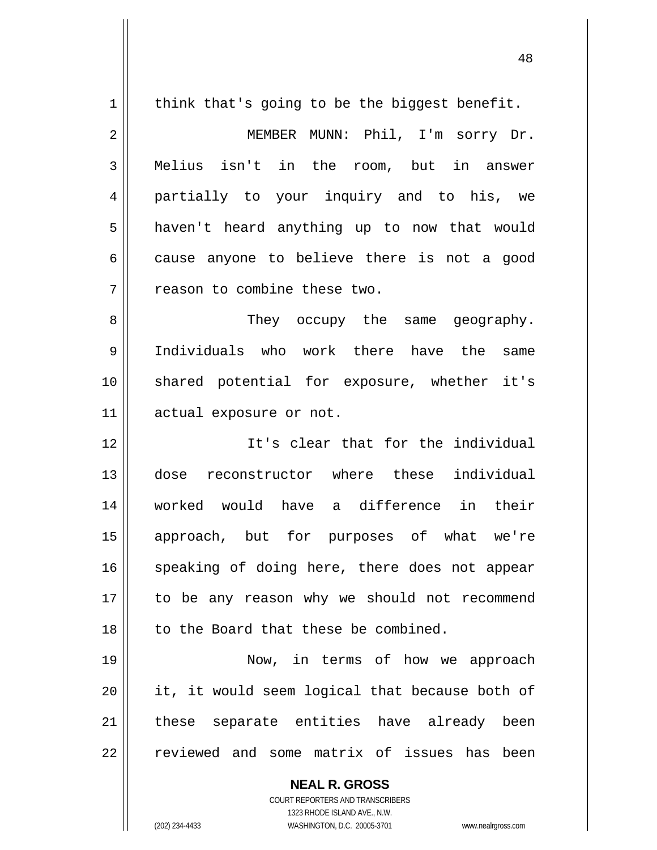| $\mathbf 1$    | think that's going to be the biggest benefit.  |
|----------------|------------------------------------------------|
| $\overline{2}$ | MEMBER MUNN: Phil, I'm sorry Dr.               |
| 3              | Melius isn't in the room, but in answer        |
| 4              | partially to your inquiry and to his, we       |
| 5              | haven't heard anything up to now that would    |
| 6              | cause anyone to believe there is not a good    |
| 7              | reason to combine these two.                   |
| 8              | They occupy the same geography.                |
| 9              | Individuals who work there have the<br>same    |
| 10             | shared potential for exposure, whether it's    |
| 11             | actual exposure or not.                        |
| 12             | It's clear that for the individual             |
| 13             | dose reconstructor where these individual      |
| 14             | worked would have a difference in their        |
| 15             | approach, but for purposes of what we're       |
| 16             | speaking of doing here, there does not appear  |
| 17             | to be any reason why we should not recommend   |
| 18             | to the Board that these be combined.           |
| 19             | Now, in terms of how we approach               |
| 20             | it, it would seem logical that because both of |
| 21             | these separate entities have already been      |
| 22             | reviewed and some matrix of issues has been    |
|                | <b>NEAL R. GROSS</b>                           |

 $\prod$ 

1323 RHODE ISLAND AVE., N.W. (202) 234-4433 WASHINGTON, D.C. 20005-3701 www.nealrgross.com

COURT REPORTERS AND TRANSCRIBERS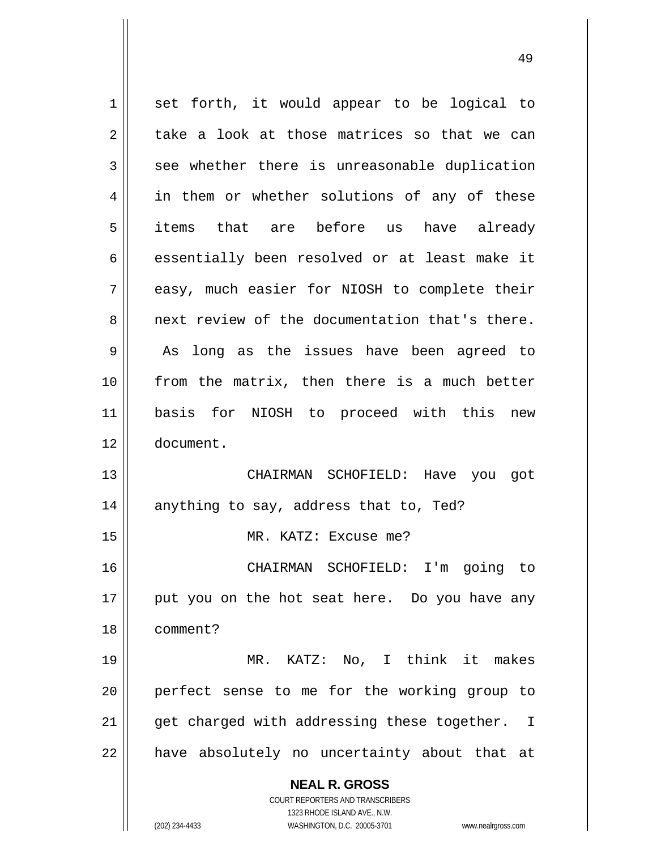**NEAL R. GROSS** COURT REPORTERS AND TRANSCRIBERS 1323 RHODE ISLAND AVE., N.W. 1 2 3 4 5 6 7 8 9 10 11 12 13 14 15 16 17 18 19 20 21 22 set forth, it would appear to be logical to take a look at those matrices so that we can see whether there is unreasonable duplication in them or whether solutions of any of these items that are before us have already essentially been resolved or at least make it easy, much easier for NIOSH to complete their next review of the documentation that's there. As long as the issues have been agreed to from the matrix, then there is a much better basis for NIOSH to proceed with this new document. CHAIRMAN SCHOFIELD: Have you got anything to say, address that to, Ted? MR. KATZ: Excuse me? CHAIRMAN SCHOFIELD: I'm going to put you on the hot seat here. Do you have any comment? MR. KATZ: No, I think it makes perfect sense to me for the working group to get charged with addressing these together. I have absolutely no uncertainty about that at

(202) 234-4433 WASHINGTON, D.C. 20005-3701 www.nealrgross.com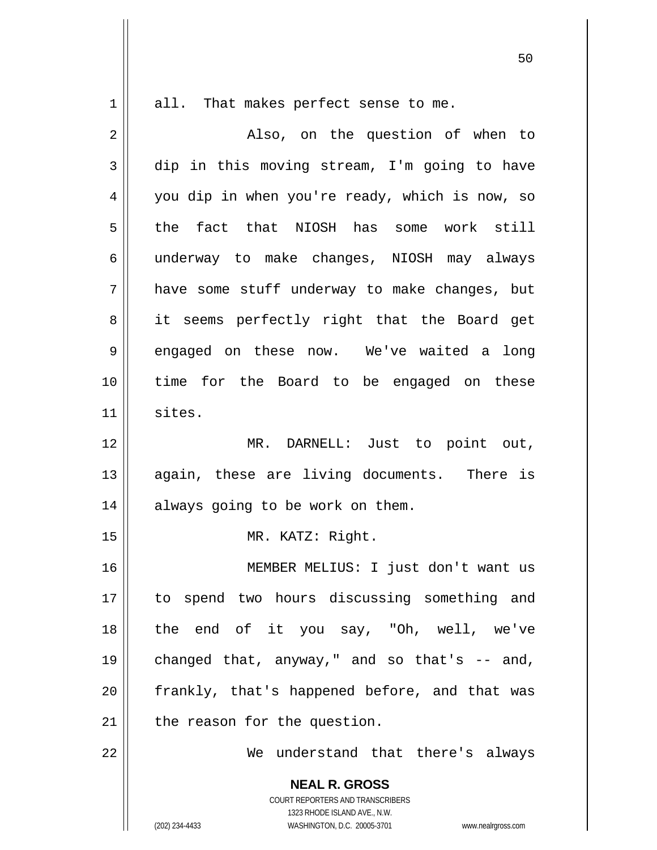all. That makes perfect sense to me.

| 2            | Also, on the question of when to                                                                                                                                |
|--------------|-----------------------------------------------------------------------------------------------------------------------------------------------------------------|
| $\mathbf{3}$ | dip in this moving stream, I'm going to have                                                                                                                    |
| 4            | you dip in when you're ready, which is now, so                                                                                                                  |
| 5            | the fact that NIOSH has some work still                                                                                                                         |
| 6            | underway to make changes, NIOSH may always                                                                                                                      |
| 7            | have some stuff underway to make changes, but                                                                                                                   |
| 8            | it seems perfectly right that the Board get                                                                                                                     |
| 9            | engaged on these now. We've waited a long                                                                                                                       |
| 10           | time for the Board to be engaged on these                                                                                                                       |
| 11           | sites.                                                                                                                                                          |
| 12           | MR. DARNELL: Just to point out,                                                                                                                                 |
| 13           | again, these are living documents. There is                                                                                                                     |
| 14           | always going to be work on them.                                                                                                                                |
| 15           | MR. KATZ: Right.                                                                                                                                                |
| 16           | MEMBER MELIUS: I just don't want us                                                                                                                             |
| 17           | to spend two hours discussing something and                                                                                                                     |
| 18           | the end of it you say, "Oh, well, we've                                                                                                                         |
| 19           | changed that, anyway," and so that's $-$ and,                                                                                                                   |
| 20           | frankly, that's happened before, and that was                                                                                                                   |
| 21           | the reason for the question.                                                                                                                                    |
| 22           | We understand that there's always                                                                                                                               |
|              | <b>NEAL R. GROSS</b><br>COURT REPORTERS AND TRANSCRIBERS<br>1323 RHODE ISLAND AVE., N.W.<br>(202) 234-4433<br>WASHINGTON, D.C. 20005-3701<br>www.nealrgross.com |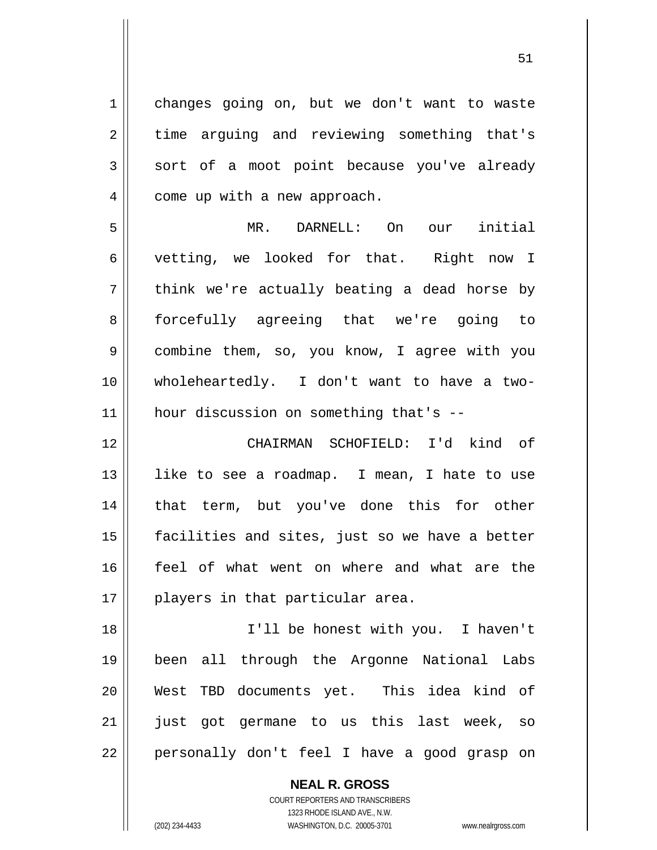1 2 3 4 5 6 7 8 9 10 11 12 13 14 15 16 17 18 19 20 21 22 changes going on, but we don't want to waste time arguing and reviewing something that's sort of a moot point because you've already come up with a new approach. MR. DARNELL: On our initial vetting, we looked for that. Right now I think we're actually beating a dead horse by forcefully agreeing that we're going to combine them, so, you know, I agree with you wholeheartedly. I don't want to have a twohour discussion on something that's -- CHAIRMAN SCHOFIELD: I'd kind of like to see a roadmap. I mean, I hate to use that term, but you've done this for other facilities and sites, just so we have a better feel of what went on where and what are the players in that particular area. I'll be honest with you. I haven't been all through the Argonne National Labs West TBD documents yet. This idea kind of just got germane to us this last week, so personally don't feel I have a good grasp on

51

COURT REPORTERS AND TRANSCRIBERS 1323 RHODE ISLAND AVE., N.W. (202) 234-4433 WASHINGTON, D.C. 20005-3701 www.nealrgross.com

**NEAL R. GROSS**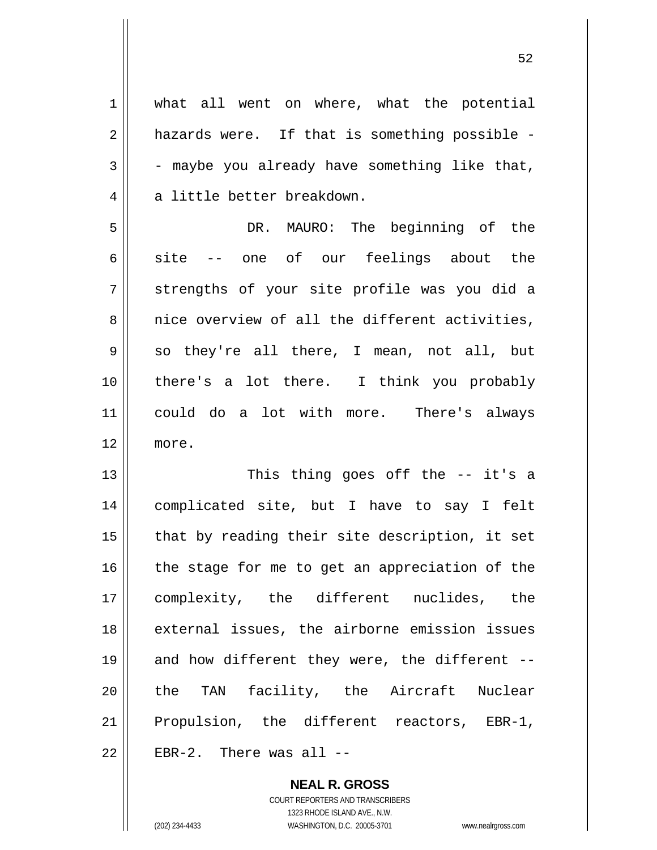| $\mathbf 1$ | what all went on where, what the potential     |
|-------------|------------------------------------------------|
| 2           | hazards were. If that is something possible -  |
| 3           | - maybe you already have something like that,  |
| 4           | a little better breakdown.                     |
| 5           | DR. MAURO: The beginning of the                |
| 6           | one of our feelings about the<br>site          |
| 7           | strengths of your site profile was you did a   |
| 8           | nice overview of all the different activities, |
| 9           | so they're all there, I mean, not all, but     |
| 10          | there's a lot there. I think you probably      |
| 11          | could do a lot with more. There's always       |
| 12          | more.                                          |
| 13          | This thing goes off the -- it's a              |
| 14          | complicated site, but I have to say I felt     |
| 15          | that by reading their site description, it set |
| 16          | the stage for me to get an appreciation of the |
| 17          | complexity, the different nuclides, the        |
| 18          | external issues, the airborne emission issues  |
| 19          | and how different they were, the different --  |
| 20          | the TAN facility, the Aircraft Nuclear         |
| 21          | Propulsion, the different reactors, EBR-1,     |
| 22          | EBR-2. There was all $--$                      |

**NEAL R. GROSS** COURT REPORTERS AND TRANSCRIBERS 1323 RHODE ISLAND AVE., N.W. (202) 234-4433 WASHINGTON, D.C. 20005-3701 www.nealrgross.com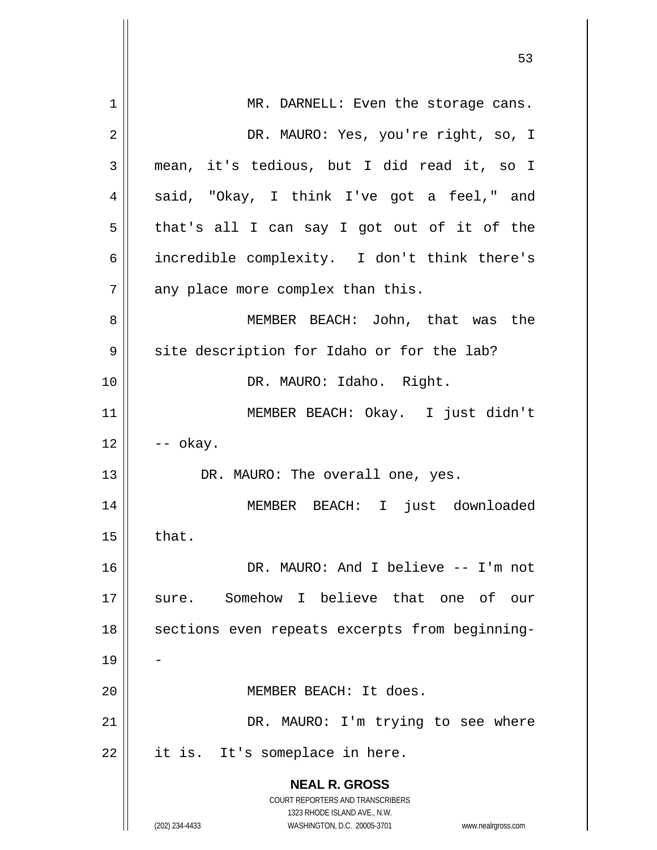|    | 53                                                                  |
|----|---------------------------------------------------------------------|
| 1  | MR. DARNELL: Even the storage cans.                                 |
| 2  | DR. MAURO: Yes, you're right, so, I                                 |
| 3  | mean, it's tedious, but I did read it, so I                         |
| 4  | said, "Okay, I think I've got a feel," and                          |
| 5  | that's all I can say I got out of it of the                         |
| 6  | incredible complexity. I don't think there's                        |
| 7  | any place more complex than this.                                   |
| 8  | MEMBER BEACH: John, that was the                                    |
| 9  | site description for Idaho or for the lab?                          |
| 10 | DR. MAURO: Idaho. Right.                                            |
| 11 | MEMBER BEACH: Okay. I just didn't                                   |
| 12 | -- okay.                                                            |
| 13 | DR. MAURO: The overall one, yes.                                    |
| 14 | MEMBER BEACH: I just downloaded                                     |
| 15 | that.                                                               |
| 16 | DR. MAURO: And I believe -- I'm not                                 |
| 17 | sure. Somehow I believe that one of our                             |
| 18 | sections even repeats excerpts from beginning-                      |
| 19 |                                                                     |
| 20 | MEMBER BEACH: It does.                                              |
| 21 | DR. MAURO: I'm trying to see where                                  |
| 22 | it is. It's someplace in here.                                      |
|    | <b>NEAL R. GROSS</b>                                                |
|    | COURT REPORTERS AND TRANSCRIBERS<br>1323 RHODE ISLAND AVE., N.W.    |
|    | (202) 234-4433<br>WASHINGTON, D.C. 20005-3701<br>www.nealrgross.com |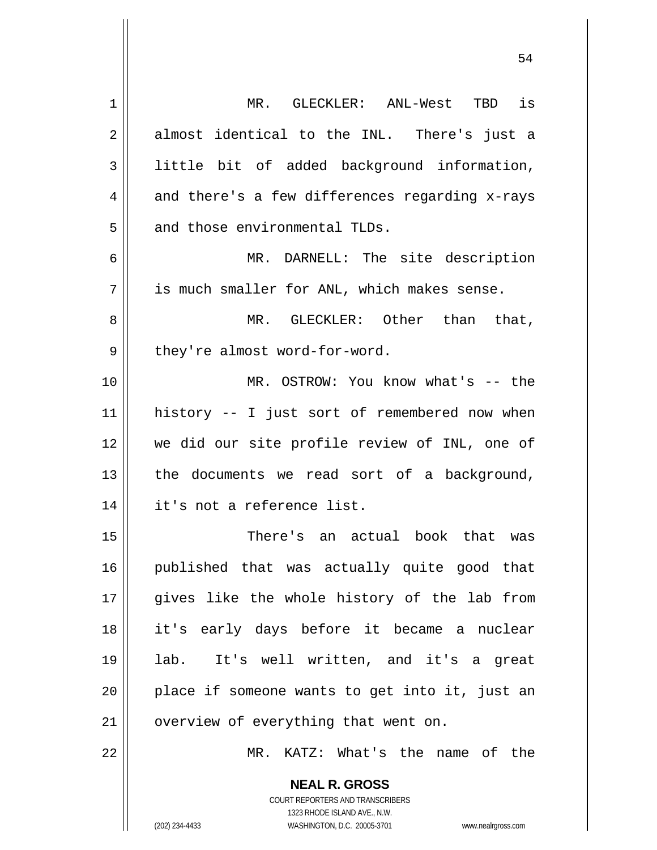| $\mathbf 1$    | MR. GLECKLER: ANL-West TBD is                                                            |
|----------------|------------------------------------------------------------------------------------------|
| $\overline{2}$ | almost identical to the INL. There's just a                                              |
| 3              | little bit of added background information,                                              |
| 4              | and there's a few differences regarding x-rays                                           |
| 5              | and those environmental TLDs.                                                            |
| 6              | MR. DARNELL: The site description                                                        |
| 7              | is much smaller for ANL, which makes sense.                                              |
| 8              | MR. GLECKLER: Other than that,                                                           |
| 9              | they're almost word-for-word.                                                            |
| 10             | MR. OSTROW: You know what's -- the                                                       |
| 11             | history -- I just sort of remembered now when                                            |
| 12             | we did our site profile review of INL, one of                                            |
| 13             | the documents we read sort of a background,                                              |
| 14             | it's not a reference list.                                                               |
| 15             | There's an actual book that was                                                          |
| 16             | published that was actually quite good that                                              |
| 17             | gives like the whole history of the lab from                                             |
| 18             | it's early days before it became a nuclear                                               |
| 19             | It's well written, and it's a great<br>lab.                                              |
| 20             | place if someone wants to get into it, just an                                           |
| 21             | overview of everything that went on.                                                     |
| 22             | MR. KATZ: What's the name of the                                                         |
|                | <b>NEAL R. GROSS</b><br>COURT REPORTERS AND TRANSCRIBERS<br>1323 RHODE ISLAND AVE., N.W. |
|                | (202) 234-4433<br>WASHINGTON, D.C. 20005-3701<br>www.nealrgross.com                      |

 $\mathsf{I}$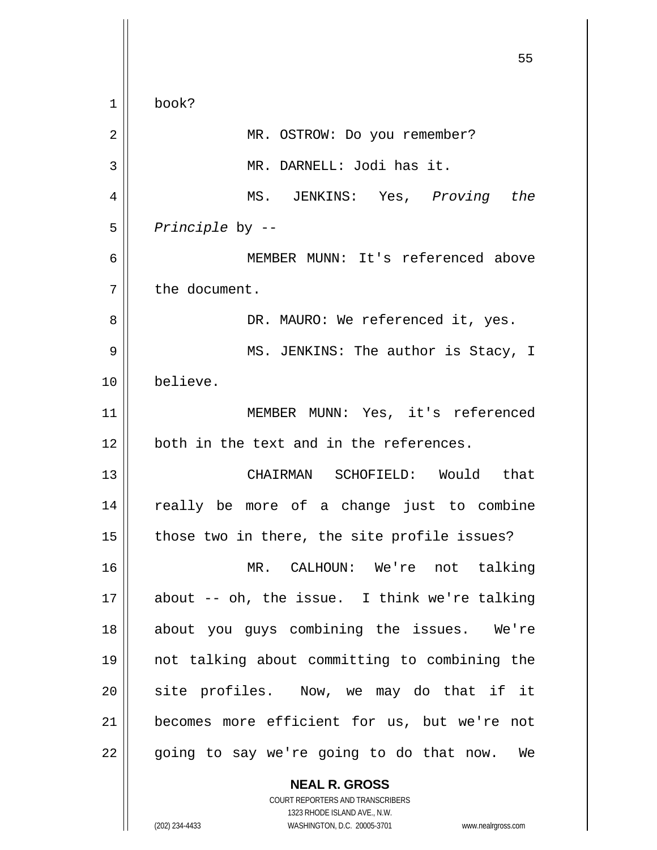**NEAL R. GROSS**  $55$ 1 2 3 4 5 6 7 8 9 10 11 12 13 14 15 16 17 18 19 20 21 22 book? MR. OSTROW: Do you remember? MR. DARNELL: Jodi has it. MS. JENKINS: Yes, *Proving the Principle* by -- MEMBER MUNN: It's referenced above the document. DR. MAURO: We referenced it, yes. MS. JENKINS: The author is Stacy, I believe. MEMBER MUNN: Yes, it's referenced both in the text and in the references. CHAIRMAN SCHOFIELD: Would that really be more of a change just to combine those two in there, the site profile issues? MR. CALHOUN: We're not talking about -- oh, the issue. I think we're talking about you guys combining the issues. We're not talking about committing to combining the site profiles. Now, we may do that if it becomes more efficient for us, but we're not going to say we're going to do that now. We

> COURT REPORTERS AND TRANSCRIBERS 1323 RHODE ISLAND AVE., N.W.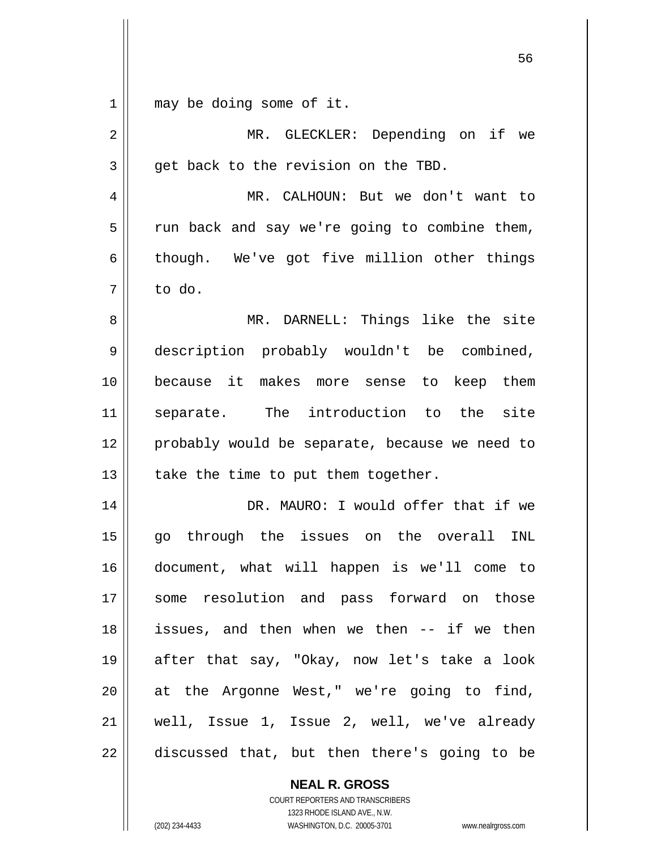$\begin{array}{c|c|c|c} 1 & 1 \end{array}$ may be doing some of it.

| $\overline{2}$ | MR. GLECKLER: Depending on if we               |
|----------------|------------------------------------------------|
| 3              | get back to the revision on the TBD.           |
| 4              | MR. CALHOUN: But we don't want to              |
| 5              | run back and say we're going to combine them,  |
| 6              | though. We've got five million other things    |
| 7              | to do.                                         |
| 8              | MR. DARNELL: Things like the site              |
| 9              | description probably wouldn't be combined,     |
| 10             | because it makes more sense to keep them       |
| 11             | separate. The introduction to the<br>site      |
| 12             | probably would be separate, because we need to |
| 13             | take the time to put them together.            |
| 14             | DR. MAURO: I would offer that if we            |
| 15             | go through the issues on the overall<br>INL    |
| 16             | document, what will happen is we'll come to    |
| 17             | some resolution and pass forward on those      |
| 18             | issues, and then when we then -- if we then    |
| 19             | after that say, "Okay, now let's take a look   |
| 20             | at the Argonne West," we're going to find,     |
| 21             | well, Issue 1, Issue 2, well, we've already    |
| 22             | discussed that, but then there's going to be   |

**NEAL R. GROSS** COURT REPORTERS AND TRANSCRIBERS

1323 RHODE ISLAND AVE., N.W.

(202) 234-4433 WASHINGTON, D.C. 20005-3701 www.nealrgross.com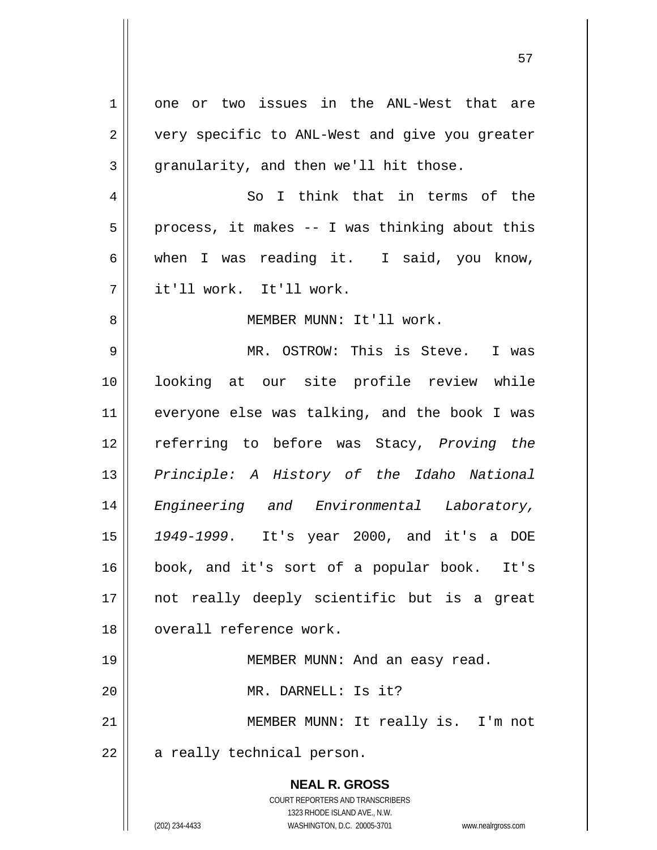**NEAL R. GROSS** COURT REPORTERS AND TRANSCRIBERS 1323 RHODE ISLAND AVE., N.W. 1 2 3 4 5 6 7 8 9 10 11 12 13 14 15 16 17 18 19 20 21 22 one or two issues in the ANL-West that are very specific to ANL-West and give you greater granularity, and then we'll hit those. So I think that in terms of the process, it makes -- I was thinking about this when I was reading it. I said, you know, it'll work. It'll work. MEMBER MUNN: It'll work. MR. OSTROW: This is Steve. I was looking at our site profile review while everyone else was talking, and the book I was referring to before was Stacy, *Proving the Principle: A History of the Idaho National Engineering and Environmental Laboratory, 1949-1999*. It's year 2000, and it's a DOE book, and it's sort of a popular book. It's not really deeply scientific but is a great overall reference work. MEMBER MUNN: And an easy read. MR. DARNELL: Is it? MEMBER MUNN: It really is. I'm not a really technical person.

(202) 234-4433 WASHINGTON, D.C. 20005-3701 www.nealrgross.com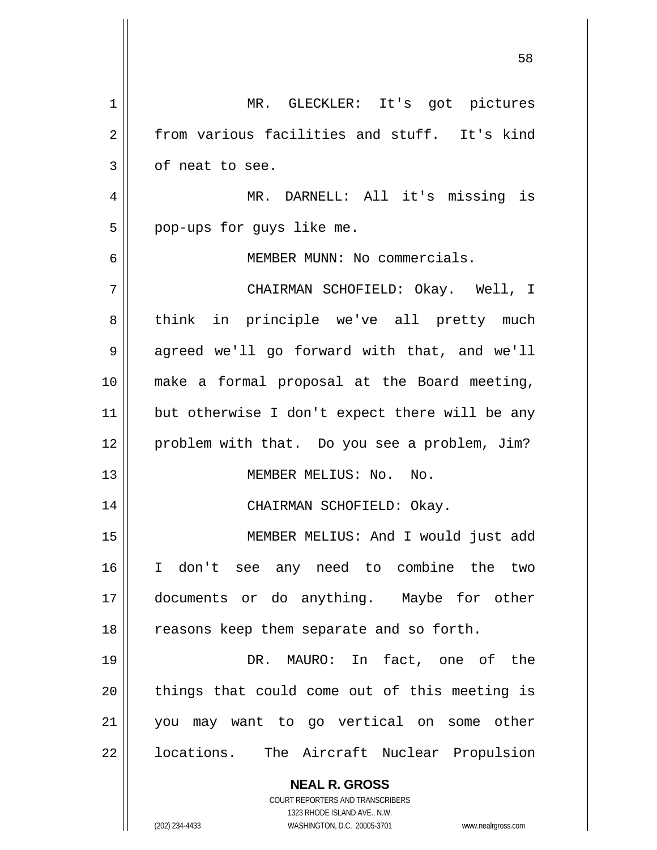| 1  | MR. GLECKLER: It's got pictures                                     |
|----|---------------------------------------------------------------------|
| 2  | from various facilities and stuff. It's kind                        |
| 3  | of neat to see.                                                     |
| 4  | MR. DARNELL: All it's missing is                                    |
| 5  | pop-ups for guys like me.                                           |
| 6  | MEMBER MUNN: No commercials.                                        |
| 7  | CHAIRMAN SCHOFIELD: Okay. Well, I                                   |
| 8  | think in principle we've all pretty much                            |
| 9  | agreed we'll go forward with that, and we'll                        |
| 10 | make a formal proposal at the Board meeting,                        |
| 11 | but otherwise I don't expect there will be any                      |
| 12 | problem with that. Do you see a problem, Jim?                       |
| 13 | MEMBER MELIUS: No. No.                                              |
| 14 | CHAIRMAN SCHOFIELD: Okay.                                           |
| 15 | MEMBER MELIUS: And I would just add                                 |
| 16 | don't see any need to combine the two<br>I.                         |
| 17 | documents or do anything. Maybe for other                           |
| 18 | reasons keep them separate and so forth.                            |
| 19 | DR. MAURO: In fact, one of the                                      |
| 20 | things that could come out of this meeting is                       |
| 21 | you may want to go vertical on some other                           |
| 22 | locations. The Aircraft Nuclear Propulsion                          |
|    | <b>NEAL R. GROSS</b>                                                |
|    | <b>COURT REPORTERS AND TRANSCRIBERS</b>                             |
|    | 1323 RHODE ISLAND AVE., N.W.                                        |
|    | (202) 234-4433<br>WASHINGTON, D.C. 20005-3701<br>www.nealrgross.com |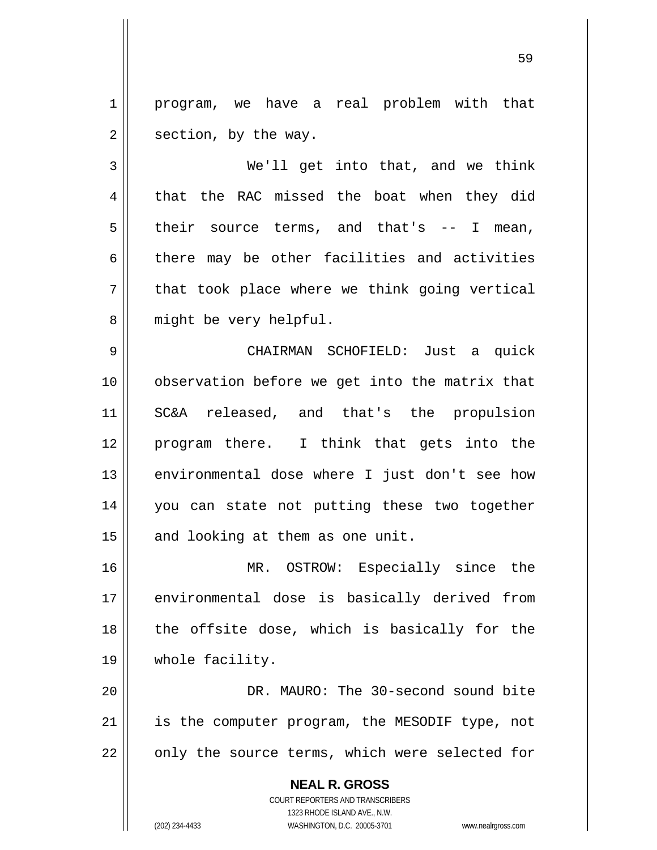1 2 program, we have a real problem with that section, by the way.

3 4 5 6 7 8 We'll get into that, and we think that the RAC missed the boat when they did their source terms, and that's -- I mean, there may be other facilities and activities that took place where we think going vertical might be very helpful.

9 10 11 12 13 14 15 CHAIRMAN SCHOFIELD: Just a quick observation before we get into the matrix that SC&A released, and that's the propulsion program there. I think that gets into the environmental dose where I just don't see how you can state not putting these two together and looking at them as one unit.

16 17 18 19 MR. OSTROW: Especially since the environmental dose is basically derived from the offsite dose, which is basically for the whole facility.

20 21 22 DR. MAURO: The 30-second sound bite is the computer program, the MESODIF type, not only the source terms, which were selected for

> **NEAL R. GROSS** COURT REPORTERS AND TRANSCRIBERS 1323 RHODE ISLAND AVE., N.W. (202) 234-4433 WASHINGTON, D.C. 20005-3701 www.nealrgross.com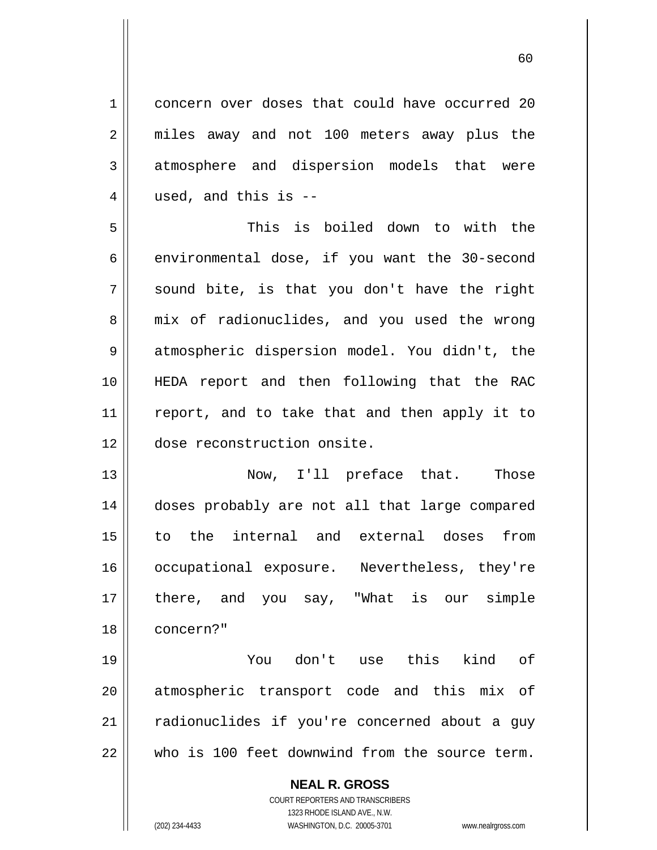concern over doses that could have occurred 20 miles away and not 100 meters away plus the atmosphere and dispersion models that were used, and this is --

5 6 7 8 9 10 11 12 This is boiled down to with the environmental dose, if you want the 30-second sound bite, is that you don't have the right mix of radionuclides, and you used the wrong atmospheric dispersion model. You didn't, the HEDA report and then following that the RAC report, and to take that and then apply it to dose reconstruction onsite.

13 14 15 16 17 18 Now, I'll preface that. Those doses probably are not all that large compared to the internal and external doses from occupational exposure. Nevertheless, they're there, and you say, "What is our simple concern?"

19 20 21 22 You don't use this kind of atmospheric transport code and this mix of radionuclides if you're concerned about a guy who is 100 feet downwind from the source term.

> **NEAL R. GROSS** COURT REPORTERS AND TRANSCRIBERS 1323 RHODE ISLAND AVE., N.W. (202) 234-4433 WASHINGTON, D.C. 20005-3701 www.nealrgross.com

1

2

3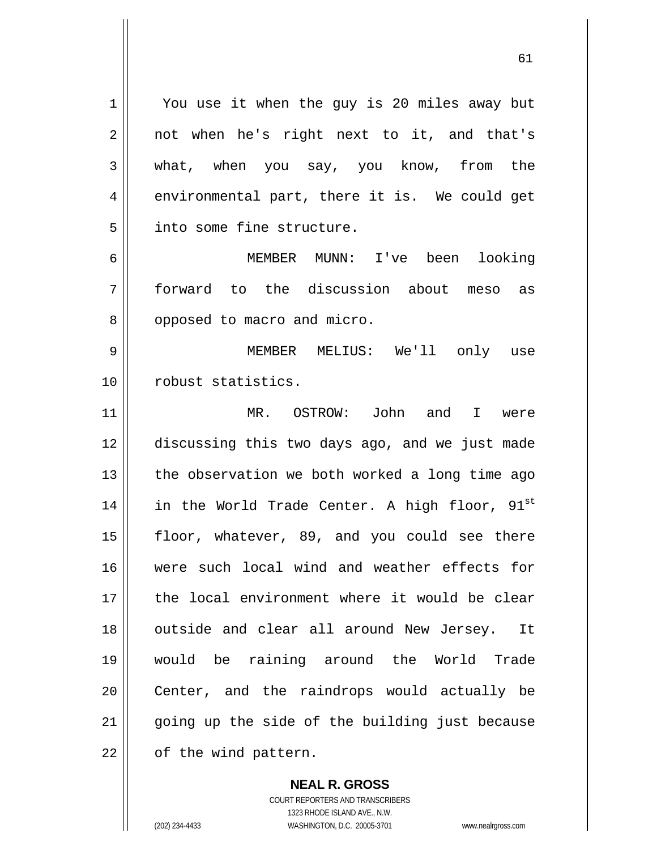You use it when the guy is 20 miles away but not when he's right next to it, and that's what, when you say, you know, from the environmental part, there it is. We could get into some fine structure.

61

6 7 8 MEMBER MUNN: I've been looking forward to the discussion about meso as opposed to macro and micro.

9 10 MEMBER MELIUS: We'll only use robust statistics.

11 12 13 14 15 16 17 18 19 20 21 22 MR. OSTROW: John and I were discussing this two days ago, and we just made the observation we both worked a long time ago in the World Trade Center. A high floor,  $91^{\text{st}}$ floor, whatever, 89, and you could see there were such local wind and weather effects for the local environment where it would be clear outside and clear all around New Jersey. It would be raining around the World Trade Center, and the raindrops would actually be going up the side of the building just because of the wind pattern.

> COURT REPORTERS AND TRANSCRIBERS 1323 RHODE ISLAND AVE., N.W. (202) 234-4433 WASHINGTON, D.C. 20005-3701 www.nealrgross.com

**NEAL R. GROSS**

1

2

3

4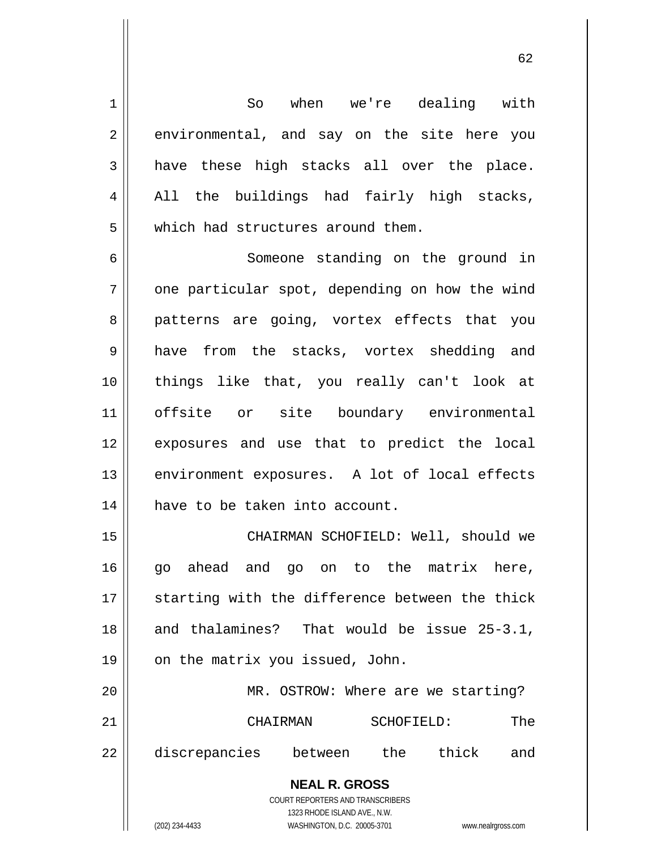So when we're dealing with environmental, and say on the site here you have these high stacks all over the place. All the buildings had fairly high stacks, which had structures around them.

6 7 8 9 10 11 12 13 14 Someone standing on the ground in one particular spot, depending on how the wind patterns are going, vortex effects that you have from the stacks, vortex shedding and things like that, you really can't look at offsite or site boundary environmental exposures and use that to predict the local environment exposures. A lot of local effects have to be taken into account.

15 16 17 18 19 20 21 CHAIRMAN SCHOFIELD: Well, should we go ahead and go on to the matrix here, starting with the difference between the thick and thalamines? That would be issue 25-3.1, on the matrix you issued, John. MR. OSTROW: Where are we starting? CHAIRMAN SCHOFIELD: The

22 discrepancies between the thick and

> **NEAL R. GROSS** COURT REPORTERS AND TRANSCRIBERS

> > 1323 RHODE ISLAND AVE., N.W.

1

2

3

4

5

(202) 234-4433 WASHINGTON, D.C. 20005-3701 www.nealrgross.com

 $\sim$  62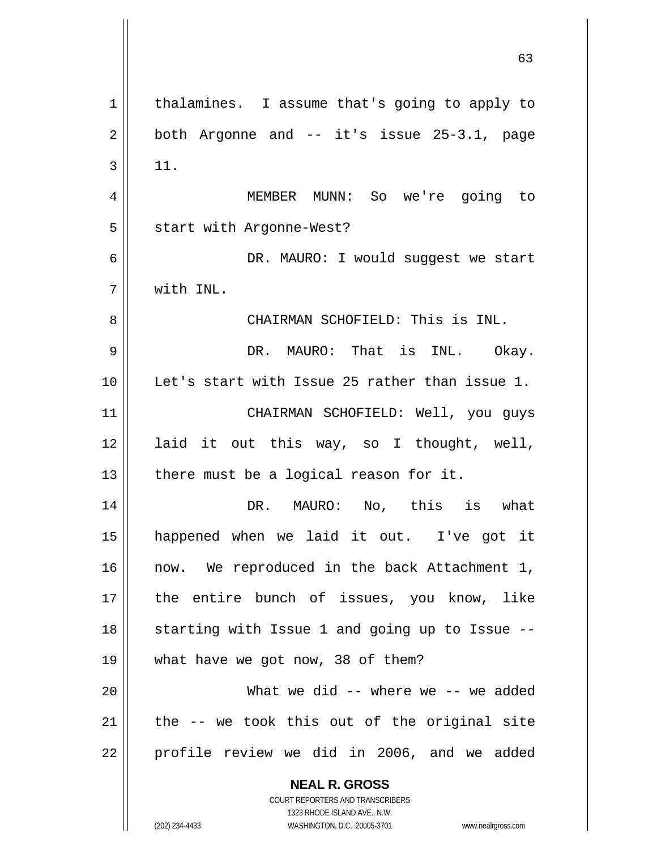**NEAL R. GROSS** COURT REPORTERS AND TRANSCRIBERS 1 2 3 4 5 6 7 8 9 10 11 12 13 14 15 16 17 18 19 20 21 22 thalamines. I assume that's going to apply to both Argonne and -- it's issue 25-3.1, page 11. MEMBER MUNN: So we're going to start with Argonne-West? DR. MAURO: I would suggest we start with INL. CHAIRMAN SCHOFIELD: This is INL. DR. MAURO: That is INL. Okay. Let's start with Issue 25 rather than issue 1. CHAIRMAN SCHOFIELD: Well, you guys laid it out this way, so I thought, well, there must be a logical reason for it. DR. MAURO: No, this is what happened when we laid it out. I've got it now. We reproduced in the back Attachment 1, the entire bunch of issues, you know, like starting with Issue 1 and going up to Issue - what have we got now, 38 of them? What we did -- where we -- we added the -- we took this out of the original site profile review we did in 2006, and we added

63

1323 RHODE ISLAND AVE., N.W.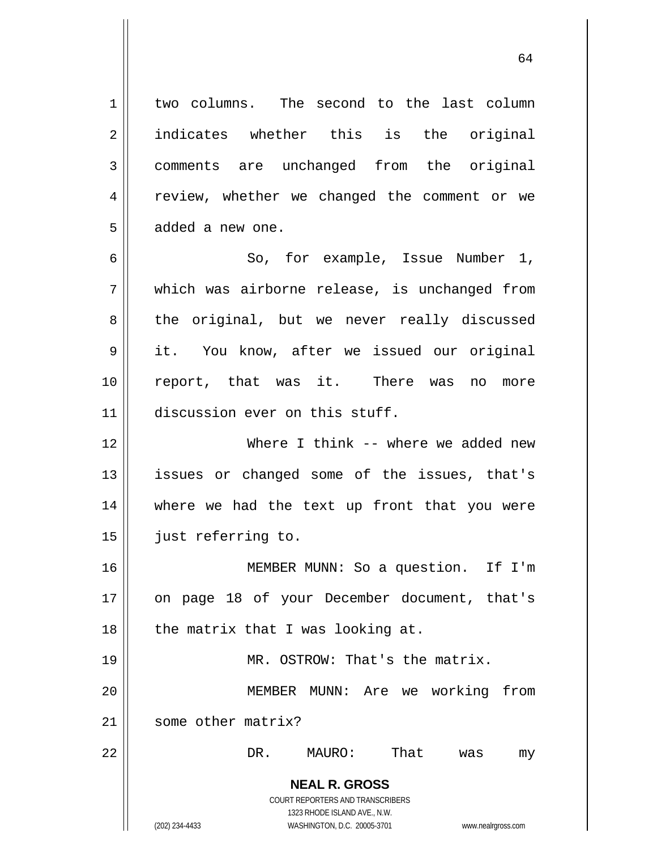**NEAL R. GROSS** COURT REPORTERS AND TRANSCRIBERS 1323 RHODE ISLAND AVE., N.W. 1 2 3 4 5 6 7 8 9 10 11 12 13 14 15 16 17 18 19 20 21 22 two columns. The second to the last column indicates whether this is the original comments are unchanged from the original review, whether we changed the comment or we added a new one. So, for example, Issue Number 1, which was airborne release, is unchanged from the original, but we never really discussed it. You know, after we issued our original report, that was it. There was no more discussion ever on this stuff. Where I think -- where we added new issues or changed some of the issues, that's where we had the text up front that you were just referring to. MEMBER MUNN: So a question. If I'm on page 18 of your December document, that's the matrix that I was looking at. MR. OSTROW: That's the matrix. MEMBER MUNN: Are we working from some other matrix? DR. MAURO: That was my

64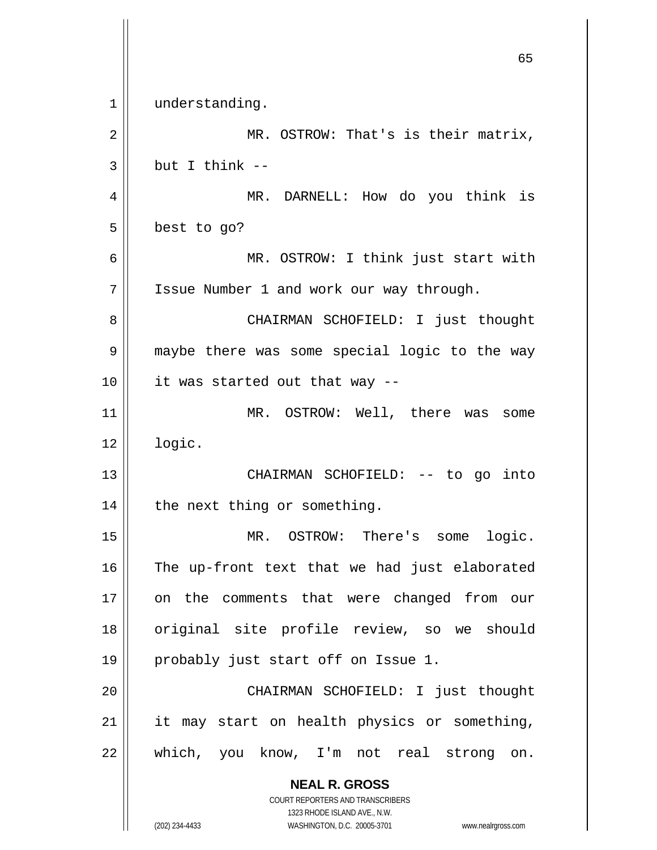**NEAL R. GROSS** COURT REPORTERS AND TRANSCRIBERS 1323 RHODE ISLAND AVE., N.W.  $\sim$  65 1 2 3 4 5 6 7 8 9 10 11 12 13 14 15 16 17 18 19 20 21 22 understanding. MR. OSTROW: That's is their matrix, but I think -- MR. DARNELL: How do you think is best to go? MR. OSTROW: I think just start with Issue Number 1 and work our way through. CHAIRMAN SCHOFIELD: I just thought maybe there was some special logic to the way it was started out that way -- MR. OSTROW: Well, there was some logic. CHAIRMAN SCHOFIELD: -- to go into the next thing or something. MR. OSTROW: There's some logic. The up-front text that we had just elaborated on the comments that were changed from our original site profile review, so we should probably just start off on Issue 1. CHAIRMAN SCHOFIELD: I just thought it may start on health physics or something, which, you know, I'm not real strong on.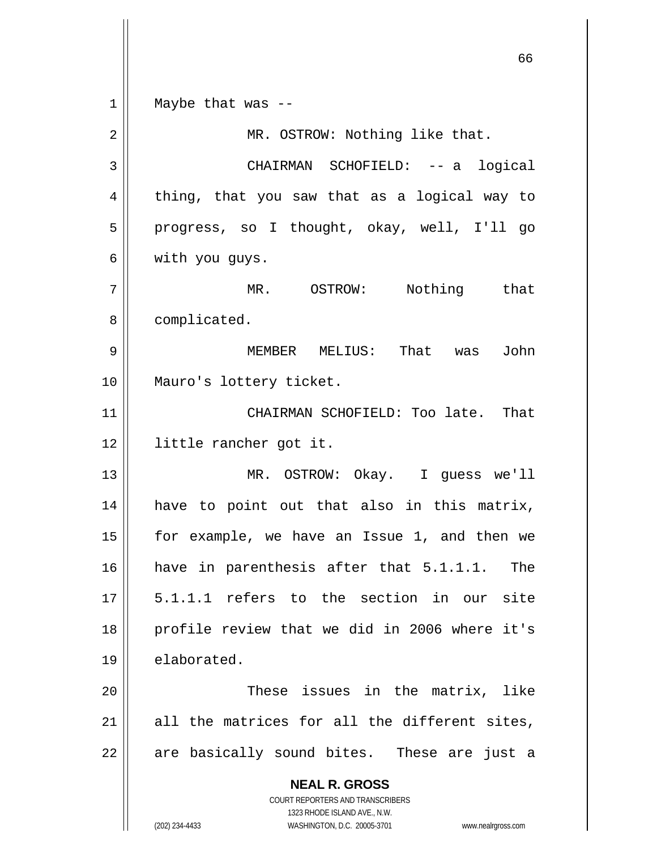**NEAL R. GROSS** COURT REPORTERS AND TRANSCRIBERS 1323 RHODE ISLAND AVE., N.W. (202) 234-4433 WASHINGTON, D.C. 20005-3701 www.nealrgross.com  $\sim$  66 1 2 3 4 5 6 7 8 9 10 11 12 13 14 15 16 17 18 19 20 21 22 Maybe that was -- MR. OSTROW: Nothing like that. CHAIRMAN SCHOFIELD: -- a logical thing, that you saw that as a logical way to progress, so I thought, okay, well, I'll go with you guys. MR. OSTROW: Nothing that complicated. MEMBER MELIUS: That was John Mauro's lottery ticket. CHAIRMAN SCHOFIELD: Too late. That little rancher got it. MR. OSTROW: Okay. I guess we'll have to point out that also in this matrix, for example, we have an Issue 1, and then we have in parenthesis after that 5.1.1.1. The 5.1.1.1 refers to the section in our site profile review that we did in 2006 where it's elaborated. These issues in the matrix, like all the matrices for all the different sites, are basically sound bites. These are just a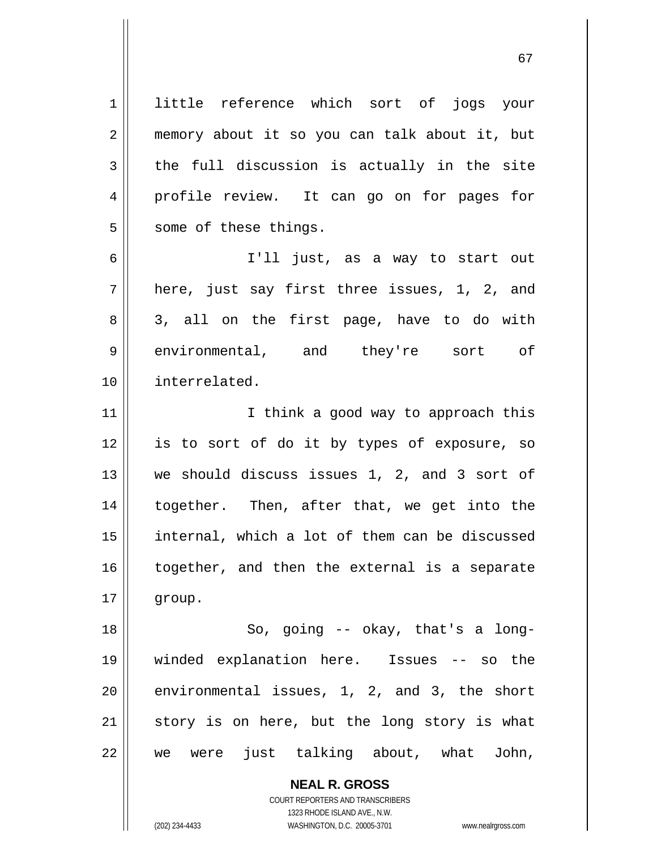1 2 3 4 5 6 7 8 9 little reference which sort of jogs your memory about it so you can talk about it, but the full discussion is actually in the site profile review. It can go on for pages for some of these things. I'll just, as a way to start out here, just say first three issues, 1, 2, and 3, all on the first page, have to do with environmental, and they're sort of

11 12 13 14 15 16 17 I think a good way to approach this is to sort of do it by types of exposure, so we should discuss issues 1, 2, and 3 sort of together. Then, after that, we get into the internal, which a lot of them can be discussed together, and then the external is a separate group.

18 19 20 21 22 So, going -- okay, that's a longwinded explanation here. Issues -- so the environmental issues, 1, 2, and 3, the short story is on here, but the long story is what we were just talking about, what John,

> **NEAL R. GROSS** COURT REPORTERS AND TRANSCRIBERS 1323 RHODE ISLAND AVE., N.W. (202) 234-4433 WASHINGTON, D.C. 20005-3701 www.nealrgross.com

10

interrelated.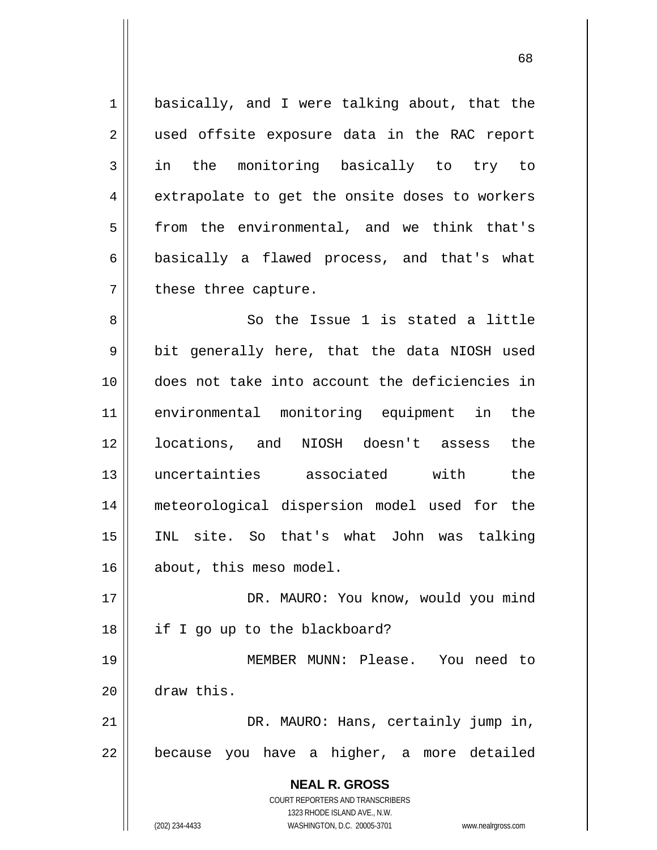1 2 3 4 5 6 7 basically, and I were talking about, that the used offsite exposure data in the RAC report in the monitoring basically to try to extrapolate to get the onsite doses to workers from the environmental, and we think that's basically a flawed process, and that's what these three capture. So the Issue 1 is stated a little

8 9 10 11 12 13 14 15 16 bit generally here, that the data NIOSH used does not take into account the deficiencies in environmental monitoring equipment in the locations, and NIOSH doesn't assess the uncertainties associated with the meteorological dispersion model used for the INL site. So that's what John was talking about, this meso model.

17 18 19 DR. MAURO: You know, would you mind if I go up to the blackboard? MEMBER MUNN: Please. You need to

draw this.

20

21 22 DR. MAURO: Hans, certainly jump in, because you have a higher, a more detailed

> **NEAL R. GROSS** COURT REPORTERS AND TRANSCRIBERS 1323 RHODE ISLAND AVE., N.W.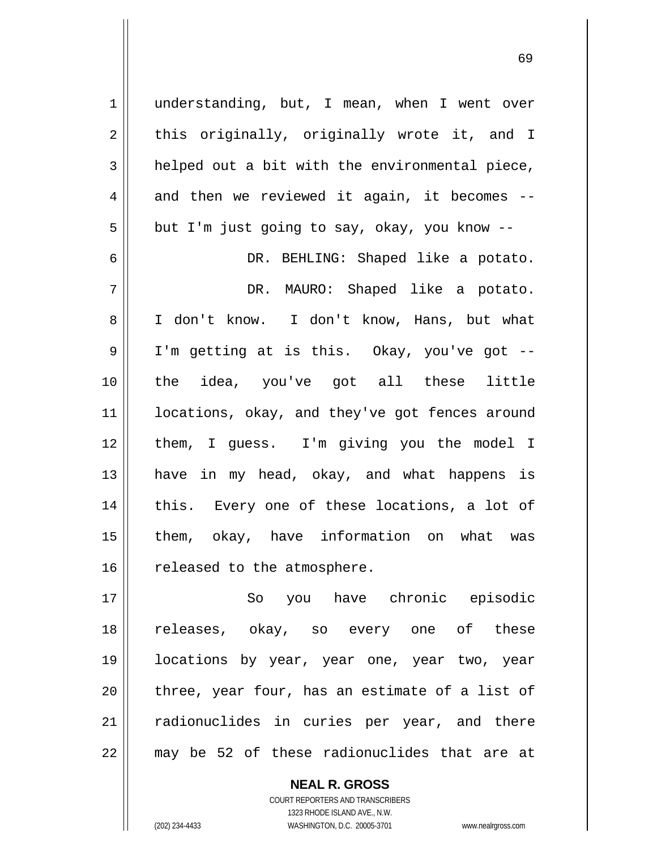1 2 3 4 5 6 7 8 9 10 11 12 13 14 15 16 17 18 understanding, but, I mean, when I went over this originally, originally wrote it, and I helped out a bit with the environmental piece, and then we reviewed it again, it becomes - but I'm just going to say, okay, you know -- DR. BEHLING: Shaped like a potato. DR. MAURO: Shaped like a potato. I don't know. I don't know, Hans, but what I'm getting at is this. Okay, you've got - the idea, you've got all these little locations, okay, and they've got fences around them, I guess. I'm giving you the model I have in my head, okay, and what happens is this. Every one of these locations, a lot of them, okay, have information on what was released to the atmosphere. So you have chronic episodic releases, okay, so every one of these

19 20 21 22 locations by year, year one, year two, year three, year four, has an estimate of a list of radionuclides in curies per year, and there may be 52 of these radionuclides that are at

> COURT REPORTERS AND TRANSCRIBERS 1323 RHODE ISLAND AVE., N.W. (202) 234-4433 WASHINGTON, D.C. 20005-3701 www.nealrgross.com

**NEAL R. GROSS**

 $\sim$  69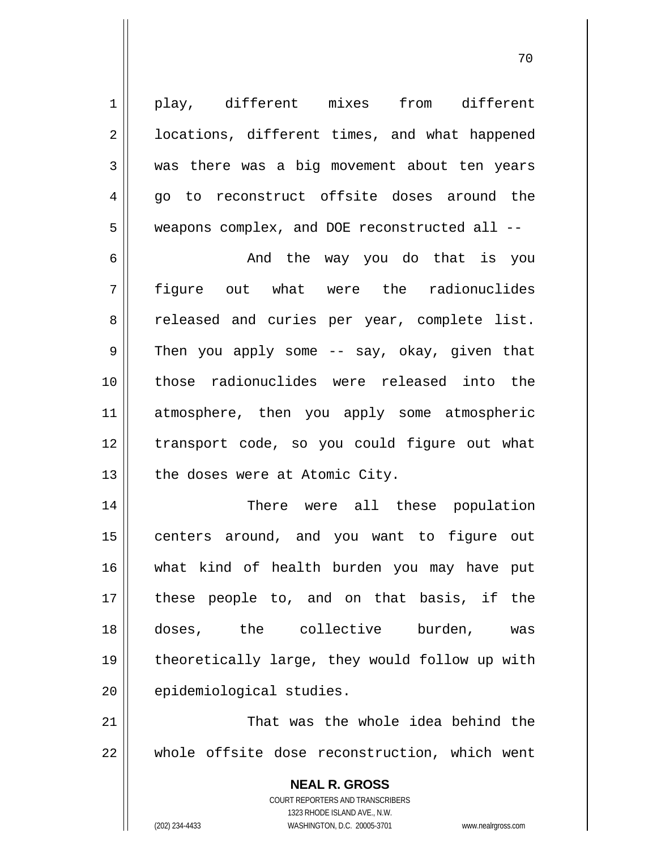play, different mixes from different locations, different times, and what happened was there was a big movement about ten years go to reconstruct offsite doses around the weapons complex, and DOE reconstructed all --

6 7 8 9 10 11 12 13 And the way you do that is you figure out what were the radionuclides released and curies per year, complete list. Then you apply some -- say, okay, given that those radionuclides were released into the atmosphere, then you apply some atmospheric transport code, so you could figure out what the doses were at Atomic City.

14 15 16 17 18 19 20 There were all these population centers around, and you want to figure out what kind of health burden you may have put these people to, and on that basis, if the doses, the collective burden, was theoretically large, they would follow up with epidemiological studies.

21 22 That was the whole idea behind the whole offsite dose reconstruction, which went

> **NEAL R. GROSS** COURT REPORTERS AND TRANSCRIBERS 1323 RHODE ISLAND AVE., N.W. (202) 234-4433 WASHINGTON, D.C. 20005-3701 www.nealrgross.com

1

2

3

4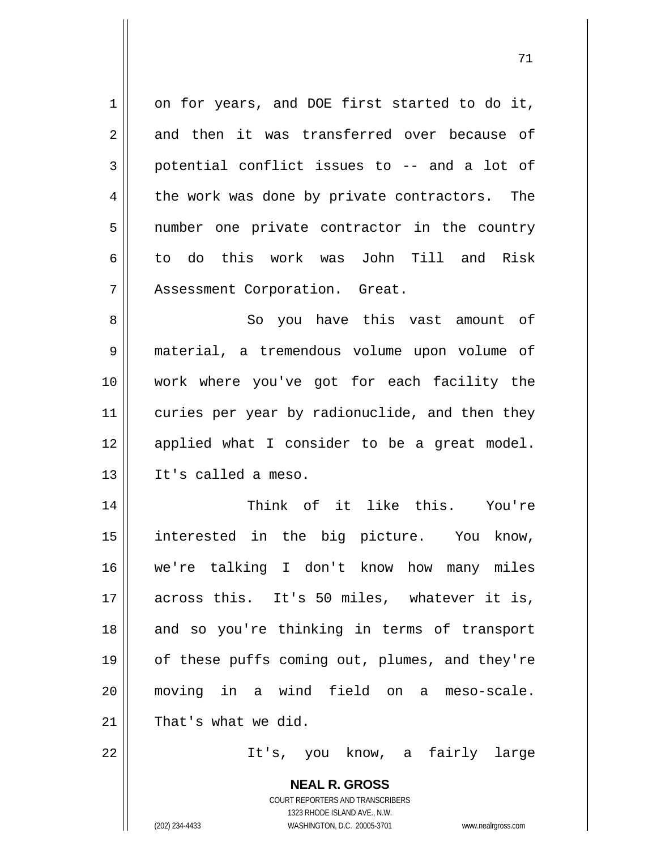1 2 3 4 5 6 7 8 9 10 on for years, and DOE first started to do it, and then it was transferred over because of potential conflict issues to -- and a lot of the work was done by private contractors. The number one private contractor in the country to do this work was John Till and Risk Assessment Corporation. Great. So you have this vast amount of material, a tremendous volume upon volume of work where you've got for each facility the

71

11 12 13 curies per year by radionuclide, and then they applied what I consider to be a great model. It's called a meso.

14 15 16 17 18 19 20 21 Think of it like this. You're interested in the big picture. You know, we're talking I don't know how many miles across this. It's 50 miles, whatever it is, and so you're thinking in terms of transport of these puffs coming out, plumes, and they're moving in a wind field on a meso-scale. That's what we did.

22

It's, you know, a fairly large

**NEAL R. GROSS** COURT REPORTERS AND TRANSCRIBERS 1323 RHODE ISLAND AVE., N.W. (202) 234-4433 WASHINGTON, D.C. 20005-3701 www.nealrgross.com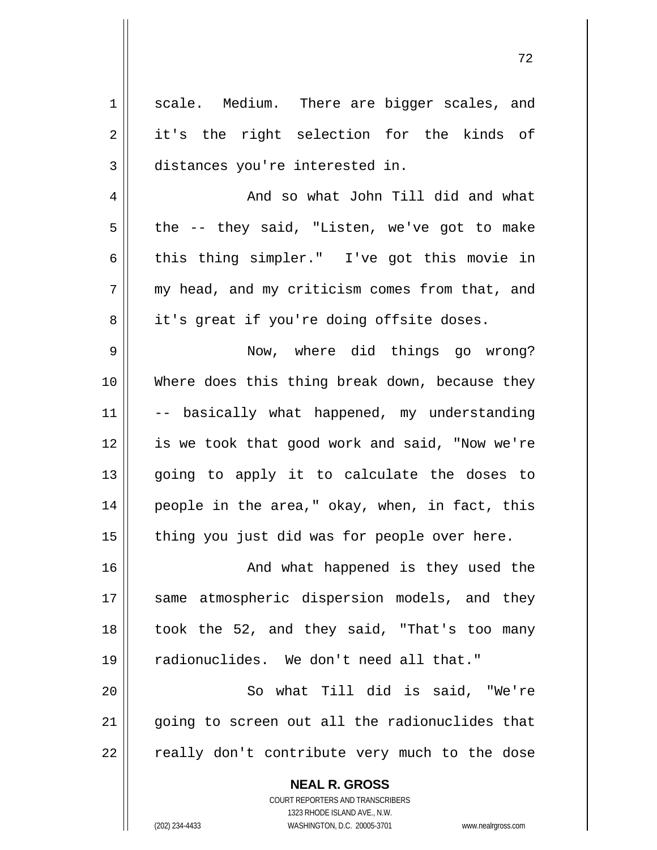1 2 3 4 5 6 7 8 9 10 11 12 13 14 15 16 17 18 19 20 21 22 scale. Medium. There are bigger scales, and it's the right selection for the kinds of distances you're interested in. And so what John Till did and what the -- they said, "Listen, we've got to make this thing simpler." I've got this movie in my head, and my criticism comes from that, and it's great if you're doing offsite doses. Now, where did things go wrong? Where does this thing break down, because they -- basically what happened, my understanding is we took that good work and said, "Now we're going to apply it to calculate the doses to people in the area," okay, when, in fact, this thing you just did was for people over here. And what happened is they used the same atmospheric dispersion models, and they took the 52, and they said, "That's too many radionuclides. We don't need all that." So what Till did is said, "We're going to screen out all the radionuclides that really don't contribute very much to the dose

72

COURT REPORTERS AND TRANSCRIBERS 1323 RHODE ISLAND AVE., N.W. (202) 234-4433 WASHINGTON, D.C. 20005-3701 www.nealrgross.com

**NEAL R. GROSS**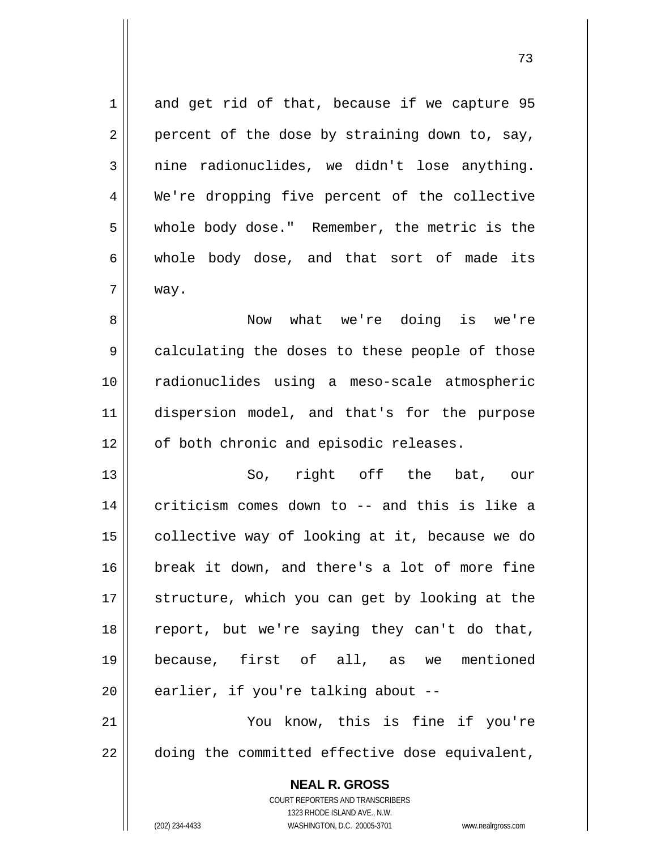**NEAL R. GROSS** COURT REPORTERS AND TRANSCRIBERS 1 2 3 4 5 6 7 8 9 10 11 12 13 14 15 16 17 18 19 20 21 22 and get rid of that, because if we capture 95 percent of the dose by straining down to, say, nine radionuclides, we didn't lose anything. We're dropping five percent of the collective whole body dose." Remember, the metric is the whole body dose, and that sort of made its way. Now what we're doing is we're calculating the doses to these people of those radionuclides using a meso-scale atmospheric dispersion model, and that's for the purpose of both chronic and episodic releases. So, right off the bat, our criticism comes down to -- and this is like a collective way of looking at it, because we do break it down, and there's a lot of more fine structure, which you can get by looking at the report, but we're saying they can't do that, because, first of all, as we mentioned earlier, if you're talking about -- You know, this is fine if you're doing the committed effective dose equivalent,

1323 RHODE ISLAND AVE., N.W.

(202) 234-4433 WASHINGTON, D.C. 20005-3701 www.nealrgross.com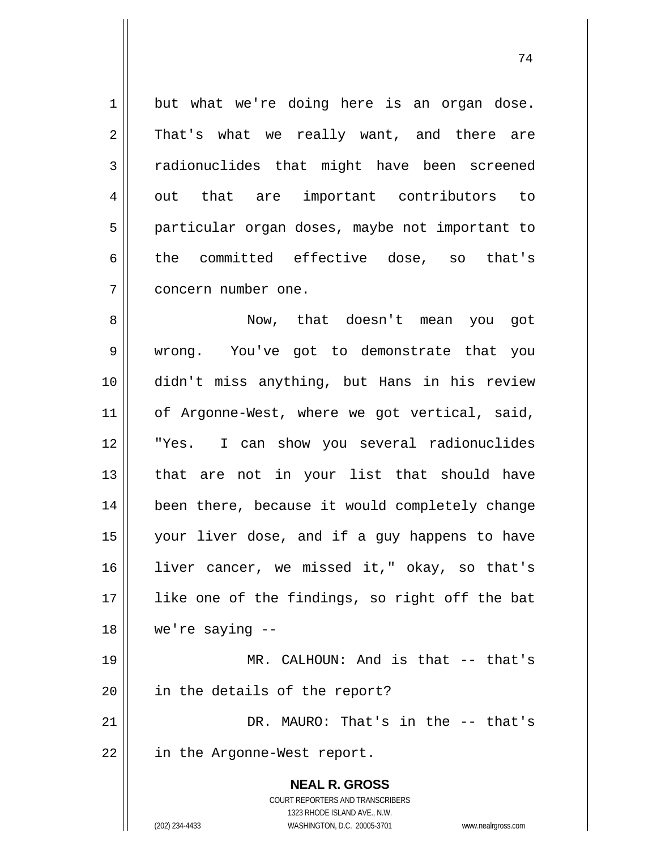1 2 3 4 5 6 7 8 but what we're doing here is an organ dose. That's what we really want, and there are radionuclides that might have been screened out that are important contributors to particular organ doses, maybe not important to the committed effective dose, so that's concern number one. Now, that doesn't mean you got wrong. You've got to demonstrate that you

9 10 11 12 13 14 15 16 17 18 didn't miss anything, but Hans in his review of Argonne-West, where we got vertical, said, "Yes. I can show you several radionuclides that are not in your list that should have been there, because it would completely change your liver dose, and if a guy happens to have liver cancer, we missed it," okay, so that's like one of the findings, so right off the bat we're saying --

19 20 MR. CALHOUN: And is that -- that's in the details of the report?

21 22 DR. MAURO: That's in the -- that's in the Argonne-West report.

> **NEAL R. GROSS** COURT REPORTERS AND TRANSCRIBERS 1323 RHODE ISLAND AVE., N.W.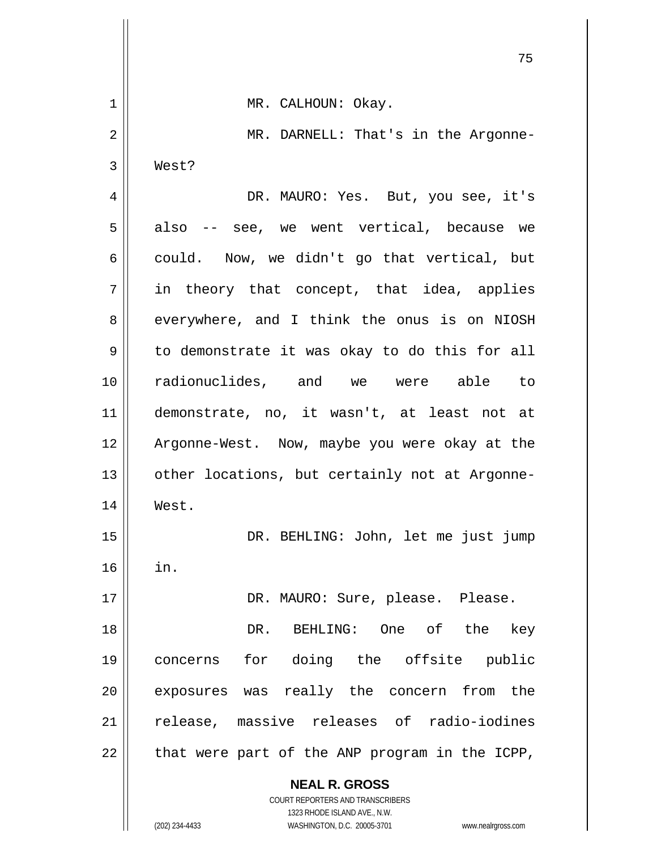|                | 75                                                                  |
|----------------|---------------------------------------------------------------------|
| $\mathbf 1$    | MR. CALHOUN: Okay.                                                  |
| $\overline{2}$ | MR. DARNELL: That's in the Argonne-                                 |
| 3              | West?                                                               |
| 4              | DR. MAURO: Yes. But, you see, it's                                  |
| 5              | also -- see, we went vertical, because we                           |
| 6              | could. Now, we didn't go that vertical, but                         |
| 7              | in theory that concept, that idea, applies                          |
| 8              | everywhere, and I think the onus is on NIOSH                        |
| 9              | to demonstrate it was okay to do this for all                       |
| 10             | radionuclides, and we were able to                                  |
| 11             | demonstrate, no, it wasn't, at least not at                         |
| 12             | Argonne-West. Now, maybe you were okay at the                       |
| 13             | other locations, but certainly not at Argonne-                      |
| 14             | West.                                                               |
| 15             | DR. BEHLING: John, let me just jump                                 |
| 16             | in.                                                                 |
| 17             | DR. MAURO: Sure, please. Please.                                    |
| 18             | BEHLING: One of the<br>DR.<br>key                                   |
| 19             | for doing the offsite public<br>concerns                            |
| 20             | exposures was really the concern from the                           |
| 21             | release, massive releases of radio-iodines                          |
| 22             | that were part of the ANP program in the ICPP,                      |
|                | <b>NEAL R. GROSS</b>                                                |
|                | COURT REPORTERS AND TRANSCRIBERS<br>1323 RHODE ISLAND AVE., N.W.    |
|                | (202) 234-4433<br>WASHINGTON, D.C. 20005-3701<br>www.nealrgross.com |

 $\overline{\phantom{a}}$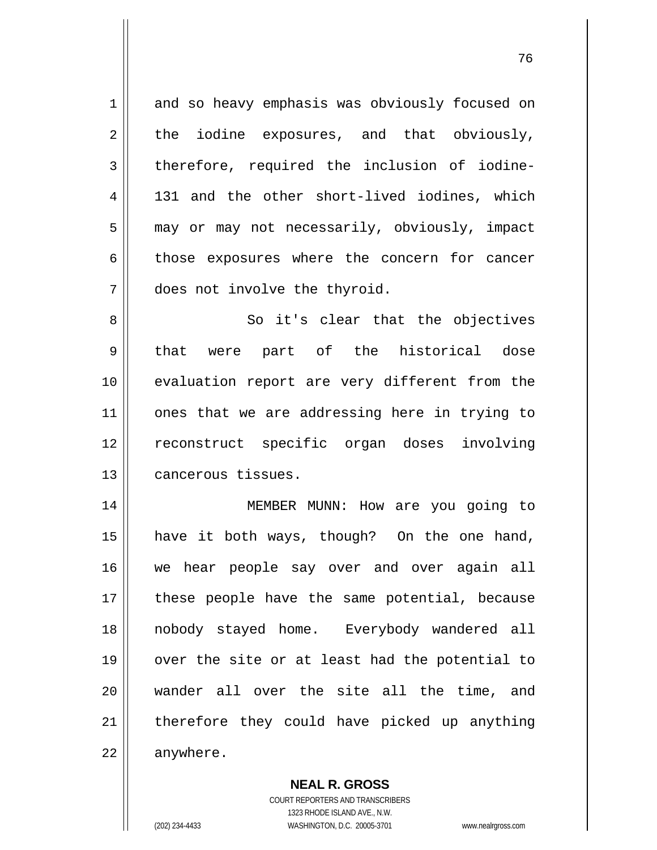1 2 3 4 5 6 7 8 9 10 11 12 13 14 15 16 17 18 19 and so heavy emphasis was obviously focused on the iodine exposures, and that obviously, therefore, required the inclusion of iodine-131 and the other short-lived iodines, which may or may not necessarily, obviously, impact those exposures where the concern for cancer does not involve the thyroid. So it's clear that the objectives that were part of the historical dose evaluation report are very different from the ones that we are addressing here in trying to reconstruct specific organ doses involving cancerous tissues. MEMBER MUNN: How are you going to have it both ways, though? On the one hand, we hear people say over and over again all these people have the same potential, because nobody stayed home. Everybody wandered all over the site or at least had the potential to

21 22 therefore they could have picked up anything anywhere.

wander all over the site all the time, and

**NEAL R. GROSS** COURT REPORTERS AND TRANSCRIBERS 1323 RHODE ISLAND AVE., N.W. (202) 234-4433 WASHINGTON, D.C. 20005-3701 www.nealrgross.com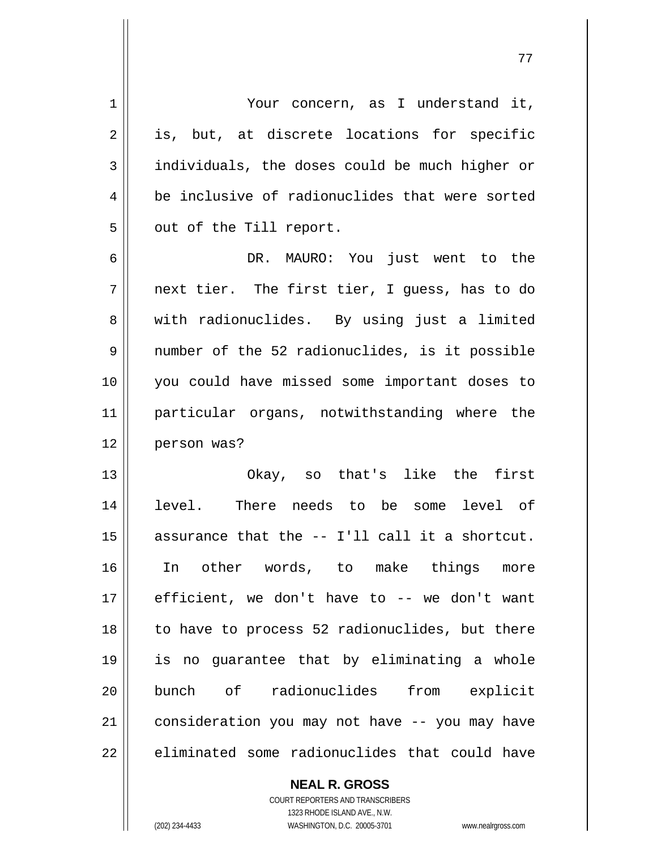| $\mathbf 1$ | Your concern, as I understand it,              |
|-------------|------------------------------------------------|
| 2           | is, but, at discrete locations for specific    |
| 3           | individuals, the doses could be much higher or |
| 4           | be inclusive of radionuclides that were sorted |
| 5           | out of the Till report.                        |
| 6           | DR. MAURO: You just went to the                |
| 7           | next tier. The first tier, I guess, has to do  |
| 8           | with radionuclides. By using just a limited    |
| 9           | number of the 52 radionuclides, is it possible |
| 10          | you could have missed some important doses to  |
| 11          | particular organs, notwithstanding where the   |
| 12          | person was?                                    |
| 13          | Okay, so that's like the<br>first              |
| 14          | There needs to be some level of<br>level.      |
| 15          | assurance that the -- I'll call it a shortcut. |
| 16          | In other words, to make things more            |
| 17          | efficient, we don't have to -- we don't want   |
| 18          | to have to process 52 radionuclides, but there |
| 19          | is no guarantee that by eliminating a whole    |
| 20          | bunch of radionuclides<br>from explicit        |
| 21          | consideration you may not have -- you may have |
| 22          | eliminated some radionuclides that could have  |

77

**NEAL R. GROSS** COURT REPORTERS AND TRANSCRIBERS

1323 RHODE ISLAND AVE., N.W.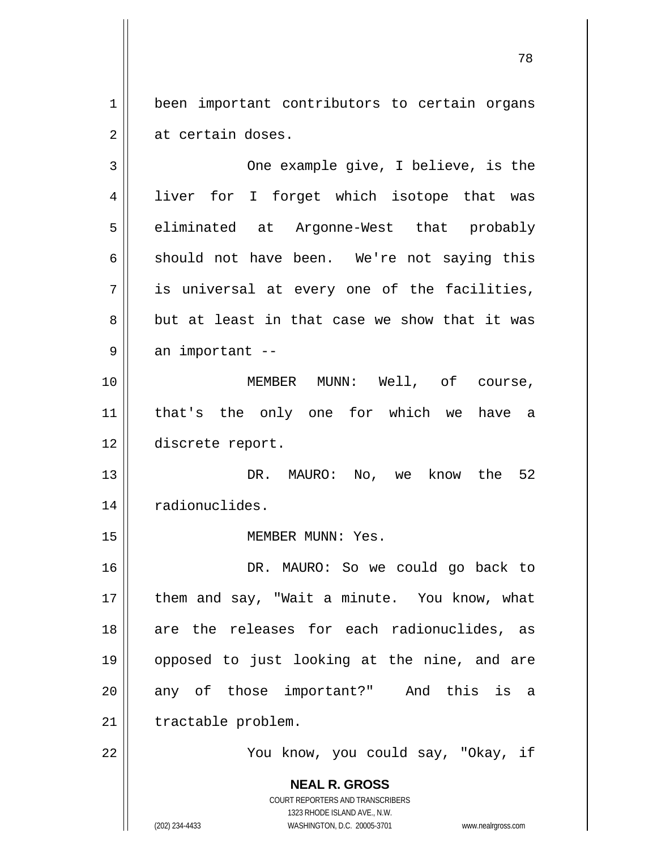1 2 been important contributors to certain organs at certain doses.

3 4 5 6 7 8 9 10 11 12 13 14 15 16 17 18 19 20 21 22 One example give, I believe, is the liver for I forget which isotope that was eliminated at Argonne-West that probably should not have been. We're not saying this is universal at every one of the facilities, but at least in that case we show that it was an important -- MEMBER MUNN: Well, of course, that's the only one for which we have a discrete report. DR. MAURO: No, we know the 52 radionuclides. MEMBER MUNN: Yes. DR. MAURO: So we could go back to them and say, "Wait a minute. You know, what are the releases for each radionuclides, as opposed to just looking at the nine, and are any of those important?" And this is a tractable problem. You know, you could say, "Okay, if

> **NEAL R. GROSS** COURT REPORTERS AND TRANSCRIBERS 1323 RHODE ISLAND AVE., N.W.

(202) 234-4433 WASHINGTON, D.C. 20005-3701 www.nealrgross.com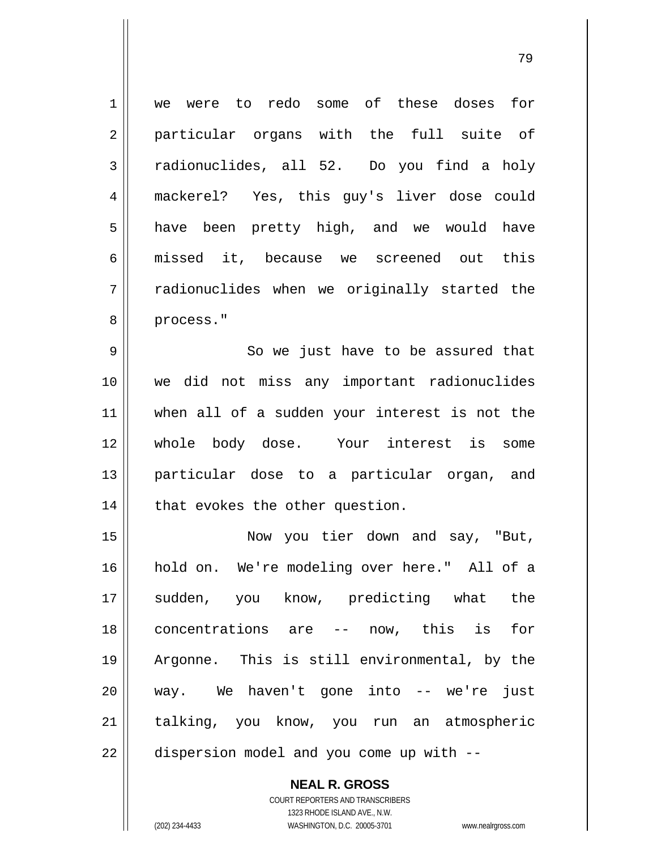1 2 3 4 5 6 7 8 we were to redo some of these doses for particular organs with the full suite of radionuclides, all 52. Do you find a holy mackerel? Yes, this guy's liver dose could have been pretty high, and we would have missed it, because we screened out this radionuclides when we originally started the process."

9 10 11 12 13 14 So we just have to be assured that we did not miss any important radionuclides when all of a sudden your interest is not the whole body dose. Your interest is some particular dose to a particular organ, and that evokes the other question.

15 16 17 18 19 20 21 22 Now you tier down and say, "But, hold on. We're modeling over here." All of a sudden, you know, predicting what the concentrations are -- now, this is for Argonne. This is still environmental, by the way. We haven't gone into -- we're just talking, you know, you run an atmospheric dispersion model and you come up with --

> **NEAL R. GROSS** COURT REPORTERS AND TRANSCRIBERS 1323 RHODE ISLAND AVE., N.W. (202) 234-4433 WASHINGTON, D.C. 20005-3701 www.nealrgross.com

ли в село в село во село во село во 1992 година, во 1992 година, во 1992 година, во 1993 година, во 1993 годин<br>Во 1993 година, во 1993 година, во 1993 година, во 1993 година, во 1993 година, во 1993 година, во 1993 година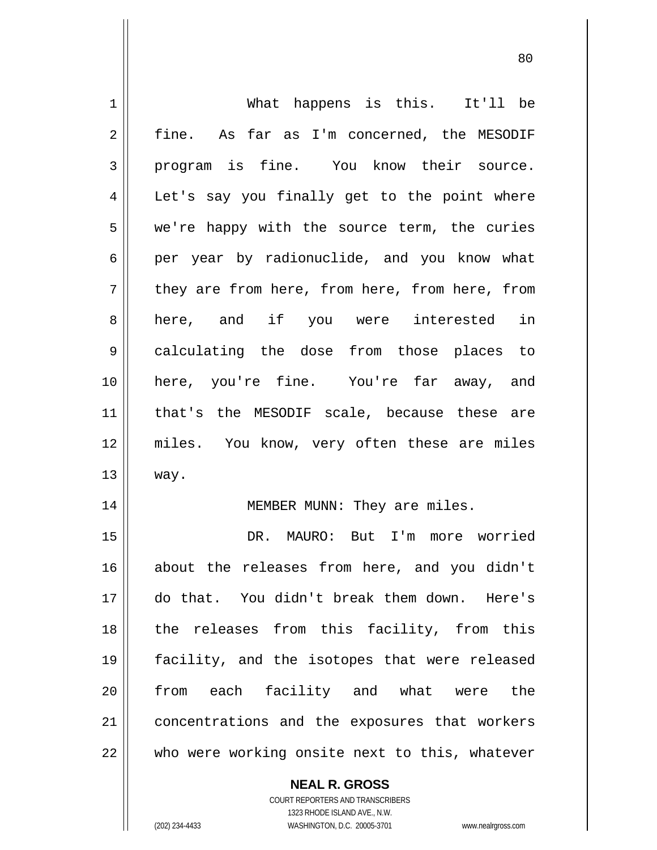| 1              | What happens is this. It'll be                 |
|----------------|------------------------------------------------|
| $\overline{2}$ | fine. As far as I'm concerned, the MESODIF     |
| 3              | program is fine. You know their source.        |
| 4              | Let's say you finally get to the point where   |
| 5              | we're happy with the source term, the curies   |
| 6              | per year by radionuclide, and you know what    |
| 7              | they are from here, from here, from here, from |
| 8              | here, and if you were interested in            |
| $\mathsf 9$    | calculating the dose from those places to      |
| 10             | here, you're fine. You're far away, and        |
| 11             | that's the MESODIF scale, because these are    |
| 12             | miles. You know, very often these are miles    |
| 13             | way.                                           |
| 14             | MEMBER MUNN: They are miles.                   |
| 15             | DR. MAURO: But I'm<br>more worried             |
| 16             | about the releases from here, and you didn't   |
| 17             | do that. You didn't break them down. Here's    |
| 18             | the releases from this facility, from this     |
| 19             | facility, and the isotopes that were released  |
| 20             | from each facility and what were the           |
| 21             | concentrations and the exposures that workers  |
| 22             | who were working onsite next to this, whatever |
|                | <b>NEAL R. GROSS</b>                           |

en and the state of the state of the state of the state of the state of the state of the state of the state of

COURT REPORTERS AND TRANSCRIBERS 1323 RHODE ISLAND AVE., N.W.

 $\mathbf{I}$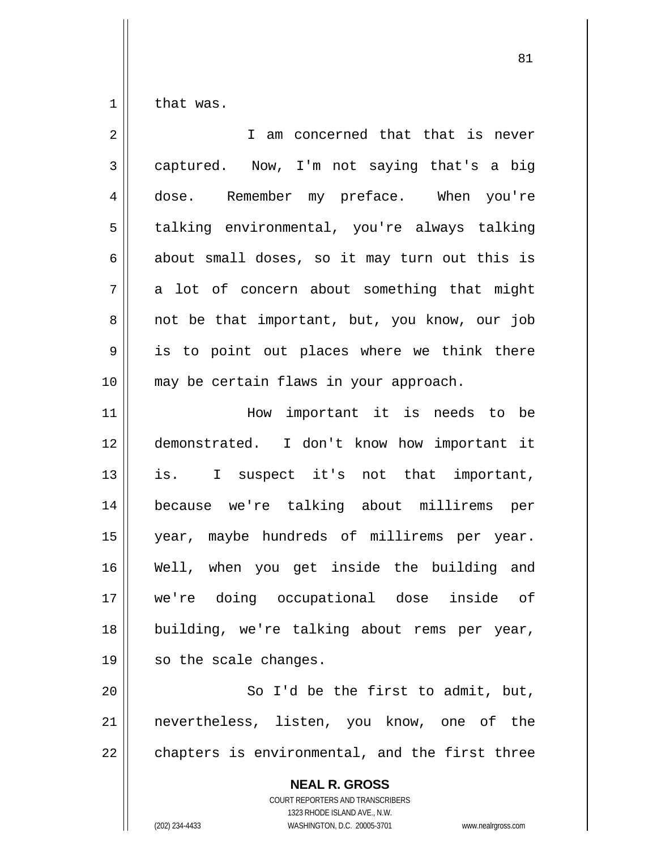1 that was.

| $\overline{2}$ | I am concerned that that is never                        |
|----------------|----------------------------------------------------------|
| 3              | captured. Now, I'm not saying that's a big               |
| $\overline{4}$ | dose. Remember my preface. When you're                   |
| 5              | talking environmental, you're always talking             |
| 6              | about small doses, so it may turn out this is            |
| 7              | a lot of concern about something that might              |
| 8              | not be that important, but, you know, our job            |
| 9              | is to point out places where we think there              |
| 10             | may be certain flaws in your approach.                   |
| 11             | How important it is needs to be                          |
| 12             | demonstrated. I don't know how important it              |
| 13             | is. I suspect it's not that important,                   |
| 14             | because we're talking about millirems per                |
| 15             | year, maybe hundreds of millirems per year.              |
| 16             | Well, when you get inside the building and               |
| 17             | we're doing occupational dose<br>inside of               |
| 18             | building, we're talking about rems per year,             |
| 19             | so the scale changes.                                    |
| 20             | So I'd be the first to admit, but,                       |
| 21             | nevertheless, listen, you know, one of the               |
| 22             | chapters is environmental, and the first three           |
|                | <b>NEAL R. GROSS</b><br>COURT REPORTERS AND TRANSCRIBERS |

1323 RHODE ISLAND AVE., N.W.

 $\prod$ 

(202) 234-4433 WASHINGTON, D.C. 20005-3701 www.nealrgross.com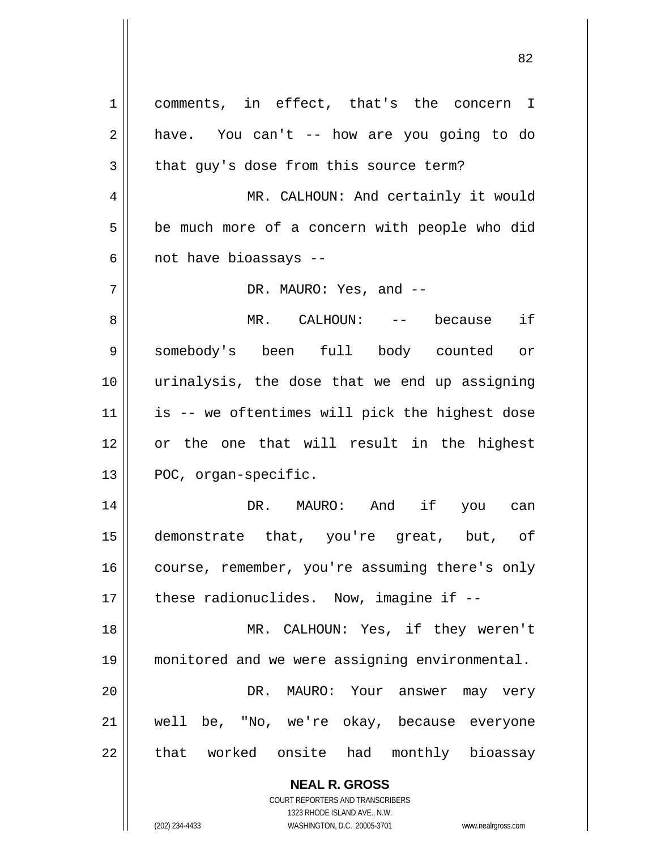| 1  | comments, in effect, that's the concern I                           |
|----|---------------------------------------------------------------------|
| 2  | have. You can't -- how are you going to do                          |
| 3  | that guy's dose from this source term?                              |
| 4  | MR. CALHOUN: And certainly it would                                 |
| 5  | be much more of a concern with people who did                       |
| 6  | not have bioassays --                                               |
| 7  | DR. MAURO: Yes, and --                                              |
| 8  | MR. CALHOUN: -- because if                                          |
| 9  | somebody's been full body counted<br>$\circ r$                      |
| 10 | urinalysis, the dose that we end up assigning                       |
| 11 | is -- we oftentimes will pick the highest dose                      |
| 12 | or the one that will result in the highest                          |
| 13 | POC, organ-specific.                                                |
| 14 | DR. MAURO: And if you can                                           |
| 15 | demonstrate that, you're great, but, of                             |
| 16 | course, remember, you're assuming there's only                      |
| 17 | these radionuclides. Now, imagine if --                             |
| 18 | MR. CALHOUN: Yes, if they weren't                                   |
|    |                                                                     |
| 19 | monitored and we were assigning environmental.                      |
| 20 | DR. MAURO: Your answer may very                                     |
| 21 | well be, "No, we're okay, because everyone                          |
| 22 | that worked onsite had monthly bioassay                             |
|    | <b>NEAL R. GROSS</b>                                                |
|    | COURT REPORTERS AND TRANSCRIBERS                                    |
|    | 1323 RHODE ISLAND AVE., N.W.                                        |
|    | (202) 234-4433<br>WASHINGTON, D.C. 20005-3701<br>www.nealrgross.com |

<u>82</u>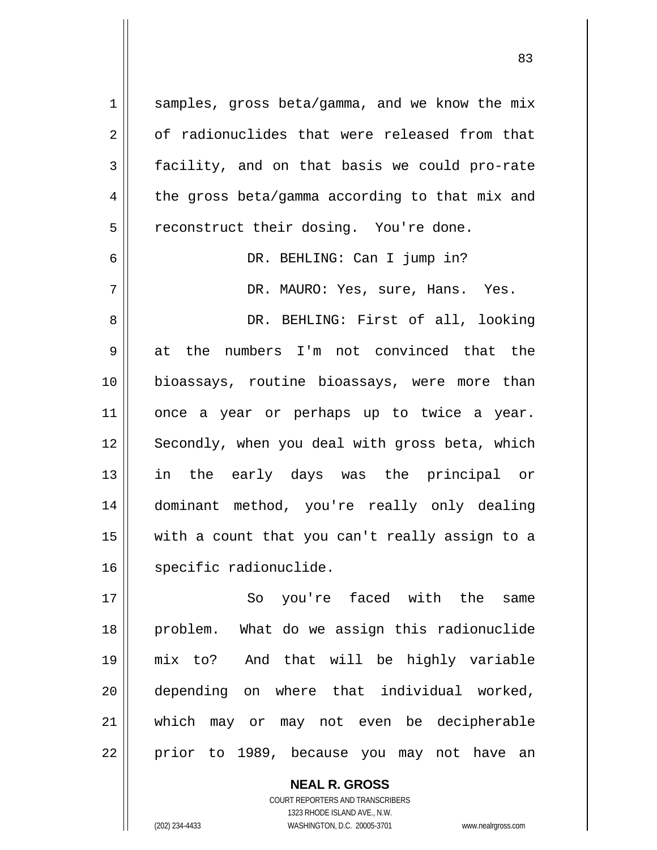1 2 3 4 5 6 7 8 9 10 samples, gross beta/gamma, and we know the mix of radionuclides that were released from that facility, and on that basis we could pro-rate the gross beta/gamma according to that mix and reconstruct their dosing. You're done. DR. BEHLING: Can I jump in? DR. MAURO: Yes, sure, Hans. Yes. DR. BEHLING: First of all, looking at the numbers I'm not convinced that the bioassays, routine bioassays, were more than

11 12 13 14 15 16 once a year or perhaps up to twice a year. Secondly, when you deal with gross beta, which in the early days was the principal or dominant method, you're really only dealing with a count that you can't really assign to a specific radionuclide.

17 18 19 20 21 22 So you're faced with the same problem. What do we assign this radionuclide mix to? And that will be highly variable depending on where that individual worked, which may or may not even be decipherable prior to 1989, because you may not have an

> COURT REPORTERS AND TRANSCRIBERS 1323 RHODE ISLAND AVE., N.W. (202) 234-4433 WASHINGTON, D.C. 20005-3701 www.nealrgross.com

**NEAL R. GROSS**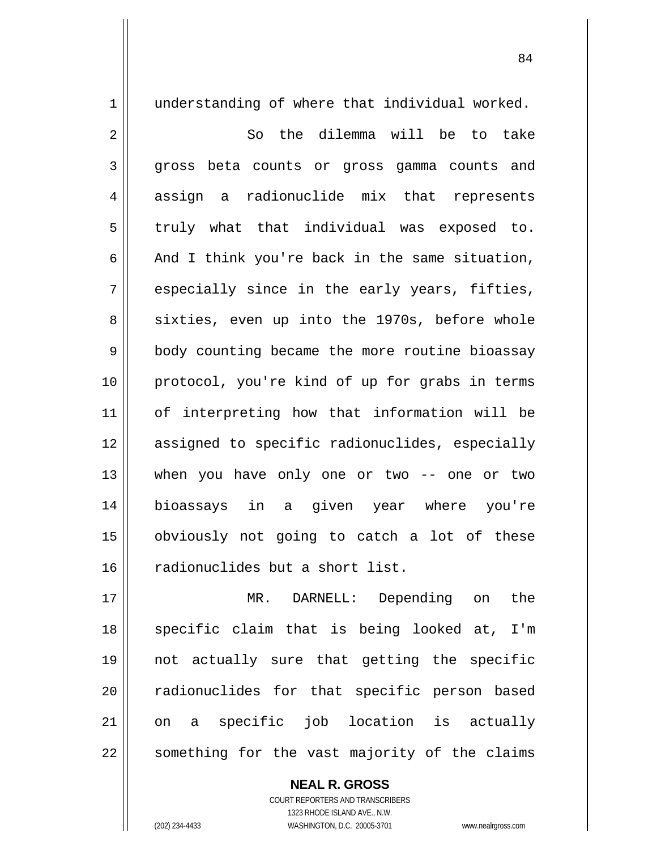1 2 3 4 5 6 7 8 9 10 11 12 13 14 15 16 understanding of where that individual worked. So the dilemma will be to take gross beta counts or gross gamma counts and assign a radionuclide mix that represents truly what that individual was exposed to. And I think you're back in the same situation, especially since in the early years, fifties, sixties, even up into the 1970s, before whole body counting became the more routine bioassay protocol, you're kind of up for grabs in terms of interpreting how that information will be assigned to specific radionuclides, especially when you have only one or two -- one or two bioassays in a given year where you're obviously not going to catch a lot of these radionuclides but a short list.

17 18 19 20 21 22 MR. DARNELL: Depending on the specific claim that is being looked at, I'm not actually sure that getting the specific radionuclides for that specific person based on a specific job location is actually something for the vast majority of the claims

> COURT REPORTERS AND TRANSCRIBERS 1323 RHODE ISLAND AVE., N.W. (202) 234-4433 WASHINGTON, D.C. 20005-3701 www.nealrgross.com

**NEAL R. GROSS**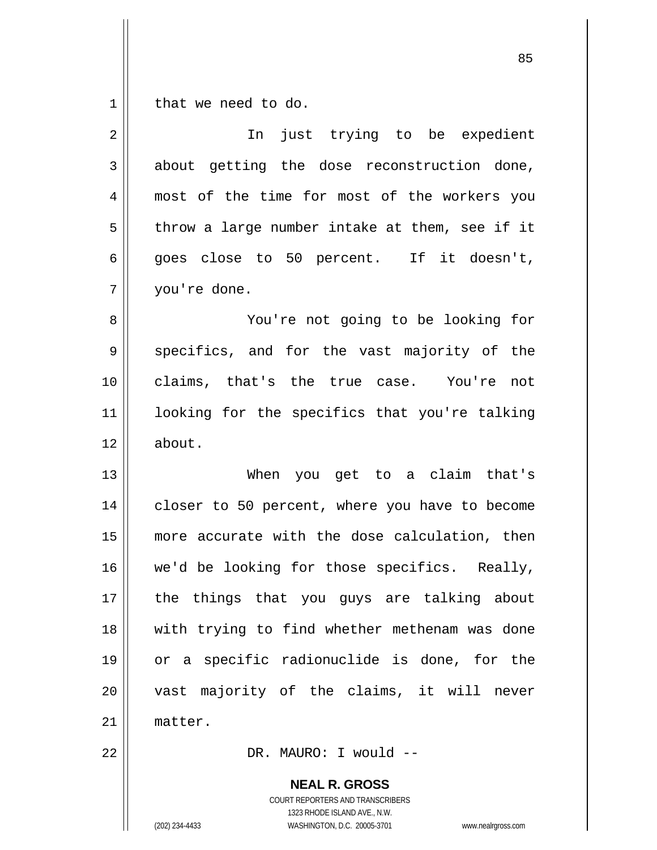$\begin{array}{c|c|c|c} 1 & 1 \end{array}$ that we need to do.

| 2  | In just trying to be expedient                 |
|----|------------------------------------------------|
| 3  | about getting the dose reconstruction done,    |
| 4  | most of the time for most of the workers you   |
| 5  | throw a large number intake at them, see if it |
| 6  | goes close to 50 percent. If it doesn't,       |
| 7  | you're done.                                   |
| 8  | You're not going to be looking for             |
| 9  | specifics, and for the vast majority of the    |
| 10 | claims, that's the true case. You're not       |
| 11 | looking for the specifics that you're talking  |
| 12 | about.                                         |
| 13 | When you get to a claim that's                 |
| 14 | closer to 50 percent, where you have to become |
| 15 | more accurate with the dose calculation, then  |
| 16 | we'd be looking for those specifics. Really,   |
| 17 | the things that you guys are talking about     |
| 18 | with trying to find whether methenam was done  |
| 19 | or a specific radionuclide is done, for the    |
| 20 | vast majority of the claims, it will never     |
| 21 | matter.                                        |
| 22 | DR. MAURO: I would --                          |
|    | <b>NEAL R. GROSS</b>                           |

COURT REPORTERS AND TRANSCRIBERS 1323 RHODE ISLAND AVE., N.W.

(202) 234-4433 WASHINGTON, D.C. 20005-3701 www.nealrgross.com

<u>85 and 2001 and 2001 and 2001 and 2001 and 2001 and 2001 and 2001 and 2001 and 2001 and 2001 and 2001 and 200</u>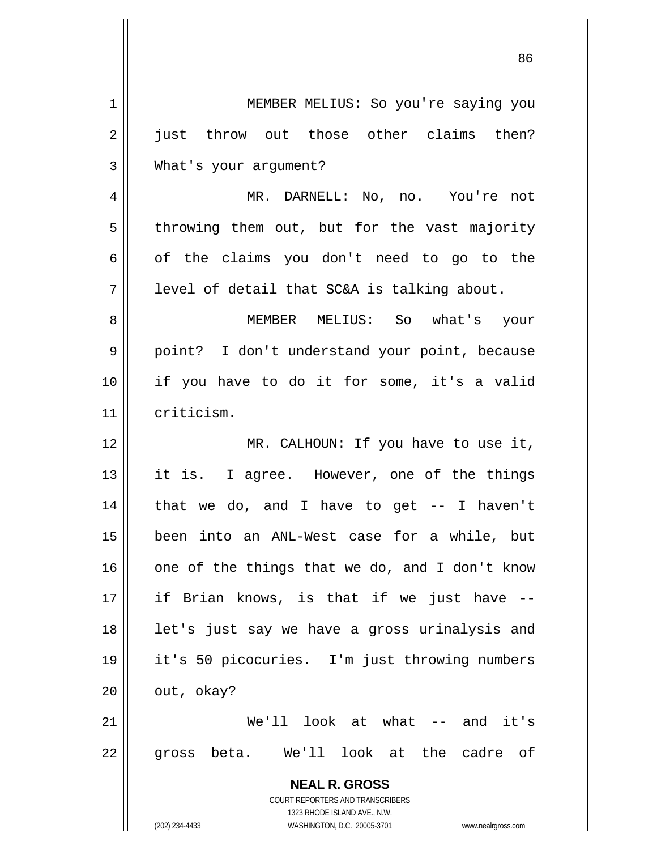| 1  | MEMBER MELIUS: So you're saying you                                                                 |
|----|-----------------------------------------------------------------------------------------------------|
| 2  | just throw out those other claims then?                                                             |
| 3  | What's your argument?                                                                               |
| 4  | MR. DARNELL: No, no. You're not                                                                     |
| 5  | throwing them out, but for the vast majority                                                        |
| 6  | of the claims you don't need to go to the                                                           |
| 7  | level of detail that SC&A is talking about.                                                         |
| 8  | MEMBER MELIUS: So what's your                                                                       |
| 9  | point? I don't understand your point, because                                                       |
| 10 | if you have to do it for some, it's a valid                                                         |
| 11 | criticism.                                                                                          |
| 12 | MR. CALHOUN: If you have to use it,                                                                 |
| 13 | it is. I agree. However, one of the things                                                          |
| 14 | that we do, and I have to get $-$ - I haven't                                                       |
| 15 | been into an ANL-West case for a while, but                                                         |
| 16 | one of the things that we do, and I don't know                                                      |
| 17 | if Brian knows, is that if we just have --                                                          |
| 18 | let's just say we have a gross urinalysis and                                                       |
| 19 | it's 50 picocuries. I'm just throwing numbers                                                       |
| 20 | out, okay?                                                                                          |
| 21 | We'll look at what $--$ and it's                                                                    |
| 22 | gross beta. We'll look at the cadre of                                                              |
|    | <b>NEAL R. GROSS</b>                                                                                |
|    | <b>COURT REPORTERS AND TRANSCRIBERS</b>                                                             |
|    | 1323 RHODE ISLAND AVE., N.W.<br>(202) 234-4433<br>WASHINGTON, D.C. 20005-3701<br>www.nealrgross.com |

 $\overline{\mathsf{I}}$ 

 $\mathsf{II}$ 

<u>86 and 2001 and 2002 and 2003 and 2003 and 2003 and 2003 and 2003 and 2003 and 2003 and 2003 and 2003 and 200</u>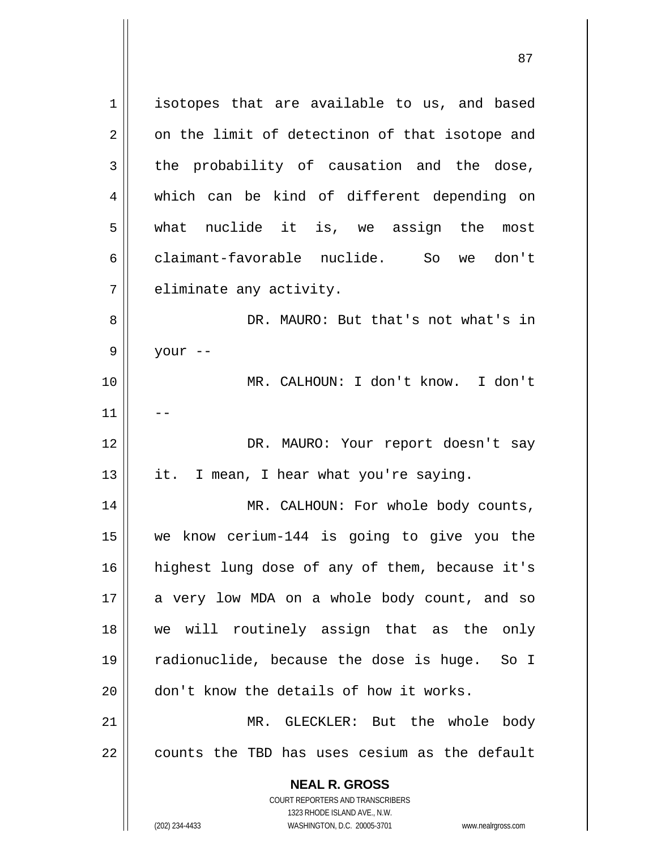**NEAL R. GROSS** COURT REPORTERS AND TRANSCRIBERS 1323 RHODE ISLAND AVE., N.W. 1 2 3 4 5 6 7 8 9 10 11 12 13 14 15 16 17 18 19 20 21 22 isotopes that are available to us, and based on the limit of detectinon of that isotope and the probability of causation and the dose, which can be kind of different depending on what nuclide it is, we assign the most claimant-favorable nuclide. So we don't eliminate any activity. DR. MAURO: But that's not what's in your -- MR. CALHOUN: I don't know. I don't -- DR. MAURO: Your report doesn't say it. I mean, I hear what you're saying. MR. CALHOUN: For whole body counts, we know cerium-144 is going to give you the highest lung dose of any of them, because it's a very low MDA on a whole body count, and so we will routinely assign that as the only radionuclide, because the dose is huge. So I don't know the details of how it works. MR. GLECKLER: But the whole body counts the TBD has uses cesium as the default

<u>87 and 2014 and 2014 and 2014 and 2014 and 2014 and 2014 and 2014 and 2014 and 2014 and 2014 and 2014 and 201</u>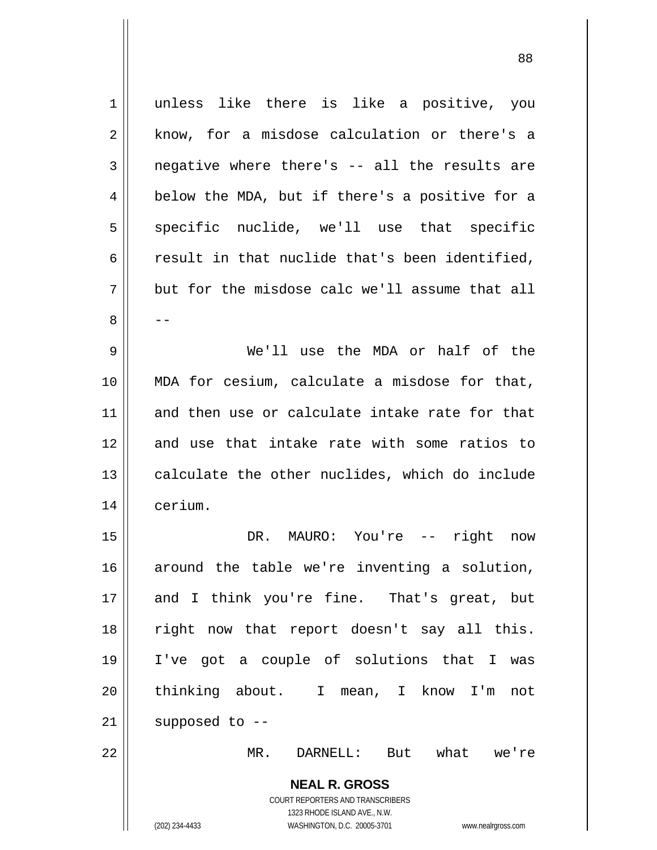**NEAL R. GROSS** COURT REPORTERS AND TRANSCRIBERS 1323 RHODE ISLAND AVE., N.W. (202) 234-4433 WASHINGTON, D.C. 20005-3701 www.nealrgross.com 1 2 3 4 5 6 7 8 9 10 11 12 13 14 15 16 17 18 19 20 21 22 unless like there is like a positive, you know, for a misdose calculation or there's a negative where there's -- all the results are below the MDA, but if there's a positive for a specific nuclide, we'll use that specific result in that nuclide that's been identified, but for the misdose calc we'll assume that all -- We'll use the MDA or half of the MDA for cesium, calculate a misdose for that, and then use or calculate intake rate for that and use that intake rate with some ratios to calculate the other nuclides, which do include cerium. DR. MAURO: You're -- right now around the table we're inventing a solution, and I think you're fine. That's great, but right now that report doesn't say all this. I've got a couple of solutions that I was thinking about. I mean, I know I'm not supposed to -- MR. DARNELL: But what we're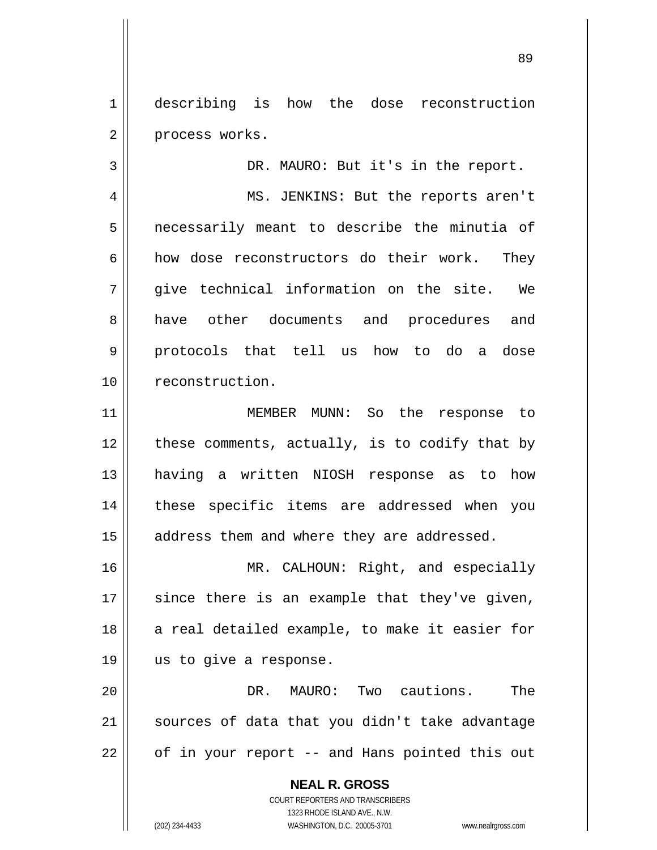1 2 describing is how the dose reconstruction process works.

DR. MAURO: But it's in the report.

4 5 6 7 8 9 10 MS. JENKINS: But the reports aren't necessarily meant to describe the minutia of how dose reconstructors do their work. They give technical information on the site. We have other documents and procedures and protocols that tell us how to do a dose reconstruction.

11 12 13 14 15 MEMBER MUNN: So the response to these comments, actually, is to codify that by having a written NIOSH response as to how these specific items are addressed when you address them and where they are addressed.

16 17 18 19 MR. CALHOUN: Right, and especially since there is an example that they've given, a real detailed example, to make it easier for us to give a response.

20 21 22 DR. MAURO: Two cautions. The sources of data that you didn't take advantage of in your report -- and Hans pointed this out

> **NEAL R. GROSS** COURT REPORTERS AND TRANSCRIBERS 1323 RHODE ISLAND AVE., N.W. (202) 234-4433 WASHINGTON, D.C. 20005-3701 www.nealrgross.com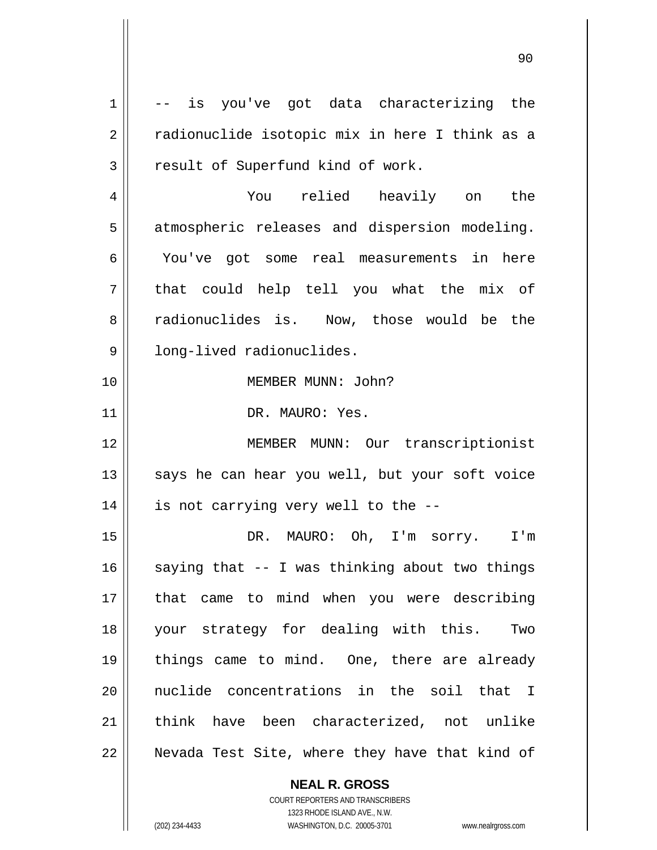1 2 3 4 5 6 7 8 9 10 11 12 13 14 15 16 17 18 19 20 21 22 -- is you've got data characterizing the radionuclide isotopic mix in here I think as a result of Superfund kind of work. You relied heavily on the atmospheric releases and dispersion modeling. You've got some real measurements in here that could help tell you what the mix of radionuclides is. Now, those would be the long-lived radionuclides. MEMBER MUNN: John? DR. MAURO: Yes. MEMBER MUNN: Our transcriptionist says he can hear you well, but your soft voice is not carrying very well to the -- DR. MAURO: Oh, I'm sorry. I'm saying that -- I was thinking about two things that came to mind when you were describing your strategy for dealing with this. Two things came to mind. One, there are already nuclide concentrations in the soil that I think have been characterized, not unlike Nevada Test Site, where they have that kind of

> **NEAL R. GROSS** COURT REPORTERS AND TRANSCRIBERS

> > 1323 RHODE ISLAND AVE., N.W.

(202) 234-4433 WASHINGTON, D.C. 20005-3701 www.nealrgross.com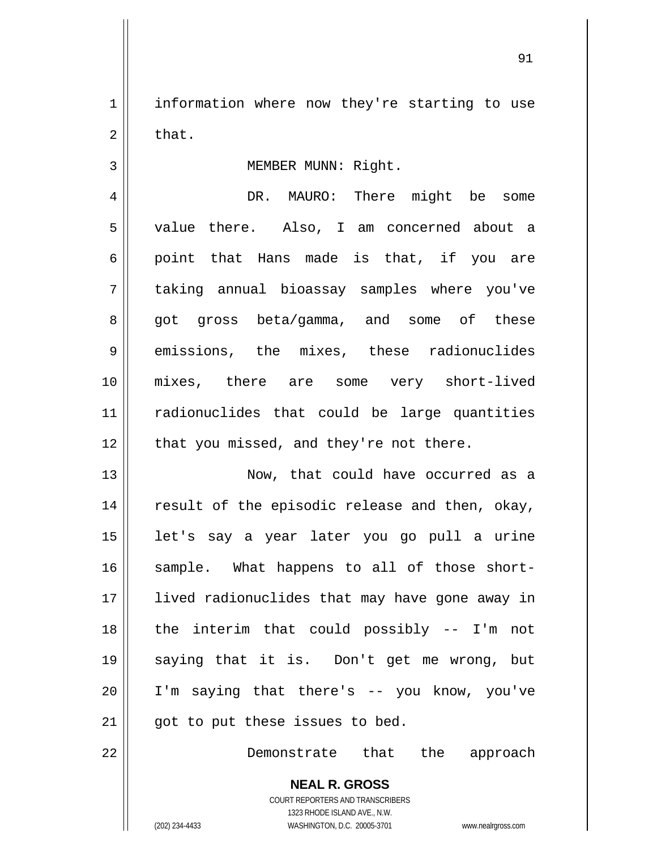1 2 information where now they're starting to use that.

<u>91</u>

## MEMBER MUNN: Right.

4 5 6 7 8 9 10 11 12 DR. MAURO: There might be some value there. Also, I am concerned about a point that Hans made is that, if you are taking annual bioassay samples where you've got gross beta/gamma, and some of these emissions, the mixes, these radionuclides mixes, there are some very short-lived radionuclides that could be large quantities that you missed, and they're not there.

13 14 15 16 17 18 19 20 21 Now, that could have occurred as a result of the episodic release and then, okay, let's say a year later you go pull a urine sample. What happens to all of those shortlived radionuclides that may have gone away in the interim that could possibly -- I'm not saying that it is. Don't get me wrong, but I'm saying that there's -- you know, you've got to put these issues to bed.

22

3

Demonstrate that the approach

**NEAL R. GROSS** COURT REPORTERS AND TRANSCRIBERS 1323 RHODE ISLAND AVE., N.W. (202) 234-4433 WASHINGTON, D.C. 20005-3701 www.nealrgross.com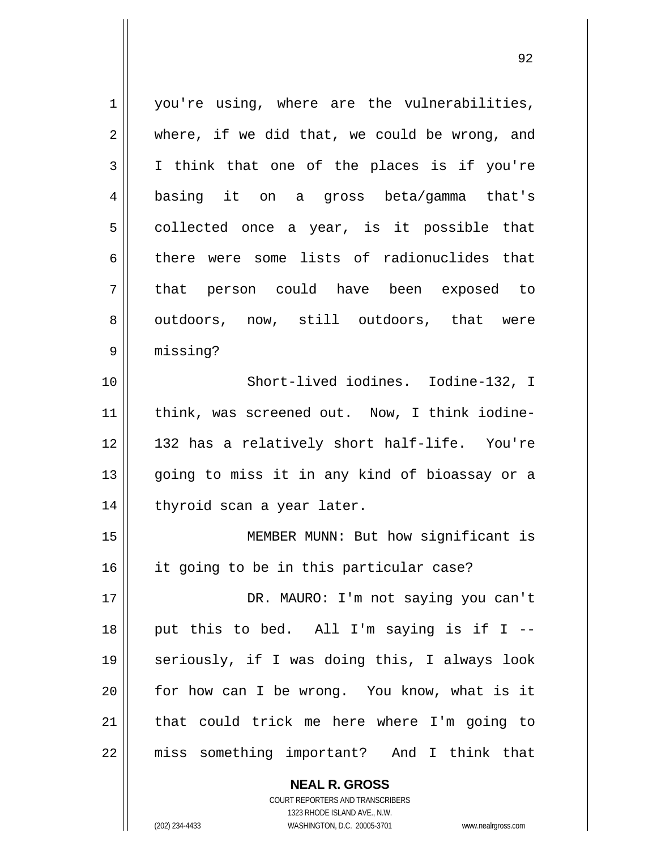1 2 3 4 5 6 7 8 9 10 11 12 13 14 15 16 17 18 19 20 21 22 you're using, where are the vulnerabilities, where, if we did that, we could be wrong, and I think that one of the places is if you're basing it on a gross beta/gamma that's collected once a year, is it possible that there were some lists of radionuclides that that person could have been exposed to outdoors, now, still outdoors, that were missing? Short-lived iodines. Iodine-132, I think, was screened out. Now, I think iodine-132 has a relatively short half-life. You're going to miss it in any kind of bioassay or a thyroid scan a year later. MEMBER MUNN: But how significant is it going to be in this particular case? DR. MAURO: I'm not saying you can't put this to bed. All I'm saying is if I - seriously, if I was doing this, I always look for how can I be wrong. You know, what is it that could trick me here where I'm going to miss something important? And I think that

> **NEAL R. GROSS** COURT REPORTERS AND TRANSCRIBERS

> > 1323 RHODE ISLAND AVE., N.W.

(202) 234-4433 WASHINGTON, D.C. 20005-3701 www.nealrgross.com

<u>92 and 2014 and 2014 and 2014 and 2014 and 2014 and 2014 and 2014 and 2014 and 2014 and 2014 and 2014 and 201</u>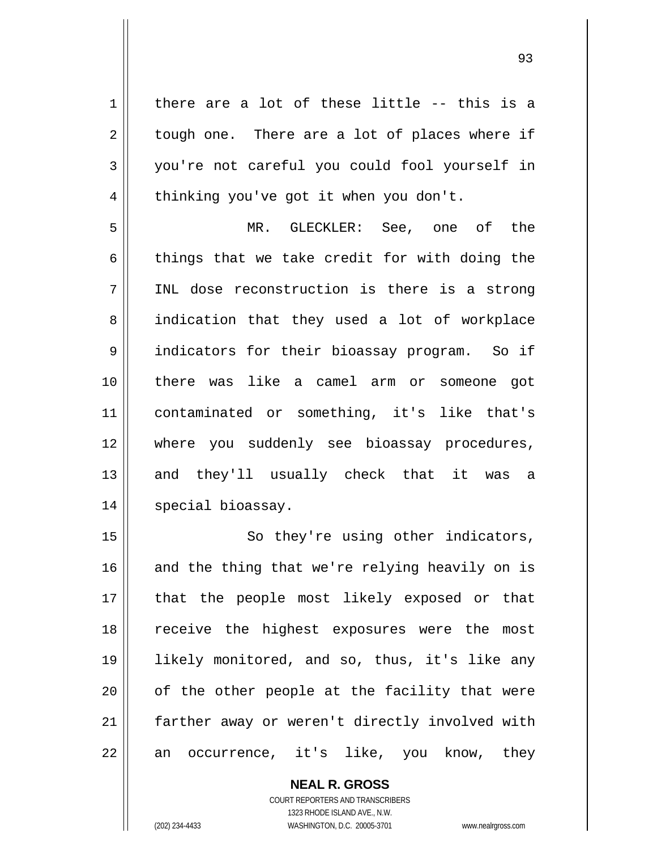there are a lot of these little -- this is a tough one. There are a lot of places where if you're not careful you could fool yourself in thinking you've got it when you don't.

1

2

3

4

5 6 7 8 9 10 11 12 13 14 MR. GLECKLER: See, one of the things that we take credit for with doing the INL dose reconstruction is there is a strong indication that they used a lot of workplace indicators for their bioassay program. So if there was like a camel arm or someone got contaminated or something, it's like that's where you suddenly see bioassay procedures, and they'll usually check that it was a special bioassay.

15 16 17 18 19 20 21 22 So they're using other indicators, and the thing that we're relying heavily on is that the people most likely exposed or that receive the highest exposures were the most likely monitored, and so, thus, it's like any of the other people at the facility that were farther away or weren't directly involved with an occurrence, it's like, you know, they

> COURT REPORTERS AND TRANSCRIBERS 1323 RHODE ISLAND AVE., N.W. (202) 234-4433 WASHINGTON, D.C. 20005-3701 www.nealrgross.com

**NEAL R. GROSS**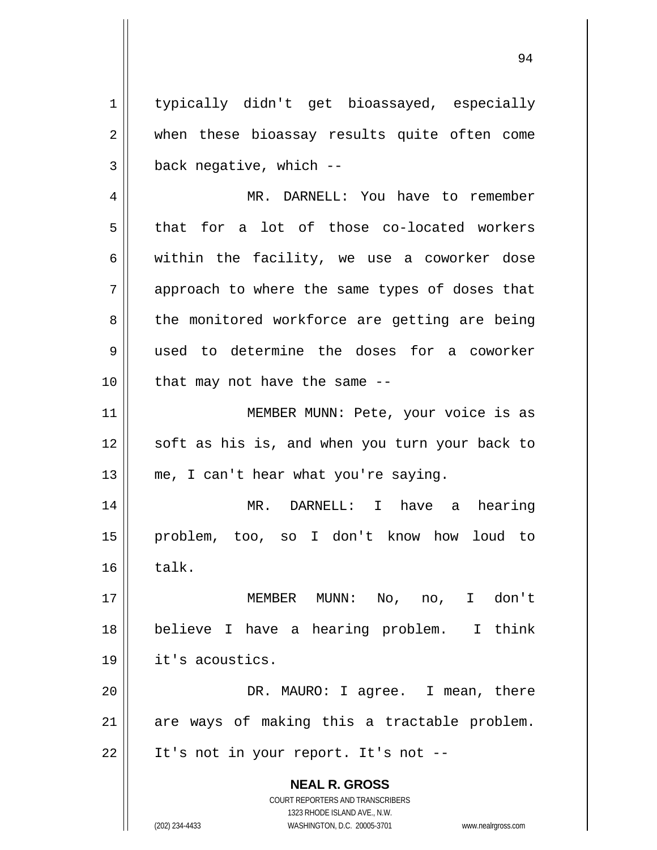**NEAL R. GROSS** COURT REPORTERS AND TRANSCRIBERS 1323 RHODE ISLAND AVE., N.W. 1 2 3 4 5 6 7 8 9 10 11 12 13 14 15 16 17 18 19 20 21 22 typically didn't get bioassayed, especially when these bioassay results quite often come back negative, which -- MR. DARNELL: You have to remember that for a lot of those co-located workers within the facility, we use a coworker dose approach to where the same types of doses that the monitored workforce are getting are being used to determine the doses for a coworker that may not have the same -- MEMBER MUNN: Pete, your voice is as soft as his is, and when you turn your back to me, I can't hear what you're saying. MR. DARNELL: I have a hearing problem, too, so I don't know how loud to talk. MEMBER MUNN: No, no, I don't believe I have a hearing problem. I think it's acoustics. DR. MAURO: I agree. I mean, there are ways of making this a tractable problem. It's not in your report. It's not --

94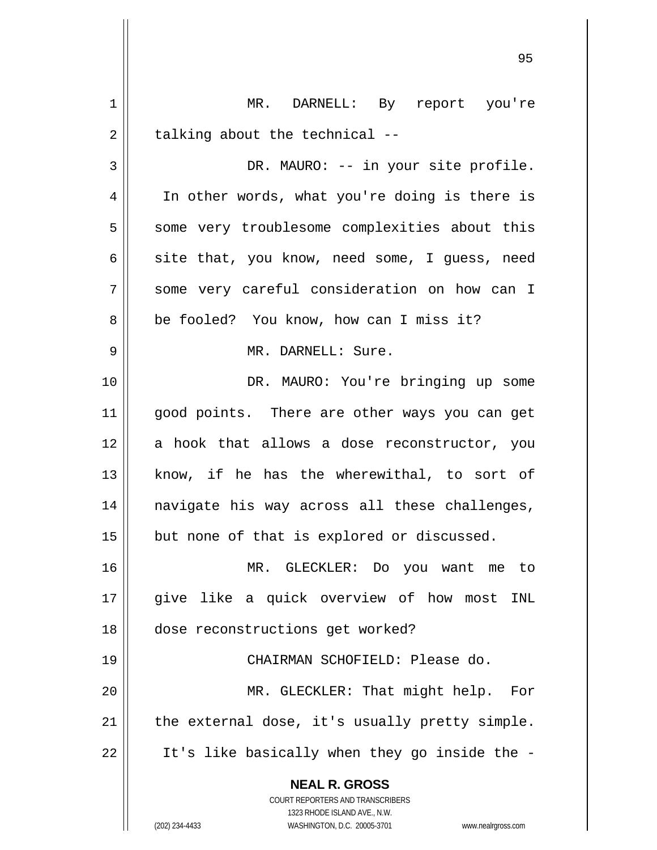| 1  | DARNELL: By report you're<br>MR.                                        |
|----|-------------------------------------------------------------------------|
| 2  | talking about the technical --                                          |
| 3  | DR. MAURO: -- in your site profile.                                     |
| 4  | In other words, what you're doing is there is                           |
| 5  | some very troublesome complexities about this                           |
| 6  | site that, you know, need some, I guess, need                           |
| 7  | some very careful consideration on how can I                            |
| 8  | be fooled? You know, how can I miss it?                                 |
| 9  | MR. DARNELL: Sure.                                                      |
| 10 | DR. MAURO: You're bringing up some                                      |
| 11 | good points. There are other ways you can get                           |
| 12 | a hook that allows a dose reconstructor, you                            |
| 13 | know, if he has the wherewithal, to sort of                             |
| 14 | navigate his way across all these challenges,                           |
| 15 | but none of that is explored or discussed.                              |
| 16 | MR. GLECKLER: Do you want me to                                         |
| 17 | give like a quick overview of how most INL                              |
| 18 | dose reconstructions get worked?                                        |
| 19 | CHAIRMAN SCHOFIELD: Please do.                                          |
| 20 | MR. GLECKLER: That might help. For                                      |
| 21 | the external dose, it's usually pretty simple.                          |
| 22 | It's like basically when they go inside the -                           |
|    | <b>NEAL R. GROSS</b>                                                    |
|    | <b>COURT REPORTERS AND TRANSCRIBERS</b><br>1323 RHODE ISLAND AVE., N.W. |
|    | (202) 234-4433<br>WASHINGTON, D.C. 20005-3701<br>www.nealrgross.com     |

<u>95 and 2001 and 2001 and 2001 and 2001 and 2001 and 2001 and 2001 and 2001 and 2001 and 2001 and 2001 and 200</u>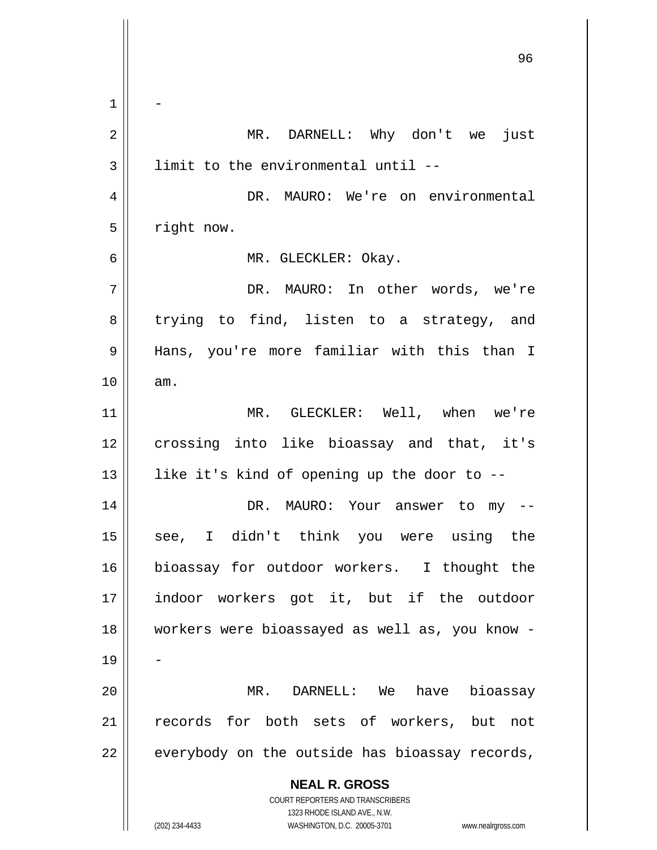**NEAL R. GROSS** COURT REPORTERS AND TRANSCRIBERS 1323 RHODE ISLAND AVE., N.W. (202) 234-4433 WASHINGTON, D.C. 20005-3701 www.nealrgross.com <u>96 - Paul Barbara, poeta e a filozofoar a 196</u> 1 2 3 4 5 6 7 8 9 10 11 12 13 14 15 16 17 18 19 20 21 22 - MR. DARNELL: Why don't we just limit to the environmental until -- DR. MAURO: We're on environmental right now. MR. GLECKLER: Okay. DR. MAURO: In other words, we're trying to find, listen to a strategy, and Hans, you're more familiar with this than I am. MR. GLECKLER: Well, when we're crossing into like bioassay and that, it's like it's kind of opening up the door to -- DR. MAURO: Your answer to my - see, I didn't think you were using the bioassay for outdoor workers. I thought the indoor workers got it, but if the outdoor workers were bioassayed as well as, you know - - MR. DARNELL: We have bioassay records for both sets of workers, but not everybody on the outside has bioassay records,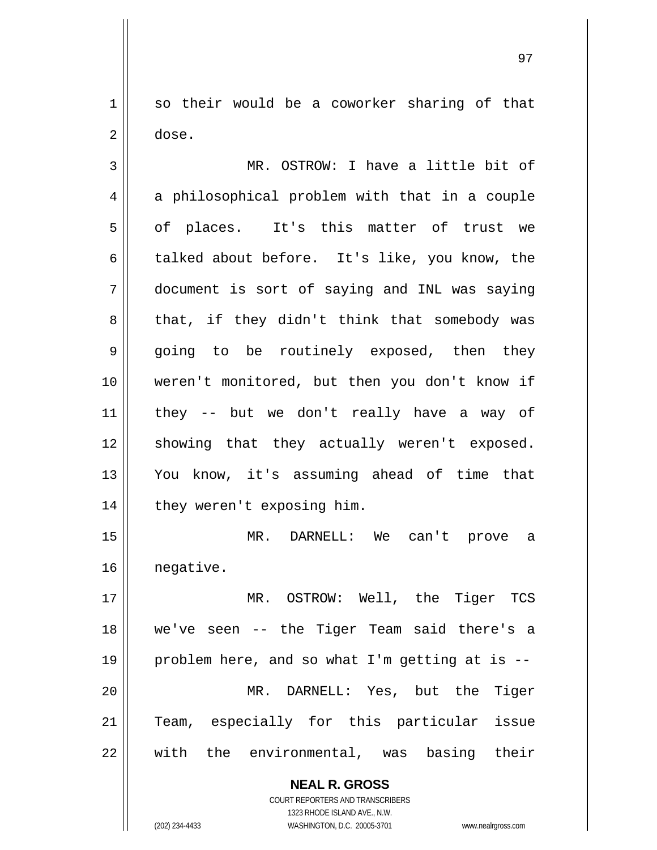1 2 so their would be a coworker sharing of that dose.

3 4 5 6 7 8 9 10 11 12 13 14 15 16 17 18 19 20 MR. OSTROW: I have a little bit of a philosophical problem with that in a couple of places. It's this matter of trust we talked about before. It's like, you know, the document is sort of saying and INL was saying that, if they didn't think that somebody was going to be routinely exposed, then they weren't monitored, but then you don't know if they -- but we don't really have a way of showing that they actually weren't exposed. You know, it's assuming ahead of time that they weren't exposing him. MR. DARNELL: We can't prove a negative. MR. OSTROW: Well, the Tiger TCS we've seen -- the Tiger Team said there's a problem here, and so what I'm getting at is -- MR. DARNELL: Yes, but the Tiger

21 22 Team, especially for this particular issue with the environmental, was basing their

> **NEAL R. GROSS** COURT REPORTERS AND TRANSCRIBERS

> > 1323 RHODE ISLAND AVE., N.W.

(202) 234-4433 WASHINGTON, D.C. 20005-3701 www.nealrgross.com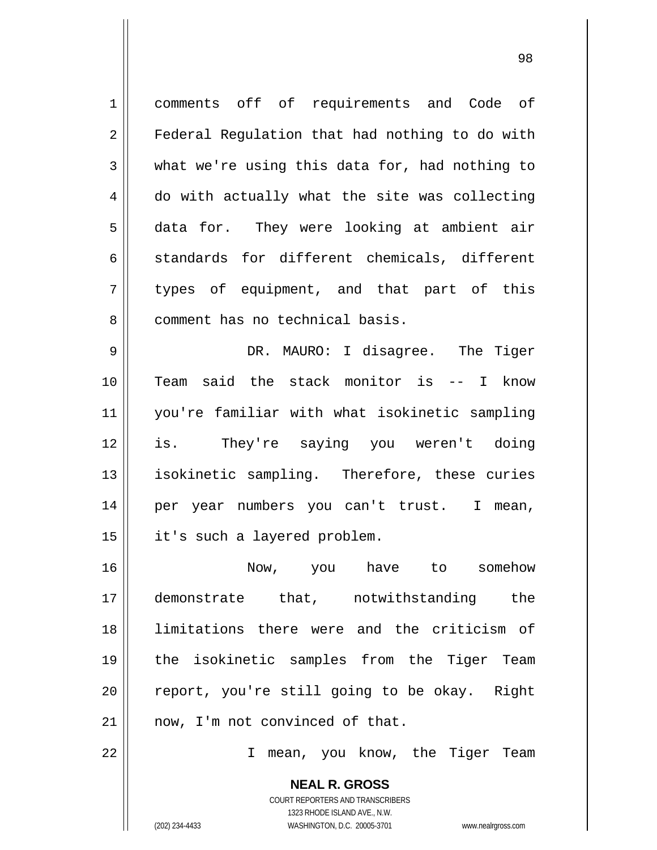1 2 3 4 5 6 7 8 comments off of requirements and Code of Federal Regulation that had nothing to do with what we're using this data for, had nothing to do with actually what the site was collecting data for. They were looking at ambient air standards for different chemicals, different types of equipment, and that part of this comment has no technical basis.

9 10 11 12 13 14 15 DR. MAURO: I disagree. The Tiger Team said the stack monitor is -- I know you're familiar with what isokinetic sampling is. They're saying you weren't doing isokinetic sampling. Therefore, these curies per year numbers you can't trust. I mean, it's such a layered problem.

16 17 18 19 20 21 Now, you have to somehow demonstrate that, notwithstanding the limitations there were and the criticism of the isokinetic samples from the Tiger Team report, you're still going to be okay. Right now, I'm not convinced of that.

22

I mean, you know, the Tiger Team

**NEAL R. GROSS** COURT REPORTERS AND TRANSCRIBERS 1323 RHODE ISLAND AVE., N.W. (202) 234-4433 WASHINGTON, D.C. 20005-3701 www.nealrgross.com

<u>98 and 200 and 200 and 200 and 200 and 200 and 200 and 200 and 200 and 200 and 200 and 200 and 200 and 200 an</u>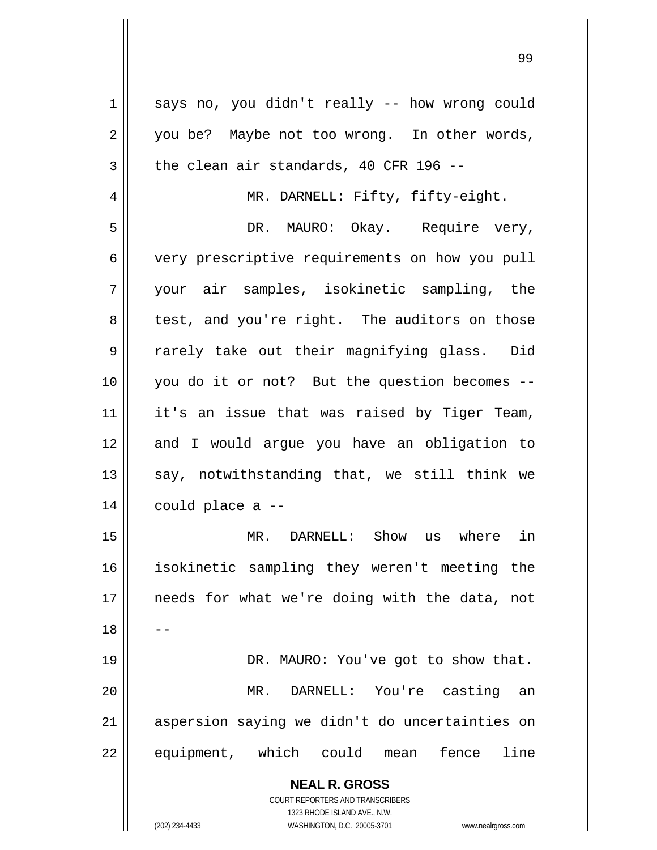| 1  | says no, you didn't really -- how wrong could                                                       |
|----|-----------------------------------------------------------------------------------------------------|
| 2  | you be? Maybe not too wrong. In other words,                                                        |
| 3  | the clean air standards, 40 CFR 196 --                                                              |
| 4  | MR. DARNELL: Fifty, fifty-eight.                                                                    |
| 5  | DR. MAURO: Okay. Require very,                                                                      |
| 6  | very prescriptive requirements on how you pull                                                      |
| 7  | your air samples, isokinetic sampling, the                                                          |
| 8  | test, and you're right. The auditors on those                                                       |
| 9  | rarely take out their magnifying glass. Did                                                         |
| 10 | you do it or not? But the question becomes --                                                       |
| 11 | it's an issue that was raised by Tiger Team,                                                        |
| 12 | and I would argue you have an obligation to                                                         |
| 13 | say, notwithstanding that, we still think we                                                        |
| 14 | could place a --                                                                                    |
| 15 | DARNELL: Show us where in<br>MR.                                                                    |
| 16 | isokinetic sampling they weren't meeting the                                                        |
| 17 | needs for what we're doing with the data,<br>not                                                    |
| 18 |                                                                                                     |
| 19 | DR. MAURO: You've got to show that.                                                                 |
| 20 | $MR$ .<br>DARNELL: You're casting<br>an                                                             |
| 21 | aspersion saying we didn't do uncertainties on                                                      |
| 22 | equipment, which could<br>line<br>fence<br>mean                                                     |
|    |                                                                                                     |
|    | <b>NEAL R. GROSS</b>                                                                                |
|    | <b>COURT REPORTERS AND TRANSCRIBERS</b>                                                             |
|    | 1323 RHODE ISLAND AVE., N.W.<br>(202) 234-4433<br>WASHINGTON, D.C. 20005-3701<br>www.nealrgross.com |
|    |                                                                                                     |

99 - Paul Barbara, poeta e a contra de 1999 - Paul Barbara, estadounidense de 199<br>1990 - Paul Barbara, poeta e a contra de 1990 - Paul Barbara, poeta e a contra de 1990 - Paul Barbara, poeta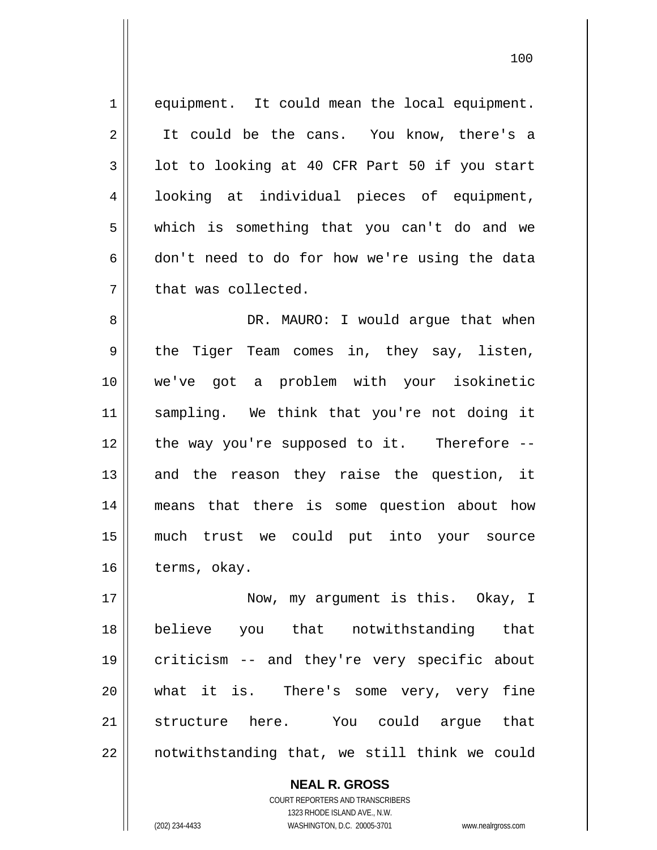1 2 3 4 5 6 7 equipment. It could mean the local equipment. It could be the cans. You know, there's a lot to looking at 40 CFR Part 50 if you start looking at individual pieces of equipment, which is something that you can't do and we don't need to do for how we're using the data that was collected.

8 9 10 11 12 13 14 15 16 DR. MAURO: I would argue that when the Tiger Team comes in, they say, listen, we've got a problem with your isokinetic sampling. We think that you're not doing it the way you're supposed to it. Therefore - and the reason they raise the question, it means that there is some question about how much trust we could put into your source terms, okay.

17 18 19 20 21 22 Now, my argument is this. Okay, I believe you that notwithstanding that criticism -- and they're very specific about what it is. There's some very, very fine structure here. You could argue that notwithstanding that, we still think we could

> COURT REPORTERS AND TRANSCRIBERS 1323 RHODE ISLAND AVE., N.W. (202) 234-4433 WASHINGTON, D.C. 20005-3701 www.nealrgross.com

**NEAL R. GROSS**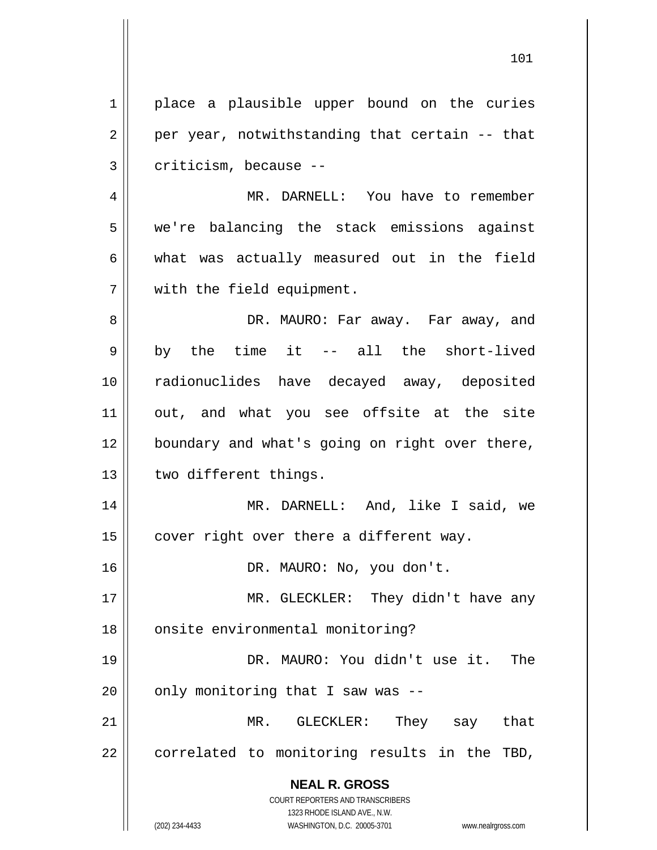**NEAL R. GROSS** COURT REPORTERS AND TRANSCRIBERS 1323 RHODE ISLAND AVE., N.W. 1 2 3 4 5 6 7 8 9 10 11 12 13 14 15 16 17 18 19 20 21 22 place a plausible upper bound on the curies per year, notwithstanding that certain -- that criticism, because -- MR. DARNELL: You have to remember we're balancing the stack emissions against what was actually measured out in the field with the field equipment. DR. MAURO: Far away. Far away, and by the time it -- all the short-lived radionuclides have decayed away, deposited out, and what you see offsite at the site boundary and what's going on right over there, two different things. MR. DARNELL: And, like I said, we cover right over there a different way. DR. MAURO: No, you don't. MR. GLECKLER: They didn't have any onsite environmental monitoring? DR. MAURO: You didn't use it. The only monitoring that I saw was -- MR. GLECKLER: They say that correlated to monitoring results in the TBD,

101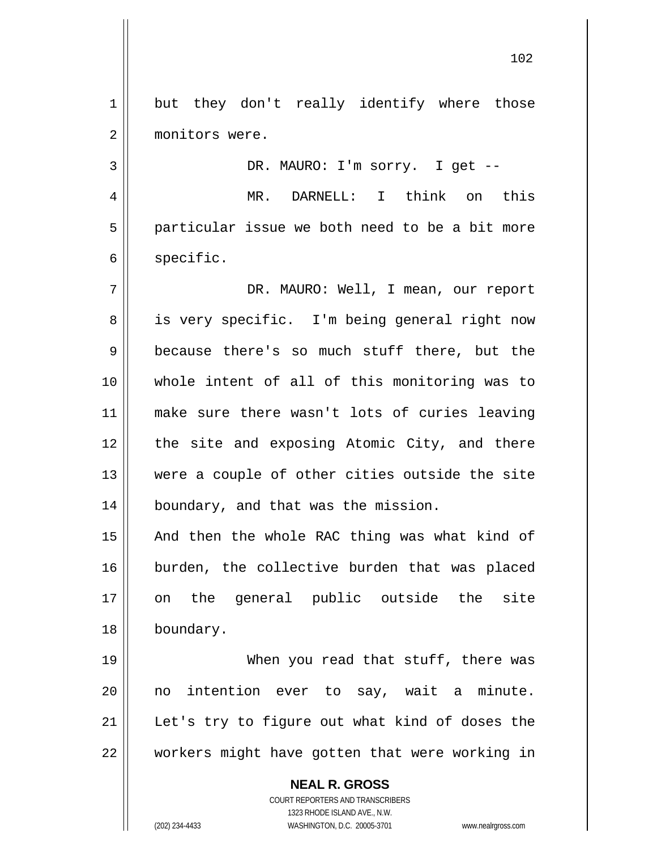1 2 but they don't really identify where those monitors were.

 MR. DARNELL: I think on this particular issue we both need to be a bit more specific.

DR. MAURO: I'm sorry. I get --

7 8 9 10 11 12 13 14 DR. MAURO: Well, I mean, our report is very specific. I'm being general right now because there's so much stuff there, but the whole intent of all of this monitoring was to make sure there wasn't lots of curies leaving the site and exposing Atomic City, and there were a couple of other cities outside the site boundary, and that was the mission.

15 16 17 18 And then the whole RAC thing was what kind of burden, the collective burden that was placed on the general public outside the site boundary.

19 20 21 22 When you read that stuff, there was no intention ever to say, wait a minute. Let's try to figure out what kind of doses the workers might have gotten that were working in

> **NEAL R. GROSS** COURT REPORTERS AND TRANSCRIBERS 1323 RHODE ISLAND AVE., N.W. (202) 234-4433 WASHINGTON, D.C. 20005-3701 www.nealrgross.com

3

4

5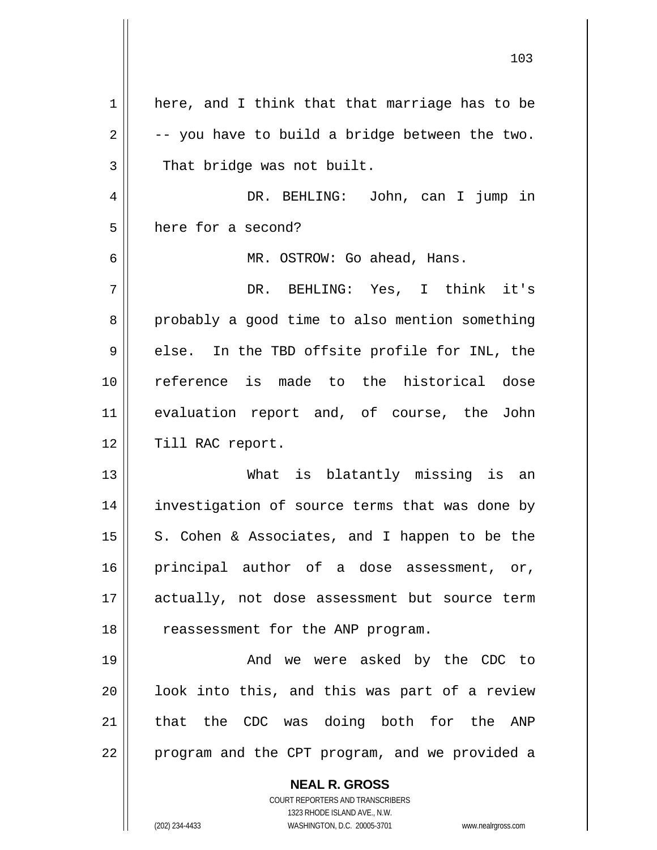| $\mathbf 1$ | here, and I think that that marriage has to be                      |
|-------------|---------------------------------------------------------------------|
| 2           | -- you have to build a bridge between the two.                      |
| 3           | That bridge was not built.                                          |
| 4           | DR. BEHLING: John, can I jump in                                    |
| 5           | here for a second?                                                  |
| 6           | MR. OSTROW: Go ahead, Hans.                                         |
| 7           | DR. BEHLING: Yes, I think it's                                      |
| 8           | probably a good time to also mention something                      |
| 9           | else. In the TBD offsite profile for INL, the                       |
| 10          | reference is made to the historical dose                            |
| 11          | evaluation report and, of course, the John                          |
| 12          | Till RAC report.                                                    |
| 13          | What is blatantly missing is an                                     |
| 14          | investigation of source terms that was done by                      |
| 15          | S. Cohen & Associates, and I happen to be the                       |
| 16          | principal author of a dose assessment, or,                          |
| 17          | actually, not dose assessment but source term                       |
| 18          | reassessment for the ANP program.                                   |
| 19          | And we were asked by the CDC to                                     |
| 20          | look into this, and this was part of a review                       |
| 21          | that the CDC was doing both for the ANP                             |
| 22          | program and the CPT program, and we provided a                      |
|             |                                                                     |
|             | <b>NEAL R. GROSS</b><br>COURT REPORTERS AND TRANSCRIBERS            |
|             | 1323 RHODE ISLAND AVE., N.W.                                        |
|             | (202) 234-4433<br>WASHINGTON, D.C. 20005-3701<br>www.nealrgross.com |

103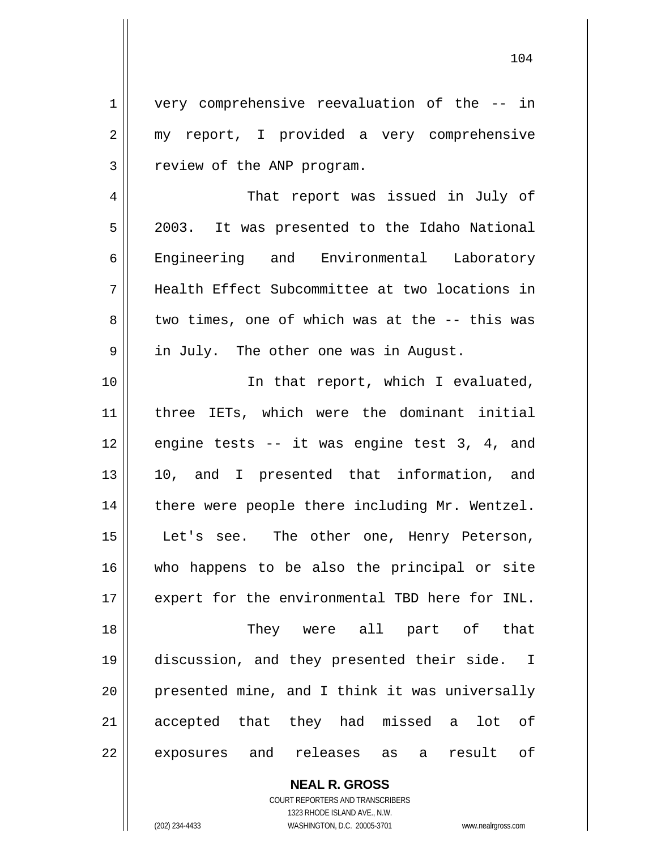very comprehensive reevaluation of the -- in my report, I provided a very comprehensive review of the ANP program.

4 5 6 7 8 9 That report was issued in July of 2003. It was presented to the Idaho National Engineering and Environmental Laboratory Health Effect Subcommittee at two locations in two times, one of which was at the -- this was in July. The other one was in August.

10 11 12 13 14 15 16 17 18 19 20 21 22 In that report, which I evaluated, three IETs, which were the dominant initial engine tests -- it was engine test 3, 4, and 10, and I presented that information, and there were people there including Mr. Wentzel. Let's see. The other one, Henry Peterson, who happens to be also the principal or site expert for the environmental TBD here for INL. They were all part of that discussion, and they presented their side. I presented mine, and I think it was universally accepted that they had missed a lot of exposures and releases as a result of

> **NEAL R. GROSS** COURT REPORTERS AND TRANSCRIBERS 1323 RHODE ISLAND AVE., N.W.

1

2

3

(202) 234-4433 WASHINGTON, D.C. 20005-3701 www.nealrgross.com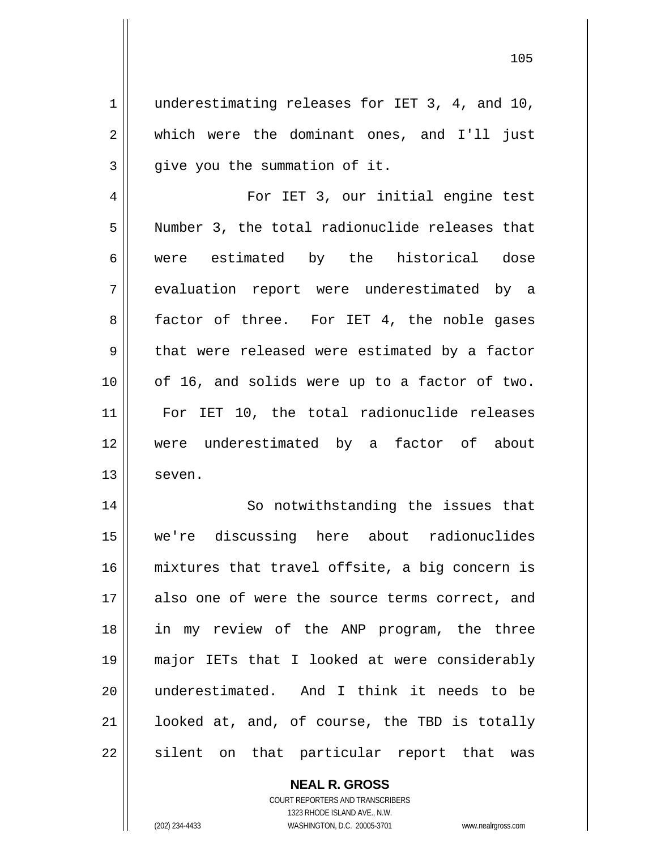underestimating releases for IET 3, 4, and 10, which were the dominant ones, and I'll just give you the summation of it.

4 5 6 7 8 9 10 11 12 13 For IET 3, our initial engine test Number 3, the total radionuclide releases that were estimated by the historical dose evaluation report were underestimated by a factor of three. For IET 4, the noble gases that were released were estimated by a factor of 16, and solids were up to a factor of two. For IET 10, the total radionuclide releases were underestimated by a factor of about seven.

14 15 16 17 18 19 20 21 22 So notwithstanding the issues that we're discussing here about radionuclides mixtures that travel offsite, a big concern is also one of were the source terms correct, and in my review of the ANP program, the three major IETs that I looked at were considerably underestimated. And I think it needs to be looked at, and, of course, the TBD is totally silent on that particular report that was

> **NEAL R. GROSS** COURT REPORTERS AND TRANSCRIBERS 1323 RHODE ISLAND AVE., N.W.

1

2

3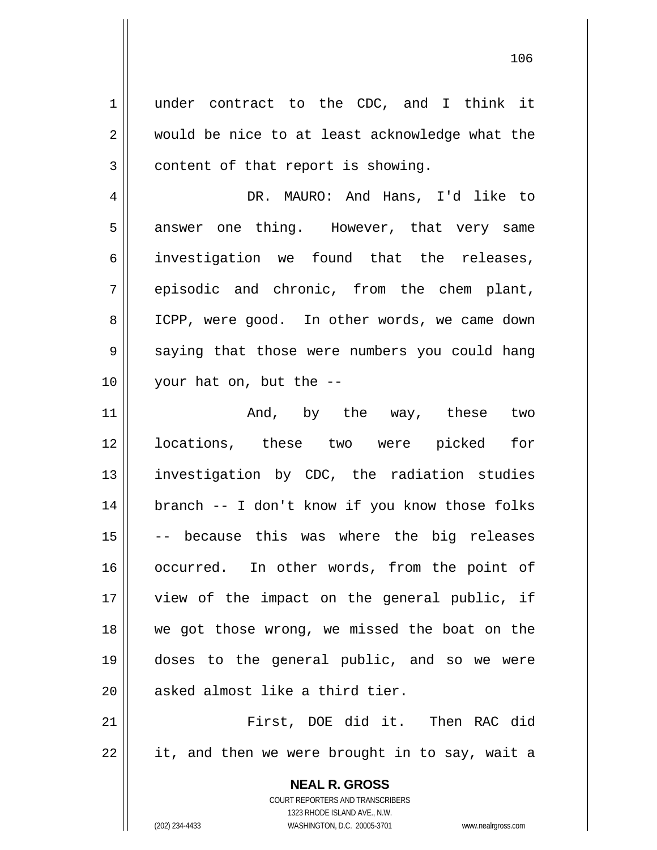under contract to the CDC, and I think it would be nice to at least acknowledge what the content of that report is showing.

4 5 6 7 8 9 10 DR. MAURO: And Hans, I'd like to answer one thing. However, that very same investigation we found that the releases, episodic and chronic, from the chem plant, ICPP, were good. In other words, we came down saying that those were numbers you could hang your hat on, but the --

11 12 13 14 15 16 17 18 19 20 And, by the way, these two locations, these two were picked for investigation by CDC, the radiation studies branch -- I don't know if you know those folks -- because this was where the big releases occurred. In other words, from the point of view of the impact on the general public, if we got those wrong, we missed the boat on the doses to the general public, and so we were asked almost like a third tier.

21 22 First, DOE did it. Then RAC did it, and then we were brought in to say, wait a

> **NEAL R. GROSS** COURT REPORTERS AND TRANSCRIBERS 1323 RHODE ISLAND AVE., N.W. (202) 234-4433 WASHINGTON, D.C. 20005-3701 www.nealrgross.com

1

2

3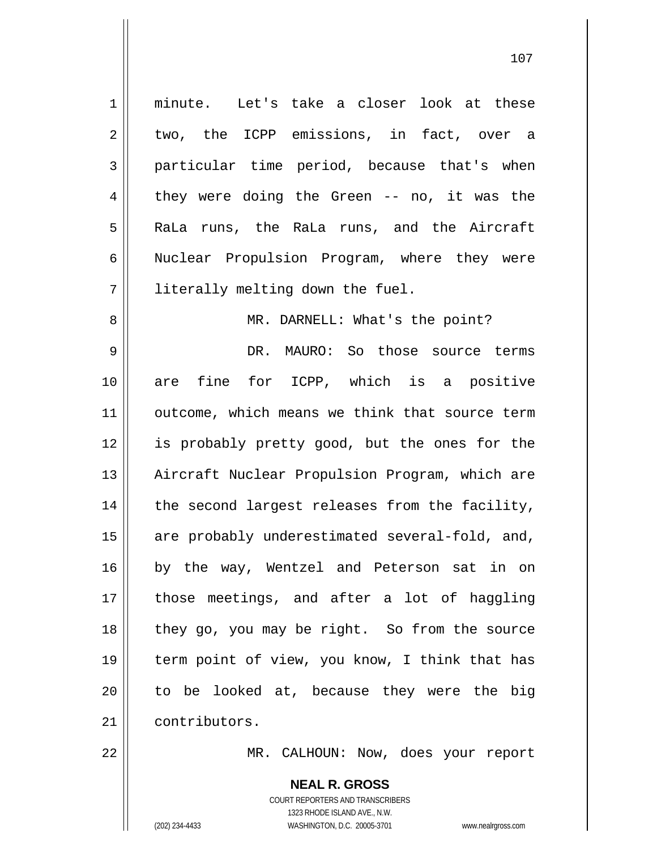1 2 3 4 5 6 7 8 9 10 11 12 13 14 15 16 17 18 19 20 21 minute. Let's take a closer look at these two, the ICPP emissions, in fact, over a particular time period, because that's when they were doing the Green -- no, it was the RaLa runs, the RaLa runs, and the Aircraft Nuclear Propulsion Program, where they were literally melting down the fuel. MR. DARNELL: What's the point? DR. MAURO: So those source terms are fine for ICPP, which is a positive outcome, which means we think that source term is probably pretty good, but the ones for the Aircraft Nuclear Propulsion Program, which are the second largest releases from the facility, are probably underestimated several-fold, and, by the way, Wentzel and Peterson sat in on those meetings, and after a lot of haggling they go, you may be right. So from the source term point of view, you know, I think that has to be looked at, because they were the big contributors.

107

MR. CALHOUN: Now, does your report

**NEAL R. GROSS** COURT REPORTERS AND TRANSCRIBERS 1323 RHODE ISLAND AVE., N.W. (202) 234-4433 WASHINGTON, D.C. 20005-3701 www.nealrgross.com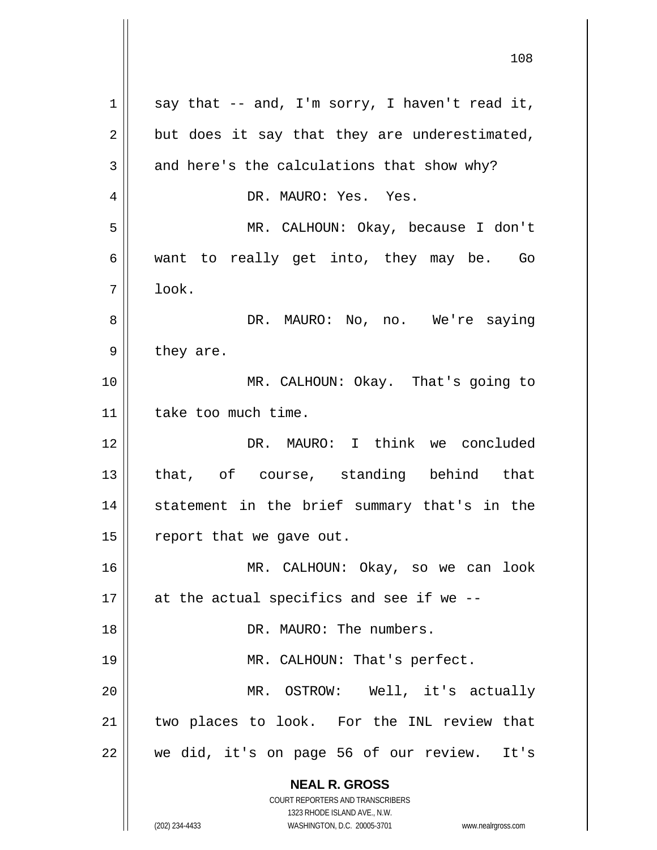**NEAL R. GROSS** COURT REPORTERS AND TRANSCRIBERS 1323 RHODE ISLAND AVE., N.W. (202) 234-4433 WASHINGTON, D.C. 20005-3701 www.nealrgross.com 1 2 3 4 5 6 7 8 9 10 11 12 13 14 15 16 17 18 19 20 21 22 say that -- and, I'm sorry, I haven't read it, but does it say that they are underestimated, and here's the calculations that show why? DR. MAURO: Yes. Yes. MR. CALHOUN: Okay, because I don't want to really get into, they may be. Go look. DR. MAURO: No, no. We're saying they are. MR. CALHOUN: Okay. That's going to take too much time. DR. MAURO: I think we concluded that, of course, standing behind that statement in the brief summary that's in the report that we gave out. MR. CALHOUN: Okay, so we can look at the actual specifics and see if we -- DR. MAURO: The numbers. MR. CALHOUN: That's perfect. MR. OSTROW: Well, it's actually two places to look. For the INL review that we did, it's on page 56 of our review. It's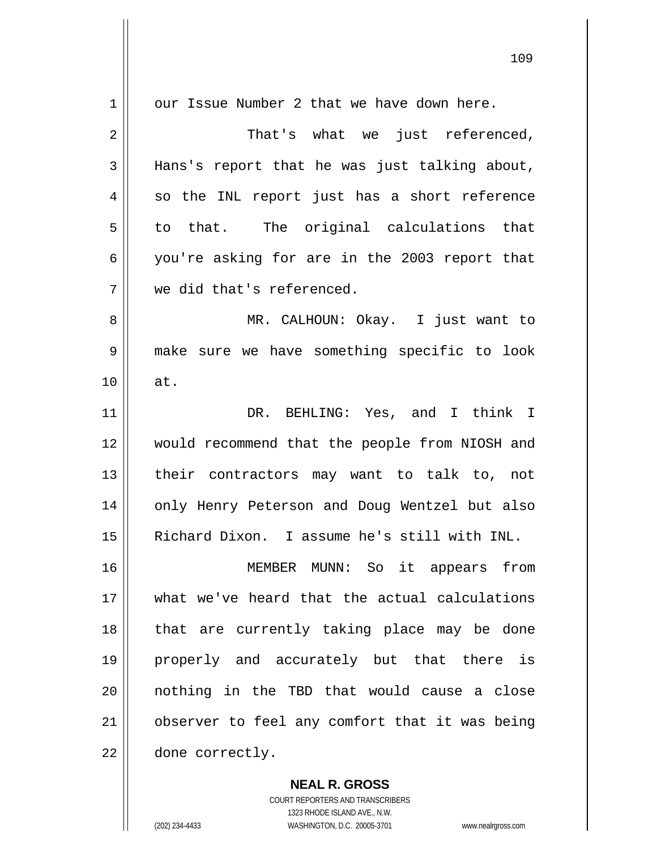| 1  | our Issue Number 2 that we have down here.     |
|----|------------------------------------------------|
| 2  | That's what we just referenced,                |
| 3  | Hans's report that he was just talking about,  |
| 4  | so the INL report just has a short reference   |
| 5  | to that. The original calculations that        |
| 6  | you're asking for are in the 2003 report that  |
| 7  | we did that's referenced.                      |
| 8  | MR. CALHOUN: Okay. I just want to              |
| 9  | make sure we have something specific to look   |
| 10 | at.                                            |
| 11 | DR. BEHLING: Yes, and I think I                |
| 12 | would recommend that the people from NIOSH and |
| 13 | their contractors may want to talk to, not     |
| 14 | only Henry Peterson and Doug Wentzel but also  |
| 15 | Richard Dixon. I assume he's still with INL.   |
| 16 | MEMBER MUNN: So it appears from                |
| 17 | what we've heard that the actual calculations  |
| 18 | that are currently taking place may be done    |
| 19 | properly and accurately but that there is      |
| 20 | nothing in the TBD that would cause a close    |
| 21 | observer to feel any comfort that it was being |
| 22 | done correctly.                                |

COURT REPORTERS AND TRANSCRIBERS 1323 RHODE ISLAND AVE., N.W. (202) 234-4433 WASHINGTON, D.C. 20005-3701 www.nealrgross.com

**NEAL R. GROSS**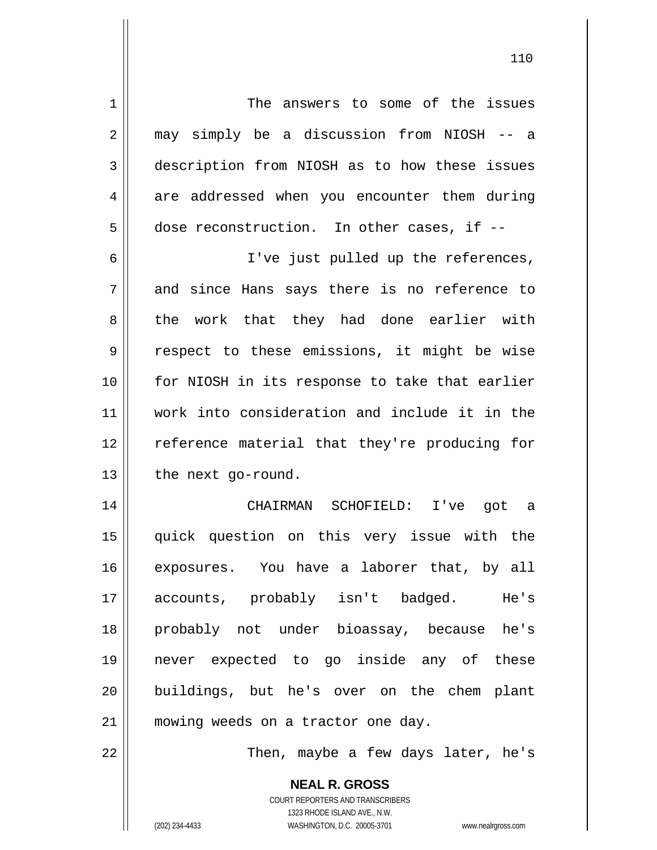1 2 3 4 5 6 7 8 9 10 11 12 13 14 15 16 17 18 The answers to some of the issues may simply be a discussion from NIOSH -- a description from NIOSH as to how these issues are addressed when you encounter them during dose reconstruction. In other cases, if -- I've just pulled up the references, and since Hans says there is no reference to the work that they had done earlier with respect to these emissions, it might be wise for NIOSH in its response to take that earlier work into consideration and include it in the reference material that they're producing for the next go-round. CHAIRMAN SCHOFIELD: I've got a quick question on this very issue with the exposures. You have a laborer that, by all accounts, probably isn't badged. He's probably not under bioassay, because he's

19 20 21 never expected to go inside any of these buildings, but he's over on the chem plant mowing weeds on a tractor one day.

Then, maybe a few days later, he's

**NEAL R. GROSS** COURT REPORTERS AND TRANSCRIBERS 1323 RHODE ISLAND AVE., N.W. (202) 234-4433 WASHINGTON, D.C. 20005-3701 www.nealrgross.com

22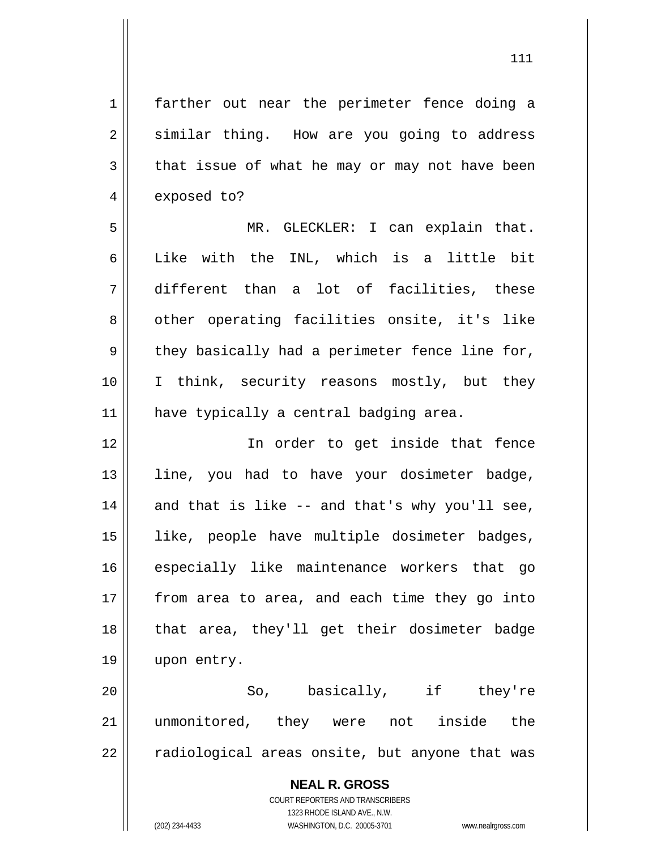farther out near the perimeter fence doing a similar thing. How are you going to address that issue of what he may or may not have been exposed to?

1

2

3

4

5 6 7 8 9 10 11 MR. GLECKLER: I can explain that. Like with the INL, which is a little bit different than a lot of facilities, these other operating facilities onsite, it's like they basically had a perimeter fence line for, I think, security reasons mostly, but they have typically a central badging area.

12 13 14 15 16 17 18 19 In order to get inside that fence line, you had to have your dosimeter badge, and that is like -- and that's why you'll see, like, people have multiple dosimeter badges, especially like maintenance workers that go from area to area, and each time they go into that area, they'll get their dosimeter badge upon entry.

20 21 22 So, basically, if they're unmonitored, they were not inside the radiological areas onsite, but anyone that was

> **NEAL R. GROSS** COURT REPORTERS AND TRANSCRIBERS 1323 RHODE ISLAND AVE., N.W. (202) 234-4433 WASHINGTON, D.C. 20005-3701 www.nealrgross.com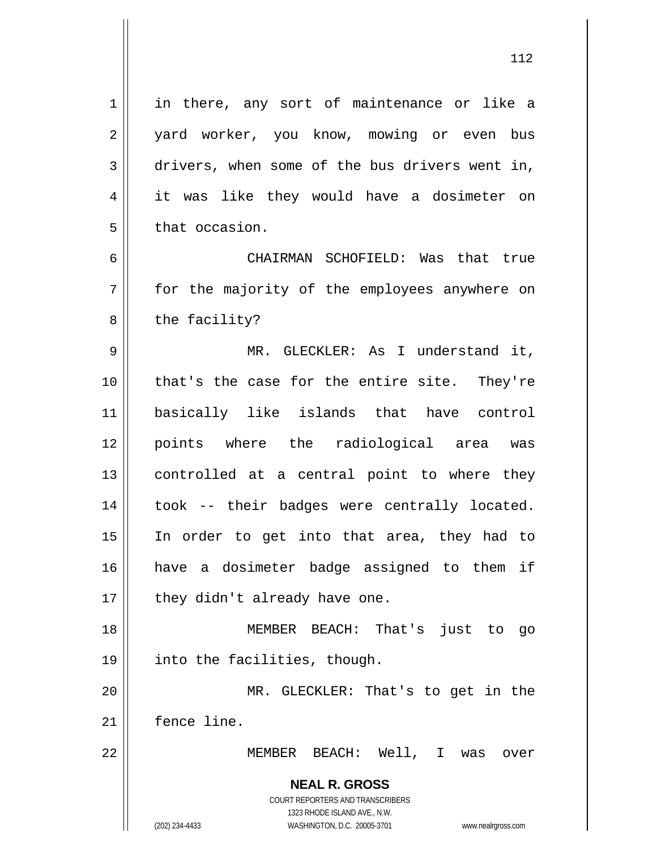1 2 3 4 5 6 7 8 9 10 11 12 13 14 15 16 17 18 19 20 21 22 in there, any sort of maintenance or like a yard worker, you know, mowing or even bus drivers, when some of the bus drivers went in, it was like they would have a dosimeter on that occasion. CHAIRMAN SCHOFIELD: Was that true for the majority of the employees anywhere on the facility? MR. GLECKLER: As I understand it, that's the case for the entire site. They're basically like islands that have control points where the radiological area was controlled at a central point to where they took -- their badges were centrally located. In order to get into that area, they had to have a dosimeter badge assigned to them if they didn't already have one. MEMBER BEACH: That's just to go into the facilities, though. MR. GLECKLER: That's to get in the fence line. MEMBER BEACH: Well, I was over

> **NEAL R. GROSS** COURT REPORTERS AND TRANSCRIBERS 1323 RHODE ISLAND AVE., N.W. (202) 234-4433 WASHINGTON, D.C. 20005-3701 www.nealrgross.com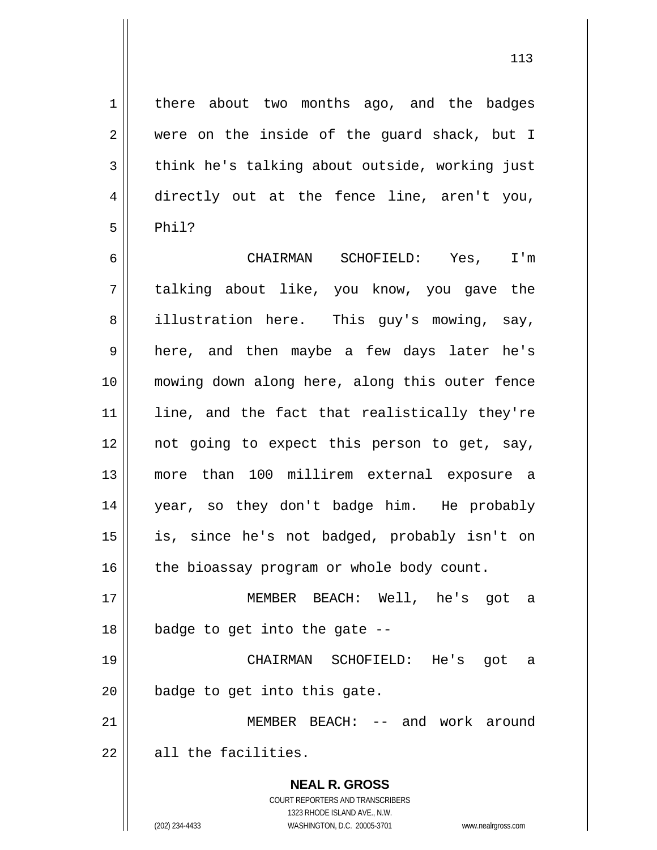there about two months ago, and the badges were on the inside of the guard shack, but I think he's talking about outside, working just directly out at the fence line, aren't you, Phil?

6 7 8 9 10 11 12 13 14 15 16 17 18 CHAIRMAN SCHOFIELD: Yes, I'm talking about like, you know, you gave the illustration here. This guy's mowing, say, here, and then maybe a few days later he's mowing down along here, along this outer fence line, and the fact that realistically they're not going to expect this person to get, say, more than 100 millirem external exposure a year, so they don't badge him. He probably is, since he's not badged, probably isn't on the bioassay program or whole body count. MEMBER BEACH: Well, he's got a badge to get into the gate --

19 20 CHAIRMAN SCHOFIELD: He's got a badge to get into this gate.

21 22 MEMBER BEACH: -- and work around all the facilities.

> **NEAL R. GROSS** COURT REPORTERS AND TRANSCRIBERS 1323 RHODE ISLAND AVE., N.W.

1

2

3

4

5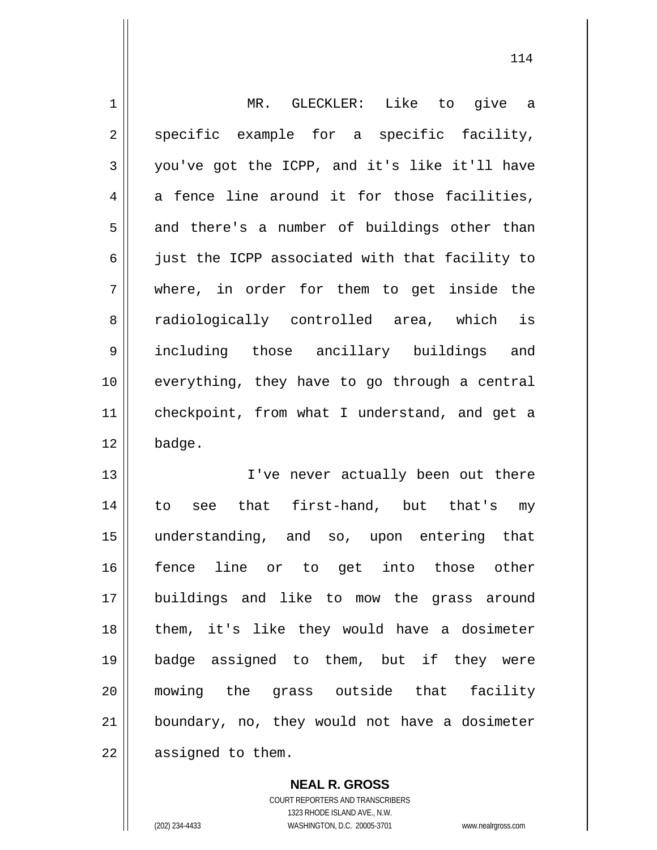| $\mathbf 1$    | MR. GLECKLER: Like to give a                   |
|----------------|------------------------------------------------|
| $\overline{2}$ | specific example for a specific facility,      |
| $\mathfrak{Z}$ | you've got the ICPP, and it's like it'll have  |
| 4              | a fence line around it for those facilities,   |
| 5              | and there's a number of buildings other than   |
| $\epsilon$     | just the ICPP associated with that facility to |
| 7              | where, in order for them to get inside the     |
| 8              | radiologically controlled area, which is       |
| 9              | including those ancillary buildings and        |
| 10             | everything, they have to go through a central  |
| 11             | checkpoint, from what I understand, and get a  |
| 12             | badge.                                         |
| 13             | I've never actually been out there             |
| 14             | that first-hand, but that's my<br>to<br>see    |
| 15             | understanding, and so, upon entering that      |
| 16             | fence line or to get into those other          |
| 17             | buildings and like to mow the grass around     |
| 18             | them, it's like they would have a dosimeter    |
| 19             | badge assigned to them, but if they were       |
| 20             | mowing the grass outside that facility         |
| 21             | boundary, no, they would not have a dosimeter  |
| 22             | assigned to them.                              |

114

**NEAL R. GROSS** COURT REPORTERS AND TRANSCRIBERS 1323 RHODE ISLAND AVE., N.W. (202) 234-4433 WASHINGTON, D.C. 20005-3701 www.nealrgross.com

 $\mathsf{I}$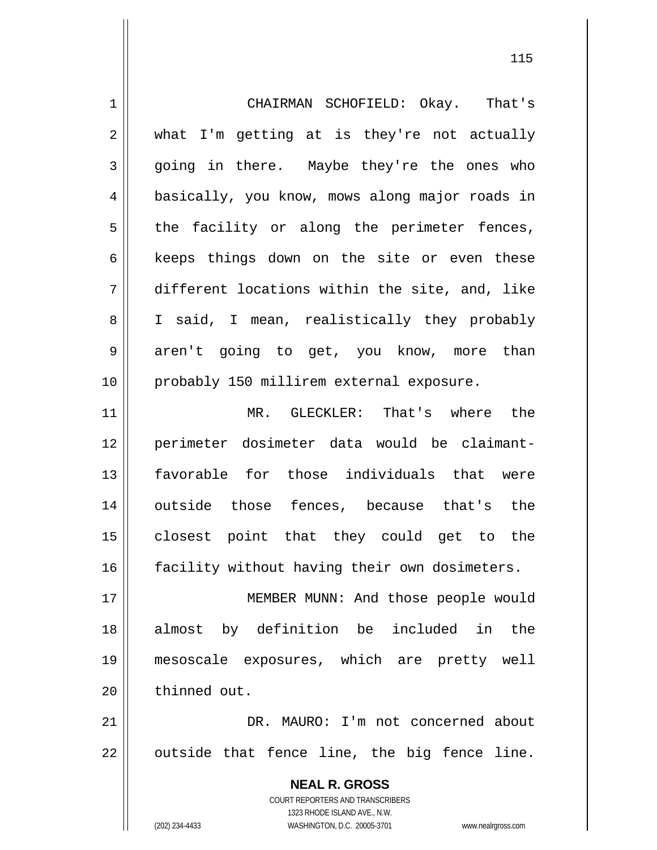| $\mathbf 1$    | CHAIRMAN SCHOFIELD: Okay. That's                                    |
|----------------|---------------------------------------------------------------------|
| 2              | what I'm getting at is they're not actually                         |
| 3              | going in there. Maybe they're the ones who                          |
| $\overline{4}$ | basically, you know, mows along major roads in                      |
| 5              | the facility or along the perimeter fences,                         |
| 6              | keeps things down on the site or even these                         |
| 7              | different locations within the site, and, like                      |
| 8              | I said, I mean, realistically they probably                         |
| 9              | aren't going to get, you know, more than                            |
| 10             | probably 150 millirem external exposure.                            |
| 11             | MR. GLECKLER: That's where the                                      |
| 12             | perimeter dosimeter data would be claimant-                         |
| 13             | favorable for those individuals that were                           |
| 14             | outside those fences, because that's the                            |
| 15             | closest point that they could get to the                            |
| 16             | facility without having their own dosimeters.                       |
| 17             | MEMBER MUNN: And those people would                                 |
| 18             | almost by definition be included in the                             |
| 19             | mesoscale exposures, which are pretty well                          |
| 20             | thinned out.                                                        |
| 21             | DR. MAURO: I'm not concerned about                                  |
| 22             | outside that fence line, the big fence line.                        |
|                | <b>NEAL R. GROSS</b>                                                |
|                | <b>COURT REPORTERS AND TRANSCRIBERS</b>                             |
|                | 1323 RHODE ISLAND AVE., N.W.                                        |
|                | (202) 234-4433<br>WASHINGTON, D.C. 20005-3701<br>www.nealrgross.com |

<u>115</u>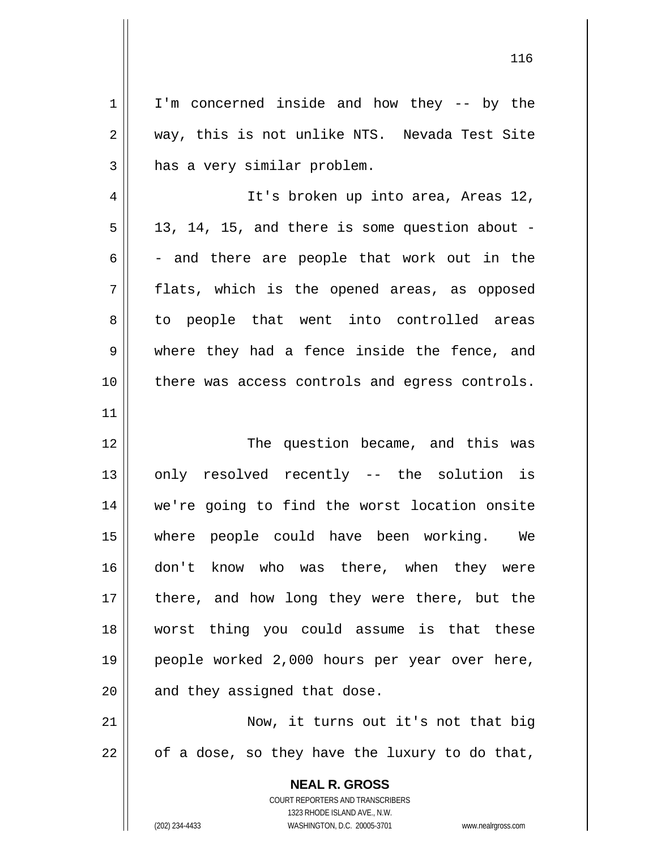**NEAL R. GROSS** COURT REPORTERS AND TRANSCRIBERS 1 2 3 4 5 6 7 8 9 10 11 12 13 14 15 16 17 18 19 20 21 22 I'm concerned inside and how they -- by the way, this is not unlike NTS. Nevada Test Site has a very similar problem. It's broken up into area, Areas 12, 13, 14, 15, and there is some question about - - and there are people that work out in the flats, which is the opened areas, as opposed to people that went into controlled areas where they had a fence inside the fence, and there was access controls and egress controls. The question became, and this was only resolved recently -- the solution is we're going to find the worst location onsite where people could have been working. We don't know who was there, when they were there, and how long they were there, but the worst thing you could assume is that these people worked 2,000 hours per year over here, and they assigned that dose. Now, it turns out it's not that big of a dose, so they have the luxury to do that,

1323 RHODE ISLAND AVE., N.W.

(202) 234-4433 WASHINGTON, D.C. 20005-3701 www.nealrgross.com

<u>116</u>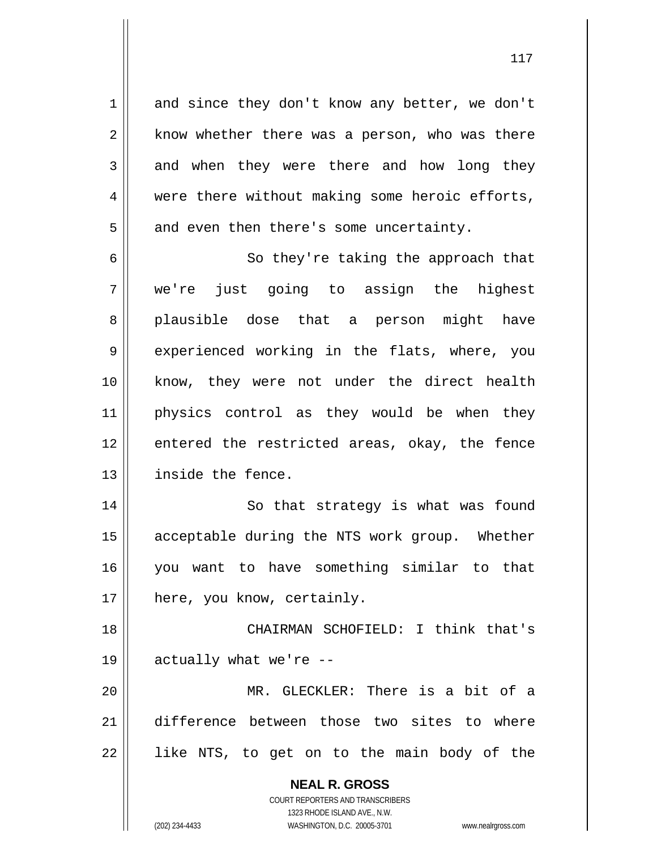and since they don't know any better, we don't know whether there was a person, who was there and when they were there and how long they were there without making some heroic efforts, and even then there's some uncertainty.

6 7 8 9 10 11 12 13 So they're taking the approach that we're just going to assign the highest plausible dose that a person might have experienced working in the flats, where, you know, they were not under the direct health physics control as they would be when they entered the restricted areas, okay, the fence inside the fence.

14 15 16 17 So that strategy is what was found acceptable during the NTS work group. Whether you want to have something similar to that here, you know, certainly.

18 19 CHAIRMAN SCHOFIELD: I think that's actually what we're --

20 21 22 MR. GLECKLER: There is a bit of a difference between those two sites to where like NTS, to get on to the main body of the

> **NEAL R. GROSS** COURT REPORTERS AND TRANSCRIBERS 1323 RHODE ISLAND AVE., N.W.

1

2

3

4

5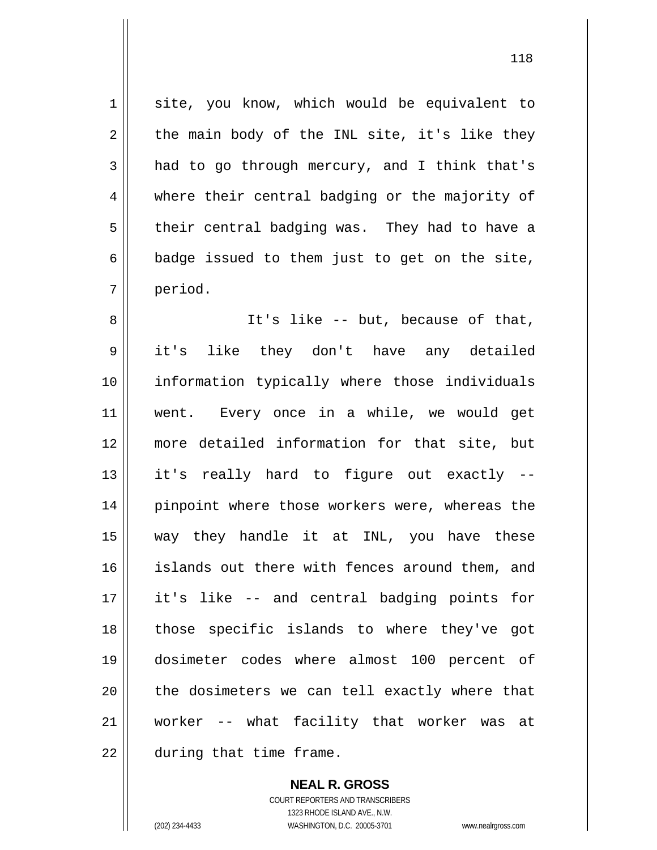site, you know, which would be equivalent to the main body of the INL site, it's like they had to go through mercury, and I think that's where their central badging or the majority of their central badging was. They had to have a badge issued to them just to get on the site, period.

8 9 10 11 12 13 14 15 16 17 18 19 20 21 22 It's like -- but, because of that, it's like they don't have any detailed information typically where those individuals went. Every once in a while, we would get more detailed information for that site, but it's really hard to figure out exactly - pinpoint where those workers were, whereas the way they handle it at INL, you have these islands out there with fences around them, and it's like -- and central badging points for those specific islands to where they've got dosimeter codes where almost 100 percent of the dosimeters we can tell exactly where that worker -- what facility that worker was at during that time frame.

> **NEAL R. GROSS** COURT REPORTERS AND TRANSCRIBERS 1323 RHODE ISLAND AVE., N.W. (202) 234-4433 WASHINGTON, D.C. 20005-3701 www.nealrgross.com

1

2

3

4

5

6

7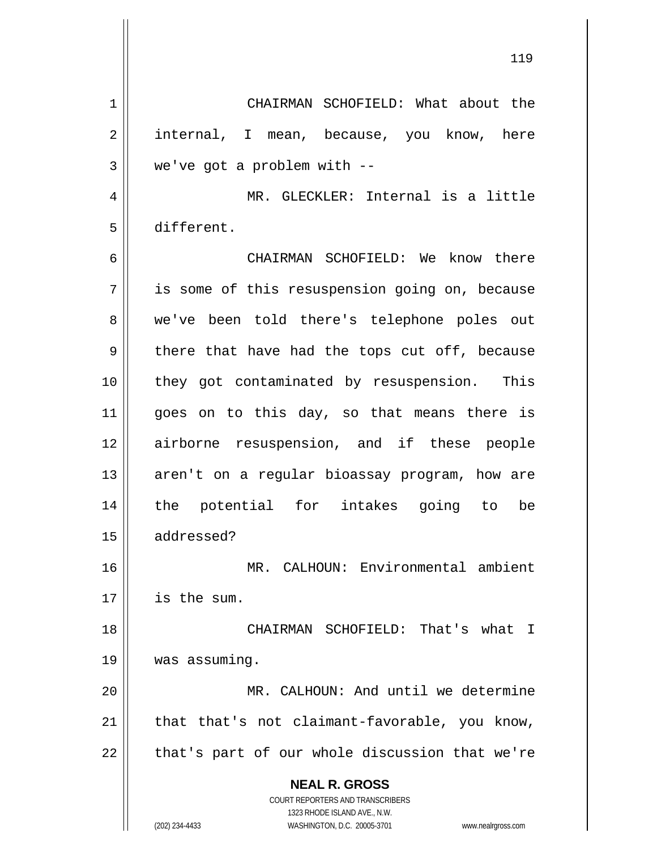**NEAL R. GROSS** COURT REPORTERS AND TRANSCRIBERS 1323 RHODE ISLAND AVE., N.W. 1 2 3 4 5 6 7 8 9 10 11 12 13 14 15 16 17 18 19 20 21 22 CHAIRMAN SCHOFIELD: What about the internal, I mean, because, you know, here we've got a problem with -- MR. GLECKLER: Internal is a little different. CHAIRMAN SCHOFIELD: We know there is some of this resuspension going on, because we've been told there's telephone poles out there that have had the tops cut off, because they got contaminated by resuspension. This goes on to this day, so that means there is airborne resuspension, and if these people aren't on a regular bioassay program, how are the potential for intakes going to be addressed? MR. CALHOUN: Environmental ambient is the sum. CHAIRMAN SCHOFIELD: That's what I was assuming. MR. CALHOUN: And until we determine that that's not claimant-favorable, you know, that's part of our whole discussion that we're

119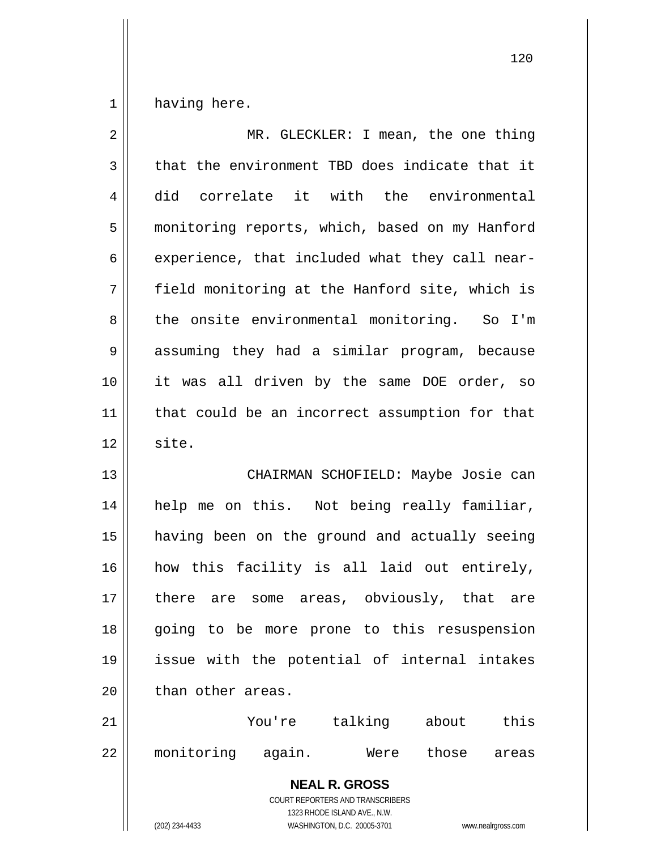1 having here.

| $\overline{2}$ | MR. GLECKLER: I mean, the one thing                                                                                                                             |
|----------------|-----------------------------------------------------------------------------------------------------------------------------------------------------------------|
| $\mathfrak{Z}$ | that the environment TBD does indicate that it                                                                                                                  |
| $\overline{4}$ | did correlate it with the environmental                                                                                                                         |
| 5              | monitoring reports, which, based on my Hanford                                                                                                                  |
| 6              | experience, that included what they call near-                                                                                                                  |
| 7              | field monitoring at the Hanford site, which is                                                                                                                  |
| 8              | the onsite environmental monitoring. So I'm                                                                                                                     |
| $\mathsf 9$    | assuming they had a similar program, because                                                                                                                    |
| 10             | it was all driven by the same DOE order, so                                                                                                                     |
| 11             | that could be an incorrect assumption for that                                                                                                                  |
| 12             | site.                                                                                                                                                           |
| 13             | CHAIRMAN SCHOFIELD: Maybe Josie can                                                                                                                             |
| 14             | help me on this. Not being really familiar,                                                                                                                     |
| 15             | having been on the ground and actually seeing                                                                                                                   |
| 16             | how this facility is all laid out entirely,                                                                                                                     |
| 17             | there are some areas, obviously, that are                                                                                                                       |
| 18             | going to be more prone to this resuspension                                                                                                                     |
| 19             | issue with the potential of internal intakes                                                                                                                    |
| 20             | than other areas.                                                                                                                                               |
| 21             | talking about<br>this<br>You're                                                                                                                                 |
| 22             | monitoring again.<br>those<br>Were<br>areas                                                                                                                     |
|                | <b>NEAL R. GROSS</b><br>COURT REPORTERS AND TRANSCRIBERS<br>1323 RHODE ISLAND AVE., N.W.<br>(202) 234-4433<br>WASHINGTON, D.C. 20005-3701<br>www.nealrgross.com |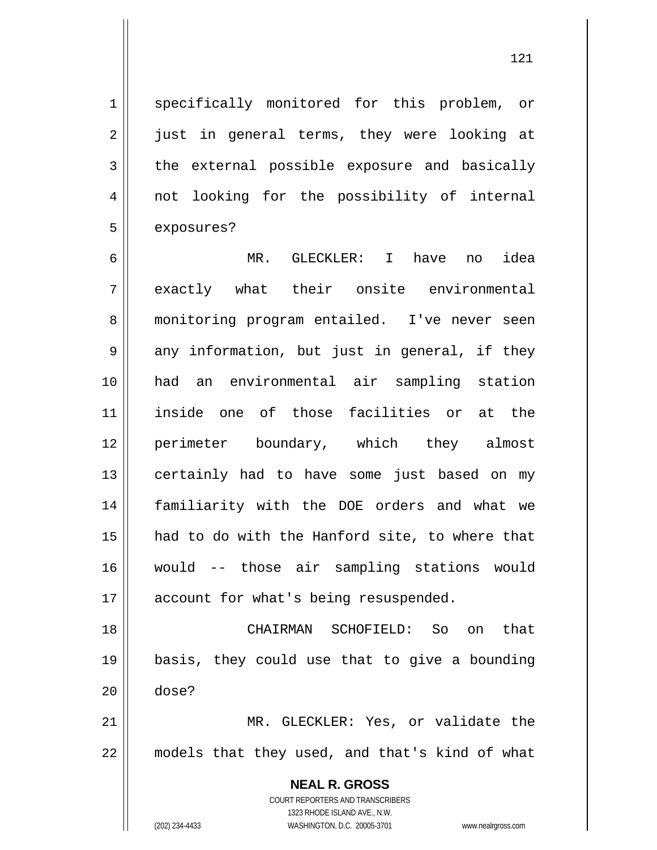121

specifically monitored for this problem, or just in general terms, they were looking at the external possible exposure and basically not looking for the possibility of internal exposures?

6 7 8 9 10 11 12 13 14 15 16 17 MR. GLECKLER: I have no idea exactly what their onsite environmental monitoring program entailed. I've never seen any information, but just in general, if they had an environmental air sampling station inside one of those facilities or at the perimeter boundary, which they almost certainly had to have some just based on my familiarity with the DOE orders and what we had to do with the Hanford site, to where that would -- those air sampling stations would account for what's being resuspended.

18 19 20 CHAIRMAN SCHOFIELD: So on that basis, they could use that to give a bounding dose?

21 22 MR. GLECKLER: Yes, or validate the models that they used, and that's kind of what

> **NEAL R. GROSS** COURT REPORTERS AND TRANSCRIBERS 1323 RHODE ISLAND AVE., N.W.

1

2

3

4

5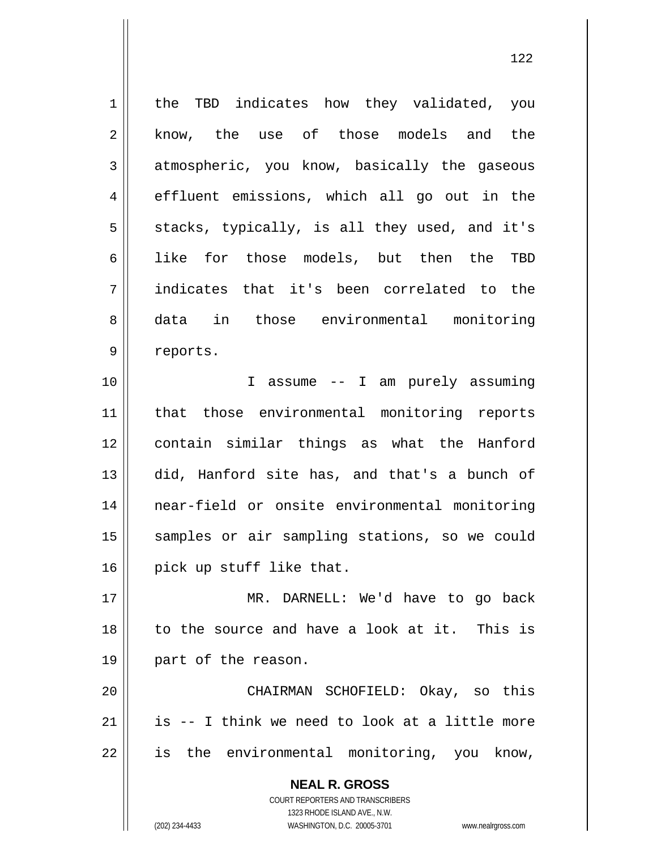1 2 3 4 5 6 7 8 9 10 the TBD indicates how they validated, you know, the use of those models and the atmospheric, you know, basically the gaseous effluent emissions, which all go out in the stacks, typically, is all they used, and it's like for those models, but then the TBD indicates that it's been correlated to the data in those environmental monitoring reports. I assume -- I am purely assuming

11 12 13 14 15 16 that those environmental monitoring reports contain similar things as what the Hanford did, Hanford site has, and that's a bunch of near-field or onsite environmental monitoring samples or air sampling stations, so we could pick up stuff like that.

17 18 19 MR. DARNELL: We'd have to go back to the source and have a look at it. This is part of the reason.

20 21 22 CHAIRMAN SCHOFIELD: Okay, so this is -- I think we need to look at a little more is the environmental monitoring, you know,

> **NEAL R. GROSS** COURT REPORTERS AND TRANSCRIBERS 1323 RHODE ISLAND AVE., N.W. (202) 234-4433 WASHINGTON, D.C. 20005-3701 www.nealrgross.com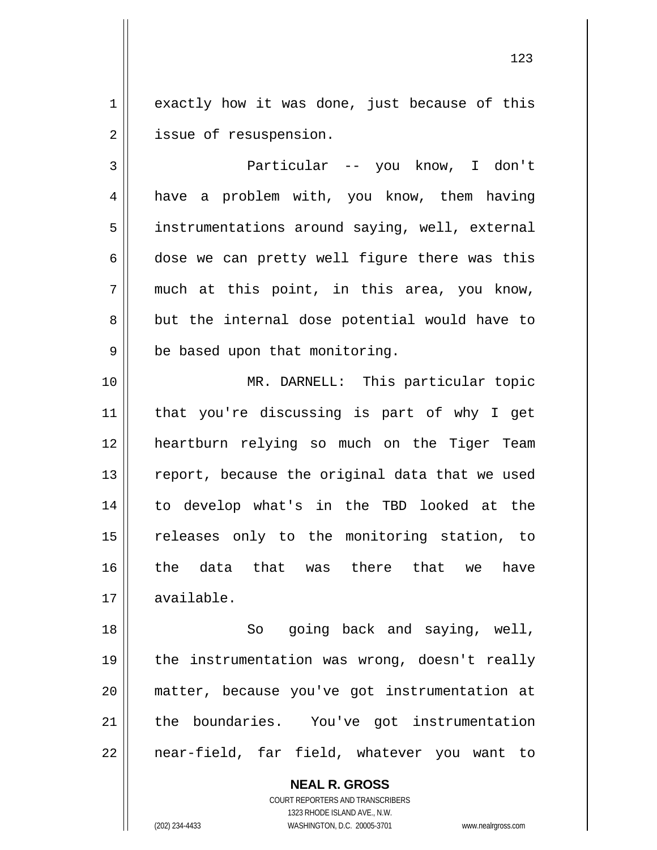1 2 exactly how it was done, just because of this issue of resuspension.

3 4 5 6 7 8 9 Particular -- you know, I don't have a problem with, you know, them having instrumentations around saying, well, external dose we can pretty well figure there was this much at this point, in this area, you know, but the internal dose potential would have to be based upon that monitoring.

10 11 12 13 14 15 16 17 MR. DARNELL: This particular topic that you're discussing is part of why I get heartburn relying so much on the Tiger Team report, because the original data that we used to develop what's in the TBD looked at the releases only to the monitoring station, to the data that was there that we have available.

18 19 20 21 22 So going back and saying, well, the instrumentation was wrong, doesn't really matter, because you've got instrumentation at the boundaries. You've got instrumentation near-field, far field, whatever you want to

> **NEAL R. GROSS** COURT REPORTERS AND TRANSCRIBERS 1323 RHODE ISLAND AVE., N.W. (202) 234-4433 WASHINGTON, D.C. 20005-3701 www.nealrgross.com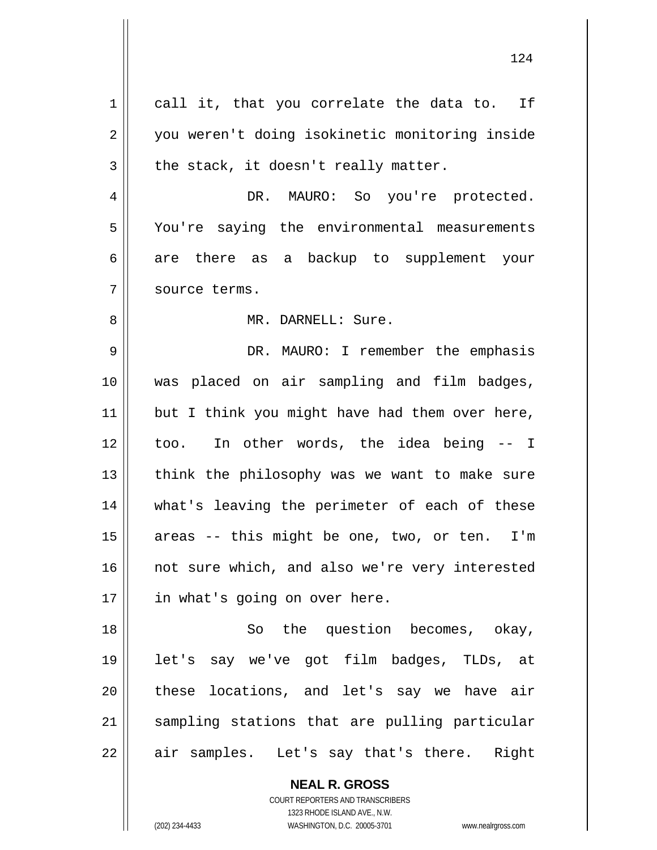1 2 3 4 5 6 7 8 9 10 11 12 13 14 15 16 17 18 19 20 21 22 call it, that you correlate the data to. If you weren't doing isokinetic monitoring inside the stack, it doesn't really matter. DR. MAURO: So you're protected. You're saying the environmental measurements are there as a backup to supplement your source terms. MR. DARNELL: Sure. DR. MAURO: I remember the emphasis was placed on air sampling and film badges, but I think you might have had them over here, too. In other words, the idea being -- I think the philosophy was we want to make sure what's leaving the perimeter of each of these areas -- this might be one, two, or ten. I'm not sure which, and also we're very interested in what's going on over here. So the question becomes, okay, let's say we've got film badges, TLDs, at these locations, and let's say we have air sampling stations that are pulling particular air samples. Let's say that's there. Right

124

**NEAL R. GROSS** COURT REPORTERS AND TRANSCRIBERS

1323 RHODE ISLAND AVE., N.W.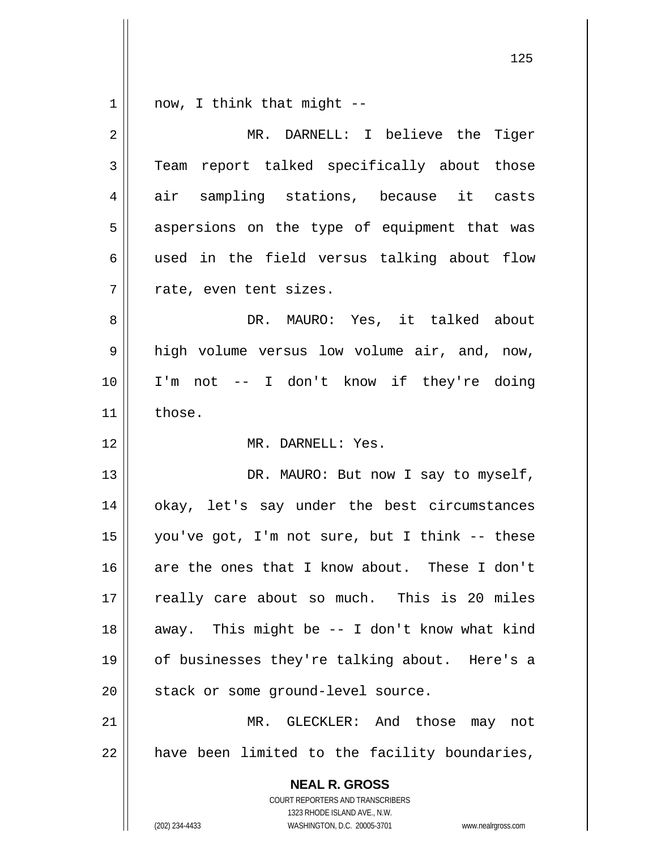| $\mathbf 1$    | now, I think that might --                                                                          |
|----------------|-----------------------------------------------------------------------------------------------------|
| $\overline{2}$ | MR. DARNELL: I believe the Tiger                                                                    |
| 3              | Team report talked specifically about those                                                         |
| 4              | air sampling stations, because it casts                                                             |
| 5              | aspersions on the type of equipment that was                                                        |
| 6              | used in the field versus talking about flow                                                         |
| 7              | rate, even tent sizes.                                                                              |
| 8              | DR. MAURO: Yes, it talked about                                                                     |
| 9              | high volume versus low volume air, and, now,                                                        |
| 10             | I'm not -- I don't know if they're doing                                                            |
| 11             | those.                                                                                              |
| 12             | MR. DARNELL: Yes.                                                                                   |
| 13             | DR. MAURO: But now I say to myself,                                                                 |
| 14             | okay, let's say under the best circumstances                                                        |
| 15             | you've got, I'm not sure, but I think -- these                                                      |
| 16             | are the ones that I know about. These I don't                                                       |
| 17             | really care about so much. This is 20 miles                                                         |
| 18             | away. This might be -- I don't know what kind                                                       |
| 19             | of businesses they're talking about. Here's a                                                       |
| 20             | stack or some ground-level source.                                                                  |
| 21             | MR. GLECKLER: And those may not                                                                     |
| 22             | have been limited to the facility boundaries,                                                       |
|                | <b>NEAL R. GROSS</b>                                                                                |
|                | COURT REPORTERS AND TRANSCRIBERS                                                                    |
|                | 1323 RHODE ISLAND AVE., N.W.<br>(202) 234-4433<br>WASHINGTON, D.C. 20005-3701<br>www.nealrgross.com |

 $\mathsf{I}$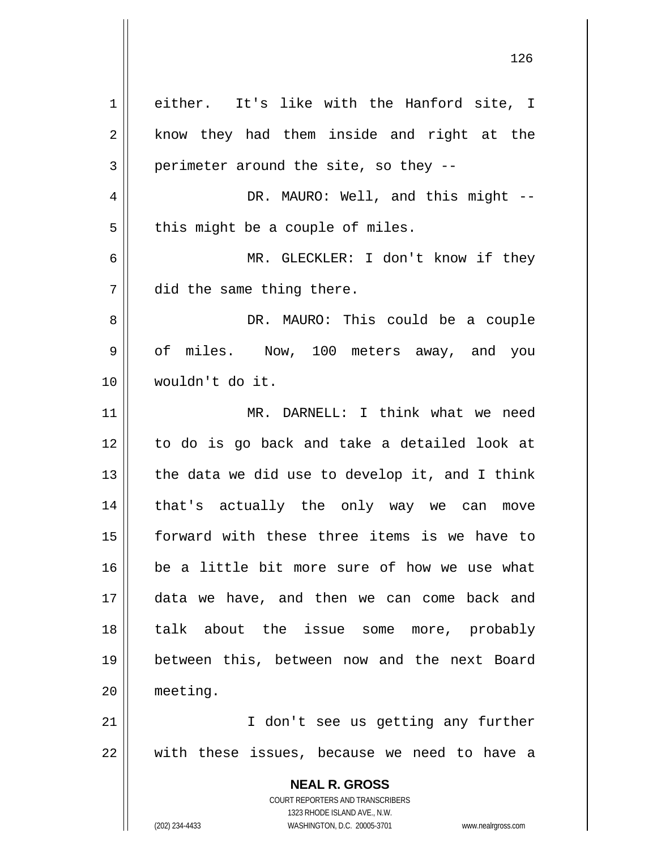| 1              | either. It's like with the Hanford site, I                                                          |
|----------------|-----------------------------------------------------------------------------------------------------|
| $\overline{2}$ | know they had them inside and right at the                                                          |
| 3              | perimeter around the site, so they --                                                               |
| 4              | DR. MAURO: Well, and this might --                                                                  |
| 5              | this might be a couple of miles.                                                                    |
| 6              | MR. GLECKLER: I don't know if they                                                                  |
| 7              | did the same thing there.                                                                           |
| 8              | DR. MAURO: This could be a couple                                                                   |
| 9              | of miles. Now, 100 meters away, and you                                                             |
| 10             | wouldn't do it.                                                                                     |
| 11             | MR. DARNELL: I think what we need                                                                   |
| 12             | to do is go back and take a detailed look at                                                        |
| 13             | the data we did use to develop it, and I think                                                      |
| 14             | that's actually the only way we can move                                                            |
| 15             | forward with these three items is we have to                                                        |
| 16             | be a little bit more sure of how we use what                                                        |
| 17             | data we have, and then we can come back and                                                         |
| 18             | talk about the issue some more, probably                                                            |
| 19             | between this, between now and the next Board                                                        |
| 20             | meeting.                                                                                            |
| 21             | I don't see us getting any further                                                                  |
| 22             | with these issues, because we need to have a                                                        |
|                | <b>NEAL R. GROSS</b>                                                                                |
|                | COURT REPORTERS AND TRANSCRIBERS                                                                    |
|                | 1323 RHODE ISLAND AVE., N.W.<br>WASHINGTON, D.C. 20005-3701<br>(202) 234-4433<br>www.nealrgross.com |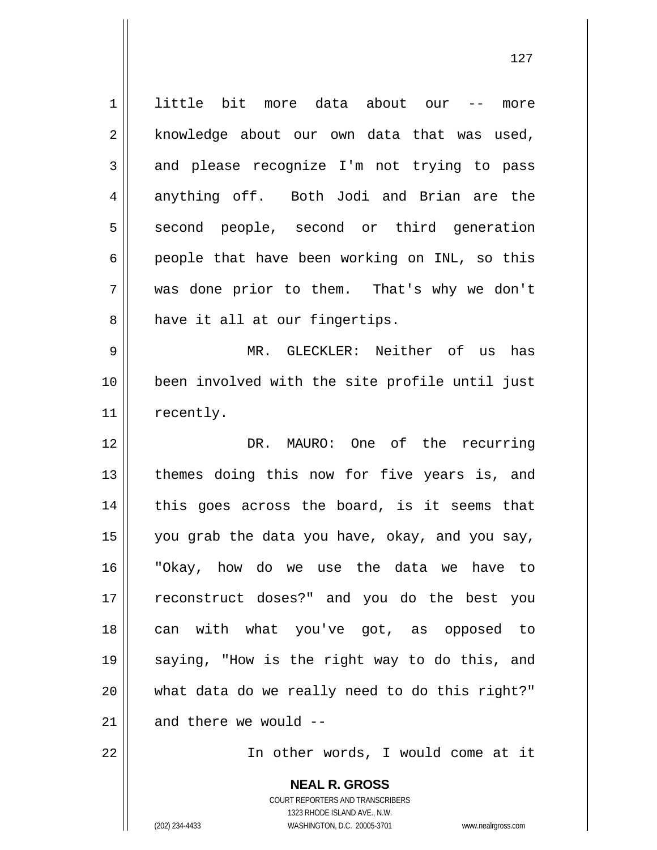1 2 3 4 5 6 7 8 little bit more data about our -- more knowledge about our own data that was used, and please recognize I'm not trying to pass anything off. Both Jodi and Brian are the second people, second or third generation people that have been working on INL, so this was done prior to them. That's why we don't have it all at our fingertips.

9 10 11 MR. GLECKLER: Neither of us has been involved with the site profile until just recently.

12 13 14 15 16 17 18 19 20 21 DR. MAURO: One of the recurring themes doing this now for five years is, and this goes across the board, is it seems that you grab the data you have, okay, and you say, "Okay, how do we use the data we have to reconstruct doses?" and you do the best you can with what you've got, as opposed to saying, "How is the right way to do this, and what data do we really need to do this right?" and there we would --

22

In other words, I would come at it

**NEAL R. GROSS** COURT REPORTERS AND TRANSCRIBERS 1323 RHODE ISLAND AVE., N.W. (202) 234-4433 WASHINGTON, D.C. 20005-3701 www.nealrgross.com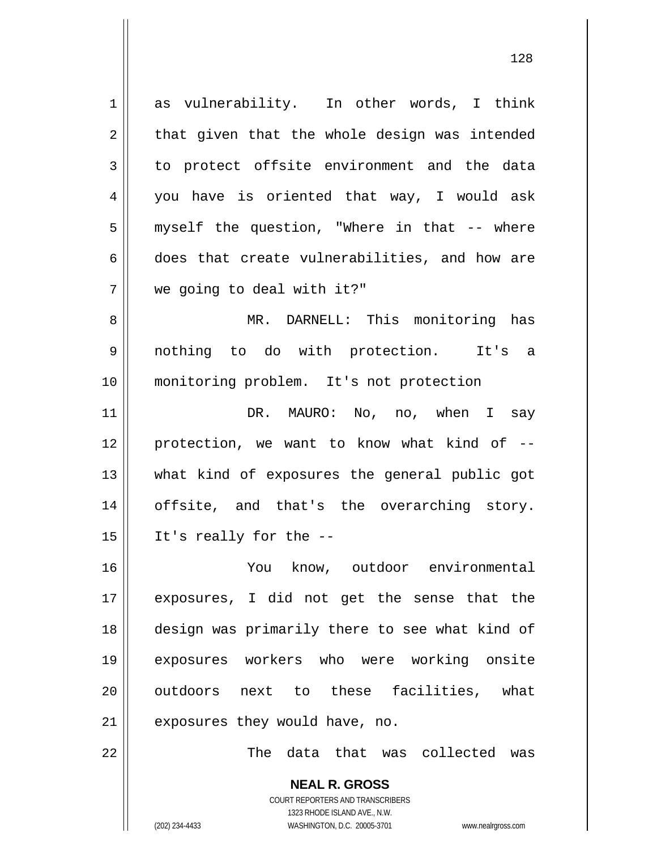1 2 3 4 5 6 7 8 9 10 11 12 13 14 15 16 17 18 19 20 21 22 as vulnerability. In other words, I think that given that the whole design was intended to protect offsite environment and the data you have is oriented that way, I would ask myself the question, "Where in that -- where does that create vulnerabilities, and how are we going to deal with it?" MR. DARNELL: This monitoring has nothing to do with protection. It's a monitoring problem. It's not protection DR. MAURO: No, no, when I say protection, we want to know what kind of - what kind of exposures the general public got offsite, and that's the overarching story. It's really for the -- You know, outdoor environmental exposures, I did not get the sense that the design was primarily there to see what kind of exposures workers who were working onsite outdoors next to these facilities, what exposures they would have, no. The data that was collected was

128

**NEAL R. GROSS** COURT REPORTERS AND TRANSCRIBERS 1323 RHODE ISLAND AVE., N.W.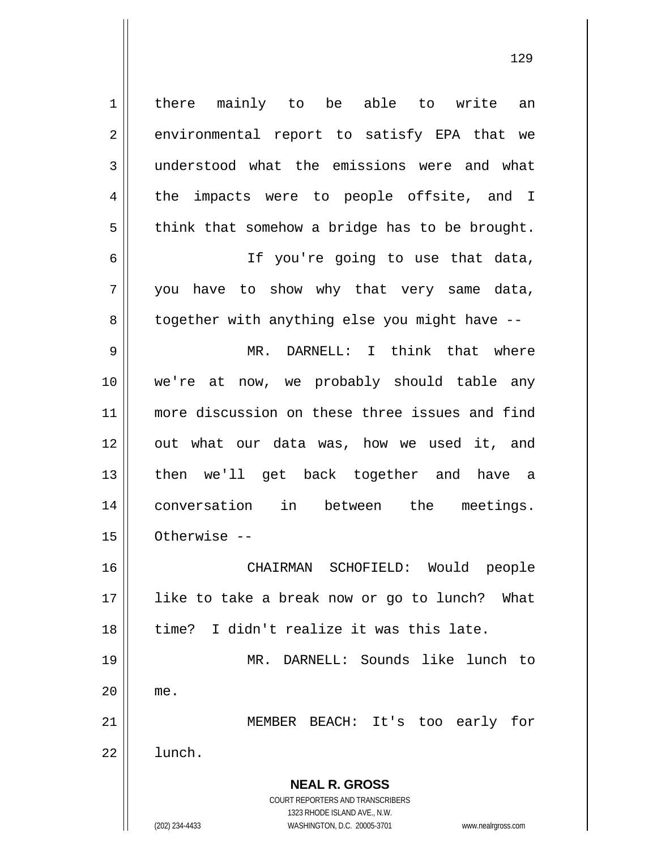**NEAL R. GROSS** COURT REPORTERS AND TRANSCRIBERS 1323 RHODE ISLAND AVE., N.W. 1 2 3 4 5 6 7 8 9 10 11 12 13 14 15 16 17 18 19 20 21 22 there mainly to be able to write an environmental report to satisfy EPA that we understood what the emissions were and what the impacts were to people offsite, and I think that somehow a bridge has to be brought. If you're going to use that data, you have to show why that very same data, together with anything else you might have -- MR. DARNELL: I think that where we're at now, we probably should table any more discussion on these three issues and find out what our data was, how we used it, and then we'll get back together and have a conversation in between the meetings. Otherwise -- CHAIRMAN SCHOFIELD: Would people like to take a break now or go to lunch? What time? I didn't realize it was this late. MR. DARNELL: Sounds like lunch to me. MEMBER BEACH: It's too early for lunch.

129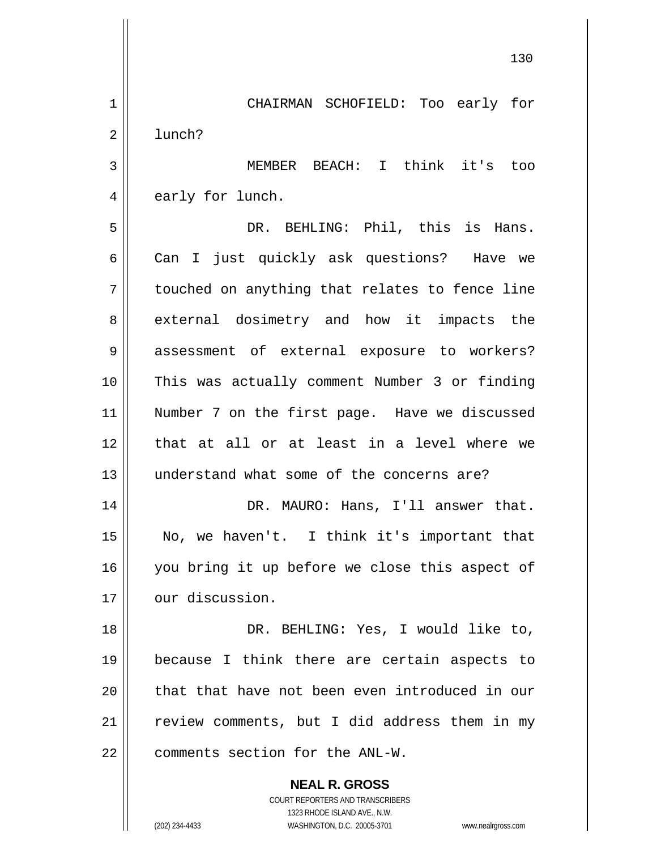**NEAL R. GROSS** 1 2 3 4 5 6 7 8 9 10 11 12 13 14 15 16 17 18 19 20 21 22 CHAIRMAN SCHOFIELD: Too early for lunch? MEMBER BEACH: I think it's too early for lunch. DR. BEHLING: Phil, this is Hans. Can I just quickly ask questions? Have we touched on anything that relates to fence line external dosimetry and how it impacts the assessment of external exposure to workers? This was actually comment Number 3 or finding Number 7 on the first page. Have we discussed that at all or at least in a level where we understand what some of the concerns are? DR. MAURO: Hans, I'll answer that. No, we haven't. I think it's important that you bring it up before we close this aspect of our discussion. DR. BEHLING: Yes, I would like to, because I think there are certain aspects to that that have not been even introduced in our review comments, but I did address them in my comments section for the ANL-W.

130

COURT REPORTERS AND TRANSCRIBERS 1323 RHODE ISLAND AVE., N.W.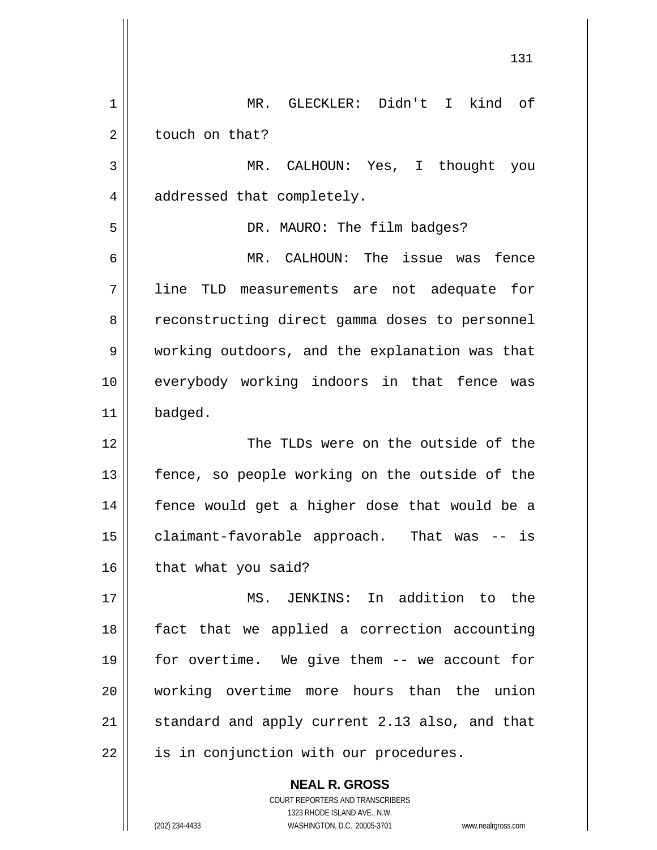|    | 131                                            |
|----|------------------------------------------------|
| 1  | MR. GLECKLER: Didn't I kind of                 |
| 2  | touch on that?                                 |
| 3  | MR. CALHOUN: Yes, I thought you                |
| 4  | addressed that completely.                     |
| 5  | DR. MAURO: The film badges?                    |
| 6  | MR. CALHOUN: The issue was fence               |
| 7  | line TLD measurements are not adequate for     |
| 8  | reconstructing direct gamma doses to personnel |
| 9  | working outdoors, and the explanation was that |
| 10 | everybody working indoors in that fence was    |
| 11 | badged.                                        |
| 12 | The TLDs were on the outside of the            |
| 13 | fence, so people working on the outside of the |
| 14 | fence would get a higher dose that would be a  |
| 15 | claimant-favorable approach. That was -- is    |
| 16 | that what you said?                            |
| 17 | MS. JENKINS: In addition to the                |
| 18 | fact that we applied a correction accounting   |
| 19 | for overtime. We give them -- we account for   |
| 20 | working overtime more hours than the union     |
| 21 | standard and apply current 2.13 also, and that |
| 22 | is in conjunction with our procedures.         |
|    | <b>NEAL R. GROSS</b>                           |

COURT REPORTERS AND TRANSCRIBERS 1323 RHODE ISLAND AVE., N.W.

 $\prod$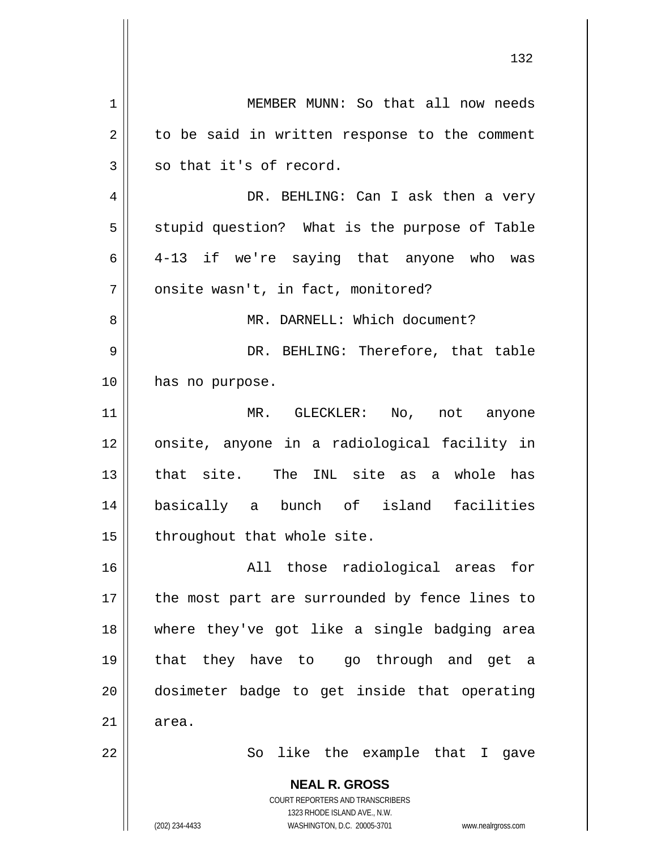**NEAL R. GROSS** COURT REPORTERS AND TRANSCRIBERS 1323 RHODE ISLAND AVE., N.W. 1 2 3 4 5 6 7 8 9 10 11 12 13 14 15 16 17 18 19 20 21 22 MEMBER MUNN: So that all now needs to be said in written response to the comment so that it's of record. DR. BEHLING: Can I ask then a very stupid question? What is the purpose of Table 4-13 if we're saying that anyone who was onsite wasn't, in fact, monitored? MR. DARNELL: Which document? DR. BEHLING: Therefore, that table has no purpose. MR. GLECKLER: No, not anyone onsite, anyone in a radiological facility in that site. The INL site as a whole has basically a bunch of island facilities throughout that whole site. All those radiological areas for the most part are surrounded by fence lines to where they've got like a single badging area that they have to go through and get a dosimeter badge to get inside that operating area. So like the example that I gave

132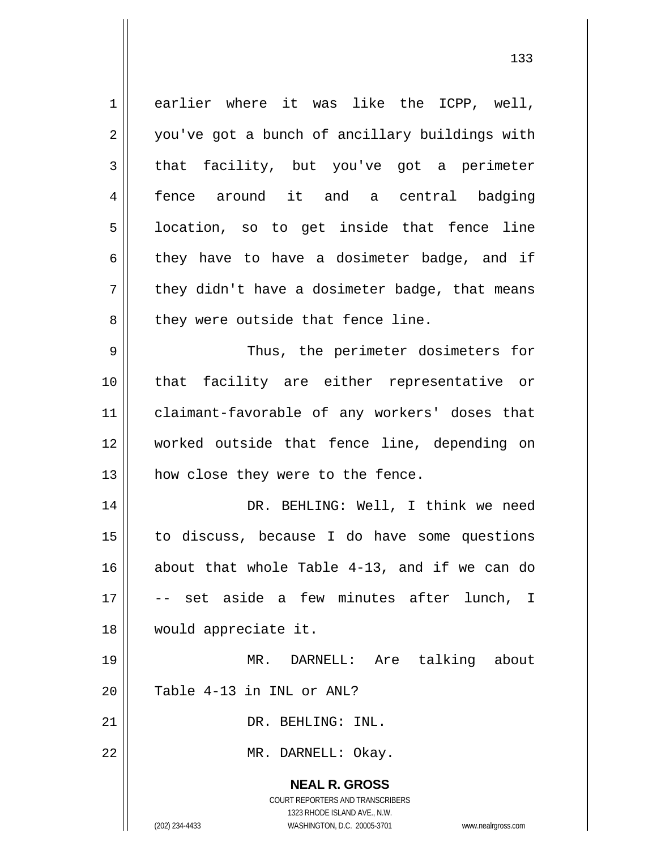**NEAL R. GROSS** COURT REPORTERS AND TRANSCRIBERS 1323 RHODE ISLAND AVE., N.W. 1 2 3 4 5 6 7 8 9 10 11 12 13 14 15 16 17 18 19 20 21 22 earlier where it was like the ICPP, well, you've got a bunch of ancillary buildings with that facility, but you've got a perimeter fence around it and a central badging location, so to get inside that fence line they have to have a dosimeter badge, and if they didn't have a dosimeter badge, that means they were outside that fence line. Thus, the perimeter dosimeters for that facility are either representative or claimant-favorable of any workers' doses that worked outside that fence line, depending on how close they were to the fence. DR. BEHLING: Well, I think we need to discuss, because I do have some questions about that whole Table 4-13, and if we can do -- set aside a few minutes after lunch, I would appreciate it. MR. DARNELL: Are talking about Table 4-13 in INL or ANL? DR. BEHLING: INL. MR. DARNELL: Okay.

(202) 234-4433 WASHINGTON, D.C. 20005-3701 www.nealrgross.com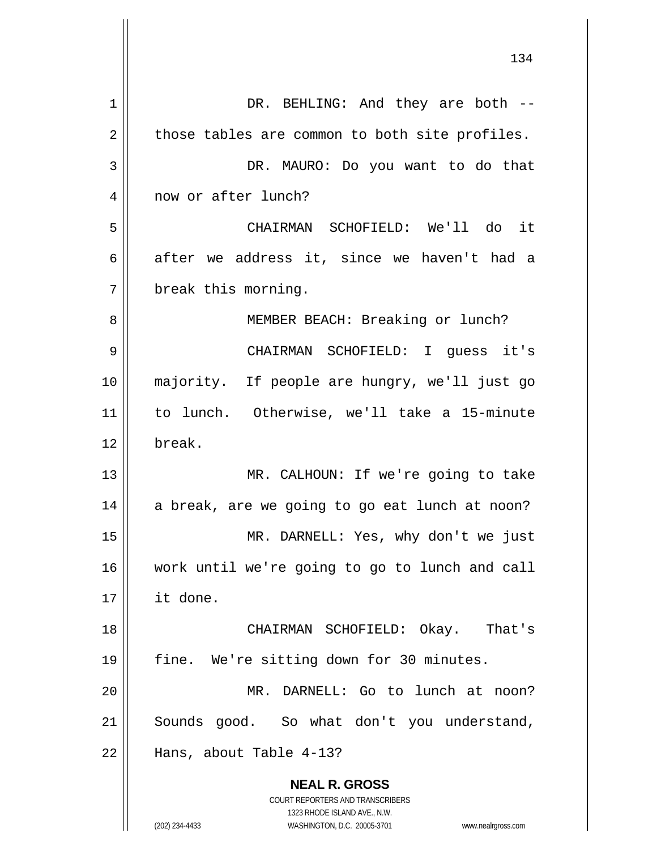| 1              | DR. BEHLING: And they are both --                                                                   |
|----------------|-----------------------------------------------------------------------------------------------------|
| $\overline{2}$ | those tables are common to both site profiles.                                                      |
| 3              | DR. MAURO: Do you want to do that                                                                   |
| 4              | now or after lunch?                                                                                 |
| 5              | CHAIRMAN SCHOFIELD: We'll do it                                                                     |
| 6              | after we address it, since we haven't had a                                                         |
| 7              | break this morning.                                                                                 |
| 8              | MEMBER BEACH: Breaking or lunch?                                                                    |
| 9              | CHAIRMAN SCHOFIELD: I quess it's                                                                    |
| 10             | majority. If people are hungry, we'll just go                                                       |
| 11             | to lunch. Otherwise, we'll take a 15-minute                                                         |
| 12             | break.                                                                                              |
| 13             | MR. CALHOUN: If we're going to take                                                                 |
| 14             | a break, are we going to go eat lunch at noon?                                                      |
| 15             | MR. DARNELL: Yes, why don't we just                                                                 |
| 16             | work until we're going to go to lunch and call                                                      |
| 17             | it done.                                                                                            |
| 18             | CHAIRMAN SCHOFIELD: Okay. That's                                                                    |
| 19             | fine. We're sitting down for 30 minutes.                                                            |
| 20             | MR. DARNELL: Go to lunch at noon?                                                                   |
| 21             | Sounds good. So what don't you understand,                                                          |
| 22             | Hans, about Table 4-13?                                                                             |
|                | <b>NEAL R. GROSS</b>                                                                                |
|                | COURT REPORTERS AND TRANSCRIBERS                                                                    |
|                | 1323 RHODE ISLAND AVE., N.W.<br>(202) 234-4433<br>WASHINGTON, D.C. 20005-3701<br>www.nealrgross.com |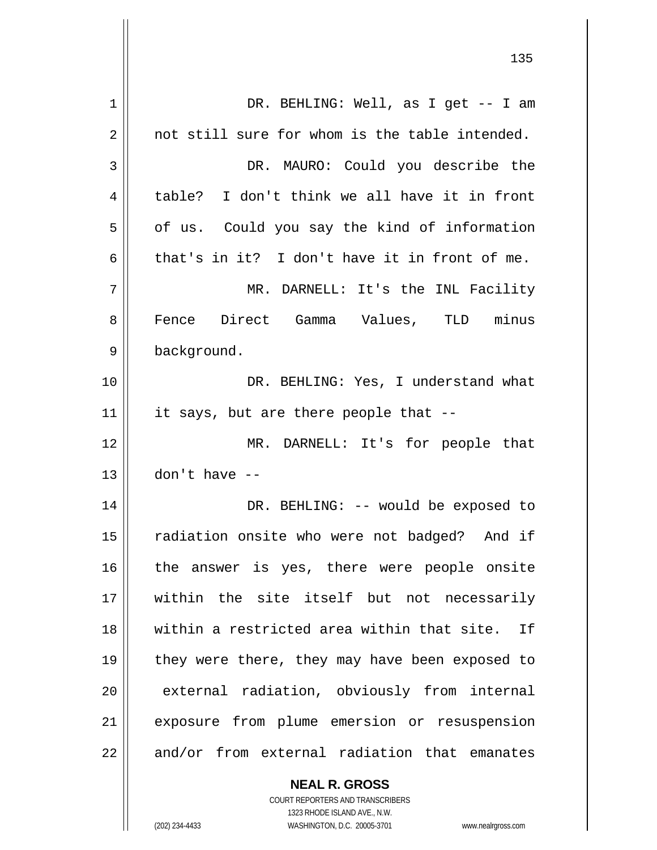| 1  | DR. BEHLING: Well, as I get -- I am            |
|----|------------------------------------------------|
| 2  | not still sure for whom is the table intended. |
| 3  | DR. MAURO: Could you describe the              |
| 4  | table? I don't think we all have it in front   |
| 5  | of us. Could you say the kind of information   |
| 6  | that's in it? I don't have it in front of me.  |
| 7  | MR. DARNELL: It's the INL Facility             |
| 8  | Fence Direct Gamma Values, TLD minus           |
| 9  | background.                                    |
| 10 | DR. BEHLING: Yes, I understand what            |
| 11 | it says, but are there people that --          |
| 12 | MR. DARNELL: It's for people that              |
| 13 | $don't$ have $--$                              |
| 14 | DR. BEHLING: -- would be exposed to            |
| 15 | radiation onsite who were not badged? And if   |
| 16 | the answer is yes, there were people onsite    |
| 17 | within the site itself but not necessarily     |
| 18 | within a restricted area within that site. If  |
| 19 | they were there, they may have been exposed to |
| 20 | external radiation, obviously from internal    |
| 21 | exposure from plume emersion or resuspension   |
| 22 | and/or from external radiation that emanates   |

**NEAL R. GROSS** COURT REPORTERS AND TRANSCRIBERS 1323 RHODE ISLAND AVE., N.W.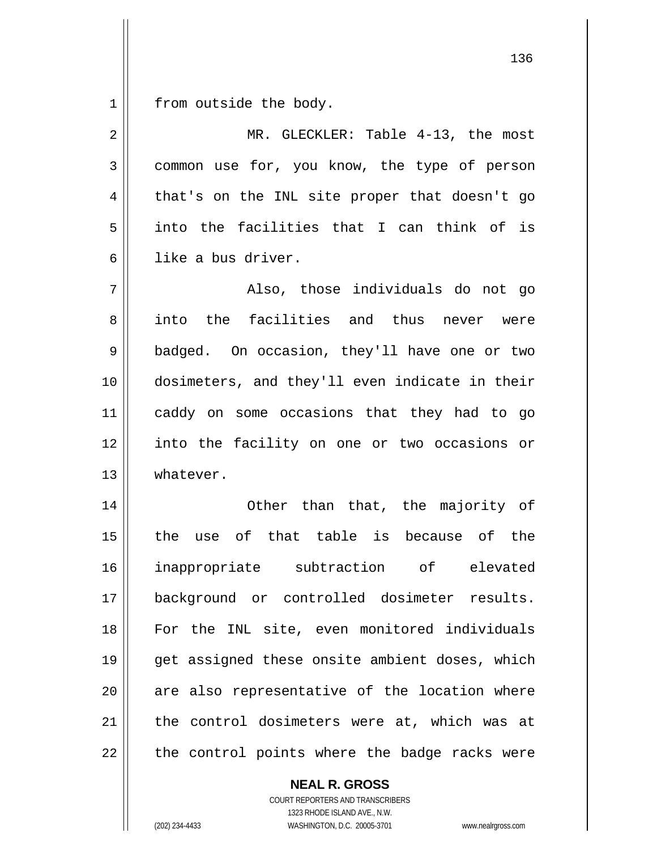1 from outside the body.

| 2  | MR. GLECKLER: Table 4-13, the most             |
|----|------------------------------------------------|
| 3  | common use for, you know, the type of person   |
| 4  | that's on the INL site proper that doesn't go  |
| 5  | into the facilities that I can think of is     |
| 6  | like a bus driver.                             |
| 7  | Also, those individuals do not go              |
| 8  | the facilities and thus<br>into<br>never were  |
| 9  | badged. On occasion, they'll have one or two   |
| 10 | dosimeters, and they'll even indicate in their |
| 11 | caddy on some occasions that they had to go    |
| 12 | into the facility on one or two occasions or   |
| 13 | whatever.                                      |
| 14 | Other than that, the majority of               |
| 15 | the use of that table is because of the        |
| 16 | inappropriate subtraction of elevated          |
| 17 | background or controlled dosimeter results.    |
| 18 | For the INL site, even monitored individuals   |
| 19 | get assigned these onsite ambient doses, which |
| 20 | are also representative of the location where  |
| 21 | the control dosimeters were at, which was at   |
| 22 | the control points where the badge racks were  |

**NEAL R. GROSS** COURT REPORTERS AND TRANSCRIBERS 1323 RHODE ISLAND AVE., N.W.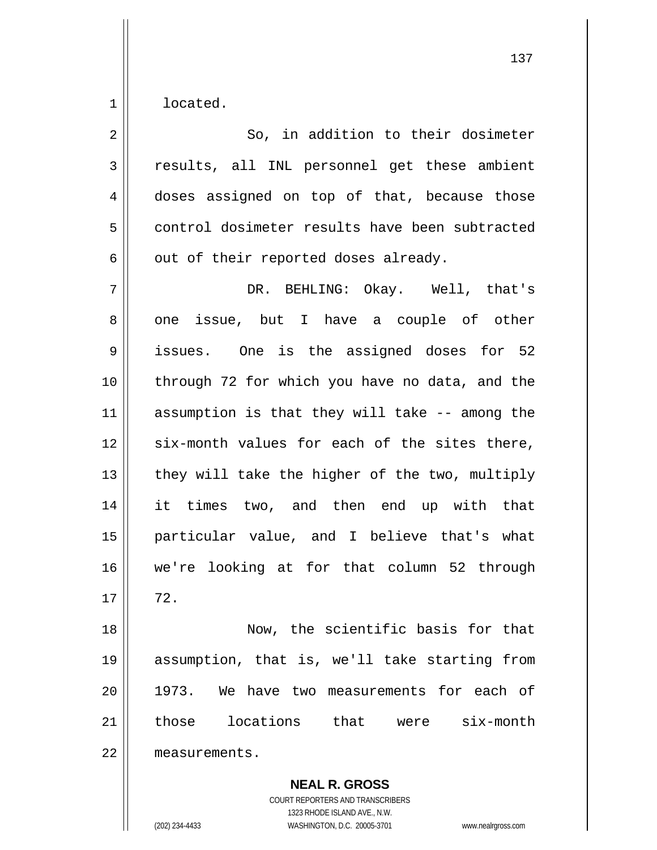1 located.

| 2  | So, in addition to their dosimeter             |
|----|------------------------------------------------|
| 3  | results, all INL personnel get these ambient   |
| 4  | doses assigned on top of that, because those   |
| 5  | control dosimeter results have been subtracted |
| 6  | out of their reported doses already.           |
| 7  | DR. BEHLING: Okay. Well, that's                |
| 8  | one issue, but I have a couple of other        |
| 9  | issues. One is the assigned doses for 52       |
| 10 | through 72 for which you have no data, and the |
| 11 | assumption is that they will take -- among the |
| 12 | six-month values for each of the sites there,  |
| 13 | they will take the higher of the two, multiply |
| 14 | it times two, and then end up with that        |
| 15 | particular value, and I believe that's what    |
| 16 | we're looking at for that column 52 through    |
| 17 | 72.                                            |
| 18 | Now, the scientific basis for that             |
| 19 | assumption, that is, we'll take starting from  |
| 20 | 1973. We have two measurements for each of     |
| 21 | those locations that were six-month            |
| 22 | measurements.                                  |

**NEAL R. GROSS** COURT REPORTERS AND TRANSCRIBERS 1323 RHODE ISLAND AVE., N.W. (202) 234-4433 WASHINGTON, D.C. 20005-3701 www.nealrgross.com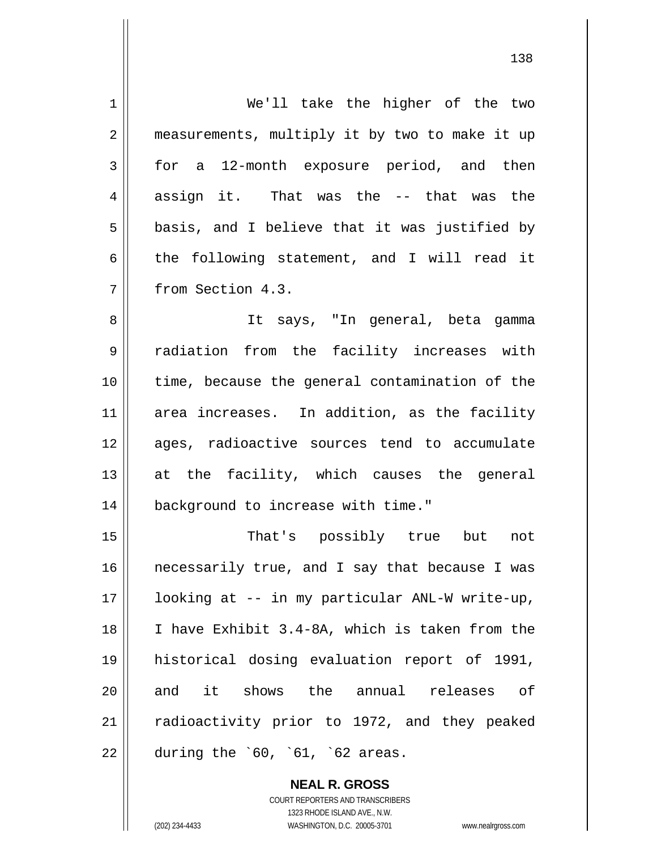| $\mathbf 1$    | We'll take the higher of the two               |
|----------------|------------------------------------------------|
| $\overline{2}$ | measurements, multiply it by two to make it up |
| 3              | for a 12-month exposure period, and then       |
| 4              | assign it. That was the -- that was the        |
| 5              | basis, and I believe that it was justified by  |
| 6              | the following statement, and I will read it    |
| 7              | from Section 4.3.                              |
| 8              | It says, "In general, beta gamma               |
| 9              | radiation from the facility increases with     |
| 10             | time, because the general contamination of the |
| 11             | area increases. In addition, as the facility   |
| 12             | ages, radioactive sources tend to accumulate   |
| 13             | at the facility, which causes the general      |
| 14             | background to increase with time."             |
| 15             | That's possibly true but<br>not                |
| 16             | necessarily true, and I say that because I was |
| 17             | looking at -- in my particular ANL-W write-up, |
| 18             | I have Exhibit 3.4-8A, which is taken from the |
| 19             | historical dosing evaluation report of 1991,   |
| 20             | and it shows the annual releases of            |
| 21             | radioactivity prior to 1972, and they peaked   |
| 22             | during the $60, 61, 62$ areas.                 |

**NEAL R. GROSS** COURT REPORTERS AND TRANSCRIBERS 1323 RHODE ISLAND AVE., N.W. (202) 234-4433 WASHINGTON, D.C. 20005-3701 www.nealrgross.com

 $\mathsf{II}$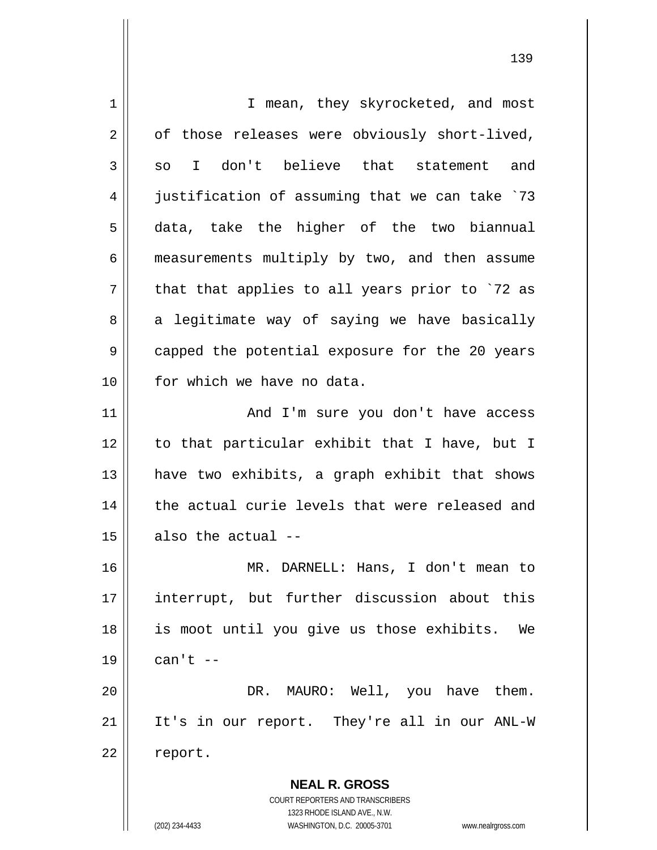| 1  | I mean, they skyrocketed, and most                                  |
|----|---------------------------------------------------------------------|
| 2  | of those releases were obviously short-lived,                       |
| 3  | I don't believe that statement and<br>SO                            |
| 4  | justification of assuming that we can take `73                      |
| 5  | data, take the higher of the two biannual                           |
| 6  | measurements multiply by two, and then assume                       |
| 7  | that that applies to all years prior to `72 as                      |
| 8  | a legitimate way of saying we have basically                        |
| 9  | capped the potential exposure for the 20 years                      |
| 10 | for which we have no data.                                          |
| 11 | And I'm sure you don't have access                                  |
| 12 | to that particular exhibit that I have, but I                       |
| 13 | have two exhibits, a graph exhibit that shows                       |
| 14 | the actual curie levels that were released and                      |
| 15 | also the actual --                                                  |
| 16 | MR. DARNELL: Hans, I don't mean to                                  |
| 17 | interrupt, but further discussion about this                        |
| 18 | is moot until you give us those exhibits. We                        |
| 19 | can't $--$                                                          |
| 20 | DR. MAURO: Well, you have them.                                     |
| 21 | It's in our report. They're all in our ANL-W                        |
| 22 | report.                                                             |
|    | <b>NEAL R. GROSS</b>                                                |
|    | COURT REPORTERS AND TRANSCRIBERS                                    |
|    | 1323 RHODE ISLAND AVE., N.W.                                        |
|    | (202) 234-4433<br>WASHINGTON, D.C. 20005-3701<br>www.nealrgross.com |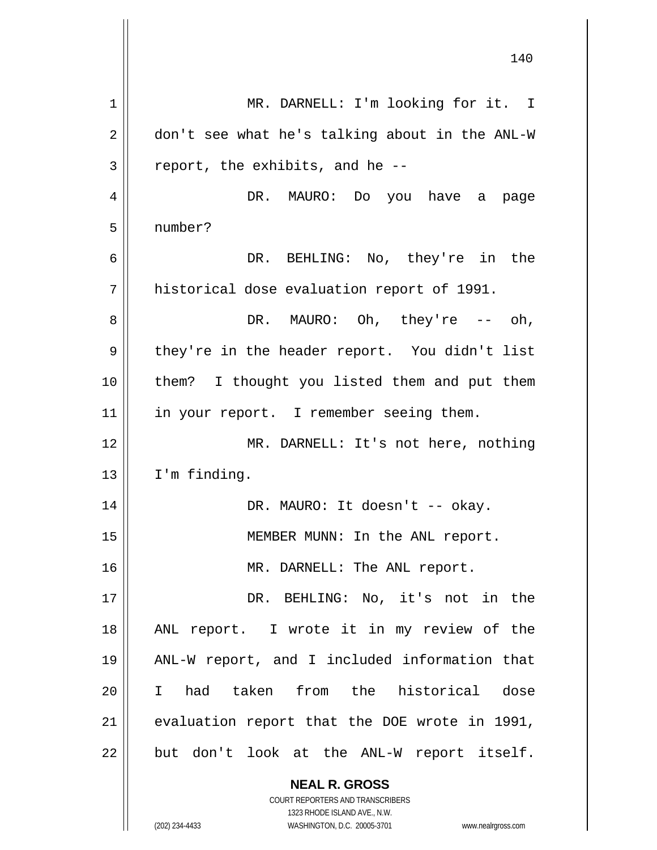| 1  | MR. DARNELL: I'm looking for it. I                                                                  |
|----|-----------------------------------------------------------------------------------------------------|
| 2  | don't see what he's talking about in the ANL-W                                                      |
| 3  | report, the exhibits, and he --                                                                     |
| 4  | DR. MAURO: Do you have a page                                                                       |
| 5  | number?                                                                                             |
| 6  | DR. BEHLING: No, they're in the                                                                     |
| 7  | historical dose evaluation report of 1991.                                                          |
| 8  | DR. MAURO: Oh, they're $--$ oh,                                                                     |
| 9  | they're in the header report. You didn't list                                                       |
| 10 | them? I thought you listed them and put them                                                        |
| 11 | in your report. I remember seeing them.                                                             |
| 12 | MR. DARNELL: It's not here, nothing                                                                 |
| 13 | I'm finding.                                                                                        |
| 14 | DR. MAURO: It doesn't -- okay.                                                                      |
| 15 | MEMBER MUNN: In the ANL report.                                                                     |
| 16 | MR. DARNELL: The ANL report.                                                                        |
| 17 | DR. BEHLING: No, it's not in the                                                                    |
| 18 | ANL report. I wrote it in my review of the                                                          |
| 19 | ANL-W report, and I included information that                                                       |
| 20 | had taken from the historical dose<br>$\mathbf{I}$                                                  |
| 21 | evaluation report that the DOE wrote in 1991,                                                       |
| 22 | but don't look at the ANL-W report itself.                                                          |
|    | <b>NEAL R. GROSS</b>                                                                                |
|    | COURT REPORTERS AND TRANSCRIBERS                                                                    |
|    | 1323 RHODE ISLAND AVE., N.W.<br>(202) 234-4433<br>WASHINGTON, D.C. 20005-3701<br>www.nealrgross.com |
|    |                                                                                                     |

140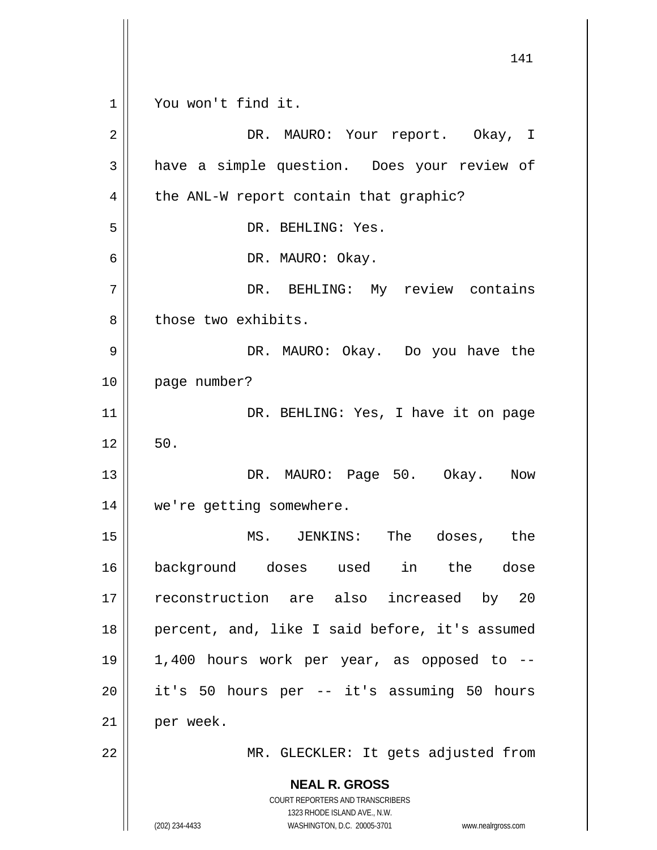|                | 141                                                                 |
|----------------|---------------------------------------------------------------------|
| 1              | You won't find it.                                                  |
| $\overline{2}$ | DR. MAURO: Your report. Okay, I                                     |
| 3              | have a simple question. Does your review of                         |
| 4              | the ANL-W report contain that graphic?                              |
| 5              | DR. BEHLING: Yes.                                                   |
| 6              | DR. MAURO: Okay.                                                    |
| 7              | DR. BEHLING: My review contains                                     |
| 8              | those two exhibits.                                                 |
| 9              | DR. MAURO: Okay. Do you have the                                    |
| 10             | page number?                                                        |
| 11             | DR. BEHLING: Yes, I have it on page                                 |
| 12             | 50.                                                                 |
| 13             | DR. MAURO: Page 50. Okay.<br>Now                                    |
| 14             | we're getting somewhere.                                            |
| 15             | MS. JENKINS: The doses, the                                         |
| 16             | background doses used in the dose                                   |
| 17             | reconstruction are also increased by 20                             |
| 18             | percent, and, like I said before, it's assumed                      |
| 19             | 1,400 hours work per year, as opposed to --                         |
| 20             | it's 50 hours per -- it's assuming 50 hours                         |
| 21             | per week.                                                           |
| 22             | MR. GLECKLER: It gets adjusted from                                 |
|                | <b>NEAL R. GROSS</b>                                                |
|                | COURT REPORTERS AND TRANSCRIBERS<br>1323 RHODE ISLAND AVE., N.W.    |
|                | (202) 234-4433<br>WASHINGTON, D.C. 20005-3701<br>www.nealrgross.com |

 $\overline{\phantom{a}}$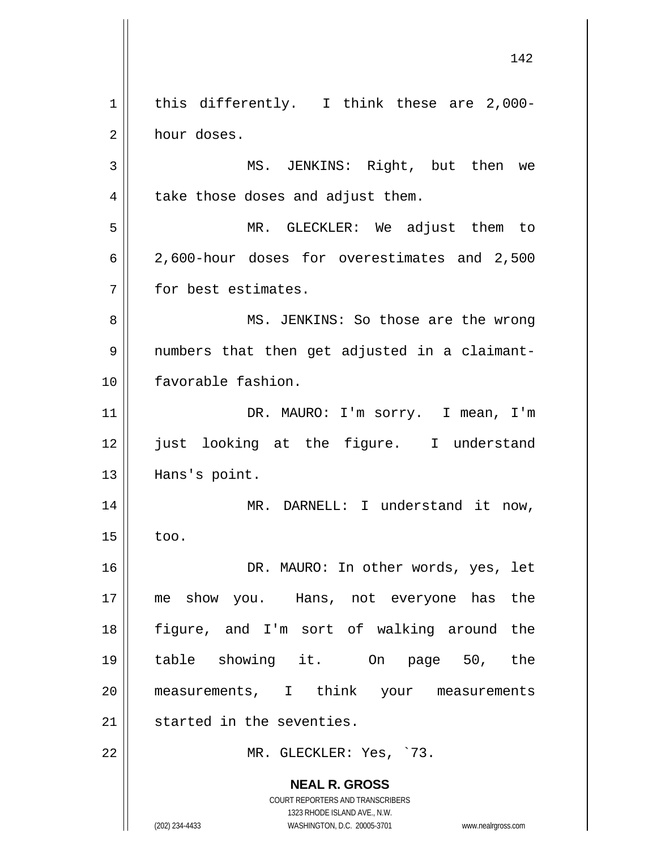**NEAL R. GROSS** COURT REPORTERS AND TRANSCRIBERS 1323 RHODE ISLAND AVE., N.W. (202) 234-4433 WASHINGTON, D.C. 20005-3701 www.nealrgross.com 1 2 3 4 5 6 7 8 9 10 11 12 13 14 15 16 17 18 19 20 21 22 this differently. I think these are 2,000 hour doses. MS. JENKINS: Right, but then we take those doses and adjust them. MR. GLECKLER: We adjust them to 2,600-hour doses for overestimates and 2,500 for best estimates. MS. JENKINS: So those are the wrong numbers that then get adjusted in a claimantfavorable fashion. DR. MAURO: I'm sorry. I mean, I'm just looking at the figure. I understand Hans's point. MR. DARNELL: I understand it now, too. DR. MAURO: In other words, yes, let me show you. Hans, not everyone has the figure, and I'm sort of walking around the table showing it. On page 50, the measurements, I think your measurements started in the seventies. MR. GLECKLER: Yes, `73.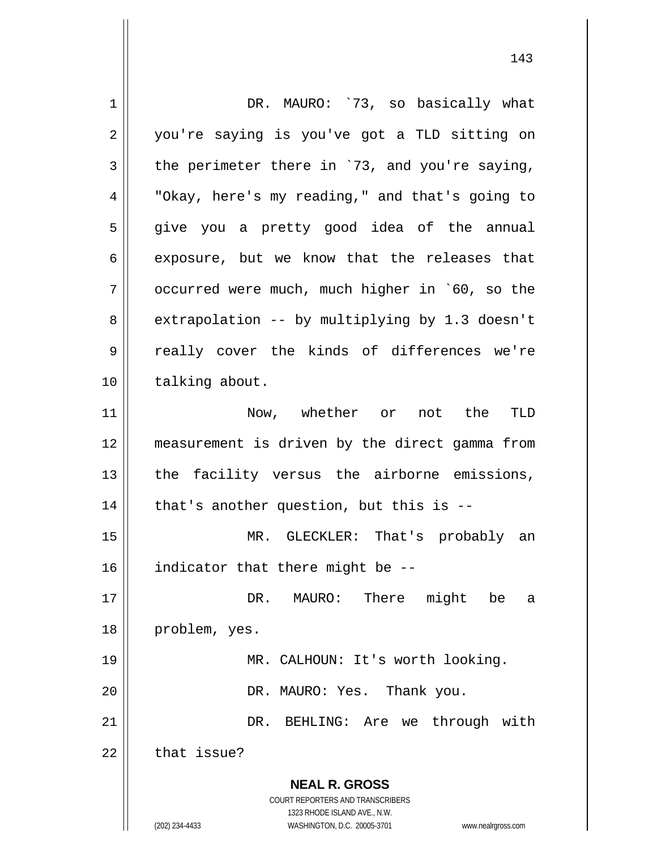**NEAL R. GROSS** COURT REPORTERS AND TRANSCRIBERS 1323 RHODE ISLAND AVE., N.W. (202) 234-4433 WASHINGTON, D.C. 20005-3701 www.nealrgross.com 1 2 3 4 5 6 7 8 9 10 11 12 13 14 15 16 17 18 19 20 21 22 DR. MAURO: `73, so basically what you're saying is you've got a TLD sitting on the perimeter there in `73, and you're saying, "Okay, here's my reading," and that's going to give you a pretty good idea of the annual exposure, but we know that the releases that occurred were much, much higher in `60, so the extrapolation -- by multiplying by 1.3 doesn't really cover the kinds of differences we're talking about. Now, whether or not the TLD measurement is driven by the direct gamma from the facility versus the airborne emissions, that's another question, but this is -- MR. GLECKLER: That's probably an indicator that there might be -- DR. MAURO: There might be a problem, yes. MR. CALHOUN: It's worth looking. DR. MAURO: Yes. Thank you. DR. BEHLING: Are we through with that issue?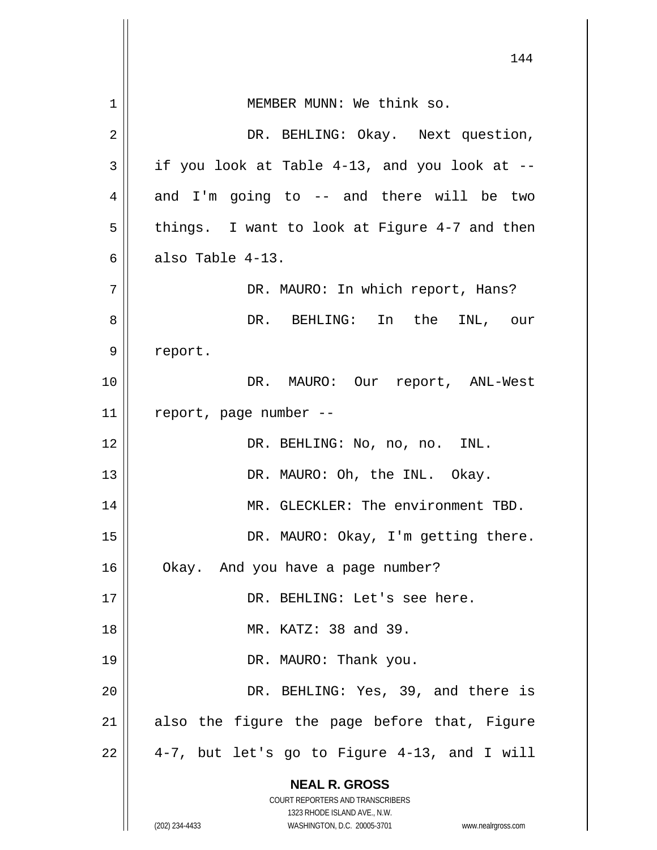|    | 144                                                                                                 |
|----|-----------------------------------------------------------------------------------------------------|
| 1  | MEMBER MUNN: We think so.                                                                           |
| 2  | DR. BEHLING: Okay. Next question,                                                                   |
| 3  | if you look at Table 4-13, and you look at --                                                       |
| 4  | and I'm going to -- and there will be two                                                           |
| 5  | things. I want to look at Figure 4-7 and then                                                       |
| 6  | also Table 4-13.                                                                                    |
| 7  | DR. MAURO: In which report, Hans?                                                                   |
| 8  | DR. BEHLING: In the INL, our                                                                        |
| 9  | report.                                                                                             |
| 10 | DR. MAURO: Our report, ANL-West                                                                     |
| 11 | report, page number --                                                                              |
| 12 | DR. BEHLING: No, no, no. INL.                                                                       |
| 13 | DR. MAURO: Oh, the INL. Okay.                                                                       |
| 14 | MR. GLECKLER: The environment TBD.                                                                  |
| 15 | DR. MAURO: Okay, I'm getting there.                                                                 |
| 16 | Okay. And you have a page number?                                                                   |
| 17 | DR. BEHLING: Let's see here.                                                                        |
| 18 | MR. KATZ: 38 and 39.                                                                                |
| 19 | DR. MAURO: Thank you.                                                                               |
| 20 | DR. BEHLING: Yes, 39, and there is                                                                  |
| 21 | also the figure the page before that, Figure                                                        |
| 22 | 4-7, but let's go to Figure 4-13, and I will                                                        |
|    | <b>NEAL R. GROSS</b>                                                                                |
|    | COURT REPORTERS AND TRANSCRIBERS                                                                    |
|    | 1323 RHODE ISLAND AVE., N.W.<br>(202) 234-4433<br>WASHINGTON, D.C. 20005-3701<br>www.nealrgross.com |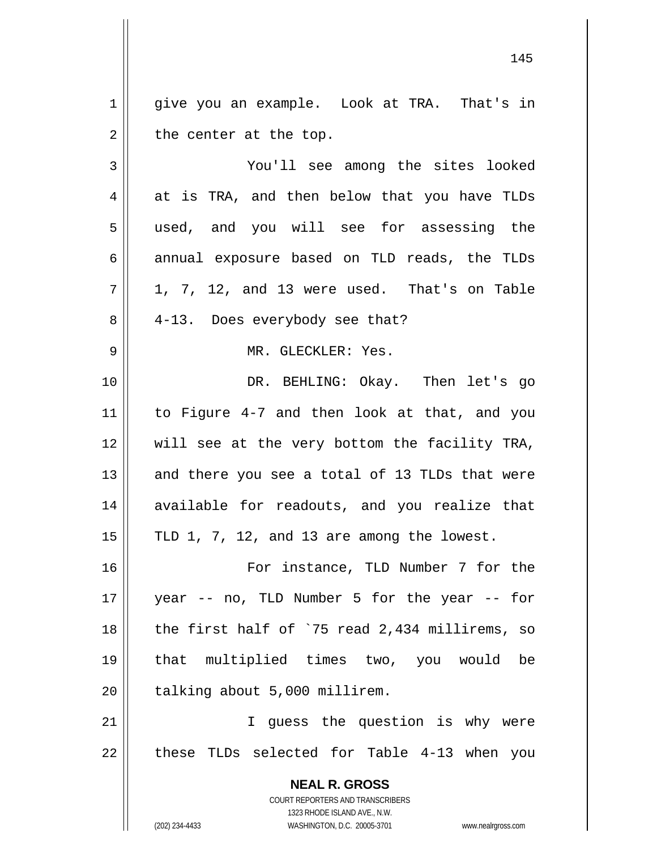**NEAL R. GROSS** COURT REPORTERS AND TRANSCRIBERS 1323 RHODE ISLAND AVE., N.W. 1 2 3 4 5 6 7 8 9 10 11 12 13 14 15 16 17 18 19 20 21 22 give you an example. Look at TRA. That's in the center at the top. You'll see among the sites looked at is TRA, and then below that you have TLDs used, and you will see for assessing the annual exposure based on TLD reads, the TLDs 1, 7, 12, and 13 were used. That's on Table 4-13. Does everybody see that? MR. GLECKLER: Yes. DR. BEHLING: Okay. Then let's go to Figure 4-7 and then look at that, and you will see at the very bottom the facility TRA, and there you see a total of 13 TLDs that were available for readouts, and you realize that TLD 1, 7, 12, and 13 are among the lowest. For instance, TLD Number 7 for the year -- no, TLD Number 5 for the year -- for the first half of `75 read 2,434 millirems, so that multiplied times two, you would be talking about 5,000 millirem. I guess the question is why were these TLDs selected for Table 4-13 when you

145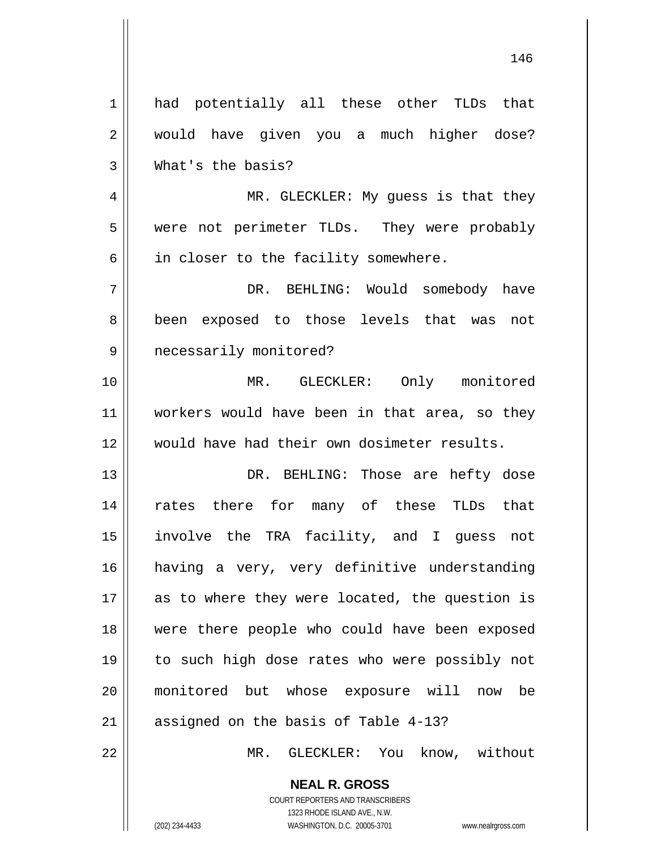| $\mathbf 1$ | had potentially all these other TLDs that      |
|-------------|------------------------------------------------|
| 2           | would have given you a much higher dose?       |
| 3           | What's the basis?                              |
| 4           | MR. GLECKLER: My guess is that they            |
| 5           | were not perimeter TLDs. They were probably    |
| 6           | in closer to the facility somewhere.           |
| 7           | DR. BEHLING: Would somebody have               |
| 8           | exposed to those levels that was not<br>been   |
| 9           | necessarily monitored?                         |
| 10          | MR. GLECKLER: Only monitored                   |
| 11          | workers would have been in that area, so they  |
| 12          | would have had their own dosimeter results.    |
| 13          | DR. BEHLING: Those are hefty dose              |
| 14          | rates there for many of these TLDs that        |
| 15          | involve the TRA facility, and I guess not      |
| 16          | having a very, very definitive understanding   |
| 17          | as to where they were located, the question is |
| 18          | were there people who could have been exposed  |
| 19          |                                                |
|             | to such high dose rates who were possibly not  |
| 20          | monitored but whose exposure will now be       |
| 21          | assigned on the basis of Table 4-13?           |
| 22          | GLECKLER: You know, without<br>MR.             |
|             | <b>NEAL R. GROSS</b>                           |

146

COURT REPORTERS AND TRANSCRIBERS 1323 RHODE ISLAND AVE., N.W.

 $\prod$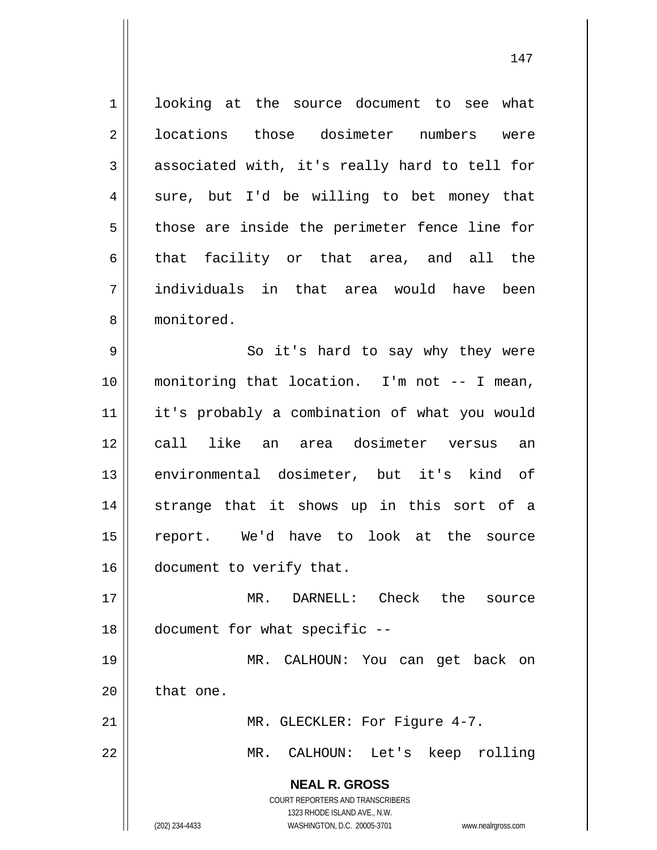**NEAL R. GROSS** COURT REPORTERS AND TRANSCRIBERS 1323 RHODE ISLAND AVE., N.W. 1 2 3 4 5 6 7 8 9 10 11 12 13 14 15 16 17 18 19 20 21 22 looking at the source document to see what locations those dosimeter numbers were associated with, it's really hard to tell for sure, but I'd be willing to bet money that those are inside the perimeter fence line for that facility or that area, and all the individuals in that area would have been monitored. So it's hard to say why they were monitoring that location. I'm not -- I mean, it's probably a combination of what you would call like an area dosimeter versus an environmental dosimeter, but it's kind of strange that it shows up in this sort of a report. We'd have to look at the source document to verify that. MR. DARNELL: Check the source document for what specific -- MR. CALHOUN: You can get back on that one. MR. GLECKLER: For Figure 4-7. MR. CALHOUN: Let's keep rolling

(202) 234-4433 WASHINGTON, D.C. 20005-3701 www.nealrgross.com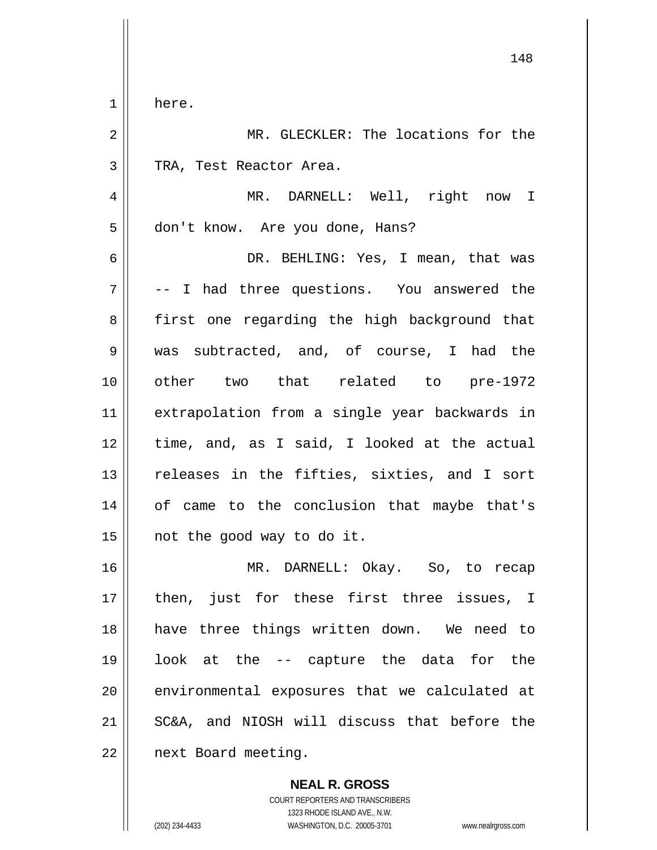1 here.

2 3 4 5 6 7 8 9 10 11 12 13 14 15 16 17 18 19 20 21 MR. GLECKLER: The locations for the TRA, Test Reactor Area. MR. DARNELL: Well, right now I don't know. Are you done, Hans? DR. BEHLING: Yes, I mean, that was -- I had three questions. You answered the first one regarding the high background that was subtracted, and, of course, I had the other two that related to pre-1972 extrapolation from a single year backwards in time, and, as I said, I looked at the actual releases in the fifties, sixties, and I sort of came to the conclusion that maybe that's not the good way to do it. MR. DARNELL: Okay. So, to recap then, just for these first three issues, I have three things written down. We need to look at the -- capture the data for the environmental exposures that we calculated at SC&A, and NIOSH will discuss that before the

148

22 next Board meeting.

> **NEAL R. GROSS** COURT REPORTERS AND TRANSCRIBERS 1323 RHODE ISLAND AVE., N.W.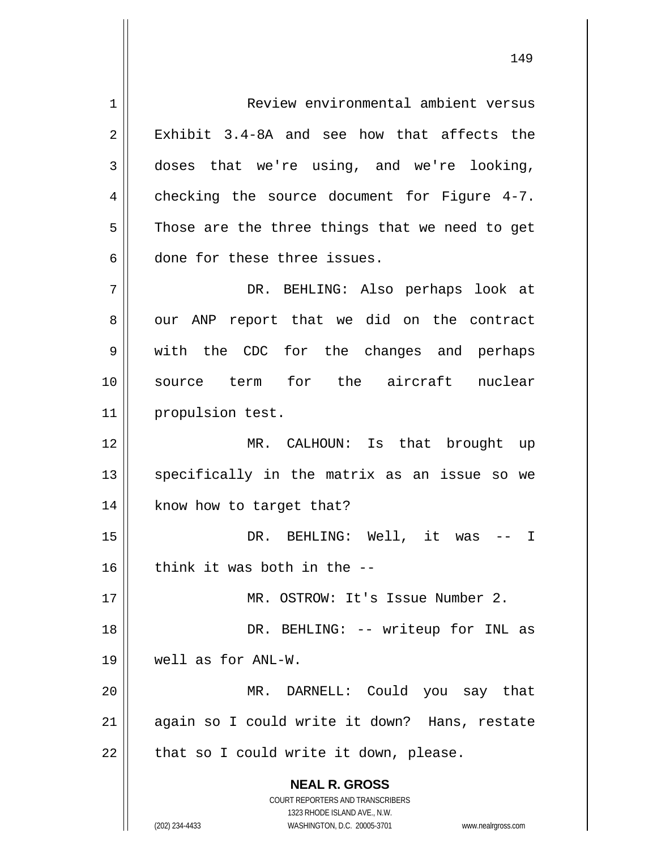**NEAL R. GROSS** COURT REPORTERS AND TRANSCRIBERS 1323 RHODE ISLAND AVE., N.W. 1 2 3 4 5 6 7 8 9 10 11 12 13 14 15 16 17 18 19 20 21 22 Review environmental ambient versus Exhibit 3.4-8A and see how that affects the doses that we're using, and we're looking, checking the source document for Figure 4-7. Those are the three things that we need to get done for these three issues. DR. BEHLING: Also perhaps look at our ANP report that we did on the contract with the CDC for the changes and perhaps source term for the aircraft nuclear propulsion test. MR. CALHOUN: Is that brought up specifically in the matrix as an issue so we know how to target that? DR. BEHLING: Well, it was -- I think it was both in the -- MR. OSTROW: It's Issue Number 2. DR. BEHLING: -- writeup for INL as well as for ANL-W. MR. DARNELL: Could you say that again so I could write it down? Hans, restate that so I could write it down, please.

(202) 234-4433 WASHINGTON, D.C. 20005-3701 www.nealrgross.com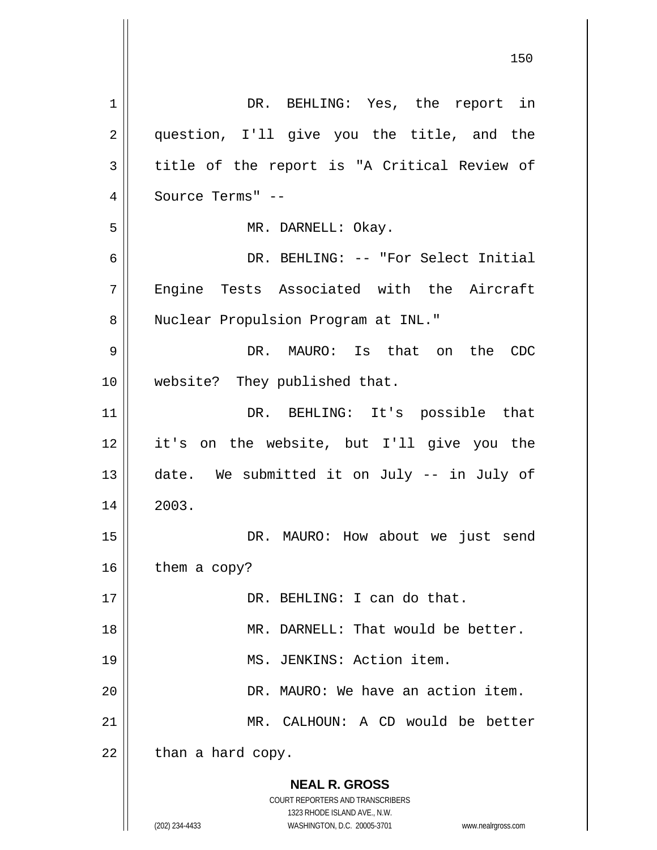**NEAL R. GROSS** COURT REPORTERS AND TRANSCRIBERS 1323 RHODE ISLAND AVE., N.W. (202) 234-4433 WASHINGTON, D.C. 20005-3701 www.nealrgross.com 1 2 3 4 5 6 7 8 9 10 11 12 13 14 15 16 17 18 19 20 21 22 DR. BEHLING: Yes, the report in question, I'll give you the title, and the title of the report is "A Critical Review of Source Terms" -- MR. DARNELL: Okay. DR. BEHLING: -- "For Select Initial Engine Tests Associated with the Aircraft Nuclear Propulsion Program at INL." DR. MAURO: Is that on the CDC website? They published that. DR. BEHLING: It's possible that it's on the website, but I'll give you the date. We submitted it on July -- in July of 2003. DR. MAURO: How about we just send them a copy? DR. BEHLING: I can do that. MR. DARNELL: That would be better. MS. JENKINS: Action item. DR. MAURO: We have an action item. MR. CALHOUN: A CD would be better than a hard copy.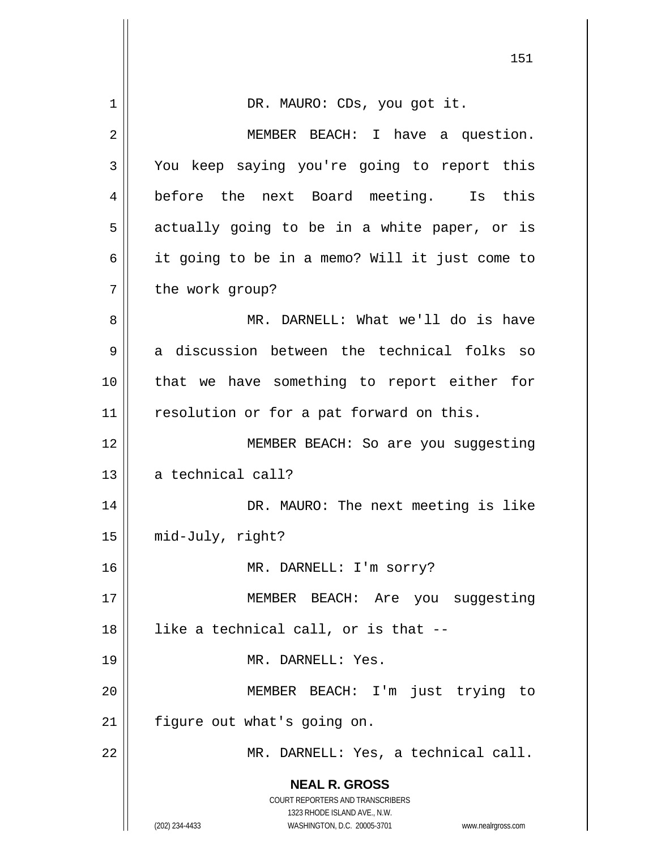|             | 151                                                                 |
|-------------|---------------------------------------------------------------------|
| $\mathbf 1$ | DR. MAURO: CDs, you got it.                                         |
| 2           | MEMBER BEACH: I have a question.                                    |
| 3           | You keep saying you're going to report this                         |
| 4           | before the next Board meeting. Is this                              |
| 5           | actually going to be in a white paper, or is                        |
| 6           | it going to be in a memo? Will it just come to                      |
| 7           | the work group?                                                     |
| 8           | MR. DARNELL: What we'll do is have                                  |
| 9           | a discussion between the technical folks so                         |
| 10          | that we have something to report either for                         |
| 11          | resolution or for a pat forward on this.                            |
| 12          | MEMBER BEACH: So are you suggesting                                 |
| 13          | a technical call?                                                   |
| 14          | DR. MAURO: The next meeting is like                                 |
| 15          | mid-July, right?                                                    |
| 16          | MR. DARNELL: I'm sorry?                                             |
| 17          | MEMBER BEACH: Are you suggesting                                    |
| 18          | like a technical call, or is that --                                |
| 19          | MR. DARNELL: Yes.                                                   |
| 20          | MEMBER BEACH: I'm just trying to                                    |
| 21          | figure out what's going on.                                         |
| 22          | MR. DARNELL: Yes, a technical call.                                 |
|             | <b>NEAL R. GROSS</b>                                                |
|             | COURT REPORTERS AND TRANSCRIBERS<br>1323 RHODE ISLAND AVE., N.W.    |
|             | (202) 234-4433<br>WASHINGTON, D.C. 20005-3701<br>www.nealrgross.com |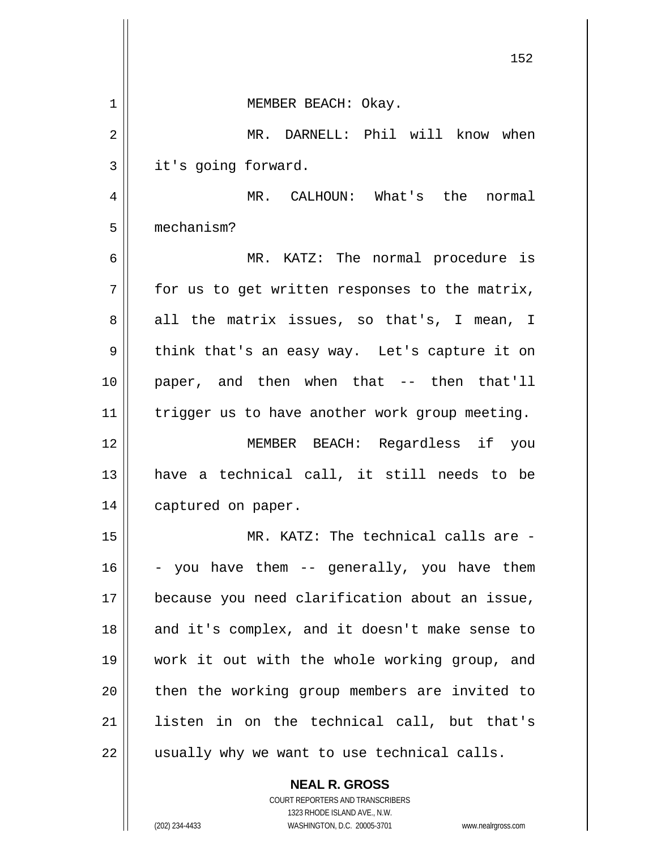|    | 152                                            |
|----|------------------------------------------------|
| 1  | MEMBER BEACH: Okay.                            |
| 2  | MR. DARNELL: Phil will know when               |
| 3  | it's going forward.                            |
| 4  | MR. CALHOUN: What's the normal                 |
| 5  | mechanism?                                     |
| 6  | MR. KATZ: The normal procedure is              |
| 7  | for us to get written responses to the matrix, |
| 8  | all the matrix issues, so that's, I mean, I    |
| 9  | think that's an easy way. Let's capture it on  |
| 10 | paper, and then when that -- then that'll      |
| 11 | trigger us to have another work group meeting. |
| 12 | MEMBER BEACH: Regardless if you                |
| 13 | have a technical call, it still needs to be    |
| 14 | captured on paper.                             |
| 15 | MR. KATZ: The technical calls are -            |
| 16 | - you have them -- generally, you have them    |
| 17 | because you need clarification about an issue, |
| 18 | and it's complex, and it doesn't make sense to |
| 19 | work it out with the whole working group, and  |
| 20 | then the working group members are invited to  |
| 21 | listen in on the technical call, but that's    |
| 22 | usually why we want to use technical calls.    |

**NEAL R. GROSS** COURT REPORTERS AND TRANSCRIBERS

1323 RHODE ISLAND AVE., N.W.

 $\mathbf{I}$ 

 $\overline{\phantom{a}}$  $\mathbb{I}$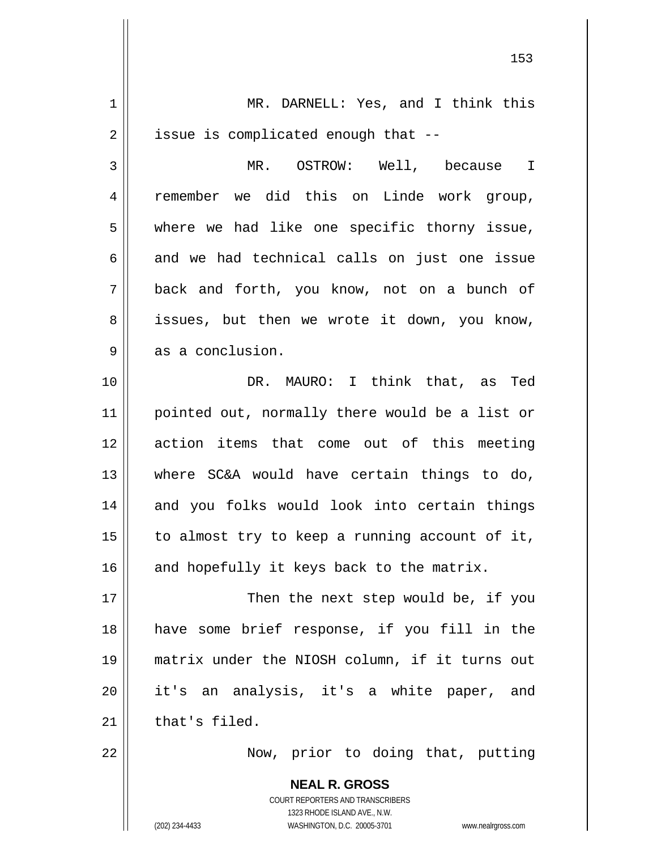**NEAL R. GROSS** COURT REPORTERS AND TRANSCRIBERS 1323 RHODE ISLAND AVE., N.W. 1 2 3 4 5 6 7 8 9 10 11 12 13 14 15 16 17 18 19 20 21 22 MR. DARNELL: Yes, and I think this issue is complicated enough that -- MR. OSTROW: Well, because I remember we did this on Linde work group, where we had like one specific thorny issue, and we had technical calls on just one issue back and forth, you know, not on a bunch of issues, but then we wrote it down, you know, as a conclusion. DR. MAURO: I think that, as Ted pointed out, normally there would be a list or action items that come out of this meeting where SC&A would have certain things to do, and you folks would look into certain things to almost try to keep a running account of it, and hopefully it keys back to the matrix. Then the next step would be, if you have some brief response, if you fill in the matrix under the NIOSH column, if it turns out it's an analysis, it's a white paper, and that's filed. Now, prior to doing that, putting

153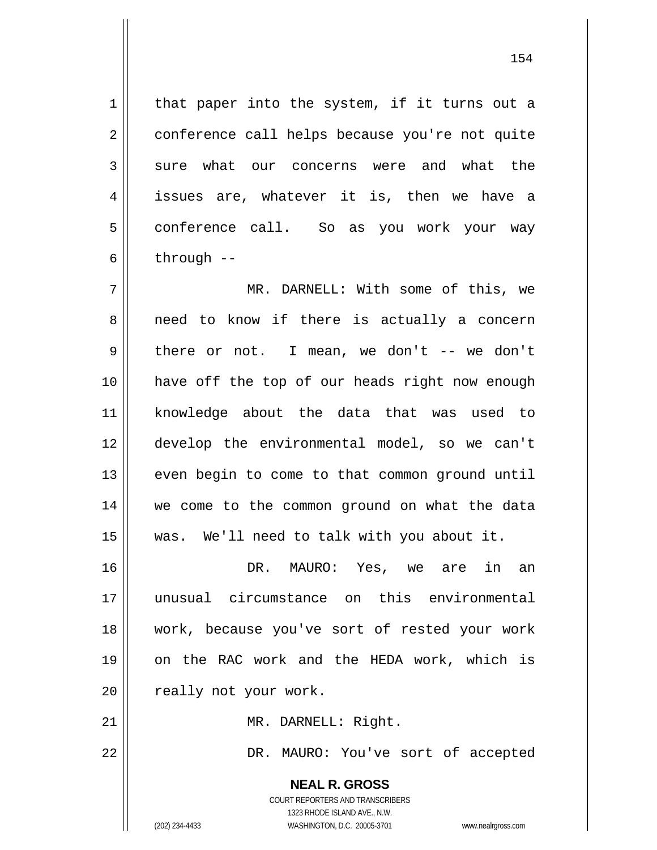that paper into the system, if it turns out a conference call helps because you're not quite sure what our concerns were and what the issues are, whatever it is, then we have a conference call. So as you work your way through --

7 8 9 10 11 12 13 14 15 MR. DARNELL: With some of this, we need to know if there is actually a concern there or not. I mean, we don't -- we don't have off the top of our heads right now enough knowledge about the data that was used to develop the environmental model, so we can't even begin to come to that common ground until we come to the common ground on what the data was. We'll need to talk with you about it.

16 17 18 19 20 DR. MAURO: Yes, we are in an unusual circumstance on this environmental work, because you've sort of rested your work on the RAC work and the HEDA work, which is really not your work.

MR. DARNELL: Right.

DR. MAURO: You've sort of accepted

**NEAL R. GROSS** COURT REPORTERS AND TRANSCRIBERS 1323 RHODE ISLAND AVE., N.W. (202) 234-4433 WASHINGTON, D.C. 20005-3701 www.nealrgross.com

21

22

1

2

3

4

5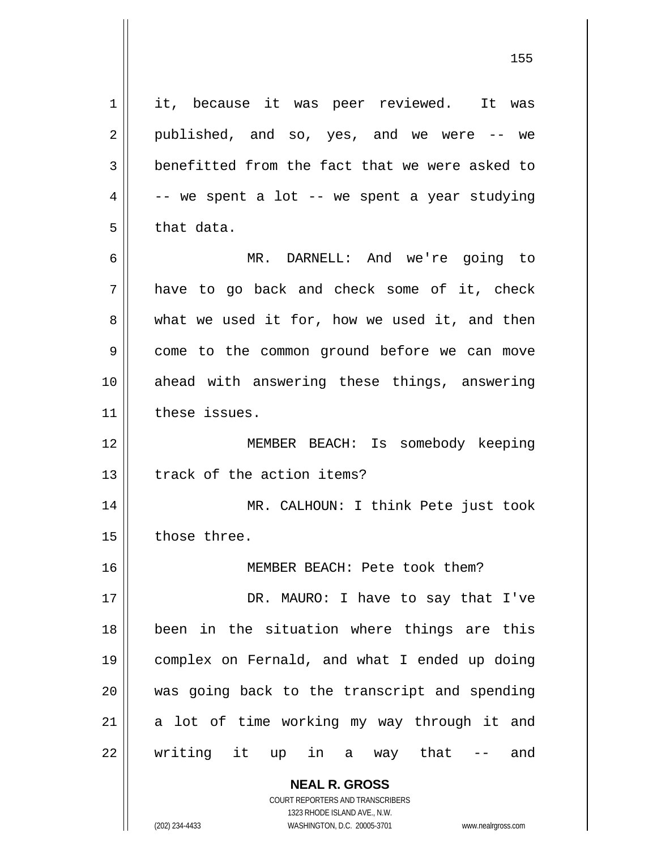**NEAL R. GROSS** 1 2 3 4 5 6 7 8 9 10 11 12 13 14 15 16 17 18 19 20 21 22 it, because it was peer reviewed. It was published, and so, yes, and we were -- we benefitted from the fact that we were asked to -- we spent a lot -- we spent a year studying that data. MR. DARNELL: And we're going to have to go back and check some of it, check what we used it for, how we used it, and then come to the common ground before we can move ahead with answering these things, answering these issues. MEMBER BEACH: Is somebody keeping track of the action items? MR. CALHOUN: I think Pete just took those three. MEMBER BEACH: Pete took them? DR. MAURO: I have to say that I've been in the situation where things are this complex on Fernald, and what I ended up doing was going back to the transcript and spending a lot of time working my way through it and writing it up in a way that -- and

155

COURT REPORTERS AND TRANSCRIBERS 1323 RHODE ISLAND AVE., N.W.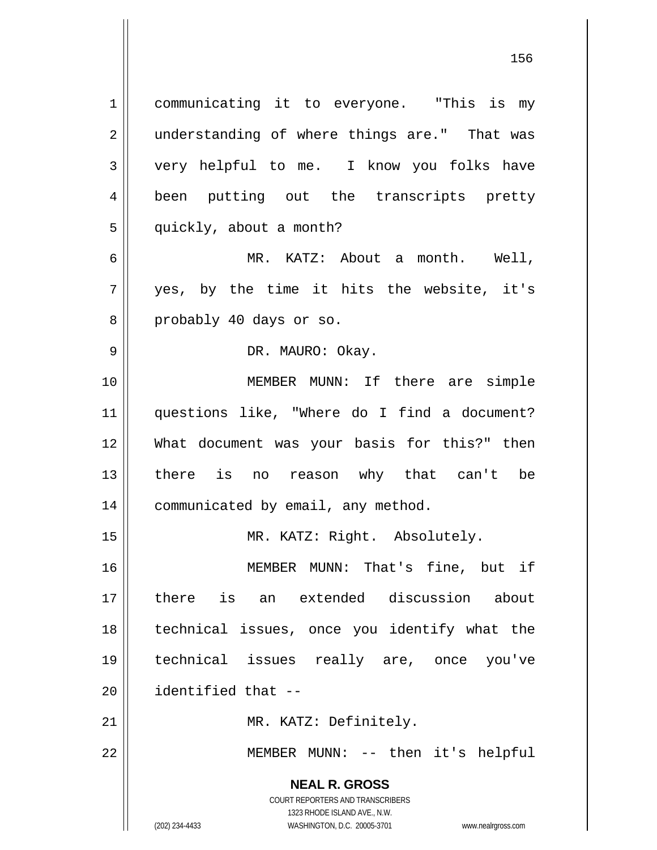**NEAL R. GROSS** COURT REPORTERS AND TRANSCRIBERS 1323 RHODE ISLAND AVE., N.W. 1 2 3 4 5 6 7 8 9 10 11 12 13 14 15 16 17 18 19 20 21 22 communicating it to everyone. "This is my understanding of where things are." That was very helpful to me. I know you folks have been putting out the transcripts pretty quickly, about a month? MR. KATZ: About a month. Well, yes, by the time it hits the website, it's probably 40 days or so. DR. MAURO: Okay. MEMBER MUNN: If there are simple questions like, "Where do I find a document? What document was your basis for this?" then there is no reason why that can't be communicated by email, any method. MR. KATZ: Right. Absolutely. MEMBER MUNN: That's fine, but if there is an extended discussion about technical issues, once you identify what the technical issues really are, once you've identified that -- MR. KATZ: Definitely. MEMBER MUNN: -- then it's helpful

156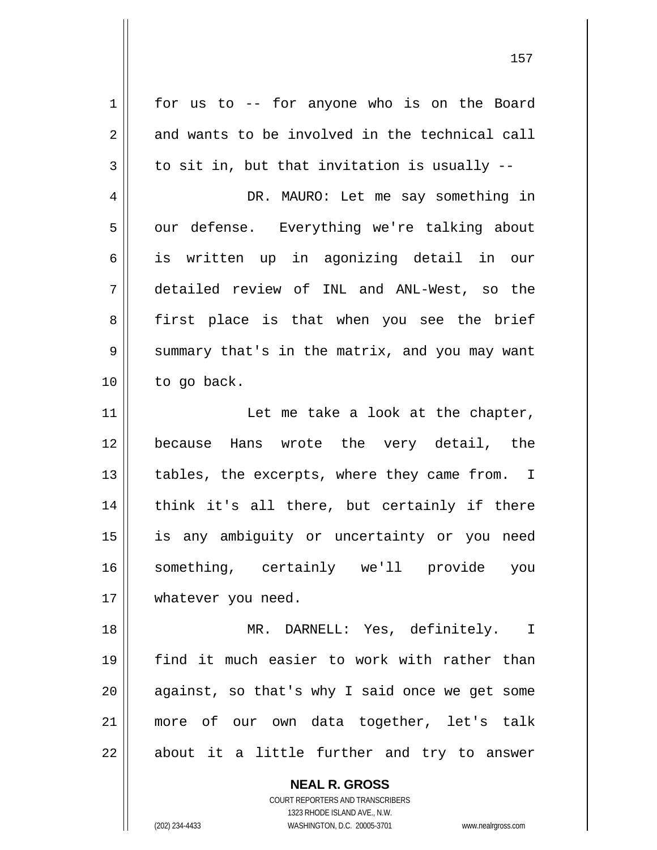1 2 3 4 5 6 7 8 9 10 11 12 13 14 15 16 17 18 19 20 21 22 for us to -- for anyone who is on the Board and wants to be involved in the technical call to sit in, but that invitation is usually -- DR. MAURO: Let me say something in our defense. Everything we're talking about is written up in agonizing detail in our detailed review of INL and ANL-West, so the first place is that when you see the brief summary that's in the matrix, and you may want to go back. Let me take a look at the chapter, because Hans wrote the very detail, the tables, the excerpts, where they came from. I think it's all there, but certainly if there is any ambiguity or uncertainty or you need something, certainly we'll provide you whatever you need. MR. DARNELL: Yes, definitely. I find it much easier to work with rather than against, so that's why I said once we get some more of our own data together, let's talk about it a little further and try to answer

157

COURT REPORTERS AND TRANSCRIBERS 1323 RHODE ISLAND AVE., N.W. (202) 234-4433 WASHINGTON, D.C. 20005-3701 www.nealrgross.com

**NEAL R. GROSS**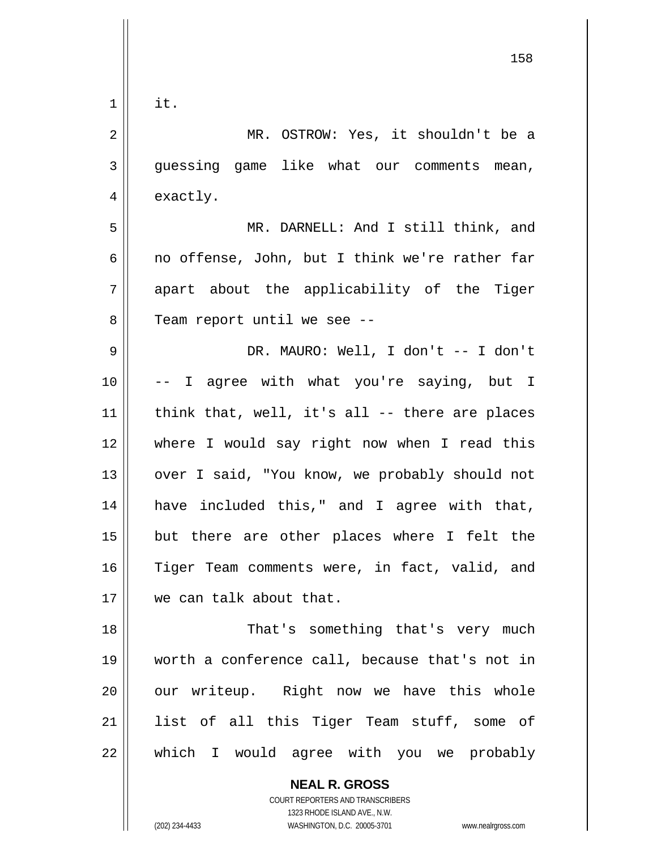| 1  | it.                                            |
|----|------------------------------------------------|
| 2  | MR. OSTROW: Yes, it shouldn't be a             |
| 3  | guessing game like what our comments mean,     |
| 4  | exactly.                                       |
| 5  | MR. DARNELL: And I still think, and            |
| 6  | no offense, John, but I think we're rather far |
| 7  | apart about the applicability of the Tiger     |
| 8  | Team report until we see --                    |
| 9  | DR. MAURO: Well, I don't -- I don't            |
| 10 | -- I agree with what you're saying, but I      |
| 11 | think that, well, it's all -- there are places |
| 12 | where I would say right now when I read this   |
| 13 | over I said, "You know, we probably should not |
| 14 | have included this," and I agree with that,    |
| 15 | but there are other places where I felt the    |
| 16 | Tiger Team comments were, in fact, valid, and  |
| 17 | we can talk about that.                        |
| 18 | That's something that's very much              |
| 19 | worth a conference call, because that's not in |
| 20 | our writeup. Right now we have this whole      |
| 21 | list of all this Tiger Team stuff, some of     |
| 22 | which I would agree with you we probably       |

158

**NEAL R. GROSS** COURT REPORTERS AND TRANSCRIBERS 1323 RHODE ISLAND AVE., N.W.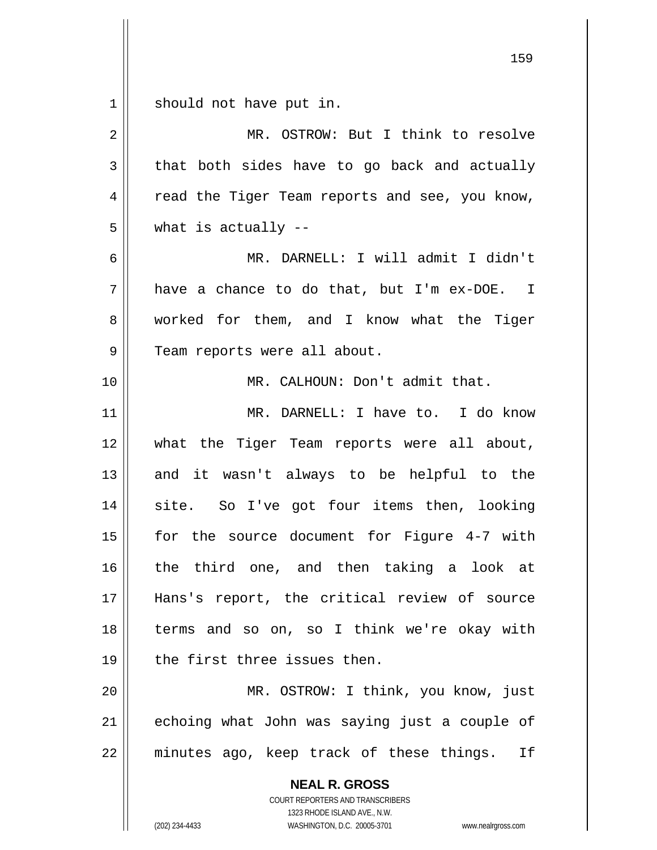$\begin{array}{c|c|c|c} 1 & 1 \end{array}$ should not have put in.

| $\overline{2}$ | MR. OSTROW: But I think to resolve                       |
|----------------|----------------------------------------------------------|
| 3              | that both sides have to go back and actually             |
| 4              | read the Tiger Team reports and see, you know,           |
| 5              | what is actually $-$                                     |
| 6              | MR. DARNELL: I will admit I didn't                       |
| 7              | have a chance to do that, but I'm ex-DOE. I              |
| 8              | worked for them, and I know what the Tiger               |
| 9              | Team reports were all about.                             |
| 10             | MR. CALHOUN: Don't admit that.                           |
| 11             | MR. DARNELL: I have to. I do know                        |
| 12             | what the Tiger Team reports were all about,              |
| 13             | and it wasn't always to be helpful to the                |
| 14             | site. So I've got four items then, looking               |
| 15             | for the source document for Figure 4-7 with              |
| 16             | the third one, and then taking a look at                 |
| 17             | Hans's report, the critical review of source             |
| 18             | terms and so on, so I think we're okay with              |
| 19             | the first three issues then.                             |
| 20             | MR. OSTROW: I think, you know, just                      |
| 21             | echoing what John was saying just a couple of            |
| 22             | minutes ago, keep track of these things.<br>If           |
|                | <b>NEAL R. GROSS</b><br>COURT REPORTERS AND TRANSCRIBERS |

1323 RHODE ISLAND AVE., N.W.

 $\mathop{\parallel}$ 

(202) 234-4433 WASHINGTON, D.C. 20005-3701 www.nealrgross.com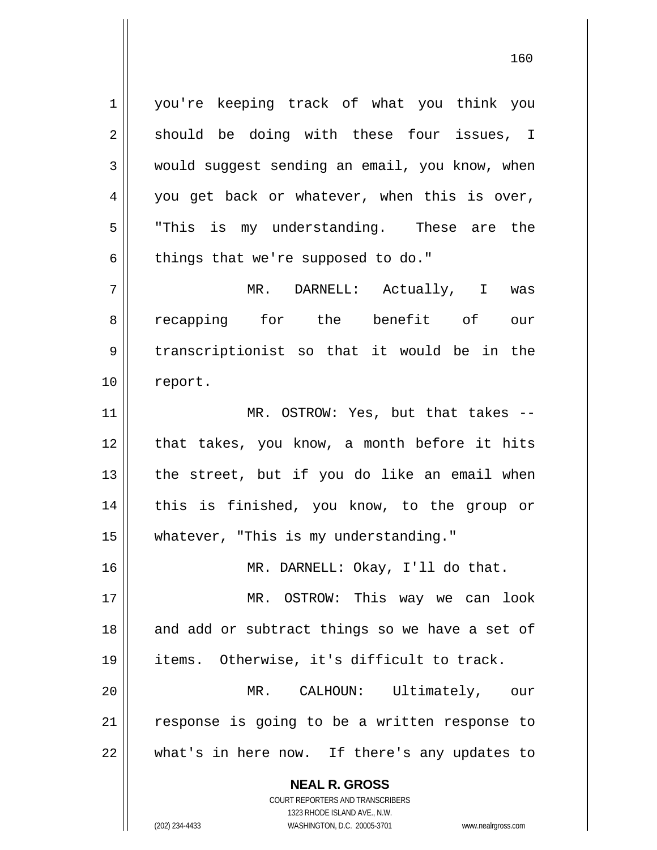1 2 3 4 5 6 7 you're keeping track of what you think you should be doing with these four issues, I would suggest sending an email, you know, when you get back or whatever, when this is over, "This is my understanding. These are the things that we're supposed to do." MR. DARNELL: Actually, I was

8 9 10 recapping for the benefit of our transcriptionist so that it would be in the report.

11 12 13 14 15 MR. OSTROW: Yes, but that takes - that takes, you know, a month before it hits the street, but if you do like an email when this is finished, you know, to the group or whatever, "This is my understanding."

MR. DARNELL: Okay, I'll do that.

17 18 19 MR. OSTROW: This way we can look and add or subtract things so we have a set of items. Otherwise, it's difficult to track.

20 21 22 MR. CALHOUN: Ultimately, our response is going to be a written response to what's in here now. If there's any updates to

> **NEAL R. GROSS** COURT REPORTERS AND TRANSCRIBERS

> > 1323 RHODE ISLAND AVE., N.W.

16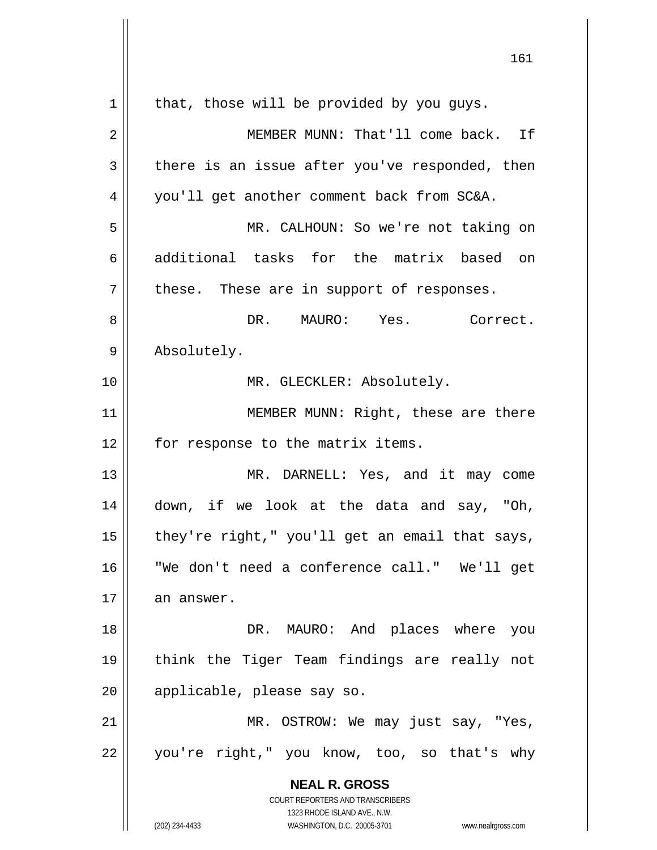|    | 161                                                                 |
|----|---------------------------------------------------------------------|
| 1  | that, those will be provided by you guys.                           |
| 2  | MEMBER MUNN: That'll come back. If                                  |
| 3  | there is an issue after you've responded, then                      |
| 4  | you'll get another comment back from SC&A.                          |
| 5  | MR. CALHOUN: So we're not taking on                                 |
| 6  | additional tasks for the matrix based on                            |
| 7  | these. These are in support of responses.                           |
| 8  | DR. MAURO: Yes.<br>Correct.                                         |
| 9  | Absolutely.                                                         |
| 10 | MR. GLECKLER: Absolutely.                                           |
| 11 | MEMBER MUNN: Right, these are there                                 |
| 12 | for response to the matrix items.                                   |
| 13 | MR. DARNELL: Yes, and it may come                                   |
| 14 | down, if we look at the data and say, "Oh,                          |
| 15 | they're right," you'll get an email that says,                      |
| 16 | "We don't need a conference call." We'll get                        |
| 17 | an answer.                                                          |
| 18 | DR. MAURO: And places where you                                     |
| 19 | think the Tiger Team findings are really not                        |
| 20 | applicable, please say so.                                          |
| 21 | MR. OSTROW: We may just say, "Yes,                                  |
| 22 | you're right," you know, too, so that's why                         |
|    | <b>NEAL R. GROSS</b>                                                |
|    | COURT REPORTERS AND TRANSCRIBERS<br>1323 RHODE ISLAND AVE., N.W.    |
|    | (202) 234-4433<br>WASHINGTON, D.C. 20005-3701<br>www.nealrgross.com |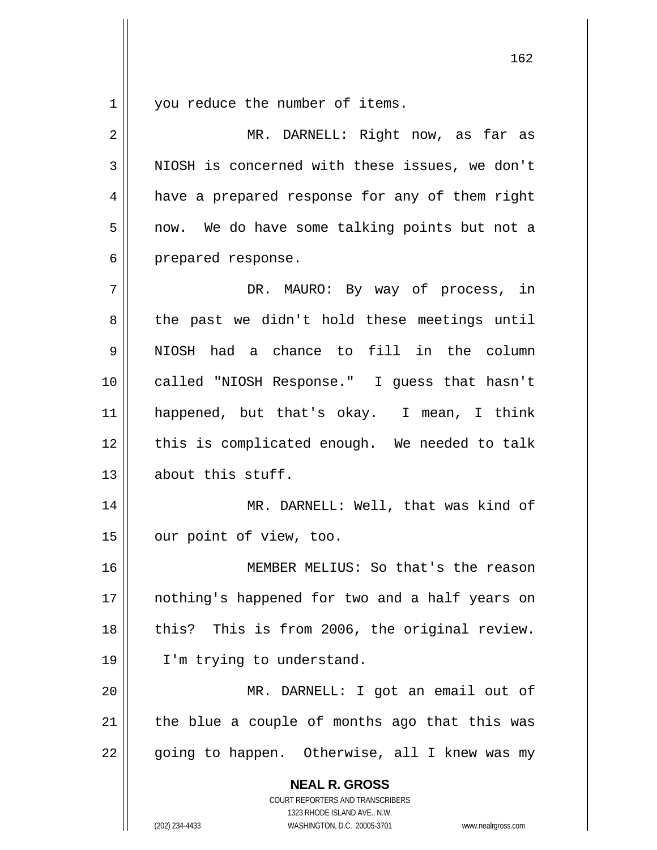$\begin{array}{c|c|c|c} 1 & 1 \\ \hline \end{array}$ you reduce the number of items.

| 2  | MR. DARNELL: Right now, as far as                                                                   |
|----|-----------------------------------------------------------------------------------------------------|
| 3  | NIOSH is concerned with these issues, we don't                                                      |
| 4  | have a prepared response for any of them right                                                      |
| 5  | now. We do have some talking points but not a                                                       |
| 6  | prepared response.                                                                                  |
| 7  | DR. MAURO: By way of process, in                                                                    |
| 8  | the past we didn't hold these meetings until                                                        |
| 9  | NIOSH had a chance to fill in the column                                                            |
| 10 | called "NIOSH Response." I guess that hasn't                                                        |
| 11 | happened, but that's okay. I mean, I think                                                          |
| 12 | this is complicated enough. We needed to talk                                                       |
| 13 | about this stuff.                                                                                   |
| 14 | MR. DARNELL: Well, that was kind of                                                                 |
| 15 | our point of view, too.                                                                             |
| 16 | MEMBER MELIUS: So that's the reason                                                                 |
| 17 | nothing's happened for two and a half years on                                                      |
| 18 | this? This is from 2006, the original review.                                                       |
| 19 | I'm trying to understand.                                                                           |
| 20 | MR. DARNELL: I got an email out of                                                                  |
| 21 | the blue a couple of months ago that this was                                                       |
| 22 | going to happen. Otherwise, all I knew was my                                                       |
|    | <b>NEAL R. GROSS</b>                                                                                |
|    | COURT REPORTERS AND TRANSCRIBERS                                                                    |
|    | 1323 RHODE ISLAND AVE., N.W.<br>(202) 234-4433<br>WASHINGTON, D.C. 20005-3701<br>www.nealrgross.com |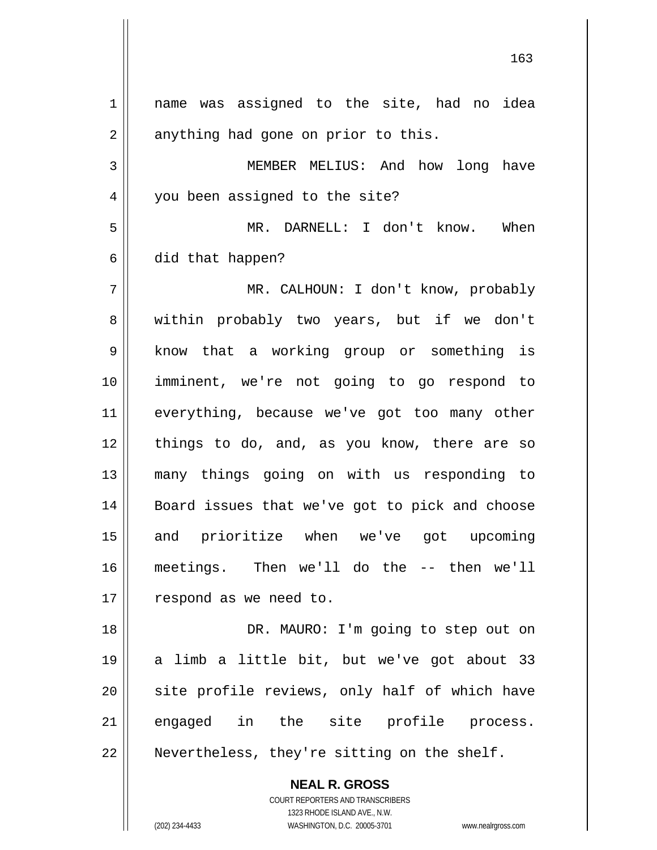**NEAL R. GROSS** COURT REPORTERS AND TRANSCRIBERS 1 2 3 4 5 6 7 8 9 10 11 12 13 14 15 16 17 18 19 20 21 22 name was assigned to the site, had no idea anything had gone on prior to this. MEMBER MELIUS: And how long have you been assigned to the site? MR. DARNELL: I don't know. When did that happen? MR. CALHOUN: I don't know, probably within probably two years, but if we don't know that a working group or something is imminent, we're not going to go respond to everything, because we've got too many other things to do, and, as you know, there are so many things going on with us responding to Board issues that we've got to pick and choose and prioritize when we've got upcoming meetings. Then we'll do the -- then we'll respond as we need to. DR. MAURO: I'm going to step out on a limb a little bit, but we've got about 33 site profile reviews, only half of which have engaged in the site profile process. Nevertheless, they're sitting on the shelf.

163

1323 RHODE ISLAND AVE., N.W.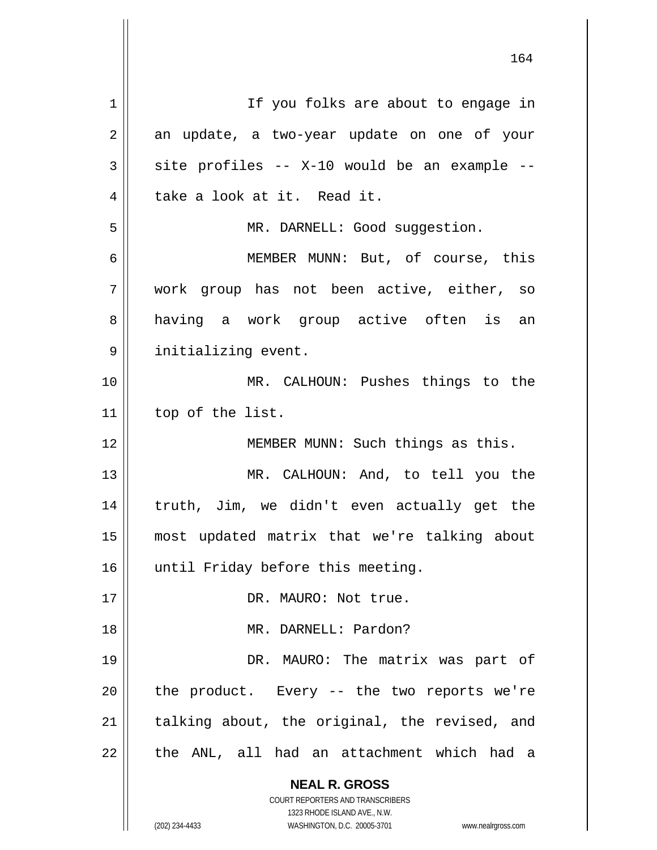**NEAL R. GROSS** COURT REPORTERS AND TRANSCRIBERS 1323 RHODE ISLAND AVE., N.W. 164 1 2 3 4 5 6 7 8 9 10 11 12 13 14 15 16 17 18 19 20 21 22 If you folks are about to engage in an update, a two-year update on one of your site profiles -- X-10 would be an example - take a look at it. Read it. MR. DARNELL: Good suggestion. MEMBER MUNN: But, of course, this work group has not been active, either, so having a work group active often is an initializing event. MR. CALHOUN: Pushes things to the top of the list. MEMBER MUNN: Such things as this. MR. CALHOUN: And, to tell you the truth, Jim, we didn't even actually get the most updated matrix that we're talking about until Friday before this meeting. DR. MAURO: Not true. MR. DARNELL: Pardon? DR. MAURO: The matrix was part of the product. Every -- the two reports we're talking about, the original, the revised, and the ANL, all had an attachment which had a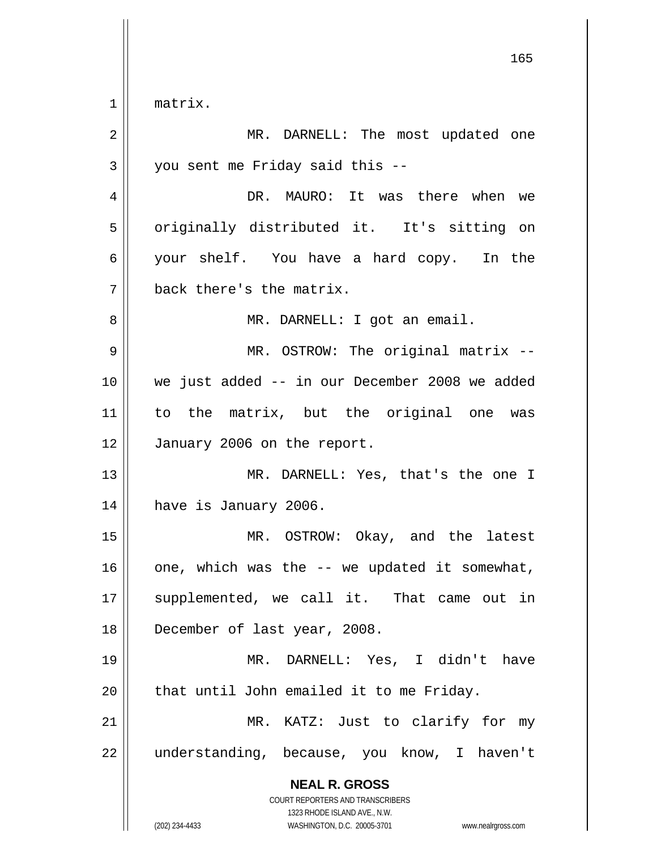$\begin{array}{c|c} 1 & \text{ } \end{array}$ matrix.

| 2  | MR. DARNELL: The most updated one                                                                                                                               |
|----|-----------------------------------------------------------------------------------------------------------------------------------------------------------------|
| 3  | you sent me Friday said this --                                                                                                                                 |
| 4  | DR. MAURO: It was there when we                                                                                                                                 |
| 5  | originally distributed it. It's sitting on                                                                                                                      |
| 6  | your shelf. You have a hard copy. In the                                                                                                                        |
| 7  | back there's the matrix.                                                                                                                                        |
| 8  | MR. DARNELL: I got an email.                                                                                                                                    |
| 9  | MR. OSTROW: The original matrix --                                                                                                                              |
| 10 | we just added -- in our December 2008 we added                                                                                                                  |
| 11 | to the matrix, but the original one was                                                                                                                         |
| 12 | January 2006 on the report.                                                                                                                                     |
| 13 | MR. DARNELL: Yes, that's the one I                                                                                                                              |
| 14 | have is January 2006.                                                                                                                                           |
| 15 | MR. OSTROW: Okay, and the latest                                                                                                                                |
| 16 | one, which was the -- we updated it somewhat,                                                                                                                   |
| 17 | supplemented, we call it. That came out in                                                                                                                      |
| 18 | December of last year, 2008.                                                                                                                                    |
| 19 | MR. DARNELL: Yes, I didn't have                                                                                                                                 |
| 20 | that until John emailed it to me Friday.                                                                                                                        |
| 21 | MR. KATZ: Just to clarify for my                                                                                                                                |
| 22 | understanding, because, you know, I haven't                                                                                                                     |
|    | <b>NEAL R. GROSS</b><br>COURT REPORTERS AND TRANSCRIBERS<br>1323 RHODE ISLAND AVE., N.W.<br>(202) 234-4433<br>WASHINGTON, D.C. 20005-3701<br>www.nealrgross.com |

<u>165</u>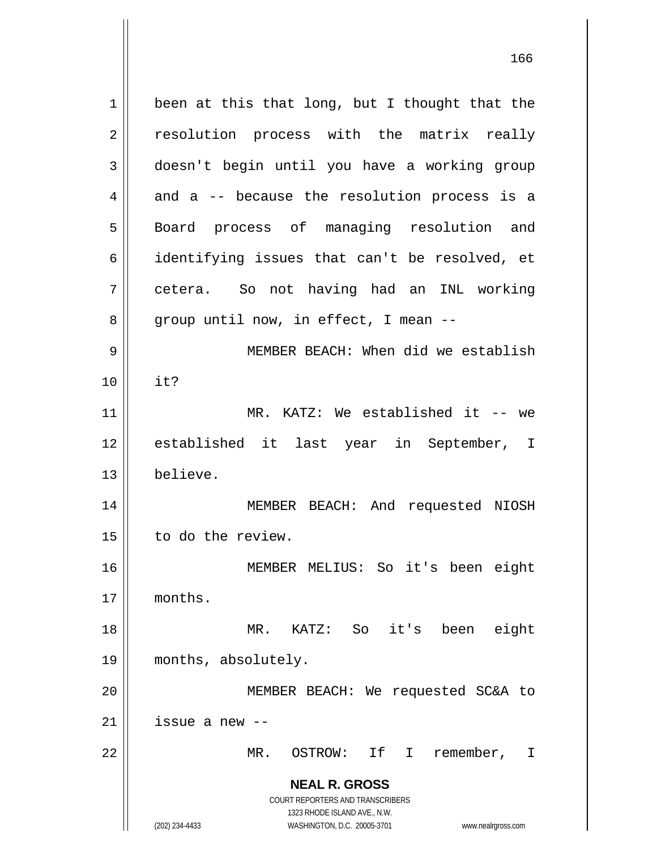**NEAL R. GROSS** COURT REPORTERS AND TRANSCRIBERS 1323 RHODE ISLAND AVE., N.W. (202) 234-4433 WASHINGTON, D.C. 20005-3701 www.nealrgross.com 1 2 3 4 5 6 7 8 9 10 11 12 13 14 15 16 17 18 19 20 21 22 been at this that long, but I thought that the resolution process with the matrix really doesn't begin until you have a working group and a -- because the resolution process is a Board process of managing resolution and identifying issues that can't be resolved, et cetera. So not having had an INL working group until now, in effect, I mean -- MEMBER BEACH: When did we establish it? MR. KATZ: We established it -- we established it last year in September, I believe. MEMBER BEACH: And requested NIOSH to do the review. MEMBER MELIUS: So it's been eight months. MR. KATZ: So it's been eight months, absolutely. MEMBER BEACH: We requested SC&A to issue a new -- MR. OSTROW: If I remember, I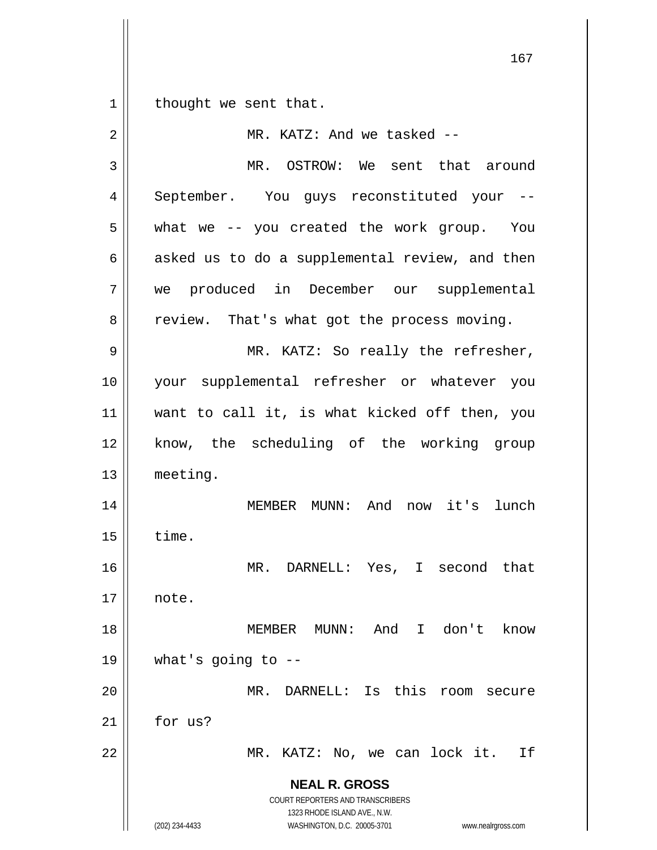1 || thought we sent that.

| 2  | MR. KATZ: And we tasked --                                                                          |
|----|-----------------------------------------------------------------------------------------------------|
| 3  | MR. OSTROW: We sent that around                                                                     |
| 4  | September. You guys reconstituted your --                                                           |
| 5  | what we -- you created the work group. You                                                          |
| 6  | asked us to do a supplemental review, and then                                                      |
| 7  | we produced in December our supplemental                                                            |
| 8  | review. That's what got the process moving.                                                         |
| 9  | MR. KATZ: So really the refresher,                                                                  |
| 10 | your supplemental refresher or whatever you                                                         |
| 11 | want to call it, is what kicked off then, you                                                       |
| 12 | know, the scheduling of the working group                                                           |
| 13 | meeting.                                                                                            |
| 14 | MEMBER MUNN: And now it's lunch                                                                     |
| 15 | time.                                                                                               |
| 16 | MR. DARNELL: Yes, I second that                                                                     |
| 17 | note.                                                                                               |
| 18 | MEMBER MUNN: And I don't know                                                                       |
| 19 | what's going to $-$ -                                                                               |
| 20 | MR. DARNELL: Is this<br>room secure                                                                 |
| 21 | for us?                                                                                             |
| 22 | MR. KATZ: No, we can lock it.<br>Ιf                                                                 |
|    | <b>NEAL R. GROSS</b>                                                                                |
|    | COURT REPORTERS AND TRANSCRIBERS                                                                    |
|    | 1323 RHODE ISLAND AVE., N.W.<br>(202) 234-4433<br>WASHINGTON, D.C. 20005-3701<br>www.nealrgross.com |
|    |                                                                                                     |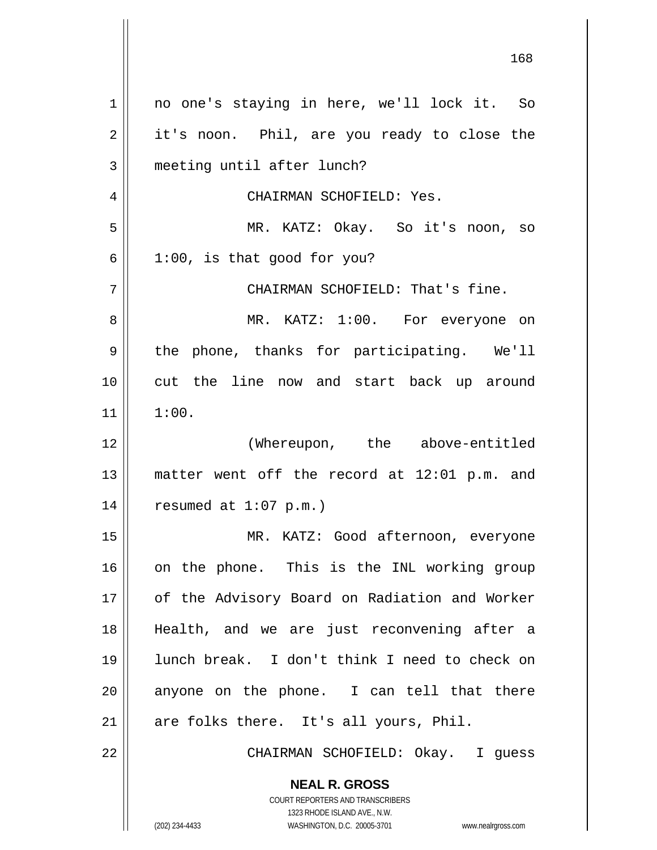168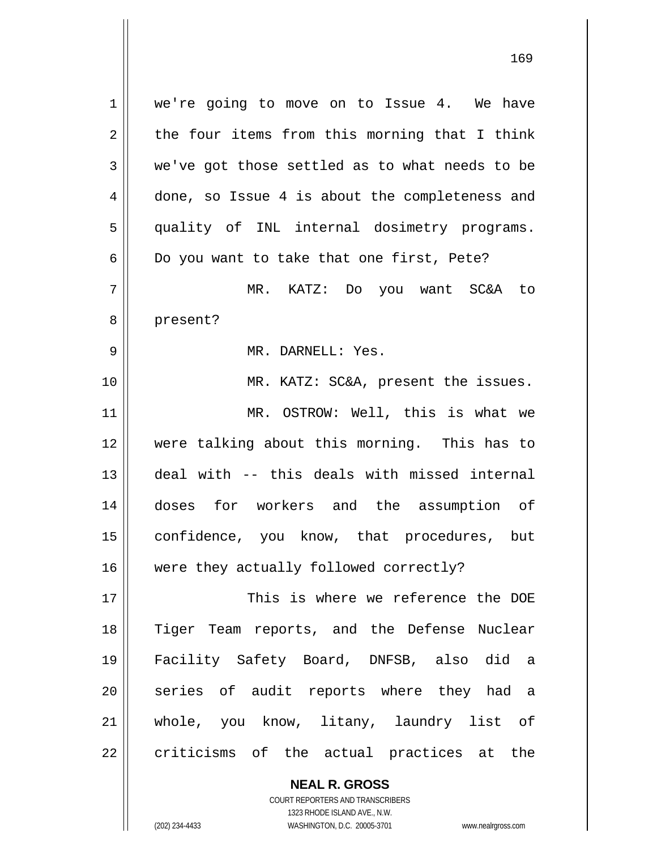1 2 3 4 5 6 7 8 9 10 11 12 13 14 15 16 17 18 19 20 21 22 we're going to move on to Issue 4. We have the four items from this morning that I think we've got those settled as to what needs to be done, so Issue 4 is about the completeness and quality of INL internal dosimetry programs. Do you want to take that one first, Pete? MR. KATZ: Do you want SC&A to present? MR. DARNELL: Yes. MR. KATZ: SC&A, present the issues. MR. OSTROW: Well, this is what we were talking about this morning. This has to deal with -- this deals with missed internal doses for workers and the assumption of confidence, you know, that procedures, but were they actually followed correctly? This is where we reference the DOE Tiger Team reports, and the Defense Nuclear Facility Safety Board, DNFSB, also did a series of audit reports where they had a whole, you know, litany, laundry list of criticisms of the actual practices at the

> **NEAL R. GROSS** COURT REPORTERS AND TRANSCRIBERS

> > 1323 RHODE ISLAND AVE., N.W.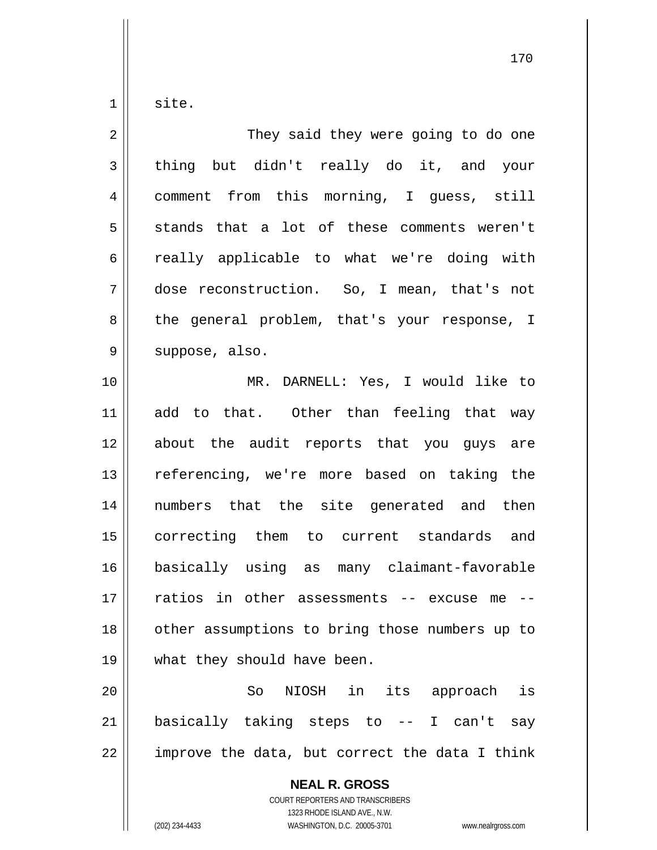site.

1

| 2           | They said they were going to do one                      |
|-------------|----------------------------------------------------------|
| 3           | thing but didn't really do it, and your                  |
| 4           | comment from this morning, I guess, still                |
| 5           | stands that a lot of these comments weren't              |
| 6           | really applicable to what we're doing with               |
| 7           | dose reconstruction. So, I mean, that's not              |
| 8           | the general problem, that's your response, I             |
| $\mathsf 9$ | suppose, also.                                           |
| 10          | MR. DARNELL: Yes, I would like to                        |
| 11          | add to that. Other than feeling that way                 |
| 12          | about the audit reports that you guys are                |
| 13          | referencing, we're more based on taking the              |
| 14          | numbers that the site generated and then                 |
| 15          | correcting them to current standards and                 |
| 16          | basically using as many claimant-favorable               |
| 17          | ratios in other assessments -- excuse me                 |
| 18          | other assumptions to bring those numbers up to           |
| 19          | what they should have been.                              |
| 20          | NIOSH in its approach is<br>So                           |
| 21          | basically taking steps to -- I can't say                 |
| 22          | improve the data, but correct the data I think           |
|             | <b>NEAL R. GROSS</b><br>COURT REPORTERS AND TRANSCRIBERS |

 $\mathsf{I}$  $\prod_{i=1}^{n}$ 

1323 RHODE ISLAND AVE., N.W. (202) 234-4433 WASHINGTON, D.C. 20005-3701 www.nealrgross.com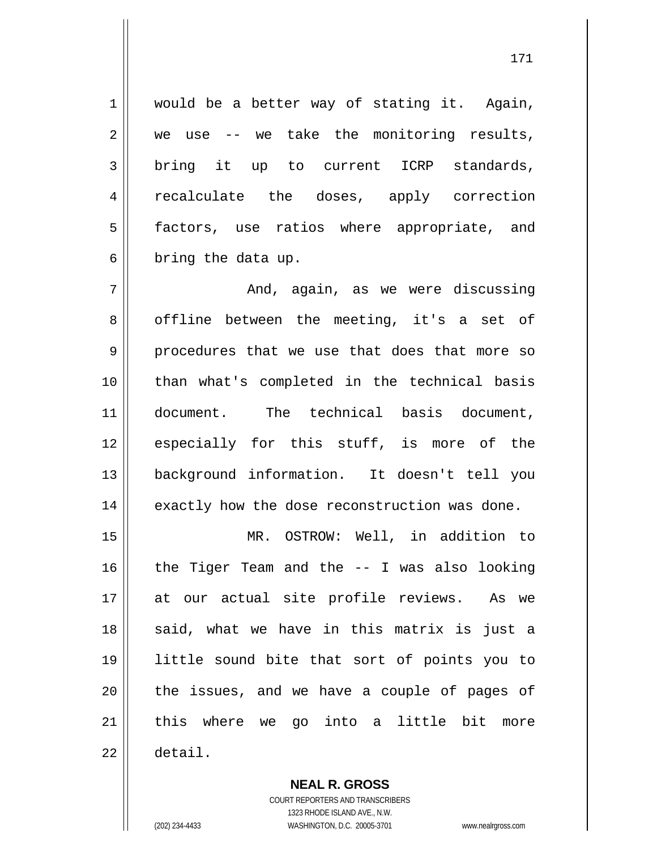would be a better way of stating it. Again, we use -- we take the monitoring results, bring it up to current ICRP standards, recalculate the doses, apply correction factors, use ratios where appropriate, and bring the data up.

7 8 9 10 11 12 13 14 And, again, as we were discussing offline between the meeting, it's a set of procedures that we use that does that more so than what's completed in the technical basis document. The technical basis document, especially for this stuff, is more of the background information. It doesn't tell you exactly how the dose reconstruction was done.

15 16 17 18 19 20 21 22 MR. OSTROW: Well, in addition to the Tiger Team and the -- I was also looking at our actual site profile reviews. As we said, what we have in this matrix is just a little sound bite that sort of points you to the issues, and we have a couple of pages of this where we go into a little bit more detail.

> **NEAL R. GROSS** COURT REPORTERS AND TRANSCRIBERS 1323 RHODE ISLAND AVE., N.W.

1

2

3

4

5

6

(202) 234-4433 WASHINGTON, D.C. 20005-3701 www.nealrgross.com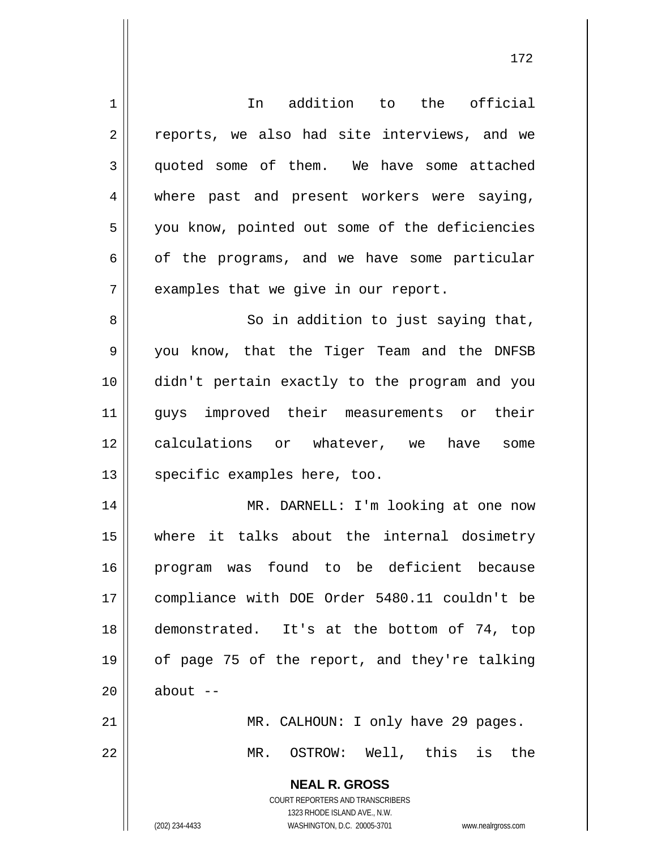**NEAL R. GROSS** COURT REPORTERS AND TRANSCRIBERS 1323 RHODE ISLAND AVE., N.W. 1 2 3 4 5 6 7 8 9 10 11 12 13 14 15 16 17 18 19 20 21 22 In addition to the official reports, we also had site interviews, and we quoted some of them. We have some attached where past and present workers were saying, you know, pointed out some of the deficiencies of the programs, and we have some particular examples that we give in our report. So in addition to just saying that, you know, that the Tiger Team and the DNFSB didn't pertain exactly to the program and you guys improved their measurements or their calculations or whatever, we have some specific examples here, too. MR. DARNELL: I'm looking at one now where it talks about the internal dosimetry program was found to be deficient because compliance with DOE Order 5480.11 couldn't be demonstrated. It's at the bottom of 74, top of page 75 of the report, and they're talking about  $--$  MR. CALHOUN: I only have 29 pages. MR. OSTROW: Well, this is the

172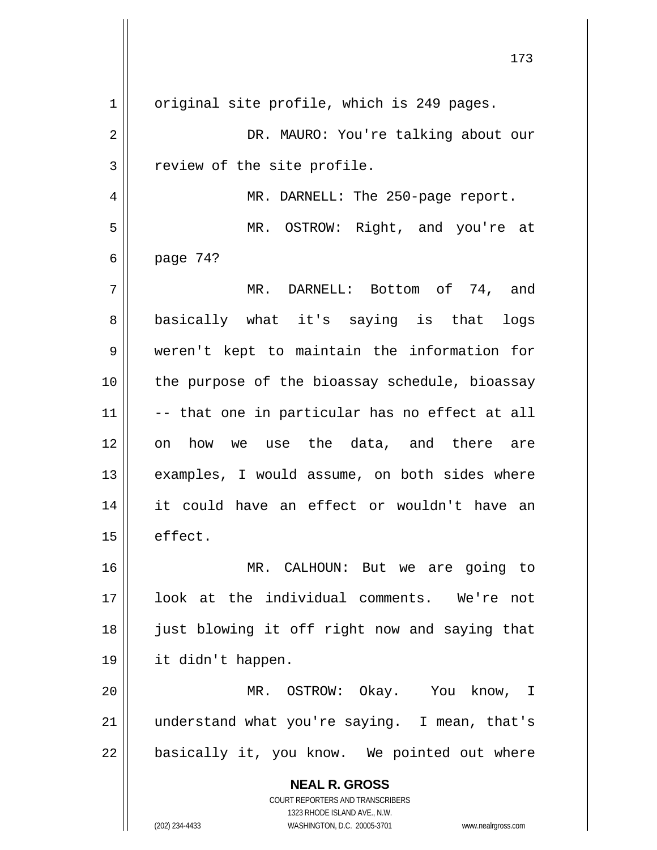**NEAL R. GROSS** COURT REPORTERS AND TRANSCRIBERS 1323 RHODE ISLAND AVE., N.W. 1 2 3 4 5 6 7 8 9 10 11 12 13 14 15 16 17 18 19 20 21 22 original site profile, which is 249 pages. DR. MAURO: You're talking about our review of the site profile. MR. DARNELL: The 250-page report. MR. OSTROW: Right, and you're at page 74? MR. DARNELL: Bottom of 74, and basically what it's saying is that logs weren't kept to maintain the information for the purpose of the bioassay schedule, bioassay -- that one in particular has no effect at all on how we use the data, and there are examples, I would assume, on both sides where it could have an effect or wouldn't have an effect. MR. CALHOUN: But we are going to look at the individual comments. We're not just blowing it off right now and saying that it didn't happen. MR. OSTROW: Okay. You know, I understand what you're saying. I mean, that's basically it, you know. We pointed out where

(202) 234-4433 WASHINGTON, D.C. 20005-3701 www.nealrgross.com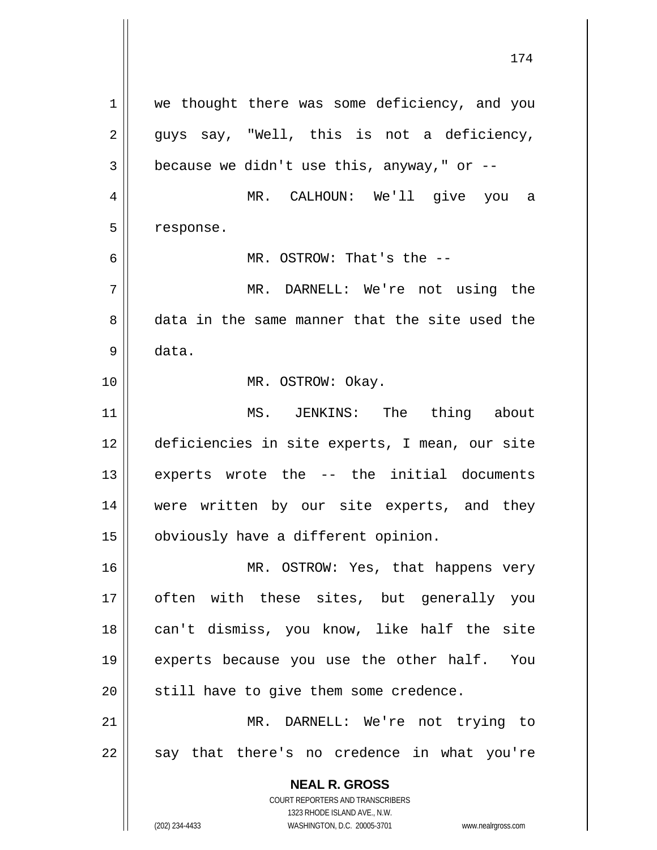**NEAL R. GROSS** COURT REPORTERS AND TRANSCRIBERS 1323 RHODE ISLAND AVE., N.W. (202) 234-4433 WASHINGTON, D.C. 20005-3701 www.nealrgross.com 1 2 3 4 5 6 7 8 9 10 11 12 13 14 15 16 17 18 19 20 21 22 we thought there was some deficiency, and you guys say, "Well, this is not a deficiency, because we didn't use this, anyway," or  $-$ - MR. CALHOUN: We'll give you a response. MR. OSTROW: That's the -- MR. DARNELL: We're not using the data in the same manner that the site used the data. MR. OSTROW: Okay. MS. JENKINS: The thing about deficiencies in site experts, I mean, our site experts wrote the -- the initial documents were written by our site experts, and they obviously have a different opinion. MR. OSTROW: Yes, that happens very often with these sites, but generally you can't dismiss, you know, like half the site experts because you use the other half. You still have to give them some credence. MR. DARNELL: We're not trying to say that there's no credence in what you're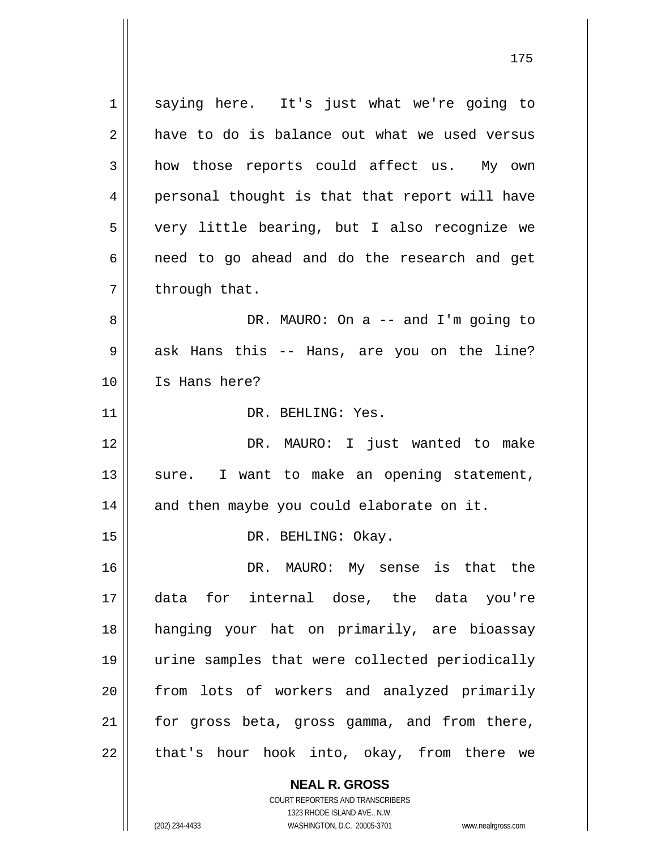1 2 3 4 5 6 7 8 9 10 11 12 13 14 15 16 17 18 19 20 21 22 saying here. It's just what we're going to have to do is balance out what we used versus how those reports could affect us. My own personal thought is that that report will have very little bearing, but I also recognize we need to go ahead and do the research and get through that. DR. MAURO: On a -- and I'm going to ask Hans this -- Hans, are you on the line? Is Hans here? DR. BEHLING: Yes. DR. MAURO: I just wanted to make sure. I want to make an opening statement, and then maybe you could elaborate on it. DR. BEHLING: Okay. DR. MAURO: My sense is that the data for internal dose, the data you're hanging your hat on primarily, are bioassay urine samples that were collected periodically from lots of workers and analyzed primarily for gross beta, gross gamma, and from there, that's hour hook into, okay, from there we

175

1323 RHODE ISLAND AVE., N.W. (202) 234-4433 WASHINGTON, D.C. 20005-3701 www.nealrgross.com

**NEAL R. GROSS** COURT REPORTERS AND TRANSCRIBERS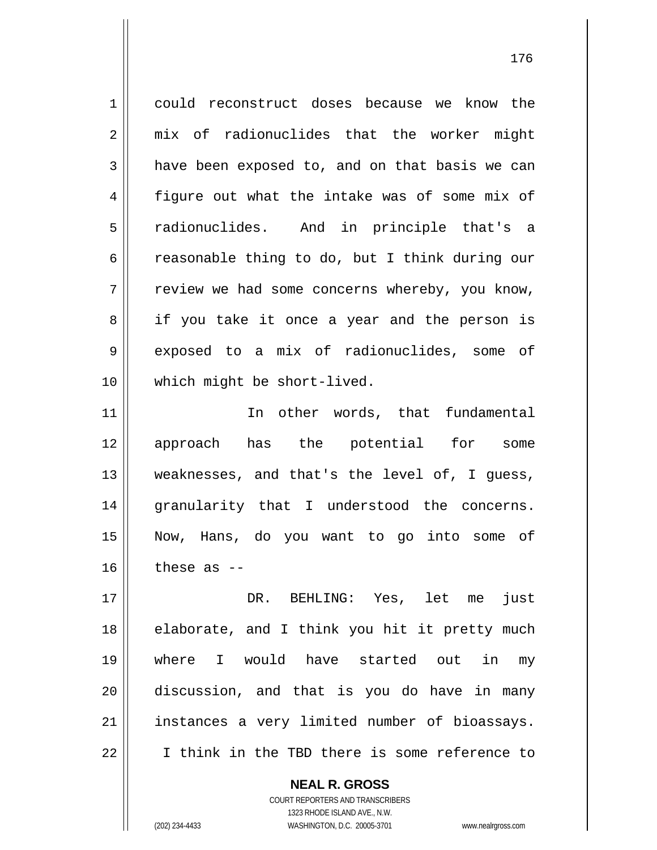1 2 3 4 5 6 7 8 9 10 11 12 13 14 15 16 17 18 19 20 21 could reconstruct doses because we know the mix of radionuclides that the worker might have been exposed to, and on that basis we can figure out what the intake was of some mix of radionuclides. And in principle that's a reasonable thing to do, but I think during our review we had some concerns whereby, you know, if you take it once a year and the person is exposed to a mix of radionuclides, some of which might be short-lived. In other words, that fundamental approach has the potential for some weaknesses, and that's the level of, I guess, granularity that I understood the concerns. Now, Hans, do you want to go into some of these as -- DR. BEHLING: Yes, let me just elaborate, and I think you hit it pretty much where I would have started out in my discussion, and that is you do have in many instances a very limited number of bioassays.

22

**NEAL R. GROSS**

I think in the TBD there is some reference to

COURT REPORTERS AND TRANSCRIBERS 1323 RHODE ISLAND AVE., N.W. (202) 234-4433 WASHINGTON, D.C. 20005-3701 www.nealrgross.com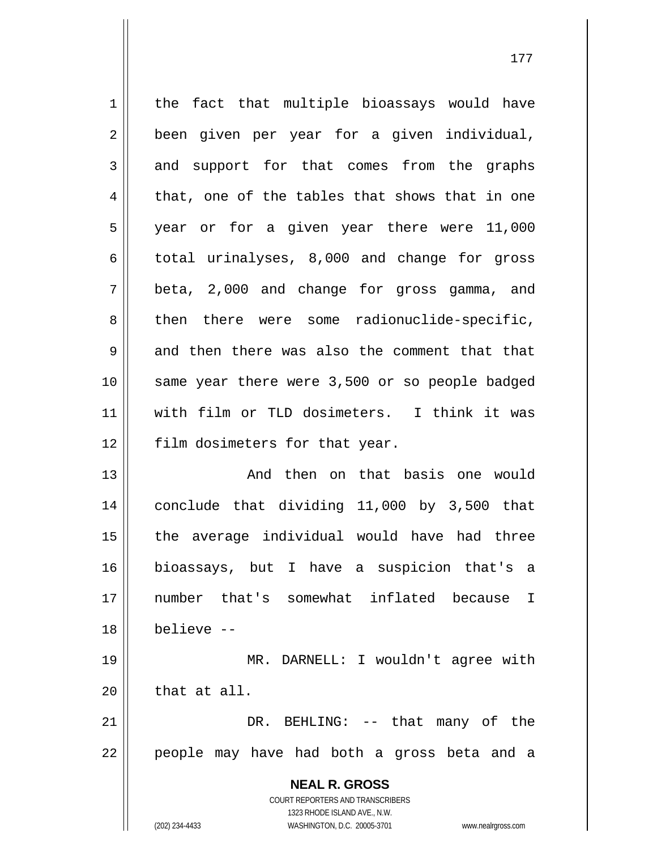| $\mathbf 1$ | the fact that multiple bioassays would have                         |
|-------------|---------------------------------------------------------------------|
| 2           | been given per year for a given individual,                         |
| 3           | and support for that comes from the graphs                          |
| 4           | that, one of the tables that shows that in one                      |
| 5           | year or for a given year there were 11,000                          |
| 6           | total urinalyses, 8,000 and change for gross                        |
| 7           | beta, 2,000 and change for gross gamma, and                         |
| 8           | there were some radionuclide-specific,<br>then                      |
| 9           | and then there was also the comment that that                       |
| 10          | same year there were 3,500 or so people badged                      |
| 11          | with film or TLD dosimeters. I think it was                         |
| 12          | film dosimeters for that year.                                      |
| 13          | And then on that basis one would                                    |
| 14          | conclude that dividing 11,000 by 3,500 that                         |
| 15          | the average individual would have had three                         |
| 16          | bioassays, but I have a suspicion that's a                          |
| 17          | number that's somewhat inflated because<br>I                        |
| 18          | believe --                                                          |
| 19          | MR. DARNELL: I wouldn't agree with                                  |
| 20          | that at all.                                                        |
| 21          | DR. BEHLING: -- that many of the                                    |
| 22          | people may have had both a gross beta and a                         |
|             | <b>NEAL R. GROSS</b>                                                |
|             | COURT REPORTERS AND TRANSCRIBERS                                    |
|             | 1323 RHODE ISLAND AVE., N.W.                                        |
|             | (202) 234-4433<br>WASHINGTON, D.C. 20005-3701<br>www.nealrgross.com |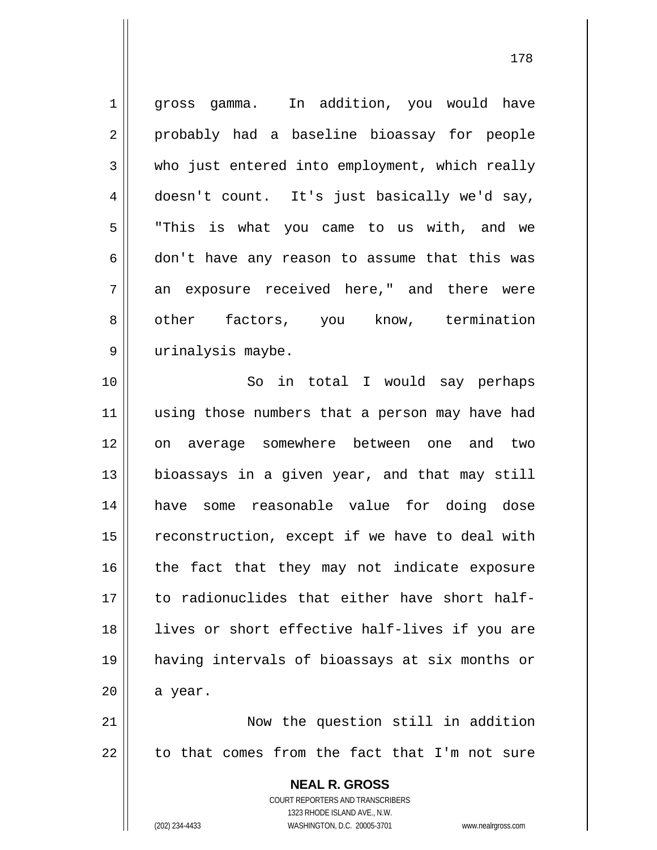1 2 3 4 5 6 7 8 9 10 11 12 13 14 15 16 17 18 19 20 21 22 gross gamma. In addition, you would have probably had a baseline bioassay for people who just entered into employment, which really doesn't count. It's just basically we'd say, "This is what you came to us with, and we don't have any reason to assume that this was an exposure received here," and there were other factors, you know, termination urinalysis maybe. So in total I would say perhaps using those numbers that a person may have had on average somewhere between one and two bioassays in a given year, and that may still have some reasonable value for doing dose reconstruction, except if we have to deal with the fact that they may not indicate exposure to radionuclides that either have short halflives or short effective half-lives if you are having intervals of bioassays at six months or a year. Now the question still in addition to that comes from the fact that I'm not sure

> **NEAL R. GROSS** COURT REPORTERS AND TRANSCRIBERS 1323 RHODE ISLAND AVE., N.W.

(202) 234-4433 WASHINGTON, D.C. 20005-3701 www.nealrgross.com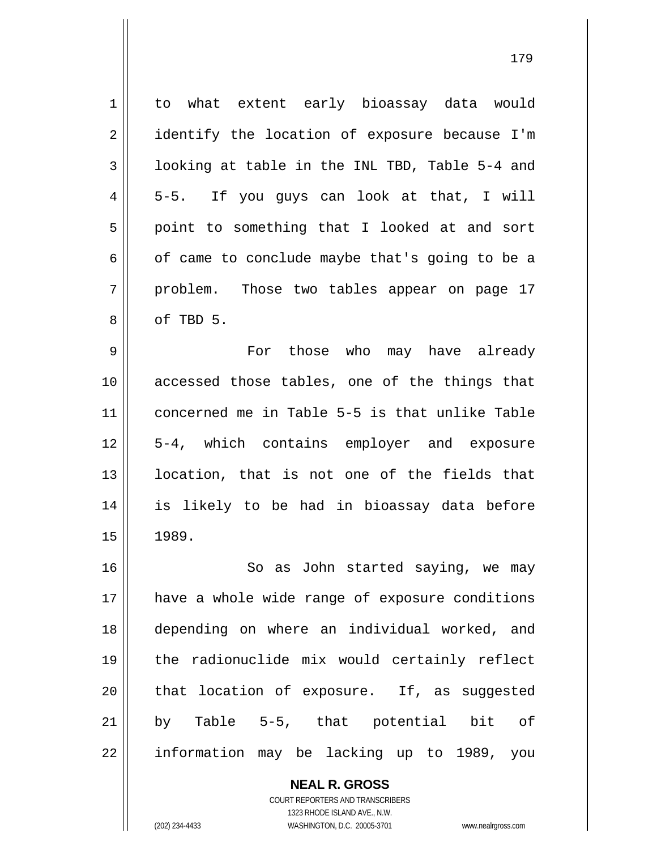1 2 3 4 5 6 7 8 to what extent early bioassay data would identify the location of exposure because I'm looking at table in the INL TBD, Table 5-4 and 5-5. If you guys can look at that, I will point to something that I looked at and sort of came to conclude maybe that's going to be a problem. Those two tables appear on page 17 of TBD 5.

9 10 11 12 13 14 15 For those who may have already accessed those tables, one of the things that concerned me in Table 5-5 is that unlike Table 5-4, which contains employer and exposure location, that is not one of the fields that is likely to be had in bioassay data before 1989.

16 17 18 19 20 21 22 So as John started saying, we may have a whole wide range of exposure conditions depending on where an individual worked, and the radionuclide mix would certainly reflect that location of exposure. If, as suggested by Table 5-5, that potential bit of information may be lacking up to 1989, you

> **NEAL R. GROSS** COURT REPORTERS AND TRANSCRIBERS 1323 RHODE ISLAND AVE., N.W.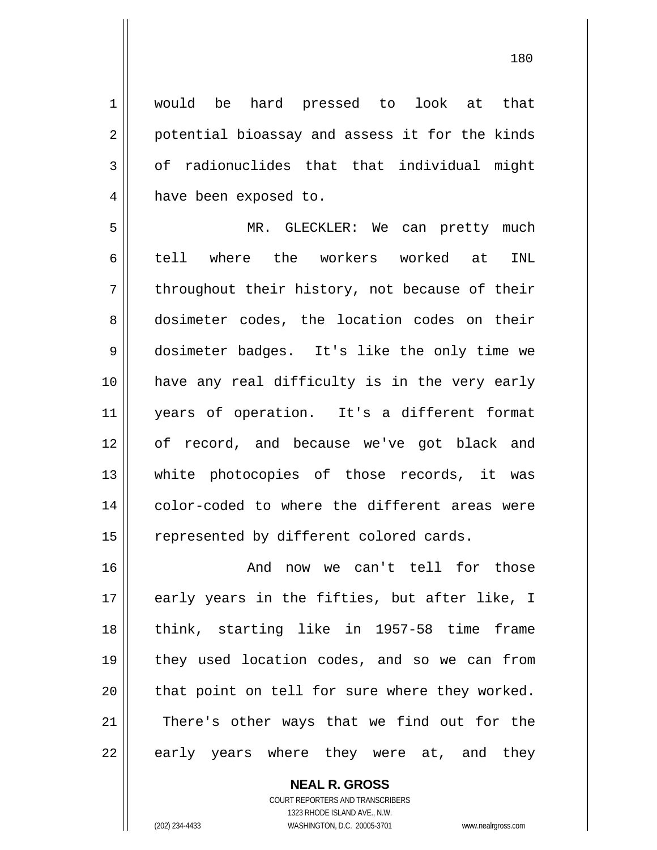1 2 3 4 would be hard pressed to look at that potential bioassay and assess it for the kinds of radionuclides that that individual might have been exposed to.

5 6 7 8 9 10 11 12 13 14 15 MR. GLECKLER: We can pretty much tell where the workers worked at INL throughout their history, not because of their dosimeter codes, the location codes on their dosimeter badges. It's like the only time we have any real difficulty is in the very early years of operation. It's a different format of record, and because we've got black and white photocopies of those records, it was color-coded to where the different areas were represented by different colored cards.

16 17 18 19 20 21 22 And now we can't tell for those early years in the fifties, but after like, I think, starting like in 1957-58 time frame they used location codes, and so we can from that point on tell for sure where they worked. There's other ways that we find out for the early years where they were at, and they

> **NEAL R. GROSS** COURT REPORTERS AND TRANSCRIBERS 1323 RHODE ISLAND AVE., N.W. (202) 234-4433 WASHINGTON, D.C. 20005-3701 www.nealrgross.com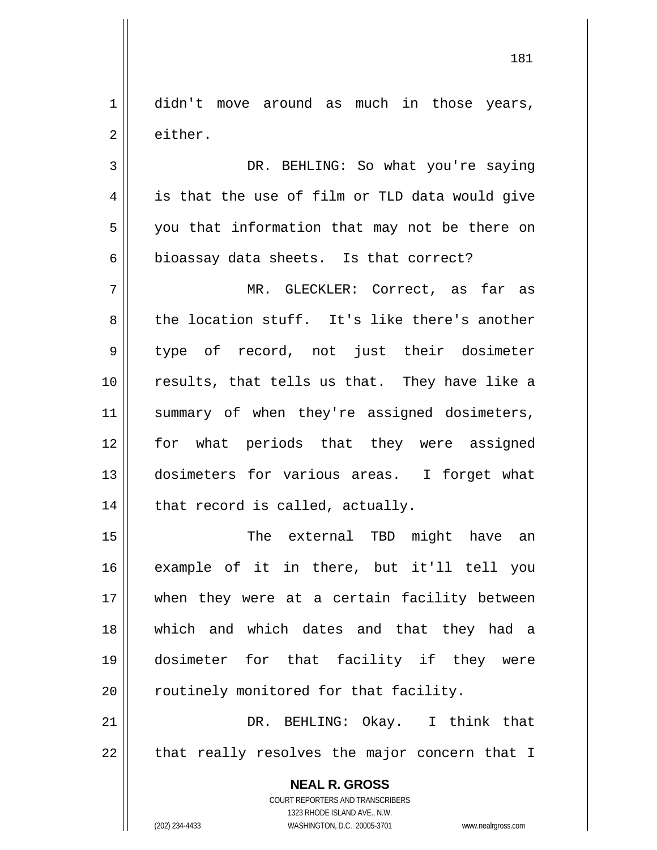1 2 didn't move around as much in those years, either.

3 4 5 6 DR. BEHLING: So what you're saying is that the use of film or TLD data would give you that information that may not be there on bioassay data sheets. Is that correct?

7 8 9 10 11 12 13 14 MR. GLECKLER: Correct, as far as the location stuff. It's like there's another type of record, not just their dosimeter results, that tells us that. They have like a summary of when they're assigned dosimeters, for what periods that they were assigned dosimeters for various areas. I forget what that record is called, actually.

15 16 17 18 19 20 The external TBD might have an example of it in there, but it'll tell you when they were at a certain facility between which and which dates and that they had a dosimeter for that facility if they were routinely monitored for that facility.

21 22 DR. BEHLING: Okay. I think that that really resolves the major concern that I

> **NEAL R. GROSS** COURT REPORTERS AND TRANSCRIBERS 1323 RHODE ISLAND AVE., N.W. (202) 234-4433 WASHINGTON, D.C. 20005-3701 www.nealrgross.com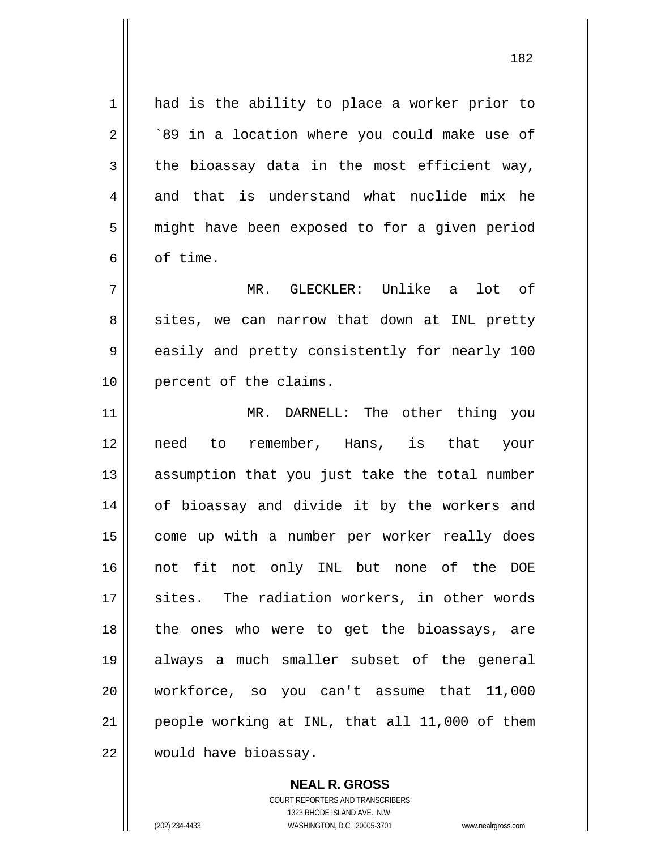1 2 3 4 5 6 7 had is the ability to place a worker prior to `89 in a location where you could make use of the bioassay data in the most efficient way, and that is understand what nuclide mix he might have been exposed to for a given period of time. MR. GLECKLER: Unlike a lot of

sites, we can narrow that down at INL pretty easily and pretty consistently for nearly 100 percent of the claims.

11 12 13 14 15 16 17 18 19 20 21 22 MR. DARNELL: The other thing you need to remember, Hans, is that your assumption that you just take the total number of bioassay and divide it by the workers and come up with a number per worker really does not fit not only INL but none of the DOE sites. The radiation workers, in other words the ones who were to get the bioassays, are always a much smaller subset of the general workforce, so you can't assume that 11,000 people working at INL, that all 11,000 of them would have bioassay.

> **NEAL R. GROSS** COURT REPORTERS AND TRANSCRIBERS 1323 RHODE ISLAND AVE., N.W. (202) 234-4433 WASHINGTON, D.C. 20005-3701 www.nealrgross.com

8

9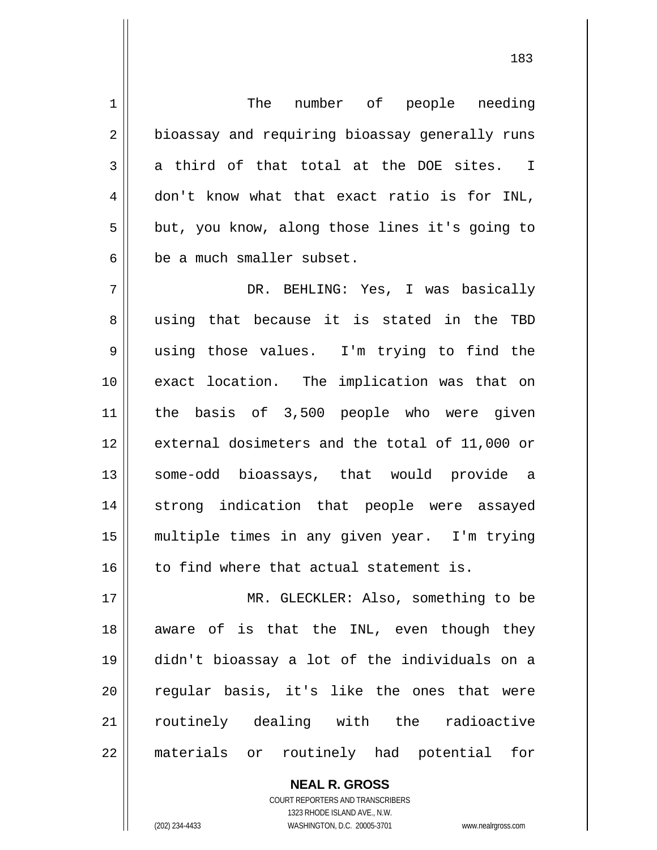1 2 3 4 5 6 7 8 9 10 11 12 13 14 15 16 17 18 19 20 21 22 The number of people needing bioassay and requiring bioassay generally runs a third of that total at the DOE sites. I don't know what that exact ratio is for INL, but, you know, along those lines it's going to be a much smaller subset. DR. BEHLING: Yes, I was basically using that because it is stated in the TBD using those values. I'm trying to find the exact location. The implication was that on the basis of 3,500 people who were given external dosimeters and the total of 11,000 or some-odd bioassays, that would provide a strong indication that people were assayed multiple times in any given year. I'm trying to find where that actual statement is. MR. GLECKLER: Also, something to be aware of is that the INL, even though they didn't bioassay a lot of the individuals on a regular basis, it's like the ones that were routinely dealing with the radioactive materials or routinely had potential for

> COURT REPORTERS AND TRANSCRIBERS 1323 RHODE ISLAND AVE., N.W. (202) 234-4433 WASHINGTON, D.C. 20005-3701 www.nealrgross.com

**NEAL R. GROSS**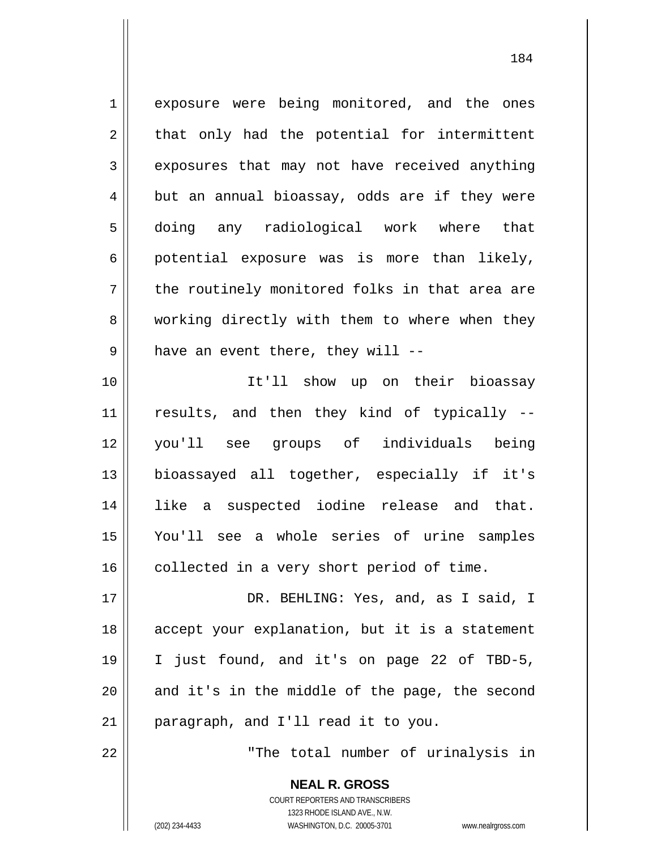1 2 3 4 5 6 7 8 9 10 11 12 13 14 15 16 17 18 19 20 21 22 exposure were being monitored, and the ones that only had the potential for intermittent exposures that may not have received anything but an annual bioassay, odds are if they were doing any radiological work where that potential exposure was is more than likely, the routinely monitored folks in that area are working directly with them to where when they have an event there, they will -- It'll show up on their bioassay results, and then they kind of typically - you'll see groups of individuals being bioassayed all together, especially if it's like a suspected iodine release and that. You'll see a whole series of urine samples collected in a very short period of time. DR. BEHLING: Yes, and, as I said, I accept your explanation, but it is a statement I just found, and it's on page 22 of TBD-5, and it's in the middle of the page, the second paragraph, and I'll read it to you. "The total number of urinalysis in

> **NEAL R. GROSS** COURT REPORTERS AND TRANSCRIBERS 1323 RHODE ISLAND AVE., N.W. (202) 234-4433 WASHINGTON, D.C. 20005-3701 www.nealrgross.com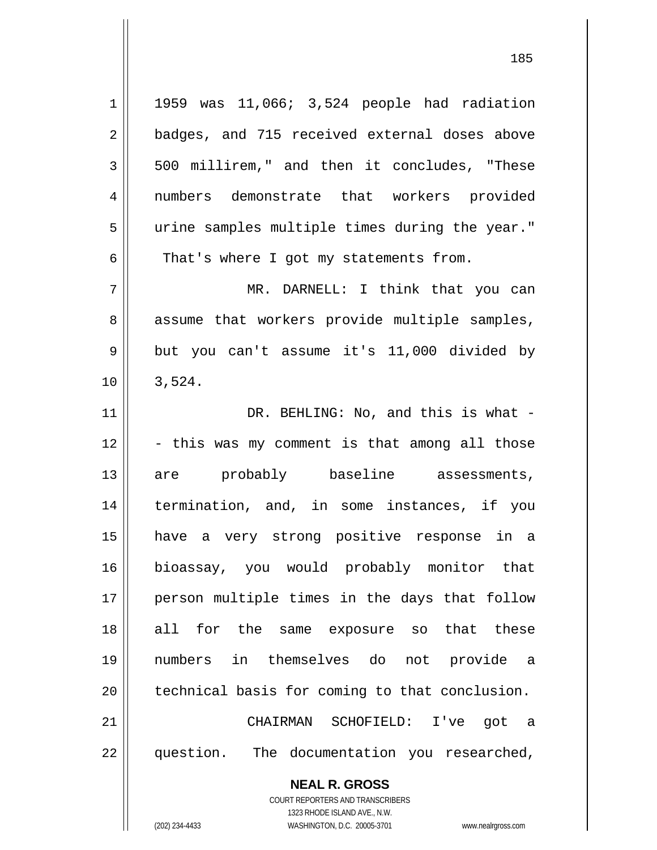| $\mathbf 1$ | 1959 was 11,066; 3,524 people had radiation    |
|-------------|------------------------------------------------|
| 2           | badges, and 715 received external doses above  |
| 3           | 500 millirem," and then it concludes, "These   |
| 4           | numbers demonstrate that workers provided      |
| 5           | urine samples multiple times during the year." |
| 6           | That's where I got my statements from.         |
| 7           | MR. DARNELL: I think that you can              |
| 8           | assume that workers provide multiple samples,  |
| 9           | but you can't assume it's 11,000 divided by    |
| 10          | 3,524.                                         |
| 11          | DR. BEHLING: No, and this is what -            |
| 12          | - this was my comment is that among all those  |
| 13          | are probably baseline assessments,             |
| 14          | termination, and, in some instances, if you    |
| 15          | have a very strong positive response in a      |
| 16          | bioassay, you would probably monitor that      |
| 17          | person multiple times in the days that follow  |
| 18          | for the same exposure so that these<br>all     |
| 19          | numbers in themselves do not provide a         |
| 20          | technical basis for coming to that conclusion. |
| 21          | CHAIRMAN SCHOFIELD: I've got a                 |
| 22          | question. The documentation you researched,    |
|             | <b>NEAL R. GROSS</b>                           |

COURT REPORTERS AND TRANSCRIBERS 1323 RHODE ISLAND AVE., N.W.

 $\mathop{\text{||}}$ 

(202) 234-4433 WASHINGTON, D.C. 20005-3701 www.nealrgross.com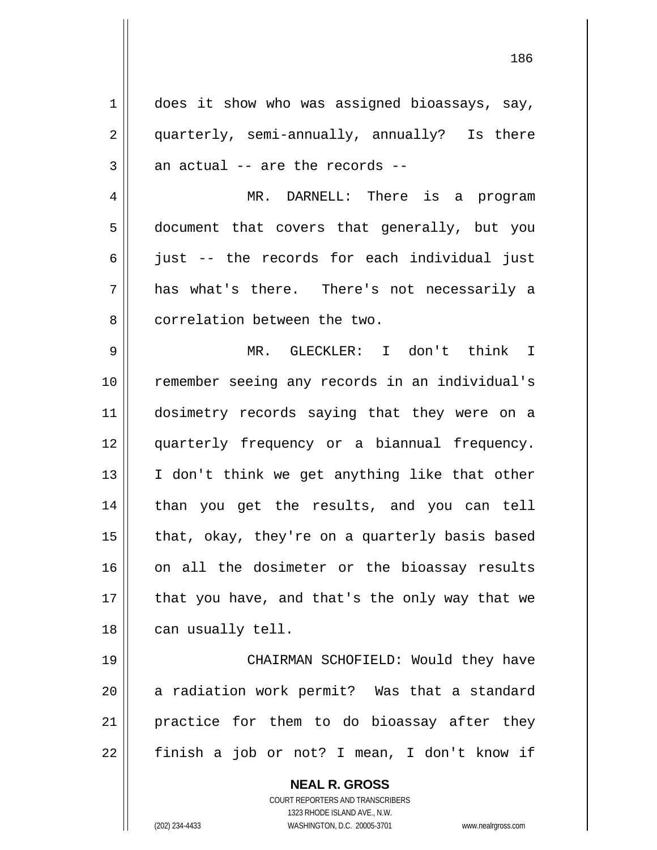1 2 3 4 5 6 7 8 9 does it show who was assigned bioassays, say, quarterly, semi-annually, annually? Is there an actual -- are the records -- MR. DARNELL: There is a program document that covers that generally, but you just -- the records for each individual just has what's there. There's not necessarily a correlation between the two. MR. GLECKLER: I don't think I

10 11 12 13 14 15 16 17 18 remember seeing any records in an individual's dosimetry records saying that they were on a quarterly frequency or a biannual frequency. I don't think we get anything like that other than you get the results, and you can tell that, okay, they're on a quarterly basis based on all the dosimeter or the bioassay results that you have, and that's the only way that we can usually tell.

19 20 21 22 CHAIRMAN SCHOFIELD: Would they have a radiation work permit? Was that a standard practice for them to do bioassay after they finish a job or not? I mean, I don't know if

> **NEAL R. GROSS** COURT REPORTERS AND TRANSCRIBERS 1323 RHODE ISLAND AVE., N.W. (202) 234-4433 WASHINGTON, D.C. 20005-3701 www.nealrgross.com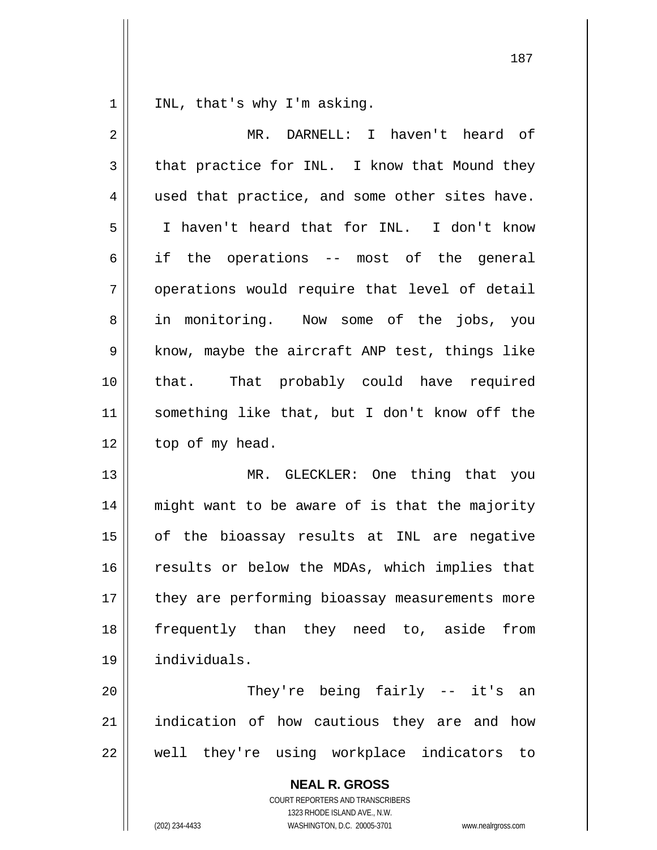1 INL, that's why I'm asking.

| $\overline{2}$ | MR. DARNELL: I haven't heard of                                                                                                                                        |
|----------------|------------------------------------------------------------------------------------------------------------------------------------------------------------------------|
| 3              | that practice for INL. I know that Mound they                                                                                                                          |
| 4              | used that practice, and some other sites have.                                                                                                                         |
| 5              | I haven't heard that for INL. I don't know                                                                                                                             |
| 6              | if the operations -- most of the general                                                                                                                               |
| 7              | operations would require that level of detail                                                                                                                          |
| 8              | in monitoring. Now some of the jobs, you                                                                                                                               |
| 9              | know, maybe the aircraft ANP test, things like                                                                                                                         |
| 10             | that. That probably could have required                                                                                                                                |
| 11             | something like that, but I don't know off the                                                                                                                          |
| 12             | top of my head.                                                                                                                                                        |
| 13             | MR. GLECKLER: One thing that you                                                                                                                                       |
| 14             | might want to be aware of is that the majority                                                                                                                         |
| 15             | of the bioassay results at INL are negative                                                                                                                            |
| 16             | results or below the MDAs, which implies that                                                                                                                          |
| 17             | they are performing bioassay measurements more                                                                                                                         |
| 18             | frequently than they need to, aside<br>from                                                                                                                            |
| 19             | individuals.                                                                                                                                                           |
| 20             | They're being fairly -- it's an                                                                                                                                        |
| 21             | indication of how cautious they are and how                                                                                                                            |
| 22             | well they're using workplace indicators to                                                                                                                             |
|                | <b>NEAL R. GROSS</b><br><b>COURT REPORTERS AND TRANSCRIBERS</b><br>1323 RHODE ISLAND AVE., N.W.<br>(202) 234-4433<br>WASHINGTON, D.C. 20005-3701<br>www.nealrgross.com |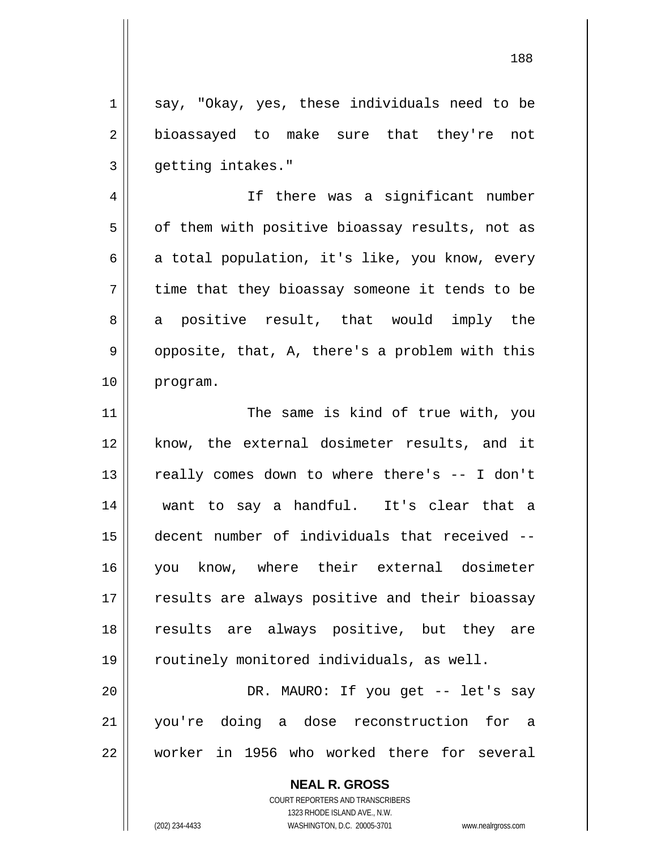1 3 say, "Okay, yes, these individuals need to be bioassayed to make sure that they're not getting intakes."

4 5 6 7 8 9 10 If there was a significant number of them with positive bioassay results, not as a total population, it's like, you know, every time that they bioassay someone it tends to be a positive result, that would imply the opposite, that, A, there's a problem with this program.

11 12 13 14 15 16 17 18 19 20 The same is kind of true with, you know, the external dosimeter results, and it really comes down to where there's -- I don't want to say a handful. It's clear that a decent number of individuals that received - you know, where their external dosimeter results are always positive and their bioassay results are always positive, but they are routinely monitored individuals, as well. DR. MAURO: If you get -- let's say

21 22 you're doing a dose reconstruction for a worker in 1956 who worked there for several

> **NEAL R. GROSS** COURT REPORTERS AND TRANSCRIBERS 1323 RHODE ISLAND AVE., N.W. (202) 234-4433 WASHINGTON, D.C. 20005-3701 www.nealrgross.com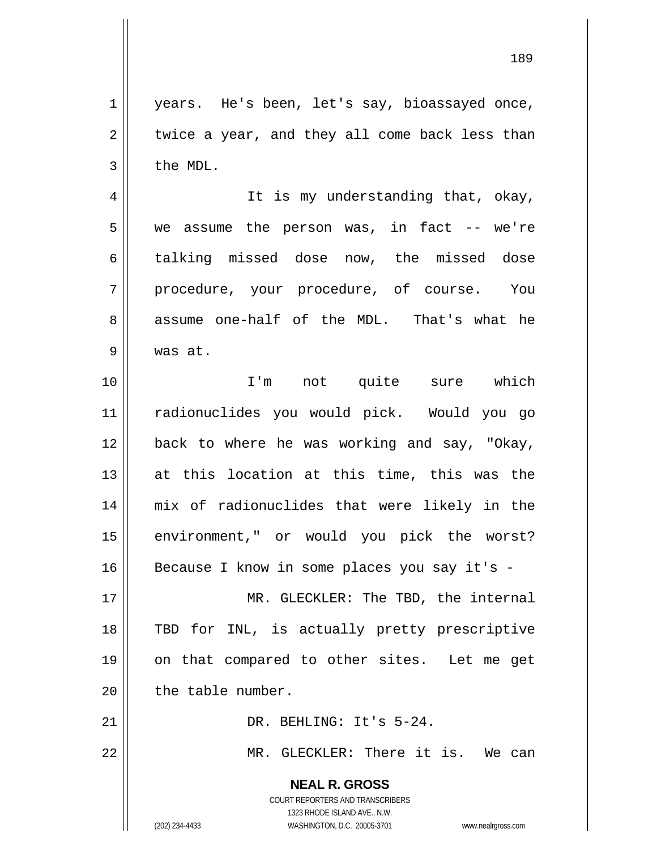**NEAL R. GROSS** 1 2 3 4 5 6 7 8 9 10 11 12 13 14 15 16 17 18 19 20 21 22 years. He's been, let's say, bioassayed once, twice a year, and they all come back less than the MDL. It is my understanding that, okay, we assume the person was, in fact -- we're talking missed dose now, the missed dose procedure, your procedure, of course. You assume one-half of the MDL. That's what he was at. I'm not quite sure which radionuclides you would pick. Would you go back to where he was working and say, "Okay, at this location at this time, this was the mix of radionuclides that were likely in the environment," or would you pick the worst? Because I know in some places you say it's - MR. GLECKLER: The TBD, the internal TBD for INL, is actually pretty prescriptive on that compared to other sites. Let me get the table number. DR. BEHLING: It's 5-24. MR. GLECKLER: There it is. We can

189

COURT REPORTERS AND TRANSCRIBERS 1323 RHODE ISLAND AVE., N.W.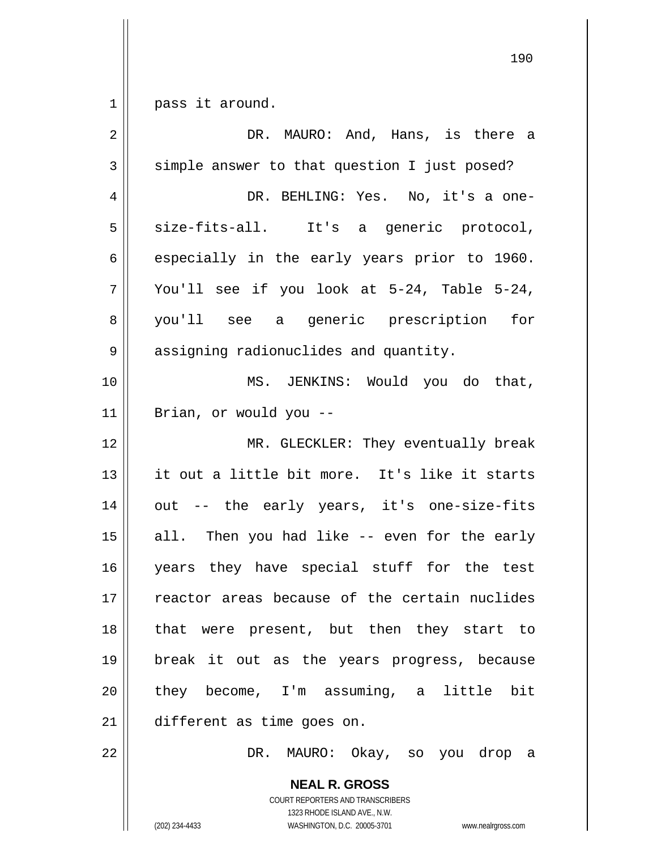$\begin{array}{c|c} 1 & 1 \end{array}$ pass it around.

| $\sqrt{2}$     | DR. MAURO: And, Hans, is there a                |
|----------------|-------------------------------------------------|
| $\mathfrak{Z}$ | simple answer to that question I just posed?    |
| 4              | DR. BEHLING: Yes. No, it's a one-               |
| 5              | size-fits-all. It's a generic protocol,         |
| 6              | especially in the early years prior to 1960.    |
| 7              | You'll see if you look at 5-24, Table 5-24,     |
| 8              | you'll see a generic prescription<br>for        |
| 9              | assigning radionuclides and quantity.           |
| 10             | MS. JENKINS: Would you do that,                 |
| 11             | Brian, or would you --                          |
| 12             | MR. GLECKLER: They eventually break             |
| 13             | it out a little bit more. It's like it starts   |
| 14             | out -- the early years, it's one-size-fits      |
| 15             | Then you had like -- even for the early<br>all. |
| 16             | years they have special stuff for the test      |
| $17$           | reactor areas because of the certain nuclides   |
| 18             | that were present, but then they start to       |
| 19             | break it out as the years progress, because     |
| 20             | they become, I'm assuming, a little bit         |
| 21             | different as time goes on.                      |
| 22             | DR. MAURO: Okay, so you drop a                  |
|                | <b>NEAL R. GROSS</b>                            |

COURT REPORTERS AND TRANSCRIBERS 1323 RHODE ISLAND AVE., N.W.

 $\mathsf{II}$ 

(202) 234-4433 WASHINGTON, D.C. 20005-3701 www.nealrgross.com

<u>190</u>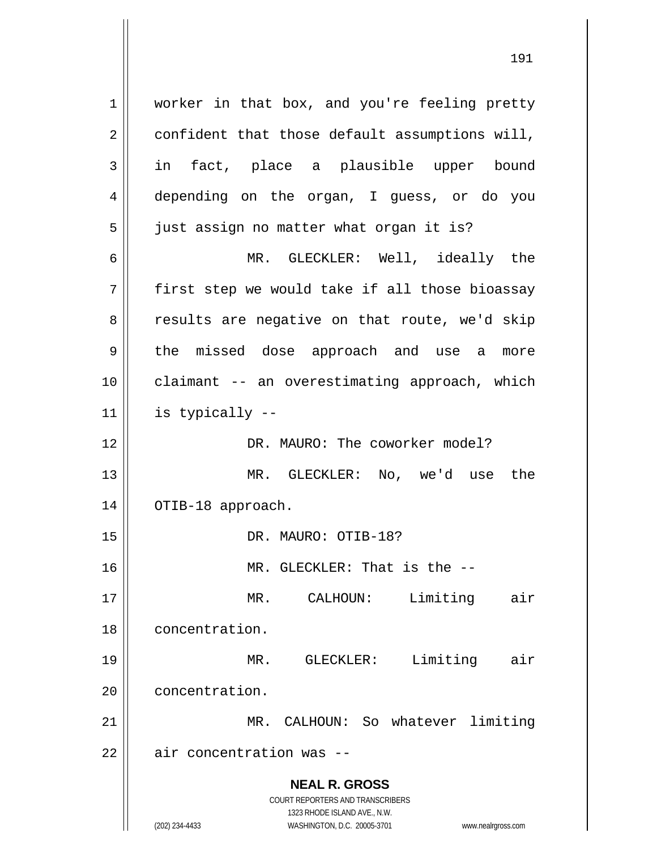**NEAL R. GROSS** COURT REPORTERS AND TRANSCRIBERS 1323 RHODE ISLAND AVE., N.W. 1 2 3 4 5 6 7 8 9 10 11 12 13 14 15 16 17 18 19 20 21 22 worker in that box, and you're feeling pretty confident that those default assumptions will, in fact, place a plausible upper bound depending on the organ, I guess, or do you just assign no matter what organ it is? MR. GLECKLER: Well, ideally the first step we would take if all those bioassay results are negative on that route, we'd skip the missed dose approach and use a more claimant -- an overestimating approach, which is typically -- DR. MAURO: The coworker model? MR. GLECKLER: No, we'd use the OTIB-18 approach. DR. MAURO: OTIB-18? MR. GLECKLER: That is the -- MR. CALHOUN: Limiting air concentration. MR. GLECKLER: Limiting air concentration. MR. CALHOUN: So whatever limiting air concentration was --

(202) 234-4433 WASHINGTON, D.C. 20005-3701 www.nealrgross.com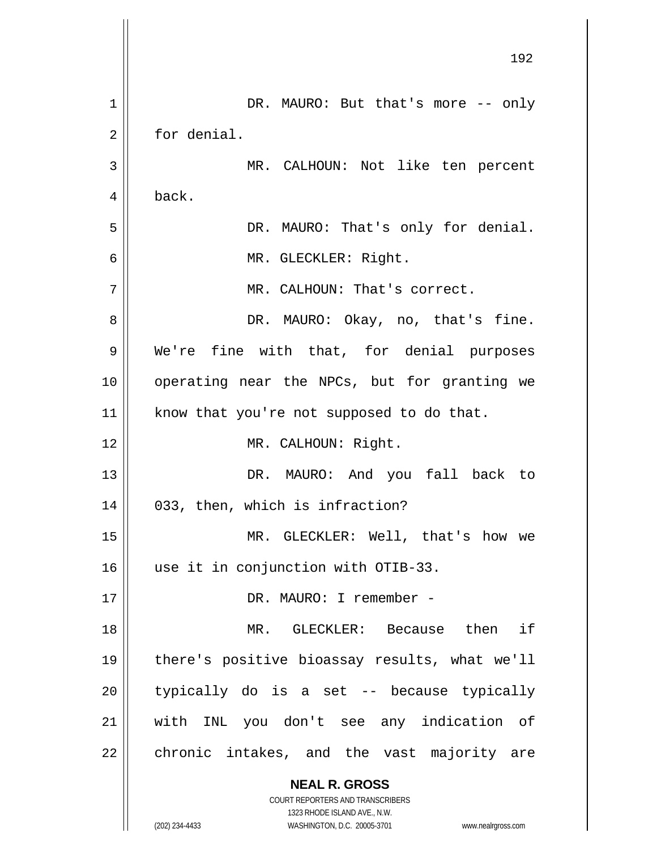|    | 192                                                                 |
|----|---------------------------------------------------------------------|
| 1  | DR. MAURO: But that's more -- only                                  |
| 2  | for denial.                                                         |
| 3  | MR. CALHOUN: Not like ten percent                                   |
| 4  | back.                                                               |
| 5  | DR. MAURO: That's only for denial.                                  |
| 6  | MR. GLECKLER: Right.                                                |
| 7  | MR. CALHOUN: That's correct.                                        |
| 8  | DR. MAURO: Okay, no, that's fine.                                   |
| 9  | We're fine with that, for denial purposes                           |
| 10 | operating near the NPCs, but for granting we                        |
| 11 | know that you're not supposed to do that.                           |
| 12 | MR. CALHOUN: Right.                                                 |
| 13 | DR. MAURO: And you fall back to                                     |
| 14 | 033, then, which is infraction?                                     |
| 15 | MR. GLECKLER: Well, that's how we                                   |
| 16 | use it in conjunction with OTIB-33.                                 |
| 17 | DR. MAURO: I remember -                                             |
| 18 | MR. GLECKLER: Because then if                                       |
| 19 | there's positive bioassay results, what we'll                       |
| 20 | typically do is a set -- because typically                          |
| 21 | with INL you don't see any indication of                            |
| 22 | chronic intakes, and the vast majority are                          |
|    | <b>NEAL R. GROSS</b>                                                |
|    | COURT REPORTERS AND TRANSCRIBERS<br>1323 RHODE ISLAND AVE., N.W.    |
|    | (202) 234-4433<br>WASHINGTON, D.C. 20005-3701<br>www.nealrgross.com |

 $\mathsf{I}$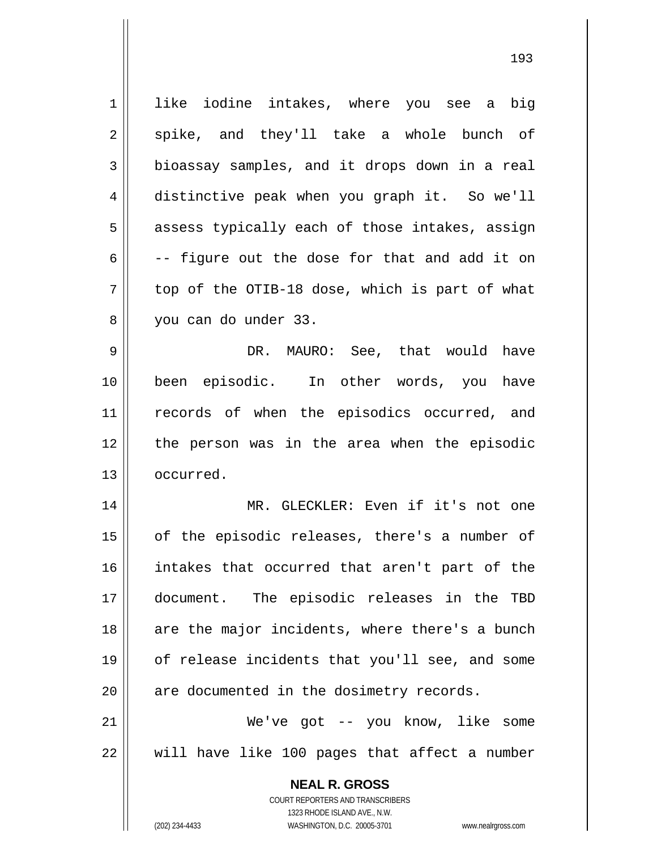**NEAL R. GROSS** COURT REPORTERS AND TRANSCRIBERS 1 2 3 4 5 6 7 8 9 10 11 12 13 14 15 16 17 18 19 20 21 22 like iodine intakes, where you see a big spike, and they'll take a whole bunch of bioassay samples, and it drops down in a real distinctive peak when you graph it. So we'll assess typically each of those intakes, assign -- figure out the dose for that and add it on top of the OTIB-18 dose, which is part of what you can do under 33. DR. MAURO: See, that would have been episodic. In other words, you have records of when the episodics occurred, and the person was in the area when the episodic occurred. MR. GLECKLER: Even if it's not one of the episodic releases, there's a number of intakes that occurred that aren't part of the document. The episodic releases in the TBD are the major incidents, where there's a bunch of release incidents that you'll see, and some are documented in the dosimetry records. We've got -- you know, like some will have like 100 pages that affect a number

1323 RHODE ISLAND AVE., N.W.

(202) 234-4433 WASHINGTON, D.C. 20005-3701 www.nealrgross.com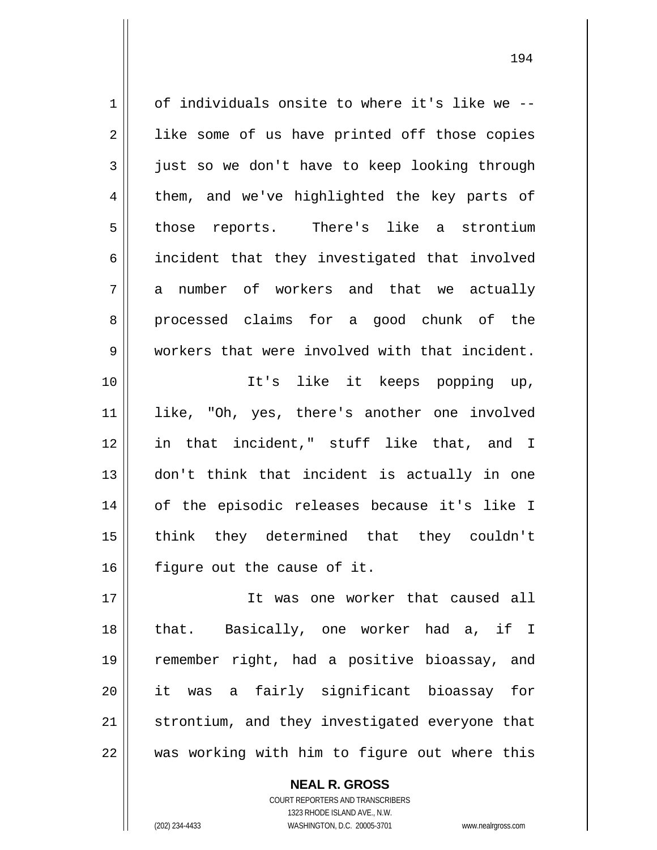| $\mathbf 1$ | of individuals onsite to where it's like we -- |
|-------------|------------------------------------------------|
| $\sqrt{2}$  | like some of us have printed off those copies  |
| 3           | just so we don't have to keep looking through  |
| 4           | them, and we've highlighted the key parts of   |
| 5           | those reports. There's like a strontium        |
| 6           | incident that they investigated that involved  |
| 7           | a number of workers and that we actually       |
| 8           | processed claims for a good chunk of the       |
| 9           | workers that were involved with that incident. |
| 10          | It's like it keeps popping up,                 |
| 11          | like, "Oh, yes, there's another one involved   |
| 12          | in that incident," stuff like that, and I      |
| 13          | don't think that incident is actually in one   |
| 14          | of the episodic releases because it's like I   |
| 15          | think they determined that they couldn't       |
| 16          | figure out the cause of it.                    |
| 17          | It was one worker that caused all              |
| 18          | that. Basically, one worker had a, if I        |
| 19          | remember right, had a positive bioassay, and   |
| 20          | it was a fairly significant bioassay<br>for    |
| 21          | strontium, and they investigated everyone that |

194

22

## **NEAL R. GROSS**

was working with him to figure out where this

COURT REPORTERS AND TRANSCRIBERS 1323 RHODE ISLAND AVE., N.W. (202) 234-4433 WASHINGTON, D.C. 20005-3701 www.nealrgross.com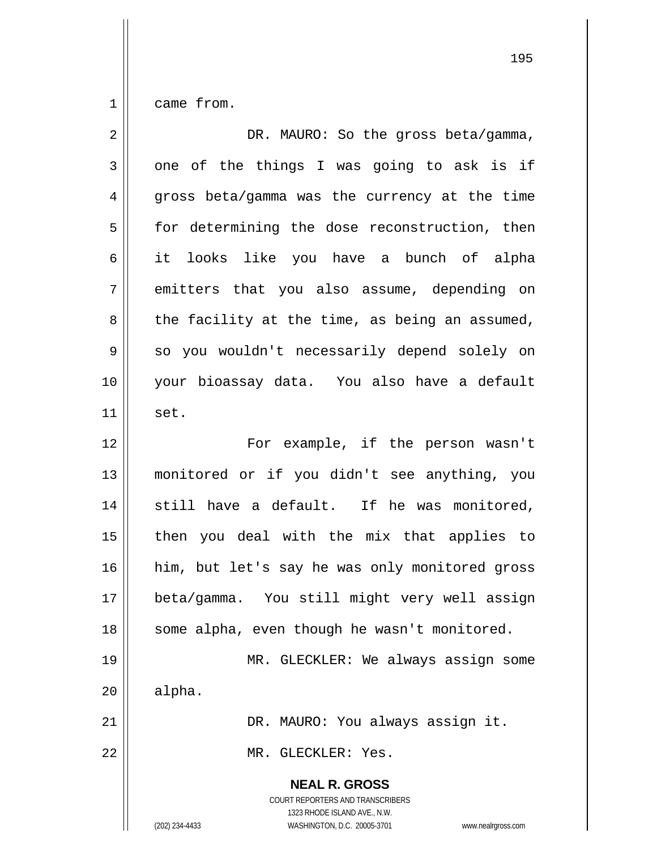1 came from.

| $\overline{2}$ | DR. MAURO: So the gross beta/gamma,                                                                                                                                    |
|----------------|------------------------------------------------------------------------------------------------------------------------------------------------------------------------|
| $\mathfrak{Z}$ | one of the things I was going to ask is if                                                                                                                             |
| 4              | gross beta/gamma was the currency at the time                                                                                                                          |
| 5              | for determining the dose reconstruction, then                                                                                                                          |
| 6              | it looks like you have a bunch of alpha                                                                                                                                |
| 7              | emitters that you also assume, depending on                                                                                                                            |
| 8              | the facility at the time, as being an assumed,                                                                                                                         |
| 9              | so you wouldn't necessarily depend solely on                                                                                                                           |
| 10             | your bioassay data. You also have a default                                                                                                                            |
| 11             | set.                                                                                                                                                                   |
| 12             | For example, if the person wasn't                                                                                                                                      |
| 13             | monitored or if you didn't see anything, you                                                                                                                           |
| 14             | still have a default. If he was monitored,                                                                                                                             |
| 15             | then you deal with the mix that applies to                                                                                                                             |
| 16             | him, but let's say he was only monitored gross                                                                                                                         |
| 17             | beta/gamma. You still might very well assign                                                                                                                           |
| 18             | some alpha, even though he wasn't monitored.                                                                                                                           |
| 19             | MR. GLECKLER: We always assign some                                                                                                                                    |
| 20             | alpha.                                                                                                                                                                 |
| 21             | DR. MAURO: You always assign it.                                                                                                                                       |
| 22             | MR. GLECKLER: Yes.                                                                                                                                                     |
|                | <b>NEAL R. GROSS</b><br><b>COURT REPORTERS AND TRANSCRIBERS</b><br>1323 RHODE ISLAND AVE., N.W.<br>(202) 234-4433<br>WASHINGTON, D.C. 20005-3701<br>www.nealrgross.com |

<u>195</u>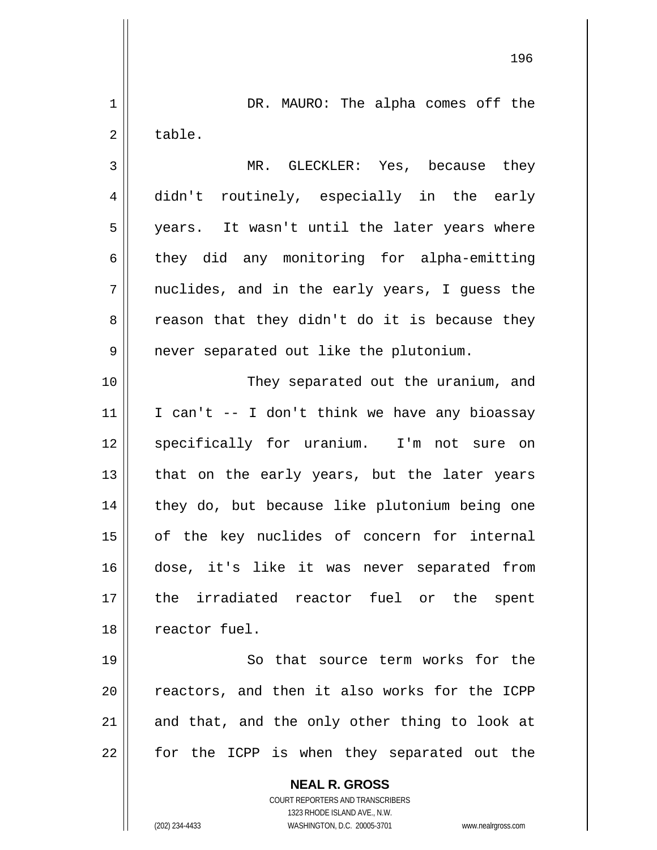**NEAL R. GROSS** COURT REPORTERS AND TRANSCRIBERS 1323 RHODE ISLAND AVE., N.W. 1 2 3 4 5 6 7 8 9 10 11 12 13 14 15 16 17 18 19 20 21 22 DR. MAURO: The alpha comes off the table. MR. GLECKLER: Yes, because they didn't routinely, especially in the early years. It wasn't until the later years where they did any monitoring for alpha-emitting nuclides, and in the early years, I guess the reason that they didn't do it is because they never separated out like the plutonium. They separated out the uranium, and I can't -- I don't think we have any bioassay specifically for uranium. I'm not sure on that on the early years, but the later years they do, but because like plutonium being one of the key nuclides of concern for internal dose, it's like it was never separated from the irradiated reactor fuel or the spent reactor fuel. So that source term works for the reactors, and then it also works for the ICPP and that, and the only other thing to look at for the ICPP is when they separated out the

196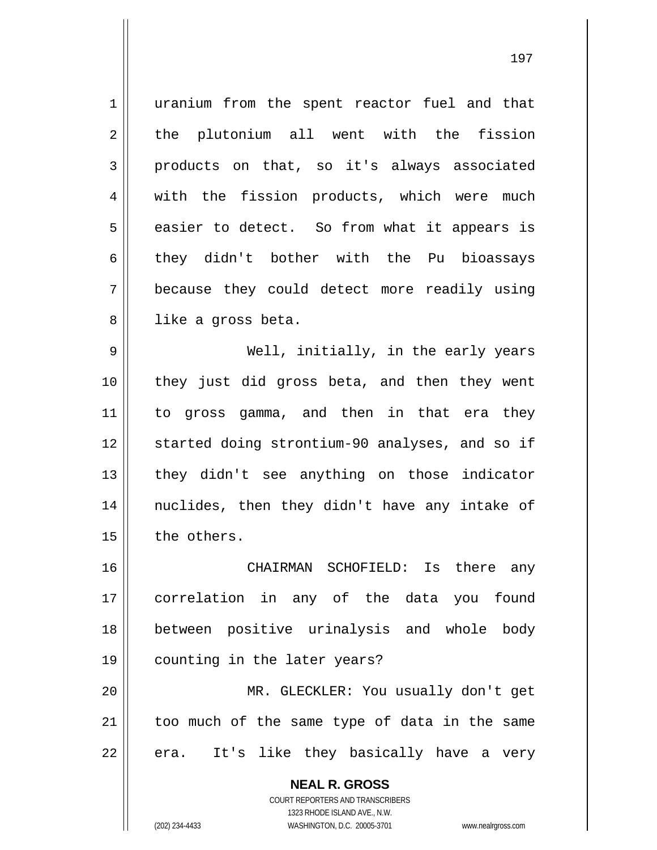1 2 3 4 5 6 7 8 uranium from the spent reactor fuel and that the plutonium all went with the fission products on that, so it's always associated with the fission products, which were much easier to detect. So from what it appears is they didn't bother with the Pu bioassays because they could detect more readily using like a gross beta.

9 10 11 12 13 14 15 Well, initially, in the early years they just did gross beta, and then they went to gross gamma, and then in that era they started doing strontium-90 analyses, and so if they didn't see anything on those indicator nuclides, then they didn't have any intake of the others.

16 17 18 19 CHAIRMAN SCHOFIELD: Is there any correlation in any of the data you found between positive urinalysis and whole body counting in the later years?

20 21 22 MR. GLECKLER: You usually don't get too much of the same type of data in the same era. It's like they basically have a very

> **NEAL R. GROSS** COURT REPORTERS AND TRANSCRIBERS 1323 RHODE ISLAND AVE., N.W. (202) 234-4433 WASHINGTON, D.C. 20005-3701 www.nealrgross.com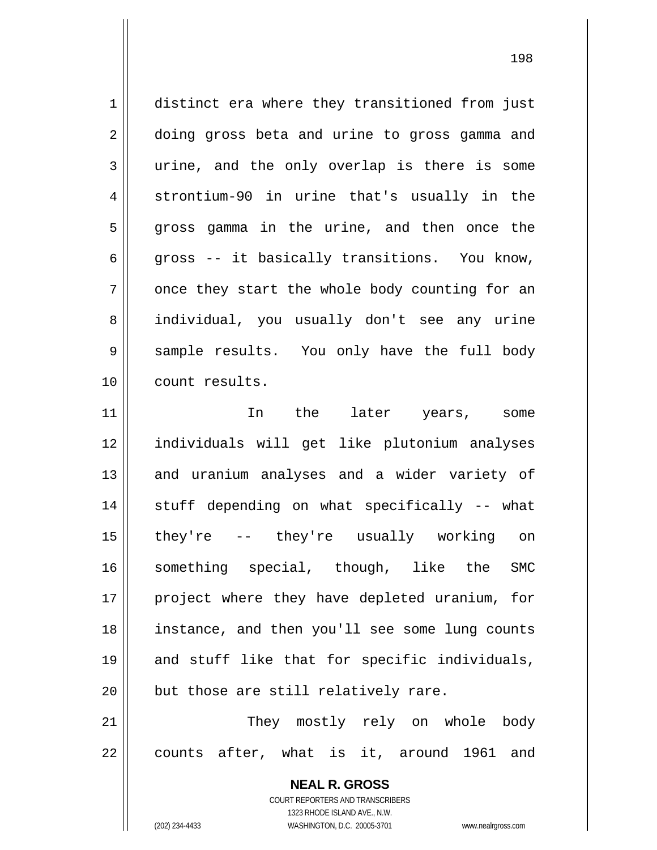1 2 3 4 5 6 7 8 9 10 11 12 13 14 15 16 distinct era where they transitioned from just doing gross beta and urine to gross gamma and urine, and the only overlap is there is some strontium-90 in urine that's usually in the gross gamma in the urine, and then once the gross -- it basically transitions. You know, once they start the whole body counting for an individual, you usually don't see any urine sample results. You only have the full body count results. In the later years, some individuals will get like plutonium analyses and uranium analyses and a wider variety of stuff depending on what specifically -- what they're -- they're usually working on something special, though, like the SMC

21 22 They mostly rely on whole body counts after, what is it, around 1961 and

but those are still relatively rare.

COURT REPORTERS AND TRANSCRIBERS 1323 RHODE ISLAND AVE., N.W. (202) 234-4433 WASHINGTON, D.C. 20005-3701 www.nealrgross.com

**NEAL R. GROSS**

project where they have depleted uranium, for

instance, and then you'll see some lung counts

and stuff like that for specific individuals,

17

18

19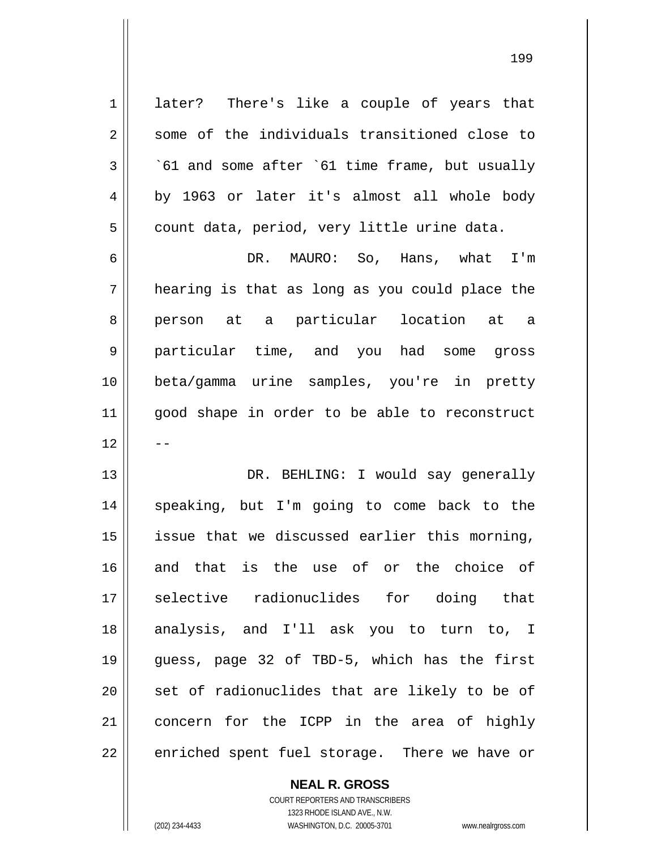later? There's like a couple of years that some of the individuals transitioned close to

2 3 4 5 `61 and some after `61 time frame, but usually by 1963 or later it's almost all whole body count data, period, very little urine data.

6 7 8 9 10 11 12 DR. MAURO: So, Hans, what I'm hearing is that as long as you could place the person at a particular location at a particular time, and you had some gross beta/gamma urine samples, you're in pretty good shape in order to be able to reconstruct --

13 14 15 16 17 18 19 20 21 22 DR. BEHLING: I would say generally speaking, but I'm going to come back to the issue that we discussed earlier this morning, and that is the use of or the choice of selective radionuclides for doing that analysis, and I'll ask you to turn to, I guess, page 32 of TBD-5, which has the first set of radionuclides that are likely to be of concern for the ICPP in the area of highly enriched spent fuel storage. There we have or

> **NEAL R. GROSS** COURT REPORTERS AND TRANSCRIBERS 1323 RHODE ISLAND AVE., N.W.

1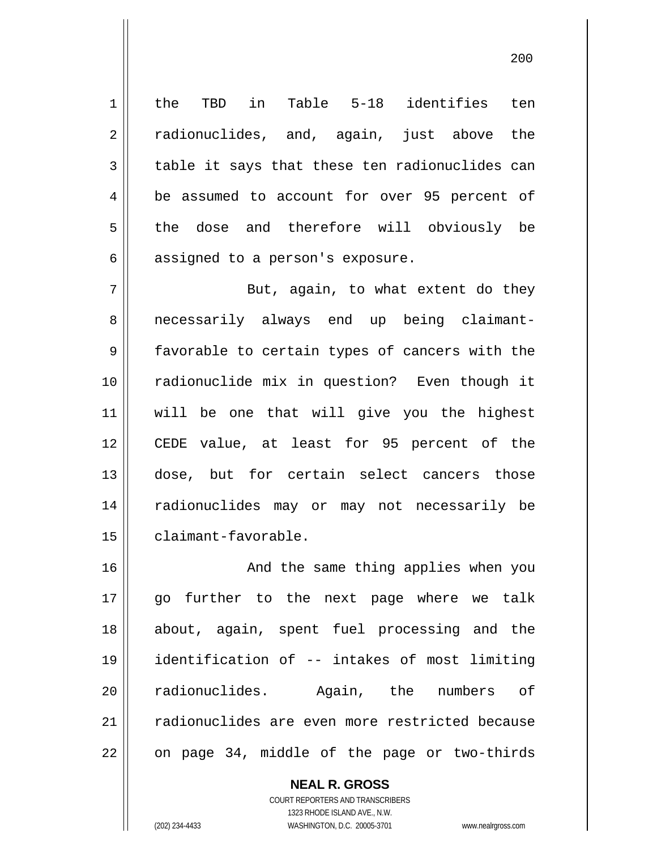the TBD in Table 5-18 identifies ten radionuclides, and, again, just above the table it says that these ten radionuclides can be assumed to account for over 95 percent of the dose and therefore will obviously be assigned to a person's exposure.

7 8 9 10 11 12 13 14 15 But, again, to what extent do they necessarily always end up being claimantfavorable to certain types of cancers with the radionuclide mix in question? Even though it will be one that will give you the highest CEDE value, at least for 95 percent of the dose, but for certain select cancers those radionuclides may or may not necessarily be claimant-favorable.

16 17 18 19 20 21 22 And the same thing applies when you go further to the next page where we talk about, again, spent fuel processing and the identification of -- intakes of most limiting radionuclides. Again, the numbers of radionuclides are even more restricted because on page 34, middle of the page or two-thirds

> **NEAL R. GROSS** COURT REPORTERS AND TRANSCRIBERS 1323 RHODE ISLAND AVE., N.W. (202) 234-4433 WASHINGTON, D.C. 20005-3701 www.nealrgross.com

1

2

3

4

5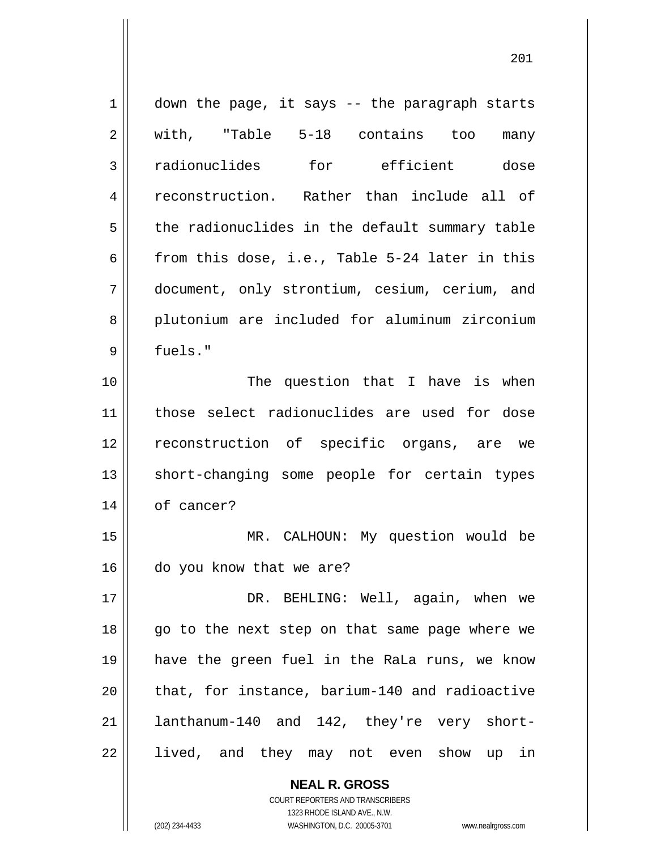| $\mathbf 1$ | down the page, it says -- the paragraph starts |
|-------------|------------------------------------------------|
| 2           | with, "Table 5-18 contains too<br>many         |
| 3           | radionuclides for efficient dose               |
| 4           | reconstruction. Rather than include all of     |
| 5           | the radionuclides in the default summary table |
| 6           | from this dose, i.e., Table 5-24 later in this |
| 7           | document, only strontium, cesium, cerium, and  |
| 8           | plutonium are included for aluminum zirconium  |
| 9           | fuels."                                        |
| 10          | The question that I have is when               |
| 11          | those select radionuclides are used for dose   |
| 12          | reconstruction of specific organs, are we      |
| 13          | short-changing some people for certain types   |
| 14          | of cancer?                                     |
| 15          | MR. CALHOUN: My question would be              |
| 16          | do you know that we are?                       |
| 17          | DR. BEHLING: Well, again, when we              |
| 18          | go to the next step on that same page where we |
| 19          | have the green fuel in the RaLa runs, we know  |
| 20          | that, for instance, barium-140 and radioactive |
| 21          | lanthanum-140 and 142, they're very short-     |
| 22          | lived, and they may not even show up in        |
|             | <b>NEAL R. GROSS</b>                           |

COURT REPORTERS AND TRANSCRIBERS 1323 RHODE ISLAND AVE., N.W.

 $\mathsf{II}$ 

(202) 234-4433 WASHINGTON, D.C. 20005-3701 www.nealrgross.com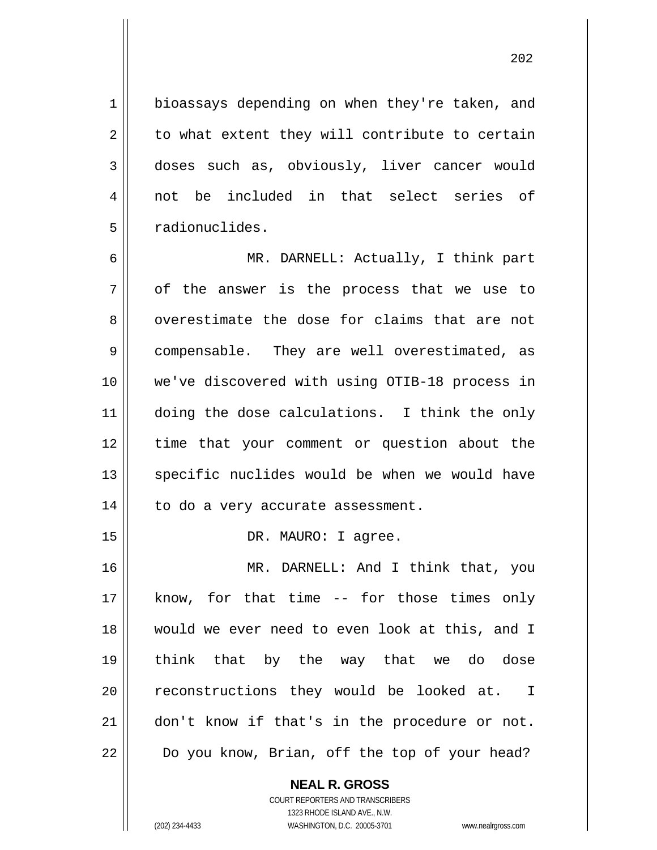bioassays depending on when they're taken, and to what extent they will contribute to certain doses such as, obviously, liver cancer would not be included in that select series of radionuclides.

1

2

3

4

5

15

6 7 8 9 10 11 12 13 14 MR. DARNELL: Actually, I think part of the answer is the process that we use to overestimate the dose for claims that are not compensable. They are well overestimated, as we've discovered with using OTIB-18 process in doing the dose calculations. I think the only time that your comment or question about the specific nuclides would be when we would have to do a very accurate assessment.

DR. MAURO: I agree.

16 17 18 19 20 21 22 MR. DARNELL: And I think that, you know, for that time -- for those times only would we ever need to even look at this, and I think that by the way that we do dose reconstructions they would be looked at. I don't know if that's in the procedure or not. Do you know, Brian, off the top of your head?

> **NEAL R. GROSS** COURT REPORTERS AND TRANSCRIBERS 1323 RHODE ISLAND AVE., N.W. (202) 234-4433 WASHINGTON, D.C. 20005-3701 www.nealrgross.com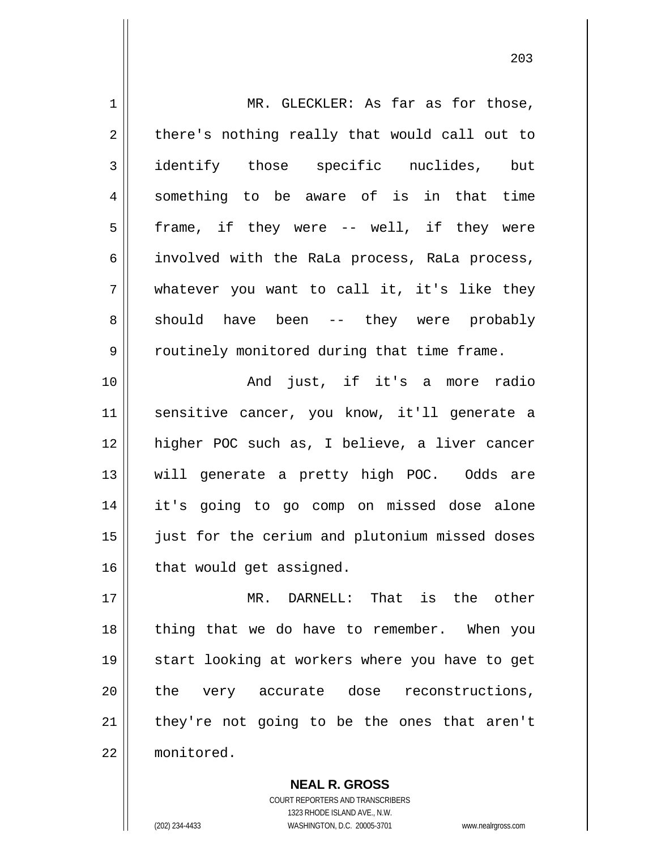| $\mathbf 1$    | MR. GLECKLER: As far as for those,             |
|----------------|------------------------------------------------|
| $\overline{2}$ | there's nothing really that would call out to  |
| 3              | identify those specific nuclides, but          |
| 4              | something to be aware of is in that time       |
| 5              | frame, if they were -- well, if they were      |
| 6              | involved with the RaLa process, RaLa process,  |
| 7              | whatever you want to call it, it's like they   |
| 8              | should have been -- they were probably         |
| $\mathsf 9$    | routinely monitored during that time frame.    |
| 10             | And just, if it's a more radio                 |
| 11             | sensitive cancer, you know, it'll generate a   |
| 12             | higher POC such as, I believe, a liver cancer  |
| 13             | will generate a pretty high POC. Odds are      |
| 14             | it's going to go comp on missed dose alone     |
| 15             | just for the cerium and plutonium missed doses |
| 16             | that would get assigned.                       |
| 17             | MR. DARNELL: That is the other                 |
| 18             | thing that we do have to remember. When you    |
| 19             | start looking at workers where you have to get |
| 20             | the very accurate dose reconstructions,        |
| 21             | they're not going to be the ones that aren't   |
| 22             | monitored.                                     |

**NEAL R. GROSS** COURT REPORTERS AND TRANSCRIBERS 1323 RHODE ISLAND AVE., N.W. (202) 234-4433 WASHINGTON, D.C. 20005-3701 www.nealrgross.com

<u>203</u>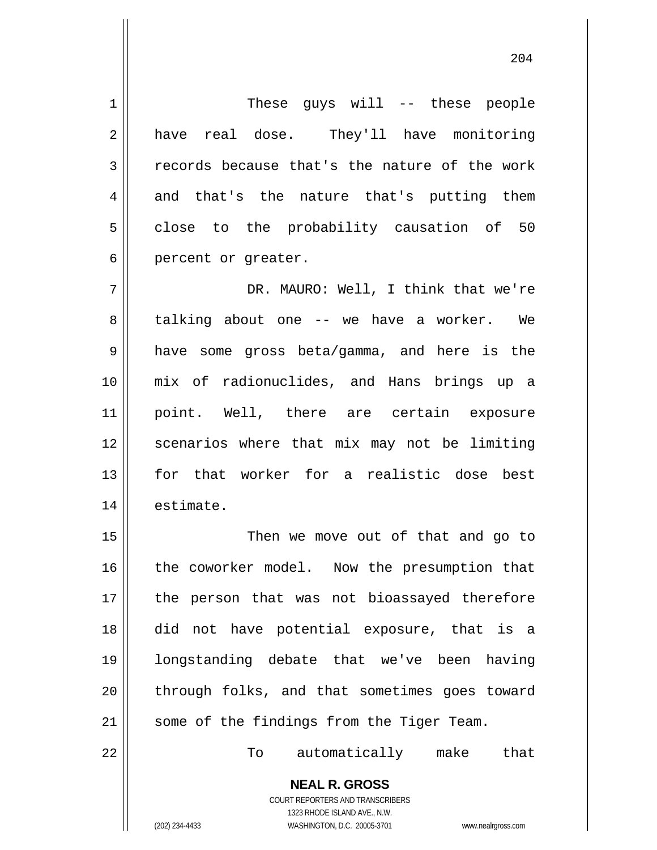These guys will -- these people have real dose. They'll have monitoring records because that's the nature of the work and that's the nature that's putting them close to the probability causation of 50 percent or greater.

204

7 8 9 10 11 12 13 14 DR. MAURO: Well, I think that we're talking about one -- we have a worker. We have some gross beta/gamma, and here is the mix of radionuclides, and Hans brings up a point. Well, there are certain exposure scenarios where that mix may not be limiting for that worker for a realistic dose best estimate.

15 16 17 18 19 20 21 Then we move out of that and go to the coworker model. Now the presumption that the person that was not bioassayed therefore did not have potential exposure, that is a longstanding debate that we've been having through folks, and that sometimes goes toward some of the findings from the Tiger Team.

22

1

2

3

4

5

6

To automatically make that

**NEAL R. GROSS** COURT REPORTERS AND TRANSCRIBERS

1323 RHODE ISLAND AVE., N.W. (202) 234-4433 WASHINGTON, D.C. 20005-3701 www.nealrgross.com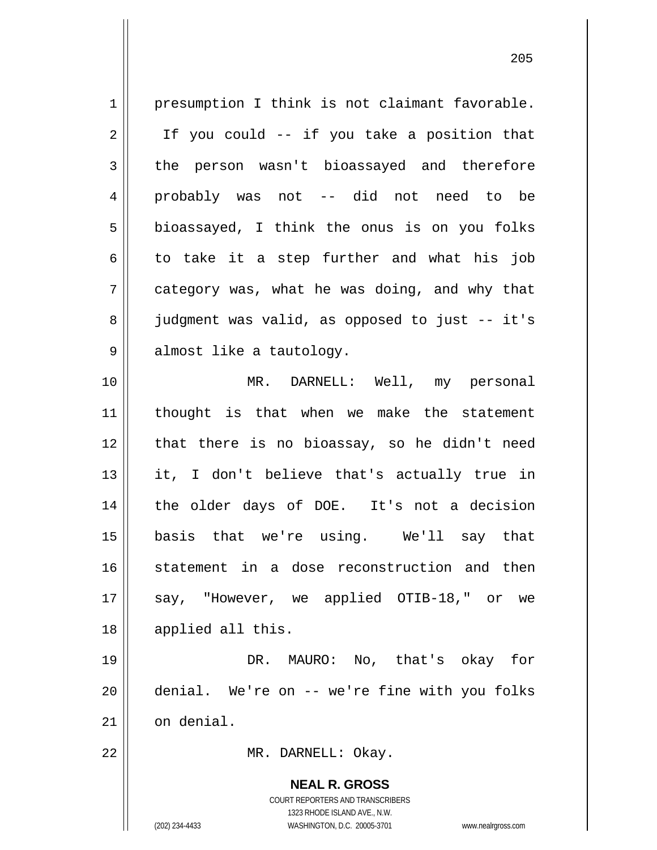**NEAL R. GROSS** COURT REPORTERS AND TRANSCRIBERS 1323 RHODE ISLAND AVE., N.W. 1 2 3 4 5 6 7 8 9 10 11 12 13 14 15 16 17 18 19 20 21 22 presumption I think is not claimant favorable. If you could -- if you take a position that the person wasn't bioassayed and therefore probably was not -- did not need to be bioassayed, I think the onus is on you folks to take it a step further and what his job category was, what he was doing, and why that judgment was valid, as opposed to just -- it's almost like a tautology. MR. DARNELL: Well, my personal thought is that when we make the statement that there is no bioassay, so he didn't need it, I don't believe that's actually true in the older days of DOE. It's not a decision basis that we're using. We'll say that statement in a dose reconstruction and then say, "However, we applied OTIB-18," or we applied all this. DR. MAURO: No, that's okay for denial. We're on -- we're fine with you folks on denial. MR. DARNELL: Okay.

<u>205</u>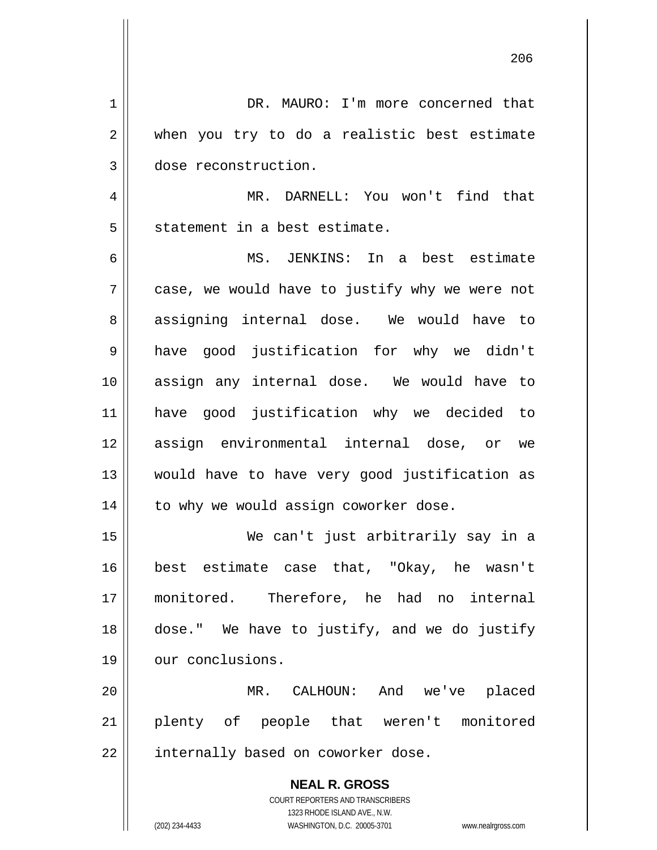|    | 206                                                                 |
|----|---------------------------------------------------------------------|
| 1  | DR. MAURO: I'm more concerned that                                  |
| 2  | when you try to do a realistic best estimate                        |
| 3  | dose reconstruction.                                                |
| 4  | MR. DARNELL: You won't find that                                    |
| 5  | statement in a best estimate.                                       |
| 6  | MS. JENKINS: In a best estimate                                     |
| 7  | case, we would have to justify why we were not                      |
| 8  | assigning internal dose. We would have to                           |
| 9  | have good justification for why we didn't                           |
| 10 | assign any internal dose. We would have to                          |
| 11 | have good justification why we decided to                           |
| 12 | assign environmental internal dose, or we                           |
| 13 | would have to have very good justification as                       |
| 14 | to why we would assign coworker dose.                               |
| 15 | We can't just arbitrarily say in a                                  |
| 16 | best estimate case that, "Okay, he wasn't                           |
| 17 | monitored. Therefore, he had no internal                            |
| 18 | dose." We have to justify, and we do justify                        |
| 19 | our conclusions.                                                    |
| 20 | MR. CALHOUN: And we've placed                                       |
| 21 | plenty of people that weren't monitored                             |
| 22 | internally based on coworker dose.                                  |
|    | <b>NEAL R. GROSS</b>                                                |
|    | COURT REPORTERS AND TRANSCRIBERS<br>1323 RHODE ISLAND AVE., N.W.    |
|    | (202) 234-4433<br>WASHINGTON, D.C. 20005-3701<br>www.nealrgross.com |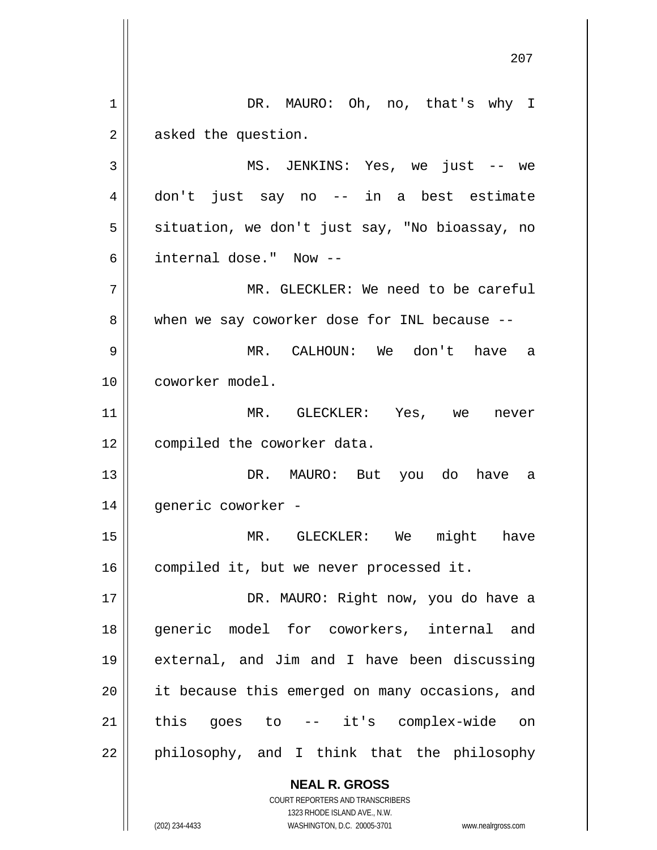**NEAL R. GROSS** COURT REPORTERS AND TRANSCRIBERS 207 1 2 3 4 5 6 7 8 9 10 11 12 13 14 15 16 17 18 19 20 21 22 DR. MAURO: Oh, no, that's why I asked the question. MS. JENKINS: Yes, we just -- we don't just say no -- in a best estimate situation, we don't just say, "No bioassay, no internal dose." Now -- MR. GLECKLER: We need to be careful when we say coworker dose for INL because -- MR. CALHOUN: We don't have a coworker model. MR. GLECKLER: Yes, we never compiled the coworker data. DR. MAURO: But you do have a generic coworker - MR. GLECKLER: We might have compiled it, but we never processed it. DR. MAURO: Right now, you do have a generic model for coworkers, internal and external, and Jim and I have been discussing it because this emerged on many occasions, and this goes to -- it's complex-wide on philosophy, and I think that the philosophy

1323 RHODE ISLAND AVE., N.W.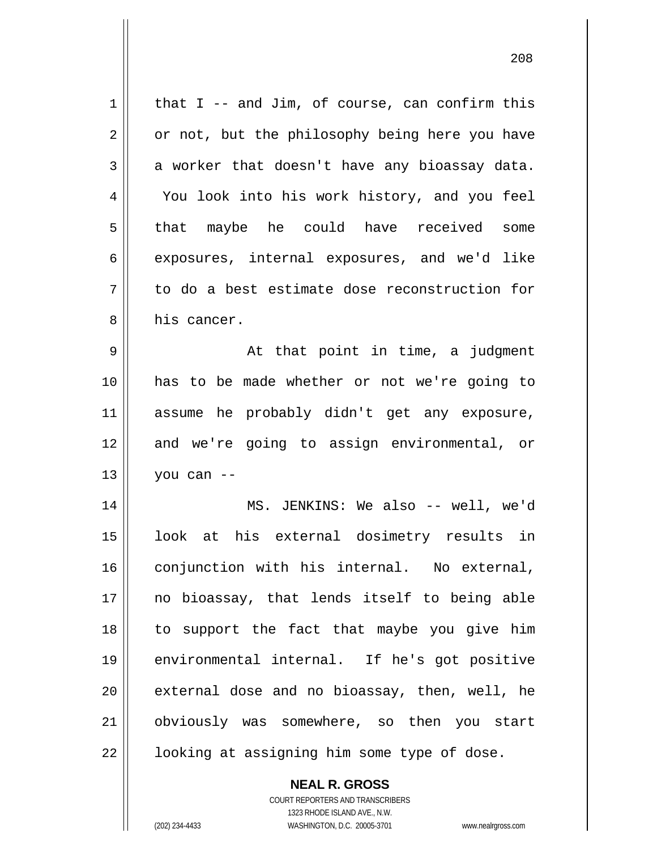| $\mathbf 1$ | that $I$ -- and Jim, of course, can confirm this |
|-------------|--------------------------------------------------|
| 2           | or not, but the philosophy being here you have   |
| 3           | a worker that doesn't have any bioassay data.    |
| 4           | You look into his work history, and you feel     |
| 5           | that maybe he could have received some           |
| 6           | exposures, internal exposures, and we'd like     |
| 7           | to do a best estimate dose reconstruction for    |
| 8           | his cancer.                                      |
| 9           | At that point in time, a judgment                |
| 10          | has to be made whether or not we're going to     |
| 11          | assume he probably didn't get any exposure,      |
| 12          | and we're going to assign environmental, or      |
| 13          | you can --                                       |
| 14          | MS. JENKINS: We also -- well, we'd               |
| 15          | look at his external dosimetry results in        |
| 16          | conjunction with his internal. No external,      |
| 17          | no bioassay, that lends itself to being able     |
| 18          | to support the fact that maybe you give him      |
| 19          | environmental internal. If he's got positive     |
| 20          | external dose and no bioassay, then, well, he    |
| 21          | obviously was somewhere, so then you start       |
| 22          | looking at assigning him some type of dose.      |

COURT REPORTERS AND TRANSCRIBERS 1323 RHODE ISLAND AVE., N.W. (202) 234-4433 WASHINGTON, D.C. 20005-3701 www.nealrgross.com

**NEAL R. GROSS**

 $\mathsf{II}$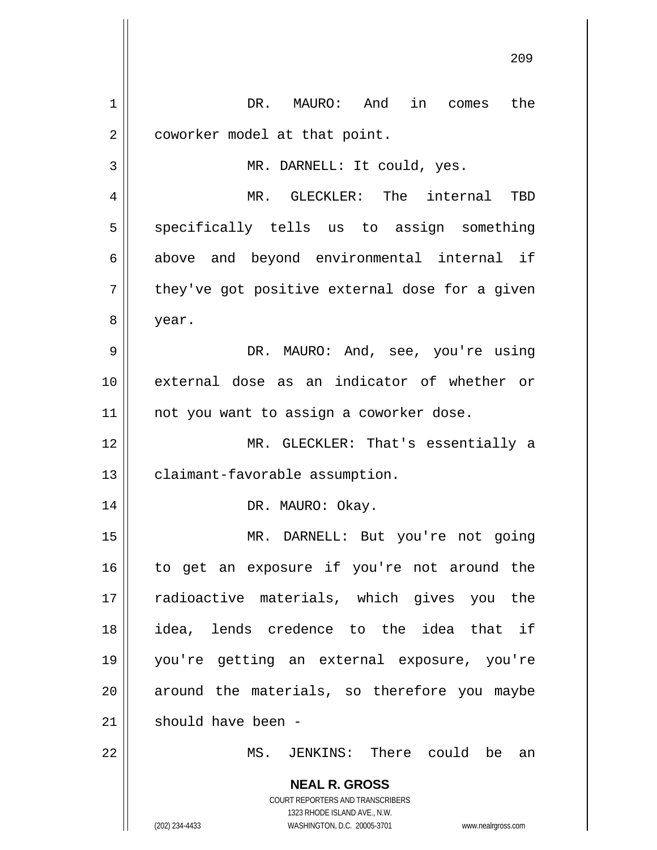|                | 209                                                                 |
|----------------|---------------------------------------------------------------------|
| $\mathbf 1$    | DR.<br>MAURO: And<br>in comes<br>the                                |
| $\overline{2}$ | coworker model at that point.                                       |
| 3              | MR. DARNELL: It could, yes.                                         |
| 4              | MR. GLECKLER: The internal<br>TBD                                   |
| 5              | specifically tells us to assign something                           |
| 6              | above and beyond environmental internal if                          |
| 7              | they've got positive external dose for a given                      |
| 8              | year.                                                               |
| 9              | DR. MAURO: And, see, you're using                                   |
| 10             | external dose as an indicator of whether or                         |
| 11             | not you want to assign a coworker dose.                             |
| 12             | MR. GLECKLER: That's essentially a                                  |
| 13             | claimant-favorable assumption.                                      |
| 14             | DR. MAURO: Okay.                                                    |
| 15             | MR. DARNELL: But you're not going                                   |
| 16             | to get an exposure if you're not around the                         |
| 17             | radioactive materials, which gives you the                          |
| 18             | idea, lends credence to the idea that if                            |
| 19             | you're getting an external exposure, you're                         |
| 20             | around the materials, so therefore you maybe                        |
| 21             | should have been -                                                  |
| 22             | MS. JENKINS: There could be an                                      |
|                | <b>NEAL R. GROSS</b>                                                |
|                | COURT REPORTERS AND TRANSCRIBERS<br>1323 RHODE ISLAND AVE., N.W.    |
|                | (202) 234-4433<br>WASHINGTON, D.C. 20005-3701<br>www.nealrgross.com |

 $\mathbf{I}$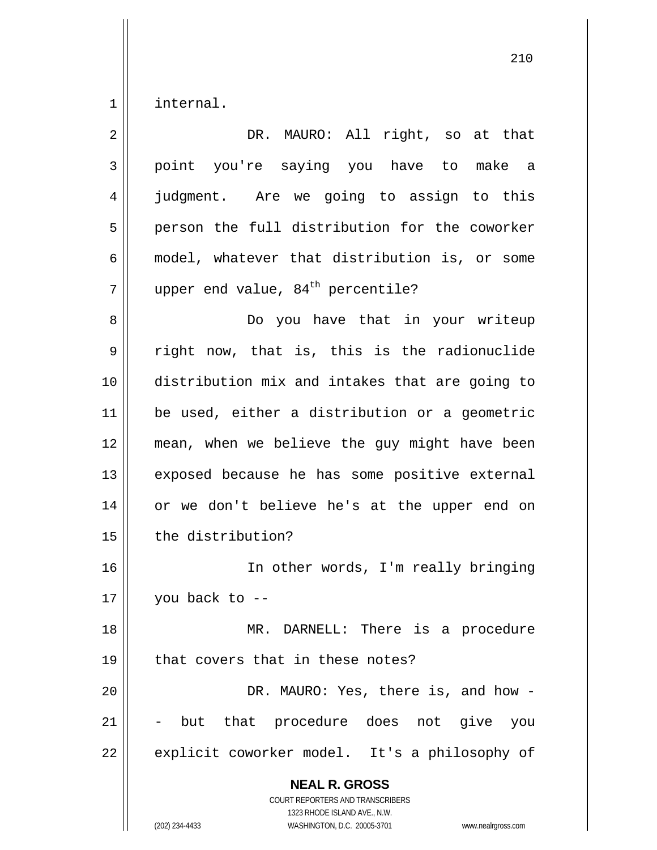1 internal.

| $\overline{2}$ | DR. MAURO: All right, so at that                                                                                                                                       |
|----------------|------------------------------------------------------------------------------------------------------------------------------------------------------------------------|
| 3              | point you're saying you have to make a                                                                                                                                 |
| 4              | judgment. Are we going to assign to this                                                                                                                               |
| 5              | person the full distribution for the coworker                                                                                                                          |
| 6              | model, whatever that distribution is, or some                                                                                                                          |
| 7              | upper end value, 84 <sup>th</sup> percentile?                                                                                                                          |
| 8              | Do you have that in your writeup                                                                                                                                       |
| 9              | right now, that is, this is the radionuclide                                                                                                                           |
| 10             | distribution mix and intakes that are going to                                                                                                                         |
| 11             | be used, either a distribution or a geometric                                                                                                                          |
| 12             | mean, when we believe the guy might have been                                                                                                                          |
| 13             | exposed because he has some positive external                                                                                                                          |
| 14             | or we don't believe he's at the upper end on                                                                                                                           |
| 15             | the distribution?                                                                                                                                                      |
| 16             | In other words, I'm really bringing                                                                                                                                    |
| 17             | you back to --                                                                                                                                                         |
| 18             | MR. DARNELL: There is a procedure                                                                                                                                      |
| 19             | that covers that in these notes?                                                                                                                                       |
| 20             | DR. MAURO: Yes, there is, and how -                                                                                                                                    |
| 21             | but that procedure does not give<br>you                                                                                                                                |
| 22             | explicit coworker model. It's a philosophy of                                                                                                                          |
|                | <b>NEAL R. GROSS</b><br><b>COURT REPORTERS AND TRANSCRIBERS</b><br>1323 RHODE ISLAND AVE., N.W.<br>(202) 234-4433<br>WASHINGTON, D.C. 20005-3701<br>www.nealrgross.com |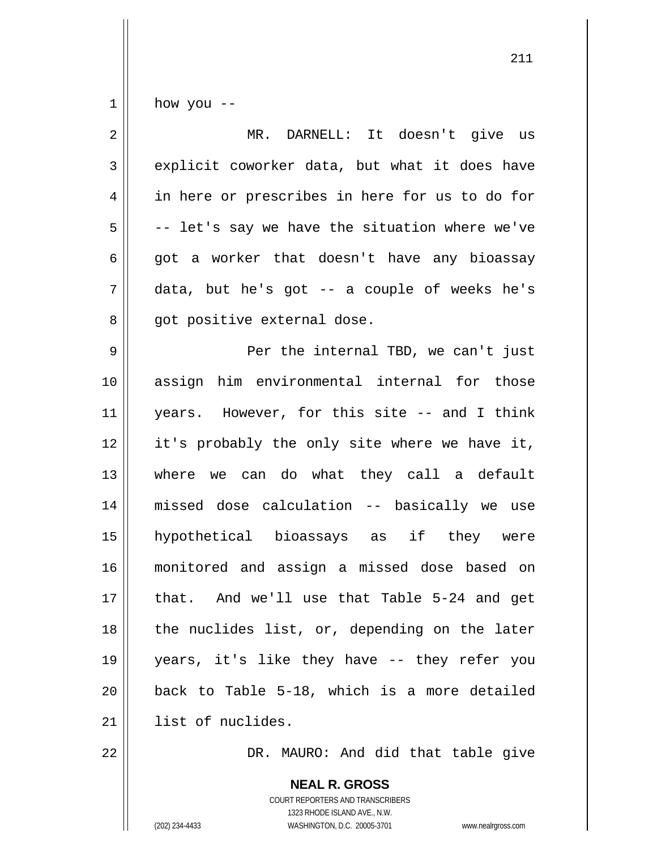1 how you --

| $\overline{2}$ | MR. DARNELL: It doesn't give us                |
|----------------|------------------------------------------------|
| 3              | explicit coworker data, but what it does have  |
| 4              | in here or prescribes in here for us to do for |
| 5              | -- let's say we have the situation where we've |
| 6              | got a worker that doesn't have any bioassay    |
| 7              | data, but he's got -- a couple of weeks he's   |
| 8              | got positive external dose.                    |
| 9              | Per the internal TBD, we can't just            |
| 10             | assign him environmental internal for those    |
| 11             | years. However, for this site -- and I think   |
| 12             | it's probably the only site where we have it,  |
| 13             | where we can do what they call a default       |
| 14             | missed dose calculation -- basically we use    |
| 15             | hypothetical bioassays as if they were         |
| 16             | monitored and assign a missed dose based on    |
| 17             | that. And we'll use that Table 5-24 and get    |
| 18             | the nuclides list, or, depending on the later  |
| 19             | years, it's like they have -- they refer you   |
| 20             | back to Table 5-18, which is a more detailed   |
| 21             | list of nuclides.                              |

DR. MAURO: And did that table give

**NEAL R. GROSS** COURT REPORTERS AND TRANSCRIBERS 1323 RHODE ISLAND AVE., N.W. (202) 234-4433 WASHINGTON, D.C. 20005-3701 www.nealrgross.com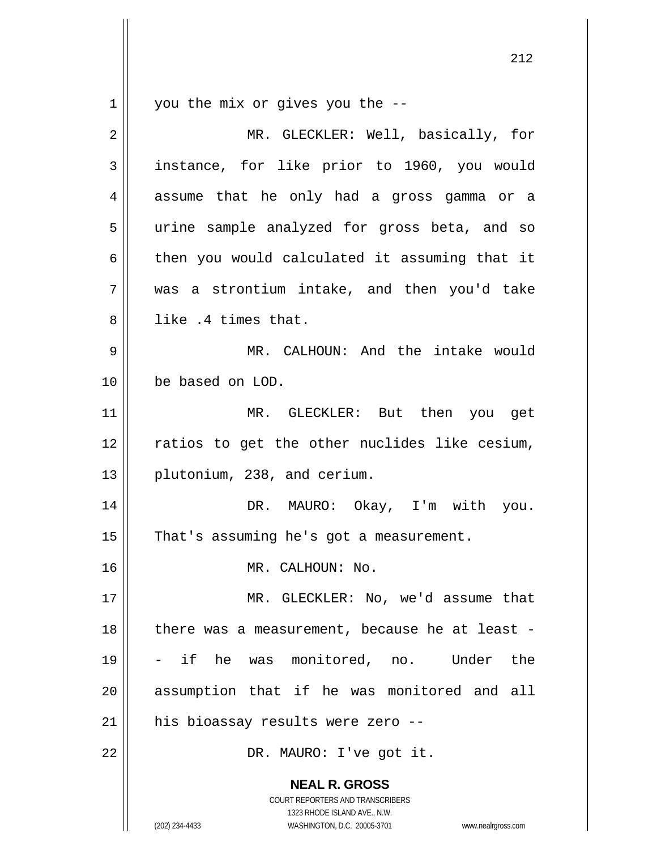$\begin{array}{c|c|c|c} 1 & 1 \end{array}$ you the mix or gives you the --

| $\overline{2}$ | MR. GLECKLER: Well, basically, for                                                                                                                              |
|----------------|-----------------------------------------------------------------------------------------------------------------------------------------------------------------|
| 3              | instance, for like prior to 1960, you would                                                                                                                     |
| 4              | assume that he only had a gross gamma or a                                                                                                                      |
| 5              | urine sample analyzed for gross beta, and so                                                                                                                    |
| 6              | then you would calculated it assuming that it                                                                                                                   |
| 7              | was a strontium intake, and then you'd take                                                                                                                     |
| 8              | like .4 times that.                                                                                                                                             |
| 9              | MR. CALHOUN: And the intake would                                                                                                                               |
| 10             | be based on LOD.                                                                                                                                                |
| 11             | MR. GLECKLER: But then you get                                                                                                                                  |
| 12             | ratios to get the other nuclides like cesium,                                                                                                                   |
| 13             | plutonium, 238, and cerium.                                                                                                                                     |
| 14             | DR. MAURO: Okay, I'm with you.                                                                                                                                  |
| 15             | That's assuming he's got a measurement.                                                                                                                         |
| 16             | MR. CALHOUN: No.                                                                                                                                                |
| 17             | MR. GLECKLER: No, we'd assume that                                                                                                                              |
| 18             | there was a measurement, because he at least -                                                                                                                  |
| 19             | - if he was monitored, no. Under<br>the                                                                                                                         |
| 20             | assumption that if he was monitored and all                                                                                                                     |
| 21             | his bioassay results were zero --                                                                                                                               |
| 22             | DR. MAURO: I've got it.                                                                                                                                         |
|                | <b>NEAL R. GROSS</b><br>COURT REPORTERS AND TRANSCRIBERS<br>1323 RHODE ISLAND AVE., N.W.<br>(202) 234-4433<br>WASHINGTON, D.C. 20005-3701<br>www.nealrgross.com |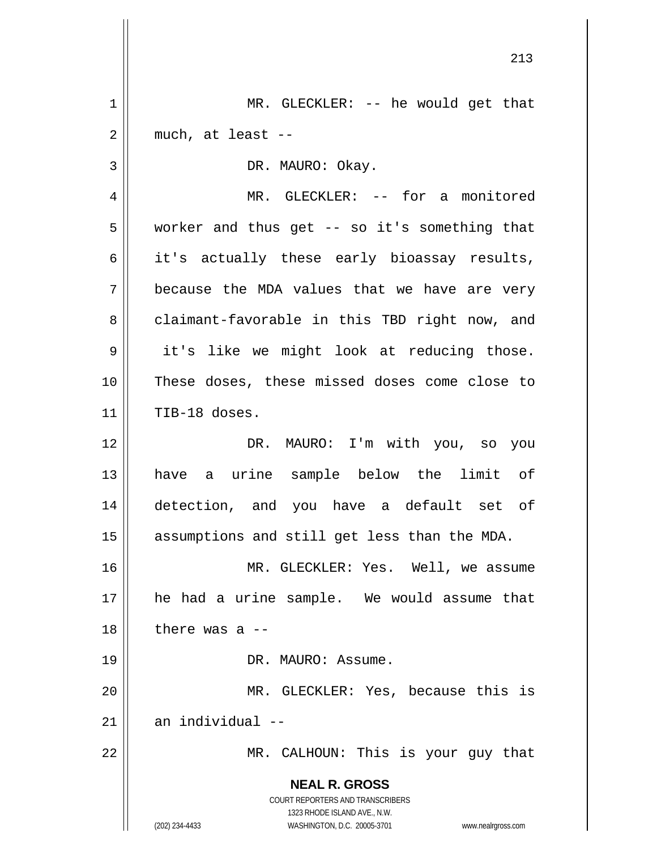**NEAL R. GROSS** COURT REPORTERS AND TRANSCRIBERS 1323 RHODE ISLAND AVE., N.W. (202) 234-4433 WASHINGTON, D.C. 20005-3701 www.nealrgross.com 213 1 2 3 4 5 6 7 8 9 10 11 12 13 14 15 16 17 18 19 20 21 22 MR. GLECKLER: -- he would get that much, at least -- DR. MAURO: Okay. MR. GLECKLER: -- for a monitored worker and thus get -- so it's something that it's actually these early bioassay results, because the MDA values that we have are very claimant-favorable in this TBD right now, and it's like we might look at reducing those. These doses, these missed doses come close to TIB-18 doses. DR. MAURO: I'm with you, so you have a urine sample below the limit of detection, and you have a default set of assumptions and still get less than the MDA. MR. GLECKLER: Yes. Well, we assume he had a urine sample. We would assume that there was a -- DR. MAURO: Assume. MR. GLECKLER: Yes, because this is an individual -- MR. CALHOUN: This is your guy that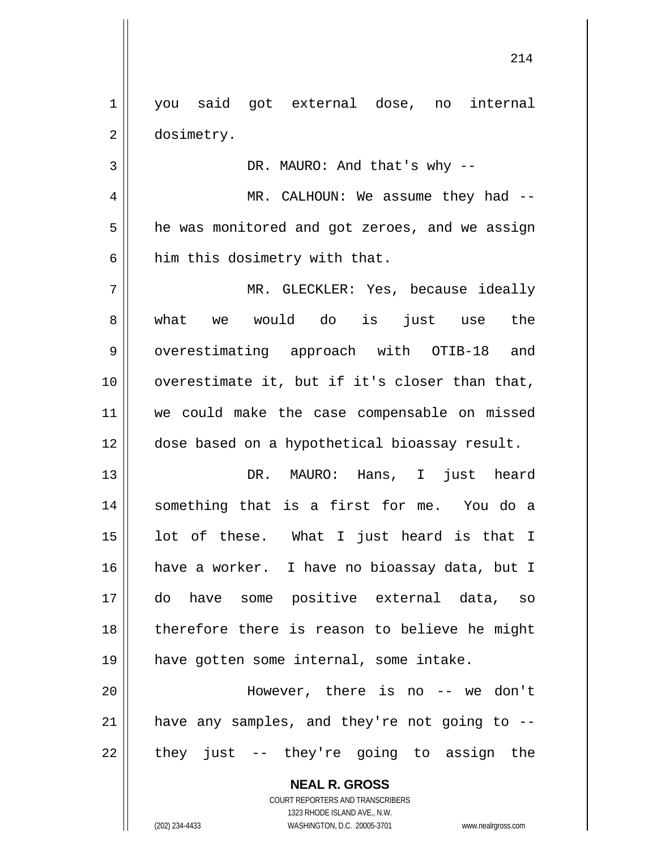1 2 you said got external dose, no internal dosimetry.

DR. MAURO: And that's why --

4 5 6 MR. CALHOUN: We assume they had -he was monitored and got zeroes, and we assign him this dosimetry with that.

7 8 9 10 11 12 MR. GLECKLER: Yes, because ideally what we would do is just use the overestimating approach with OTIB-18 and overestimate it, but if it's closer than that, we could make the case compensable on missed dose based on a hypothetical bioassay result.

13 14 15 16 17 18 19 DR. MAURO: Hans, I just heard something that is a first for me. You do a lot of these. What I just heard is that I have a worker. I have no bioassay data, but I do have some positive external data, so therefore there is reason to believe he might have gotten some internal, some intake.

20 21 22 However, there is no -- we don't have any samples, and they're not going to - they just -- they're going to assign the

> **NEAL R. GROSS** COURT REPORTERS AND TRANSCRIBERS

> > 1323 RHODE ISLAND AVE., N.W.

3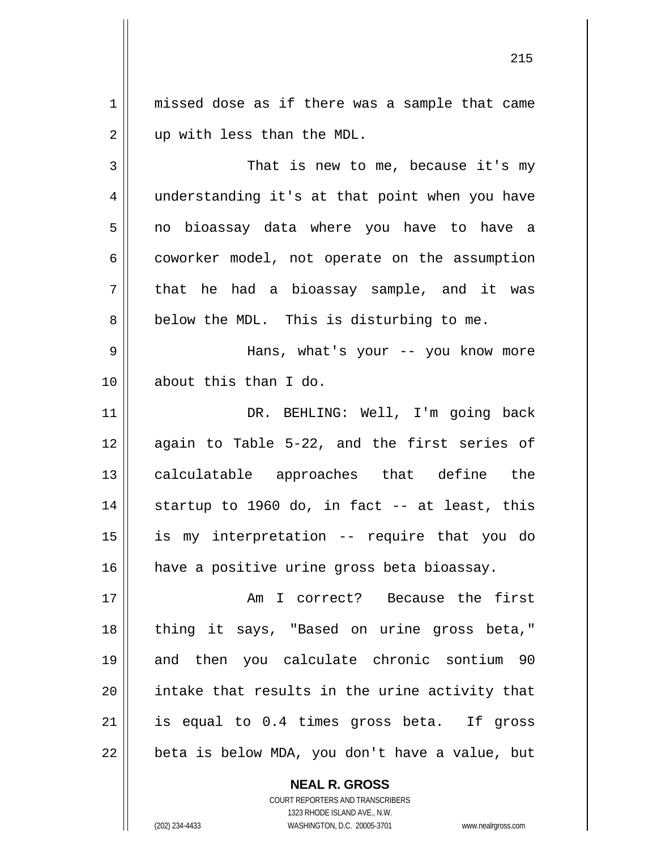1 2 missed dose as if there was a sample that came up with less than the MDL.

3 4 5 6 7 8 That is new to me, because it's my understanding it's at that point when you have no bioassay data where you have to have a coworker model, not operate on the assumption that he had a bioassay sample, and it was below the MDL. This is disturbing to me.

9 10 Hans, what's your -- you know more about this than I do.

11 12 13 14 15 16 DR. BEHLING: Well, I'm going back again to Table 5-22, and the first series of calculatable approaches that define the startup to 1960 do, in fact -- at least, this is my interpretation -- require that you do have a positive urine gross beta bioassay.

17 18 19 20 21 22 Am I correct? Because the first thing it says, "Based on urine gross beta," and then you calculate chronic sontium 90 intake that results in the urine activity that is equal to 0.4 times gross beta. If gross beta is below MDA, you don't have a value, but

> COURT REPORTERS AND TRANSCRIBERS 1323 RHODE ISLAND AVE., N.W. (202) 234-4433 WASHINGTON, D.C. 20005-3701 www.nealrgross.com

**NEAL R. GROSS**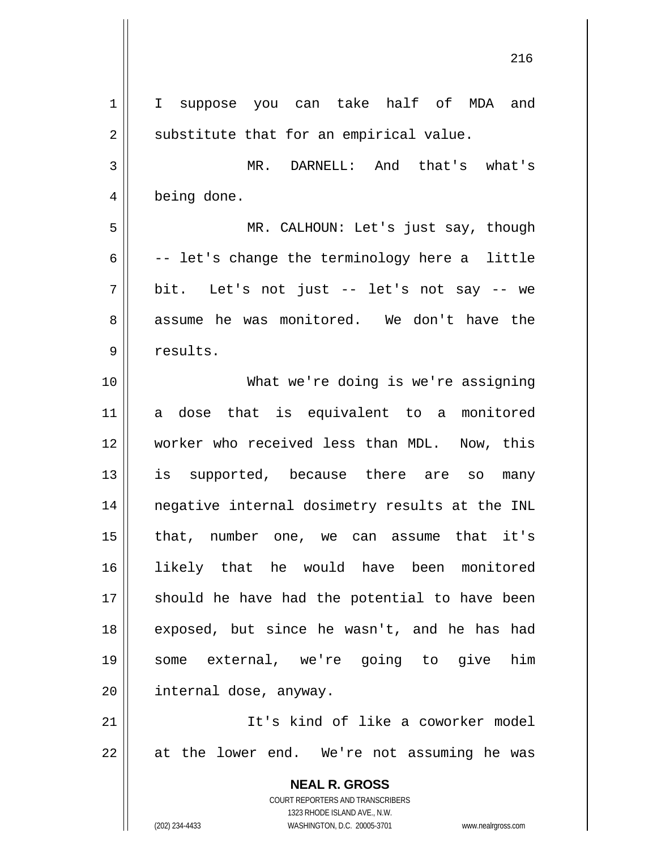**NEAL R. GROSS** COURT REPORTERS AND TRANSCRIBERS 1323 RHODE ISLAND AVE., N.W. (202) 234-4433 WASHINGTON, D.C. 20005-3701 www.nealrgross.com 1 2 3 4 5 6 7 8 9 10 11 12 13 14 15 16 17 18 19 20 21 22 I suppose you can take half of MDA and substitute that for an empirical value. MR. DARNELL: And that's what's being done. MR. CALHOUN: Let's just say, though -- let's change the terminology here a little bit. Let's not just -- let's not say -- we assume he was monitored. We don't have the results. What we're doing is we're assigning a dose that is equivalent to a monitored worker who received less than MDL. Now, this is supported, because there are so many negative internal dosimetry results at the INL that, number one, we can assume that it's likely that he would have been monitored should he have had the potential to have been exposed, but since he wasn't, and he has had some external, we're going to give him internal dose, anyway. It's kind of like a coworker model at the lower end. We're not assuming he was

<u>216</u>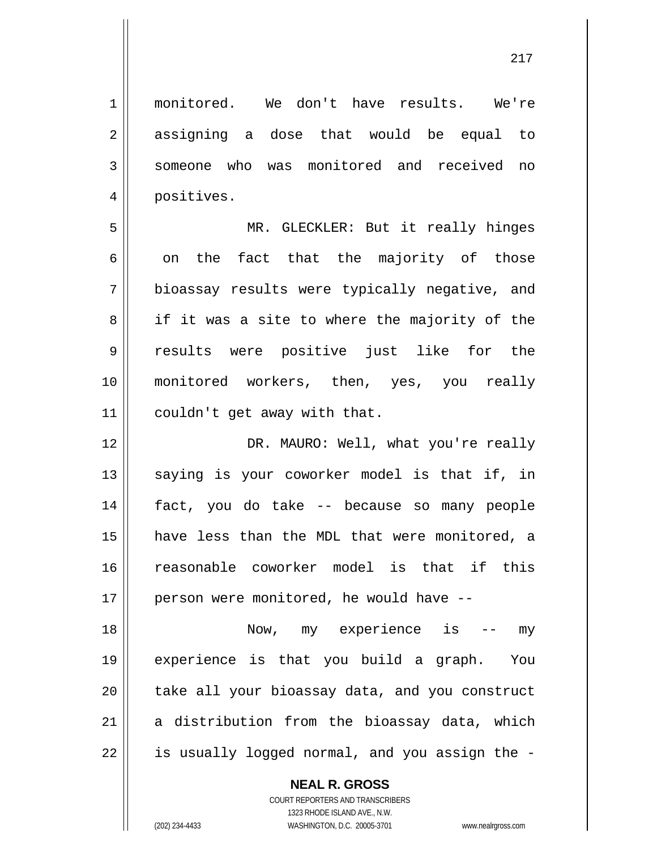1 2 3 4 5 6 7 8 9 10 11 12 13 14 15 16 17 18 19 20 21 22 monitored. We don't have results. We're assigning a dose that would be equal to someone who was monitored and received no positives. MR. GLECKLER: But it really hinges on the fact that the majority of those bioassay results were typically negative, and if it was a site to where the majority of the results were positive just like for the monitored workers, then, yes, you really couldn't get away with that. DR. MAURO: Well, what you're really saying is your coworker model is that if, in fact, you do take -- because so many people have less than the MDL that were monitored, a reasonable coworker model is that if this person were monitored, he would have -- Now, my experience is -- my experience is that you build a graph. You take all your bioassay data, and you construct a distribution from the bioassay data, which is usually logged normal, and you assign the -

**NEAL R. GROSS**

COURT REPORTERS AND TRANSCRIBERS 1323 RHODE ISLAND AVE., N.W. (202) 234-4433 WASHINGTON, D.C. 20005-3701 www.nealrgross.com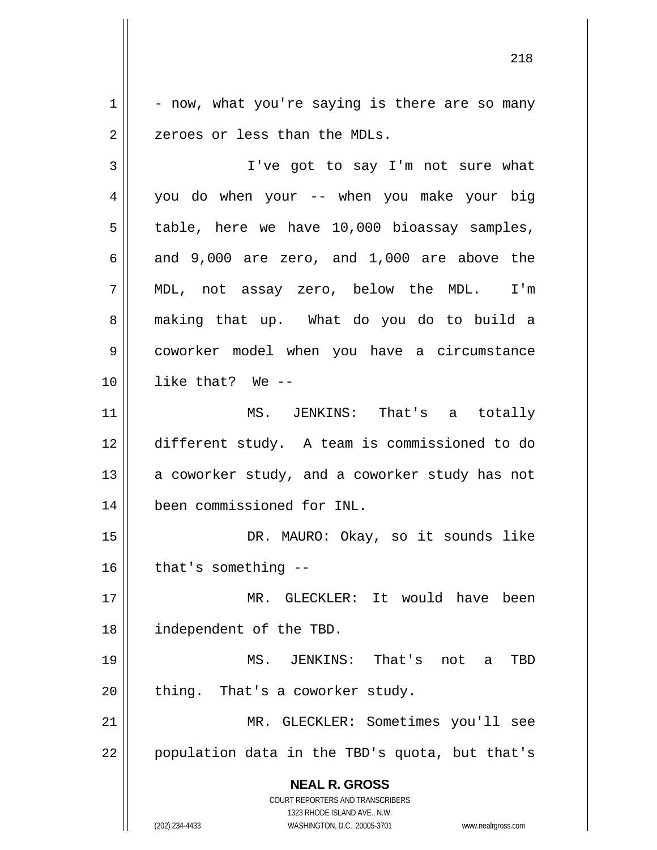1 2 - now, what you're saying is there are so many zeroes or less than the MDLs.

**NEAL R. GROSS** COURT REPORTERS AND TRANSCRIBERS 3 4 5 6 7 8 9 10 11 12 13 14 15 16 17 18 19 20 21 22 I've got to say I'm not sure what you do when your -- when you make your big table, here we have 10,000 bioassay samples, and 9,000 are zero, and 1,000 are above the MDL, not assay zero, below the MDL. I'm making that up. What do you do to build a coworker model when you have a circumstance like that? We -- MS. JENKINS: That's a totally different study. A team is commissioned to do a coworker study, and a coworker study has not been commissioned for INL. DR. MAURO: Okay, so it sounds like that's something -- MR. GLECKLER: It would have been independent of the TBD. MS. JENKINS: That's not a TBD thing. That's a coworker study. MR. GLECKLER: Sometimes you'll see population data in the TBD's quota, but that's

1323 RHODE ISLAND AVE., N.W.

(202) 234-4433 WASHINGTON, D.C. 20005-3701 www.nealrgross.com

<u>218</u>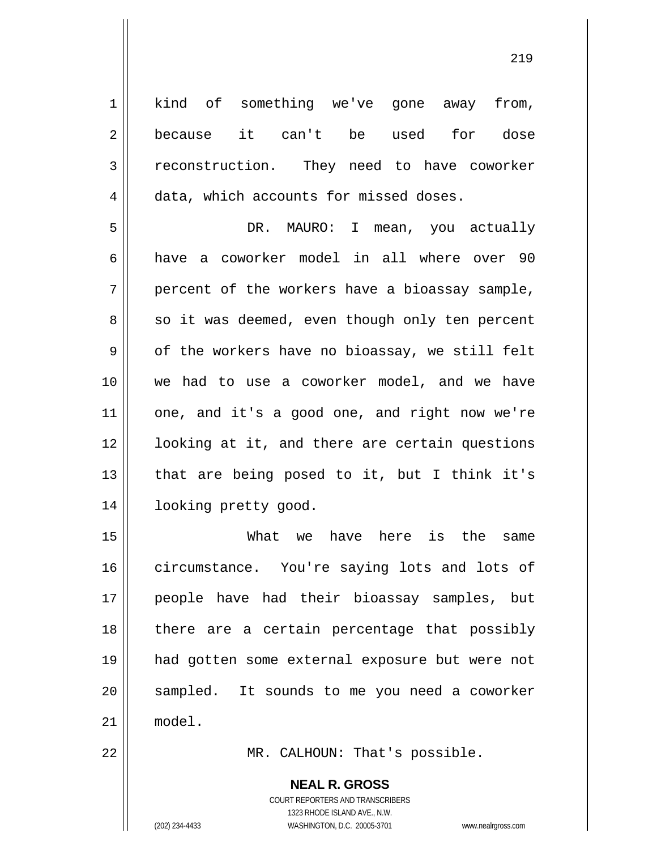1 2 3 4 5 6 7 8 9 10 11 12 13 14 15 16 17 18 19 kind of something we've gone away from, because it can't be used for dose reconstruction. They need to have coworker data, which accounts for missed doses. DR. MAURO: I mean, you actually have a coworker model in all where over 90 percent of the workers have a bioassay sample, so it was deemed, even though only ten percent of the workers have no bioassay, we still felt we had to use a coworker model, and we have one, and it's a good one, and right now we're looking at it, and there are certain questions that are being posed to it, but I think it's looking pretty good. What we have here is the same circumstance. You're saying lots and lots of people have had their bioassay samples, but there are a certain percentage that possibly had gotten some external exposure but were not

21 model.

22

20

MR. CALHOUN: That's possible.

**NEAL R. GROSS** COURT REPORTERS AND TRANSCRIBERS 1323 RHODE ISLAND AVE., N.W.

sampled. It sounds to me you need a coworker

(202) 234-4433 WASHINGTON, D.C. 20005-3701 www.nealrgross.com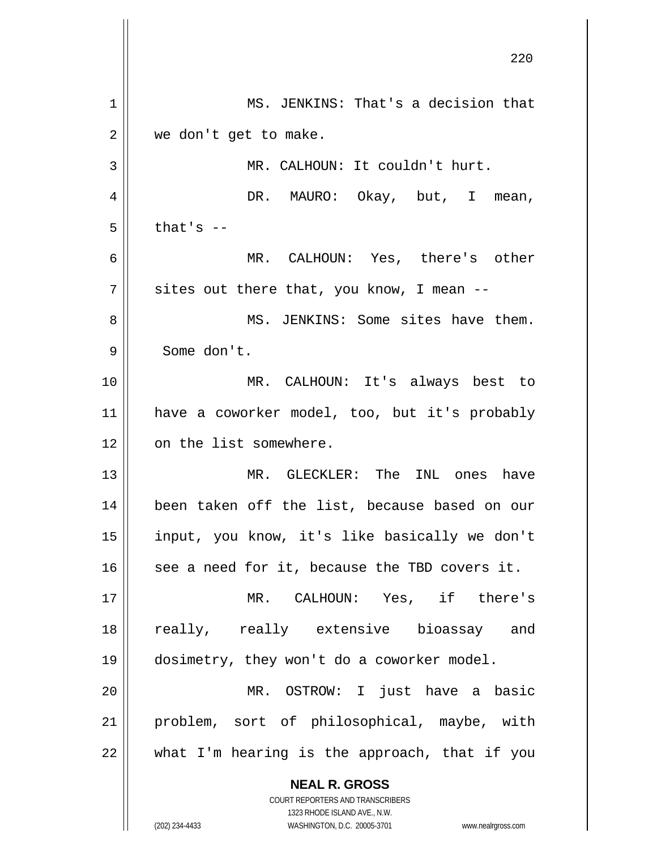|             | 220                                                      |
|-------------|----------------------------------------------------------|
| $\mathbf 1$ | MS. JENKINS: That's a decision that                      |
| 2           | we don't get to make.                                    |
| 3           | MR. CALHOUN: It couldn't hurt.                           |
| 4           | DR. MAURO: Okay, but, I mean,                            |
| 5           | that's $-$                                               |
| 6           | MR. CALHOUN: Yes, there's other                          |
| 7           | sites out there that, you know, I mean --                |
| 8           | MS. JENKINS: Some sites have them.                       |
| 9           | Some don't.                                              |
| 10          | MR. CALHOUN: It's always best to                         |
| 11          | have a coworker model, too, but it's probably            |
| 12          | on the list somewhere.                                   |
| 13          | MR. GLECKLER: The<br>INL ones have                       |
| 14          | been taken off the list, because based on our            |
| 15          | input, you know, it's like basically we don't            |
| 16          | see a need for it, because the TBD covers it.            |
| 17          | MR. CALHOUN: Yes, if there's                             |
| 18          | really, really extensive bioassay and                    |
| 19          | dosimetry, they won't do a coworker model.               |
| 20          | MR. OSTROW: I just have a basic                          |
| 21          | problem, sort of philosophical, maybe, with              |
| 22          | what I'm hearing is the approach, that if you            |
|             | <b>NEAL R. GROSS</b><br>COURT REPORTERS AND TRANSCRIBERS |

1323 RHODE ISLAND AVE., N.W.

 $\prod$ 

(202) 234-4433 WASHINGTON, D.C. 20005-3701 www.nealrgross.com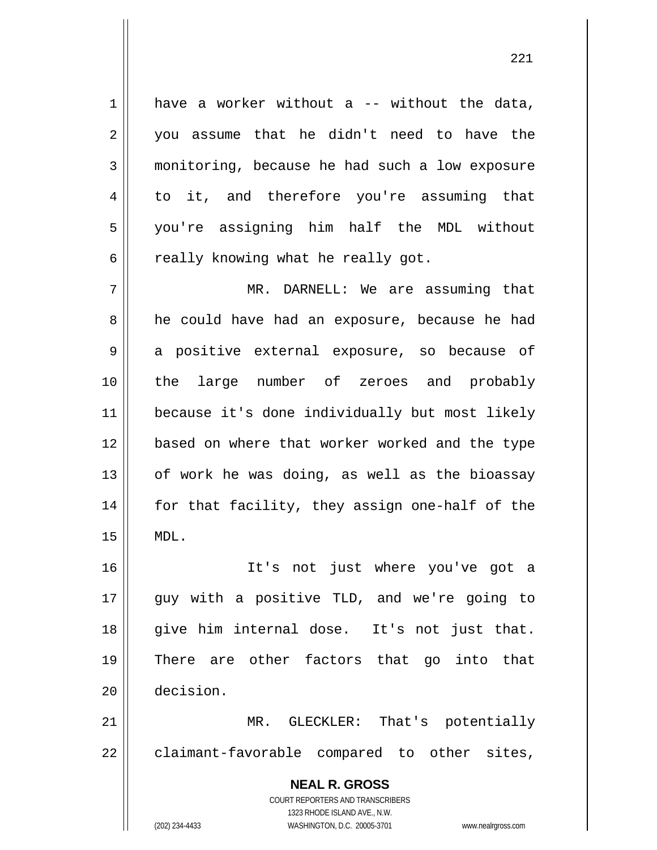1 4 have a worker without  $a$  -- without the data, you assume that he didn't need to have the monitoring, because he had such a low exposure to it, and therefore you're assuming that you're assigning him half the MDL without really knowing what he really got.

7 8 9 10 11 12 13 14 15 MR. DARNELL: We are assuming that he could have had an exposure, because he had a positive external exposure, so because of the large number of zeroes and probably because it's done individually but most likely based on where that worker worked and the type of work he was doing, as well as the bioassay for that facility, they assign one-half of the MDL.

16 17 18 19 20 It's not just where you've got a guy with a positive TLD, and we're going to give him internal dose. It's not just that. There are other factors that go into that decision.

21 22 MR. GLECKLER: That's potentially claimant-favorable compared to other sites,

> **NEAL R. GROSS** COURT REPORTERS AND TRANSCRIBERS 1323 RHODE ISLAND AVE., N.W. (202) 234-4433 WASHINGTON, D.C. 20005-3701 www.nealrgross.com

2

3

5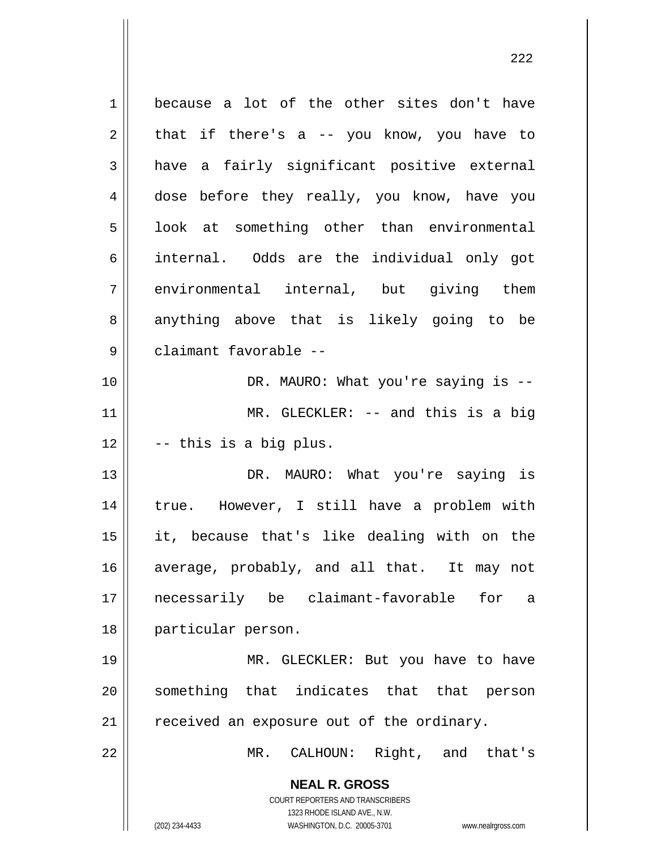**NEAL R. GROSS** COURT REPORTERS AND TRANSCRIBERS 1323 RHODE ISLAND AVE., N.W. 1 2 3 4 5 6 7 8 9 10 11 12 13 14 15 16 17 18 19 20 21 22 because a lot of the other sites don't have that if there's a -- you know, you have to have a fairly significant positive external dose before they really, you know, have you look at something other than environmental internal. Odds are the individual only got environmental internal, but giving them anything above that is likely going to be claimant favorable -- DR. MAURO: What you're saying is -- MR. GLECKLER: -- and this is a big -- this is a big plus. DR. MAURO: What you're saying is true. However, I still have a problem with it, because that's like dealing with on the average, probably, and all that. It may not necessarily be claimant-favorable for a particular person. MR. GLECKLER: But you have to have something that indicates that that person received an exposure out of the ordinary. MR. CALHOUN: Right, and that's

(202) 234-4433 WASHINGTON, D.C. 20005-3701 www.nealrgross.com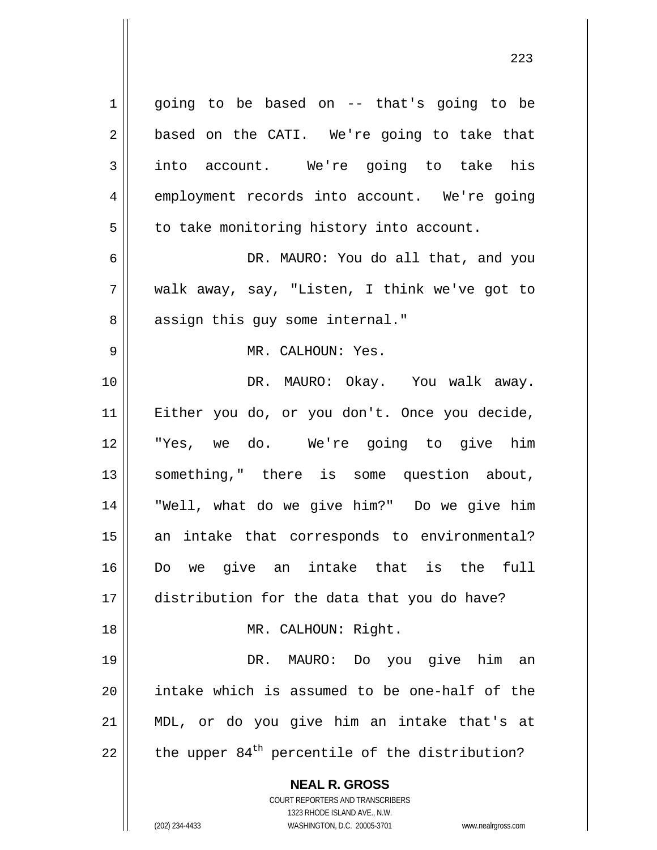**NEAL R. GROSS** COURT REPORTERS AND TRANSCRIBERS 1323 RHODE ISLAND AVE., N.W. 1 2 3 4 5 6 7 8 9 10 11 12 13 14 15 16 17 18 19 20 21 22 going to be based on -- that's going to be based on the CATI. We're going to take that into account. We're going to take his employment records into account. We're going to take monitoring history into account. DR. MAURO: You do all that, and you walk away, say, "Listen, I think we've got to assign this guy some internal." MR. CALHOUN: Yes. DR. MAURO: Okay. You walk away. Either you do, or you don't. Once you decide, "Yes, we do. We're going to give him something," there is some question about, "Well, what do we give him?" Do we give him an intake that corresponds to environmental? Do we give an intake that is the full distribution for the data that you do have? MR. CALHOUN: Right. DR. MAURO: Do you give him an intake which is assumed to be one-half of the MDL, or do you give him an intake that's at the upper  $84<sup>th</sup>$  percentile of the distribution?

(202) 234-4433 WASHINGTON, D.C. 20005-3701 www.nealrgross.com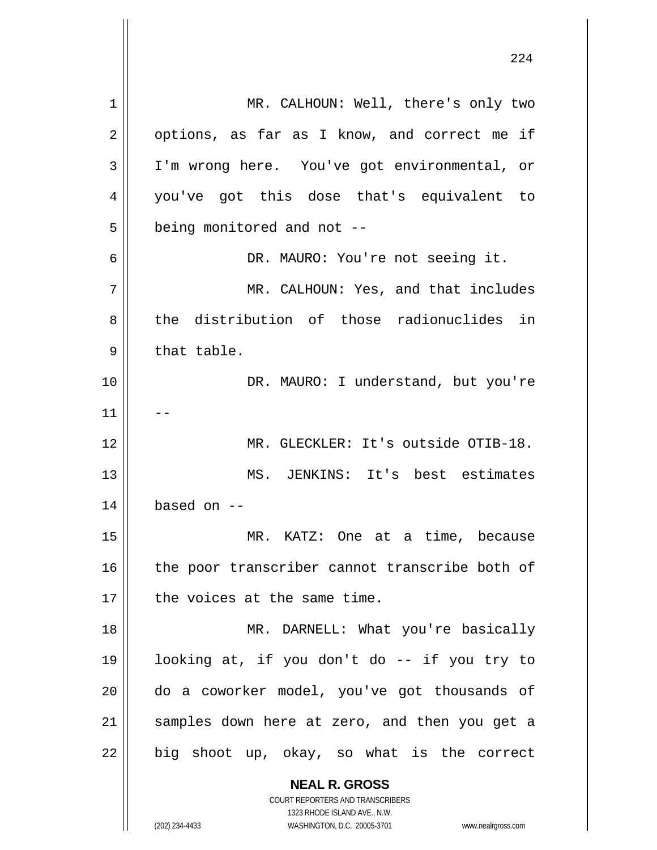**NEAL R. GROSS** COURT REPORTERS AND TRANSCRIBERS 1323 RHODE ISLAND AVE., N.W. 1 2 3 4 5 6 7 8 9 10 11 12 13 14 15 16 17 18 19 20 21 22 MR. CALHOUN: Well, there's only two options, as far as I know, and correct me if I'm wrong here. You've got environmental, or you've got this dose that's equivalent to being monitored and not -- DR. MAURO: You're not seeing it. MR. CALHOUN: Yes, and that includes the distribution of those radionuclides in that table. DR. MAURO: I understand, but you're -- MR. GLECKLER: It's outside OTIB-18. MS. JENKINS: It's best estimates based on -- MR. KATZ: One at a time, because the poor transcriber cannot transcribe both of the voices at the same time. MR. DARNELL: What you're basically looking at, if you don't do -- if you try to do a coworker model, you've got thousands of samples down here at zero, and then you get a big shoot up, okay, so what is the correct

224

(202) 234-4433 WASHINGTON, D.C. 20005-3701 www.nealrgross.com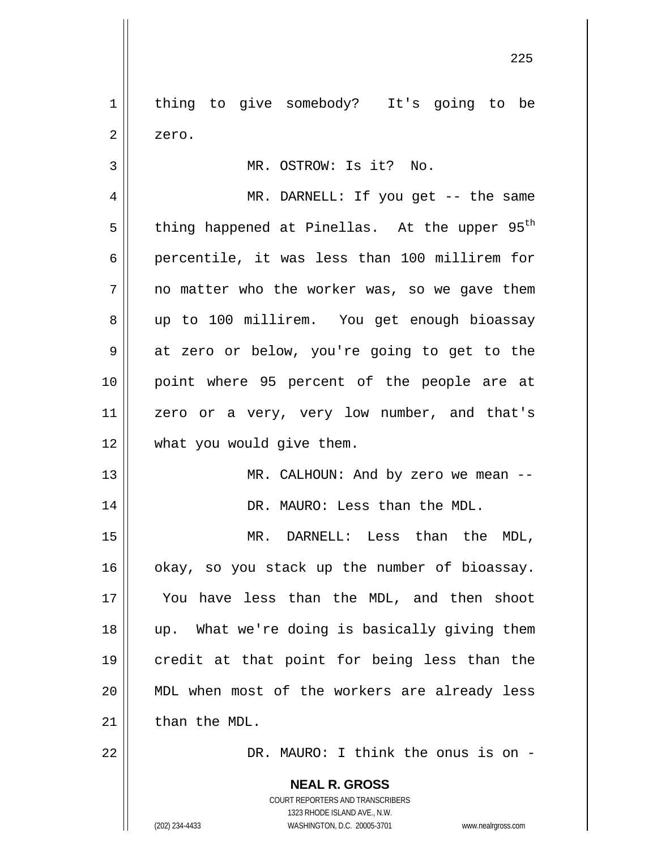1 2 3 4 5 6 7 8 9 thing to give somebody? It's going to be zero. MR. OSTROW: Is it? No. MR. DARNELL: If you get -- the same thing happened at Pinellas. At the upper  $95<sup>th</sup>$ percentile, it was less than 100 millirem for no matter who the worker was, so we gave them up to 100 millirem. You get enough bioassay at zero or below, you're going to get to the

10 11 12 point where 95 percent of the people are at zero or a very, very low number, and that's what you would give them.

> MR. CALHOUN: And by zero we mean --DR. MAURO: Less than the MDL.

15 16 17 18 19 20 21 MR. DARNELL: Less than the MDL, okay, so you stack up the number of bioassay. You have less than the MDL, and then shoot up. What we're doing is basically giving them credit at that point for being less than the MDL when most of the workers are already less than the MDL.

DR. MAURO: I think the onus is on -

**NEAL R. GROSS** COURT REPORTERS AND TRANSCRIBERS 1323 RHODE ISLAND AVE., N.W. (202) 234-4433 WASHINGTON, D.C. 20005-3701 www.nealrgross.com

13

14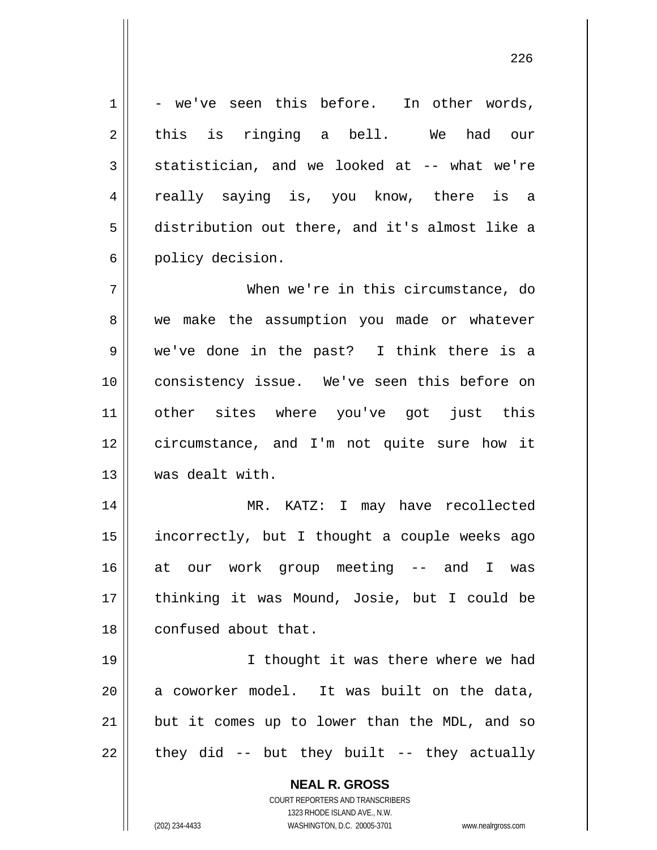- we've seen this before. In other words, this is ringing a bell. We had our statistician, and we looked at -- what we're really saying is, you know, there is a distribution out there, and it's almost like a policy decision.

7 8 9 10 11 12 13 When we're in this circumstance, do we make the assumption you made or whatever we've done in the past? I think there is a consistency issue. We've seen this before on other sites where you've got just this circumstance, and I'm not quite sure how it was dealt with.

14 15 16 17 18 MR. KATZ: I may have recollected incorrectly, but I thought a couple weeks ago at our work group meeting -- and I was thinking it was Mound, Josie, but I could be confused about that.

19 20 21 22 I thought it was there where we had a coworker model. It was built on the data, but it comes up to lower than the MDL, and so they did -- but they built -- they actually

> **NEAL R. GROSS** COURT REPORTERS AND TRANSCRIBERS

1

2

3

4

5

6

1323 RHODE ISLAND AVE., N.W. (202) 234-4433 WASHINGTON, D.C. 20005-3701 www.nealrgross.com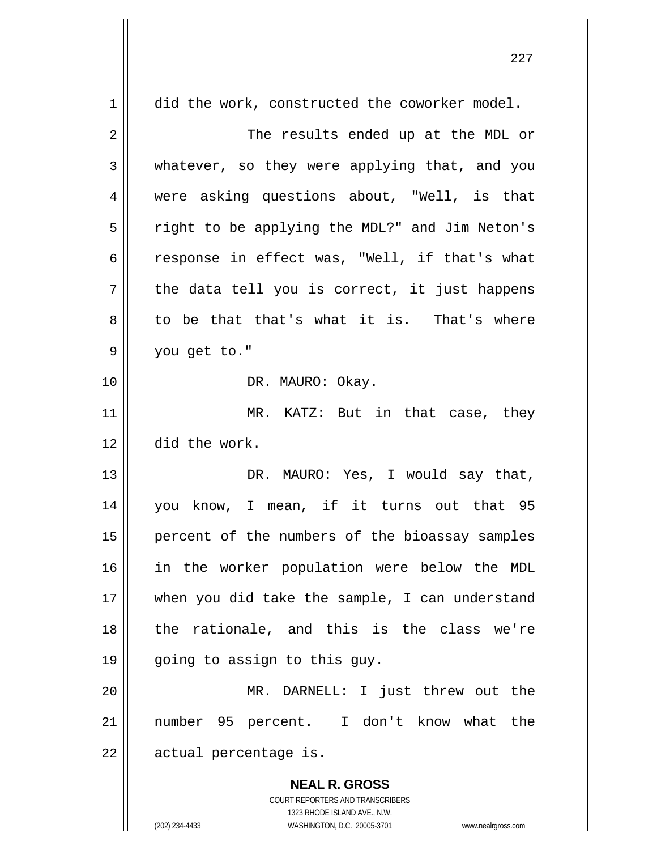| 1           | did the work, constructed the coworker model.  |
|-------------|------------------------------------------------|
| 2           | The results ended up at the MDL or             |
| 3           | whatever, so they were applying that, and you  |
| 4           | were asking questions about, "Well, is that    |
| 5           | right to be applying the MDL?" and Jim Neton's |
| 6           | response in effect was, "Well, if that's what  |
| 7           | the data tell you is correct, it just happens  |
| 8           | to be that that's what it is. That's where     |
| $\mathsf 9$ | you get to."                                   |
| 10          | DR. MAURO: Okay.                               |
| 11          | MR. KATZ: But in that case, they               |
| 12          | did the work.                                  |
| 13          | DR. MAURO: Yes, I would say that,              |
| 14          | you know, I mean, if it turns out that 95      |
| 15          | percent of the numbers of the bioassay samples |
| 16          | in the worker population were below the MDL    |
| 17          | when you did take the sample, I can understand |
| 18          | the rationale, and this is the class we're     |
| 19          | going to assign to this guy.                   |
| 20          | MR. DARNELL: I just threw out the              |
| 21          | number 95 percent. I don't know what the       |
| 22          | actual percentage is.                          |
|             | <b>NEAL R. GROSS</b>                           |

COURT REPORTERS AND TRANSCRIBERS 1323 RHODE ISLAND AVE., N.W.

 $\prod$ 

(202) 234-4433 WASHINGTON, D.C. 20005-3701 www.nealrgross.com

<u>227 and 231 and 232</u>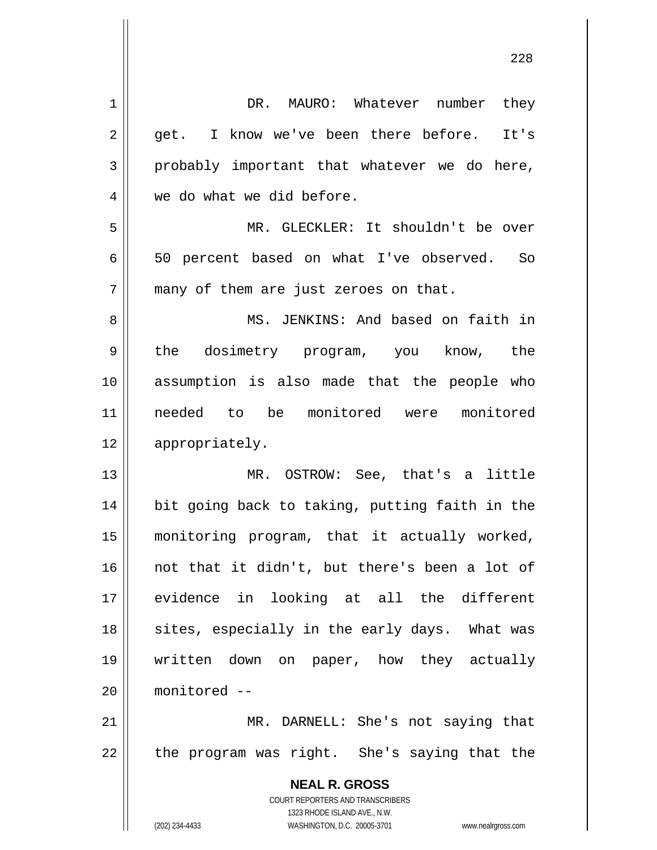| 1  | DR. MAURO: Whatever number<br>they                                  |
|----|---------------------------------------------------------------------|
| 2  | get. I know we've been there before. It's                           |
| 3  | probably important that whatever we do here,                        |
| 4  | we do what we did before.                                           |
| 5  | MR. GLECKLER: It shouldn't be over                                  |
| 6  | 50 percent based on what I've observed. So                          |
| 7  | many of them are just zeroes on that.                               |
| 8  | MS. JENKINS: And based on faith in                                  |
| 9  | the dosimetry program, you know, the                                |
| 10 | assumption is also made that the people who                         |
|    |                                                                     |
| 11 | needed to be monitored were monitored                               |
| 12 | appropriately.                                                      |
| 13 | MR. OSTROW: See, that's a little                                    |
| 14 | bit going back to taking, putting faith in the                      |
| 15 | monitoring program, that it actually worked,                        |
| 16 | not that it didn't, but there's been a lot of                       |
| 17 | evidence in looking at all the different                            |
| 18 | sites, especially in the early days. What was                       |
| 19 | written down on paper, how they actually                            |
| 20 | monitored --                                                        |
| 21 | MR. DARNELL: She's not saying that                                  |
| 22 | the program was right. She's saying that the                        |
|    | <b>NEAL R. GROSS</b>                                                |
|    | COURT REPORTERS AND TRANSCRIBERS                                    |
|    | 1323 RHODE ISLAND AVE., N.W.                                        |
|    | (202) 234-4433<br>WASHINGTON, D.C. 20005-3701<br>www.nealrgross.com |

<u>228</u>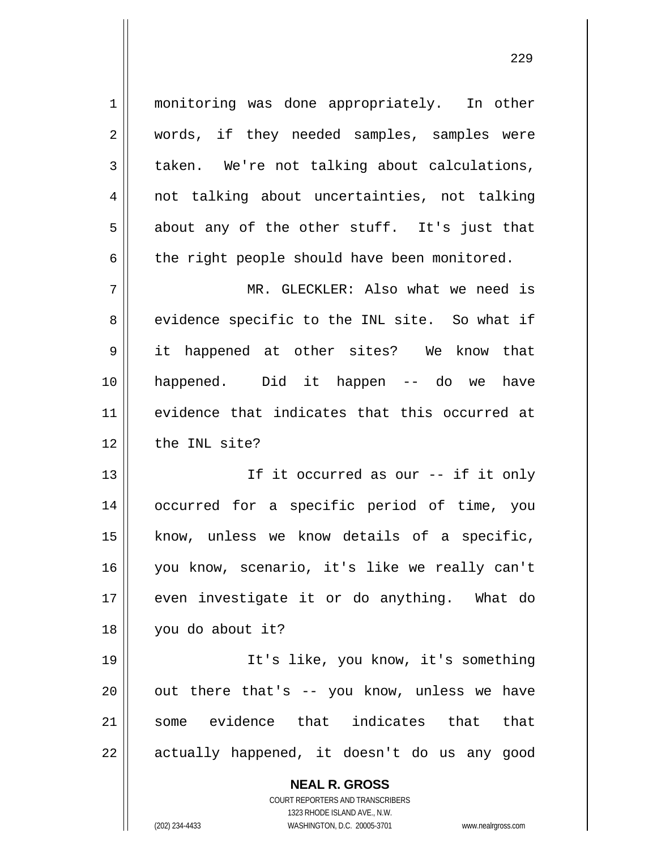1 2 3 4 5 6 7 8 9 10 11 12 13 monitoring was done appropriately. In other words, if they needed samples, samples were taken. We're not talking about calculations, not talking about uncertainties, not talking about any of the other stuff. It's just that the right people should have been monitored. MR. GLECKLER: Also what we need is evidence specific to the INL site. So what if it happened at other sites? We know that happened. Did it happen -- do we have evidence that indicates that this occurred at the INL site? If it occurred as our -- if it only

14 15 16 17 18 occurred for a specific period of time, you know, unless we know details of a specific, you know, scenario, it's like we really can't even investigate it or do anything. What do you do about it?

19 20 21 22 It's like, you know, it's something out there that's -- you know, unless we have some evidence that indicates that that actually happened, it doesn't do us any good

> **NEAL R. GROSS** COURT REPORTERS AND TRANSCRIBERS 1323 RHODE ISLAND AVE., N.W. (202) 234-4433 WASHINGTON, D.C. 20005-3701 www.nealrgross.com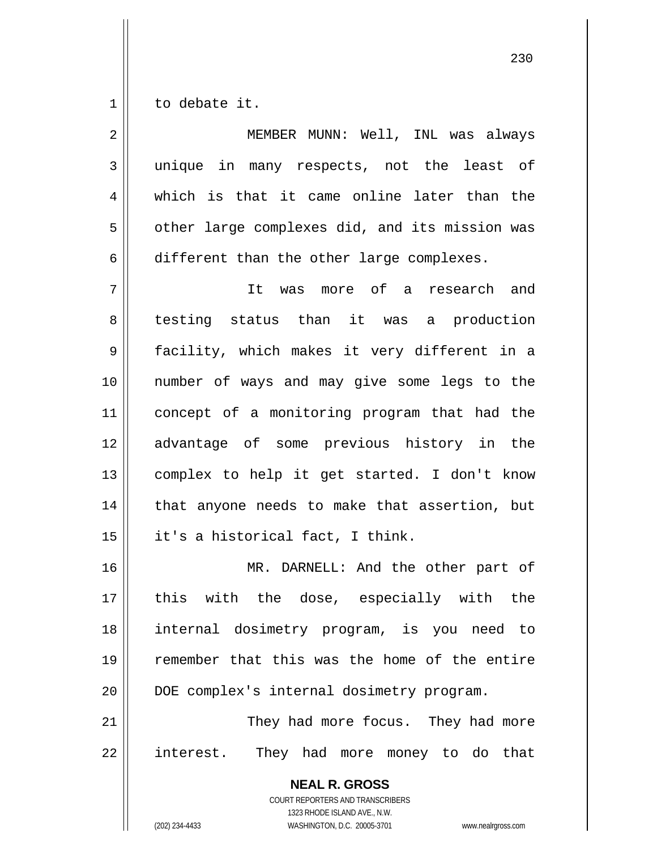1 to debate it.

| $\overline{2}$ | MEMBER MUNN: Well, INL was always              |
|----------------|------------------------------------------------|
| 3              | unique in many respects, not the least of      |
| 4              | which is that it came online later than the    |
| 5              | other large complexes did, and its mission was |
| 6              | different than the other large complexes.      |
| 7              | It was more of a research and                  |
| 8              | testing status than it was a production        |
| 9              | facility, which makes it very different in a   |
| 10             | number of ways and may give some legs to the   |
| 11             | concept of a monitoring program that had the   |
| 12             | advantage of some previous history in the      |
| 13             | complex to help it get started. I don't know   |
| 14             | that anyone needs to make that assertion, but  |
| 15             | it's a historical fact, I think.               |
| 16             | MR. DARNELL: And the other part of             |
| 17             | this with the dose, especially with the        |
| 18             | internal dosimetry program, is you need to     |
| 19             | remember that this was the home of the entire  |
| 20             | DOE complex's internal dosimetry program.      |
| 21             | They had more focus. They had more             |
| 22             | interest. They had more money to do that       |
|                | <b>NEAL R. GROSS</b>                           |

COURT REPORTERS AND TRANSCRIBERS 1323 RHODE ISLAND AVE., N.W.

 $\prod$ 

(202) 234-4433 WASHINGTON, D.C. 20005-3701 www.nealrgross.com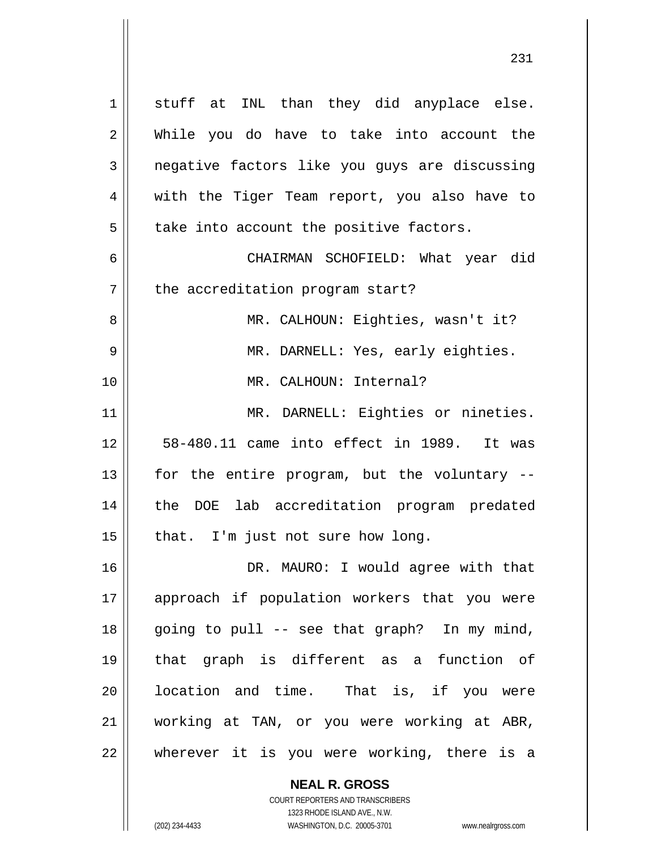1 2 3 4 5 6 7 8 9 10 11 12 13 14 15 16 17 18 19 20 21 22 stuff at INL than they did anyplace else. While you do have to take into account the negative factors like you guys are discussing with the Tiger Team report, you also have to take into account the positive factors. CHAIRMAN SCHOFIELD: What year did the accreditation program start? MR. CALHOUN: Eighties, wasn't it? MR. DARNELL: Yes, early eighties. MR. CALHOUN: Internal? MR. DARNELL: Eighties or nineties. 58-480.11 came into effect in 1989. It was for the entire program, but the voluntary - the DOE lab accreditation program predated that. I'm just not sure how long. DR. MAURO: I would agree with that approach if population workers that you were going to pull -- see that graph? In my mind, that graph is different as a function of location and time. That is, if you were working at TAN, or you were working at ABR, wherever it is you were working, there is a

> **NEAL R. GROSS** COURT REPORTERS AND TRANSCRIBERS

> > 1323 RHODE ISLAND AVE., N.W.

(202) 234-4433 WASHINGTON, D.C. 20005-3701 www.nealrgross.com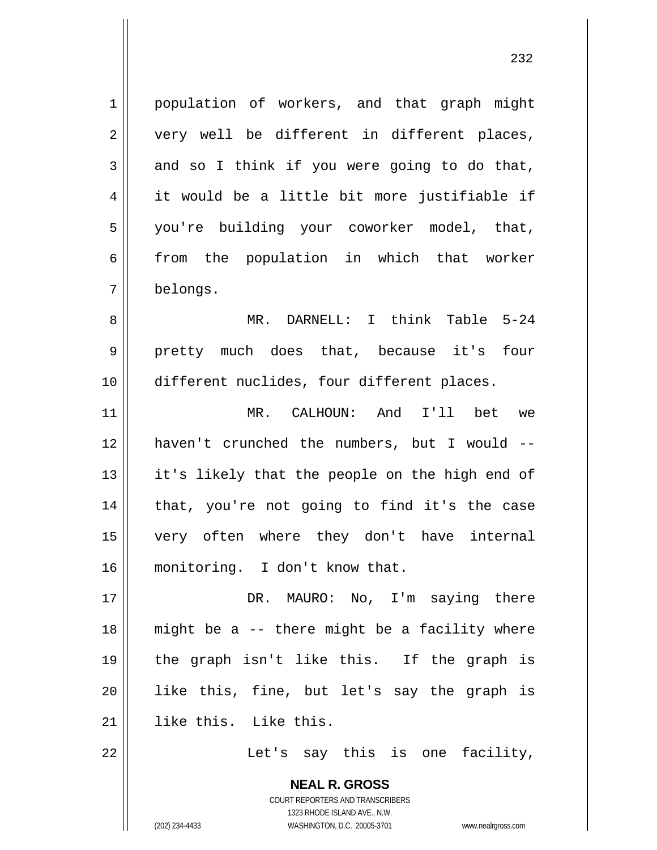1 2 3 4 5 6 7 population of workers, and that graph might very well be different in different places, and so I think if you were going to do that, it would be a little bit more justifiable if you're building your coworker model, that, from the population in which that worker belongs.

8 9 10 MR. DARNELL: I think Table 5-24 pretty much does that, because it's four different nuclides, four different places.

11 12 13 14 15 16 MR. CALHOUN: And I'll bet we haven't crunched the numbers, but I would - it's likely that the people on the high end of that, you're not going to find it's the case very often where they don't have internal monitoring. I don't know that.

17 18 19 20 21 DR. MAURO: No, I'm saying there might be a -- there might be a facility where the graph isn't like this. If the graph is like this, fine, but let's say the graph is like this. Like this.

> **NEAL R. GROSS** COURT REPORTERS AND TRANSCRIBERS

22

Let's say this is one facility,

1323 RHODE ISLAND AVE., N.W. (202) 234-4433 WASHINGTON, D.C. 20005-3701 www.nealrgross.com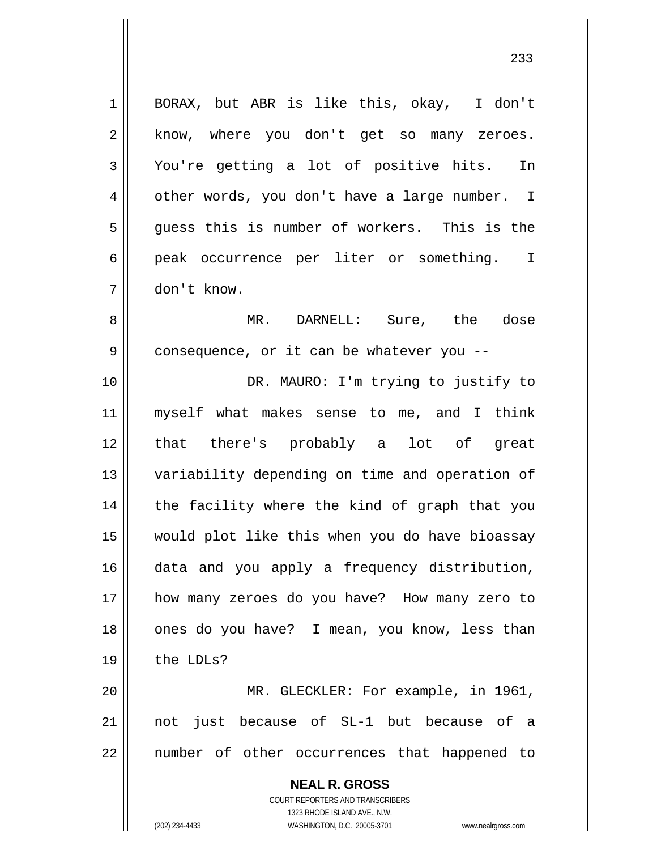1 2 3 4 5 6 7 BORAX, but ABR is like this, okay, I don't know, where you don't get so many zeroes. You're getting a lot of positive hits. In other words, you don't have a large number. I guess this is number of workers. This is the peak occurrence per liter or something. I don't know.

8 9 MR. DARNELL: Sure, the dose consequence, or it can be whatever you --

10 11 12 13 14 15 16 17 18 19 DR. MAURO: I'm trying to justify to myself what makes sense to me, and I think that there's probably a lot of great variability depending on time and operation of the facility where the kind of graph that you would plot like this when you do have bioassay data and you apply a frequency distribution, how many zeroes do you have? How many zero to ones do you have? I mean, you know, less than the LDLs?

20 21 22 MR. GLECKLER: For example, in 1961, not just because of SL-1 but because of a number of other occurrences that happened to

> **NEAL R. GROSS** COURT REPORTERS AND TRANSCRIBERS 1323 RHODE ISLAND AVE., N.W. (202) 234-4433 WASHINGTON, D.C. 20005-3701 www.nealrgross.com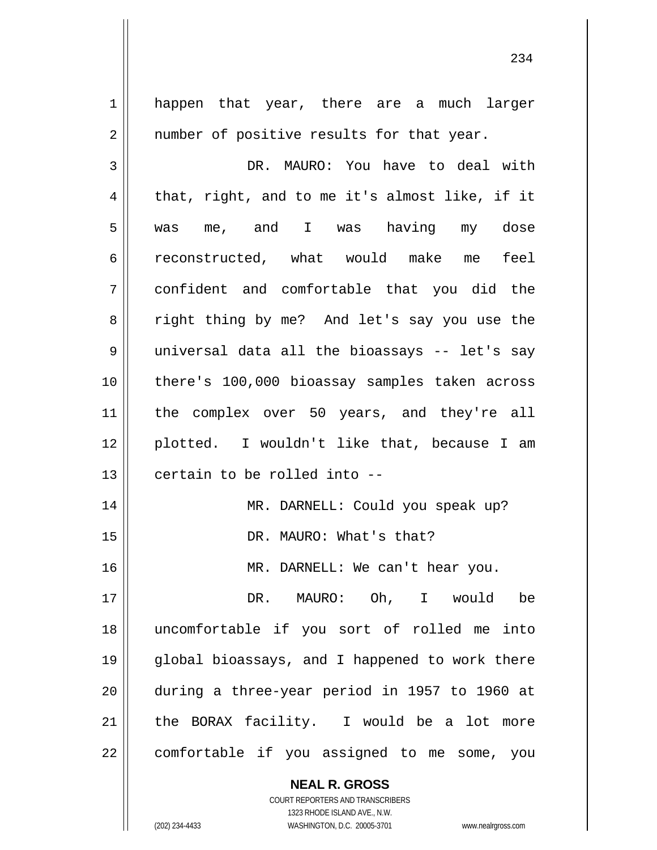1 2 3 4 5 6 7 8 9 10 11 12 13 14 15 16 17 18 19 20 21 22 happen that year, there are a much larger number of positive results for that year. DR. MAURO: You have to deal with that, right, and to me it's almost like, if it was me, and I was having my dose reconstructed, what would make me feel confident and comfortable that you did the right thing by me? And let's say you use the universal data all the bioassays -- let's say there's 100,000 bioassay samples taken across the complex over 50 years, and they're all plotted. I wouldn't like that, because I am certain to be rolled into -- MR. DARNELL: Could you speak up? DR. MAURO: What's that? MR. DARNELL: We can't hear you. DR. MAURO: Oh, I would be uncomfortable if you sort of rolled me into global bioassays, and I happened to work there during a three-year period in 1957 to 1960 at the BORAX facility. I would be a lot more comfortable if you assigned to me some, you

> **NEAL R. GROSS** COURT REPORTERS AND TRANSCRIBERS

> > 1323 RHODE ISLAND AVE., N.W.

(202) 234-4433 WASHINGTON, D.C. 20005-3701 www.nealrgross.com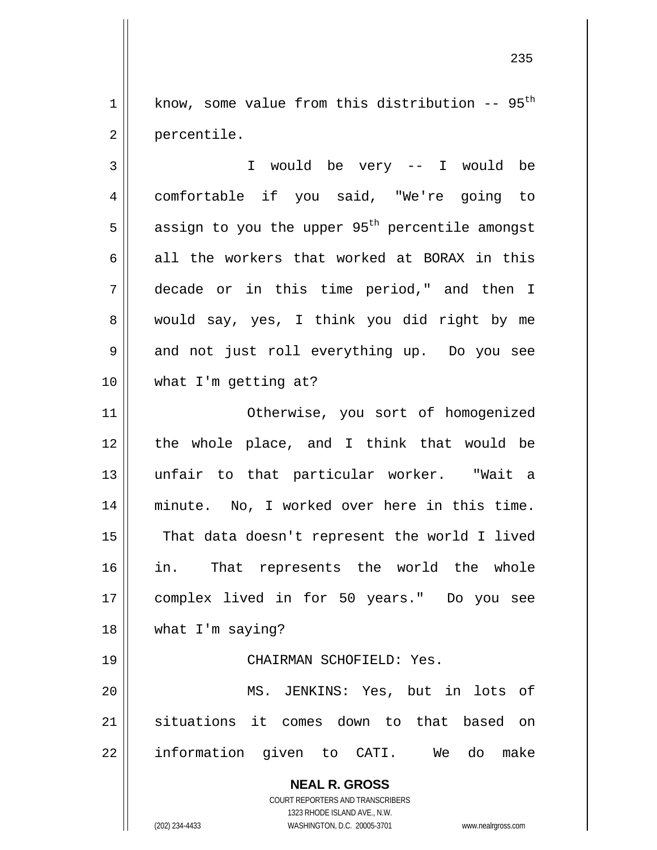1 2 know, some value from this distribution  $-$ - 95<sup>th</sup> percentile.

3 4 5 6 7 8 9 10 11 12 I would be very -- I would be comfortable if you said, "We're going to assign to you the upper  $95<sup>th</sup>$  percentile amongst all the workers that worked at BORAX in this decade or in this time period," and then I would say, yes, I think you did right by me and not just roll everything up. Do you see what I'm getting at? Otherwise, you sort of homogenized

13 14 15 16 17 18 the whole place, and I think that would be unfair to that particular worker. "Wait a minute. No, I worked over here in this time. That data doesn't represent the world I lived in. That represents the world the whole complex lived in for 50 years." Do you see what I'm saying?

## CHAIRMAN SCHOFIELD: Yes.

20 21 22 MS. JENKINS: Yes, but in lots of situations it comes down to that based on information given to CATI. We do make

> **NEAL R. GROSS** COURT REPORTERS AND TRANSCRIBERS 1323 RHODE ISLAND AVE., N.W.

(202) 234-4433 WASHINGTON, D.C. 20005-3701 www.nealrgross.com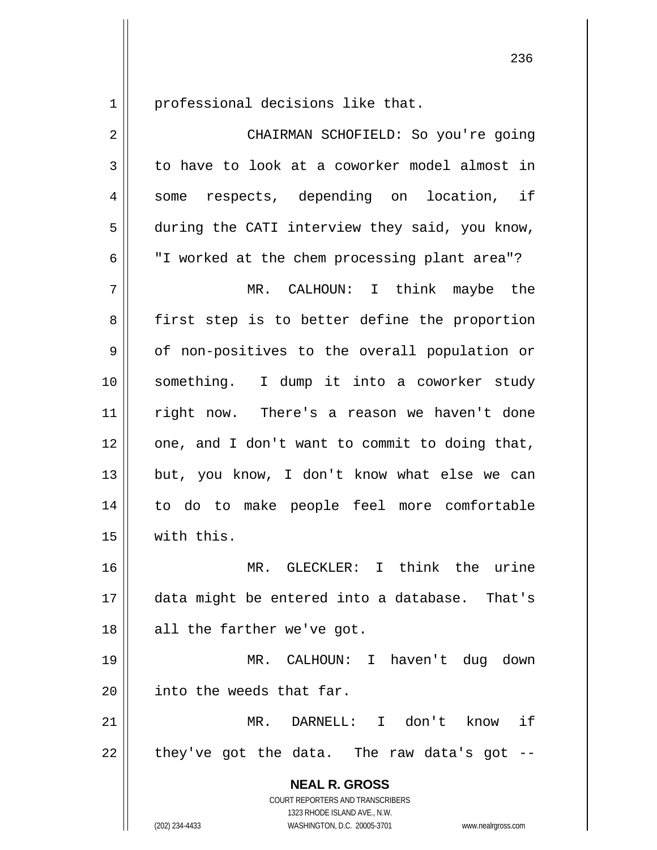1 professional decisions like that.

| $\overline{2}$ | CHAIRMAN SCHOFIELD: So you're going                                                                                                                                    |
|----------------|------------------------------------------------------------------------------------------------------------------------------------------------------------------------|
| 3              | to have to look at a coworker model almost in                                                                                                                          |
| 4              | respects, depending on location, if<br>some                                                                                                                            |
| 5              | during the CATI interview they said, you know,                                                                                                                         |
| 6              | "I worked at the chem processing plant area"?                                                                                                                          |
| 7              | MR. CALHOUN: I think maybe the                                                                                                                                         |
| 8              | first step is to better define the proportion                                                                                                                          |
| 9              | of non-positives to the overall population or                                                                                                                          |
| 10             | something. I dump it into a coworker study                                                                                                                             |
| 11             | right now. There's a reason we haven't done                                                                                                                            |
| 12             | one, and I don't want to commit to doing that,                                                                                                                         |
| 13             | but, you know, I don't know what else we can                                                                                                                           |
| 14             | to do to make people feel more comfortable                                                                                                                             |
| 15             | with this.                                                                                                                                                             |
| 16             | MR. GLECKLER: I think the urine                                                                                                                                        |
| 17             | data might be entered into a database. That's                                                                                                                          |
| 18             | all the farther we've got.                                                                                                                                             |
| 19             | CALHOUN: I haven't dug down<br>MR.                                                                                                                                     |
| 20             | into the weeds that far.                                                                                                                                               |
| 21             | DARNELL: I don't<br>if<br>MR.<br>know                                                                                                                                  |
| 22             | they've got the data. The raw data's got                                                                                                                               |
|                | <b>NEAL R. GROSS</b><br><b>COURT REPORTERS AND TRANSCRIBERS</b><br>1323 RHODE ISLAND AVE., N.W.<br>(202) 234-4433<br>WASHINGTON, D.C. 20005-3701<br>www.nealrgross.com |

<u>236</u>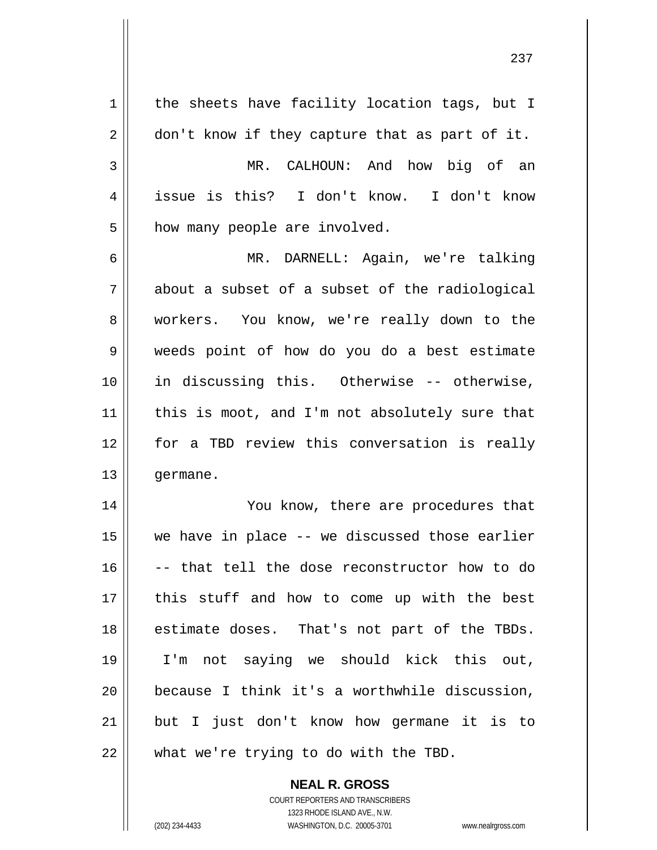| $\mathbf 1$ | the sheets have facility location tags, but I  |
|-------------|------------------------------------------------|
| 2           | don't know if they capture that as part of it. |
| 3           | MR. CALHOUN: And how big of an                 |
| 4           | issue is this? I don't know. I don't know      |
| 5           | how many people are involved.                  |
| 6           | MR. DARNELL: Again, we're talking              |
| 7           | about a subset of a subset of the radiological |
| 8           | workers. You know, we're really down to the    |
| 9           | weeds point of how do you do a best estimate   |
| 10          | in discussing this. Otherwise -- otherwise,    |
| 11          | this is moot, and I'm not absolutely sure that |
| 12          | for a TBD review this conversation is really   |
| 13          | germane.                                       |
| 14          | You know, there are procedures that            |
| 15          | we have in place -- we discussed those earlier |
| 16          | -- that tell the dose reconstructor how to do  |
| 17          | this stuff and how to come up with the best    |
| 18          | estimate doses. That's not part of the TBDs.   |
| 19          | I'm not saying we should kick this out,        |
| 20          | because I think it's a worthwhile discussion,  |
| 21          | but I just don't know how germane it is to     |
| 22          | what we're trying to do with the TBD.          |

**NEAL R. GROSS** COURT REPORTERS AND TRANSCRIBERS

1323 RHODE ISLAND AVE., N.W.

 $\mathbf{I}$ 

(202) 234-4433 WASHINGTON, D.C. 20005-3701 www.nealrgross.com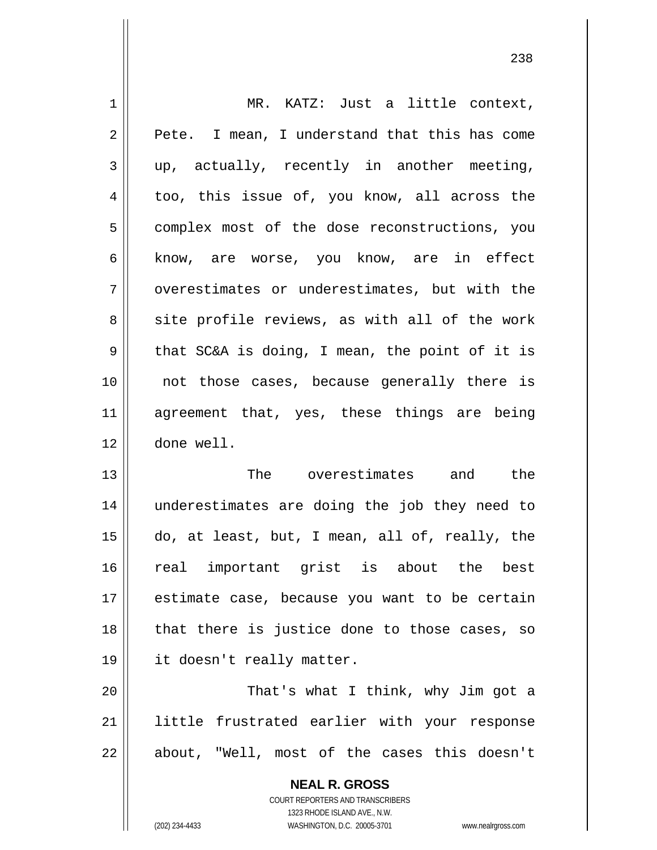| 1  | MR. KATZ: Just a little context,               |
|----|------------------------------------------------|
| 2  | Pete. I mean, I understand that this has come  |
| 3  | up, actually, recently in another meeting,     |
| 4  | too, this issue of, you know, all across the   |
| 5  | complex most of the dose reconstructions, you  |
| 6  | know, are worse, you know, are in effect       |
| 7  | overestimates or underestimates, but with the  |
| 8  | site profile reviews, as with all of the work  |
| 9  | that SC&A is doing, I mean, the point of it is |
| 10 | not those cases, because generally there is    |
| 11 | agreement that, yes, these things are being    |
| 12 | done well.                                     |
| 13 | The overestimates and the                      |
| 14 | underestimates are doing the job they need to  |
| 15 | do, at least, but, I mean, all of, really, the |
| 16 | real important grist is about the best         |
| 17 | estimate case, because you want to be certain  |
| 18 | that there is justice done to those cases, so  |
| 19 | it doesn't really matter.                      |
| 20 | That's what I think, why Jim got a             |
| 21 | little frustrated earlier with your response   |
| 22 | about, "Well, most of the cases this doesn't   |
|    | <b>NEAL R. GROSS</b>                           |

COURT REPORTERS AND TRANSCRIBERS 1323 RHODE ISLAND AVE., N.W.

 $\mathbf{\mathsf{I}}$ 

(202) 234-4433 WASHINGTON, D.C. 20005-3701 www.nealrgross.com

<u>238</u>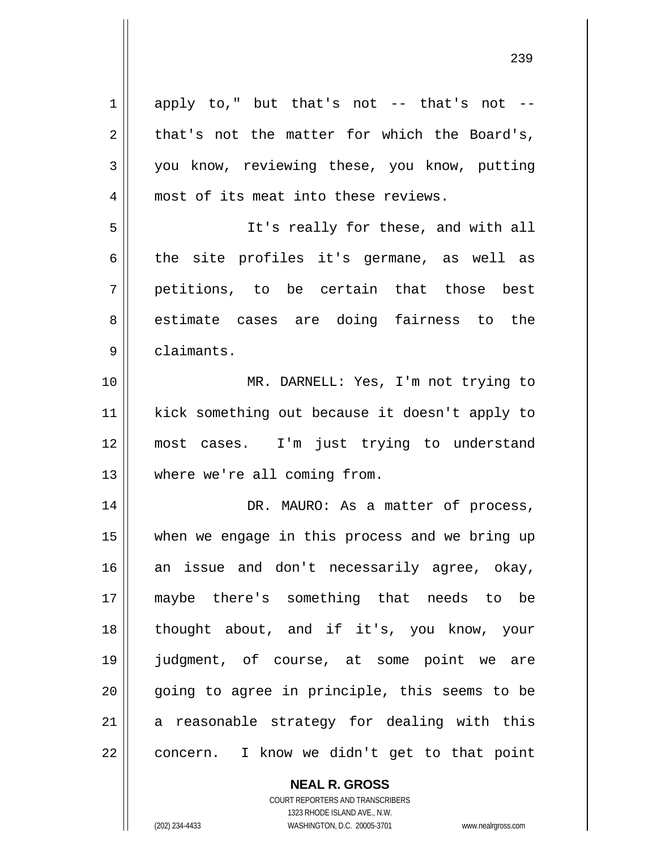| $\mathbf 1$ | apply to," but that's not -- that's not -      |
|-------------|------------------------------------------------|
| 2           | that's not the matter for which the Board's,   |
| 3           | you know, reviewing these, you know, putting   |
| 4           | most of its meat into these reviews.           |
| 5           | It's really for these, and with all            |
| 6           | the site profiles it's germane, as well as     |
| 7           | petitions, to be certain that those best       |
| 8           | estimate cases are doing fairness to the       |
| 9           | claimants.                                     |
| 10          | MR. DARNELL: Yes, I'm not trying to            |
| 11          | kick something out because it doesn't apply to |
| 12          | most cases. I'm just trying to understand      |
| 13          | where we're all coming from.                   |
| 14          | DR. MAURO: As a matter of process,             |
| 15          | when we engage in this process and we bring up |
| 16          | an issue and don't necessarily agree, okay,    |
| 17          | maybe there's something that needs to be       |
| 18          | thought about, and if it's, you know, your     |
| 19          | judgment, of course, at some point we are      |
| 20          | going to agree in principle, this seems to be  |
| 21          | a reasonable strategy for dealing with this    |
| 22          | concern. I know we didn't get to that point    |

**NEAL R. GROSS**

COURT REPORTERS AND TRANSCRIBERS 1323 RHODE ISLAND AVE., N.W. (202) 234-4433 WASHINGTON, D.C. 20005-3701 www.nealrgross.com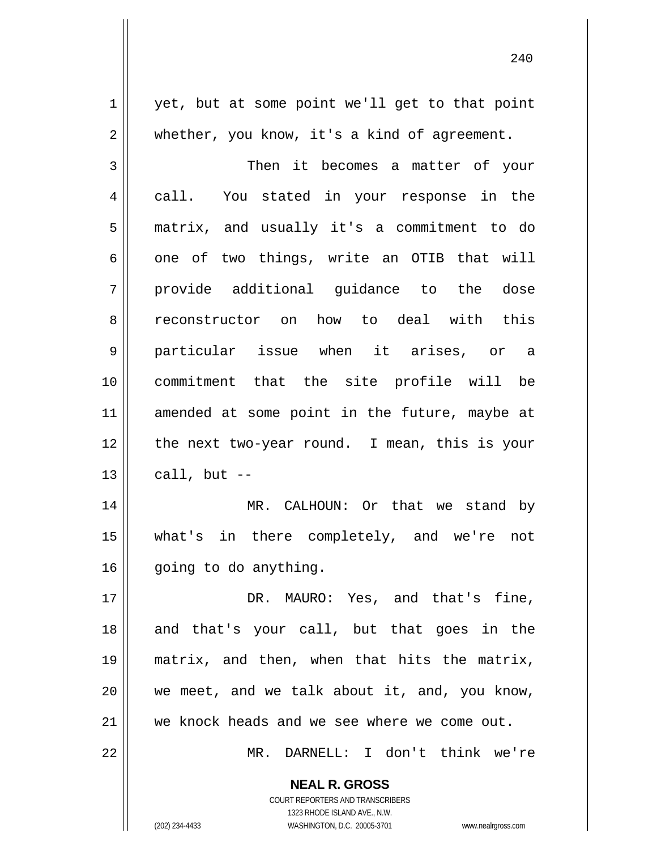1 2 3 4 5 6 7 8 9 10 11 12 13 14 15 16 17 18 19 20 21 22 yet, but at some point we'll get to that point whether, you know, it's a kind of agreement. Then it becomes a matter of your call. You stated in your response in the matrix, and usually it's a commitment to do one of two things, write an OTIB that will provide additional guidance to the dose reconstructor on how to deal with this particular issue when it arises, or a commitment that the site profile will be amended at some point in the future, maybe at the next two-year round. I mean, this is your call, but  $--$  MR. CALHOUN: Or that we stand by what's in there completely, and we're not going to do anything. DR. MAURO: Yes, and that's fine, and that's your call, but that goes in the matrix, and then, when that hits the matrix, we meet, and we talk about it, and, you know, we knock heads and we see where we come out. MR. DARNELL: I don't think we're

> **NEAL R. GROSS** COURT REPORTERS AND TRANSCRIBERS 1323 RHODE ISLAND AVE., N.W.

(202) 234-4433 WASHINGTON, D.C. 20005-3701 www.nealrgross.com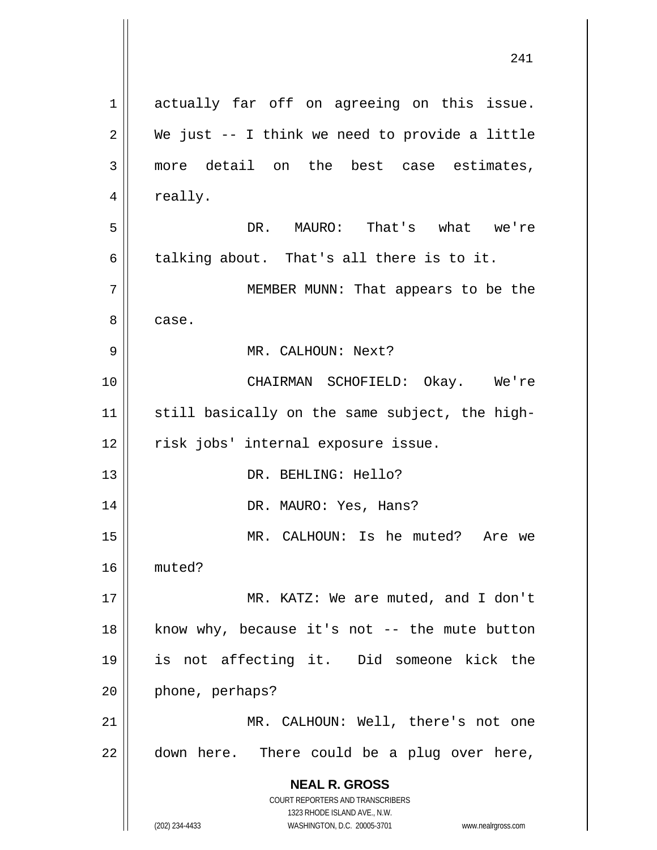**NEAL R. GROSS** COURT REPORTERS AND TRANSCRIBERS 1323 RHODE ISLAND AVE., N.W. (202) 234-4433 WASHINGTON, D.C. 20005-3701 www.nealrgross.com 241 1 2 3 4 5 6 7 8 9 10 11 12 13 14 15 16 17 18 19 20 21 22 actually far off on agreeing on this issue. We just -- I think we need to provide a little more detail on the best case estimates, really. DR. MAURO: That's what we're talking about. That's all there is to it. MEMBER MUNN: That appears to be the case. MR. CALHOUN: Next? CHAIRMAN SCHOFIELD: Okay. We're still basically on the same subject, the highrisk jobs' internal exposure issue. DR. BEHLING: Hello? DR. MAURO: Yes, Hans? MR. CALHOUN: Is he muted? Are we muted? MR. KATZ: We are muted, and I don't know why, because it's not  $-$ - the mute button is not affecting it. Did someone kick the phone, perhaps? MR. CALHOUN: Well, there's not one down here. There could be a plug over here,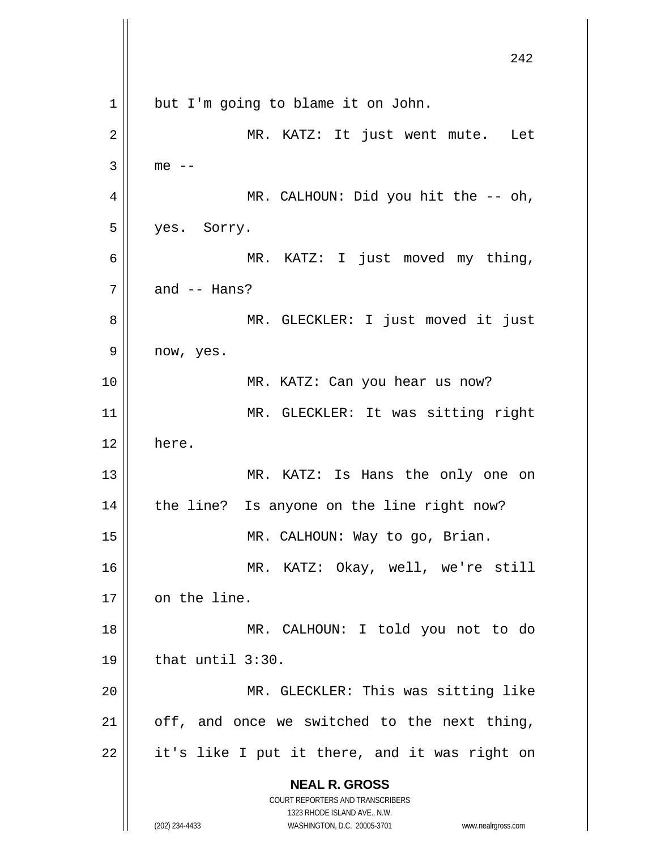**NEAL R. GROSS** COURT REPORTERS AND TRANSCRIBERS 1323 RHODE ISLAND AVE., N.W. (202) 234-4433 WASHINGTON, D.C. 20005-3701 www.nealrgross.com 242 1 2 3 4 5 6 7 8 9 10 11 12 13 14 15 16 17 18 19 20 21 22 but I'm going to blame it on John. MR. KATZ: It just went mute. Let  $me$   $-$  MR. CALHOUN: Did you hit the -- oh, yes. Sorry. MR. KATZ: I just moved my thing, and -- Hans? MR. GLECKLER: I just moved it just now, yes. MR. KATZ: Can you hear us now? MR. GLECKLER: It was sitting right here. MR. KATZ: Is Hans the only one on the line? Is anyone on the line right now? MR. CALHOUN: Way to go, Brian. MR. KATZ: Okay, well, we're still on the line. MR. CALHOUN: I told you not to do that until 3:30. MR. GLECKLER: This was sitting like off, and once we switched to the next thing, it's like I put it there, and it was right on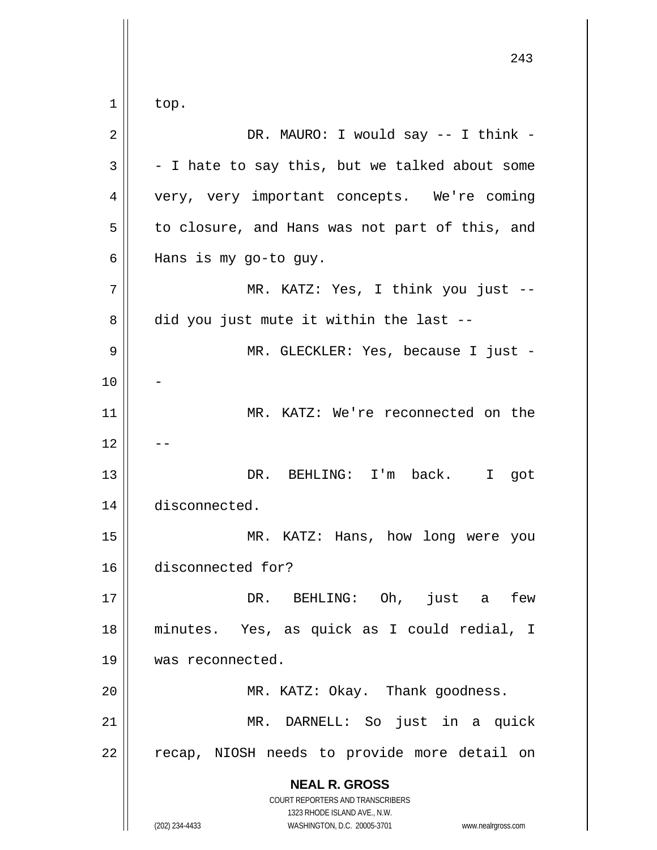**NEAL R. GROSS** COURT REPORTERS AND TRANSCRIBERS 1323 RHODE ISLAND AVE., N.W. (202) 234-4433 WASHINGTON, D.C. 20005-3701 www.nealrgross.com 243 1 2 3 4 5 6 7 8 9 10 11 12 13 14 15 16 17 18 19 20 21 22 top. DR. MAURO: I would say -- I think - - I hate to say this, but we talked about some very, very important concepts. We're coming to closure, and Hans was not part of this, and Hans is my go-to guy. MR. KATZ: Yes, I think you just - did you just mute it within the last -- MR. GLECKLER: Yes, because I just -- MR. KATZ: We're reconnected on the -- DR. BEHLING: I'm back. I got disconnected. MR. KATZ: Hans, how long were you disconnected for? DR. BEHLING: Oh, just a few minutes. Yes, as quick as I could redial, I was reconnected. MR. KATZ: Okay. Thank goodness. MR. DARNELL: So just in a quick recap, NIOSH needs to provide more detail on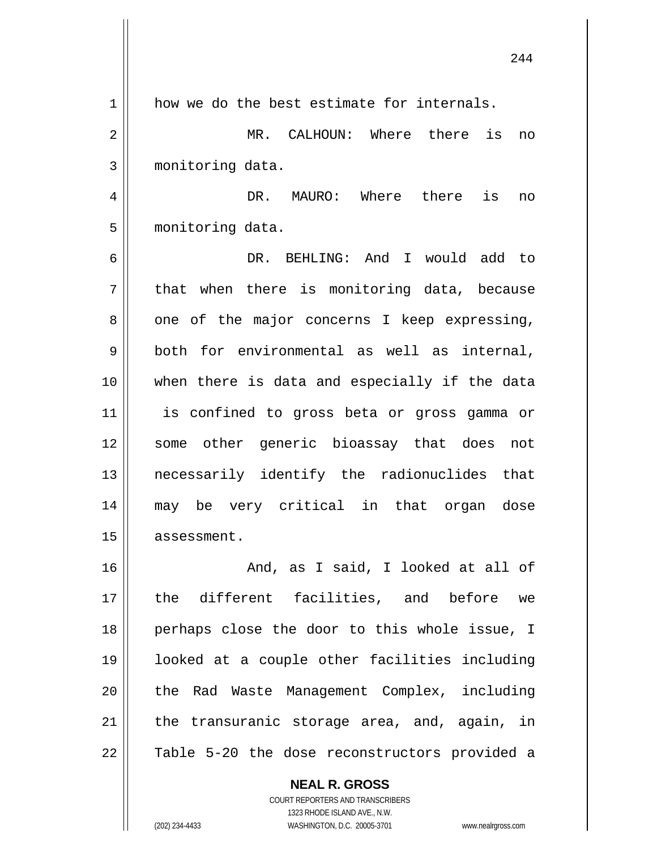|             | 244                                           |
|-------------|-----------------------------------------------|
| $\mathbf 1$ | how we do the best estimate for internals.    |
| 2           | MR. CALHOUN: Where there is<br>no             |
| 3           | monitoring data.                              |
| 4           | MAURO: Where there<br>is<br>DR.<br>no         |
| 5           | monitoring data.                              |
| 6           | DR. BEHLING: And I would add to               |
| 7           | that when there is monitoring data, because   |
| 8           | one of the major concerns I keep expressing,  |
| 9           | both for environmental as well as internal,   |
| 10          | when there is data and especially if the data |
| 11          | is confined to gross beta or gross gamma or   |
| 12          | some other generic bioassay that does not     |
| 13          | necessarily identify the radionuclides that   |
| 14          | may be very critical in that organ dose       |
| 15          | assessment.                                   |
| 16          | And, as I said, I looked at all of            |
| 17          | the different facilities, and before we       |
| 18          | perhaps close the door to this whole issue, I |
| 19          | looked at a couple other facilities including |
| 20          | the Rad Waste Management Complex, including   |
| 21          | the transuranic storage area, and, again, in  |
| 22          | Table 5-20 the dose reconstructors provided a |

1323 RHODE ISLAND AVE., N.W. (202) 234-4433 WASHINGTON, D.C. 20005-3701 www.nealrgross.com

 $\mathbf{I}$ 

**NEAL R. GROSS** COURT REPORTERS AND TRANSCRIBERS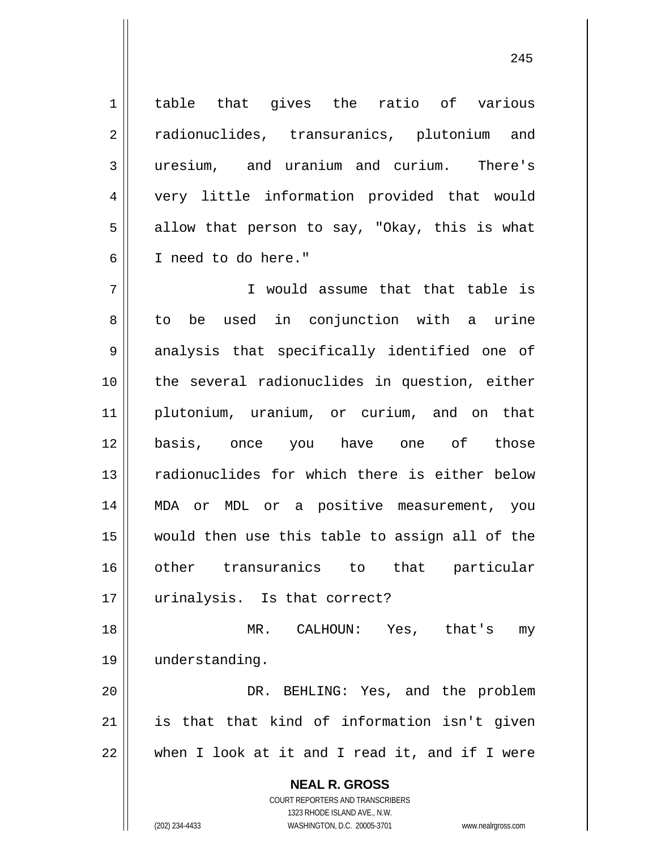table that gives the ratio of various radionuclides, transuranics, plutonium and uresium, and uranium and curium. There's very little information provided that would allow that person to say, "Okay, this is what I need to do here."

7 8 9 10 11 12 13 14 15 16 17 I would assume that that table is to be used in conjunction with a urine analysis that specifically identified one of the several radionuclides in question, either plutonium, uranium, or curium, and on that basis, once you have one of those radionuclides for which there is either below MDA or MDL or a positive measurement, you would then use this table to assign all of the other transuranics to that particular urinalysis. Is that correct?

18 19 MR. CALHOUN: Yes, that's my understanding.

20 21 22 DR. BEHLING: Yes, and the problem is that that kind of information isn't given when I look at it and I read it, and if I were

> **NEAL R. GROSS** COURT REPORTERS AND TRANSCRIBERS 1323 RHODE ISLAND AVE., N.W. (202) 234-4433 WASHINGTON, D.C. 20005-3701 www.nealrgross.com

1

2

3

4

5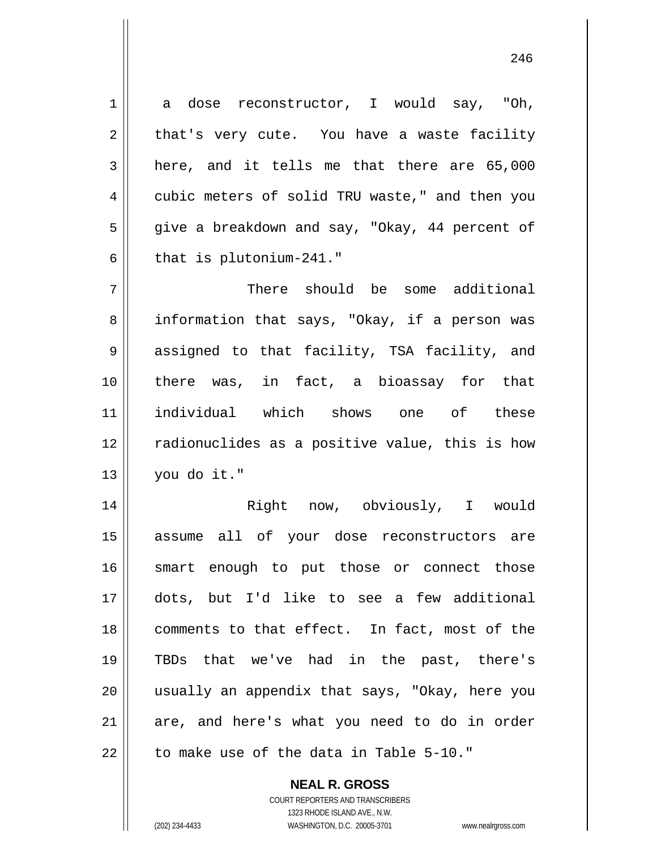1 2 3 4 5 6 7 8 9 10 11 12 a dose reconstructor, I would say, "Oh, that's very cute. You have a waste facility here, and it tells me that there are 65,000 cubic meters of solid TRU waste," and then you give a breakdown and say, "Okay, 44 percent of that is plutonium-241." There should be some additional information that says, "Okay, if a person was assigned to that facility, TSA facility, and there was, in fact, a bioassay for that individual which shows one of these radionuclides as a positive value, this is how

14 15 16 17 18 19 20 21 22 Right now, obviously, I would assume all of your dose reconstructors are smart enough to put those or connect those dots, but I'd like to see a few additional comments to that effect. In fact, most of the TBDs that we've had in the past, there's usually an appendix that says, "Okay, here you are, and here's what you need to do in order to make use of the data in Table 5-10."

> COURT REPORTERS AND TRANSCRIBERS 1323 RHODE ISLAND AVE., N.W. (202) 234-4433 WASHINGTON, D.C. 20005-3701 www.nealrgross.com

**NEAL R. GROSS**

you do it."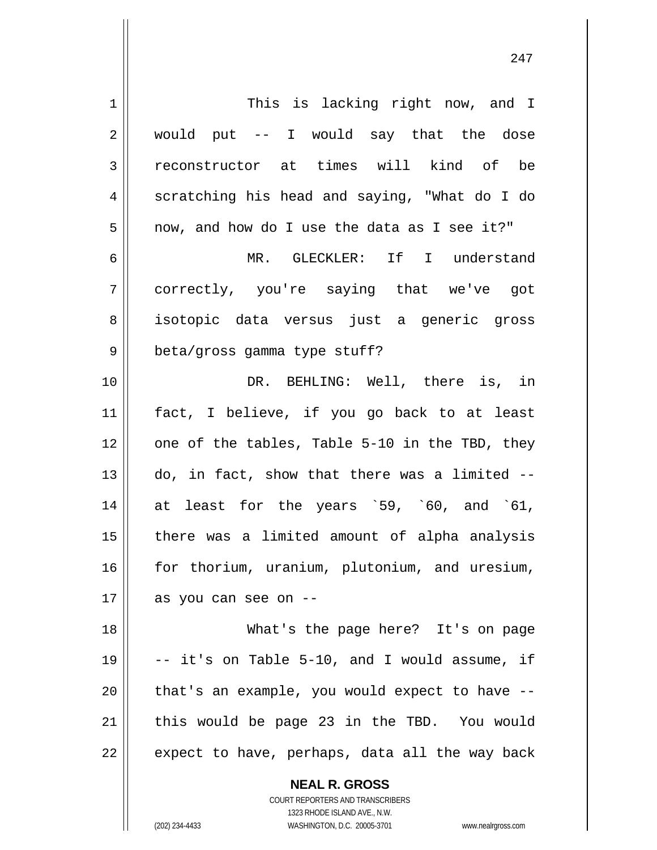| $\mathbf 1$    | This is lacking right now, and I               |
|----------------|------------------------------------------------|
| $\overline{2}$ | would put -- I would say that the dose         |
| 3              | reconstructor at times will kind of be         |
| 4              | scratching his head and saying, "What do I do  |
| 5              | now, and how do I use the data as I see it?"   |
| 6              | MR. GLECKLER: If I understand                  |
| 7              | correctly, you're saying that we've got        |
| 8              | isotopic data versus just a generic gross      |
| 9              | beta/gross gamma type stuff?                   |
| 10             | DR. BEHLING: Well, there is, in                |
| 11             | fact, I believe, if you go back to at least    |
| 12             | one of the tables, Table 5-10 in the TBD, they |
| 13             | do, in fact, show that there was a limited --  |
| 14             | at least for the years '59, '60, and '61,      |
| 15             | there was a limited amount of alpha analysis   |
| 16             | for thorium, uranium, plutonium, and uresium,  |
| 17             | as you can see on --                           |
| 18             | What's the page here? It's on page             |
| 19             | -- it's on Table 5-10, and I would assume, if  |
| 20             | that's an example, you would expect to have -- |
| 21             | this would be page 23 in the TBD. You would    |
| 22             | expect to have, perhaps, data all the way back |
|                | <b>NEAL R. GROSS</b>                           |

COURT REPORTERS AND TRANSCRIBERS 1323 RHODE ISLAND AVE., N.W.

 $\mathsf{II}$ 

(202) 234-4433 WASHINGTON, D.C. 20005-3701 www.nealrgross.com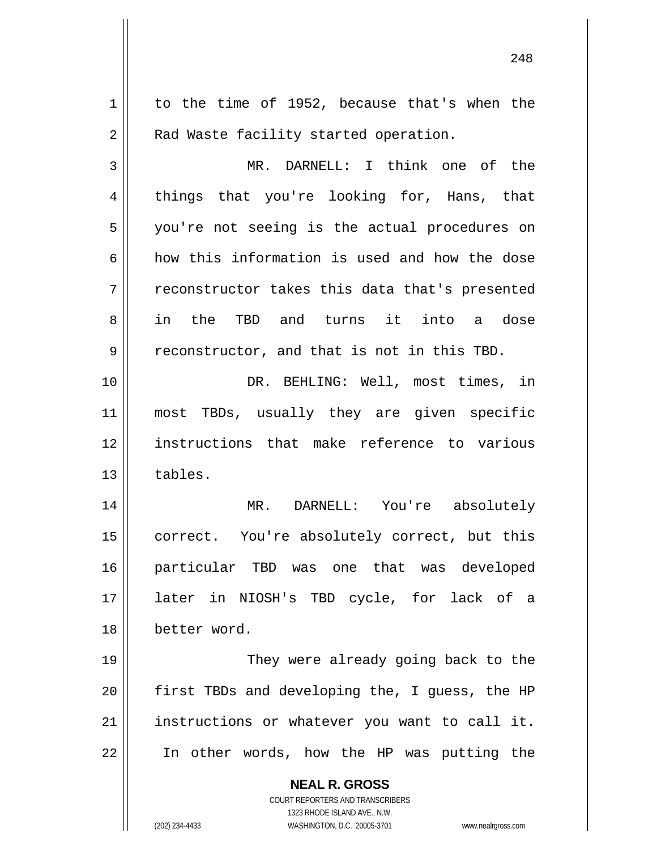| 1              | to the time of 1952, because that's when the                        |
|----------------|---------------------------------------------------------------------|
| $\overline{2}$ | Rad Waste facility started operation.                               |
| 3              | MR. DARNELL: I think one of the                                     |
| 4              | things that you're looking for, Hans, that                          |
| 5              | you're not seeing is the actual procedures on                       |
| 6              | how this information is used and how the dose                       |
| 7              | reconstructor takes this data that's presented                      |
| 8              | in the TBD and turns it into a dose                                 |
| 9              | reconstructor, and that is not in this TBD.                         |
| 10             | DR. BEHLING: Well, most times, in                                   |
| 11             | most TBDs, usually they are given specific                          |
| 12             | instructions that make reference to various                         |
| 13             | tables.                                                             |
| 14             | MR. DARNELL: You're absolutely                                      |
| 15             | correct. You're absolutely correct, but this                        |
| 16             | particular TBD was one that was developed                           |
| 17             | later in NIOSH's TBD cycle, for lack of a                           |
| 18             | better word.                                                        |
| 19             | They were already going back to the                                 |
| 20             | first TBDs and developing the, I guess, the HP                      |
| 21             | instructions or whatever you want to call it.                       |
| 22             | In other words, how the HP was putting the                          |
|                |                                                                     |
|                | <b>NEAL R. GROSS</b><br>COURT REPORTERS AND TRANSCRIBERS            |
|                | 1323 RHODE ISLAND AVE., N.W.                                        |
|                | (202) 234-4433<br>WASHINGTON, D.C. 20005-3701<br>www.nealrgross.com |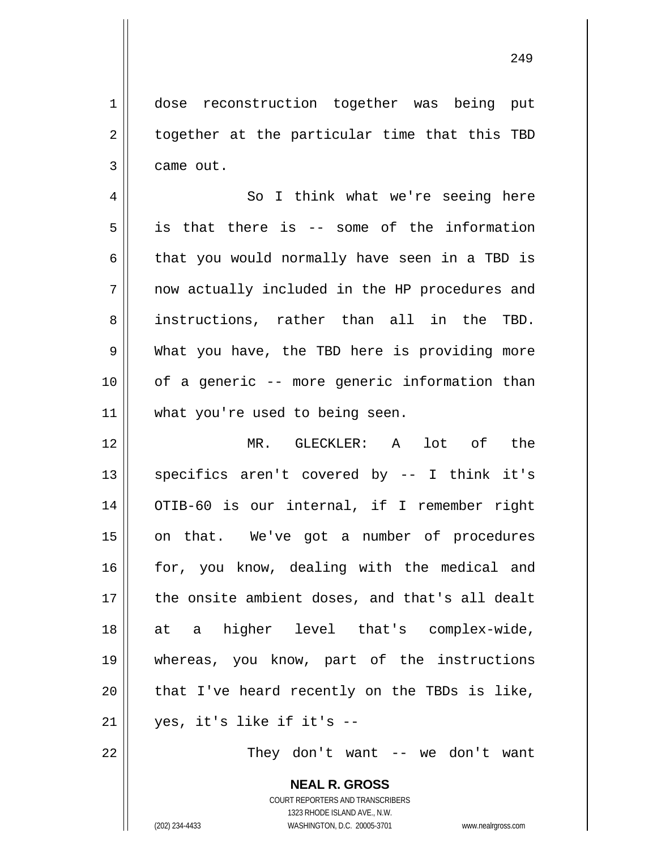1 2 3 dose reconstruction together was being put together at the particular time that this TBD came out.

4 5 6 7 8 9 10 11 So I think what we're seeing here is that there is -- some of the information that you would normally have seen in a TBD is now actually included in the HP procedures and instructions, rather than all in the TBD. What you have, the TBD here is providing more of a generic -- more generic information than what you're used to being seen.

12 13 14 15 16 17 18 19 20 21 MR. GLECKLER: A lot of the specifics aren't covered by -- I think it's OTIB-60 is our internal, if I remember right on that. We've got a number of procedures for, you know, dealing with the medical and the onsite ambient doses, and that's all dealt at a higher level that's complex-wide, whereas, you know, part of the instructions that I've heard recently on the TBDs is like, yes, it's like if it's --

They don't want -- we don't want

**NEAL R. GROSS** COURT REPORTERS AND TRANSCRIBERS 1323 RHODE ISLAND AVE., N.W. (202) 234-4433 WASHINGTON, D.C. 20005-3701 www.nealrgross.com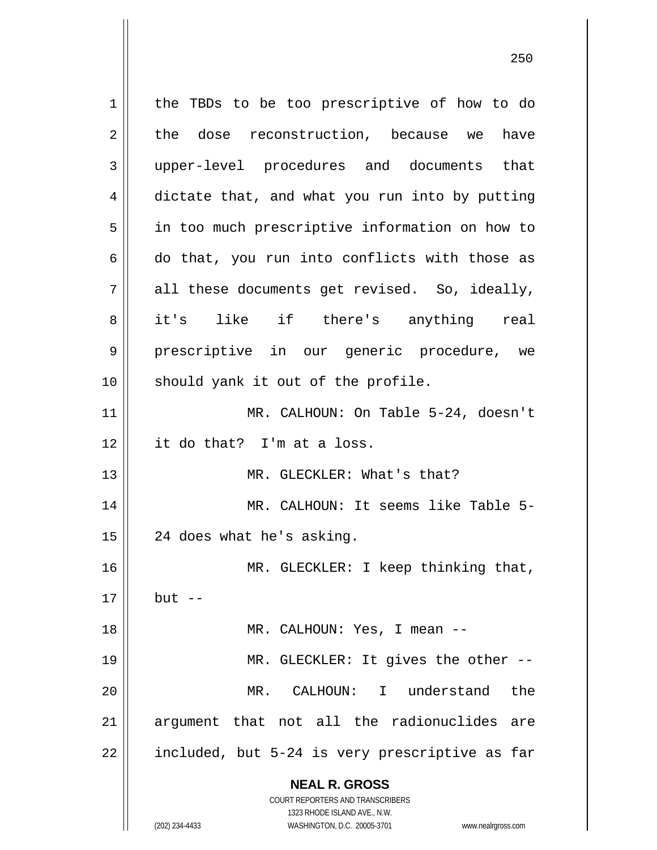**NEAL R. GROSS** COURT REPORTERS AND TRANSCRIBERS 1323 RHODE ISLAND AVE., N.W. 1 2 3 4 5 6 7 8 9 10 11 12 13 14 15 16 17 18 19 20 21 22 the TBDs to be too prescriptive of how to do the dose reconstruction, because we have upper-level procedures and documents that dictate that, and what you run into by putting in too much prescriptive information on how to do that, you run into conflicts with those as all these documents get revised. So, ideally, it's like if there's anything real prescriptive in our generic procedure, we should yank it out of the profile. MR. CALHOUN: On Table 5-24, doesn't it do that? I'm at a loss. MR. GLECKLER: What's that? MR. CALHOUN: It seems like Table 5- 24 does what he's asking. MR. GLECKLER: I keep thinking that, but  $--$  MR. CALHOUN: Yes, I mean -- MR. GLECKLER: It gives the other -- MR. CALHOUN: I understand the argument that not all the radionuclides are included, but 5-24 is very prescriptive as far

<u>250</u>

(202) 234-4433 WASHINGTON, D.C. 20005-3701 www.nealrgross.com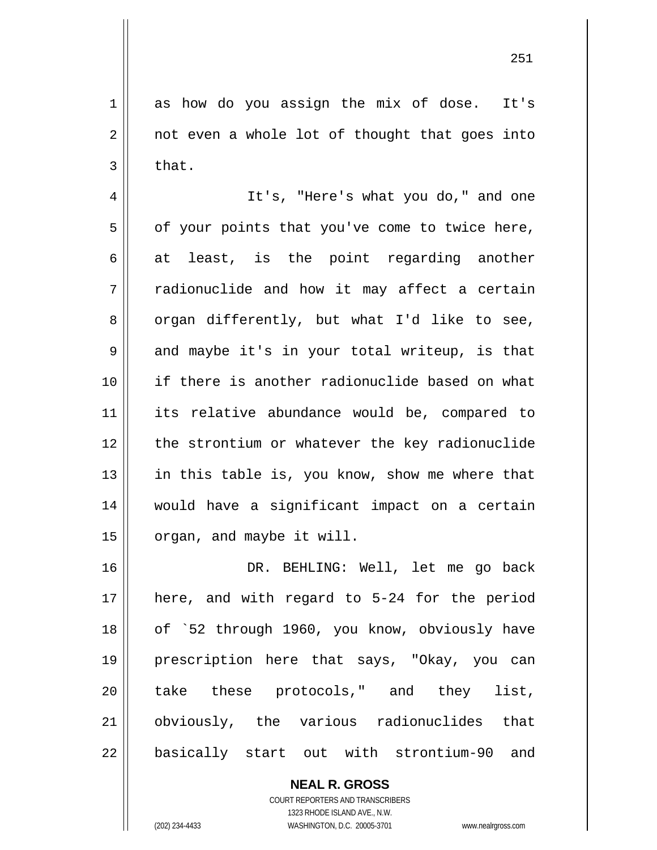1 2 3 as how do you assign the mix of dose. It's not even a whole lot of thought that goes into that.

4 5 6 7 8 9 10 11 12 13 14 15 It's, "Here's what you do," and one of your points that you've come to twice here, at least, is the point regarding another radionuclide and how it may affect a certain organ differently, but what I'd like to see, and maybe it's in your total writeup, is that if there is another radionuclide based on what its relative abundance would be, compared to the strontium or whatever the key radionuclide in this table is, you know, show me where that would have a significant impact on a certain organ, and maybe it will.

16 17 18 19 20 21 22 DR. BEHLING: Well, let me go back here, and with regard to 5-24 for the period of `52 through 1960, you know, obviously have prescription here that says, "Okay, you can take these protocols," and they list, obviously, the various radionuclides that basically start out with strontium-90 and

> **NEAL R. GROSS** COURT REPORTERS AND TRANSCRIBERS 1323 RHODE ISLAND AVE., N.W. (202) 234-4433 WASHINGTON, D.C. 20005-3701 www.nealrgross.com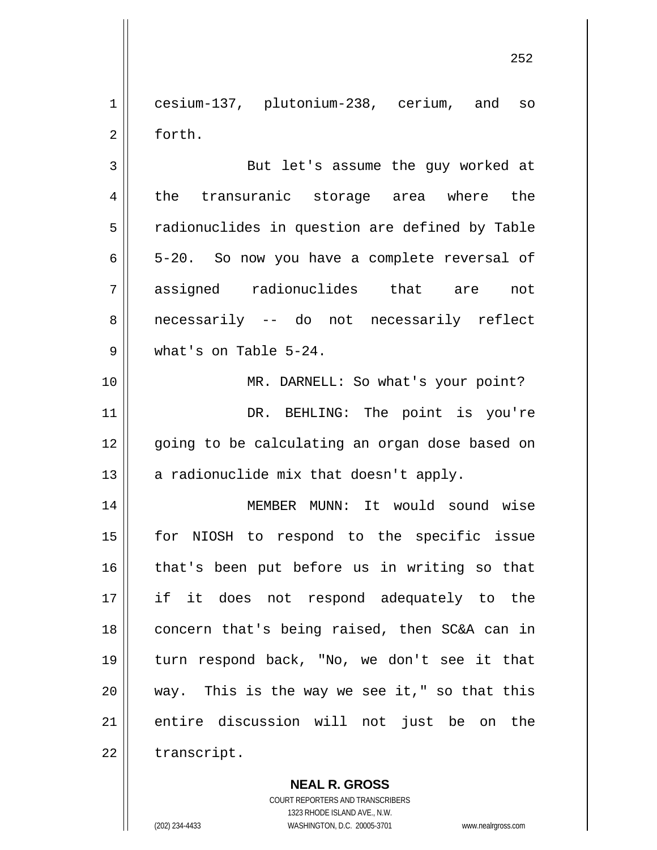1 2 cesium-137, plutonium-238, cerium, and so forth.

3 4 5 6 7 8 9 But let's assume the guy worked at the transuranic storage area where the radionuclides in question are defined by Table 5-20. So now you have a complete reversal of assigned radionuclides that are not necessarily -- do not necessarily reflect what's on Table 5-24.

10 11 12 13 MR. DARNELL: So what's your point? DR. BEHLING: The point is you're going to be calculating an organ dose based on a radionuclide mix that doesn't apply.

14 15 16 17 18 19 20 21 22 MEMBER MUNN: It would sound wise for NIOSH to respond to the specific issue that's been put before us in writing so that if it does not respond adequately to the concern that's being raised, then SC&A can in turn respond back, "No, we don't see it that way. This is the way we see it," so that this entire discussion will not just be on the transcript.

> **NEAL R. GROSS** COURT REPORTERS AND TRANSCRIBERS 1323 RHODE ISLAND AVE., N.W.

(202) 234-4433 WASHINGTON, D.C. 20005-3701 www.nealrgross.com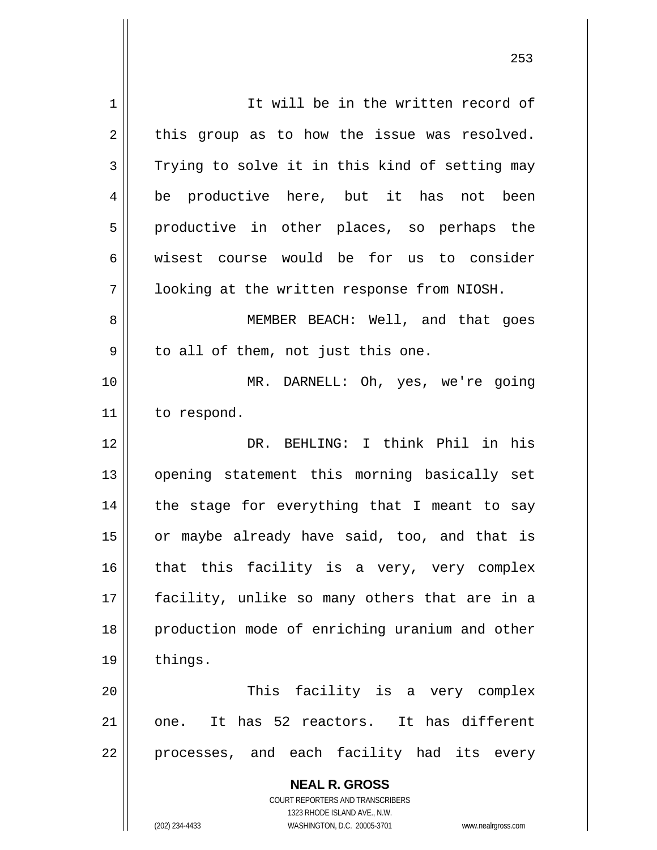**NEAL R. GROSS** COURT REPORTERS AND TRANSCRIBERS 1323 RHODE ISLAND AVE., N.W. 1 2 3 4 5 6 7 8 9 10 11 12 13 14 15 16 17 18 19 20 21 22 It will be in the written record of this group as to how the issue was resolved. Trying to solve it in this kind of setting may be productive here, but it has not been productive in other places, so perhaps the wisest course would be for us to consider looking at the written response from NIOSH. MEMBER BEACH: Well, and that goes to all of them, not just this one. MR. DARNELL: Oh, yes, we're going to respond. DR. BEHLING: I think Phil in his opening statement this morning basically set the stage for everything that I meant to say or maybe already have said, too, and that is that this facility is a very, very complex facility, unlike so many others that are in a production mode of enriching uranium and other things. This facility is a very complex one. It has 52 reactors. It has different processes, and each facility had its every

<u>253</u>

(202) 234-4433 WASHINGTON, D.C. 20005-3701 www.nealrgross.com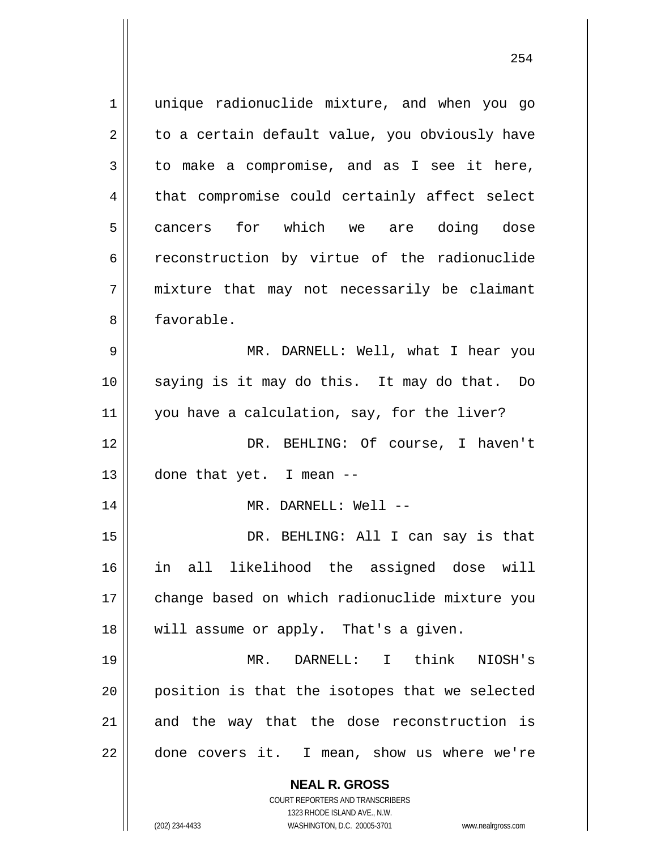**NEAL R. GROSS** 1 2 3 4 5 6 7 8 9 10 11 12 13 14 15 16 17 18 19 20 21 22 unique radionuclide mixture, and when you go to a certain default value, you obviously have to make a compromise, and as I see it here, that compromise could certainly affect select cancers for which we are doing dose reconstruction by virtue of the radionuclide mixture that may not necessarily be claimant favorable. MR. DARNELL: Well, what I hear you saying is it may do this. It may do that. Do you have a calculation, say, for the liver? DR. BEHLING: Of course, I haven't done that yet. I mean -- MR. DARNELL: Well -- DR. BEHLING: All I can say is that in all likelihood the assigned dose will change based on which radionuclide mixture you will assume or apply. That's a given. MR. DARNELL: I think NIOSH's position is that the isotopes that we selected and the way that the dose reconstruction is done covers it. I mean, show us where we're

> COURT REPORTERS AND TRANSCRIBERS 1323 RHODE ISLAND AVE., N.W.

(202) 234-4433 WASHINGTON, D.C. 20005-3701 www.nealrgross.com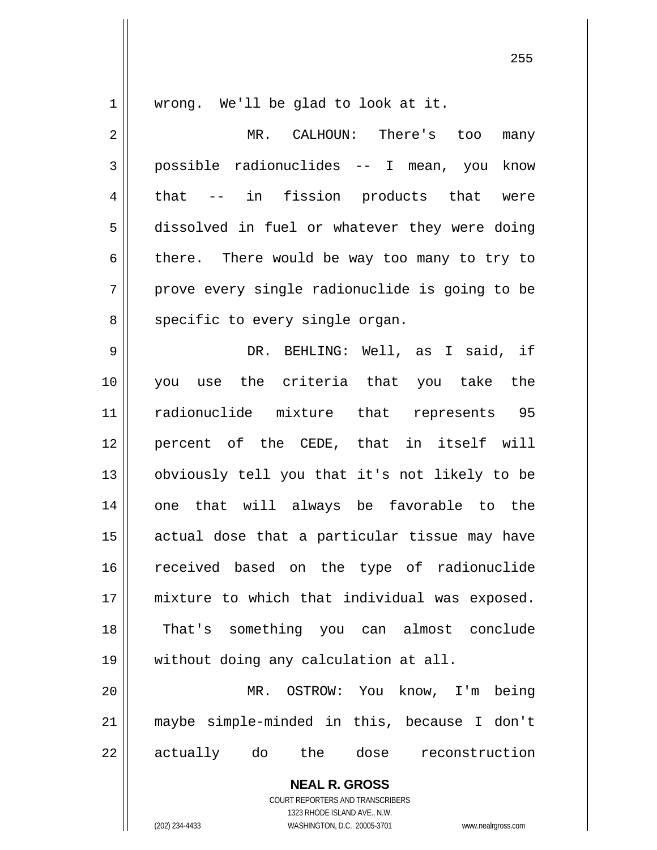1

wrong. We'll be glad to look at it.

2 3 4 5 6 7 8 9 10 MR. CALHOUN: There's too many possible radionuclides -- I mean, you know that -- in fission products that were dissolved in fuel or whatever they were doing there. There would be way too many to try to prove every single radionuclide is going to be specific to every single organ. DR. BEHLING: Well, as I said, if you use the criteria that you take the

11 12 13 14 15 16 17 18 19 radionuclide mixture that represents 95 percent of the CEDE, that in itself will obviously tell you that it's not likely to be one that will always be favorable to the actual dose that a particular tissue may have received based on the type of radionuclide mixture to which that individual was exposed. That's something you can almost conclude without doing any calculation at all.

20 21 22 MR. OSTROW: You know, I'm being maybe simple-minded in this, because I don't actually do the dose reconstruction

> **NEAL R. GROSS** COURT REPORTERS AND TRANSCRIBERS 1323 RHODE ISLAND AVE., N.W. (202) 234-4433 WASHINGTON, D.C. 20005-3701 www.nealrgross.com

<u>255 میں اس کا 175 میں اس کا 175 میں اس کا 175 میں اس کا 175 میں اس کا 175 میں اس کا 175 میں اس کا 175 میں اس</u>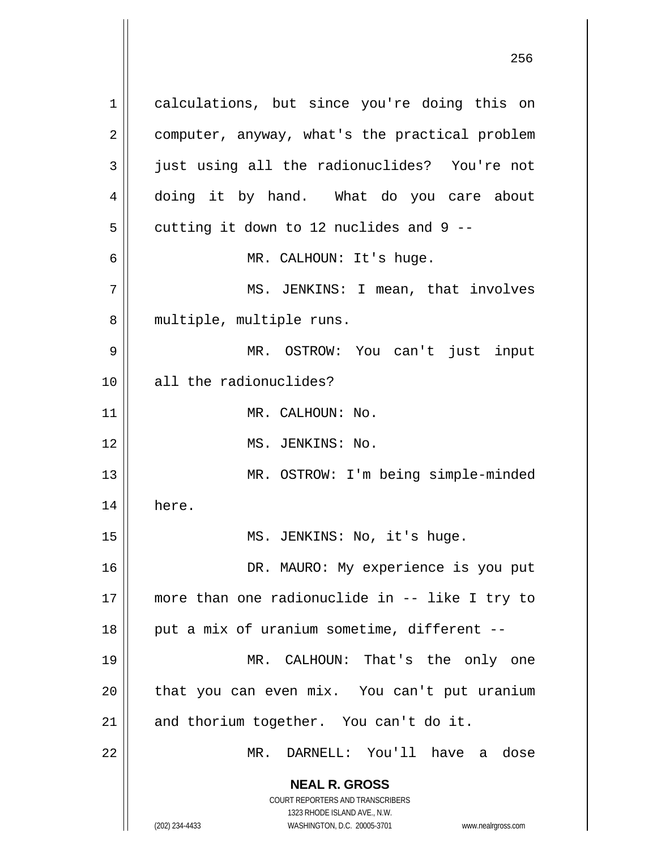**NEAL R. GROSS** COURT REPORTERS AND TRANSCRIBERS 1323 RHODE ISLAND AVE., N.W. 1 2 3 4 5 6 7 8 9 10 11 12 13 14 15 16 17 18 19 20 21 22 calculations, but since you're doing this on computer, anyway, what's the practical problem just using all the radionuclides? You're not doing it by hand. What do you care about cutting it down to 12 nuclides and 9 -- MR. CALHOUN: It's huge. MS. JENKINS: I mean, that involves multiple, multiple runs. MR. OSTROW: You can't just input all the radionuclides? MR. CALHOUN: No. MS. JENKINS: No. MR. OSTROW: I'm being simple-minded here. MS. JENKINS: No, it's huge. DR. MAURO: My experience is you put more than one radionuclide in -- like I try to put a mix of uranium sometime, different -- MR. CALHOUN: That's the only one that you can even mix. You can't put uranium and thorium together. You can't do it. MR. DARNELL: You'll have a dose

<u>256 میں اس کا 17 مئی میں اس کا 17 مئی میں اس کا 17 مئی میں اس کا 17 مئی میں اس کا 17 مئی میں اس کا 256 مئی می</u>

(202) 234-4433 WASHINGTON, D.C. 20005-3701 www.nealrgross.com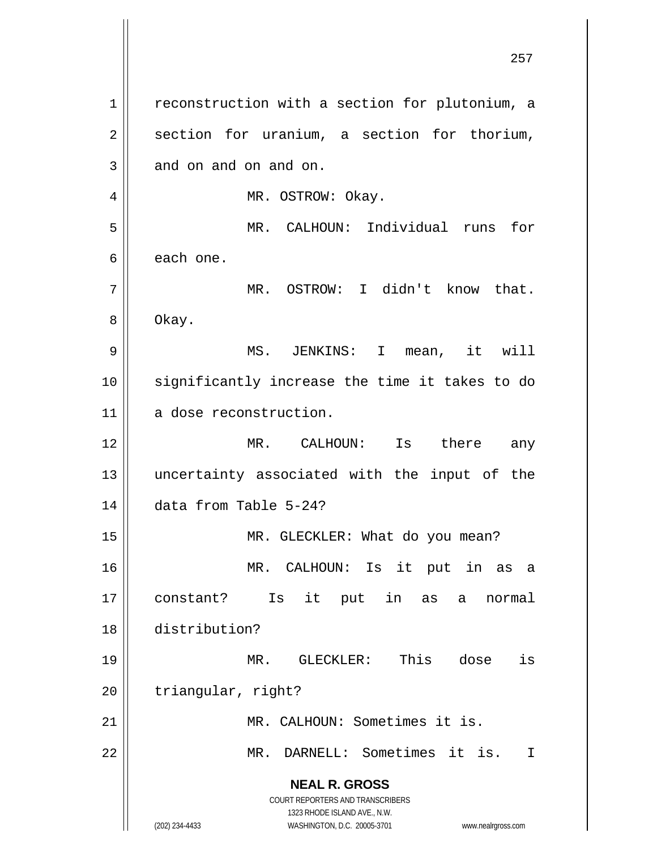**NEAL R. GROSS** COURT REPORTERS AND TRANSCRIBERS 1323 RHODE ISLAND AVE., N.W. (202) 234-4433 WASHINGTON, D.C. 20005-3701 www.nealrgross.com 1 2 3 4 5 6 7 8 9 10 11 12 13 14 15 16 17 18 19 20 21 22 reconstruction with a section for plutonium, a section for uranium, a section for thorium, and on and on and on. MR. OSTROW: Okay. MR. CALHOUN: Individual runs for each one. MR. OSTROW: I didn't know that. Okay. MS. JENKINS: I mean, it will significantly increase the time it takes to do a dose reconstruction. MR. CALHOUN: Is there any uncertainty associated with the input of the data from Table 5-24? MR. GLECKLER: What do you mean? MR. CALHOUN: Is it put in as a constant? Is it put in as a normal distribution? MR. GLECKLER: This dose is triangular, right? MR. CALHOUN: Sometimes it is. MR. DARNELL: Sometimes it is. I

<u>257 до најзина од селото на селото на 257 до најзина од селото на селото на селото на 257 до на</u>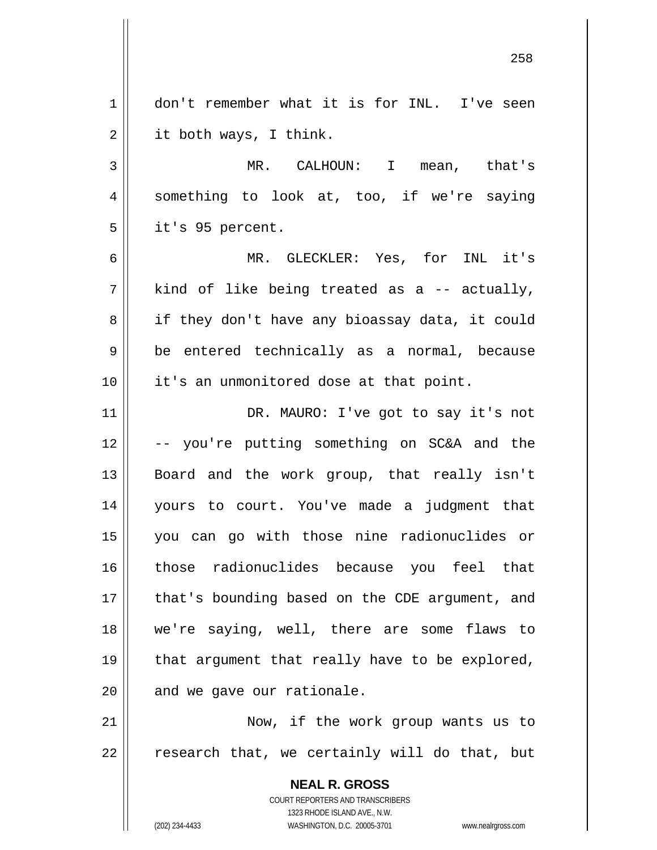**NEAL R. GROSS** COURT REPORTERS AND TRANSCRIBERS 1 2 3 4 5 6 7 8 9 10 11 12 13 14 15 16 17 18 19 20 21 22 don't remember what it is for INL. I've seen it both ways, I think. MR. CALHOUN: I mean, that's something to look at, too, if we're saying it's 95 percent. MR. GLECKLER: Yes, for INL it's kind of like being treated as a -- actually, if they don't have any bioassay data, it could be entered technically as a normal, because it's an unmonitored dose at that point. DR. MAURO: I've got to say it's not -- you're putting something on SC&A and the Board and the work group, that really isn't yours to court. You've made a judgment that you can go with those nine radionuclides or those radionuclides because you feel that that's bounding based on the CDE argument, and we're saying, well, there are some flaws to that argument that really have to be explored, and we gave our rationale. Now, if the work group wants us to research that, we certainly will do that, but

1323 RHODE ISLAND AVE., N.W.

(202) 234-4433 WASHINGTON, D.C. 20005-3701 www.nealrgross.com

<u>258 and 258 and 258 and 258 and 258 and 258 and 258 and 258 and 258 and 258 and 258 and 258 and 258 and 258 and 258 and 258 and 258 and 258 and 258 and 258 and 258 and 258 and 258 and 258 and 258 and 258 and 258 and 258 a</u>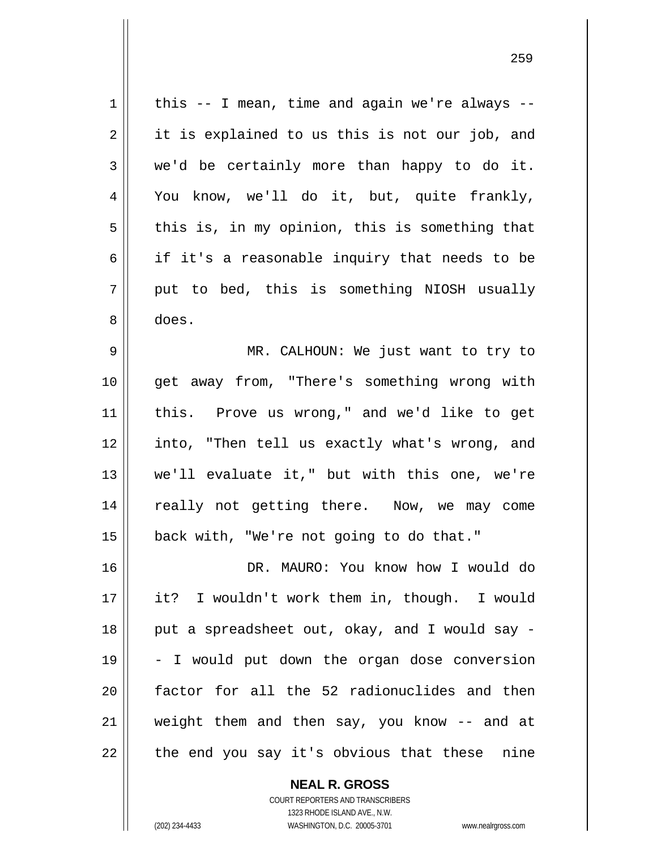| 1  | this $-$ - I mean, time and again we're always $-$ - |
|----|------------------------------------------------------|
| 2  | it is explained to us this is not our job, and       |
| 3  | we'd be certainly more than happy to do it.          |
| 4  | You know, we'll do it, but, quite frankly,           |
| 5  | this is, in my opinion, this is something that       |
| 6  | if it's a reasonable inquiry that needs to be        |
| 7  | put to bed, this is something NIOSH usually          |
| 8  | does.                                                |
| 9  | MR. CALHOUN: We just want to try to                  |
| 10 | get away from, "There's something wrong with         |
| 11 | this. Prove us wrong," and we'd like to get          |
| 12 | into, "Then tell us exactly what's wrong, and        |
| 13 | we'll evaluate it," but with this one, we're         |
| 14 | really not getting there. Now, we may come           |
| 15 | back with, "We're not going to do that."             |
| 16 | DR. MAURO: You know how I would do                   |
| 17 | it? I wouldn't work them in, though. I would         |
| 18 | put a spreadsheet out, okay, and I would say -       |
| 19 | - I would put down the organ dose conversion         |
| 20 | factor for all the 52 radionuclides and then         |
| 21 | weight them and then say, you know -- and at         |
| 22 | the end you say it's obvious that these<br>nine      |

<u>259 میں اس کا اعتبار اور اس کا اعتبار اور اس کا اعتبار اور اس کا اعتبار اور اس کا اعتبار اور اس کا اعتبار اور ا</u>

COURT REPORTERS AND TRANSCRIBERS 1323 RHODE ISLAND AVE., N.W. (202) 234-4433 WASHINGTON, D.C. 20005-3701 www.nealrgross.com

**NEAL R. GROSS**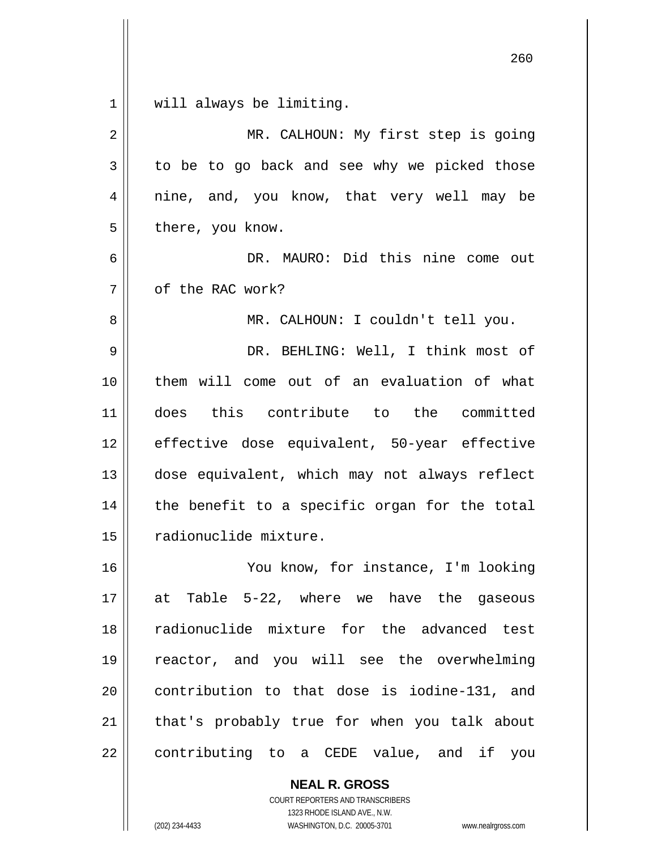| $\mathbf 1$  | will always be limiting.                      |
|--------------|-----------------------------------------------|
| 2            | MR. CALHOUN: My first step is going           |
| $\mathbf{3}$ | to be to go back and see why we picked those  |
| 4            | nine, and, you know, that very well may be    |
| 5            | there, you know.                              |
| 6            | DR. MAURO: Did this nine come out             |
| 7            | of the RAC work?                              |
| 8            | MR. CALHOUN: I couldn't tell you.             |
| 9            | DR. BEHLING: Well, I think most of            |
| 10           | them will come out of an evaluation of what   |
| 11           | this contribute to the committed<br>does      |
| 12           | effective dose equivalent, 50-year effective  |
| 13           | dose equivalent, which may not always reflect |
| 14           | the benefit to a specific organ for the total |
| 15           | radionuclide mixture.                         |
| 16           | You know, for instance, I'm looking           |
| 17           | at Table 5-22, where we have the gaseous      |
| 18           | radionuclide mixture for the advanced test    |
| 19           | reactor, and you will see the overwhelming    |
| 20           | contribution to that dose is iodine-131, and  |
| 21           | that's probably true for when you talk about  |
| 22           | contributing to a CEDE value, and if you      |

**NEAL R. GROSS** COURT REPORTERS AND TRANSCRIBERS 1323 RHODE ISLAND AVE., N.W. (202) 234-4433 WASHINGTON, D.C. 20005-3701 www.nealrgross.com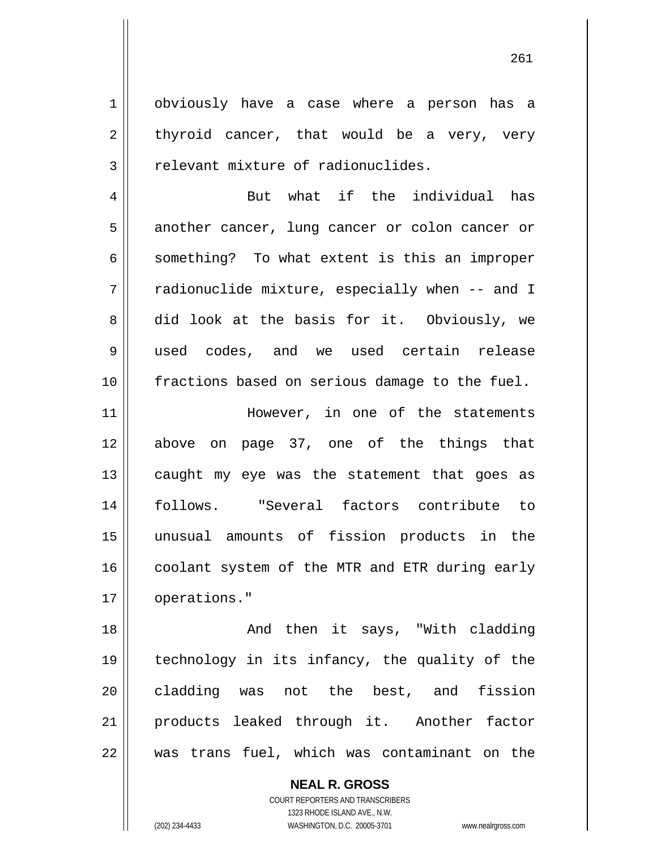obviously have a case where a person has a thyroid cancer, that would be a very, very relevant mixture of radionuclides.

1

2

3

4 5 6 7 8 9 10 But what if the individual has another cancer, lung cancer or colon cancer or something? To what extent is this an improper radionuclide mixture, especially when -- and I did look at the basis for it. Obviously, we used codes, and we used certain release fractions based on serious damage to the fuel.

11 12 13 14 15 16 17 However, in one of the statements above on page 37, one of the things that caught my eye was the statement that goes as follows. "Several factors contribute to unusual amounts of fission products in the coolant system of the MTR and ETR during early operations."

18 19 20 21 22 And then it says, "With cladding technology in its infancy, the quality of the cladding was not the best, and fission products leaked through it. Another factor was trans fuel, which was contaminant on the

> **NEAL R. GROSS** COURT REPORTERS AND TRANSCRIBERS 1323 RHODE ISLAND AVE., N.W. (202) 234-4433 WASHINGTON, D.C. 20005-3701 www.nealrgross.com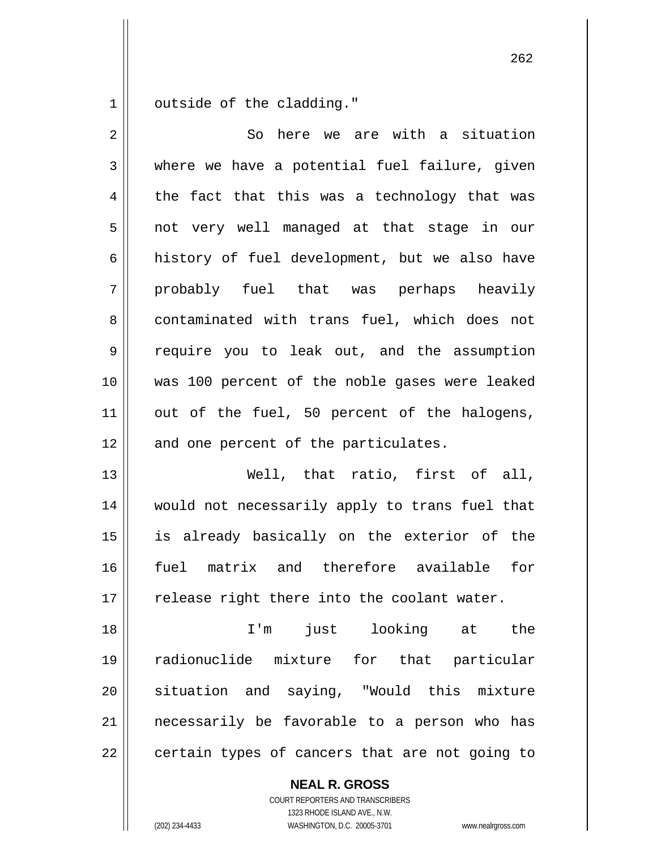1 outside of the cladding."

| $\overline{2}$ | here we are with a situation<br>So             |
|----------------|------------------------------------------------|
| 3              | where we have a potential fuel failure, given  |
| 4              | the fact that this was a technology that was   |
| 5              | not very well managed at that stage in our     |
| 6              | history of fuel development, but we also have  |
| 7              | probably fuel that was perhaps heavily         |
| 8              | contaminated with trans fuel, which does not   |
| $\mathsf 9$    | require you to leak out, and the assumption    |
| 10             | was 100 percent of the noble gases were leaked |
| 11             | out of the fuel, 50 percent of the halogens,   |
| 12             | and one percent of the particulates.           |
| 13             | Well, that ratio, first of all,                |
| 14             | would not necessarily apply to trans fuel that |
| 15             | is already basically on the exterior of the    |
| 16             | fuel matrix and therefore available<br>for     |
| 17             | release right there into the coolant water.    |
| 18             | I'm just looking at the                        |
| 19             | radionuclide mixture for that particular       |
| 20             | situation and saying, "Would this mixture      |
| 21             | necessarily be favorable to a person who has   |
| 22             | certain types of cancers that are not going to |

**NEAL R. GROSS** COURT REPORTERS AND TRANSCRIBERS

1323 RHODE ISLAND AVE., N.W.

(202) 234-4433 WASHINGTON, D.C. 20005-3701 www.nealrgross.com

проставление в село в село в 1962 године в 262 године в 262 године в 262 године в 262 године в 262 године в 26<br>Представляет село в 262 године в 262 године в 262 године в 262 године в 262 године в 262 године в 262 године в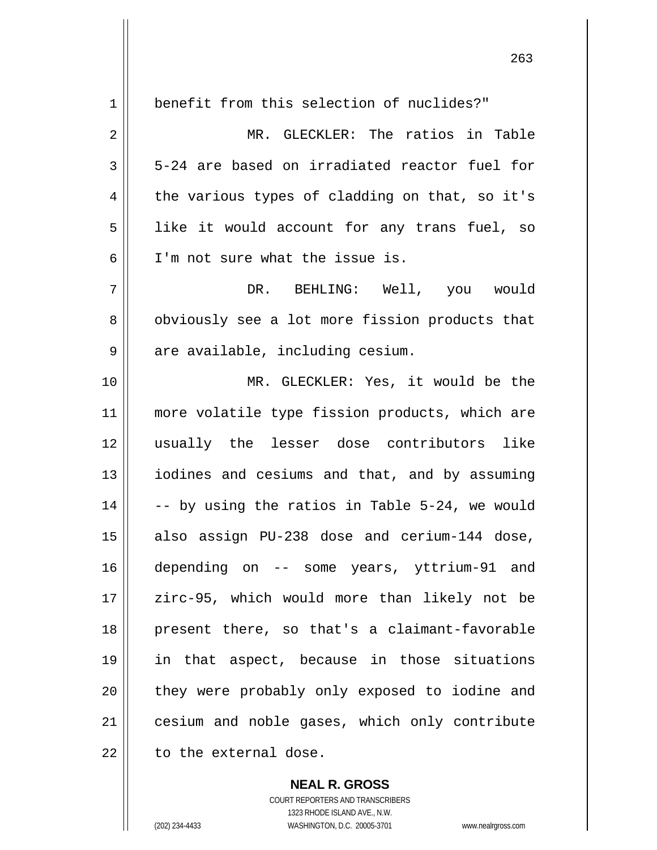| $\mathbf 1$ | benefit from this selection of nuclides?"      |
|-------------|------------------------------------------------|
| 2           | MR. GLECKLER: The ratios in Table              |
| 3           | 5-24 are based on irradiated reactor fuel for  |
| 4           | the various types of cladding on that, so it's |
| 5           | like it would account for any trans fuel, so   |
| 6           | I'm not sure what the issue is.                |
| 7           | DR. BEHLING: Well, you would                   |
| 8           | obviously see a lot more fission products that |
| 9           | are available, including cesium.               |
| 10          | MR. GLECKLER: Yes, it would be the             |
| 11          | more volatile type fission products, which are |
| 12          | usually the lesser dose contributors like      |
| 13          | iodines and cesiums and that, and by assuming  |
| 14          | -- by using the ratios in Table 5-24, we would |
| 15          | also assign PU-238 dose and cerium-144 dose,   |
| 16          | depending on -- some years, yttrium-91 and     |
| 17          | zirc-95, which would more than likely not be   |
| 18          | present there, so that's a claimant-favorable  |
| 19          | in that aspect, because in those situations    |
| 20          | they were probably only exposed to iodine and  |
| 21          | cesium and noble gases, which only contribute  |
| 22          | to the external dose.                          |

**NEAL R. GROSS** COURT REPORTERS AND TRANSCRIBERS 1323 RHODE ISLAND AVE., N.W. (202) 234-4433 WASHINGTON, D.C. 20005-3701 www.nealrgross.com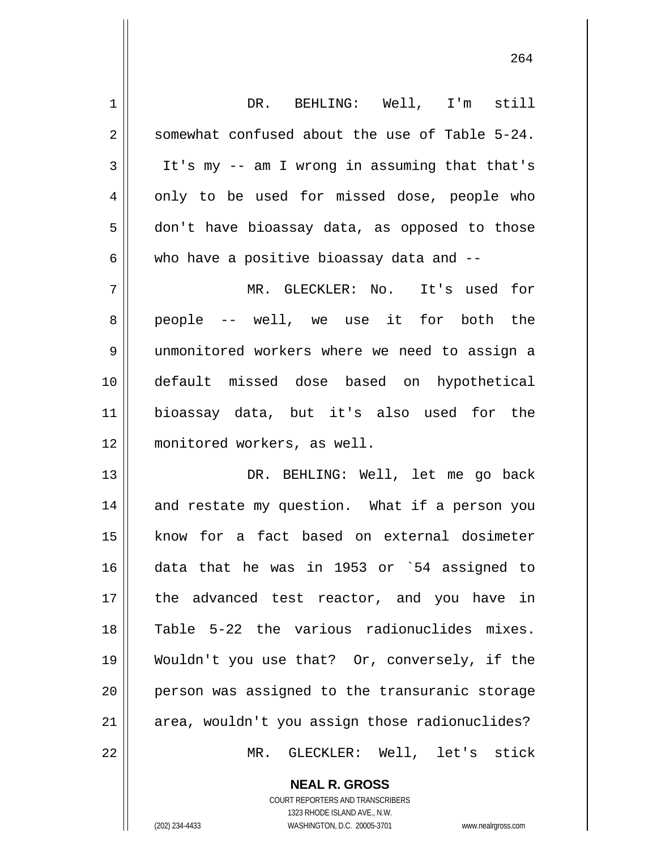| $\mathbf 1$    | DR. BEHLING: Well, I'm still                   |
|----------------|------------------------------------------------|
| $\overline{2}$ | somewhat confused about the use of Table 5-24. |
| 3              | It's my -- am I wrong in assuming that that's  |
| 4              | only to be used for missed dose, people who    |
| 5              | don't have bioassay data, as opposed to those  |
| 6              | who have a positive bioassay data and --       |
| 7              | MR. GLECKLER: No.<br>It's used for             |
| 8              | people -- well, we use it for both the         |
| 9              | unmonitored workers where we need to assign a  |
| 10             | default missed dose based on hypothetical      |
| 11             | bioassay data, but it's also used for the      |
| 12             | monitored workers, as well.                    |
| 13             | DR. BEHLING: Well, let me go back              |
| 14             | and restate my question. What if a person you  |
| 15             | know for a fact based on external dosimeter    |
| 16             | data that he was in 1953 or `54 assigned to    |
| 17             | the advanced test reactor, and you have in     |
| 18             | Table 5-22 the various radionuclides mixes.    |
| 19             | Wouldn't you use that? Or, conversely, if the  |
| 20             | person was assigned to the transuranic storage |
| 21             | area, wouldn't you assign those radionuclides? |
| 22             | GLECKLER: Well, let's stick<br>$MR$ .          |

264

**NEAL R. GROSS** COURT REPORTERS AND TRANSCRIBERS

1323 RHODE ISLAND AVE., N.W.

 $\mathsf{I}$ 

(202) 234-4433 WASHINGTON, D.C. 20005-3701 www.nealrgross.com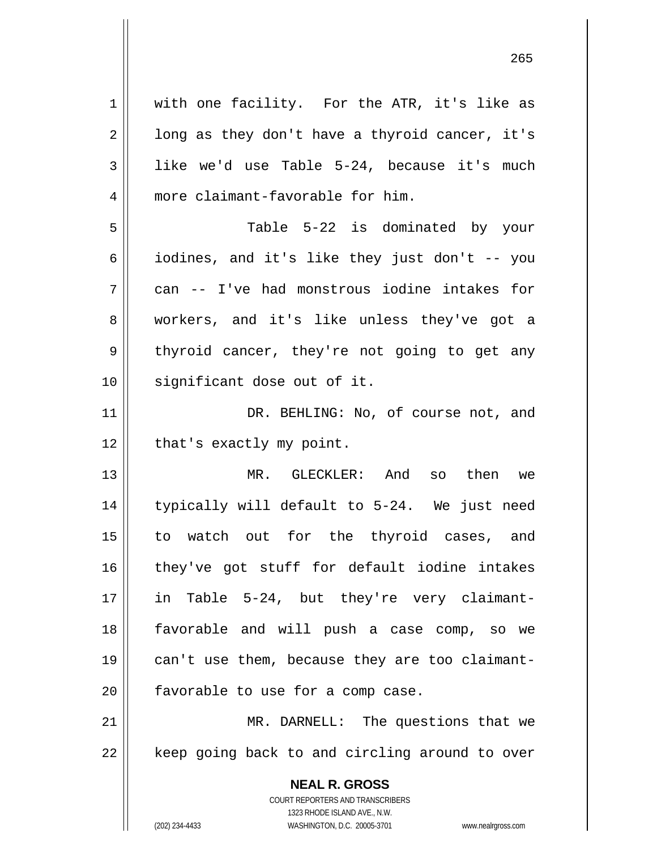| $\mathbf 1$ | with one facility. For the ATR, it's like as                        |
|-------------|---------------------------------------------------------------------|
| 2           | long as they don't have a thyroid cancer, it's                      |
| 3           | like we'd use Table 5-24, because it's much                         |
| 4           | more claimant-favorable for him.                                    |
| 5           | Table 5-22 is dominated by your                                     |
| 6           | iodines, and it's like they just don't -- you                       |
| 7           | can -- I've had monstrous iodine intakes for                        |
| 8           | workers, and it's like unless they've got a                         |
| 9           | thyroid cancer, they're not going to get any                        |
| 10          | significant dose out of it.                                         |
| 11          | DR. BEHLING: No, of course not, and                                 |
| 12          | that's exactly my point.                                            |
| 13          | MR. GLECKLER: And<br>then<br>SO<br>we                               |
| 14          | typically will default to 5-24. We just need                        |
| 15          | to watch out for the thyroid cases, and                             |
| 16          | they've got stuff for default iodine intakes                        |
| 17          | Table 5-24, but they're very claimant-<br>in                        |
| 18          | favorable and will push a case comp, so we                          |
| 19          | can't use them, because they are too claimant-                      |
| 20          | favorable to use for a comp case.                                   |
| 21          | MR. DARNELL: The questions that we                                  |
| 22          | keep going back to and circling around to over                      |
|             | <b>NEAL R. GROSS</b>                                                |
|             | COURT REPORTERS AND TRANSCRIBERS                                    |
|             | 1323 RHODE ISLAND AVE., N.W.                                        |
|             | (202) 234-4433<br>WASHINGTON, D.C. 20005-3701<br>www.nealrgross.com |

<u>265</u>

 $\mathsf{I}$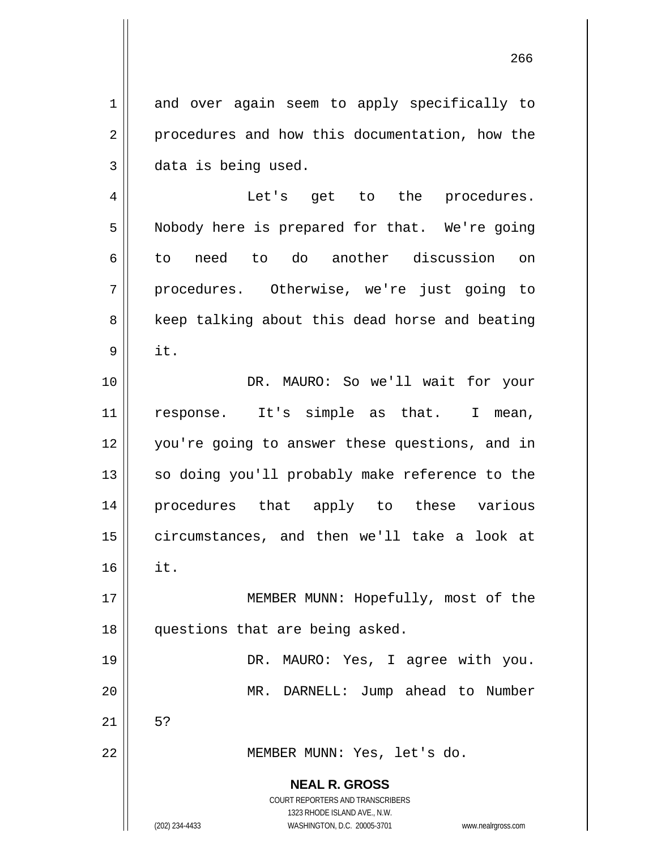and over again seem to apply specifically to procedures and how this documentation, how the data is being used.

4 5 6 7 8 9 Let's get to the procedures. Nobody here is prepared for that. We're going to need to do another discussion on procedures. Otherwise, we're just going to keep talking about this dead horse and beating it.

10 11 12 13 14 15 16 DR. MAURO: So we'll wait for your response. It's simple as that. I mean, you're going to answer these questions, and in so doing you'll probably make reference to the procedures that apply to these various circumstances, and then we'll take a look at it.

17 18 MEMBER MUNN: Hopefully, most of the questions that are being asked.

> DR. MAURO: Yes, I agree with you. MR. DARNELL: Jump ahead to Number

21

5?

22

19

20

1

2

3

MEMBER MUNN: Yes, let's do.

**NEAL R. GROSS** COURT REPORTERS AND TRANSCRIBERS

1323 RHODE ISLAND AVE., N.W. (202) 234-4433 WASHINGTON, D.C. 20005-3701 www.nealrgross.com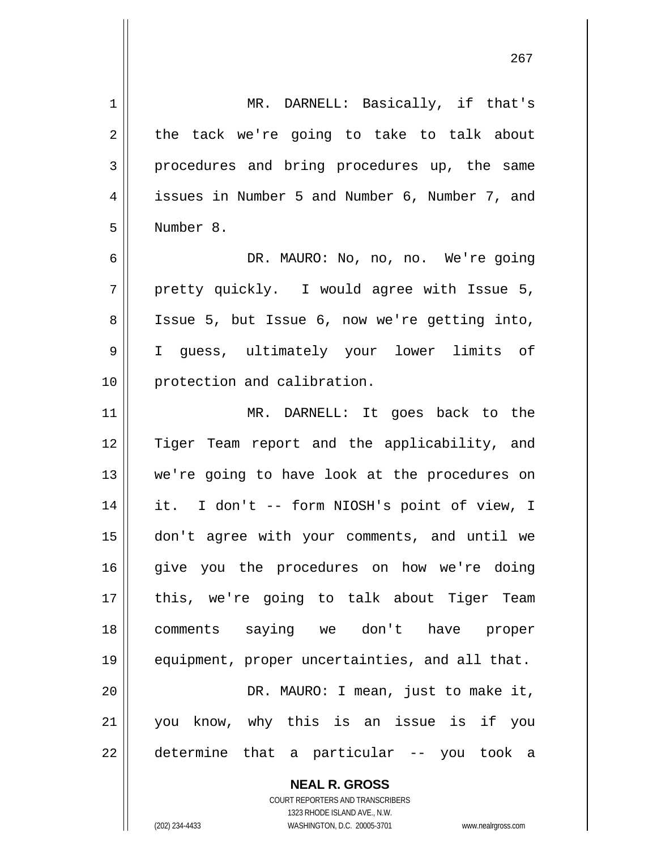**NEAL R. GROSS** 1 2 3 4 5 6 7 8 9 10 11 12 13 14 15 16 17 18 19 20 21 22 MR. DARNELL: Basically, if that's the tack we're going to take to talk about procedures and bring procedures up, the same issues in Number 5 and Number 6, Number 7, and Number 8. DR. MAURO: No, no, no. We're going pretty quickly. I would agree with Issue 5, Issue 5, but Issue 6, now we're getting into, I guess, ultimately your lower limits of protection and calibration. MR. DARNELL: It goes back to the Tiger Team report and the applicability, and we're going to have look at the procedures on it. I don't -- form NIOSH's point of view, I don't agree with your comments, and until we give you the procedures on how we're doing this, we're going to talk about Tiger Team comments saying we don't have proper equipment, proper uncertainties, and all that. DR. MAURO: I mean, just to make it, you know, why this is an issue is if you determine that a particular -- you took a

проставление в последником производство в село в 1967 године в 1967 године в село в 1967 године в 1967 године<br>В 1967 године в 1968 године в 1968 године в 1968 године в 1968 године в 1968 године в 1968 године в 1968 годин

1323 RHODE ISLAND AVE., N.W. (202) 234-4433 WASHINGTON, D.C. 20005-3701 www.nealrgross.com

COURT REPORTERS AND TRANSCRIBERS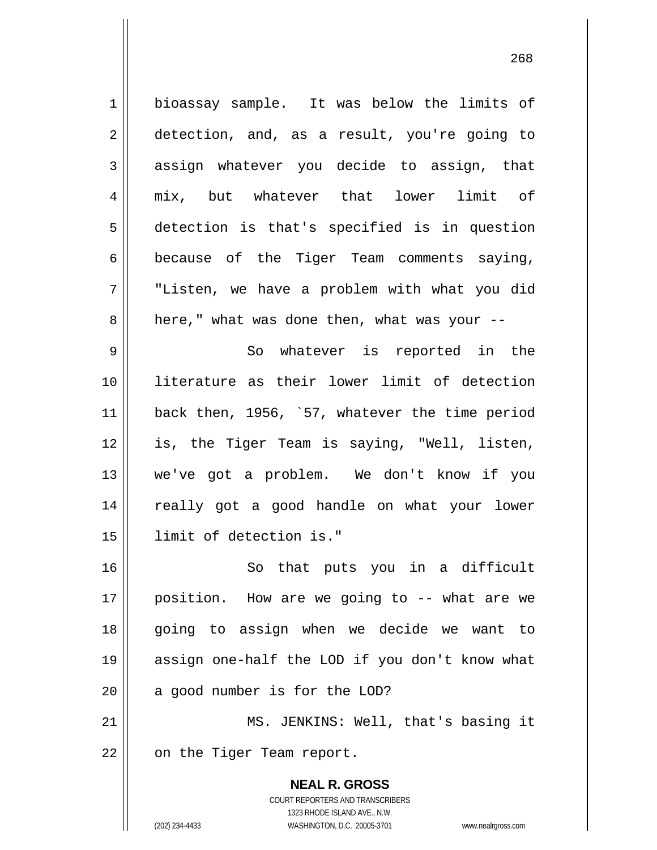**NEAL R. GROSS** COURT REPORTERS AND TRANSCRIBERS 1323 RHODE ISLAND AVE., N.W. 1 2 3 4 5 6 7 8 9 10 11 12 13 14 15 16 17 18 19 20 21 22 bioassay sample. It was below the limits of detection, and, as a result, you're going to assign whatever you decide to assign, that mix, but whatever that lower limit of detection is that's specified is in question because of the Tiger Team comments saying, "Listen, we have a problem with what you did here," what was done then, what was your -- So whatever is reported in the literature as their lower limit of detection back then, 1956, `57, whatever the time period is, the Tiger Team is saying, "Well, listen, we've got a problem. We don't know if you really got a good handle on what your lower limit of detection is." So that puts you in a difficult position. How are we going to -- what are we going to assign when we decide we want to assign one-half the LOD if you don't know what a good number is for the LOD? MS. JENKINS: Well, that's basing it on the Tiger Team report.

<u>268</u>

(202) 234-4433 WASHINGTON, D.C. 20005-3701 www.nealrgross.com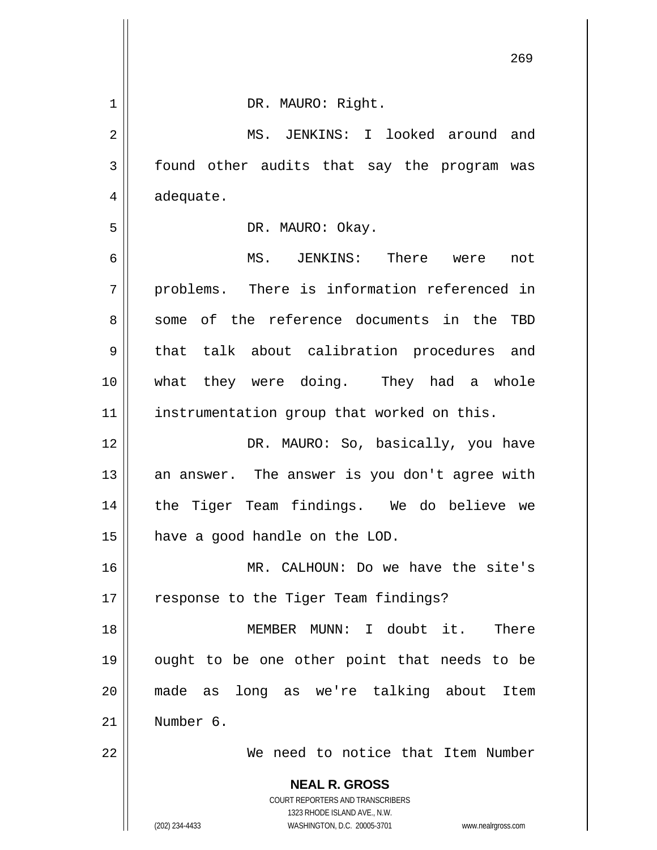|                | 269                                                                 |
|----------------|---------------------------------------------------------------------|
| $\mathbf 1$    | DR. MAURO: Right.                                                   |
| $\overline{2}$ | MS. JENKINS: I looked around and                                    |
| $\mathbf{3}$   | found other audits that say the program was                         |
| 4              | adequate.                                                           |
| 5              | DR. MAURO: Okay.                                                    |
| 6              | MS. JENKINS: There were<br>not                                      |
| 7              | problems. There is information referenced in                        |
| 8              | some of the reference documents in the TBD                          |
| 9              | talk about calibration procedures and<br>that                       |
| 10             | what they were doing. They had a whole                              |
| 11             | instrumentation group that worked on this.                          |
| 12             | DR. MAURO: So, basically, you have                                  |
| 13             | an answer. The answer is you don't agree with                       |
| 14             | the Tiger Team findings. We do believe we                           |
| 15             | have a good handle on the LOD.                                      |
| 16             | MR. CALHOUN: Do we have the site's                                  |
| 17             | response to the Tiger Team findings?                                |
| 18             | MEMBER MUNN: I doubt it. There                                      |
| 19             | ought to be one other point that needs to be                        |
| 20             | made as long as we're talking about<br>Item                         |
| 21             | Number 6.                                                           |
| 22             | We need to notice that Item Number                                  |
|                | <b>NEAL R. GROSS</b>                                                |
|                | COURT REPORTERS AND TRANSCRIBERS<br>1323 RHODE ISLAND AVE., N.W.    |
|                | (202) 234-4433<br>WASHINGTON, D.C. 20005-3701<br>www.nealrgross.com |

 $\mathsf{l}$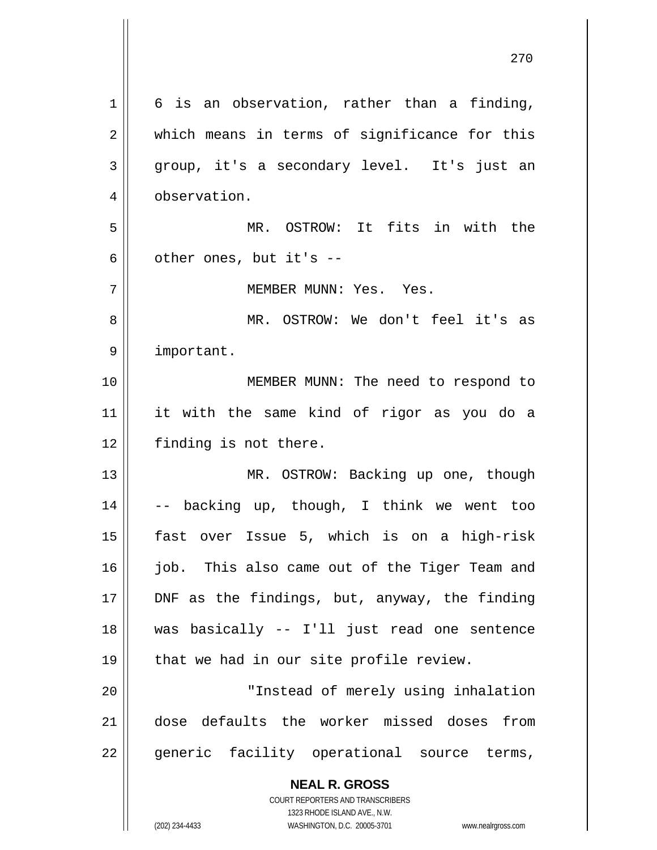**NEAL R. GROSS** 1 2 3 4 5 6 7 8 9 10 11 12 13 14 15 16 17 18 19 20 21 22 6 is an observation, rather than a finding, which means in terms of significance for this group, it's a secondary level. It's just an observation. MR. OSTROW: It fits in with the other ones, but it's -- MEMBER MUNN: Yes. Yes. MR. OSTROW: We don't feel it's as important. MEMBER MUNN: The need to respond to it with the same kind of rigor as you do a finding is not there. MR. OSTROW: Backing up one, though -- backing up, though, I think we went too fast over Issue 5, which is on a high-risk job. This also came out of the Tiger Team and DNF as the findings, but, anyway, the finding was basically -- I'll just read one sentence that we had in our site profile review. "Instead of merely using inhalation dose defaults the worker missed doses from generic facility operational source terms,

270

COURT REPORTERS AND TRANSCRIBERS 1323 RHODE ISLAND AVE., N.W.

(202) 234-4433 WASHINGTON, D.C. 20005-3701 www.nealrgross.com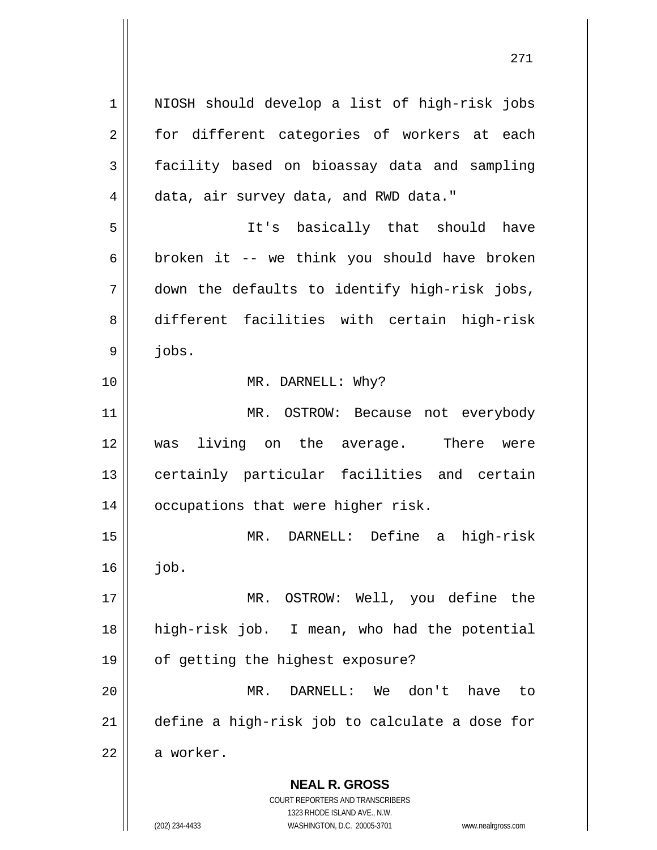**NEAL R. GROSS** COURT REPORTERS AND TRANSCRIBERS 1323 RHODE ISLAND AVE., N.W. 1 2 3 4 5 6 7 8 9 10 11 12 13 14 15 16 17 18 19 20 21 22 NIOSH should develop a list of high-risk jobs for different categories of workers at each facility based on bioassay data and sampling data, air survey data, and RWD data." It's basically that should have broken it -- we think you should have broken down the defaults to identify high-risk jobs, different facilities with certain high-risk jobs. MR. DARNELL: Why? MR. OSTROW: Because not everybody was living on the average. There were certainly particular facilities and certain occupations that were higher risk. MR. DARNELL: Define a high-risk job. MR. OSTROW: Well, you define the high-risk job. I mean, who had the potential of getting the highest exposure? MR. DARNELL: We don't have to define a high-risk job to calculate a dose for a worker.

(202) 234-4433 WASHINGTON, D.C. 20005-3701 www.nealrgross.com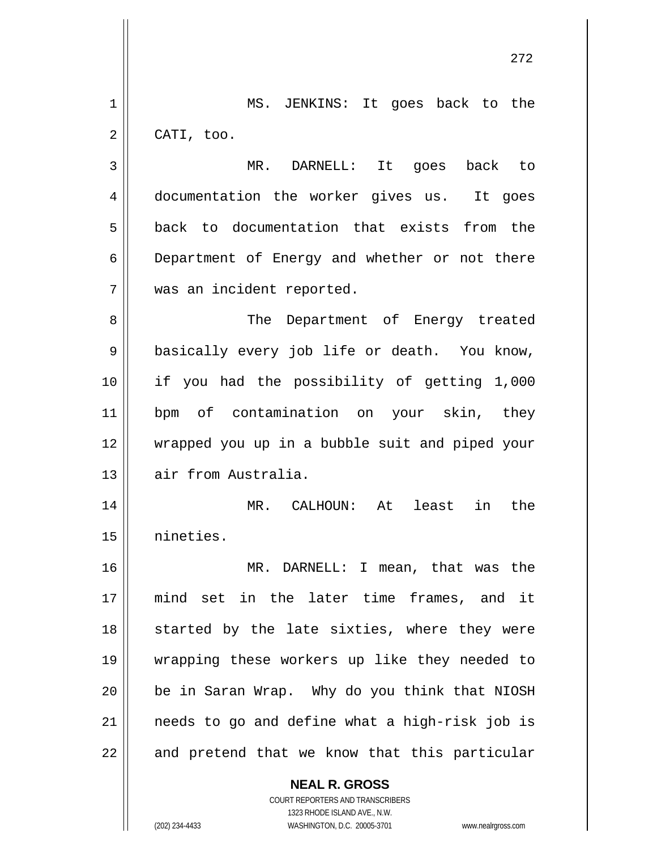|    | 272                                            |
|----|------------------------------------------------|
| 1  | MS. JENKINS: It goes back to the               |
| 2  | CATI, too.                                     |
| 3  | MR.<br>DARNELL: It goes<br>back to             |
| 4  | documentation the worker gives us. It goes     |
| 5  | back to documentation that exists from the     |
| 6  | Department of Energy and whether or not there  |
| 7  | was an incident reported.                      |
| 8  | The<br>Department of Energy treated            |
| 9  | basically every job life or death. You know,   |
| 10 | if you had the possibility of getting 1,000    |
| 11 | bpm of contamination on your skin, they        |
| 12 | wrapped you up in a bubble suit and piped your |
| 13 | air from Australia.                            |
| 14 | in the<br>$MR$ .<br>CALHOUN: At<br>least       |
| 15 | nineties.                                      |
| 16 | MR. DARNELL: I mean, that was the              |
| 17 | mind set in the later time frames, and it      |
| 18 | started by the late sixties, where they were   |
| 19 | wrapping these workers up like they needed to  |
| 20 | be in Saran Wrap. Why do you think that NIOSH  |
| 21 | needs to go and define what a high-risk job is |
| 22 | and pretend that we know that this particular  |
|    | <b>NEAL R. GROSS</b>                           |

COURT REPORTERS AND TRANSCRIBERS 1323 RHODE ISLAND AVE., N.W.

 $\mathsf{II}$ 

 $\overline{\phantom{a}}$ 

 $\mathsf{I}$ 

(202) 234-4433 WASHINGTON, D.C. 20005-3701 www.nealrgross.com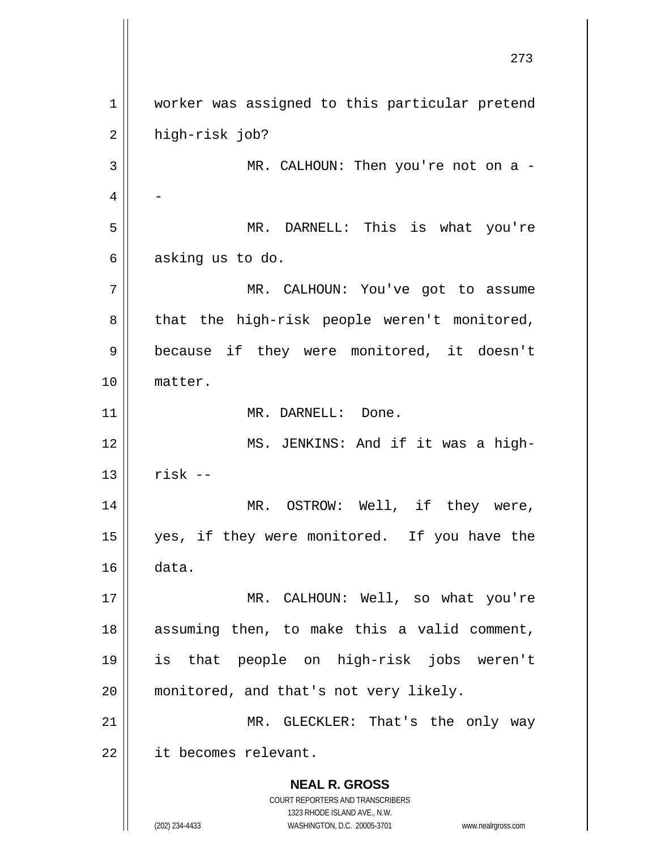**NEAL R. GROSS** COURT REPORTERS AND TRANSCRIBERS 1323 RHODE ISLAND AVE., N.W. (202) 234-4433 WASHINGTON, D.C. 20005-3701 www.nealrgross.com 273 1 2 3 4 5 6 7 8 9 10 11 12 13 14 15 16 17 18 19 20 21 22 worker was assigned to this particular pretend high-risk job? MR. CALHOUN: Then you're not on a -- MR. DARNELL: This is what you're asking us to do. MR. CALHOUN: You've got to assume that the high-risk people weren't monitored, because if they were monitored, it doesn't matter. MR. DARNELL: Done. MS. JENKINS: And if it was a highrisk -- MR. OSTROW: Well, if they were, yes, if they were monitored. If you have the data. MR. CALHOUN: Well, so what you're assuming then, to make this a valid comment, is that people on high-risk jobs weren't monitored, and that's not very likely. MR. GLECKLER: That's the only way it becomes relevant.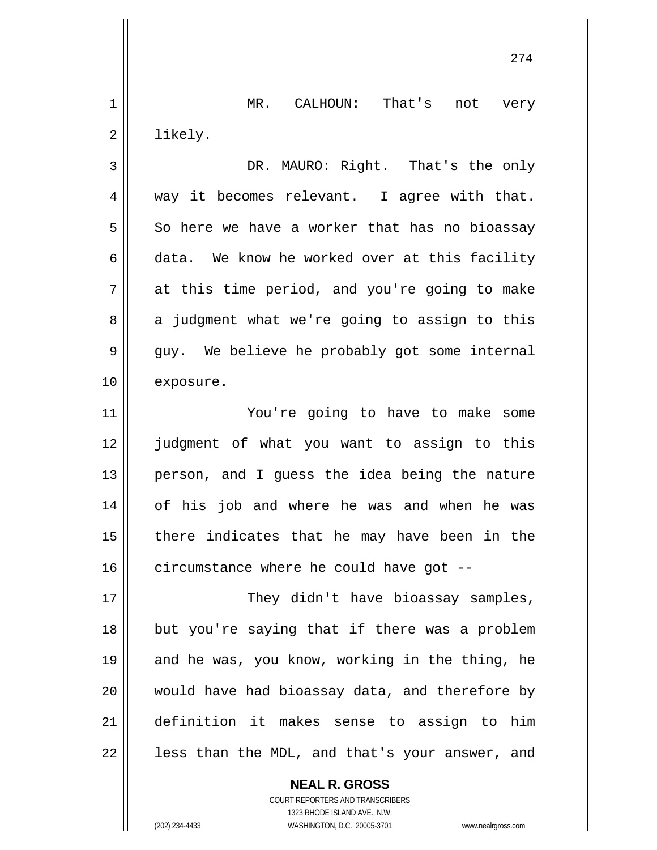1 2 3 4 5 6 7 8 9 10 11 12 13 14 15 16 17 18 19 20 21 22 MR. CALHOUN: That's not very likely. DR. MAURO: Right. That's the only way it becomes relevant. I agree with that. So here we have a worker that has no bioassay data. We know he worked over at this facility at this time period, and you're going to make a judgment what we're going to assign to this guy. We believe he probably got some internal exposure. You're going to have to make some judgment of what you want to assign to this person, and I guess the idea being the nature of his job and where he was and when he was there indicates that he may have been in the circumstance where he could have got -- They didn't have bioassay samples, but you're saying that if there was a problem and he was, you know, working in the thing, he would have had bioassay data, and therefore by definition it makes sense to assign to him less than the MDL, and that's your answer, and

274

**NEAL R. GROSS** COURT REPORTERS AND TRANSCRIBERS 1323 RHODE ISLAND AVE., N.W.

(202) 234-4433 WASHINGTON, D.C. 20005-3701 www.nealrgross.com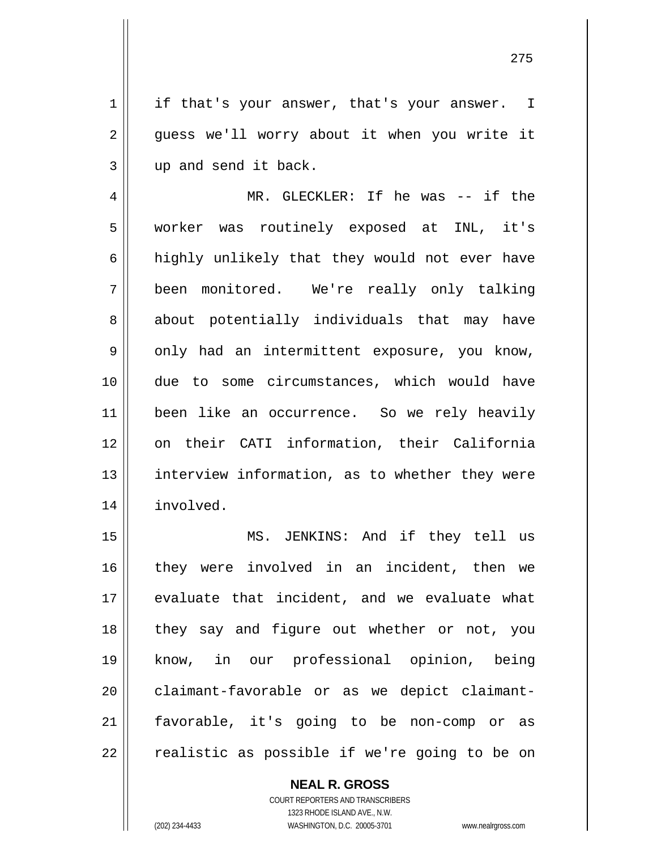1 2 3 if that's your answer, that's your answer. I guess we'll worry about it when you write it up and send it back.

4 5 6 7 8 9 10 11 12 13 14 MR. GLECKLER: If he was -- if the worker was routinely exposed at INL, it's highly unlikely that they would not ever have been monitored. We're really only talking about potentially individuals that may have only had an intermittent exposure, you know, due to some circumstances, which would have been like an occurrence. So we rely heavily on their CATI information, their California interview information, as to whether they were involved.

15 16 17 18 19 20 21 22 MS. JENKINS: And if they tell us they were involved in an incident, then we evaluate that incident, and we evaluate what they say and figure out whether or not, you know, in our professional opinion, being claimant-favorable or as we depict claimantfavorable, it's going to be non-comp or as realistic as possible if we're going to be on

> COURT REPORTERS AND TRANSCRIBERS 1323 RHODE ISLAND AVE., N.W. (202) 234-4433 WASHINGTON, D.C. 20005-3701 www.nealrgross.com

**NEAL R. GROSS**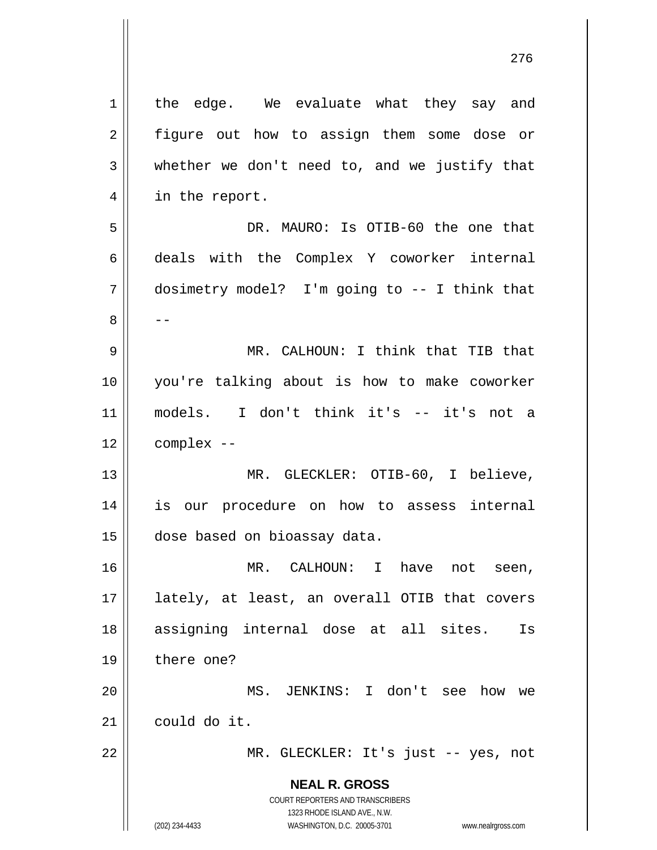**NEAL R. GROSS** COURT REPORTERS AND TRANSCRIBERS 1323 RHODE ISLAND AVE., N.W. (202) 234-4433 WASHINGTON, D.C. 20005-3701 www.nealrgross.com 1 2 3 4 5 6 7 8 9 10 11 12 13 14 15 16 17 18 19 20 21 22 the edge. We evaluate what they say and figure out how to assign them some dose or whether we don't need to, and we justify that in the report. DR. MAURO: Is OTIB-60 the one that deals with the Complex Y coworker internal dosimetry model? I'm going to -- I think that -- MR. CALHOUN: I think that TIB that you're talking about is how to make coworker models. I don't think it's -- it's not a complex -- MR. GLECKLER: OTIB-60, I believe, is our procedure on how to assess internal dose based on bioassay data. MR. CALHOUN: I have not seen, lately, at least, an overall OTIB that covers assigning internal dose at all sites. Is there one? MS. JENKINS: I don't see how we could do it. MR. GLECKLER: It's just -- yes, not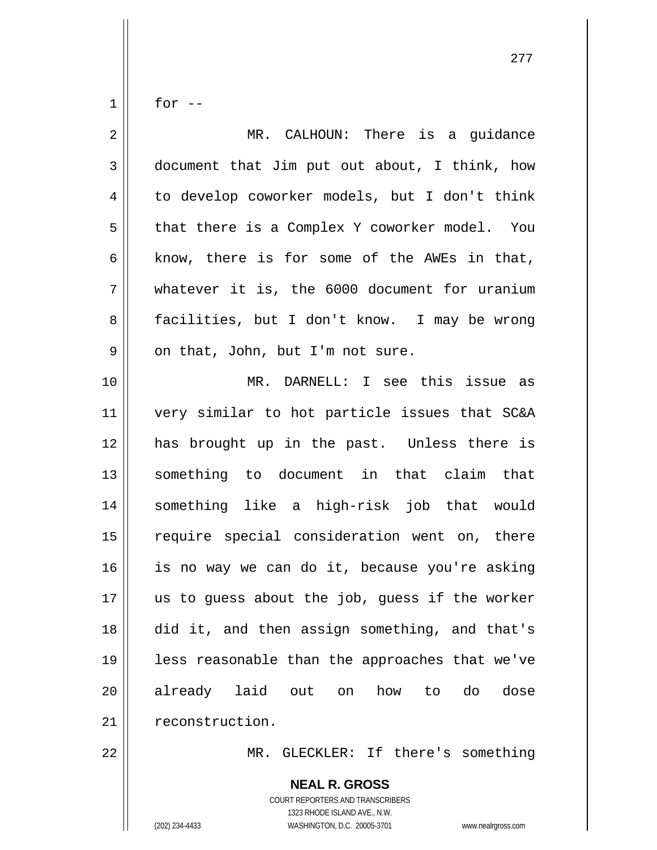for --

1

| $\overline{2}$ | MR. CALHOUN: There is a guidance               |
|----------------|------------------------------------------------|
| 3              | document that Jim put out about, I think, how  |
| 4              | to develop coworker models, but I don't think  |
| 5              | that there is a Complex Y coworker model. You  |
| 6              | know, there is for some of the AWEs in that,   |
| 7              | whatever it is, the 6000 document for uranium  |
| 8              | facilities, but I don't know. I may be wrong   |
| 9              | on that, John, but I'm not sure.               |
| 10             | MR. DARNELL: I see this issue as               |
| 11             | very similar to hot particle issues that SC&A  |
| 12             | has brought up in the past. Unless there is    |
| 13             | something to document in that claim that       |
| 14             | something like a high-risk job that would      |
| 15             | require special consideration went on, there   |
| 16             | is no way we can do it, because you're asking  |
| 17             | us to quess about the job, quess if the worker |
| 18             | did it, and then assign something, and that's  |
| 19             | less reasonable than the approaches that we've |
| 20             | already laid out<br>how to<br>do<br>dose<br>on |
| 21             | reconstruction.                                |
| 22             | MR.<br>GLECKLER: If there's something          |

COURT REPORTERS AND TRANSCRIBERS 1323 RHODE ISLAND AVE., N.W. (202) 234-4433 WASHINGTON, D.C. 20005-3701 www.nealrgross.com

**NEAL R. GROSS**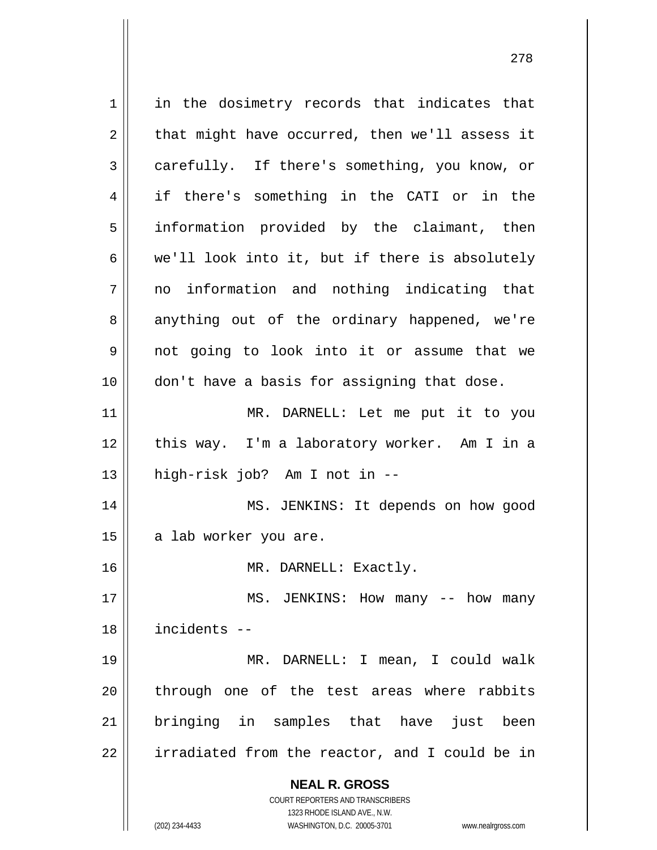**NEAL R. GROSS** COURT REPORTERS AND TRANSCRIBERS 1323 RHODE ISLAND AVE., N.W. (202) 234-4433 WASHINGTON, D.C. 20005-3701 www.nealrgross.com 1 2 3 4 5 6 7 8 9 10 11 12 13 14 15 16 17 18 19 20 21 22 in the dosimetry records that indicates that that might have occurred, then we'll assess it carefully. If there's something, you know, or if there's something in the CATI or in the information provided by the claimant, then we'll look into it, but if there is absolutely no information and nothing indicating that anything out of the ordinary happened, we're not going to look into it or assume that we don't have a basis for assigning that dose. MR. DARNELL: Let me put it to you this way. I'm a laboratory worker. Am I in a high-risk job? Am I not in -- MS. JENKINS: It depends on how good a lab worker you are. MR. DARNELL: Exactly. MS. JENKINS: How many -- how many incidents -- MR. DARNELL: I mean, I could walk through one of the test areas where rabbits bringing in samples that have just been irradiated from the reactor, and I could be in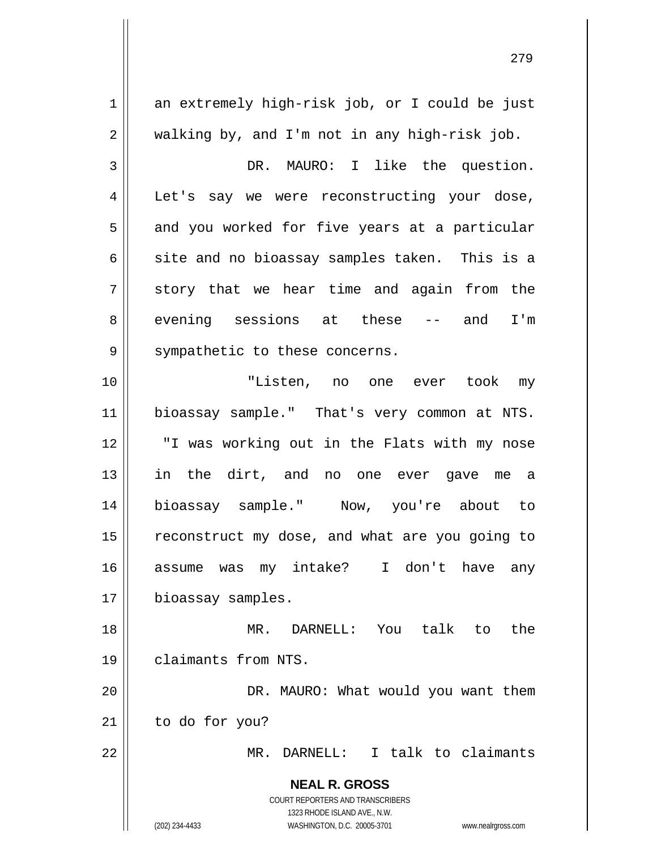**NEAL R. GROSS** COURT REPORTERS AND TRANSCRIBERS 1323 RHODE ISLAND AVE., N.W. (202) 234-4433 WASHINGTON, D.C. 20005-3701 www.nealrgross.com 1 2 3 4 5 6 7 8 9 10 11 12 13 14 15 16 17 18 19 20 21 22 an extremely high-risk job, or I could be just walking by, and I'm not in any high-risk job. DR. MAURO: I like the question. Let's say we were reconstructing your dose, and you worked for five years at a particular site and no bioassay samples taken. This is a story that we hear time and again from the evening sessions at these -- and I'm sympathetic to these concerns. "Listen, no one ever took my bioassay sample." That's very common at NTS. "I was working out in the Flats with my nose in the dirt, and no one ever gave me a bioassay sample." Now, you're about to reconstruct my dose, and what are you going to assume was my intake? I don't have any bioassay samples. MR. DARNELL: You talk to the claimants from NTS. DR. MAURO: What would you want them to do for you? MR. DARNELL: I talk to claimants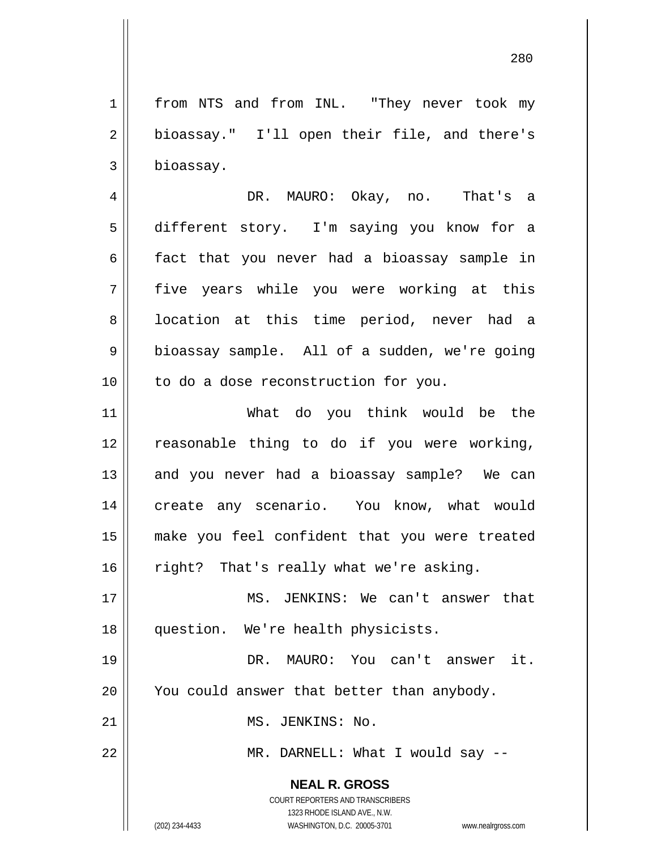1 2 3 from NTS and from INL. "They never took my bioassay." I'll open their file, and there's bioassay.

4 5 6 7 8 9 10 DR. MAURO: Okay, no. That's a different story. I'm saying you know for a fact that you never had a bioassay sample in five years while you were working at this location at this time period, never had a bioassay sample. All of a sudden, we're going to do a dose reconstruction for you.

11 12 13 14 15 16 What do you think would be the reasonable thing to do if you were working, and you never had a bioassay sample? We can create any scenario. You know, what would make you feel confident that you were treated right? That's really what we're asking.

17 18 MS. JENKINS: We can't answer that question. We're health physicists.

19 20 DR. MAURO: You can't answer it. You could answer that better than anybody.

MS. JENKINS: No.

MR. DARNELL: What I would say --

**NEAL R. GROSS** COURT REPORTERS AND TRANSCRIBERS

21

22

1323 RHODE ISLAND AVE., N.W. (202) 234-4433 WASHINGTON, D.C. 20005-3701 www.nealrgross.com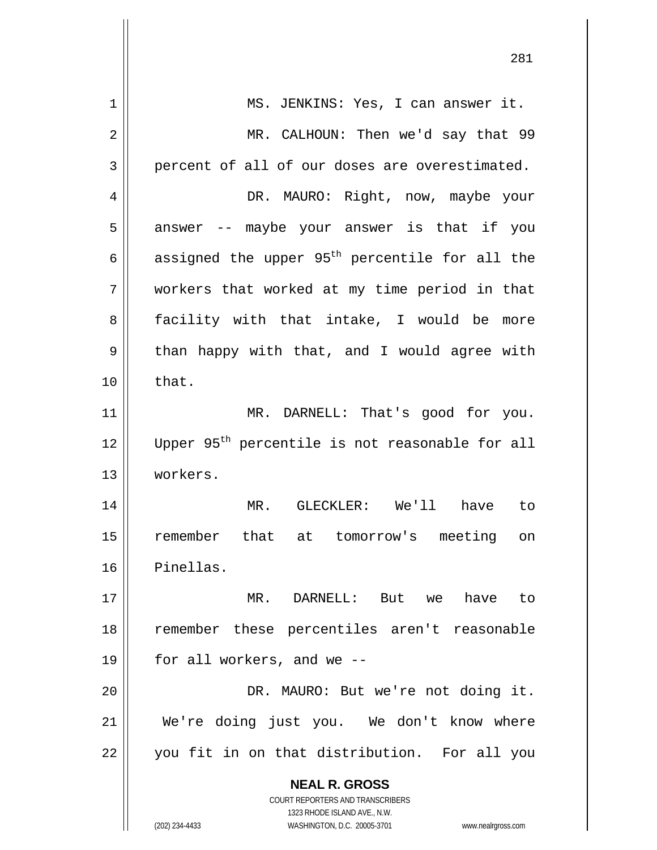| 1  | MS. JENKINS: Yes, I can answer it.                                                                  |
|----|-----------------------------------------------------------------------------------------------------|
| 2  | MR. CALHOUN: Then we'd say that 99                                                                  |
| 3  | percent of all of our doses are overestimated.                                                      |
| 4  | DR. MAURO: Right, now, maybe your                                                                   |
| 5  | answer -- maybe your answer is that if you                                                          |
| 6  | assigned the upper 95 <sup>th</sup> percentile for all the                                          |
| 7  | workers that worked at my time period in that                                                       |
| 8  | facility with that intake, I would be more                                                          |
| 9  | than happy with that, and I would agree with                                                        |
| 10 | that.                                                                                               |
| 11 | MR. DARNELL: That's good for you.                                                                   |
| 12 | Upper 95 <sup>th</sup> percentile is not reasonable for all                                         |
| 13 | workers.                                                                                            |
| 14 | MR. GLECKLER: We'll have to                                                                         |
| 15 | remember that at tomorrow's meeting on                                                              |
| 16 | Pinellas.                                                                                           |
| 17 | MR. DARNELL: But we have to                                                                         |
| 18 | remember these percentiles aren't reasonable                                                        |
| 19 | for all workers, and we --                                                                          |
| 20 | DR. MAURO: But we're not doing it.                                                                  |
| 21 | We're doing just you. We don't know where                                                           |
| 22 | you fit in on that distribution. For all you                                                        |
|    | <b>NEAL R. GROSS</b>                                                                                |
|    | <b>COURT REPORTERS AND TRANSCRIBERS</b>                                                             |
|    | 1323 RHODE ISLAND AVE., N.W.<br>(202) 234-4433<br>WASHINGTON, D.C. 20005-3701<br>www.nealrgross.com |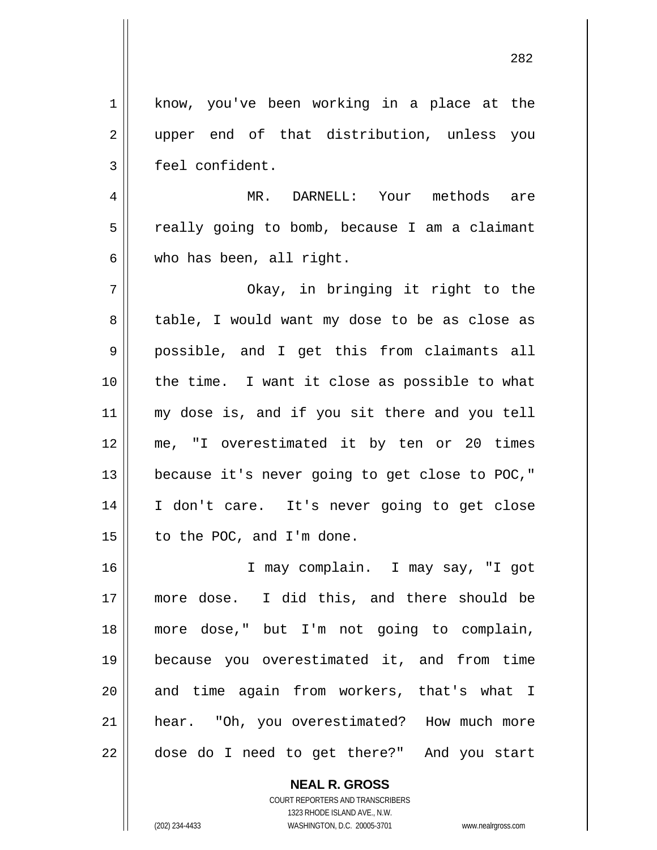1 2 3 4 5 6 7 8 9 10 11 12 13 14 15 16 17 18 19 20 21 22 know, you've been working in a place at the upper end of that distribution, unless you feel confident. MR. DARNELL: Your methods are really going to bomb, because I am a claimant who has been, all right. Okay, in bringing it right to the table, I would want my dose to be as close as possible, and I get this from claimants all the time. I want it close as possible to what my dose is, and if you sit there and you tell me, "I overestimated it by ten or 20 times because it's never going to get close to POC," I don't care. It's never going to get close to the POC, and I'm done. I may complain. I may say, "I got more dose. I did this, and there should be more dose," but I'm not going to complain, because you overestimated it, and from time and time again from workers, that's what I hear. "Oh, you overestimated? How much more dose do I need to get there?" And you start

> **NEAL R. GROSS** COURT REPORTERS AND TRANSCRIBERS

> > 1323 RHODE ISLAND AVE., N.W.

(202) 234-4433 WASHINGTON, D.C. 20005-3701 www.nealrgross.com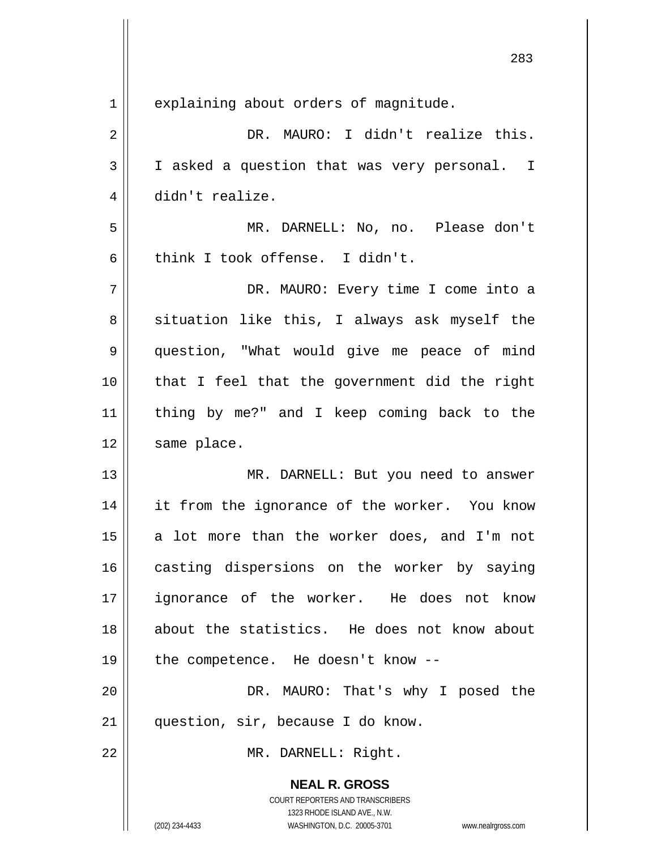|                | 283                                                                                                 |
|----------------|-----------------------------------------------------------------------------------------------------|
| $\mathbf 1$    | explaining about orders of magnitude.                                                               |
| $\overline{2}$ | DR. MAURO: I didn't realize this.                                                                   |
| 3              | I asked a question that was very personal. I                                                        |
| 4              | didn't realize.                                                                                     |
| 5              | MR. DARNELL: No, no. Please don't                                                                   |
| 6              | think I took offense. I didn't.                                                                     |
| 7              | DR. MAURO: Every time I come into a                                                                 |
| 8              | situation like this, I always ask myself the                                                        |
| 9              | question, "What would give me peace of mind                                                         |
| 10             | that I feel that the government did the right                                                       |
| 11             | thing by me?" and I keep coming back to the                                                         |
| 12             | same place.                                                                                         |
| 13             | MR. DARNELL: But you need to answer                                                                 |
| 14             | it from the ignorance of the worker. You know                                                       |
| 15             | a lot more than the worker does, and I'm not                                                        |
| 16             | casting dispersions on the worker by saying                                                         |
| 17             | ignorance of the worker. He does not know                                                           |
| 18             | about the statistics. He does not know about                                                        |
| 19             | the competence. He doesn't know --                                                                  |
| 20             | DR. MAURO: That's why I posed the                                                                   |
| 21             | question, sir, because I do know.                                                                   |
| 22             | MR. DARNELL: Right.                                                                                 |
|                | <b>NEAL R. GROSS</b>                                                                                |
|                | COURT REPORTERS AND TRANSCRIBERS                                                                    |
|                | 1323 RHODE ISLAND AVE., N.W.<br>(202) 234-4433<br>WASHINGTON, D.C. 20005-3701<br>www.nealrgross.com |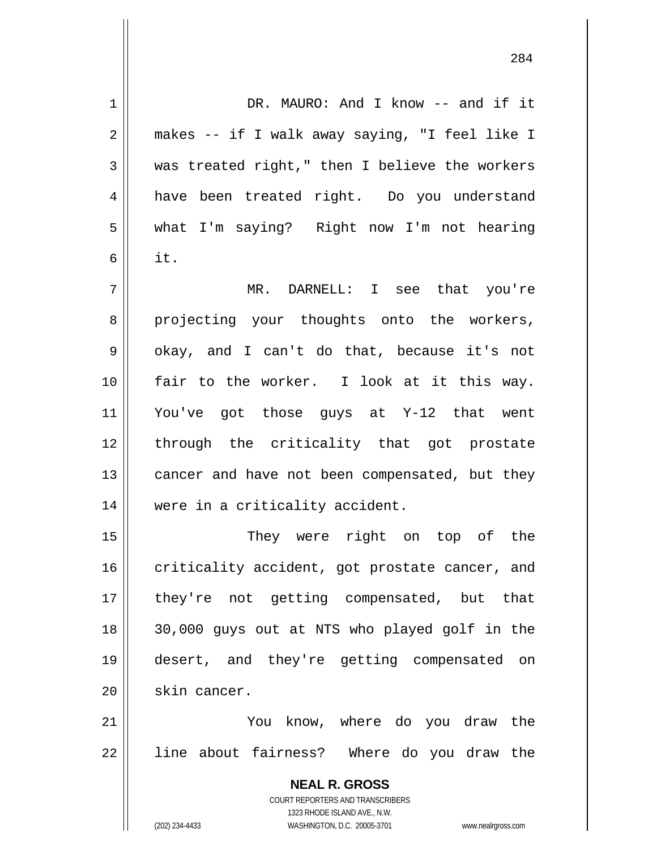**NEAL R. GROSS** COURT REPORTERS AND TRANSCRIBERS 1323 RHODE ISLAND AVE., N.W. (202) 234-4433 WASHINGTON, D.C. 20005-3701 www.nealrgross.com 1 2 3 4 5 6 7 8 9 10 11 12 13 14 15 16 17 18 19 20 21 22 DR. MAURO: And I know -- and if it makes -- if I walk away saying, "I feel like I was treated right," then I believe the workers have been treated right. Do you understand what I'm saying? Right now I'm not hearing it. MR. DARNELL: I see that you're projecting your thoughts onto the workers, okay, and I can't do that, because it's not fair to the worker. I look at it this way. You've got those guys at Y-12 that went through the criticality that got prostate cancer and have not been compensated, but they were in a criticality accident. They were right on top of the criticality accident, got prostate cancer, and they're not getting compensated, but that 30,000 guys out at NTS who played golf in the desert, and they're getting compensated on skin cancer. You know, where do you draw the line about fairness? Where do you draw the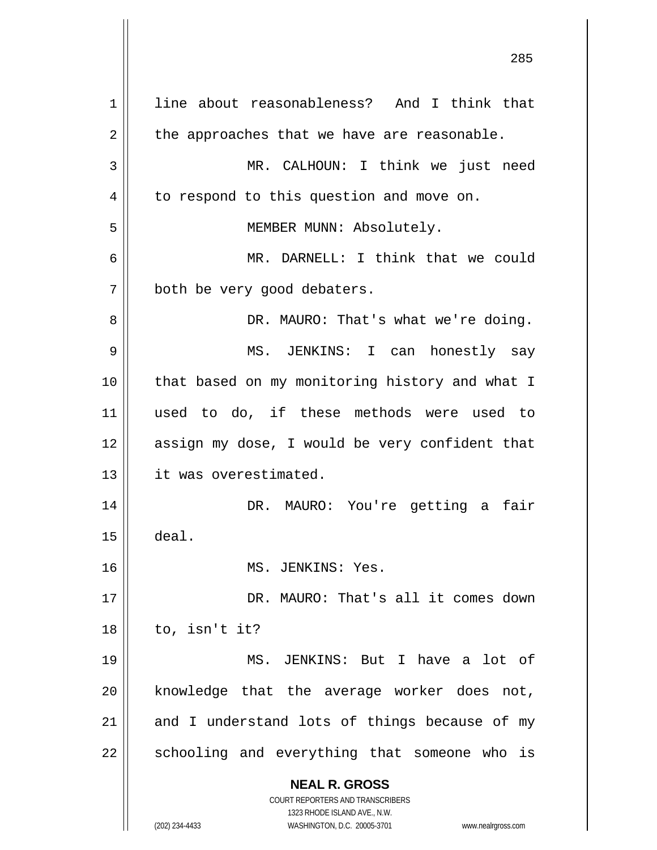**NEAL R. GROSS** COURT REPORTERS AND TRANSCRIBERS 1323 RHODE ISLAND AVE., N.W. (202) 234-4433 WASHINGTON, D.C. 20005-3701 www.nealrgross.com 1 2 3 4 5 6 7 8 9 10 11 12 13 14 15 16 17 18 19 20 21 22 line about reasonableness? And I think that the approaches that we have are reasonable. MR. CALHOUN: I think we just need to respond to this question and move on. MEMBER MUNN: Absolutely. MR. DARNELL: I think that we could both be very good debaters. DR. MAURO: That's what we're doing. MS. JENKINS: I can honestly say that based on my monitoring history and what I used to do, if these methods were used to assign my dose, I would be very confident that it was overestimated. DR. MAURO: You're getting a fair deal. MS. JENKINS: Yes. DR. MAURO: That's all it comes down to, isn't it? MS. JENKINS: But I have a lot of knowledge that the average worker does not, and I understand lots of things because of my schooling and everything that someone who is

<u>285 and 285 and 286 and 286 and 286 and 286 and 286 and 286 and 286 and 286 and 286 and 286 and 286 and 286 and 287 and 287 and 287 and 287 and 287 and 287 and 287 and 287 and 288 and 287 and 288 and 288 and 288 and 288 a</u>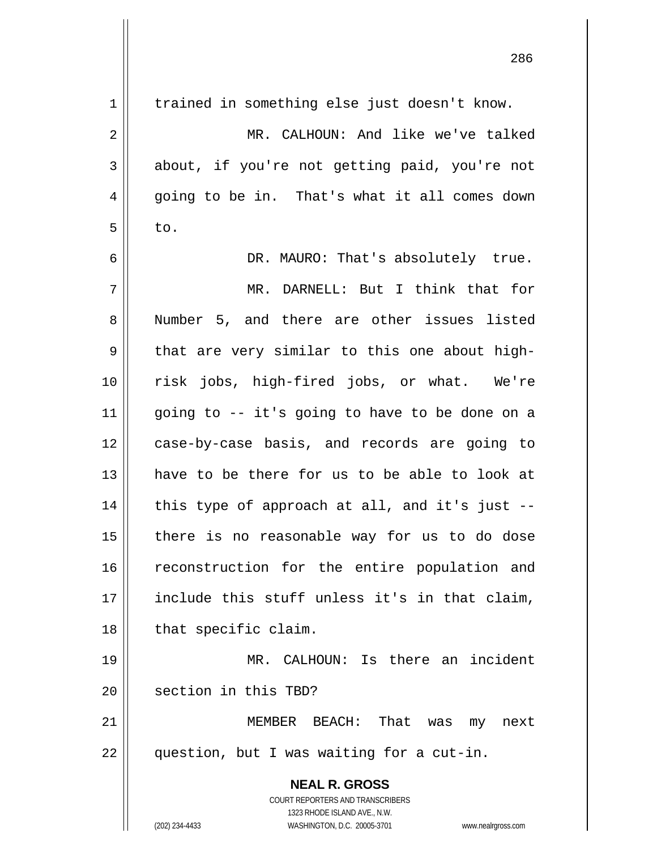| trained in something else just doesn't know.   |
|------------------------------------------------|
| MR. CALHOUN: And like we've talked             |
| about, if you're not getting paid, you're not  |
| going to be in. That's what it all comes down  |
|                                                |
| DR. MAURO: That's absolutely true.             |
| MR. DARNELL: But I think that for              |
| Number 5, and there are other issues listed    |
| that are very similar to this one about high-  |
| risk jobs, high-fired jobs, or what. We're     |
| going to -- it's going to have to be done on a |
| case-by-case basis, and records are going to   |
| have to be there for us to be able to look at  |
| this type of approach at all, and it's just -- |
| there is no reasonable way for us to do dose   |
| reconstruction for the entire population and   |
| include this stuff unless it's in that claim,  |
|                                                |
| MR. CALHOUN: Is there an incident              |
|                                                |
| next                                           |
|                                                |
|                                                |
|                                                |
| www.nealrgross.com                             |
|                                                |

<u>286 میں اس کا 1988 میں اس کا 1988 میں اس کا 1988 میں اس کا 1988 میں اس کا 1988 میں اس کا 1988 میں اس</u>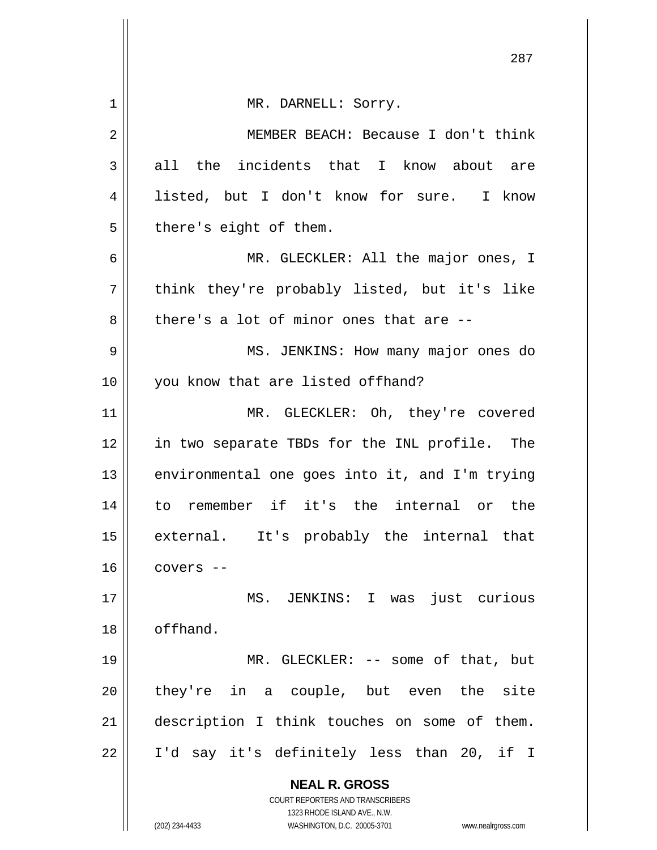|             | 287                                                                 |
|-------------|---------------------------------------------------------------------|
| $\mathbf 1$ | MR. DARNELL: Sorry.                                                 |
| 2           | MEMBER BEACH: Because I don't think                                 |
| 3           | all the incidents that I know about are                             |
| 4           | listed, but I don't know for sure. I know                           |
| 5           | there's eight of them.                                              |
| 6           | MR. GLECKLER: All the major ones, I                                 |
| 7           | think they're probably listed, but it's like                        |
| 8           | there's a lot of minor ones that are --                             |
| 9           | MS. JENKINS: How many major ones do                                 |
| 10          | you know that are listed offhand?                                   |
| 11          | MR. GLECKLER: Oh, they're covered                                   |
| 12          | in two separate TBDs for the INL profile. The                       |
| 13          | environmental one goes into it, and I'm trying                      |
| 14          | to remember if it's the internal or the                             |
| 15          | external. It's probably the internal that                           |
| 16          | covers --                                                           |
| 17          | MS. JENKINS: I was<br>just curious                                  |
| 18          | offhand.                                                            |
| 19          | MR. GLECKLER: -- some of that, but                                  |
| 20          | they're in a couple, but even the site                              |
| 21          | description I think touches on some of them.                        |
| 22          | I'd say it's definitely less than 20, if I                          |
|             | <b>NEAL R. GROSS</b>                                                |
|             | COURT REPORTERS AND TRANSCRIBERS<br>1323 RHODE ISLAND AVE., N.W.    |
|             | (202) 234-4433<br>WASHINGTON, D.C. 20005-3701<br>www.nealrgross.com |

 $\parallel$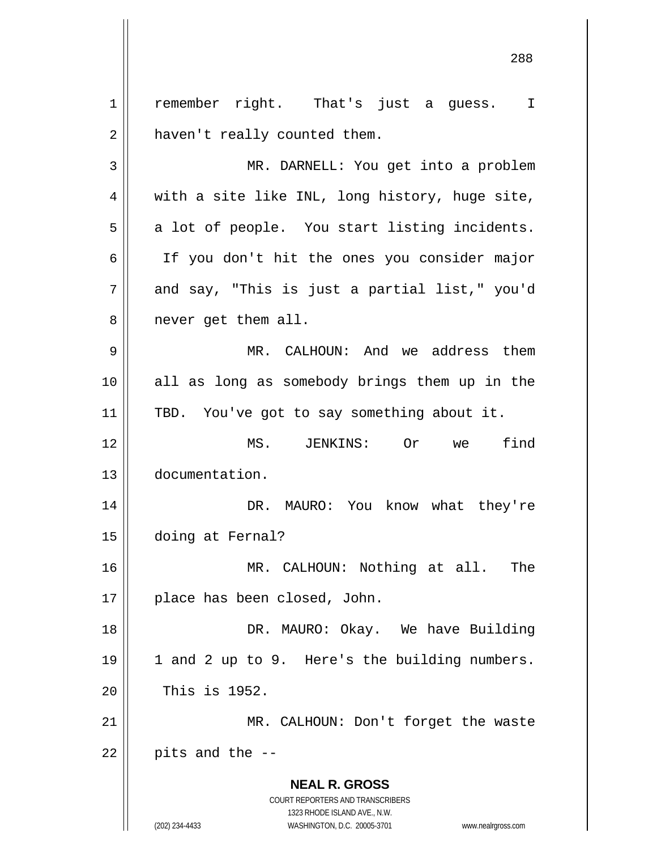**NEAL R. GROSS** COURT REPORTERS AND TRANSCRIBERS 1323 RHODE ISLAND AVE., N.W. (202) 234-4433 WASHINGTON, D.C. 20005-3701 www.nealrgross.com 1 2 3 4 5 6 7 8 9 10 11 12 13 14 15 16 17 18 19 20 21 22 remember right. That's just a guess. I haven't really counted them. MR. DARNELL: You get into a problem with a site like INL, long history, huge site, a lot of people. You start listing incidents. If you don't hit the ones you consider major and say, "This is just a partial list," you'd never get them all. MR. CALHOUN: And we address them all as long as somebody brings them up in the TBD. You've got to say something about it. MS. JENKINS: Or we find documentation. DR. MAURO: You know what they're doing at Fernal? MR. CALHOUN: Nothing at all. The place has been closed, John. DR. MAURO: Okay. We have Building 1 and 2 up to 9. Here's the building numbers. This is 1952. MR. CALHOUN: Don't forget the waste pits and the --

<u>288 and 288 and 288 and 288 and 288 and 288 and 288 and 288 and 288 and 288 and 288 and 288 and 288 and 288 and 288 and 288 and 288 and 288 and 288 and 288 and 288 and 288 and 288 and 288 and 288 and 288 and 288 and 288 a</u>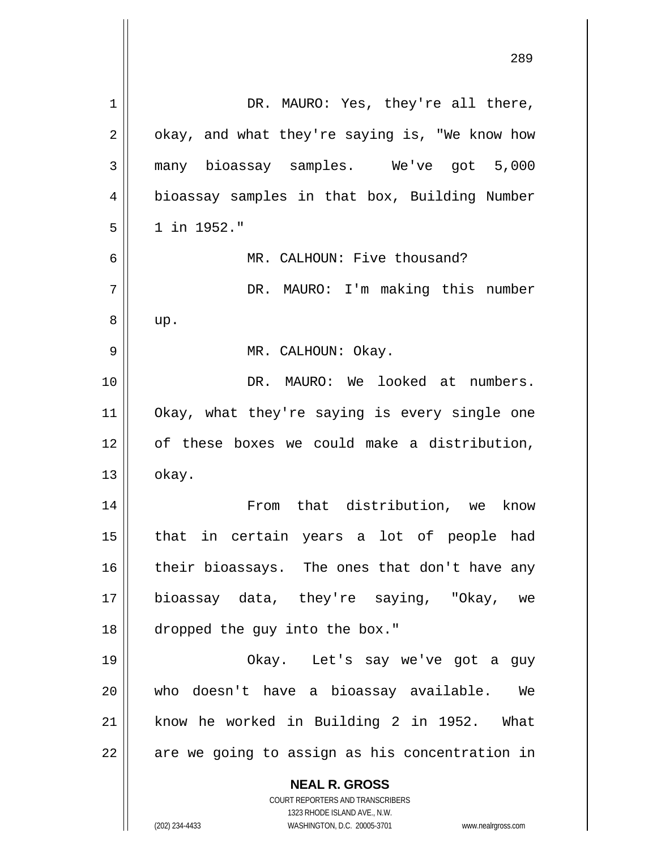| $\mathbf 1$ | DR. MAURO: Yes, they're all there,                                                                  |
|-------------|-----------------------------------------------------------------------------------------------------|
| 2           | okay, and what they're saying is, "We know how                                                      |
| 3           | many bioassay samples. We've got 5,000                                                              |
| 4           | bioassay samples in that box, Building Number                                                       |
| 5           | 1 in 1952."                                                                                         |
| 6           | MR. CALHOUN: Five thousand?                                                                         |
| 7           | DR. MAURO: I'm making this number                                                                   |
| 8           | up.                                                                                                 |
| 9           | MR. CALHOUN: Okay.                                                                                  |
| 10          | DR. MAURO: We looked at numbers.                                                                    |
| 11          | Okay, what they're saying is every single one                                                       |
| 12          | of these boxes we could make a distribution,                                                        |
| 13          | okay.                                                                                               |
| 14          | From that distribution, we know                                                                     |
| 15          | that in certain years a lot of people had                                                           |
| 16          | their bioassays. The ones that don't have any                                                       |
| 17          | bioassay data, they're saying, "Okay, we                                                            |
| 18          | dropped the guy into the box."                                                                      |
| 19          | Okay. Let's say we've got a guy                                                                     |
| 20          | who doesn't have a bioassay available. We                                                           |
| 21          | know he worked in Building 2 in 1952. What                                                          |
| 22          | are we going to assign as his concentration in                                                      |
|             | <b>NEAL R. GROSS</b>                                                                                |
|             | <b>COURT REPORTERS AND TRANSCRIBERS</b>                                                             |
|             | 1323 RHODE ISLAND AVE., N.W.<br>(202) 234-4433<br>WASHINGTON, D.C. 20005-3701<br>www.nealrgross.com |

<u>289 and 289 and 289 and 289 and 289 and 289 and 289 and 289 and 289 and 289 and 289 and 289 and 289 and 289 and 289 and 289 and 289 and 289 and 289 and 289 and 289 and 289 and 289 and 289 and 289 and 289 and 289 and 289 a</u>

 $\mathsf{I}$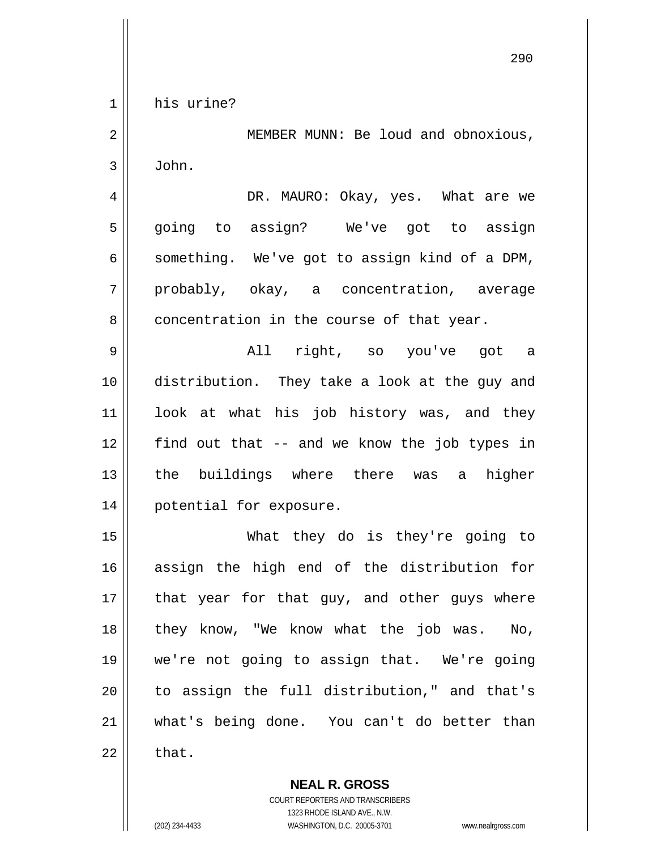1 his urine?

2 3 MEMBER MUNN: Be loud and obnoxious, John.

4 5 6 7 8 DR. MAURO: Okay, yes. What are we going to assign? We've got to assign something. We've got to assign kind of a DPM, probably, okay, a concentration, average concentration in the course of that year.

9 10 11 12 13 14 All right, so you've got a distribution. They take a look at the guy and look at what his job history was, and they find out that -- and we know the job types in the buildings where there was a higher potential for exposure.

15 16 17 18 19 20 21 22 What they do is they're going to assign the high end of the distribution for that year for that guy, and other guys where they know, "We know what the job was. No, we're not going to assign that. We're going to assign the full distribution," and that's what's being done. You can't do better than that.

> **NEAL R. GROSS** COURT REPORTERS AND TRANSCRIBERS 1323 RHODE ISLAND AVE., N.W.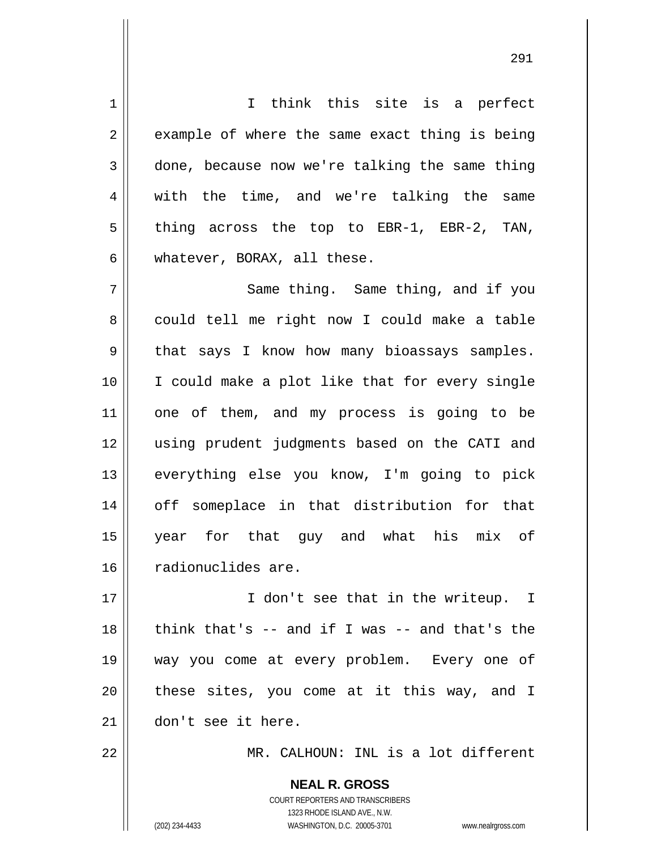1 2 3 4 5 6 7 8 9 10 11 12 13 14 15 16 17 18 19 20 21 22 I think this site is a perfect example of where the same exact thing is being done, because now we're talking the same thing with the time, and we're talking the same thing across the top to EBR-1, EBR-2, TAN, whatever, BORAX, all these. Same thing. Same thing, and if you could tell me right now I could make a table that says I know how many bioassays samples. I could make a plot like that for every single one of them, and my process is going to be using prudent judgments based on the CATI and everything else you know, I'm going to pick off someplace in that distribution for that year for that guy and what his mix of radionuclides are. I don't see that in the writeup. I think that's -- and if I was -- and that's the way you come at every problem. Every one of these sites, you come at it this way, and I don't see it here. MR. CALHOUN: INL is a lot different

<u>291</u>

**NEAL R. GROSS** COURT REPORTERS AND TRANSCRIBERS 1323 RHODE ISLAND AVE., N.W. (202) 234-4433 WASHINGTON, D.C. 20005-3701 www.nealrgross.com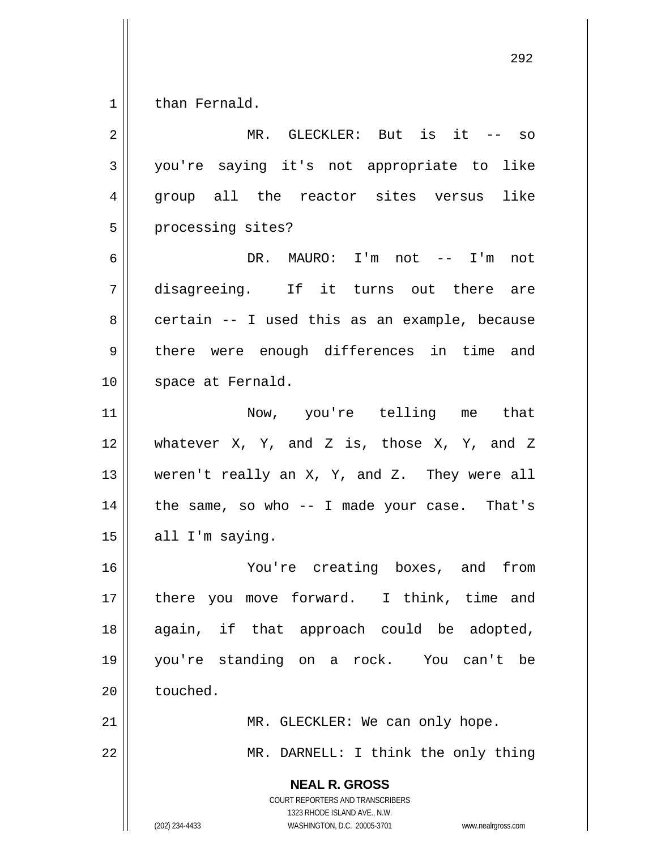1 than Fernald.

| $\overline{2}$ | MR. GLECKLER: But is it -- so                                                                                                                                          |
|----------------|------------------------------------------------------------------------------------------------------------------------------------------------------------------------|
| $\mathfrak{Z}$ | you're saying it's not appropriate to like                                                                                                                             |
| $\overline{4}$ | group all the reactor sites versus<br>like                                                                                                                             |
| 5              | processing sites?                                                                                                                                                      |
| 6              | DR. MAURO: I'm not -- I'm<br>not                                                                                                                                       |
| 7              | disagreeing. If it turns out there are                                                                                                                                 |
| 8              | certain -- I used this as an example, because                                                                                                                          |
| $\mathsf 9$    | there were enough differences in time and                                                                                                                              |
| 10             | space at Fernald.                                                                                                                                                      |
| 11             | Now, you're telling me that                                                                                                                                            |
| 12             | whatever $X$ , $Y$ , and $Z$ is, those $X$ , $Y$ , and $Z$                                                                                                             |
| 13             | weren't really an X, Y, and Z. They were all                                                                                                                           |
| 14             | the same, so who $-$ - I made your case. That's                                                                                                                        |
| 15             | all I'm saying.                                                                                                                                                        |
| 16             | You're creating boxes, and from                                                                                                                                        |
| 17             | there you move forward. I think, time and                                                                                                                              |
| 18             | again, if that approach could be adopted,                                                                                                                              |
| 19             | you're standing on a rock. You can't be                                                                                                                                |
| 20             | touched.                                                                                                                                                               |
| 21             | MR. GLECKLER: We can only hope.                                                                                                                                        |
| 22             | MR. DARNELL: I think the only thing                                                                                                                                    |
|                | <b>NEAL R. GROSS</b><br><b>COURT REPORTERS AND TRANSCRIBERS</b><br>1323 RHODE ISLAND AVE., N.W.<br>WASHINGTON, D.C. 20005-3701<br>(202) 234-4433<br>www.nealrgross.com |

<u>292 and 2002 and 2003 and 2003 and 2003 and 2003 and 2003 and 2003 and 2003 and 2003 and 2003 and 2003 and 20</u>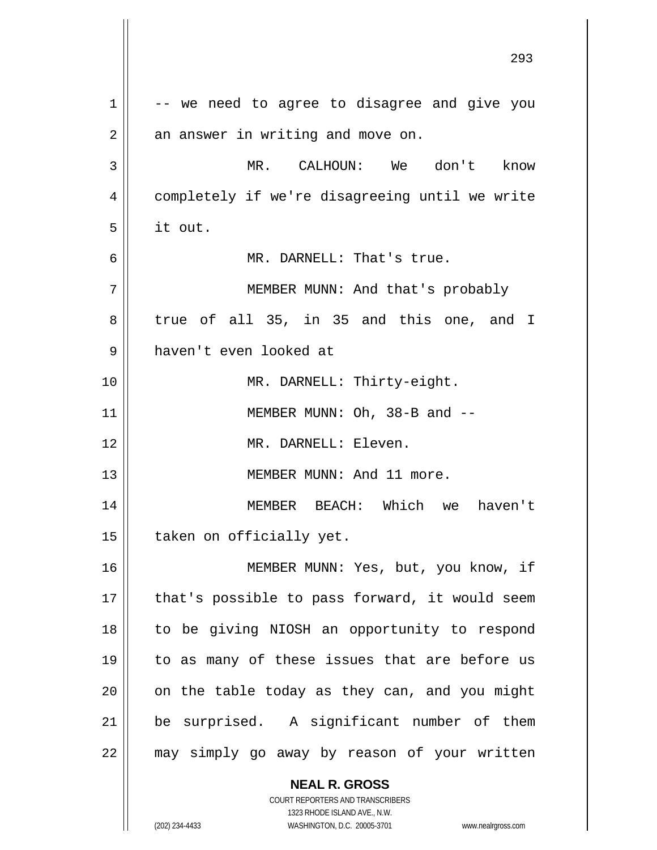**NEAL R. GROSS** COURT REPORTERS AND TRANSCRIBERS <u>293</u> 1 2 3 4 5 6 7 8 9 10 11 12 13 14 15 16 17 18 19 20 21 22 -- we need to agree to disagree and give you an answer in writing and move on. MR. CALHOUN: We don't know completely if we're disagreeing until we write it out. MR. DARNELL: That's true. MEMBER MUNN: And that's probably true of all 35, in 35 and this one, and I haven't even looked at MR. DARNELL: Thirty-eight. MEMBER MUNN: Oh, 38-B and -- MR. DARNELL: Eleven. MEMBER MUNN: And 11 more. MEMBER BEACH: Which we haven't taken on officially yet. MEMBER MUNN: Yes, but, you know, if that's possible to pass forward, it would seem to be giving NIOSH an opportunity to respond to as many of these issues that are before us on the table today as they can, and you might be surprised. A significant number of them may simply go away by reason of your written

1323 RHODE ISLAND AVE., N.W.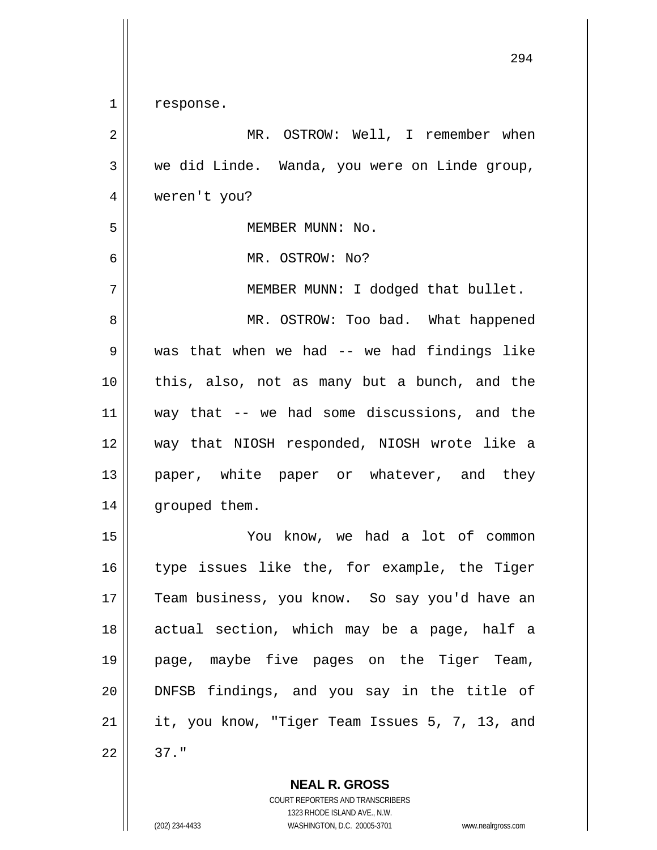1 response.

| $\sqrt{2}$     | MR. OSTROW: Well, I remember when              |
|----------------|------------------------------------------------|
| $\mathfrak{Z}$ | we did Linde. Wanda, you were on Linde group,  |
| $\overline{4}$ | weren't you?                                   |
| 5              | MEMBER MUNN: No.                               |
| 6              | MR. OSTROW: No?                                |
| 7              | MEMBER MUNN: I dodged that bullet.             |
| 8              | MR. OSTROW: Too bad. What happened             |
| 9              | was that when we had $--$ we had findings like |
| 10             | this, also, not as many but a bunch, and the   |
| 11             | way that $-$ we had some discussions, and the  |
| 12             | way that NIOSH responded, NIOSH wrote like a   |
| 13             | paper, white paper or whatever, and they       |
| 14             | grouped them.                                  |
| 15             | You know, we had a lot of common               |
| 16             | type issues like the, for example, the Tiger   |
| 17             | Team business, you know. So say you'd have an  |
| 18             | actual section, which may be a page, half a    |
| 19             | page, maybe five pages on the Tiger Team,      |
| 20             | DNFSB findings, and you say in the title of    |
| 21             | it, you know, "Tiger Team Issues 5, 7, 13, and |
| 22             | $37.$ "                                        |
|                |                                                |

**NEAL R. GROSS** COURT REPORTERS AND TRANSCRIBERS 1323 RHODE ISLAND AVE., N.W.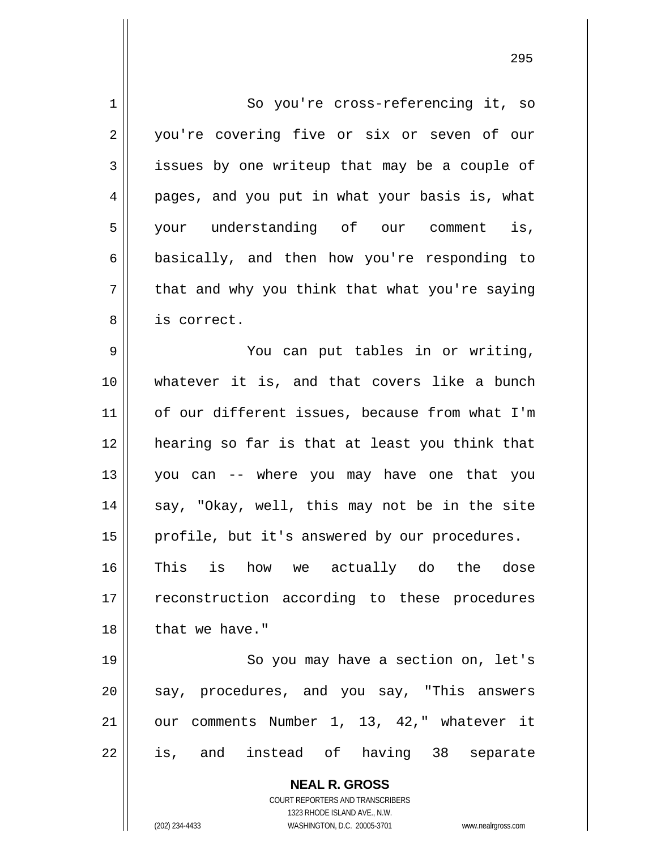**NEAL R. GROSS** COURT REPORTERS AND TRANSCRIBERS 1323 RHODE ISLAND AVE., N.W. 1 2 3 4 5 6 7 8 9 10 11 12 13 14 15 16 17 18 19 20 21 22 So you're cross-referencing it, so you're covering five or six or seven of our issues by one writeup that may be a couple of pages, and you put in what your basis is, what your understanding of our comment is, basically, and then how you're responding to that and why you think that what you're saying is correct. You can put tables in or writing, whatever it is, and that covers like a bunch of our different issues, because from what I'm hearing so far is that at least you think that you can -- where you may have one that you say, "Okay, well, this may not be in the site profile, but it's answered by our procedures. This is how we actually do the dose reconstruction according to these procedures that we have." So you may have a section on, let's say, procedures, and you say, "This answers our comments Number 1, 13, 42," whatever it is, and instead of having 38 separate

(202) 234-4433 WASHINGTON, D.C. 20005-3701 www.nealrgross.com

<u>295</u>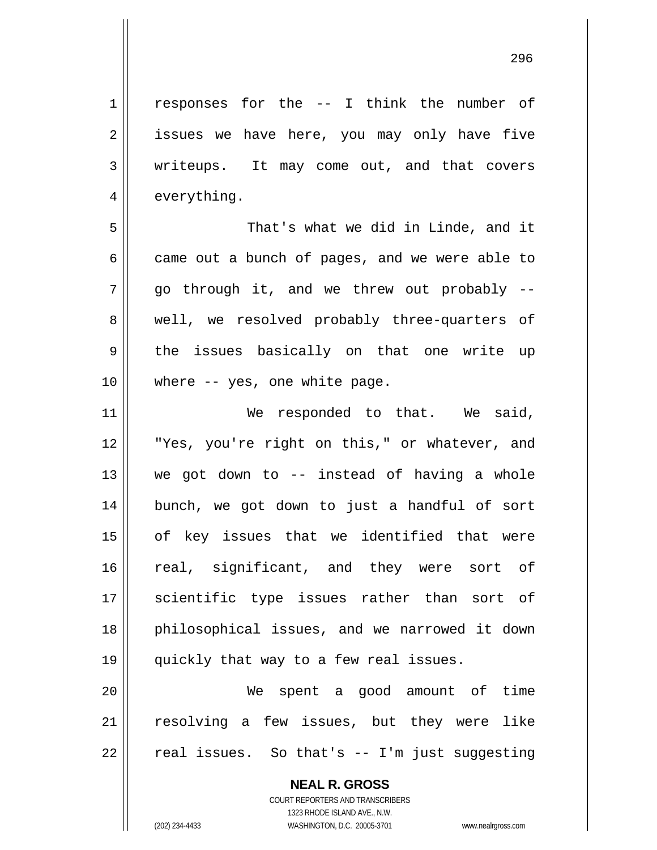<u>296 - 296 - 297 - 298 - 298 - 298 - 298 - 298 - 298 - 298 - 298 - 298 - 298 - 298 - 298 - 298 - 298 - 298 - 2</u>

| $\mathbf 1$    | responses for the -- I think the number of                                                          |
|----------------|-----------------------------------------------------------------------------------------------------|
| $\overline{2}$ | issues we have here, you may only have five                                                         |
| 3              | writeups. It may come out, and that covers                                                          |
| 4              | everything.                                                                                         |
| 5              | That's what we did in Linde, and it                                                                 |
| 6              | came out a bunch of pages, and we were able to                                                      |
| 7              | go through it, and we threw out probably --                                                         |
| 8              | well, we resolved probably three-quarters of                                                        |
| $\mathsf 9$    | the issues basically on that one write up                                                           |
| 10             | where -- yes, one white page.                                                                       |
| 11             | We responded to that. We said,                                                                      |
| 12             | "Yes, you're right on this," or whatever, and                                                       |
| 13             | we got down to -- instead of having a whole                                                         |
| 14             | bunch, we got down to just a handful of sort                                                        |
| 15             | of key issues that we identified that were                                                          |
| 16             | real, significant, and they were sort of                                                            |
| 17             | scientific type issues rather than sort of                                                          |
| 18             | philosophical issues, and we narrowed it down                                                       |
| 19             | quickly that way to a few real issues.                                                              |
| 20             | We spent a good amount of time                                                                      |
| 21             | resolving a few issues, but they were like                                                          |
| 22             | real issues. So that's -- I'm just suggesting                                                       |
|                | <b>NEAL R. GROSS</b><br>COURT REPORTERS AND TRANSCRIBERS                                            |
|                | 1323 RHODE ISLAND AVE., N.W.<br>WASHINGTON, D.C. 20005-3701<br>(202) 234-4433<br>www.nealrgross.com |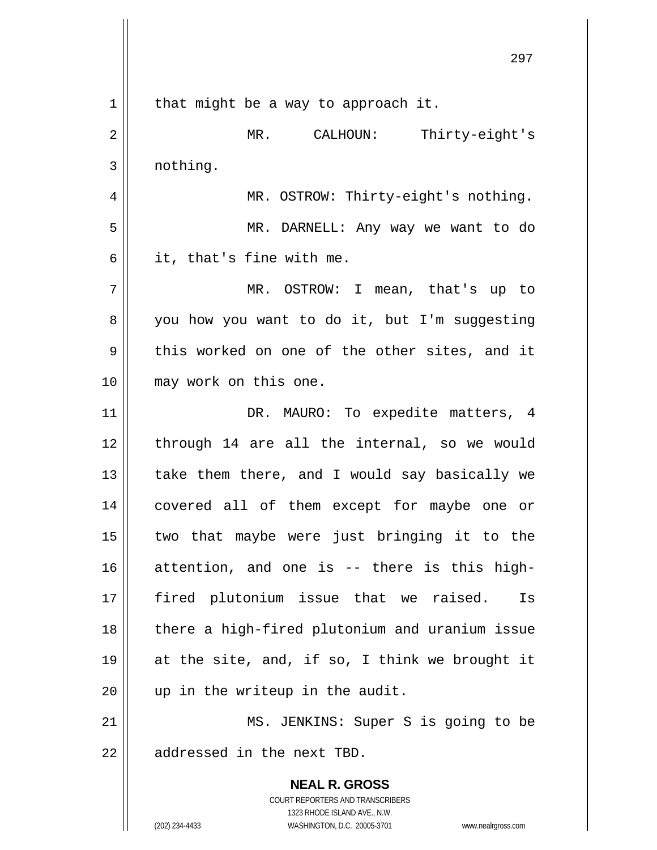**NEAL R. GROSS** COURT REPORTERS AND TRANSCRIBERS 1323 RHODE ISLAND AVE., N.W. 1 2 3 4 5 6 7 8 9 10 11 12 13 14 15 16 17 18 19 20 21 22 that might be a way to approach it. MR. CALHOUN: Thirty-eight's nothing. MR. OSTROW: Thirty-eight's nothing. MR. DARNELL: Any way we want to do it, that's fine with me. MR. OSTROW: I mean, that's up to you how you want to do it, but I'm suggesting this worked on one of the other sites, and it may work on this one. DR. MAURO: To expedite matters, 4 through 14 are all the internal, so we would take them there, and I would say basically we covered all of them except for maybe one or two that maybe were just bringing it to the attention, and one is -- there is this highfired plutonium issue that we raised. Is there a high-fired plutonium and uranium issue at the site, and, if so, I think we brought it up in the writeup in the audit. MS. JENKINS: Super S is going to be addressed in the next TBD.

<u>297 до најзначиот селото на селото на 297 до најзначиот с</u>е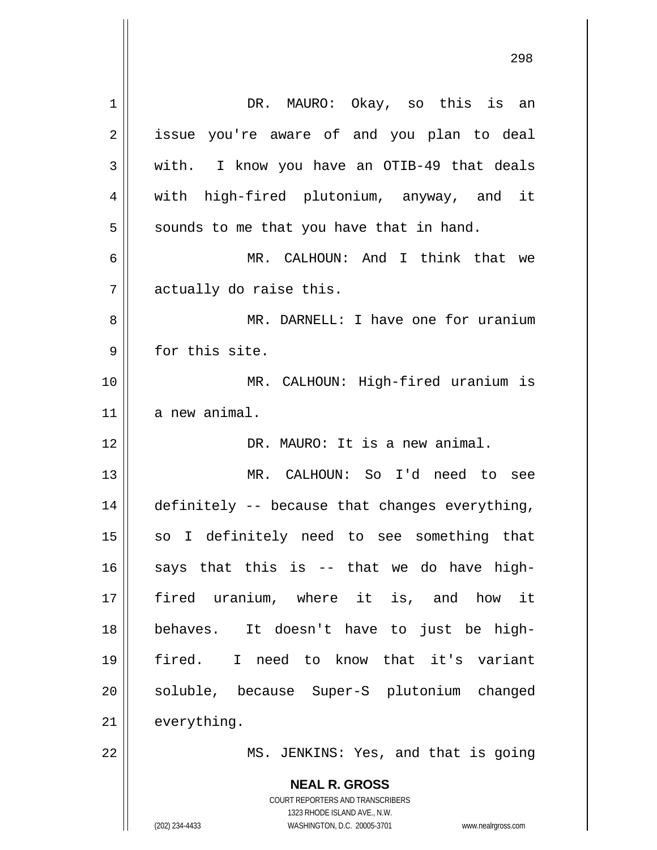| $\mathbf 1$    | DR. MAURO: Okay, so this is an                                      |
|----------------|---------------------------------------------------------------------|
| 2              | issue you're aware of and you plan to deal                          |
| 3              | with. I know you have an OTIB-49 that deals                         |
| $\overline{4}$ | with high-fired plutonium, anyway, and it                           |
| 5              | sounds to me that you have that in hand.                            |
| 6              | MR. CALHOUN: And I think that we                                    |
| 7              | actually do raise this.                                             |
| 8              | MR. DARNELL: I have one for uranium                                 |
| 9              | for this site.                                                      |
| 10             | MR. CALHOUN: High-fired uranium is                                  |
| 11             | a new animal.                                                       |
| 12             | DR. MAURO: It is a new animal.                                      |
| 13             | MR. CALHOUN: So I'd need to see                                     |
| 14             | definitely -- because that changes everything,                      |
| 15             | so I definitely need to see something that                          |
| 16             | says that this is -- that we do have high-                          |
| 17             | fired uranium, where it is, and how it                              |
| 18             | behaves. It doesn't have to just be high-                           |
| 19             | I need to know that it's variant<br>fired.                          |
| 20             | soluble, because Super-S plutonium changed                          |
| 21             | everything.                                                         |
| 22             | MS. JENKINS: Yes, and that is going                                 |
|                |                                                                     |
|                | <b>NEAL R. GROSS</b><br><b>COURT REPORTERS AND TRANSCRIBERS</b>     |
|                | 1323 RHODE ISLAND AVE., N.W.                                        |
|                | (202) 234-4433<br>WASHINGTON, D.C. 20005-3701<br>www.nealrgross.com |

<u>298</u>

 $\mathsf{I}$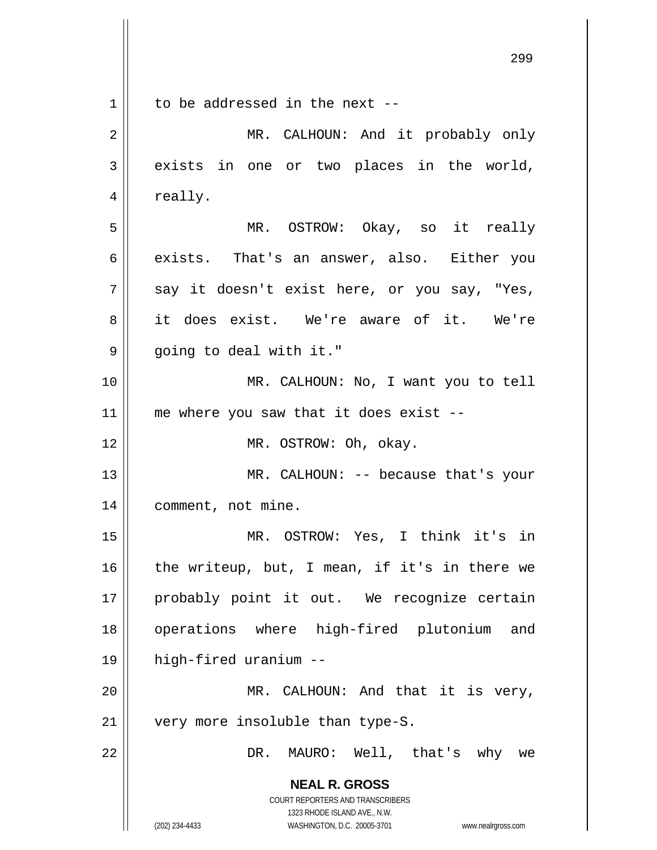**NEAL R. GROSS** COURT REPORTERS AND TRANSCRIBERS 1323 RHODE ISLAND AVE., N.W. <u>299 - Andre Sterne Sterne Sterne Sterne Sterne Sterne Sterne Sterne Sterne Sterne Sterne Sterne Sterne Sterne</u> 1 2 3 4 5 6 7 8 9 10 11 12 13 14 15 16 17 18 19 20 21 22 to be addressed in the next -- MR. CALHOUN: And it probably only exists in one or two places in the world, really. MR. OSTROW: Okay, so it really exists. That's an answer, also. Either you say it doesn't exist here, or you say, "Yes, it does exist. We're aware of it. We're going to deal with it." MR. CALHOUN: No, I want you to tell me where you saw that it does exist -- MR. OSTROW: Oh, okay. MR. CALHOUN: -- because that's your comment, not mine. MR. OSTROW: Yes, I think it's in the writeup, but, I mean, if it's in there we probably point it out. We recognize certain operations where high-fired plutonium and high-fired uranium -- MR. CALHOUN: And that it is very, very more insoluble than type-S. DR. MAURO: Well, that's why we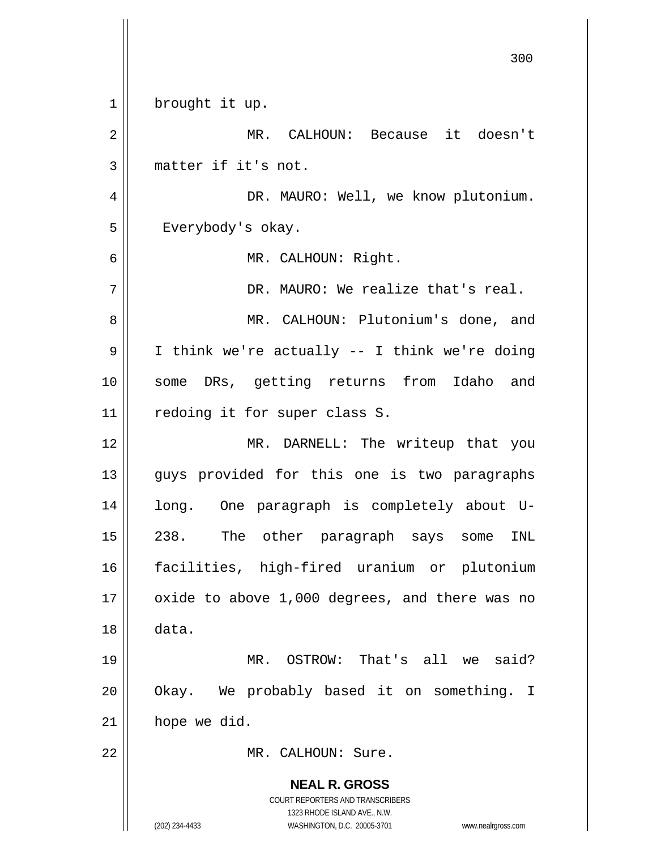|             | 300                                                                                      |
|-------------|------------------------------------------------------------------------------------------|
| $\mathbf 1$ | brought it up.                                                                           |
| 2           | MR. CALHOUN: Because it doesn't                                                          |
| 3           | matter if it's not.                                                                      |
| 4           | DR. MAURO: Well, we know plutonium.                                                      |
| 5           | Everybody's okay.                                                                        |
| 6           | MR. CALHOUN: Right.                                                                      |
| 7           | DR. MAURO: We realize that's real.                                                       |
| 8           | MR. CALHOUN: Plutonium's done, and                                                       |
| 9           | I think we're actually -- I think we're doing                                            |
| 10          | some DRs, getting returns from Idaho and                                                 |
| 11          | redoing it for super class S.                                                            |
| 12          | MR. DARNELL: The writeup that you                                                        |
| 13          | guys provided for this one is two paragraphs                                             |
| 14          | One paragraph is completely about U-<br>long.                                            |
| 15          | The<br>other paragraph says<br>238.<br>INL<br>some                                       |
| 16          | facilities, high-fired uranium or plutonium                                              |
| 17          | oxide to above 1,000 degrees, and there was no                                           |
| 18          | data.                                                                                    |
| 19          | MR. OSTROW: That's all we said?                                                          |
| 20          | Okay. We probably based it on something. I                                               |
| 21          | hope we did.                                                                             |
| 22          | MR. CALHOUN: Sure.                                                                       |
|             | <b>NEAL R. GROSS</b><br>COURT REPORTERS AND TRANSCRIBERS<br>1323 RHODE ISLAND AVE., N.W. |
|             | (202) 234-4433<br>WASHINGTON, D.C. 20005-3701<br>www.nealrgross.com                      |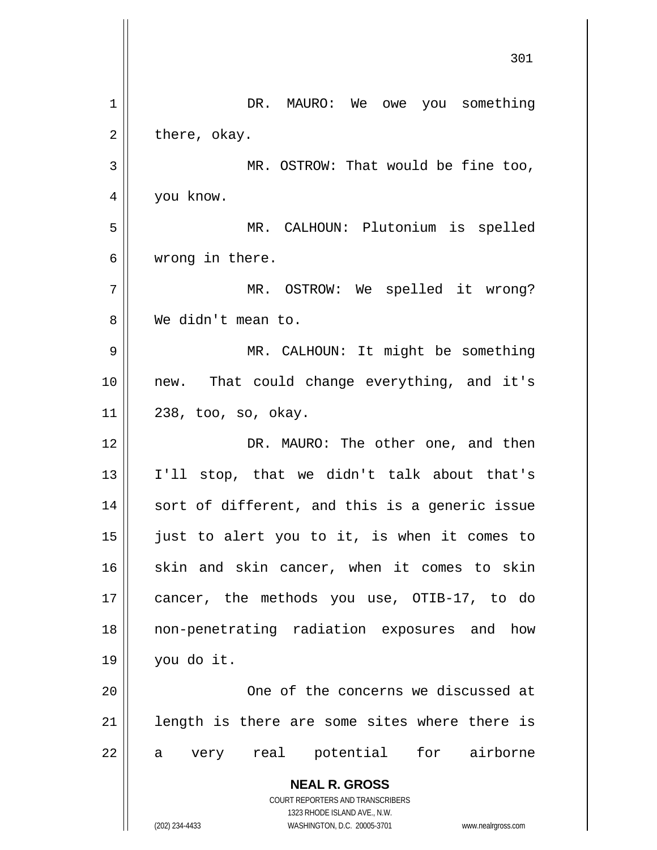|    | 301                                                                 |
|----|---------------------------------------------------------------------|
| 1  | DR. MAURO: We owe you something                                     |
| 2  | there, okay.                                                        |
| 3  | MR. OSTROW: That would be fine too,                                 |
| 4  | you know.                                                           |
| 5  | MR. CALHOUN: Plutonium is spelled                                   |
| 6  | wrong in there.                                                     |
| 7  | MR. OSTROW: We spelled it wrong?                                    |
| 8  | We didn't mean to.                                                  |
| 9  | MR. CALHOUN: It might be something                                  |
| 10 | new. That could change everything, and it's                         |
| 11 | 238, too, so, okay.                                                 |
| 12 | DR. MAURO: The other one, and then                                  |
| 13 | I'll stop, that we didn't talk about that's                         |
| 14 | sort of different, and this is a generic issue                      |
| 15 | just to alert you to it, is when it comes to                        |
| 16 | skin and skin cancer, when it comes to skin                         |
| 17 | cancer, the methods you use, OTIB-17, to do                         |
| 18 | non-penetrating radiation exposures and how                         |
| 19 | you do it.                                                          |
| 20 | One of the concerns we discussed at                                 |
| 21 | length is there are some sites where there is                       |
| 22 | very real potential for airborne<br>a                               |
|    | <b>NEAL R. GROSS</b>                                                |
|    | COURT REPORTERS AND TRANSCRIBERS<br>1323 RHODE ISLAND AVE., N.W.    |
|    | (202) 234-4433<br>WASHINGTON, D.C. 20005-3701<br>www.nealrgross.com |

 $\overline{\phantom{a}}$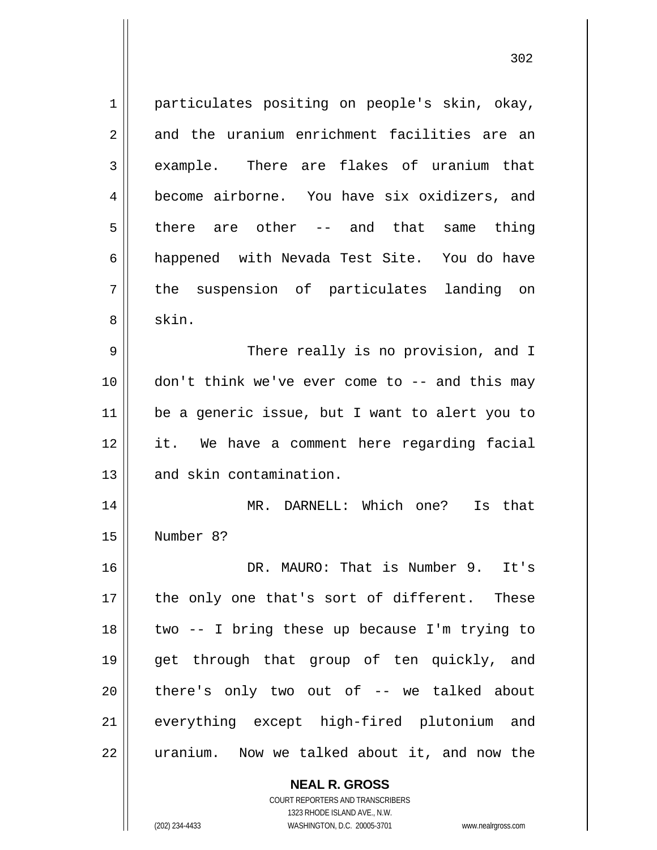1 2 3 4 5 6 7 8 9 10 11 12 13 14 15 16 17 18 19 20 21 22 particulates positing on people's skin, okay, and the uranium enrichment facilities are an example. There are flakes of uranium that become airborne. You have six oxidizers, and there are other -- and that same thing happened with Nevada Test Site. You do have the suspension of particulates landing on skin. There really is no provision, and I don't think we've ever come to -- and this may be a generic issue, but I want to alert you to it. We have a comment here regarding facial and skin contamination. MR. DARNELL: Which one? Is that Number 8? DR. MAURO: That is Number 9. Tt's the only one that's sort of different. These two -- I bring these up because I'm trying to get through that group of ten quickly, and there's only two out of -- we talked about everything except high-fired plutonium and uranium. Now we talked about it, and now the

> **NEAL R. GROSS** COURT REPORTERS AND TRANSCRIBERS

> > 1323 RHODE ISLAND AVE., N.W.

(202) 234-4433 WASHINGTON, D.C. 20005-3701 www.nealrgross.com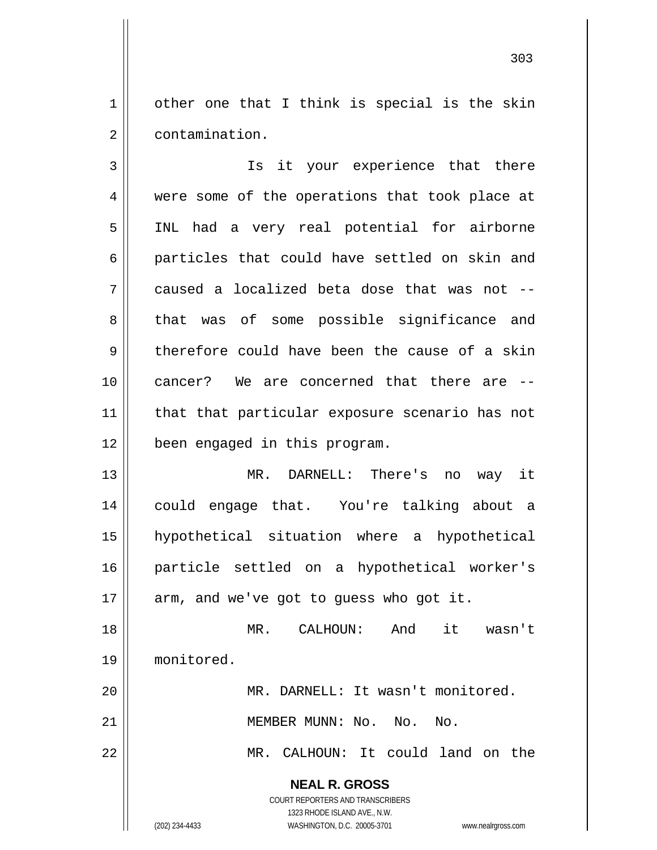1 2 other one that I think is special is the skin contamination.

3 4 5 6 7 8 9 10 11 12 13 Is it your experience that there were some of the operations that took place at INL had a very real potential for airborne particles that could have settled on skin and caused a localized beta dose that was not - that was of some possible significance and therefore could have been the cause of a skin cancer? We are concerned that there are - that that particular exposure scenario has not been engaged in this program.

14 15 16 17 MR. DARNELL: There's no way it could engage that. You're talking about a hypothetical situation where a hypothetical particle settled on a hypothetical worker's arm, and we've got to guess who got it.

18 19 MR. CALHOUN: And it wasn't monitored.

MR. DARNELL: It wasn't monitored.

MEMBER MUNN: No. No. No.

MR. CALHOUN: It could land on the

**NEAL R. GROSS** COURT REPORTERS AND TRANSCRIBERS

1323 RHODE ISLAND AVE., N.W.

20

21

22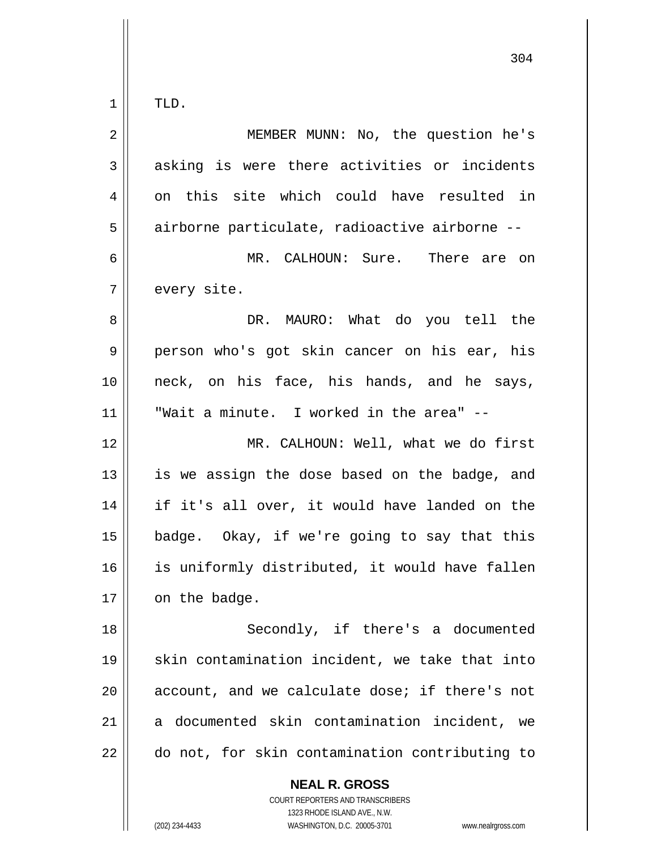$\begin{array}{c|c|c|c} 1 & 1 \end{array}$ TLD.

| $\mathbf 2$ | MEMBER MUNN: No, the question he's             |
|-------------|------------------------------------------------|
| 3           | asking is were there activities or incidents   |
| 4           | on this site which could have resulted in      |
| 5           | airborne particulate, radioactive airborne --  |
| 6           | MR. CALHOUN: Sure. There are on                |
| 7           | every site.                                    |
| 8           | DR. MAURO: What do you tell the                |
| 9           | person who's got skin cancer on his ear, his   |
| 10          | neck, on his face, his hands, and he says,     |
| 11          | "Wait a minute. I worked in the area" --       |
| 12          | MR. CALHOUN: Well, what we do first            |
| 13          | is we assign the dose based on the badge, and  |
| 14          | if it's all over, it would have landed on the  |
| 15          | badge. Okay, if we're going to say that this   |
| 16          | is uniformly distributed, it would have fallen |
| 17          | on the badge.                                  |
| 18          | Secondly, if there's a documented              |
| 19          | skin contamination incident, we take that into |
| 20          | account, and we calculate dose; if there's not |
| 21          | a documented skin contamination incident, we   |
| 22          | do not, for skin contamination contributing to |
|             | <b>NEAL R. GROSS</b>                           |

 $\mathsf{II}$ 

1323 RHODE ISLAND AVE., N.W. (202) 234-4433 WASHINGTON, D.C. 20005-3701 www.nealrgross.com

COURT REPORTERS AND TRANSCRIBERS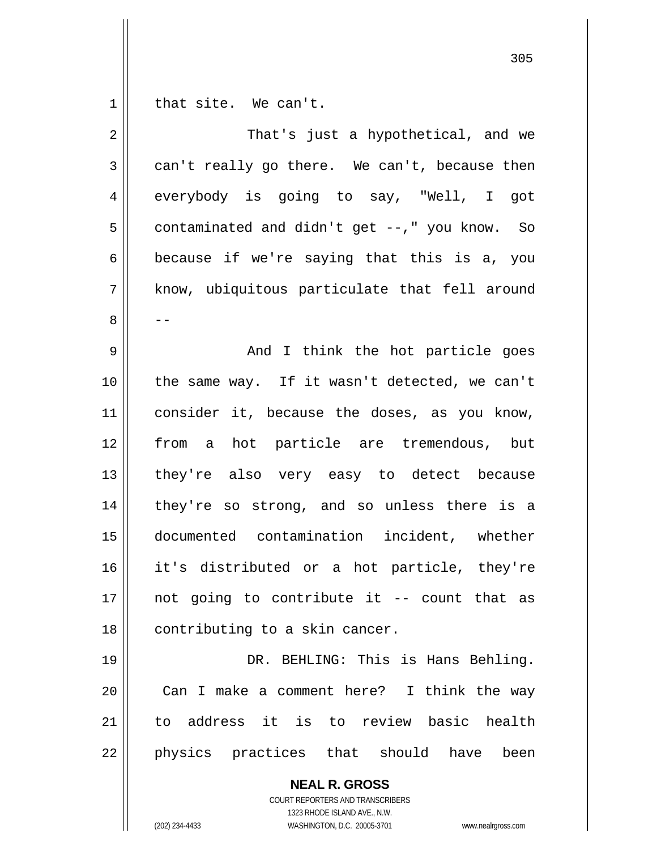$\begin{array}{c|c|c|c} 1 & 1 \end{array}$ that site. We can't.

| 2  | That's just a hypothetical, and we            |
|----|-----------------------------------------------|
| 3  | can't really go there. We can't, because then |
| 4  | everybody is going to say, "Well, I got       |
| 5  | contaminated and didn't get --," you know. So |
| 6  | because if we're saying that this is a, you   |
| 7  | know, ubiquitous particulate that fell around |
| 8  | --                                            |
| 9  | And I think the hot particle goes             |
| 10 | the same way. If it wasn't detected, we can't |
| 11 | consider it, because the doses, as you know,  |
| 12 | from a hot particle are tremendous, but       |
| 13 | they're also very easy to detect because      |
| 14 | they're so strong, and so unless there is a   |
| 15 | documented contamination incident, whether    |
| 16 | it's distributed or a hot particle, they're   |
| 17 | not going to contribute it -- count that as   |
| 18 | contributing to a skin cancer.                |
| 19 | DR. BEHLING: This is Hans Behling.            |
| 20 | Can I make a comment here? I think the way    |
| 21 | to address it is to review basic health       |
| 22 | physics practices that should have<br>been    |
|    | <b>NEAL R. GROSS</b>                          |

COURT REPORTERS AND TRANSCRIBERS 1323 RHODE ISLAND AVE., N.W.

 $\mathsf{II}$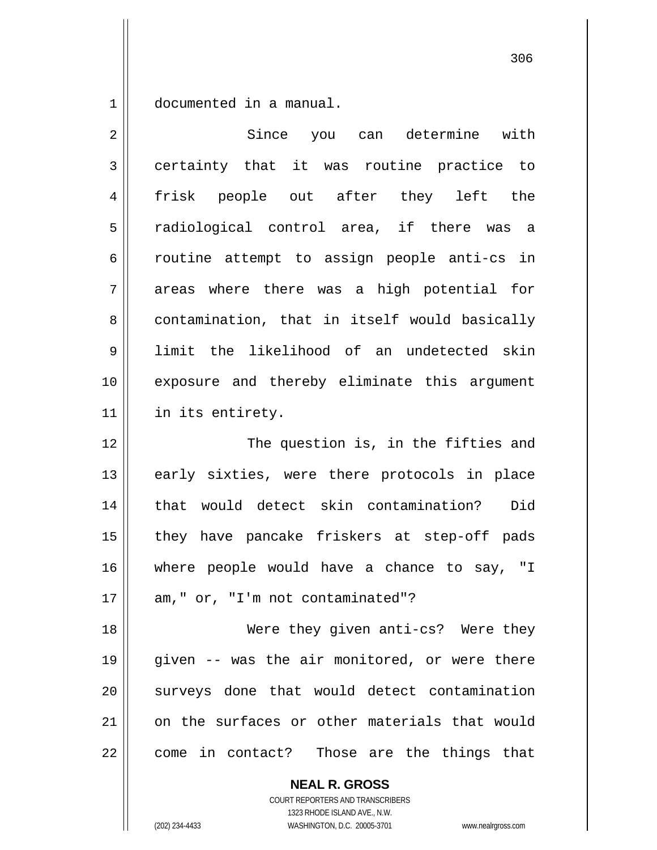1 documented in a manual.

| $\overline{2}$ | Since you can determine with                  |
|----------------|-----------------------------------------------|
| 3              | certainty that it was routine practice to     |
| 4              | frisk people out after they left the          |
| 5              | radiological control area, if there was a     |
| 6              | routine attempt to assign people anti-cs in   |
| 7              | areas where there was a high potential for    |
| 8              | contamination, that in itself would basically |
| 9              | limit the likelihood of an undetected skin    |
| 10             | exposure and thereby eliminate this argument  |
| 11             | in its entirety.                              |
| 12             | The question is, in the fifties and           |
| 13             | early sixties, were there protocols in place  |
| 14             | that would detect skin contamination?<br>Did  |
| 15             | they have pancake friskers at step-off pads   |
| 16             | where people would have a chance to say, "I   |
| 17             | am," or, "I'm not contaminated"?              |
| 18             | Were they given anti-cs? Were they            |
| 19             | given -- was the air monitored, or were there |
| 20             | surveys done that would detect contamination  |
| 21             | on the surfaces or other materials that would |
| 22             | come in contact? Those are the things that    |
|                | <b>NEAL R. GROSS</b>                          |

COURT REPORTERS AND TRANSCRIBERS 1323 RHODE ISLAND AVE., N.W.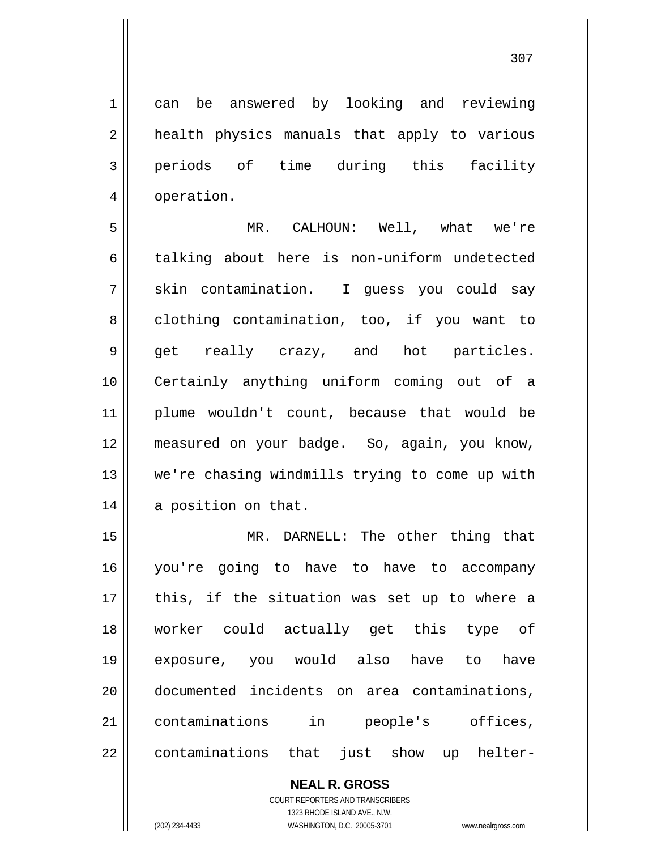can be answered by looking and reviewing health physics manuals that apply to various periods of time during this facility operation.

5 6 7 8 9 10 11 12 13 14 MR. CALHOUN: Well, what we're talking about here is non-uniform undetected skin contamination. I guess you could say clothing contamination, too, if you want to get really crazy, and hot particles. Certainly anything uniform coming out of a plume wouldn't count, because that would be measured on your badge. So, again, you know, we're chasing windmills trying to come up with a position on that.

15 16 17 18 19 20 21 22 MR. DARNELL: The other thing that you're going to have to have to accompany this, if the situation was set up to where a worker could actually get this type of exposure, you would also have to have documented incidents on area contaminations, contaminations in people's offices, contaminations that just show up helter-

## **NEAL R. GROSS**

COURT REPORTERS AND TRANSCRIBERS 1323 RHODE ISLAND AVE., N.W. (202) 234-4433 WASHINGTON, D.C. 20005-3701 www.nealrgross.com

1

2

3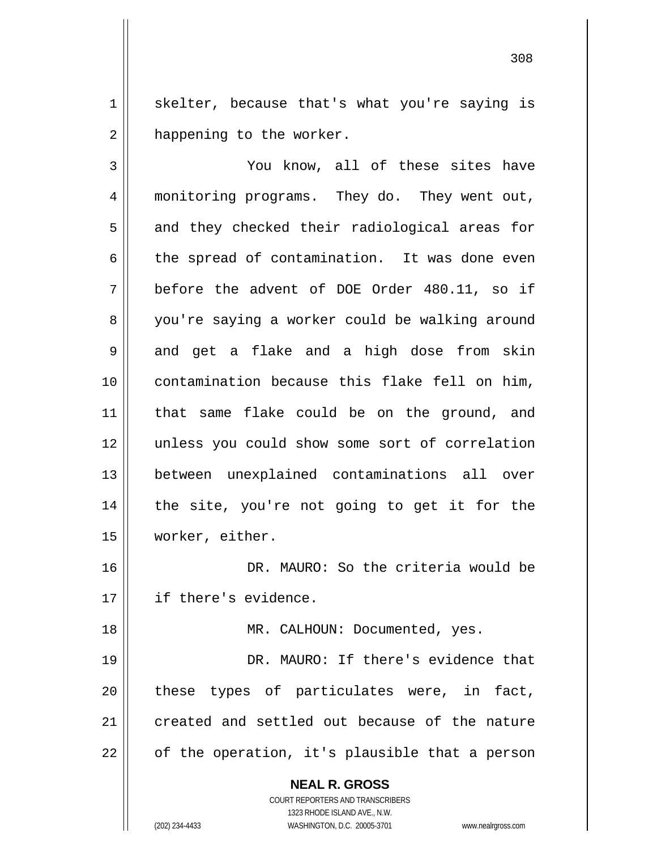1 2 skelter, because that's what you're saying is happening to the worker.

<u>308</u>

3 4 5 6 7 8 9 10 11 12 13 14 15 16 17 You know, all of these sites have monitoring programs. They do. They went out, and they checked their radiological areas for the spread of contamination. It was done even before the advent of DOE Order 480.11, so if you're saying a worker could be walking around and get a flake and a high dose from skin contamination because this flake fell on him, that same flake could be on the ground, and unless you could show some sort of correlation between unexplained contaminations all over the site, you're not going to get it for the worker, either. DR. MAURO: So the criteria would be if there's evidence.

18 19 20 21 22 MR. CALHOUN: Documented, yes. DR. MAURO: If there's evidence that these types of particulates were, in fact, created and settled out because of the nature of the operation, it's plausible that a person

**NEAL R. GROSS**

COURT REPORTERS AND TRANSCRIBERS 1323 RHODE ISLAND AVE., N.W. (202) 234-4433 WASHINGTON, D.C. 20005-3701 www.nealrgross.com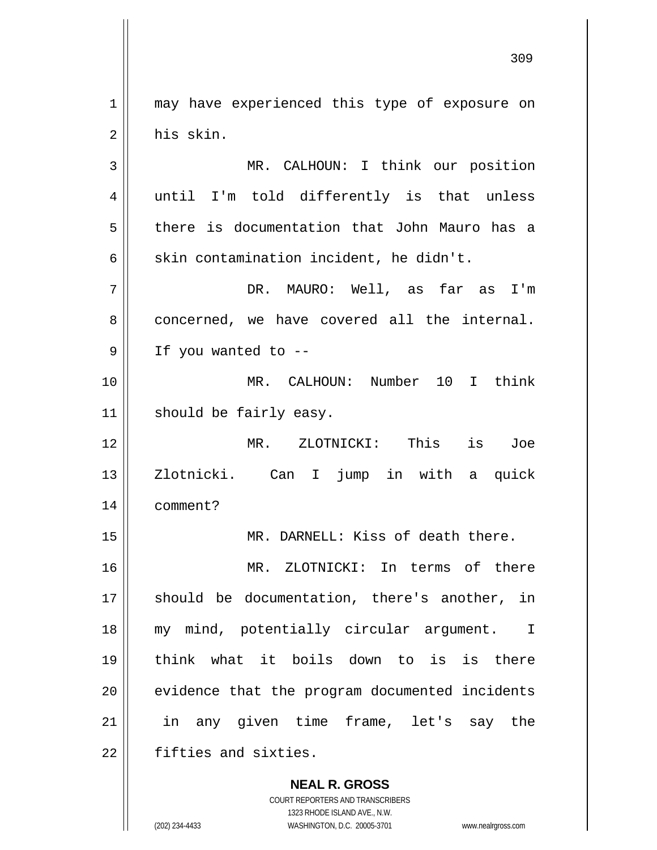1 2 may have experienced this type of exposure on his skin.

3 4 5 6 MR. CALHOUN: I think our position until I'm told differently is that unless there is documentation that John Mauro has a skin contamination incident, he didn't.

7 8 9 DR. MAURO: Well, as far as I'm concerned, we have covered all the internal. If you wanted to --

10 11 MR. CALHOUN: Number 10 I think should be fairly easy.

12 13 14 MR. ZLOTNICKI: This is Joe Zlotnicki. Can I jump in with a quick comment?

MR. DARNELL: Kiss of death there.

16 17 18 19 20 21 22 MR. ZLOTNICKI: In terms of there should be documentation, there's another, in my mind, potentially circular argument. I think what it boils down to is is there evidence that the program documented incidents in any given time frame, let's say the fifties and sixties.

> **NEAL R. GROSS** COURT REPORTERS AND TRANSCRIBERS 1323 RHODE ISLAND AVE., N.W. (202) 234-4433 WASHINGTON, D.C. 20005-3701 www.nealrgross.com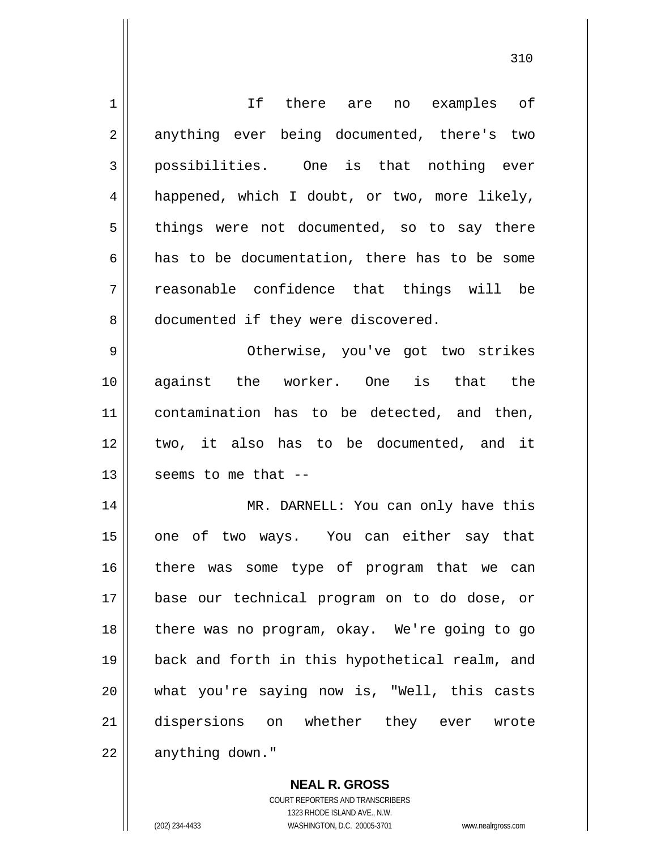| 1  | If there are no examples of                    |
|----|------------------------------------------------|
| 2  | anything ever being documented, there's two    |
| 3  | possibilities. One is that nothing ever        |
| 4  | happened, which I doubt, or two, more likely,  |
| 5  | things were not documented, so to say there    |
| 6  | has to be documentation, there has to be some  |
| 7  | reasonable confidence that things will be      |
| 8  | documented if they were discovered.            |
| 9  | Otherwise, you've got two strikes              |
| 10 | against the worker. One is that the            |
| 11 | contamination has to be detected, and then,    |
| 12 | two, it also has to be documented, and it      |
| 13 | seems to me that --                            |
| 14 | MR. DARNELL: You can only have this            |
| 15 | of two ways. You can either say that<br>one    |
| 16 | there was some type of program that we can     |
| 17 | base our technical program on to do dose, or   |
| 18 | there was no program, okay. We're going to go  |
| 19 | back and forth in this hypothetical realm, and |
| 20 | what you're saying now is, "Well, this casts   |
| 21 | dispersions on whether they ever wrote         |
| 22 | anything down."                                |

310

**NEAL R. GROSS** COURT REPORTERS AND TRANSCRIBERS 1323 RHODE ISLAND AVE., N.W.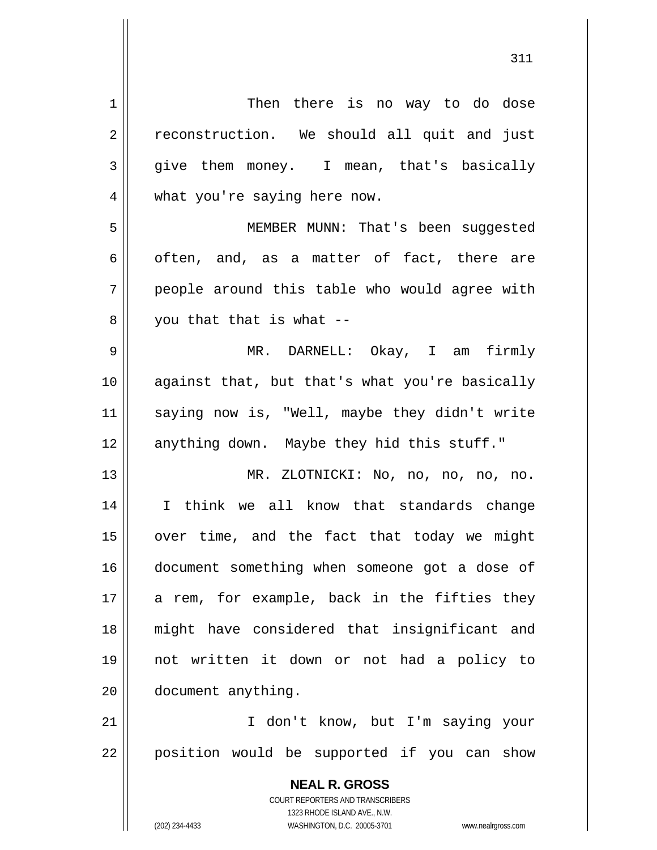| $\mathbf 1$    | Then there is no way to do dose                             |
|----------------|-------------------------------------------------------------|
| $\overline{2}$ | reconstruction. We should all quit and just                 |
| 3              | give them money. I mean, that's basically                   |
| 4              | what you're saying here now.                                |
| 5              | MEMBER MUNN: That's been suggested                          |
| 6              | often, and, as a matter of fact, there are                  |
| 7              | people around this table who would agree with               |
| 8              | you that that is what --                                    |
| $\mathsf 9$    | MR. DARNELL: Okay, I am firmly                              |
| 10             | against that, but that's what you're basically              |
| 11             | saying now is, "Well, maybe they didn't write               |
| 12             | anything down. Maybe they hid this stuff."                  |
| 13             | MR. ZLOTNICKI: No, no, no, no, no.                          |
| 14             | I think we all know that standards change                   |
| 15             | over time, and the fact that today we might                 |
| 16             | document something when someone got a dose of               |
| 17             | a rem, for example, back in the fifties they                |
| 18             | might have considered that insignificant and                |
| 19             | not written it down or not had a policy to                  |
|                |                                                             |
| 20             | document anything.                                          |
| 21             | I don't know, but I'm saying your                           |
| 22             | position would be supported if you can show                 |
|                | <b>NEAL R. GROSS</b>                                        |
|                | <b>COURT REPORTERS AND TRANSCRIBERS</b>                     |
|                | 1323 RHODE ISLAND AVE., N.W.<br>WASHINGTON, D.C. 20005-3701 |
|                | (202) 234-4433<br>www.nealrgross.com                        |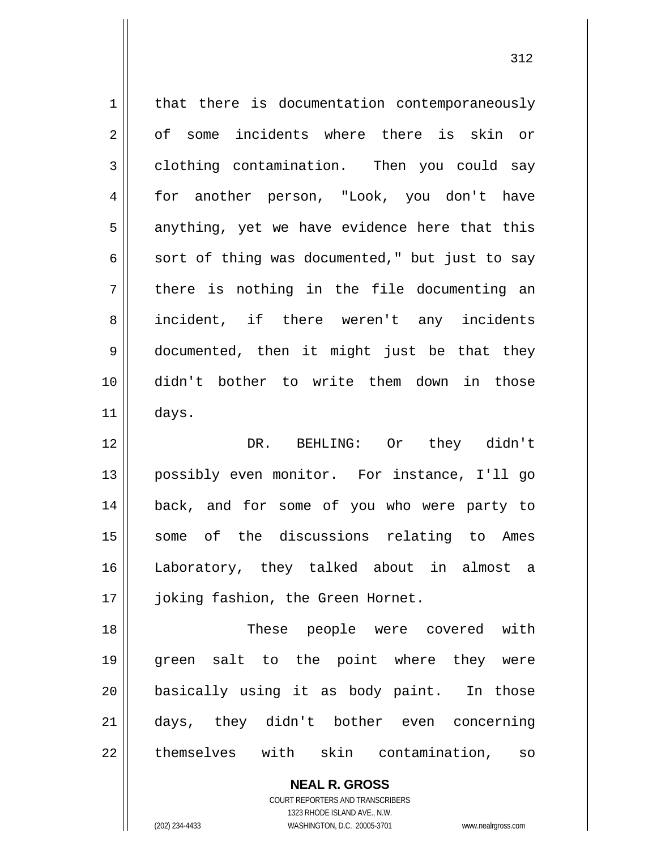| $\mathbf 1$    | that there is documentation contemporaneously  |
|----------------|------------------------------------------------|
| $\overline{2}$ | of some incidents where there is skin or       |
| $\mathfrak{Z}$ | clothing contamination. Then you could say     |
| 4              | for another person, "Look, you don't have      |
| 5              | anything, yet we have evidence here that this  |
| 6              | sort of thing was documented," but just to say |
| 7              | there is nothing in the file documenting an    |
| 8              | incident, if there weren't any incidents       |
| 9              | documented, then it might just be that they    |
| 10             | didn't bother to write them down in those      |
| 11             | days.                                          |
| 12             | DR. BEHLING: Or they didn't                    |
| 13             | possibly even monitor. For instance, I'll go   |
| 14             | back, and for some of you who were party to    |
| 15             | some of the discussions relating to Ames       |
| 16             | Laboratory, they talked about in almost a      |
| 17             | joking fashion, the Green Hornet.              |
| 18             | These people were covered with                 |
| 19             | green salt to the point where they were        |
| 20             | basically using it as body paint. In those     |
| 21             | days, they didn't bother even concerning       |
| 22             | themselves with skin contamination,<br>SO      |
|                | <b>NEAL R. GROSS</b>                           |

COURT REPORTERS AND TRANSCRIBERS 1323 RHODE ISLAND AVE., N.W.

 $\mathsf{II}$ 

(202) 234-4433 WASHINGTON, D.C. 20005-3701 www.nealrgross.com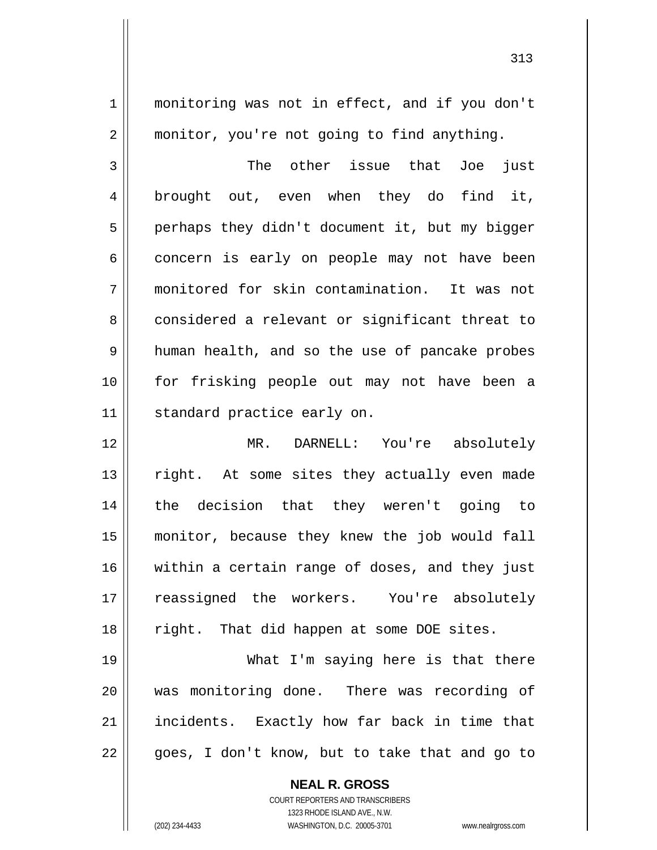monitoring was not in effect, and if you don't monitor, you're not going to find anything.

3 4 5 6 7 8 9 10 11 The other issue that Joe just brought out, even when they do find it, perhaps they didn't document it, but my bigger concern is early on people may not have been monitored for skin contamination. It was not considered a relevant or significant threat to human health, and so the use of pancake probes for frisking people out may not have been a standard practice early on.

12 13 14 15 16 17 18 MR. DARNELL: You're absolutely right. At some sites they actually even made the decision that they weren't going to monitor, because they knew the job would fall within a certain range of doses, and they just reassigned the workers. You're absolutely right. That did happen at some DOE sites.

19 20 21 22 What I'm saying here is that there was monitoring done. There was recording of incidents. Exactly how far back in time that goes, I don't know, but to take that and go to

> **NEAL R. GROSS** COURT REPORTERS AND TRANSCRIBERS 1323 RHODE ISLAND AVE., N.W. (202) 234-4433 WASHINGTON, D.C. 20005-3701 www.nealrgross.com

1

2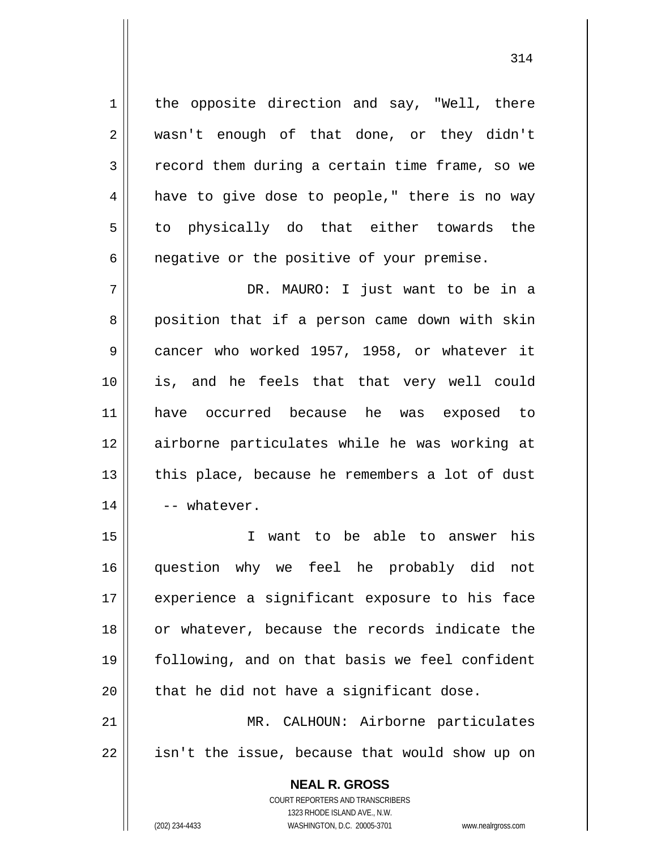the opposite direction and say, "Well, there wasn't enough of that done, or they didn't record them during a certain time frame, so we have to give dose to people," there is no way to physically do that either towards the negative or the positive of your premise.

7 8 9 10 11 12 13 14 DR. MAURO: I just want to be in a position that if a person came down with skin cancer who worked 1957, 1958, or whatever it is, and he feels that that very well could have occurred because he was exposed to airborne particulates while he was working at this place, because he remembers a lot of dust -- whatever.

15 16 17 18 19 20 21 I want to be able to answer his question why we feel he probably did not experience a significant exposure to his face or whatever, because the records indicate the following, and on that basis we feel confident that he did not have a significant dose. MR. CALHOUN: Airborne particulates

22

1

2

3

4

5

6

**NEAL R. GROSS** COURT REPORTERS AND TRANSCRIBERS

isn't the issue, because that would show up on

1323 RHODE ISLAND AVE., N.W.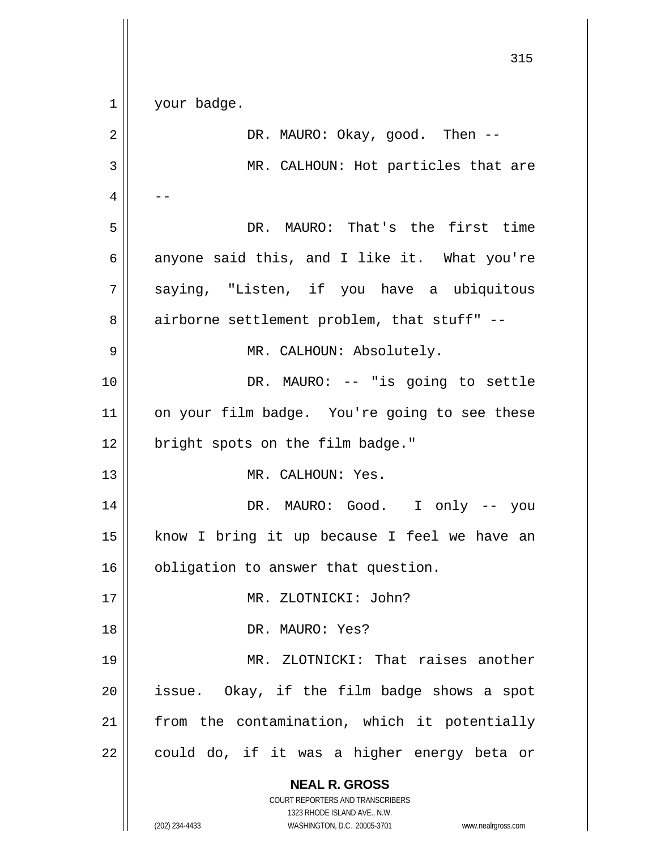**NEAL R. GROSS** COURT REPORTERS AND TRANSCRIBERS 1323 RHODE ISLAND AVE., N.W. 1 2 3 4 5 6 7 8 9 10 11 12 13 14 15 16 17 18 19 20 21 22 your badge. DR. MAURO: Okay, good. Then -- MR. CALHOUN: Hot particles that are -- DR. MAURO: That's the first time anyone said this, and I like it. What you're saying, "Listen, if you have a ubiquitous airborne settlement problem, that stuff" -- MR. CALHOUN: Absolutely. DR. MAURO: -- "is going to settle on your film badge. You're going to see these bright spots on the film badge." MR. CALHOUN: Yes. DR. MAURO: Good. I only -- you know I bring it up because I feel we have an obligation to answer that question. MR. ZLOTNICKI: John? DR. MAURO: Yes? MR. ZLOTNICKI: That raises another issue. Okay, if the film badge shows a spot from the contamination, which it potentially could do, if it was a higher energy beta or

315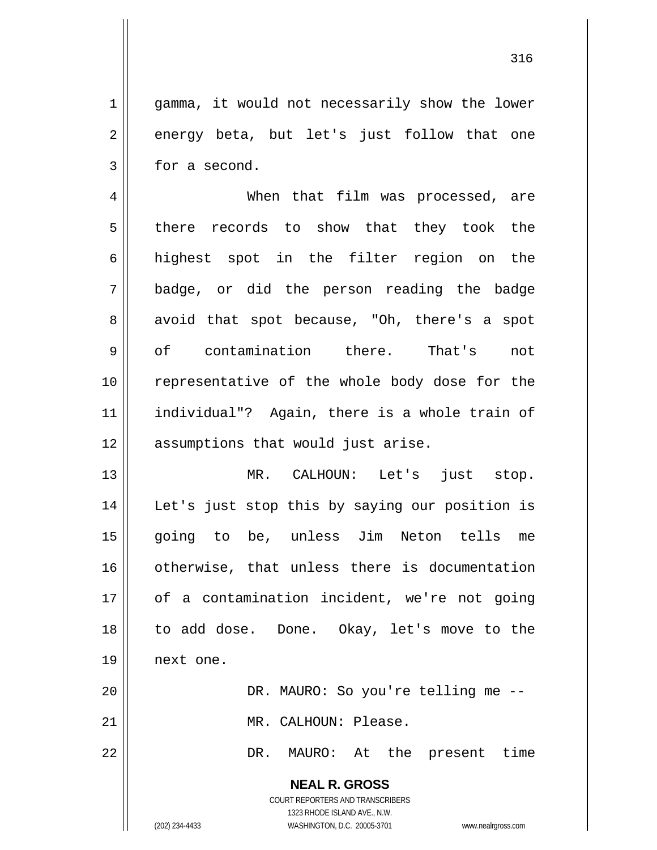gamma, it would not necessarily show the lower energy beta, but let's just follow that one for a second.

4 5 6 7 8 9 10 11 12 When that film was processed, are there records to show that they took the highest spot in the filter region on the badge, or did the person reading the badge avoid that spot because, "Oh, there's a spot of contamination there. That's not representative of the whole body dose for the individual"? Again, there is a whole train of assumptions that would just arise.

13 14 15 16 17 18 19 MR. CALHOUN: Let's just stop. Let's just stop this by saying our position is going to be, unless Jim Neton tells me otherwise, that unless there is documentation of a contamination incident, we're not going to add dose. Done. Okay, let's move to the next one.

> DR. MAURO: So you're telling me -- MR. CALHOUN: Please.

DR. MAURO: At the present time

**NEAL R. GROSS** COURT REPORTERS AND TRANSCRIBERS 1323 RHODE ISLAND AVE., N.W.

20

21

22

1

2

3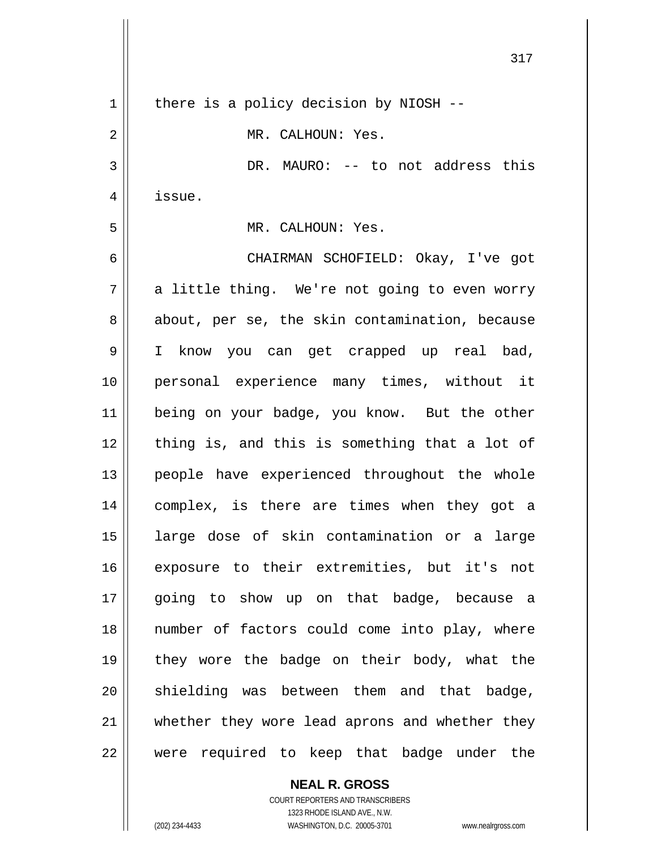| 317                                            |
|------------------------------------------------|
| there is a policy decision by NIOSH --         |
| MR. CALHOUN: Yes.                              |
| DR. MAURO: -- to not address this              |
| issue.                                         |
| MR. CALHOUN: Yes.                              |
| CHAIRMAN SCHOFIELD: Okay, I've got             |
| a little thing. We're not going to even worry  |
| about, per se, the skin contamination, because |
| I know you can get crapped up real bad,        |
| personal experience many times, without it     |
| being on your badge, you know. But the other   |
| thing is, and this is something that a lot of  |
| people have experienced throughout the whole   |
| complex, is there are times when they got a    |
| large dose of skin contamination or a large    |
| exposure to their extremities, but it's not    |
| going to show up on that badge, because a      |
| number of factors could come into play, where  |
| they wore the badge on their body, what the    |
| shielding was between them and that badge,     |
| whether they wore lead aprons and whether they |
| were required to keep that badge under the     |
|                                                |

COURT REPORTERS AND TRANSCRIBERS 1323 RHODE ISLAND AVE., N.W. (202) 234-4433 WASHINGTON, D.C. 20005-3701 www.nealrgross.com

**NEAL R. GROSS**

 $\mathbf{I}$ 

 $\mathsf{I}$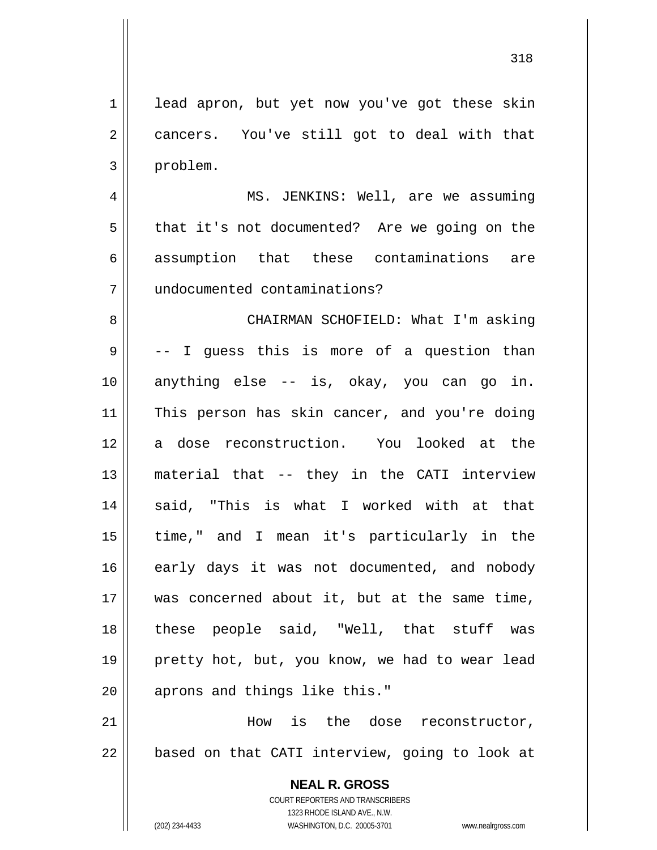1 2 3 lead apron, but yet now you've got these skin cancers. You've still got to deal with that problem.

4 5 6 7 MS. JENKINS: Well, are we assuming that it's not documented? Are we going on the assumption that these contaminations are undocumented contaminations?

8 9 10 11 12 13 14 15 16 17 18 19 20 CHAIRMAN SCHOFIELD: What I'm asking -- I guess this is more of a question than anything else -- is, okay, you can go in. This person has skin cancer, and you're doing a dose reconstruction. You looked at the material that -- they in the CATI interview said, "This is what I worked with at that time," and I mean it's particularly in the early days it was not documented, and nobody was concerned about it, but at the same time, these people said, "Well, that stuff was pretty hot, but, you know, we had to wear lead aprons and things like this."

21 22 How is the dose reconstructor, based on that CATI interview, going to look at

> **NEAL R. GROSS** COURT REPORTERS AND TRANSCRIBERS 1323 RHODE ISLAND AVE., N.W. (202) 234-4433 WASHINGTON, D.C. 20005-3701 www.nealrgross.com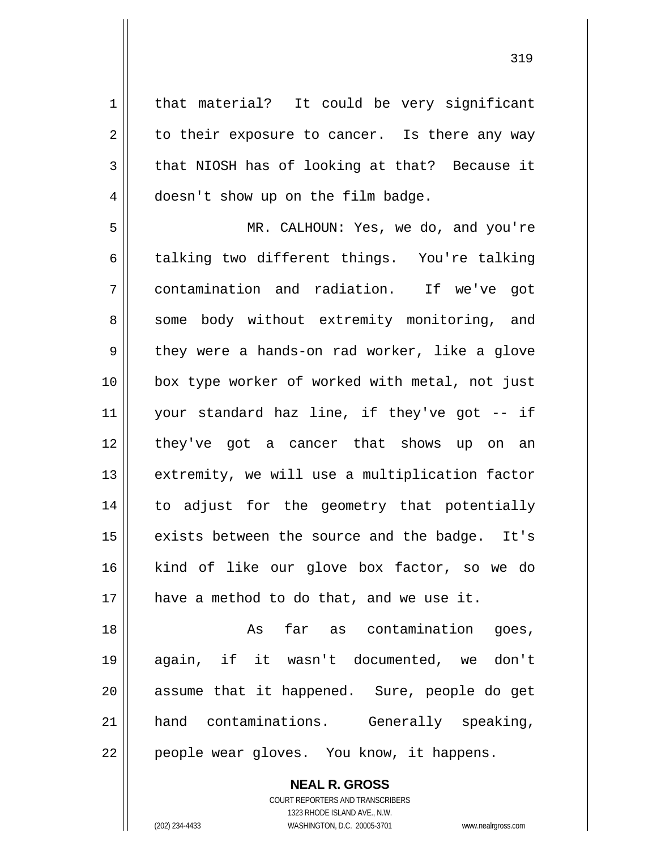that material? It could be very significant to their exposure to cancer. Is there any way that NIOSH has of looking at that? Because it doesn't show up on the film badge.

5 6 7 8 9 10 11 12 13 14 15 16 17 MR. CALHOUN: Yes, we do, and you're talking two different things. You're talking contamination and radiation. If we've got some body without extremity monitoring, and they were a hands-on rad worker, like a glove box type worker of worked with metal, not just your standard haz line, if they've got -- if they've got a cancer that shows up on an extremity, we will use a multiplication factor to adjust for the geometry that potentially exists between the source and the badge. It's kind of like our glove box factor, so we do have a method to do that, and we use it.

18 19 20 21 22 As far as contamination goes, again, if it wasn't documented, we don't assume that it happened. Sure, people do get hand contaminations. Generally speaking, people wear gloves. You know, it happens.

> **NEAL R. GROSS** COURT REPORTERS AND TRANSCRIBERS

> > 1323 RHODE ISLAND AVE., N.W.

1

2

3

4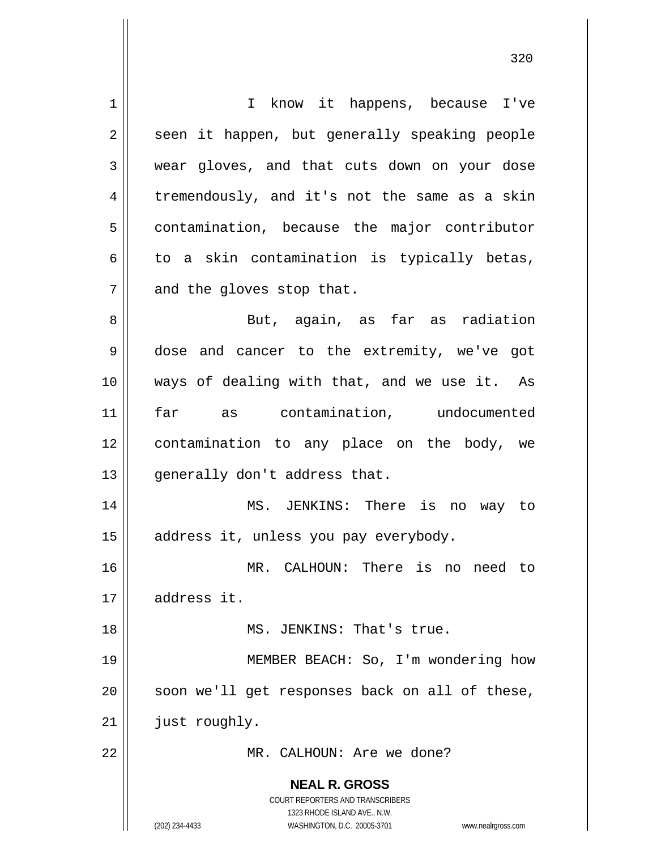| 1  | I know it happens, because I've                                     |
|----|---------------------------------------------------------------------|
| 2  | seen it happen, but generally speaking people                       |
| 3  | wear gloves, and that cuts down on your dose                        |
| 4  | tremendously, and it's not the same as a skin                       |
| 5  | contamination, because the major contributor                        |
| 6  | to a skin contamination is typically betas,                         |
| 7  | and the gloves stop that.                                           |
| 8  | But, again, as far as radiation                                     |
| 9  | dose and cancer to the extremity, we've got                         |
| 10 | ways of dealing with that, and we use it. As                        |
| 11 | far as contamination, undocumented                                  |
| 12 | contamination to any place on the body, we                          |
| 13 | generally don't address that.                                       |
| 14 | MS. JENKINS: There is no way to                                     |
| 15 | address it, unless you pay everybody.                               |
| 16 | MR. CALHOUN: There is<br>no<br>need to                              |
| 17 | address it.                                                         |
| 18 | MS. JENKINS: That's true.                                           |
| 19 | MEMBER BEACH: So, I'm wondering how                                 |
| 20 | soon we'll get responses back on all of these,                      |
| 21 | just roughly.                                                       |
| 22 | MR. CALHOUN: Are we done?                                           |
|    | <b>NEAL R. GROSS</b>                                                |
|    | <b>COURT REPORTERS AND TRANSCRIBERS</b>                             |
|    | 1323 RHODE ISLAND AVE., N.W.                                        |
|    | (202) 234-4433<br>WASHINGTON, D.C. 20005-3701<br>www.nealrgross.com |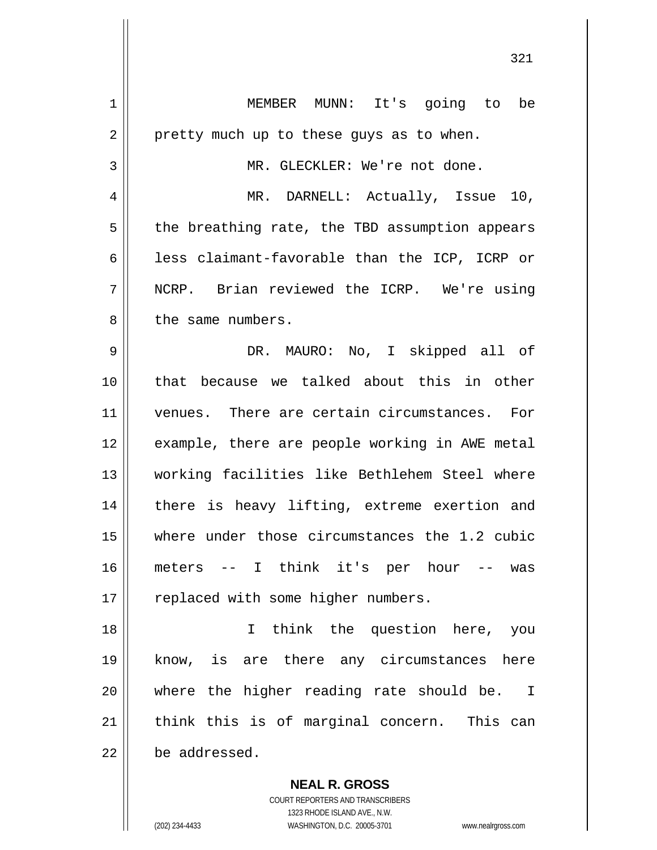| 1  | MEMBER MUNN: It's going to be                  |
|----|------------------------------------------------|
| 2  | pretty much up to these guys as to when.       |
| 3  | MR. GLECKLER: We're not done.                  |
| 4  | MR. DARNELL: Actually, Issue 10,               |
| 5  | the breathing rate, the TBD assumption appears |
| 6  | less claimant-favorable than the ICP, ICRP or  |
| 7  | NCRP. Brian reviewed the ICRP. We're using     |
| 8  | the same numbers.                              |
| 9  | DR. MAURO: No, I skipped all of                |
| 10 | that because we talked about this in other     |
| 11 | venues. There are certain circumstances. For   |
| 12 | example, there are people working in AWE metal |
| 13 | working facilities like Bethlehem Steel where  |
| 14 | there is heavy lifting, extreme exertion and   |
| 15 | where under those circumstances the 1.2 cubic  |
| 16 | meters -- I think it's per hour -- was         |
| 17 | replaced with some higher numbers.             |
| 18 | I think the question here, you                 |
| 19 | know, is are there any circumstances here      |
| 20 | where the higher reading rate should be. I     |
| 21 | think this is of marginal concern. This can    |
| 22 | be addressed.                                  |
|    | <b>NEAL R. GROSS</b>                           |

321

COURT REPORTERS AND TRANSCRIBERS 1323 RHODE ISLAND AVE., N.W.

 $\mathsf{II}$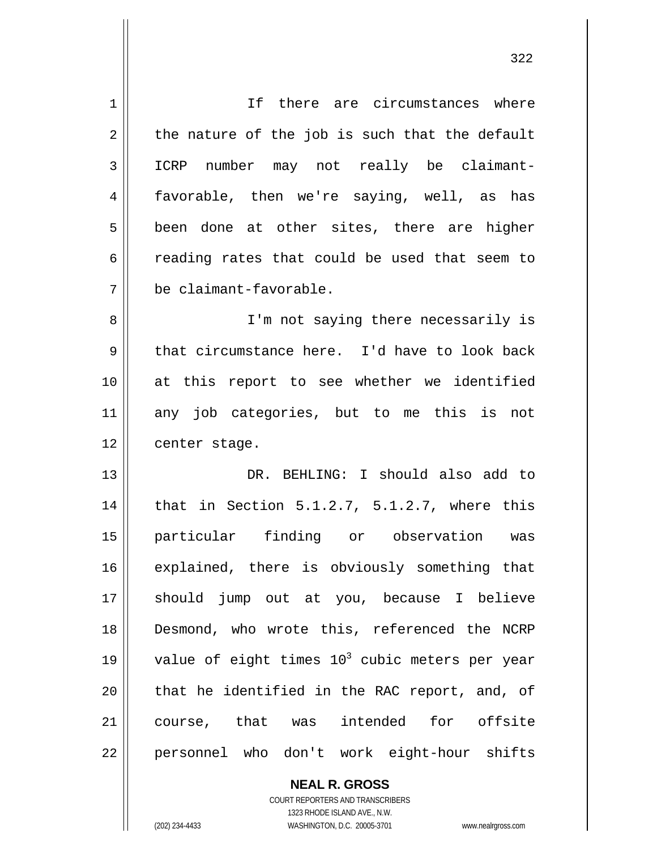| $\mathbf 1$ | If there are circumstances where                 |
|-------------|--------------------------------------------------|
| 2           | the nature of the job is such that the default   |
| 3           | ICRP number may not really be claimant-          |
| 4           | favorable, then we're saying, well, as has       |
| 5           | been done at other sites, there are higher       |
| 6           | reading rates that could be used that seem to    |
| 7           | be claimant-favorable.                           |
| 8           | I'm not saying there necessarily is              |
| 9           | that circumstance here. I'd have to look back    |
| 10          | at this report to see whether we identified      |
| 11          | any job categories, but to me this is not        |
| 12          | center stage.                                    |
| 13          | DR. BEHLING: I should also add to                |
| 14          | that in Section 5.1.2.7, 5.1.2.7, where this     |
| 15          | particular finding or observation was            |
| 16          | explained, there is obviously something that     |
| 17          | should jump out at you, because I believe        |
| 18          | Desmond, who wrote this, referenced the NCRP     |
| 19          | value of eight times $103$ cubic meters per year |
| 20          | that he identified in the RAC report, and, of    |
| 21          | course, that was intended for offsite            |
| 22          | personnel who don't work eight-hour shifts       |

**NEAL R. GROSS** COURT REPORTERS AND TRANSCRIBERS

1323 RHODE ISLAND AVE., N.W.

(202) 234-4433 WASHINGTON, D.C. 20005-3701 www.nealrgross.com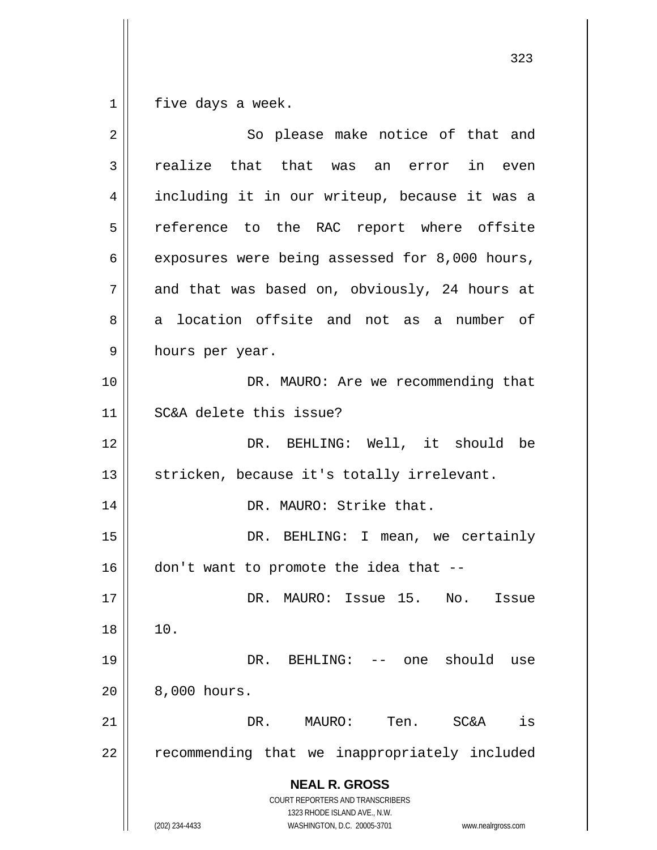$\begin{array}{c|c|c|c|c} 1 & 1 \\ \hline \end{array}$ five days a week.

| 2  | So please make notice of that and                                   |
|----|---------------------------------------------------------------------|
| 3  | realize that that was an error<br>in even                           |
| 4  | including it in our writeup, because it was a                       |
| 5  | reference to the RAC report where offsite                           |
| 6  | exposures were being assessed for 8,000 hours,                      |
| 7  | and that was based on, obviously, 24 hours at                       |
| 8  | a location offsite and not as a number of                           |
| 9  | hours per year.                                                     |
| 10 | DR. MAURO: Are we recommending that                                 |
| 11 | SC&A delete this issue?                                             |
| 12 | DR. BEHLING: Well, it should be                                     |
| 13 | stricken, because it's totally irrelevant.                          |
| 14 | DR. MAURO: Strike that.                                             |
| 15 | DR. BEHLING: I mean, we certainly                                   |
| 16 | don't want to promote the idea that --                              |
| 17 | DR. MAURO: Issue 15. No. Issue                                      |
| 18 | 10.                                                                 |
| 19 | should<br>DR.<br>BEHLING:<br>-- one<br>use                          |
| 20 | 8,000 hours.                                                        |
| 21 | Ten.<br>is<br>DR.<br>MAURO:<br><b>SC&amp;A</b>                      |
| 22 | recommending that we inappropriately included                       |
|    | <b>NEAL R. GROSS</b><br>COURT REPORTERS AND TRANSCRIBERS            |
|    | 1323 RHODE ISLAND AVE., N.W.                                        |
|    | (202) 234-4433<br>WASHINGTON, D.C. 20005-3701<br>www.nealrgross.com |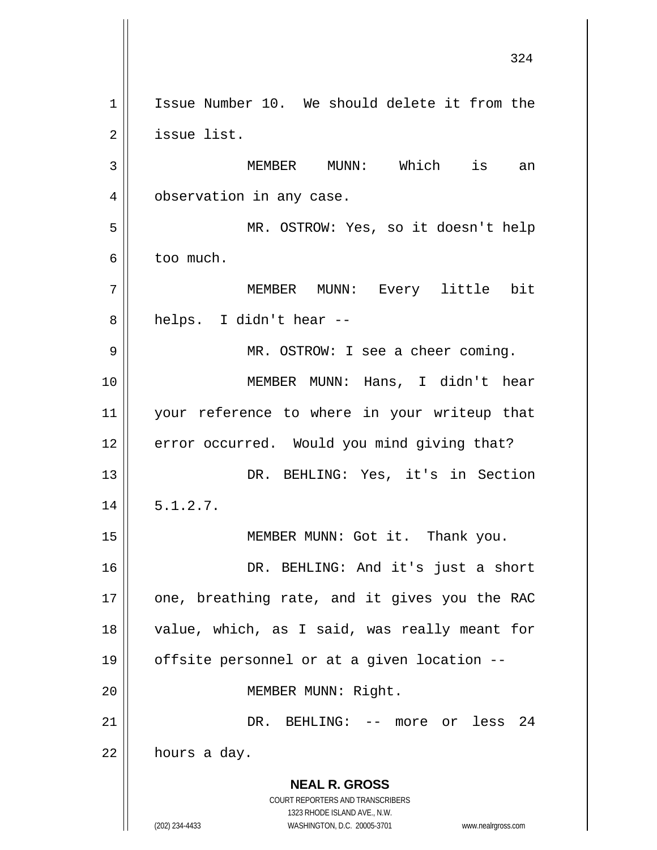**NEAL R. GROSS** COURT REPORTERS AND TRANSCRIBERS 1323 RHODE ISLAND AVE., N.W. (202) 234-4433 WASHINGTON, D.C. 20005-3701 www.nealrgross.com 324 1 2 3 4 5 6 7 8 9 10 11 12 13 14 15 16 17 18 19 20 21 22 Issue Number 10. We should delete it from the issue list. MEMBER MUNN: Which is an observation in any case. MR. OSTROW: Yes, so it doesn't help too much. MEMBER MUNN: Every little bit helps. I didn't hear -- MR. OSTROW: I see a cheer coming. MEMBER MUNN: Hans, I didn't hear your reference to where in your writeup that error occurred. Would you mind giving that? DR. BEHLING: Yes, it's in Section 5.1.2.7. MEMBER MUNN: Got it. Thank you. DR. BEHLING: And it's just a short one, breathing rate, and it gives you the RAC value, which, as I said, was really meant for offsite personnel or at a given location -- MEMBER MUNN: Right. DR. BEHLING: -- more or less 24 hours a day.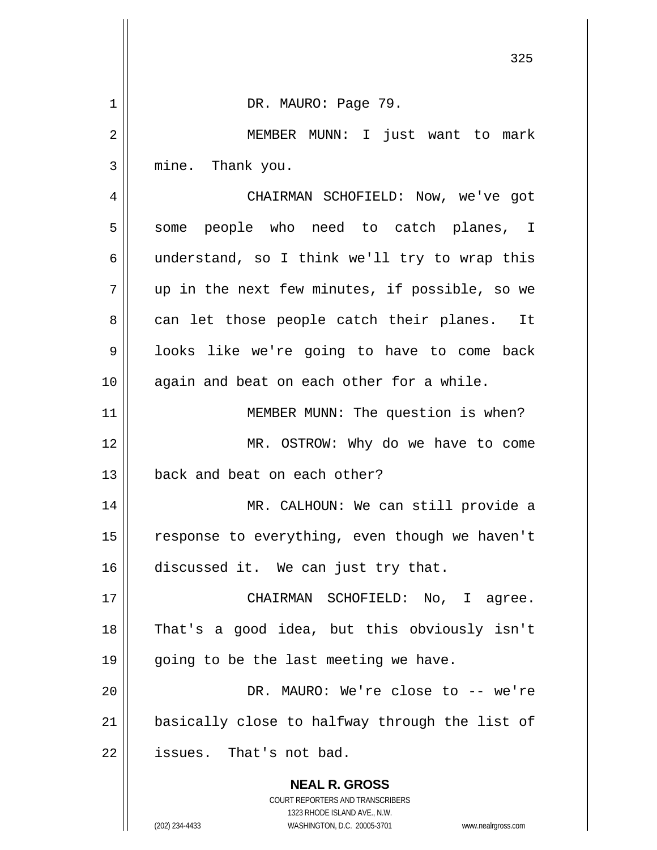|             | 325                                                                                                                                                                    |
|-------------|------------------------------------------------------------------------------------------------------------------------------------------------------------------------|
| $\mathbf 1$ | DR. MAURO: Page 79.                                                                                                                                                    |
| 2           | MEMBER MUNN: I just want to mark                                                                                                                                       |
| 3           | mine. Thank you.                                                                                                                                                       |
| 4           | CHAIRMAN SCHOFIELD: Now, we've got                                                                                                                                     |
| 5           | some people who need to catch planes, I                                                                                                                                |
| 6           | understand, so I think we'll try to wrap this                                                                                                                          |
| 7           | up in the next few minutes, if possible, so we                                                                                                                         |
| 8           | can let those people catch their planes.<br>It                                                                                                                         |
| 9           | looks like we're going to have to come back                                                                                                                            |
| 10          | again and beat on each other for a while.                                                                                                                              |
| 11          | MEMBER MUNN: The question is when?                                                                                                                                     |
| 12          | MR. OSTROW: Why do we have to come                                                                                                                                     |
| 13          | back and beat on each other?                                                                                                                                           |
| 14          | MR. CALHOUN: We can still provide a                                                                                                                                    |
| 15          | response to everything, even though we haven't                                                                                                                         |
| 16          | discussed it. We can just try that.                                                                                                                                    |
| 17          | CHAIRMAN SCHOFIELD: No, I agree.                                                                                                                                       |
| 18          | That's a good idea, but this obviously isn't                                                                                                                           |
| 19          | going to be the last meeting we have.                                                                                                                                  |
| 20          | DR. MAURO: We're close to -- we're                                                                                                                                     |
| 21          | basically close to halfway through the list of                                                                                                                         |
| 22          | issues. That's not bad.                                                                                                                                                |
|             | <b>NEAL R. GROSS</b><br><b>COURT REPORTERS AND TRANSCRIBERS</b><br>1323 RHODE ISLAND AVE., N.W.<br>(202) 234-4433<br>WASHINGTON, D.C. 20005-3701<br>www.nealrgross.com |

 $\overline{\phantom{a}}$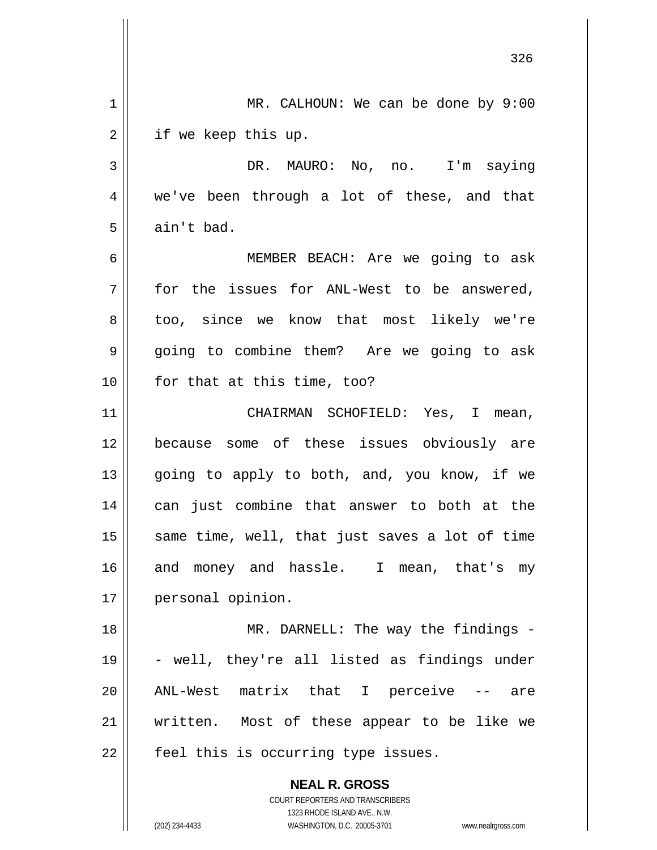|                | 326                                                      |
|----------------|----------------------------------------------------------|
| $\mathbf 1$    | MR. CALHOUN: We can be done by $9:00$                    |
| $\overline{2}$ | if we keep this up.                                      |
| $\mathbf{3}$   | DR. MAURO: No, no. I'm saying                            |
| 4              | we've been through a lot of these, and that              |
| 5              | ain't bad.                                               |
| 6              | MEMBER BEACH: Are we going to ask                        |
| 7              | for the issues for ANL-West to be answered,              |
| 8              | too, since we know that most likely we're                |
| 9              | going to combine them? Are we going to ask               |
| 10             | for that at this time, too?                              |
| 11             | CHAIRMAN SCHOFIELD: Yes, I mean,                         |
| 12             | because some of these issues obviously are               |
| 13             | going to apply to both, and, you know, if we             |
| 14             | can just combine that answer to both at the              |
| 15             | same time, well, that just saves a lot of time           |
| 16             | and money and hassle. I mean, that's my                  |
| 17             | personal opinion.                                        |
| 18             | MR. DARNELL: The way the findings -                      |
| 19             | - well, they're all listed as findings under             |
| 20             | ANL-West matrix that I perceive<br>$--$ are              |
| 21             | written. Most of these appear to be like we              |
| 22             | feel this is occurring type issues.                      |
|                | <b>NEAL R. GROSS</b><br>COURT REPORTERS AND TRANSCRIBERS |

1323 RHODE ISLAND AVE., N.W.

 $\prod$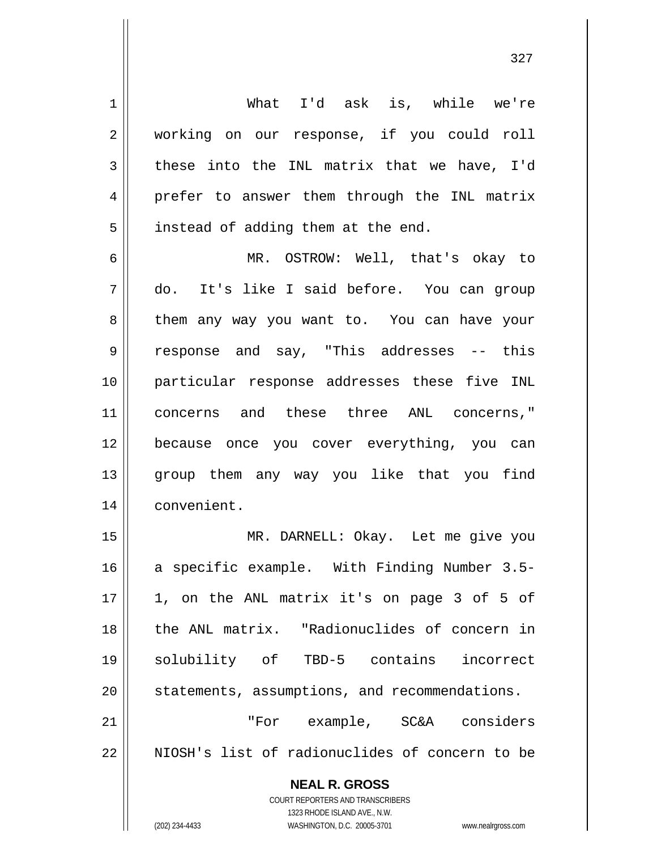What I'd ask is, while we're working on our response, if you could roll these into the INL matrix that we have, I'd prefer to answer them through the INL matrix instead of adding them at the end.

1

2

3

4

5

6 7 8 9 10 11 12 13 14 MR. OSTROW: Well, that's okay to do. It's like I said before. You can group them any way you want to. You can have your response and say, "This addresses -- this particular response addresses these five INL concerns and these three ANL concerns," because once you cover everything, you can group them any way you like that you find convenient.

15 16 17 18 19 20 21 22 MR. DARNELL: Okay. Let me give you a specific example. With Finding Number 3.5- 1, on the ANL matrix it's on page 3 of 5 of the ANL matrix. "Radionuclides of concern in solubility of TBD-5 contains incorrect statements, assumptions, and recommendations. "For example, SC&A considers NIOSH's list of radionuclides of concern to be

> **NEAL R. GROSS** COURT REPORTERS AND TRANSCRIBERS 1323 RHODE ISLAND AVE., N.W. (202) 234-4433 WASHINGTON, D.C. 20005-3701 www.nealrgross.com

327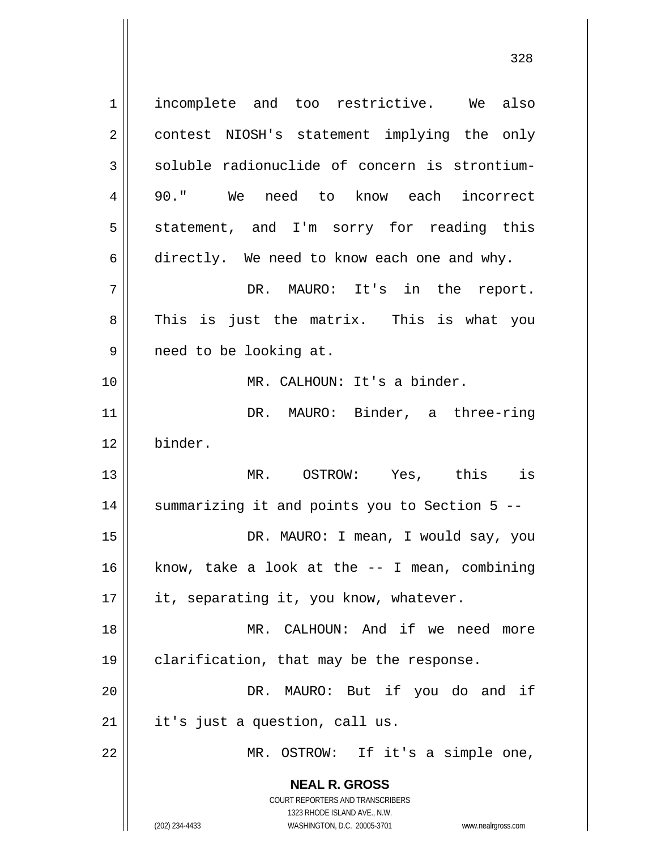**NEAL R. GROSS** COURT REPORTERS AND TRANSCRIBERS 1323 RHODE ISLAND AVE., N.W. 1 2 3 4 5 6 7 8 9 10 11 12 13 14 15 16 17 18 19 20 21 22 incomplete and too restrictive. We also contest NIOSH's statement implying the only soluble radionuclide of concern is strontium-90." We need to know each incorrect statement, and I'm sorry for reading this directly. We need to know each one and why. DR. MAURO: It's in the report. This is just the matrix. This is what you need to be looking at. MR. CALHOUN: It's a binder. DR. MAURO: Binder, a three-ring binder. MR. OSTROW: Yes, this is summarizing it and points you to Section 5 -- DR. MAURO: I mean, I would say, you know, take a look at the -- I mean, combining it, separating it, you know, whatever. MR. CALHOUN: And if we need more clarification, that may be the response. DR. MAURO: But if you do and if it's just a question, call us. MR. OSTROW: If it's a simple one,

328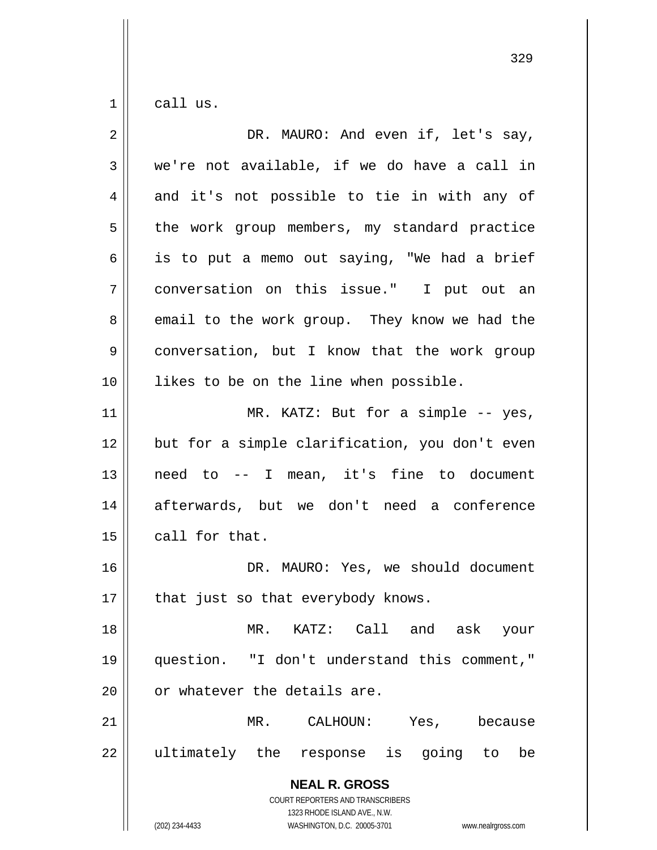1 call us.

| 2  | DR. MAURO: And even if, let's say,                                                              |
|----|-------------------------------------------------------------------------------------------------|
| 3  | we're not available, if we do have a call in                                                    |
| 4  | and it's not possible to tie in with any of                                                     |
| 5  | the work group members, my standard practice                                                    |
| 6  | is to put a memo out saying, "We had a brief                                                    |
| 7  | conversation on this issue." I put out an                                                       |
| 8  | email to the work group. They know we had the                                                   |
| 9  | conversation, but I know that the work group                                                    |
| 10 | likes to be on the line when possible.                                                          |
| 11 | MR. KATZ: But for a simple -- yes,                                                              |
| 12 | but for a simple clarification, you don't even                                                  |
| 13 | need to -- I mean, it's fine to document                                                        |
| 14 | afterwards, but we don't need a conference                                                      |
| 15 | call for that.                                                                                  |
| 16 | DR. MAURO: Yes, we should document                                                              |
| 17 | that just so that everybody knows.                                                              |
| 18 | MR. KATZ: Call and ask<br>your                                                                  |
| 19 | question. "I don't understand this comment,"                                                    |
| 20 | or whatever the details are.                                                                    |
| 21 | $MR$ .<br>CALHOUN:<br>Yes,<br>because                                                           |
| 22 | ultimately the<br>is<br>going to<br>response<br>be                                              |
|    | <b>NEAL R. GROSS</b><br><b>COURT REPORTERS AND TRANSCRIBERS</b><br>1323 RHODE ISLAND AVE., N.W. |
|    | (202) 234-4433<br>WASHINGTON, D.C. 20005-3701<br>www.nealrgross.com                             |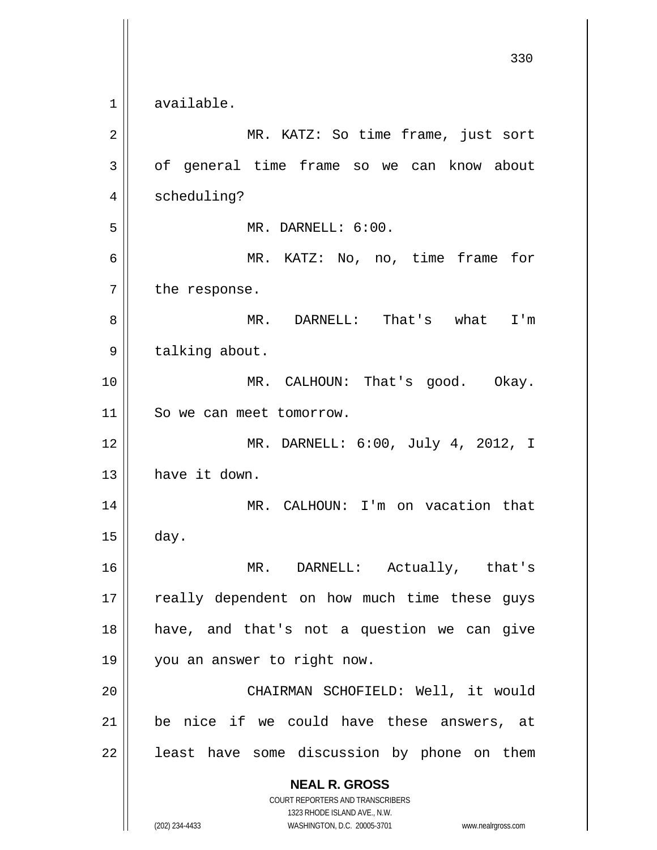**NEAL R. GROSS** COURT REPORTERS AND TRANSCRIBERS 1323 RHODE ISLAND AVE., N.W. (202) 234-4433 WASHINGTON, D.C. 20005-3701 www.nealrgross.com 330 1 2 3 4 5 6 7 8 9 10 11 12 13 14 15 16 17 18 19 20 21 22 available. MR. KATZ: So time frame, just sort of general time frame so we can know about scheduling? MR. DARNELL: 6:00. MR. KATZ: No, no, time frame for the response. MR. DARNELL: That's what I'm talking about. MR. CALHOUN: That's good. Okay. So we can meet tomorrow. MR. DARNELL: 6:00, July 4, 2012, I have it down. MR. CALHOUN: I'm on vacation that day. MR. DARNELL: Actually, that's really dependent on how much time these guys have, and that's not a question we can give you an answer to right now. CHAIRMAN SCHOFIELD: Well, it would be nice if we could have these answers, at least have some discussion by phone on them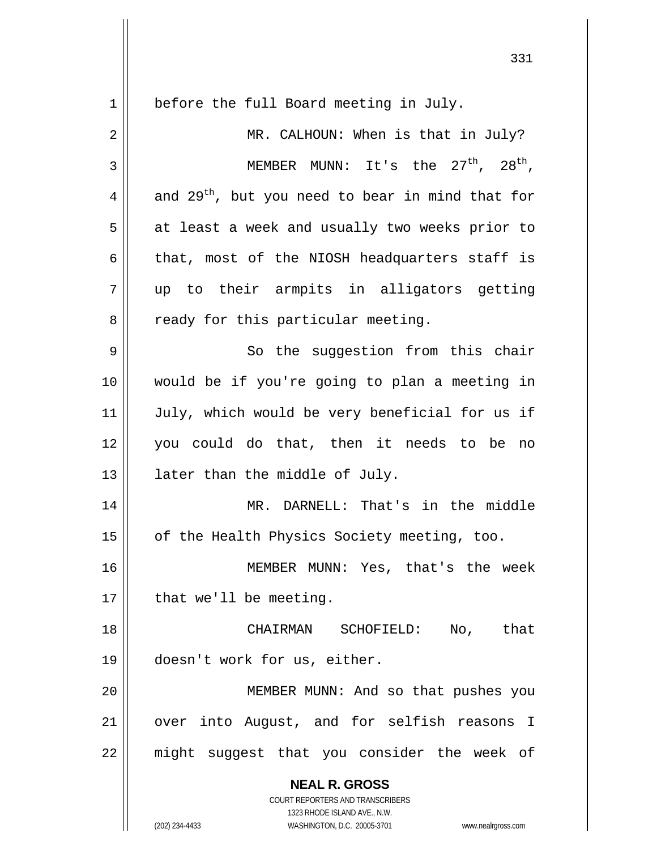**NEAL R. GROSS** COURT REPORTERS AND TRANSCRIBERS 1323 RHODE ISLAND AVE., N.W. (202) 234-4433 WASHINGTON, D.C. 20005-3701 www.nealrgross.com 1 2 3 4 5 6 7 8 9 10 11 12 13 14 15 16 17 18 19 20 21 22 before the full Board meeting in July. MR. CALHOUN: When is that in July? MEMBER MUNN: It's the  $27<sup>th</sup>$ ,  $28<sup>th</sup>$ , and  $29^{th}$ , but you need to bear in mind that for at least a week and usually two weeks prior to that, most of the NIOSH headquarters staff is up to their armpits in alligators getting ready for this particular meeting. So the suggestion from this chair would be if you're going to plan a meeting in July, which would be very beneficial for us if you could do that, then it needs to be no later than the middle of July. MR. DARNELL: That's in the middle of the Health Physics Society meeting, too. MEMBER MUNN: Yes, that's the week that we'll be meeting. CHAIRMAN SCHOFIELD: No, that doesn't work for us, either. MEMBER MUNN: And so that pushes you over into August, and for selfish reasons I might suggest that you consider the week of

331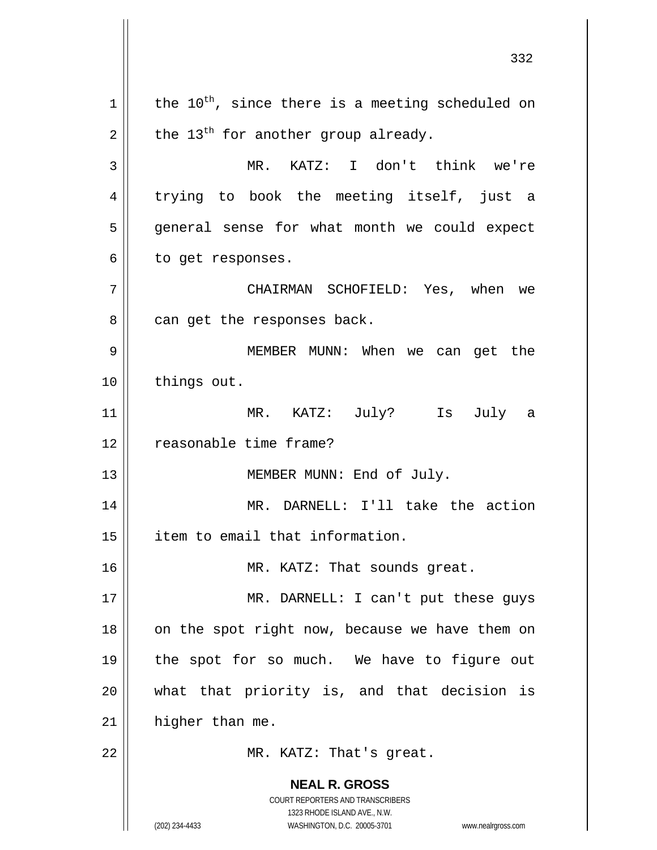**NEAL R. GROSS** COURT REPORTERS AND TRANSCRIBERS 1323 RHODE ISLAND AVE., N.W. (202) 234-4433 WASHINGTON, D.C. 20005-3701 www.nealrgross.com 332 1 2 3 4 5 6 7 8 9 10 11 12 13 14 15 16 17 18 19 20 21 22 the  $10^{th}$ , since there is a meeting scheduled on the  $13<sup>th</sup>$  for another group already. MR. KATZ: I don't think we're trying to book the meeting itself, just a general sense for what month we could expect to get responses. CHAIRMAN SCHOFIELD: Yes, when we can get the responses back. MEMBER MUNN: When we can get the things out. MR. KATZ: July? Is July a reasonable time frame? MEMBER MUNN: End of July. MR. DARNELL: I'll take the action item to email that information. MR. KATZ: That sounds great. MR. DARNELL: I can't put these guys on the spot right now, because we have them on the spot for so much. We have to figure out what that priority is, and that decision is higher than me. MR. KATZ: That's great.